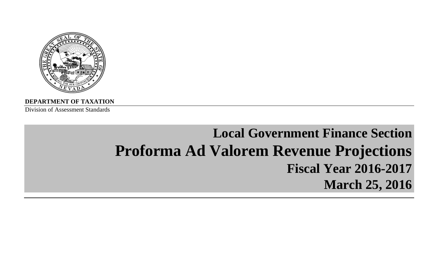

**DEPARTMENT OF TAXATION**

Division of Assessment Standards

# **Local Government Finance Section Proforma Ad Valorem Revenue Projections Fiscal Year 2016-2017March 25, 2016**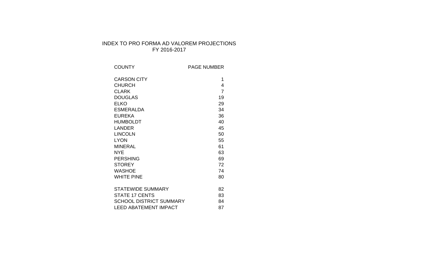# INDEX TO PRO FORMA AD VALOREM PROJECTIONS FY 2016-2017

| <b>COUNTY</b>                  | <b>PAGE NUMBER</b> |
|--------------------------------|--------------------|
| <b>CARSON CITY</b>             | 1                  |
| <b>CHURCH</b>                  | 4                  |
| <b>CLARK</b>                   | $\overline{7}$     |
| <b>DOUGLAS</b>                 | 19                 |
| <b>ELKO</b>                    | 29                 |
| <b>ESMERALDA</b>               | 34                 |
| <b>EUREKA</b>                  | 36                 |
| <b>HUMBOLDT</b>                | 40                 |
| LANDER                         | 45                 |
| <b>LINCOLN</b>                 | 50                 |
| <b>LYON</b>                    | 55                 |
| <b>MINERAL</b>                 | 61                 |
| NYE                            | 63                 |
| <b>PERSHING</b>                | 69                 |
| <b>STOREY</b>                  | 72                 |
| <b>WASHOE</b>                  | 74                 |
| <b>WHITE PINE</b>              | 80                 |
|                                |                    |
| <b>STATEWIDE SUMMARY</b>       | 82                 |
| <b>STATE 17 CENTS</b>          | 83                 |
| <b>SCHOOL DISTRICT SUMMARY</b> | 84                 |
| <b>LEED ABATEMENT IMPACT</b>   | 87                 |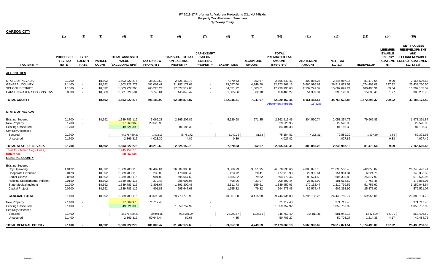| <b>CARSON CITY</b>                                                                                   |                                             |                                                      |                                      |                                                                  |                                                   |                                                                 |                                                                          |                                                |                                         |                                                                 |                                                         |                                                              |                                                      |                                                                |                                                                                                                         |
|------------------------------------------------------------------------------------------------------|---------------------------------------------|------------------------------------------------------|--------------------------------------|------------------------------------------------------------------|---------------------------------------------------|-----------------------------------------------------------------|--------------------------------------------------------------------------|------------------------------------------------|-----------------------------------------|-----------------------------------------------------------------|---------------------------------------------------------|--------------------------------------------------------------|------------------------------------------------------|----------------------------------------------------------------|-------------------------------------------------------------------------------------------------------------------------|
|                                                                                                      | (1)                                         | (2)                                                  | (3)                                  | (4)                                                              | (5)                                               | (6)                                                             | (7)                                                                      | (8)                                            | (9)                                     | (10)                                                            | (11)                                                    | (12)                                                         | (13)                                                 | (14)                                                           | (15)                                                                                                                    |
| <b>TAX ENTITY</b>                                                                                    | <b>PROPOSED</b><br>FY 17 TAX<br><b>RATE</b> | <b>FY 17</b><br><b>EXEMPT</b><br><b>RATE</b>         | <b>PARCEL</b><br><b>COUNT</b>        | <b>TOTAL ASSESSED</b><br><b>VALUE</b><br>(EXCLUDING NPM)         | <b>TAX ON NEW</b><br><b>PROPERTY</b>              | <b>CAP-SUBJECT TAX</b><br><b>ON EXISTING</b><br><b>PROPERTY</b> | <b>CAP-EXEMPT</b><br><b>TAX ON</b><br><b>EXISTING</b><br><b>PROPERTY</b> | <b>EXEMPTIONS</b>                              | <b>RECAPTURE</b><br><b>AMOUNT</b>       | <b>TOTAL</b><br>PREABATED TAX<br><b>AMOUNT</b><br>$(5+6+7-8+9)$ | <b>ABATEMENT</b><br><b>AMOUNT</b>                       | <b>NET TAX</b><br>$(10-11)$                                  | <b>REDEVELOP</b>                                     | <b>LEED/REN</b><br><b>EWABLE</b><br><b>ENERGY</b><br><b>NT</b> | <b>NET TAX LESS</b><br><b>REDEVELOPMENT</b><br>AND<br><b>LEED/RENEWABLE</b><br>ABATEME ENERGY ABATEMENT<br>$(12-13-14)$ |
| <b>ALL ENTITIES</b>                                                                                  |                                             |                                                      |                                      |                                                                  |                                                   |                                                                 |                                                                          |                                                |                                         |                                                                 |                                                         |                                                              |                                                      |                                                                |                                                                                                                         |
| STATE OF NEVADA<br><b>GENERAL COUNTY</b><br><b>SCHOOL DISTRICT</b><br><b>CARSON WATER SUBCONSERV</b> | 0.1700<br>2.1400<br>1.1800<br>0.0300        | $\sim$<br>$\overline{\phantom{a}}$                   | 18,592<br>18,592<br>18,592<br>18,589 | 1,503,222,275<br>1,503,222,279<br>1,503,222,268<br>1,501,324,581 | 38,210.60<br>481,003.47<br>265,226.24<br>6,740.61 | 2,525,150.78<br>31,787,172.68<br>17,527,512.00<br>445,043.42    | $\blacksquare$<br>$\sim$<br>$\sim$<br>$\sim$                             | 7,870.63<br>99,057.60<br>54,631.22<br>1,385.86 | 352.67<br>4,749.59<br>1,883.61<br>62.10 | 2,555,843.41<br>32,173,868.13<br>17,739,990.63<br>450,460.27    | 308,856.25<br>5,660,996.62<br>2,137,291.39<br>54,339.31 | 2,246,987.16<br>26,512,871.51<br>15,602,699.24<br>396,120.96 | 81,470.54<br>1,074,493.09<br>400,496.31<br>15,836.43 | 9.99<br>127.92<br>69.34<br>1.77                                | 2,165,506.63<br>25,438,250.50<br>15,202,133.59<br>380,282.76                                                            |
| <b>TOTAL COUNTY</b>                                                                                  |                                             |                                                      | 18,592                               | 1,503,222,275                                                    | 791,180.92                                        | 52,284,878.87                                                   | $\blacksquare$                                                           | 162,945.31                                     | 7,047.97                                | 52,920,162.45                                                   | 8,161,483.57                                            | 44,758,678.88                                                | 1,572,296.37                                         | 209.02                                                         | 43,186,173.49                                                                                                           |
|                                                                                                      |                                             |                                                      |                                      |                                                                  |                                                   |                                                                 |                                                                          |                                                |                                         | <b>Abatement Percent</b>                                        | 15.42%                                                  |                                                              |                                                      |                                                                |                                                                                                                         |
| <b>STATE OF NEVADA</b>                                                                               |                                             |                                                      |                                      |                                                                  |                                                   |                                                                 |                                                                          |                                                |                                         |                                                                 |                                                         |                                                              |                                                      |                                                                |                                                                                                                         |
| <b>Existing Secured</b>                                                                              | 0.1700                                      | $\overline{\phantom{a}}$                             | 18,592                               | 1,389,783,116                                                    | 3,066.23                                          | 2,365,207.86                                                    |                                                                          | 5,629.98                                       | 271.35                                  | 2,362,915.46                                                    | 304,560.74                                              | 2,058,354.72                                                 | 79,962.85                                            |                                                                | 1,978,391.87                                                                                                            |
| New Property                                                                                         | 0.1700                                      | $\overline{\phantom{a}}$<br>$\overline{\phantom{a}}$ |                                      | 17,369,969                                                       | 29,528.95                                         |                                                                 | $\sim$                                                                   |                                                |                                         | 29,528.95                                                       |                                                         | 29,528.95                                                    |                                                      |                                                                | 29,528.95                                                                                                               |
| <b>Existing Unsecured</b><br><b>Centrally Assessed</b>                                               | 0.1700                                      |                                                      |                                      | 49,521,398                                                       |                                                   | 84,186.38                                                       |                                                                          |                                                |                                         | 84,186.38                                                       |                                                         | 84,186.38                                                    |                                                      |                                                                | 84,186.38                                                                                                               |
| Secured                                                                                              | 0.1700                                      |                                                      |                                      | 44,178,480.29                                                    | 1,592.03                                          | 75,751.72                                                       | $\sim$                                                                   | 2,240.26                                       | 81.32                                   | 75,184.81                                                       | 4,295.51                                                | 70,889.30                                                    | 1,507.69                                             | 9.66                                                           | 69,371.95                                                                                                               |
| Unsecured                                                                                            | 0.1700                                      | $\blacksquare$                                       |                                      | 2,369,312                                                        | 4,023.39                                          | 4.82                                                            | $\blacksquare$                                                           | 0.39                                           | $\sim$                                  | 4,027.82                                                        | $\sim$                                                  | 4,027.82                                                     | $\sim$                                               | 0.33                                                           | 4,027.49                                                                                                                |
| TOTAL STATE OF NEVADA                                                                                | 0.1700                                      |                                                      | 18,592                               | 1,503,222,275                                                    | 38,210.60                                         | 2,525,150.78                                                    |                                                                          | 7,870.63                                       | 352.67                                  | 2,555,843.41                                                    | 308,856.25                                              | 2,246,987.16                                                 | 81.470.54                                            | 9.99                                                           | 2,165,506.63                                                                                                            |
| Total AV - March Seg - Col. Q<br><b>Difference</b><br><b>GENERAL COUNTY</b>                          |                                             |                                                      |                                      | 1,445,154,773<br>58,067,502                                      |                                                   |                                                                 |                                                                          |                                                |                                         |                                                                 |                                                         |                                                              |                                                      |                                                                |                                                                                                                         |
| <b>Existing Secured</b>                                                                              |                                             |                                                      |                                      |                                                                  |                                                   |                                                                 |                                                                          |                                                |                                         |                                                                 |                                                         |                                                              |                                                      |                                                                |                                                                                                                         |
| <b>City Operating</b>                                                                                | 1.9122                                      |                                                      | 18,592                               | 1,389,783,116                                                    | 34,489.64                                         | 26,604,395.80                                                   |                                                                          | 63,306.73                                      | 3,051.95                                | 26,578,630.66                                                   | 4,888,077.18                                            | 21,690,553.48                                                | 942,056.07                                           |                                                                | 20,748,497.41                                                                                                           |
| Cooperate Extension<br>Senior Citizen                                                                | 0.0128<br>0.0500                            |                                                      | 18,592<br>18,592                     | 1,389,783,116<br>1,389,783,116                                   | 230.89<br>901.83                                  | 178,086.40<br>695,647.63                                        |                                                                          | 423.72<br>1,655.82                             | 20.41<br>79.82                          | 177,913.98<br>694,973.46                                        | 22,932.64<br>89,574.58                                  | 154,981.34<br>605,398.88                                     | 6,624.75<br>25,877.93                                |                                                                | 148,356.59<br>579,520.95                                                                                                |
| Hospital Supplemental Indigent                                                                       | 0.0150                                      |                                                      | 18,592                               | 1,389,783,116                                                    | 270.48                                            | 208,696.05                                                      |                                                                          | 498.06                                         | 23.97                                   | 208,492.44                                                      | 26,873.92                                               | 181,618.52                                                   | 7,763.46                                             |                                                                | 173,855.06                                                                                                              |
| <b>State Medical Indigent</b>                                                                        | 0.1000                                      |                                                      | 18,592                               | 1,389,783,116                                                    | 1,803.67                                          | 1,391,300.48                                                    |                                                                          | 3,311.73                                       | 159.61                                  | 1,389,952.03                                                    | 179,152.47                                              | 1,210,799.56                                                 | 51,755.92                                            |                                                                | 1,159,043.64                                                                                                            |
| <b>Capital Project</b>                                                                               | 0.0500                                      |                                                      | 18,592                               | 1,389,783,116                                                    | 901.83                                            | 695,647.63                                                      |                                                                          | 1,655.82                                       | 79.82                                   | 694,973.46                                                      | 89,574.47                                               | 605,398.99                                                   | 25,877.92                                            |                                                                | 579,521.07                                                                                                              |
| <b>GENERAL TOTAL</b>                                                                                 | 2.1400                                      |                                                      | 18,592                               | 1,389,783,116                                                    | 38,598.34                                         | 29,773,773.99                                                   | $\sim$                                                                   | 70,851.88                                      | 3,415.58                                | 29,744,936.03                                                   | 5,296,185.26                                            | 24,448,750.77                                                | 1,059,956.05                                         |                                                                | 23.388.794.72                                                                                                           |
| <b>New Property</b>                                                                                  | 2.1400                                      |                                                      |                                      | 17,369,973                                                       | 371,717.43                                        |                                                                 | ٠                                                                        |                                                |                                         | 371,717.43                                                      |                                                         | 371,717.43                                                   |                                                      |                                                                | 371,717.43                                                                                                              |
| <b>Existing Unsecured</b><br><b>Centrally Assessed</b>                                               | 2.1400                                      | $\overline{\phantom{a}}$                             |                                      | 49,521,398                                                       |                                                   | 1,059,757.92                                                    | $\sim$                                                                   |                                                |                                         | 1,059,757.92                                                    |                                                         | 1,059,757.92                                                 |                                                      |                                                                | 1,059,757.92                                                                                                            |
| Secured                                                                                              | 2.1400<br>2.1400                            | $\overline{\phantom{a}}$<br>$\overline{\phantom{a}}$ |                                      | 44,178,480.29<br>2,369,312                                       | 20,040.26<br>50,647.44                            | 953,580.09<br>60.68                                             | $\sim$                                                                   | 28,200.87<br>4.85                              | 1,334.01                                | 946,753.49<br>50,703.27                                         | 364,811.36                                              | 581,942.13                                                   | 13,322.69<br>1,214.35                                | 123.75<br>4.17                                                 | 568,495.69<br>49,484.75                                                                                                 |
| Unsecured                                                                                            |                                             |                                                      |                                      |                                                                  |                                                   |                                                                 | $\sim$                                                                   |                                                | $\sim$                                  |                                                                 | $\sim$                                                  | 50,703.27                                                    |                                                      |                                                                |                                                                                                                         |
| <b>TOTAL GENERAL COUNTY</b>                                                                          | 2.1400                                      |                                                      | 18.592                               | 1.503.222.279                                                    | 481.003.47                                        | 31,787,172.68                                                   |                                                                          | 99,057.60                                      | 4.749.59                                | 32,173,868.13                                                   | 5,660,996.62                                            | 26,512,871.51                                                | 1,074,493.09                                         | 127.92                                                         | 25.438.250.50                                                                                                           |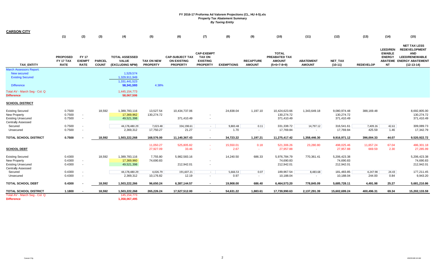| <b>CARSON CITY</b>                                                                                                                                         | (1)                                         | (2)                                                  | (3)                           | (4)                                                                                      | (5)                                  | (6)                                                             | (7)                                                                      | (8)               | (9)                               | (10)                                                            | (11)                              | (12)                                     | (13)                | (14)                                                           | (15)                                                                                                                           |
|------------------------------------------------------------------------------------------------------------------------------------------------------------|---------------------------------------------|------------------------------------------------------|-------------------------------|------------------------------------------------------------------------------------------|--------------------------------------|-----------------------------------------------------------------|--------------------------------------------------------------------------|-------------------|-----------------------------------|-----------------------------------------------------------------|-----------------------------------|------------------------------------------|---------------------|----------------------------------------------------------------|--------------------------------------------------------------------------------------------------------------------------------|
| <b>TAX ENTITY</b>                                                                                                                                          | <b>PROPOSED</b><br>FY 17 TAX<br><b>RATE</b> | <b>FY 17</b><br><b>EXEMPT</b><br><b>RATE</b>         | <b>PARCEL</b><br><b>COUNT</b> | <b>TOTAL ASSESSED</b><br><b>VALUE</b><br>(EXCLUDING NPM)                                 | <b>TAX ON NEW</b><br><b>PROPERTY</b> | <b>CAP-SUBJECT TAX</b><br><b>ON EXISTING</b><br><b>PROPERTY</b> | <b>CAP-EXEMPT</b><br><b>TAX ON</b><br><b>EXISTING</b><br><b>PROPERTY</b> | <b>EXEMPTIONS</b> | <b>RECAPTURE</b><br><b>AMOUNT</b> | <b>TOTAL</b><br>PREABATED TAX<br><b>AMOUNT</b><br>$(5+6+7-8+9)$ | <b>ABATEMENT</b><br><b>AMOUNT</b> | <b>NET TAX</b><br>$(10-11)$              | <b>REDEVELOP</b>    | <b>LEED/REN</b><br><b>EWABLE</b><br><b>ENERGY</b><br><b>NT</b> | <b>NET TAX LESS</b><br><b>REDEVELOPMENT</b><br><b>AND</b><br><b>LEED/RENEWABLE</b><br>ABATEME ENERGY ABATEMENT<br>$(12-13-14)$ |
| <b>March Assessors Report:</b><br><b>New secured</b><br><b>Existing Secured</b><br><b>Difference</b><br>Total AV - March Seg - Col. Q<br><b>Difference</b> |                                             |                                                      |                               | 1,529,574<br>1,329,911,949<br>1,331,441,523<br>58,341,593<br>1,445,154,773<br>58,067,506 | 4.38%                                |                                                                 |                                                                          |                   |                                   |                                                                 |                                   |                                          |                     |                                                                |                                                                                                                                |
| <b>SCHOOL DISTRICT</b>                                                                                                                                     |                                             |                                                      |                               |                                                                                          |                                      |                                                                 |                                                                          |                   |                                   |                                                                 |                                   |                                          |                     |                                                                |                                                                                                                                |
| <b>Existing Secured</b><br><b>New Property</b><br><b>Existing Unsecured</b><br><b>Centrally Assessed</b>                                                   | 0.7500<br>0.7500<br>0.7500                  | $\sim$<br>$\sim$                                     | 18,592                        | 1,389,783,116<br>17,369,962<br>49,521,398                                                | 13,527.54<br>130,274.72              | 10,434,737.06<br>371,410.49                                     | $\sim$                                                                   | 24,838.04         | 1,197.10                          | 10,424,623.66<br>130,274.72<br>371,410.49                       | 1,343,649.18                      | 9,080,974.48<br>130,274.72<br>371,410.49 | 388,169.48          |                                                                | 8,692,805.00<br>130,274.72<br>371,410.49                                                                                       |
| Secured<br>Unsecured                                                                                                                                       | 0.7500<br>0.7500                            | $\overline{\phantom{a}}$<br>$\overline{\phantom{a}}$ |                               | 44,178,480.29<br>2,369,312                                                               | 7,023.48<br>17,750.27                | 334,198.61<br>21.27                                             | $\sim$ $-$<br>$\sim$                                                     | 9,883.48<br>1.70  | 0.11<br>$\sim$                    | 331,338.72<br>17,769.84                                         | 14,797.12                         | 316,541.61<br>17,769.84                  | 7,409.26<br>425.59  | 42.61<br>1.46                                                  | 309,089.73<br>17,342.79                                                                                                        |
| <b>TOTAL SCHOOL DISTRICT</b>                                                                                                                               | 0.7500                                      |                                                      | 18,592                        | 1,503,222,268                                                                            | 168,576.00                           | 11,140,367.43                                                   |                                                                          | 34,723.22         | 1,197.21                          | 11,275,417.42                                                   | 1,358,446.30                      | 9,916,971.12                             | 396,004.33          | 44.07                                                          | 9,520,922.72                                                                                                                   |
| <b>SCHOOL DEBT</b>                                                                                                                                         |                                             |                                                      |                               |                                                                                          | 11,050.27<br>27,927.09               | 525,805.82<br>33.46                                             | . .                                                                      | 15,550.01<br>2.67 | 0.18<br>$\sim$                    | 521,306.26<br>27,957.88                                         | 23,280.80                         | 498,025.46<br>27,957.88                  | 11,657.24<br>669.59 | 67.04<br>2.30                                                  | 486,301.18<br>27,285.99                                                                                                        |
| <b>Existing Secured</b><br><b>New Property</b><br><b>Existing Unsecured</b><br><b>Centrally Assessed</b>                                                   | 0.4300<br>0.4300<br>0.4300                  | $\sim$<br>$\sim$                                     | 18,592                        | 1,389,783,116<br>17,369,960<br>49,521,398                                                | 7,755.80<br>74,690.83                | 5,982,583.16<br>212,942.01                                      | $\sim$                                                                   | 14,240.50         | 686.33                            | 5,976,784.79<br>74,690.83<br>212,942.01                         | 770,361.41                        | 5,206,423.38<br>74,690.83<br>212,942.01  |                     |                                                                | 5,206,423.38<br>74,690.83<br>212,942.01                                                                                        |
| Secured<br>Unsecured                                                                                                                                       | 0.4300<br>0.4300                            | $\overline{\phantom{a}}$<br>$\overline{\phantom{a}}$ |                               | 44,178,480.29<br>2,369,312                                                               | 4,026.79<br>10,176.82                | 191,607.21<br>12.19                                             | $\sim 10^{-1}$<br>$\sim$                                                 | 5,666.53<br>0.97  | 0.07<br>$\sim$                    | 189,967.54<br>10,188.04                                         | 8,483.68<br>$\sim$                | 181,483.85<br>10,188.04                  | 4,247.98<br>244.00  | 24.43<br>0.84                                                  | 177,211.45<br>9,943.20                                                                                                         |
| <b>TOTAL SCHOOL DEBT</b>                                                                                                                                   | 0.4300                                      |                                                      | 18,592                        | 1,503,222,266                                                                            | 96,650.24                            | 6,387,144.57                                                    | $\blacksquare$                                                           | 19,908.00         | 686.40                            | 6,464,573.20                                                    | 778,845.09                        | 5,685,728.11                             | 4,491.98            | 25.27                                                          | 5,681,210.86                                                                                                                   |
| TOTAL SCHOOL DISTRICT                                                                                                                                      | 1.1800                                      | $\overline{\phantom{a}}$                             | 18,592                        | 1,503,222,268                                                                            | 265,226.24                           | 17,527,512.00                                                   | $\blacksquare$                                                           | 54,631.22         | 1,883.61                          | 17,739,990.63                                                   | 2,137,291.39                      | 15,602,699.24                            | 400,496.31          | 69.34                                                          | 15,202,133.59                                                                                                                  |
| Total AV - March Seg - Col. Q<br><b>Difference</b>                                                                                                         |                                             |                                                      |                               | 145, 154, 773<br>1,358,067,495                                                           |                                      |                                                                 |                                                                          |                   |                                   |                                                                 |                                   |                                          |                     |                                                                |                                                                                                                                |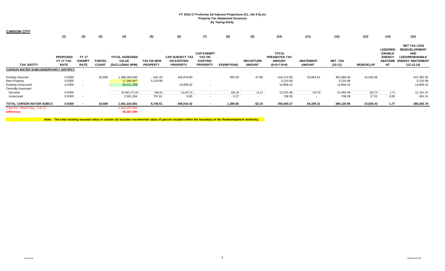| <b>CARSON CITY</b>                                                                                |                                                    |                                                      |                               |                                                          |                                      |                                                                 |                                                                          |                   |                                   |                                                                        |                                   |                                     |                  |                                                                                  |                                                                                                                               |
|---------------------------------------------------------------------------------------------------|----------------------------------------------------|------------------------------------------------------|-------------------------------|----------------------------------------------------------|--------------------------------------|-----------------------------------------------------------------|--------------------------------------------------------------------------|-------------------|-----------------------------------|------------------------------------------------------------------------|-----------------------------------|-------------------------------------|------------------|----------------------------------------------------------------------------------|-------------------------------------------------------------------------------------------------------------------------------|
|                                                                                                   | (1)                                                | (2)                                                  | (3)                           | (4)                                                      | (5)                                  | (6)                                                             | (7)                                                                      | (8)               | (9)                               | (10)                                                                   | (11)                              | (12)                                | (13)             | (14)                                                                             | (15)                                                                                                                          |
| <b>TAX ENTITY</b>                                                                                 | <b>PROPOSED</b><br><b>FY 17 TAX</b><br><b>RATE</b> | <b>FY 17</b><br><b>EXEMPT</b><br><b>RATE</b>         | <b>PARCEL</b><br><b>COUNT</b> | <b>TOTAL ASSESSED</b><br><b>VALUE</b><br>(EXCLUDING NPM) | <b>TAX ON NEW</b><br><b>PROPERTY</b> | <b>CAP-SUBJECT TAX</b><br><b>ON EXISTING</b><br><b>PROPERTY</b> | <b>CAP-EXEMPT</b><br><b>TAX ON</b><br><b>EXISTING</b><br><b>PROPERTY</b> | <b>EXEMPTIONS</b> | <b>RECAPTURE</b><br><b>AMOUNT</b> | <b>TOTAL</b><br><b>PREABATED TAX</b><br><b>AMOUNT</b><br>$(5+6+7-8+9)$ | <b>ABATEMENT</b><br><b>AMOUNT</b> | <b>NET TAX</b><br>$(10-11)$         | <b>REDEVELOP</b> | <b>LEED/REN</b><br><b>EWABLE</b><br><b>ENERGY</b><br><b>ABATEME</b><br><b>NT</b> | <b>NET TAX LESS</b><br><b>REDEVELOPMENT</b><br><b>AND</b><br><b>LEED/RENEWABLE</b><br><b>ENERGY ABATEMENT</b><br>$(12-13-14)$ |
| <b>CARSON WATER SUBCONSERVANCY DISTRICT</b>                                                       |                                                    |                                                      |                               |                                                          |                                      |                                                                 |                                                                          |                   |                                   |                                                                        |                                   |                                     |                  |                                                                                  |                                                                                                                               |
| <b>Existing Secured</b><br>New Property<br><b>Existing Unsecured</b><br><b>Centrally Assessed</b> | 0.0300<br>0.0300<br>0.0300                         | $\overline{\phantom{a}}$<br>$\overline{\phantom{a}}$ | 18,589                        | 1,388,084,640<br>17,369,967<br>49,521,398                | 541.10<br>5,210.99                   | 416,878.60<br>14,856.42                                         |                                                                          | 993.50            | 47.89                             | 416,474.09<br>5,210.99<br>14,856.42                                    | 53,584.61                         | 362,889.48<br>5,210.99<br>14,856.42 | 15,526.66        |                                                                                  | 347,362.82<br>5,210.99<br>14,856.42                                                                                           |
| Secured<br>Unsecured                                                                              | 0.0300<br>0.0300                                   | $\overline{\phantom{a}}$                             |                               | 43,987,272.63<br>2,361,304                               | 280.91<br>707.61                     | 13,307.55<br>0.85                                               | $\sim$<br>۰                                                              | 392.29<br>0.07    | 14.21<br>$\sim$                   | 13,210.38<br>708.39                                                    | 754.70<br>$\sim$                  | 12,455.68<br>708.39                 | 292.75<br>17.02  | 1.71<br>0.06                                                                     | 12,161.22<br>691.31                                                                                                           |
| TOTAL CARSON WATER SUBCO<br>Total AV - March Seg - Col. Q                                         | 0.0300                                             |                                                      | 18,589                        | 1,501,324,581<br>1,443,257,082                           | 6,740.61                             | 445,043.42                                                      | $\overline{\phantom{a}}$                                                 | 1,385.86          | 62.10                             | 450,460.27                                                             | 54,339.31                         | 396,120.96                          | 15,836.43        | 1.77                                                                             | 380,282.76                                                                                                                    |
| <b>Difference</b>                                                                                 |                                                    |                                                      |                               | 58,067,499                                               |                                      |                                                                 |                                                                          |                   |                                   |                                                                        |                                   |                                     |                  |                                                                                  |                                                                                                                               |

**Note: The total existing secured value in column (4) includes incremental value of parcels located within the boundary of the Redevelopment Authority.**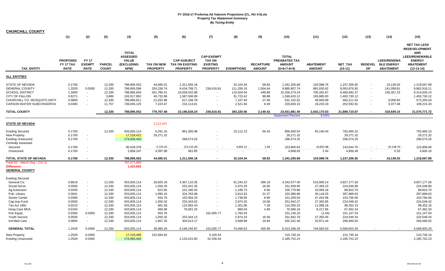| <b>CHURCHILL COUNTY</b>                                                                                                                                 |                                                          |                                                          |                                                         |                                                                                        |                                                                             |                                                                                           |                                                                          |                                                                            |                                                       |                                                                                           |                                                                                |                                                                                          |                      |                                                               |                                                                                                                                         |
|---------------------------------------------------------------------------------------------------------------------------------------------------------|----------------------------------------------------------|----------------------------------------------------------|---------------------------------------------------------|----------------------------------------------------------------------------------------|-----------------------------------------------------------------------------|-------------------------------------------------------------------------------------------|--------------------------------------------------------------------------|----------------------------------------------------------------------------|-------------------------------------------------------|-------------------------------------------------------------------------------------------|--------------------------------------------------------------------------------|------------------------------------------------------------------------------------------|----------------------|---------------------------------------------------------------|-----------------------------------------------------------------------------------------------------------------------------------------|
|                                                                                                                                                         | (1)                                                      | (2)                                                      | (3)                                                     | (4)                                                                                    | (5)                                                                         | (6)                                                                                       | (7)                                                                      | (8)                                                                        | (9)                                                   | (10)                                                                                      | (11)                                                                           | (12)                                                                                     | (13)                 | (14)                                                          | (15)                                                                                                                                    |
| <b>TAX ENTITY</b>                                                                                                                                       | <b>PROPOSED</b><br><b>FY 17 TAX</b><br><b>RATE</b>       | <b>FY 17</b><br><b>EXEMPT</b><br><b>RATE</b>             | <b>PARCEL</b><br><b>COUNT</b>                           | <b>TOTAL</b><br><b>ASSESSED</b><br><b>VALUE</b><br>(EXCLUDING<br>NPM)                  | <b>TAX ON NEW</b><br><b>PROPERTY</b>                                        | <b>CAP-SUBJECT</b><br><b>TAX ON EXISTING</b><br><b>PROPERTY</b>                           | <b>CAP-EXEMPT</b><br><b>TAX ON</b><br><b>EXISTING</b><br><b>PROPERTY</b> | <b>EXEMPTIONS</b>                                                          | <b>RECAPTURE</b><br><b>AMOUNT</b>                     | <b>TOTAL</b><br>PREABATED TAX<br><b>AMOUNT</b><br>$(5+6+7-8+9)$                           | <b>ABATEMENT</b><br><b>AMOUNT</b>                                              | NET_TAX<br>$(10-11)$                                                                     | <b>REDEVEL</b><br>OP | <b>LEED/RENEWA</b><br><b>BLE ENERGY</b><br><b>ABATEMENT</b>   | <b>NET TAX LESS</b><br><b>REDEVELOPMENT</b><br><b>AND</b><br><b>LEED/RENEWABLE</b><br><b>ENERGY</b><br><b>ABATEMENT</b><br>$(12-13-14)$ |
| <b>ALL ENTITIES</b>                                                                                                                                     |                                                          |                                                          |                                                         |                                                                                        |                                                                             |                                                                                           |                                                                          |                                                                            |                                                       |                                                                                           |                                                                                |                                                                                          |                      |                                                               |                                                                                                                                         |
| STATE OF NEVADA<br><b>GENERAL COUNTY</b><br><b>SCHOOL DISTRICT</b><br><b>CITY OF FALLON</b><br>CHURCHILL CO. MOSQUITO DISTI<br>CARSON WATER SUBCONSERVA | 0.1700<br>1.2529<br>1.3000<br>0.8271<br>0.0800<br>0.0300 | $\sim$<br>0.0300<br>$\sim$<br>$\sim$<br>$\sim$<br>$\sim$ | 12,330<br>12,330<br>12,330<br>3,686<br>12,330<br>11,757 | 788,895,552<br>788,895,596<br>788,895,604<br>193,017,852<br>788,895,811<br>736,045,125 | 44,695.01<br>324,236.74<br>341,785.41<br>40,732.68<br>21,032.98<br>7,224.67 | 1,311,556.18<br>9,434,708.71<br>10,029,542.98<br>1,587,506.99<br>617,199.78<br>216,113.61 | $\sim$<br>236,616.81<br>$\overline{\phantom{a}}$                         | 15,104.34<br>111,259.16<br>115,504.04<br>31,723.42<br>7,107.94<br>2,521.66 | 58.83<br>1,504.64<br>449.89<br>98.88<br>27.69<br>9.49 | 1,341,205.68<br>9,885,807.74<br>10,256,274.24<br>1,596,615.12<br>631,152.52<br>220,826.10 | 103,998.76<br>881,830.82<br>795,281.87<br>193,885.00<br>48,940.89<br>18,233.19 | 1,237,206.92<br>9,003,976.92<br>9,460,992.37<br>1,402,730.12<br>582,211.63<br>202,592.91 | $\sim$<br>$\sim$     | 19,139.03<br>141,058.81<br>146,357.23<br>9,006.60<br>3,377.48 | 1,218,067.89<br>8,862,918.11<br>9,314,635.14<br>1,402,730.12<br>573,205.03<br>199,215.43                                                |
| <b>TOTAL COUNTY</b>                                                                                                                                     |                                                          |                                                          | 12,330                                                  | 788,895,552                                                                            | 779,707.48                                                                  | 23,196,628.24                                                                             | 236,616.81                                                               | 283,220.56                                                                 | 2,149.42                                              | 23,931,881.40                                                                             | 2,042,170.53                                                                   | 21,889,710.87                                                                            |                      | 318,939.15                                                    | 21,570,771.72                                                                                                                           |
|                                                                                                                                                         |                                                          |                                                          |                                                         |                                                                                        |                                                                             |                                                                                           |                                                                          |                                                                            |                                                       | <b>Abatement Percent</b>                                                                  | 8.53%                                                                          |                                                                                          |                      |                                                               |                                                                                                                                         |
| STATE OF NEVADA                                                                                                                                         |                                                          |                                                          |                                                         |                                                                                        | 3,112,447                                                                   |                                                                                           |                                                                          |                                                                            |                                                       |                                                                                           |                                                                                |                                                                                          |                      |                                                               |                                                                                                                                         |
| <b>Existing Secured</b><br>New Property<br><b>Existing Unsecured</b><br><b>Centrally Assessed</b>                                                       | 0.1700<br>0.1700<br>0.1700                               | $\sim$<br>$\sim$                                         | 12,330                                                  | 503,835,114<br>17,218,421<br>174,455,442                                               | 5,291.16<br>29,271.32                                                       | 861,365.08<br>296,574.25                                                                  |                                                                          | 10,112.13                                                                  | 56.43                                                 | 856,600.54<br>29,271.32<br>296,574.25                                                     | 93,140.44                                                                      | 763,460.10<br>29,271.32<br>296,574.25                                                    |                      |                                                               | 763,460.10<br>29,271.32<br>296,574.25                                                                                                   |
| Secured                                                                                                                                                 | 0.1700                                                   | $\sim$                                                   |                                                         | 90,528,378                                                                             | 5,735.45                                                                    | 153,155.00                                                                                |                                                                          | 4,992.21                                                                   | 2.40                                                  | 153,900.64                                                                                | 10,855.88                                                                      | 143,044.76                                                                               | $\sim$               | 19,138.70                                                     | 123,906.06                                                                                                                              |
| Unsecured                                                                                                                                               | 0.1700                                                   | $\sim$                                                   |                                                         | 2,858,197                                                                              | 4,397.08                                                                    | 461.85                                                                                    |                                                                          |                                                                            | $\sim$                                                | 4,858.93                                                                                  | 2.44                                                                           | 4,856.49                                                                                 | $\sim$               | 0.33                                                          | 4,856.16                                                                                                                                |
| TOTAL STATE OF NEVADA                                                                                                                                   | 0.1700                                                   | $\sim$                                                   | 12,330                                                  | 788,895,552                                                                            | 44,695.01                                                                   | 1,311,556.18                                                                              |                                                                          | 15,104.34                                                                  | 58.83                                                 | 1,341,205.68                                                                              | 103,998.76                                                                     | 1,237,206.92                                                                             | $\sim$               | 19,139.03                                                     | 1,218,067.89                                                                                                                            |
| Total AV - March Seg - Col. Q<br><b>Difference</b><br><b>GENERAL COUNTY</b>                                                                             |                                                          |                                                          |                                                         | 787,471,890<br>1,423,662                                                               |                                                                             |                                                                                           |                                                                          |                                                                            |                                                       |                                                                                           |                                                                                |                                                                                          |                      |                                                               |                                                                                                                                         |
| <b>Existing Secured</b><br>General Co.<br>Social Servs.                                                                                                 | 0.8619<br>0.0500                                         | $\sim$                                                   | 12,330<br>12,330                                        | 503,835,114<br>503,835,114                                                             | 26,825.18<br>1,556.29                                                       | 4,367,110.26<br>253,341.35                                                                | $\sim$                                                                   | 51,244.23<br>2,974.29                                                      | 286.19<br>16.60                                       | 4,342,977.40<br>251,939.95                                                                | 515,800.14<br>27,393.15                                                        | 3,827,177.26<br>224,546.80                                                               |                      |                                                               | 3,827,177.26<br>224,546.80                                                                                                              |
| Ag Extension                                                                                                                                            | 0.0200                                                   | $\sim$                                                   | 12,330                                                  | 503,835,114                                                                            | 622.60                                                                      | 101,340.35                                                                                |                                                                          | 1,189.73                                                                   | 6.66                                                  | 100,779.88                                                                                | 10,956.18                                                                      | 89,823.70                                                                                |                      |                                                               | 89,823.70                                                                                                                               |
| Pub. Library                                                                                                                                            | 0.0641                                                   | $\sim$                                                   | 12,330                                                  | 503,835,114                                                                            | 1,995.16                                                                    | 324,783.98                                                                                |                                                                          | 3,813.53                                                                   | 21.27                                                 | 322,986.88                                                                                | 35,118.25                                                                      | 287,868.63                                                                               |                      |                                                               | 287,868.63                                                                                                                              |
| Senior Center                                                                                                                                           | 0.0300                                                   | $\sim$                                                   | 12,330                                                  | 503,835,114                                                                            | 933.76                                                                      | 152,004.33                                                                                |                                                                          | 1,738.95                                                                   | 9.90                                                  | 151,209.04                                                                                | 47,442.98                                                                      | 103,766.06                                                                               |                      |                                                               | 103,766.06                                                                                                                              |
| Cap.Imp.Fund                                                                                                                                            | 0.0500                                                   | $\sim$                                                   | 12,330                                                  | 503,835,114                                                                            | 1,556.32                                                                    | 253,343.62                                                                                |                                                                          | 2,974.25                                                                   | 16.58                                                 | 251,942.27                                                                                | 27,392.85                                                                      | 224,549.42                                                                               |                      |                                                               | 224,549.42                                                                                                                              |
| <b>Tax Act 1991</b>                                                                                                                                     | 0.0219                                                   | $\sim$                                                   | 12,330                                                  | 503,835,114                                                                            | 681.58                                                                      | 110,963.43                                                                                | $\sim$                                                                   | 1,301.96                                                                   | 7.28                                                  | 110,350.33                                                                                | 11,998.18                                                                      | 98,352.15                                                                                |                      |                                                               | 98,352.15                                                                                                                               |
| Hosp.Care MVA                                                                                                                                           | 0.0150<br>0.0300                                         | $\sim$<br>0.0300                                         | 12,330<br>12,330                                        | 503,835,114<br>503,835,114                                                             | 466.99<br>933.76                                                            | 76,001.25                                                                                 | 152,005.77                                                               | 893.04<br>1,793.43                                                         | 4.99<br>$\sim$                                        | 75,580.19<br>151,146.10                                                                   | 8,217.85<br>(1.44)                                                             | 67,362.34<br>151,147.54                                                                  |                      |                                                               | 67,362.34<br>151,147.54                                                                                                                 |
| Fire Equip.<br><b>Youth Service</b>                                                                                                                     | 0.0500                                                   | $\sim$                                                   | 12,330                                                  | 503,835,114                                                                            | 1,556.32                                                                    | 253,344.13                                                                                |                                                                          | 2,974.24                                                                   | 16.58                                                 | 251,942.79                                                                                | 27,393.45                                                                      | 224,549.34                                                                               |                      |                                                               | 224,549.34                                                                                                                              |
| Ind Med Care                                                                                                                                            | 0.0600                                                   | $\sim$                                                   | 12,330                                                  | 503,835,114                                                                            | 1,867.33                                                                    | 304,013.17                                                                                | $\sim$                                                                   | 3,568.98                                                                   | 19.94                                                 | 302,331.46                                                                                | 32,871.44                                                                      | 269,460.02                                                                               |                      |                                                               | 269,460.02                                                                                                                              |
| <b>GENERAL TOTAL</b>                                                                                                                                    | 1.2529                                                   | 0.0300                                                   | 12,330                                                  | 503,835,114                                                                            | 38,995.29                                                                   | 6,196,245.87                                                                              | 152,005.77                                                               | 74,466.63                                                                  | 405.99                                                | 6,313,186.29                                                                              | 744,583.03                                                                     | 5,568,603.26                                                                             |                      |                                                               | 5,568,603.26                                                                                                                            |
| New Property<br><b>Existing Unsecured</b>                                                                                                               | 1.2529<br>1.2529                                         | 0.0300<br>0.0300                                         |                                                         | 17,218,466<br>174,455,442                                                              | 210,564.62                                                                  | 2,133,415.60                                                                              | 5,165.54<br>52,336.63                                                    |                                                                            |                                                       | 215,730.16<br>2,185,752.23                                                                |                                                                                | 215,730.16<br>2,185,752.23                                                               |                      |                                                               | 215,730.16<br>2,185,752.23                                                                                                              |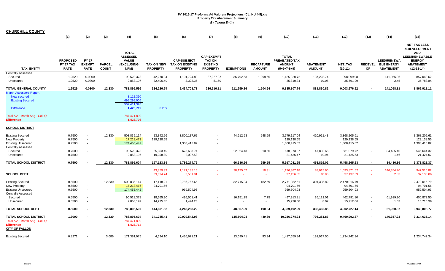| <b>CHURCHILL COUNTY</b>                                                                              |                              |                                            |               |                                                               |                         |                                              |                                                       |                                       |                    |                                                |                     |                                            |                          |                                   |                                                                                                                         |
|------------------------------------------------------------------------------------------------------|------------------------------|--------------------------------------------|---------------|---------------------------------------------------------------|-------------------------|----------------------------------------------|-------------------------------------------------------|---------------------------------------|--------------------|------------------------------------------------|---------------------|--------------------------------------------|--------------------------|-----------------------------------|-------------------------------------------------------------------------------------------------------------------------|
|                                                                                                      | (1)                          | (2)                                        | (3)           | (4)                                                           | (5)                     | (6)                                          | (7)                                                   | (8)                                   | (9)                | (10)                                           | (11)                | (12)                                       | (13)                     | (14)                              | (15)                                                                                                                    |
|                                                                                                      | <b>PROPOSED</b><br>FY 17 TAX | <b>FY 17</b><br><b>EXEMPT</b>              | <b>PARCEL</b> | <b>TOTAL</b><br><b>ASSESSED</b><br><b>VALUE</b><br>(EXCLUDING | <b>TAX ON NEW</b>       | <b>CAP-SUBJECT</b><br><b>TAX ON EXISTING</b> | <b>CAP-EXEMPT</b><br><b>TAX ON</b><br><b>EXISTING</b> |                                       | <b>RECAPTURE</b>   | <b>TOTAL</b><br>PREABATED TAX<br><b>AMOUNT</b> | <b>ABATEMENT</b>    | NET_TAX                                    |                          | LEED/RENEWA<br>REDEVEL BLE ENERGY | <b>NET TAX LESS</b><br><b>REDEVELOPMENT</b><br><b>AND</b><br><b>LEED/RENEWABLE</b><br><b>ENERGY</b><br><b>ABATEMENT</b> |
| <b>TAX ENTITY</b>                                                                                    | <b>RATE</b>                  | <b>RATE</b>                                | <b>COUNT</b>  | NPM)                                                          | <b>PROPERTY</b>         | <b>PROPERTY</b>                              | <b>PROPERTY</b>                                       | <b>EXEMPTIONS</b>                     | <b>AMOUNT</b>      | $(5+6+7-8+9)$                                  | <b>AMOUNT</b>       | $(10-11)$                                  | <b>OP</b>                | <b>ABATEMENT</b>                  | $(12-13-14)$                                                                                                            |
| <b>Centrally Assessed</b><br>Secured<br>Unsecured                                                    | 1.2529<br>1.2529             | 0.0300<br>0.0300                           |               | 90,528,378<br>2,858,197                                       | 42,270.34<br>32,406.49  | 1,101,724.89<br>3,322.35                     | 27,027.37<br>81.50                                    | 36,792.53<br>$\sim$                   | 1,098.65<br>$\sim$ | 1,135,328.72<br>35,810.34                      | 137,228.74<br>19.05 | 998,099.98<br>35,791.29                    |                          | 141,056.36<br>2.45                | 857,043.62<br>35,788.84                                                                                                 |
| <b>TOTAL GENERAL COUNTY</b>                                                                          | 1.2529                       | 0.0300                                     | 12,330        | 788,895,596                                                   | 324,236.74              | 9,434,708.71                                 | 236,616.81                                            | 111,259.16                            | 1,504.64           | 9,885,807.74                                   | 881,830.82          | 9,003,976.92                               |                          | 141,058.81                        | 8,862,918.11                                                                                                            |
| <b>March Assessors Report:</b><br><b>New secured</b><br><b>Existing Secured</b><br><b>Difference</b> |                              |                                            |               | 3,112,390<br>499,299,005<br>502,411,395<br>1,423,719          | 0.28%                   |                                              |                                                       |                                       |                    |                                                |                     |                                            |                          |                                   |                                                                                                                         |
| Total AV - March Seg - Col. Q<br><b>Difference</b>                                                   |                              |                                            |               | 787,471,890<br>1,423,706                                      |                         |                                              |                                                       |                                       |                    |                                                |                     |                                            |                          |                                   |                                                                                                                         |
| <b>SCHOOL DISTRICT</b>                                                                               |                              |                                            |               |                                                               |                         |                                              |                                                       |                                       |                    |                                                |                     |                                            |                          |                                   |                                                                                                                         |
| <b>Existing Secured</b><br>New Property<br><b>Existing Unsecured</b><br><b>Centrally Assessed</b>    | 0.7500<br>0.7500<br>0.7500   | $\blacksquare$<br>$\blacksquare$<br>$\sim$ | 12,330        | 503,835,114<br>17,218,473<br>174,455,442                      | 23,342.96<br>129,138.55 | 3,800,137.62<br>1,308,415.82                 | $\overline{\phantom{a}}$                              | 44,612.53                             | 248.99             | 3,779,117.04<br>129,138.55<br>1,308,415.82     | 410,911.43          | 3,368,205.61<br>129,138.55<br>1,308,415.82 |                          |                                   | 3,368,205.61<br>129,138.55<br>1,308,415.82                                                                              |
| Secured<br>Unsecured                                                                                 | 0.7500<br>0.7500             | $\sim$<br>$\overline{\phantom{a}}$         |               | 90,528,378<br>2,858,197                                       | 25,303.49<br>19,398.89  | 675,683.74<br>2,037.58                       |                                                       | 22,024.43<br>$\overline{\phantom{a}}$ | 10.56<br>$\sim$    | 678,973.37<br>21,436.47                        | 47,893.65<br>10.94  | 631,079.72<br>21,425.53                    |                          | 84,435.40<br>1.46                 | 546,644.32<br>21,424.07                                                                                                 |
| <b>TOTAL SCHOOL DISTRICT</b>                                                                         | 0.7500                       |                                            | 12,330        | 788,895,604                                                   | 197,183.89              | 5,786,274.76                                 | $\sim$                                                | 66,636.96                             | 259.55             | 5,917,081.25                                   | 458,816.02          | 5,458,265.23                               | $\sim$                   | 84,436.86                         | 5,373,828.37                                                                                                            |
| <b>SCHOOL DEBT</b>                                                                                   |                              |                                            |               |                                                               | 43,859.39<br>33,624.74  | 1,171,185.15<br>3,531.81                     | $\sim$                                                | 38,175.67<br>$\sim$                   | 18.31<br>$\sim$    | 1,176,887.18<br>37,156.55                      | 83,015.66<br>18.96  | 1,093,871.52<br>37,137.59                  |                          | 146,354.70<br>2.53                | 947,516.82<br>37,135.06                                                                                                 |
| <b>Existing Secured</b><br>New Property<br><b>Existing Unsecured</b><br><b>Centrally Assessed</b>    | 0.5500<br>0.5500<br>0.5500   | $\sim$<br>$\sim$                           | 12,330        | 503,835,114<br>17,218,466<br>174,455,442                      | 17,118.21<br>94,701.56  | 2,786,767.65<br>959,504.93                   |                                                       | 32,715.84                             | 182.59             | 2,771,352.61<br>94,701.56<br>959,504.93        | 301,335.82          | 2,470,016.79<br>94,701.56<br>959,504.93    |                          |                                   | 2,470,016.79<br>94,701.56<br>959,504.93                                                                                 |
| Secured<br>Unsecured                                                                                 | 0.5500<br>0.5500             | $\blacksquare$<br>$\blacksquare$           |               | 90,528,378<br>2,858,197                                       | 18,555.90<br>14,225.85  | 495,501.41<br>1,494.23                       |                                                       | 16,151.25<br>$\sim$                   | 7.75<br>$\sim$     | 497,913.81<br>15,720.08                        | 35,122.01<br>8.02   | 462,791.80<br>15,712.06                    | $\overline{\phantom{a}}$ | 61,919.30<br>1.07                 | 400,872.50<br>15,710.99                                                                                                 |
| <b>TOTAL SCHOOL DEBT</b>                                                                             | 0.5500                       |                                            | 12,330        | 788,895,597                                                   | 144,601.52              | 4,243,268.22                                 |                                                       | 48,867.09                             | 190.34             | 4,339,192.99                                   | 336,465.85          | 4,002,727.14                               |                          | 61,920.37                         | 3,940,806.77                                                                                                            |
| <b>TOTAL SCHOOL DISTRICT</b>                                                                         | 1.3000                       |                                            | 12,330        | 788,895,604                                                   | 341,785.41              | 10,029,542.98                                |                                                       | 115,504.04                            | 449.89             | 10,256,274.24                                  | 795,281.87          | 9,460,992.37                               |                          | 146,357.23                        | 9,314,635.14                                                                                                            |
| Total AV - March Seg - Col. Q<br><b>Difference</b><br><b>CITY OF FALLON</b>                          |                              |                                            |               | 787,471,890<br>1,423,714                                      |                         |                                              |                                                       |                                       |                    |                                                |                     |                                            |                          |                                   |                                                                                                                         |
| <b>Existing Secured</b>                                                                              | 0.8271                       |                                            | 3,686         | 171,381,975                                                   | 4,594.10                | 1,436,671.21                                 |                                                       | 23,699.41                             | 93.94              | 1,417,659.84                                   | 182,917.50          | 1,234,742.34                               |                          |                                   | 1,234,742.34                                                                                                            |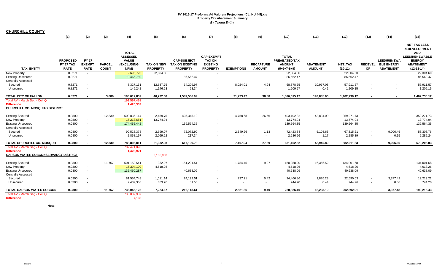| <b>CHURCHILL COUNTY</b>                                                                                  |                                             |                                              |                               |                                                                       |                                      |                                                                 |                                                                          |                                      |                                   |                                                                 |                                   |                                       |                      |                                                             |                                                                                                                                         |
|----------------------------------------------------------------------------------------------------------|---------------------------------------------|----------------------------------------------|-------------------------------|-----------------------------------------------------------------------|--------------------------------------|-----------------------------------------------------------------|--------------------------------------------------------------------------|--------------------------------------|-----------------------------------|-----------------------------------------------------------------|-----------------------------------|---------------------------------------|----------------------|-------------------------------------------------------------|-----------------------------------------------------------------------------------------------------------------------------------------|
|                                                                                                          | (1)                                         | (2)                                          | (3)                           | (4)                                                                   | (5)                                  | (6)                                                             | (7)                                                                      | (8)                                  | (9)                               | (10)                                                            | (11)                              | (12)                                  | (13)                 | (14)                                                        | (15)                                                                                                                                    |
| <b>TAX ENTITY</b>                                                                                        | <b>PROPOSED</b><br>FY 17 TAX<br><b>RATE</b> | <b>FY 17</b><br><b>EXEMPT</b><br><b>RATE</b> | <b>PARCEL</b><br><b>COUNT</b> | <b>TOTAL</b><br><b>ASSESSED</b><br><b>VALUE</b><br>(EXCLUDING<br>NPM) | <b>TAX ON NEW</b><br><b>PROPERTY</b> | <b>CAP-SUBJECT</b><br><b>TAX ON EXISTING</b><br><b>PROPERTY</b> | <b>CAP-EXEMPT</b><br><b>TAX ON</b><br><b>EXISTING</b><br><b>PROPERTY</b> | <b>EXEMPTIONS</b>                    | <b>RECAPTURE</b><br><b>AMOUNT</b> | <b>TOTAL</b><br>PREABATED TAX<br><b>AMOUNT</b><br>$(5+6+7-8+9)$ | <b>ABATEMENT</b><br><b>AMOUNT</b> | NET_TAX<br>$(10-11)$                  | <b>REDEVEL</b><br>OP | <b>LEED/RENEWA</b><br><b>BLE ENERGY</b><br><b>ABATEMENT</b> | <b>NET TAX LESS</b><br><b>REDEVELOPMENT</b><br><b>AND</b><br><b>LEED/RENEWABLE</b><br><b>ENERGY</b><br><b>ABATEMENT</b><br>$(12-13-14)$ |
| <b>New Property</b><br><b>Existing Unsecured</b><br><b>Centrally Assessed</b>                            | 0.8271<br>0.8271                            | $\sim$<br>$\blacksquare$                     |                               | 2,696,723<br>10,465,780                                               | 22,304.60                            | 86,562.47                                                       | $\blacksquare$                                                           |                                      |                                   | 22,304.60<br>86,562.47                                          |                                   | 22,304.60<br>86,562.47                |                      |                                                             | 22,304.60<br>86,562.47                                                                                                                  |
| Secured<br>Unsecured                                                                                     | 0.8271<br>0.8271                            | $\overline{\phantom{a}}$<br>$\sim$           |                               | 8,327,131<br>146,242                                                  | 12,687.75<br>1,146.23                | 64,209.97<br>63.34                                              |                                                                          | 8,024.01<br>$\sim$                   | 4.94<br>$\sim$                    | 68,878.65<br>1,209.57                                           | 10,967.08<br>0.42                 | 57,911.57<br>1,209.15                 |                      | $\sim$                                                      | 57,911.57<br>1,209.15                                                                                                                   |
| <b>TOTAL CITY OF FALLON</b>                                                                              | 0.8271                                      |                                              | 3,686                         | 193,017,852                                                           | 40,732.68                            | 1,587,506.99                                                    | $\sim$                                                                   | 31,723.42                            | 98.88                             | 1,596,615.12                                                    | 193,885.00                        | 1,402,730.12                          |                      | $\blacksquare$                                              | 1,402,730.12                                                                                                                            |
| Total AV - March Seq - Col. Q<br><b>Difference</b><br>CHURCHILL CO. MOSQUITO DISTRICT                    |                                             |                                              |                               | 191,597,493<br>1,420,359                                              |                                      |                                                                 |                                                                          |                                      |                                   |                                                                 |                                   |                                       |                      |                                                             |                                                                                                                                         |
| <b>Existing Secured</b><br><b>New Property</b><br><b>Existing Unsecured</b>                              | 0.0800<br>0.0800<br>0.0800                  | $\blacksquare$<br>$\sim$<br>$\mathbf{r}$     | 12,330                        | 503,835,114<br>17,218,681<br>174,455,442                              | 2,489.75<br>13,774.94                | 405,345.19<br>139,564.35                                        |                                                                          | 4,758.68                             | 26.56                             | 403.102.82<br>13,774.94<br>139,564.35                           | 43,831.09                         | 359.271.73<br>13,774.94<br>139,564.35 |                      |                                                             | 359,271.73<br>13,774.94<br>139,564.35                                                                                                   |
| <b>Centrally Assessed</b><br>Secured<br>Unsecured                                                        | 0.0800<br>0.0800                            | $\blacksquare$<br>$\blacksquare$             |                               | 90,528,378<br>2,858,197                                               | 2,699.07<br>2,069.22                 | 72,072.90<br>217.34                                             |                                                                          | 2,349.26<br>$\overline{\phantom{a}}$ | 1.13<br>$\sim$                    | 72,423.84<br>2,286.56                                           | 5,108.63<br>1.17                  | 67,315.21<br>2,285.39                 | $\sim$               | 9,006.45<br>0.15                                            | 58,308.76<br>2,285.24                                                                                                                   |
| TOTAL CHURCHILL CO. MOSQUIT                                                                              | 0.0800                                      | $\blacksquare$                               | 12,330                        | 788,895,811                                                           | 21,032.98                            | 617,199.78                                                      | $\sim$                                                                   | 7,107.94                             | 27.69                             | 631,152.52                                                      | 48,940.89                         | 582,211.63                            | $\sim$               | 9,006.60                                                    | 573,205.03                                                                                                                              |
| Total AV - March Seg - Col. Q<br><b>Difference</b><br><b>CARSON WATER SUBCONSERVANCY DISTRICT</b>        |                                             |                                              |                               | 787,471,890<br>1,423,921                                              | 3,106,900                            |                                                                 |                                                                          |                                      |                                   |                                                                 |                                   |                                       |                      |                                                             |                                                                                                                                         |
| <b>Existing Secured</b><br><b>New Property</b><br><b>Existing Unsecured</b><br><b>Centrally Assessed</b> | 0.0300<br>0.0300<br>0.0300                  | $\blacksquare$<br>$\blacksquare$<br>$\sim$   | 11,757                        | 501,153,541<br>15,394,190<br>135,460,287                              | 932.07<br>4,618.26                   | 151,201.51<br>40,638.09                                         |                                                                          | 1,784.45                             | 9.07                              | 150,358.20<br>4,618.26<br>40,638.09                             | 16,356.52                         | 134,001.68<br>4,618.26<br>40,638.09   |                      |                                                             | 134,001.68<br>4,618.26<br>40,638.09                                                                                                     |
| Secured<br>Unsecured                                                                                     | 0.0300<br>0.0300                            | $\overline{\phantom{a}}$<br>$\blacksquare$   |                               | 81,554,748<br>2,482,358                                               | 1,011.14<br>663.20                   | 24,192.51<br>81.50                                              | $\blacksquare$                                                           | 737.21<br>$\sim$                     | 0.42<br>$\sim$                    | 24,466.86<br>744.70                                             | 1,876.23<br>0.44                  | 22,590.63<br>744.26                   | $\sim$               | 3,377.42<br>0.06                                            | 19,213.21<br>744.20                                                                                                                     |
| TOTAL CARSON WATER SUBCON                                                                                | 0.0300                                      |                                              | 11,757                        | 736,045,125                                                           | 7,224.67                             | 216,113.61                                                      |                                                                          | 2,521.66                             | 9.49                              | 220,826.10                                                      | 18,233.19                         | 202,592.91                            |                      | 3,377.48                                                    | 199,215.43                                                                                                                              |
| Total AV - March Seg - Col. Q<br><b>Difference</b>                                                       |                                             |                                              |                               | 736,037,987<br>7,138                                                  |                                      |                                                                 |                                                                          |                                      |                                   |                                                                 |                                   |                                       |                      |                                                             |                                                                                                                                         |

**Note:**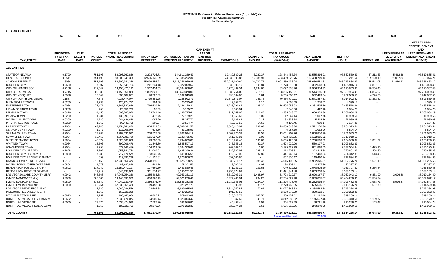| <b>CLARK COUNTY</b>                |                                             |                                              |                               |                                                   |                                      |                                                       |                                                                          |                   |                                   |                                                              |                                   |                      |                          |                                                             |                                                                                                                               |
|------------------------------------|---------------------------------------------|----------------------------------------------|-------------------------------|---------------------------------------------------|--------------------------------------|-------------------------------------------------------|--------------------------------------------------------------------------|-------------------|-----------------------------------|--------------------------------------------------------------|-----------------------------------|----------------------|--------------------------|-------------------------------------------------------------|-------------------------------------------------------------------------------------------------------------------------------|
|                                    | (1)                                         | (2)                                          | (3)                           | (4)                                               | (5)                                  | (6)                                                   | (7)                                                                      | (8)               | (9)                               | (10)                                                         | (11)                              | (12)                 | (13)                     | (14)                                                        | (15)                                                                                                                          |
| <b>TAX ENTITY</b>                  | <b>PROPOSED</b><br>FY 17 TAX<br><b>RATE</b> | <b>FY 17</b><br><b>EXEMPT</b><br><b>RATE</b> | <b>PARCEL</b><br><b>COUNT</b> | <b>TOTAL ASSESSED</b><br>VALUE (EXCLUDING<br>NPM) | <b>TAX ON NEW</b><br><b>PROPERTY</b> | <b>CAP-SUBJECT TAX ON</b><br><b>EXISTING PROPERTY</b> | <b>CAP-EXEMPT</b><br><b>TAX ON</b><br><b>EXISTING</b><br><b>PROPERTY</b> | <b>EXEMPTIONS</b> | <b>RECAPTURE</b><br><b>AMOUNT</b> | <b>TOTAL PREABATED</b><br><b>TAX AMOUNT</b><br>$(5+6+7-8+9)$ | <b>ABATEMENT</b><br><b>AMOUNT</b> | NET_TAX<br>$(10-11)$ | <b>REDEVELOP</b>         | <b>LEED/RENEWAB</b><br><b>LE ENERGY</b><br><b>ABATEMENT</b> | <b>NET TAX LESS</b><br><b>REDEVELOPMENT</b><br><b>AND</b><br><b>LEED/RENEWABLE</b><br><b>ENERGY ABATEMENT</b><br>$(12-13-14)$ |
| <b>ALL ENTITIES</b>                |                                             |                                              |                               |                                                   |                                      |                                                       |                                                                          |                   |                                   |                                                              |                                   |                      |                          |                                                             |                                                                                                                               |
| <b>STATE OF NEVADA</b>             | 0.1700                                      | $\overline{\phantom{a}}$                     | 751,193                       | 88,298,962,836                                    | 3,273,726.73                         | 144,611,349.49                                        |                                                                          | 19,439,839.25     | 3,220.37                          | 128,448,457.34                                               | 30,585,896.91                     | 97,862,560.43        | 37,212.63                | 5,462.39                                                    | 97,819,885.4                                                                                                                  |
| <b>GENERAL COUNTY</b>              | 0.6541                                      | $\overline{\phantom{a}}$                     | 751,193                       | 88,300,941,358                                    | 12,596,145.39                        | 555,385,292.34                                        |                                                                          | 74,533,905.88     | 12,388.91                         | 493,459,920.76                                               | 117,460,709.12                    | 375,999,211.64       | 169,120.10               | 21,017.33                                                   | 375,809,074.21                                                                                                                |
| <b>SCHOOL DISTRICT</b>             | 1.3034                                      | $\sim$                                       | 751,193                       | 88,300,941,359                                    | 25,099,856.22                        | 1,115,256,979.88                                      |                                                                          | 139,031,100.60    | 24,700.74                         | 1,001,350,436.24                                             | 235,636,551.61                    | 765,713,884.63       | 335,541.08               | 41,880.43                                                   | 765,336,463.12                                                                                                                |
| <b>BOULDER CITY</b>                | 0.2600                                      | $\overline{\phantom{a}}$                     | 7,607                         | 1,058,541,763                                     | 241,234.48                           | 2,372,099.67                                          |                                                                          | 835,006.19        | 191.84                            | 1,778,519.80                                                 | 352,603.66                        | 1,425,916.14         | 2,887.65                 |                                                             | 1,423,028.49                                                                                                                  |
| <b>CITY OF HENDERSON</b>           | 0.7108                                      | $\sim$                                       | 117,042                       | 13,150,471,192                                    | 1,507,434.53                         | 88,364,658.61                                         |                                                                          | 6,775,489.54      | 1,234.66                          | 83,097,838.26                                                | 18,906,974.33                     | 64,190,863.93        | 70,556.45                |                                                             | 64,120,307.48                                                                                                                 |
| <b>CITY OF LAS VEGAS</b>           | 0.7715                                      | $\sim$                                       | 202.686                       | 19.150.156.886                                    | 1.892.821.57                         | 139.460.378.00                                        |                                                                          | 12.988.764.06     | 715.10                            | 128.365.150.61                                               | 30.514.196.20                     | 97.850.954.41        | 86.894.92                |                                                             | 97.764.059.49                                                                                                                 |
| <b>CITY OF MESQUITE</b>            | 0.5520                                      | $\sim$                                       | 12,342                        | 839,087,087                                       | 70,782.39                            | 3,982,349.82                                          |                                                                          | 298,084.68        | 5.64                              | 3,755,053.17                                                 | 502,469.64                        | 3,252,583.53         | 4,776.03                 |                                                             | 3,247,807.50                                                                                                                  |
| CITY OF NORTH LAS VEGAS            | 1.1587                                      | $\overline{\phantom{a}}$                     | 77,876                        | 7,038,474,074                                     | 1,739,891.25                         | 79,258,992.79                                         |                                                                          | 10,542,871.07     | 766.74                            | 70,456,779.71                                                | 21,541,857.51                     | 48,914,922.20        | 21,362.62                |                                                             | 48,893,559.58                                                                                                                 |
| <b>BUNKERVILLE TOWN</b>            | 0.0200                                      | $\blacksquare$                               | 1,233                         | 125,974,713                                       | 294.88                               | 25,225.42                                             |                                                                          | 19,857.71         | 6.10                              | 5,668.69                                                     | 1,278.52                          | 4,390.17             |                          |                                                             | 4,390.17                                                                                                                      |
| <b>ENTERPRISE TOWN</b>             | 0.2064                                      | $\sim$                                       | 77,471                        | 8,661,522,636                                     | 766,539.76                           | 17,164,120.31                                         | $\overline{\phantom{a}}$                                                 | 1,235,791.44      | 185.30                            | 16,695,053.93                                                | 4,261,535.59                      | 12,433,518.34        |                          |                                                             | 12,433,518.34                                                                                                                 |
| <b>INDIAN SPRINGS TOWN</b>         | 0.0200                                      | $\overline{\phantom{a}}$                     | 458                           | 25,550,762                                        | 55.09                                | 5,135.71                                              |                                                                          | 2,943.84          |                                   | 2,246.96                                                     | 422.18                            | 1,824.78             |                          |                                                             | 1,824.78                                                                                                                      |
| <b>LAUGHLIN TOWN</b>               | 0.8416                                      | $\overline{\phantom{a}}$                     | 4,455                         | 503,785,979                                       | 73,741.46                            | 4,188,745.41                                          |                                                                          | 927,659.65        | 216.45                            | 3,335,043.67                                                 | 666,959.38                        | 2,668,084.29         |                          |                                                             | 2,668,084.29                                                                                                                  |
| <b>MOAPA TOWN</b>                  | 0.0200                                      | $\overline{\phantom{a}}$                     | 1,231                         | 136,393,762                                       | 472.75                               | 27,139.21                                             | $\overline{\phantom{a}}$                                                 | 14,665.61         | 1.09                              | 12,947.44                                                    | 1,007.78                          | 11,939.66            |                          |                                                             | 11,939.66                                                                                                                     |
| <b>MOAPA VALLEY TOWN</b>           | 0.0200                                      | $\overline{\phantom{a}}$                     | 4,780                         | 244,424,488                                       | 1,097.20                             | 48,357.72                                             |                                                                          | 17,126.43         | 10.15                             | 32,338.64                                                    | 5,408.56                          | 26,930.08            |                          |                                                             | 26,930.08                                                                                                                     |
| MT CHARLESTON TOWN                 | 0.0200                                      | $\overline{\phantom{a}}$                     | 1,067                         | 93,442,705                                        | 200.57                               | 18,554.74                                             |                                                                          | 10,666.55         | 14.69                             | 8,103.45                                                     | 919.17                            | 7,184.28             |                          |                                                             | 7,184.28                                                                                                                      |
| <b>PARADISE TOWN</b>               | 0.2064                                      | $\sim$                                       | 63,740                        | 16, 154, 741, 470                                 | 804,329.63                           | 32,598,391.57                                         |                                                                          | 3,546,416.04      | 238.68                            | 29.856.543.84                                                | 6,592,170.30                      | 23,264,373.54        |                          |                                                             | 23,264,373.54                                                                                                                 |
| <b>SEARCHLIGHT TOWN</b>            | 0.0200                                      | $\sim$                                       | 1,277                         | 117,106,076                                       | 614.86                               | 23,145.93                                             |                                                                          | 16,776.39         | 2.70                              | 6,987.10                                                     | 1,092.96                          | 5,894.14             |                          |                                                             | 5,894.14                                                                                                                      |
| SPRING VALLEY TOWN                 | 0.2064                                      | $\overline{\phantom{a}}$                     | 73,983                        | 6,789,531,022                                     | 258,537.58                           | 13,802,994.19                                         |                                                                          | 1,009,720.39      | 98.58                             | 13,051,909.96                                                | 2,800,876.20                      | 10,251,033.76        |                          |                                                             | 10,251,033.76                                                                                                                 |
| <b>SUMMERLIN TOWN</b>              | 0.2064                                      | $\overline{\phantom{a}}$                     | 13,456                        | 2,564,780,726                                     | 161,627.99                           | 5,142,735.09                                          |                                                                          | 351,642.81        | 3.08                              | 4,952,723.35                                                 | 1,132,805.22                      | 3,819,918.13         |                          |                                                             | 3,819,918.13                                                                                                                  |
| <b>SUNRISE MANOR TOWN</b>          | 0.2064                                      | $\overline{\phantom{a}}$                     | 48,874                        | 3,323,369,662                                     | 79,238.55                            | 6,794,039.88                                          |                                                                          | 1,018,252.47      | 103.60                            | 5,855,129.56                                                 | 1,730,530.69                      | 4,124,598.87         | 1,331.92                 |                                                             | 4,123,266.95                                                                                                                  |
| <b>WHITNEY TOWN</b>                | 0.2064                                      | $\overline{\phantom{a}}$                     | 13,603                        | 899,706,478                                       | 21,845.89                            | 1,845,507.13                                          |                                                                          | 243,355.13        | 22.37                             | 1,624,020.26                                                 | 530,137.93                        | 1,093,882.33         |                          |                                                             | 1,093,882.33                                                                                                                  |
| WINCHESTER TOWN                    | 0.2064                                      | $\sim$                                       | 9,258                         | 1,677,242,416                                     | 104,359.80                           | 3,364,360.68                                          |                                                                          | 269,309.15        | 11.66                             | 3,199,422.99                                                 | 861,868.55                        | 2,337,554.44         | 1,429.10                 |                                                             | 2,336,125.34                                                                                                                  |
| <b>BOULDER CITY LIBRARY</b>        | 0.1628                                      |                                              | 7,607                         | 1,058,541,764                                     | 151,049.93                           | 1,485,299.34                                          |                                                                          | 522,367.93        | 225.17                            | 1,114,206.51                                                 | 393,314.68                        | 720,891.83           | 1,406.60                 |                                                             | 719,485.23                                                                                                                    |
| BOULDER CITY LIBRARY DEBT          | 0.0850                                      | $\overline{\phantom{a}}$                     | 7,285                         | 717,674,579                                       | 13,025.75                            | 601,056.55                                            | $\overline{\phantom{a}}$                                                 | 172,369.05        | 32.89                             | 441,746.14                                                   | 157,403.83                        | 284,342.31           | 543.48                   |                                                             | 283,798.83                                                                                                                    |
| BOULDER CITY REDEVELOPMENT         |                                             |                                              | 659                           | 119,793,238                                       | 141,155.81                           | 1,273,806.22                                          |                                                                          | 552,606.86        |                                   | 862,355.17                                                   | 149,460.24                        | 712,894.93           |                          |                                                             | 712,894.93                                                                                                                    |
| <b>CLARK COUNTY FIRE SERVICE</b>   | 0.2197                                      | $\overline{\phantom{a}}$                     | 310,460                       | 42,233,564,472                                    | 2,428,110.97                         | 90,625,768.27                                         |                                                                          | 9,039,711.17      | 935.48                            | 84,015,103.55                                                | 19,962,326.81                     | 64,052,776.74        | 1,521.19                 |                                                             | 64,051,255.55                                                                                                                 |
| <b>MOAPA TOWN VOTER OVERRIDE I</b> | 0.0894                                      | $\overline{\phantom{a}}$                     | 1,078                         | 88,487,829                                        | 1,501.76                             | 78,201.59                                             |                                                                          | 43,202.29         | 4.05                              | 36,505.11                                                    | 4,237.69                          | 32,267.42            |                          |                                                             | 32,267.42                                                                                                                     |
| HENDERSON PUBLIC LIBRARY           | 0.0602                                      | $\sim$                                       | 117,042                       | 13,150,471,197                                    | 127,669.60                           | 7,483,820.46                                          |                                                                          | 571,281.19        | 103.65                            | 7,040,312.52                                                 | 2,078,515.20                      | 4,961,797.32         | 5,236.84                 |                                                             | 4,956,560.48                                                                                                                  |
| HENDERSON REDEVELOPMENT            | $\sim$                                      |                                              | 12,219                        | 1,046,237,009                                     | 301,514.97                           | 13,145,201.50                                         |                                                                          | 1,955,374.99      | $\overline{\phantom{a}}$          | 11,491,341.48                                                | 2,803,238.34                      | 8,688,103.14         | $\sim$                   |                                                             | 8,688,103.14                                                                                                                  |
| LAS VEGAS/CLARK COUNTY LIBRA       | 0.0942                                      | $\blacksquare$                               | 548,668                       | 67,045,054,330                                    | 1,385,403.58                         | 60,953,321.13                                         |                                                                          | 8,612,003.31      | 1,488.97                          | 53,728,210.37                                                | 15,696,167.27                     | 38,032,043.10        | 9,861.90                 | 3,026.80                                                    | 38,019,154.40                                                                                                                 |
| LVMPD MANPOWER (LV)                | 0.2800                                      | $\overline{\phantom{a}}$                     | 202,686                       | 19,149,595,965                                    | 686,960.49                           | 52,321,230.40                                         |                                                                          | 5,224,430.84      | 264.23                            | 47,784,024.28                                                | 11,359,815.37                     | 36,424,208.91        | 31,536.74                |                                                             | 36,392,672.17                                                                                                                 |
| LVMPD MANPOWER (CO)                | 0.2800                                      | $\overline{\phantom{a}}$                     | 333,640                       | 47,040,939,434                                    | 3,386,276.40                         | 128,866,383.86                                        |                                                                          | 21,030,346.03     | 4,164.17                          | 111,226,478.40                                               | 26,232,995.44                     | 84,993,482.96        | 1,938.71                 | 8,996.87                                                    | 84,982,547.38                                                                                                                 |
| LVMPD EMERGENCY 911                | 0.0050                                      | $\overline{\phantom{a}}$                     | 526,254                       | 62,639,365,486                                    | 69,453.38                            | 3,021,277.73                                          |                                                                          | 319,998.93        | 31.17                             | 2,770,763.35                                                 | 655,636.61                        | 2,115,126.74         | 597.70                   | $\overline{\phantom{a}}$                                    | 2,114,529.04                                                                                                                  |
| LAS VEGAS REDEVELOPMENT            | $\overline{\phantom{a}}$                    |                                              | 7,729                         | 2,069,784,566                                     | 23,645.68                            | 25,699,085.05                                         |                                                                          | 7,644,952.85      | 70.64                             | 18,077,848.52                                                | 4,334,583.54                      | 13,743,264.98        |                          |                                                             | 13,743,264.98                                                                                                                 |
| MESQUITE REDEVELOPMENT             | $\overline{\phantom{a}}$                    | $\overline{\phantom{a}}$                     | 1,062                         | 160,726,338                                       |                                      | 2,430,263.59                                          | $\overline{\phantom{a}}$                                                 | 101,888.50        | $\sim$                            | 2,328,375.09                                                 | 320,122.64                        | 2,008,252.45         | $\overline{\phantom{a}}$ |                                                             | 2,008,252.45                                                                                                                  |
| <b>MT CHARLESTON FIRE</b>          | 0.8813                                      | $\overline{\phantom{a}}$                     | 1,152                         | 100,440,656                                       | 8,895.21                             | 879,413.69                                            |                                                                          | 528,523.78        | 647.50                            | 360,432.62                                                   | 41,182.48                         | 319,250.14           |                          |                                                             | 319,250.14                                                                                                                    |
| NORTH LAS VEGAS CITY LIBRARY       | 0.0632                                      | $\overline{\phantom{a}}$                     | 77,876                        | 7.038.474.074                                     | 94,900.44                            | 4,323,093.47                                          |                                                                          | 575.047.60        | 41.71                             | 3,842,988.02                                                 | 1,176,677.46                      | 2,666,310.56         | 1,139.77                 |                                                             | 2.665.170.79                                                                                                                  |
| NORTH LAS VEGAS 911                | 0.0050                                      |                                              | 77,876                        | 7,038,474,030                                     | 7,507.90                             | 342,016.81                                            | $\overline{\phantom{a}}$                                                 | 45,497.41         | 2.09                              | 304,029.39                                                   | 88,791.18                         | 215,238.21           | 153.47                   |                                                             | 215,084.74                                                                                                                    |
| NORTH LAS VEGAS REDEVELOPM         |                                             |                                              | 1,953                         | 185,722,763                                       | 39,249.96                            | 2,276,232.33                                          |                                                                          | 620,274.24        | 2.61                              | 1,695,210.66                                                 | 273,249.98                        | 1,421,960.68         |                          |                                                             | 1,421,960.68                                                                                                                  |
| <b>TOTAL COUNTY</b>                |                                             |                                              | 751,193                       | 88,298,962,836                                    | 57,561,170.40                        | 2,609,546,025.58                                      |                                                                          | 330,689,121.85    | 52,152.78                         | 2,336,470,226.91                                             | 559,815,990.77                    | 1,776,654,236.14     | 785,048.90               | 80,383.82                                                   | 1,775,788,803.42                                                                                                              |
|                                    |                                             |                                              |                               |                                                   |                                      |                                                       |                                                                          |                   |                                   | <b>Abatement Percent</b>                                     | 23.96%                            |                      |                          |                                                             |                                                                                                                               |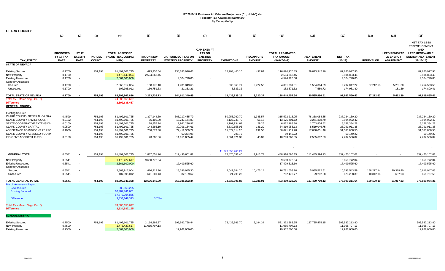| <b>CLARK COUNTY</b>                                                                                                                                                                                                                              |                                                                        |                               |                                                                           |                                                                                                                            |                                                                                 |                                                                                                                 |                                                       |                                                                                                          |                                                         |                                                                                                                 |                                                                                                |                                                                                                               |                         |                                         |                                                                                                               |
|--------------------------------------------------------------------------------------------------------------------------------------------------------------------------------------------------------------------------------------------------|------------------------------------------------------------------------|-------------------------------|---------------------------------------------------------------------------|----------------------------------------------------------------------------------------------------------------------------|---------------------------------------------------------------------------------|-----------------------------------------------------------------------------------------------------------------|-------------------------------------------------------|----------------------------------------------------------------------------------------------------------|---------------------------------------------------------|-----------------------------------------------------------------------------------------------------------------|------------------------------------------------------------------------------------------------|---------------------------------------------------------------------------------------------------------------|-------------------------|-----------------------------------------|---------------------------------------------------------------------------------------------------------------|
|                                                                                                                                                                                                                                                  | (1)                                                                    | (2)                           | (3)                                                                       | (4)                                                                                                                        | (5)                                                                             | (6)                                                                                                             | (7)                                                   | (8)                                                                                                      | (9)                                                     | (10)                                                                                                            | (11)                                                                                           | (12)                                                                                                          | (13)                    | (14)                                    | (15)                                                                                                          |
|                                                                                                                                                                                                                                                  | <b>PROPOSED</b><br>FY 17 TAX                                           | <b>FY 17</b><br><b>EXEMPT</b> | <b>PARCEL</b>                                                             | <b>TOTAL ASSESSED</b><br>VALUE (EXCLUDING                                                                                  | <b>TAX ON NEW</b>                                                               | <b>CAP-SUBJECT TAX ON</b>                                                                                       | <b>CAP-EXEMPT</b><br><b>TAX ON</b><br><b>EXISTING</b> |                                                                                                          | <b>RECAPTURE</b>                                        | <b>TOTAL PREABATED</b><br><b>TAX AMOUNT</b>                                                                     | <b>ABATEMENT</b>                                                                               | NET_TAX                                                                                                       |                         | <b>LEED/RENEWAB</b><br><b>LE ENERGY</b> | <b>NET TAX LESS</b><br><b>REDEVELOPMENT</b><br><b>AND</b><br><b>LEED/RENEWABLE</b><br><b>ENERGY ABATEMENT</b> |
| <b>TAX ENTITY</b>                                                                                                                                                                                                                                | <b>RATE</b>                                                            | <b>RATE</b>                   | <b>COUNT</b>                                                              | NPM)                                                                                                                       | <b>PROPERTY</b>                                                                 | <b>EXISTING PROPERTY</b>                                                                                        | <b>PROPERTY</b>                                       | <b>EXEMPTIONS</b>                                                                                        | <b>AMOUNT</b>                                           | $(5+6+7-8+9)$                                                                                                   | <b>AMOUNT</b>                                                                                  | $(10-11)$                                                                                                     | <b>REDEVELOP</b>        | <b>ABATEMENT</b>                        | $(12-13-14)$                                                                                                  |
| <b>STATE OF NEVADA</b>                                                                                                                                                                                                                           |                                                                        |                               |                                                                           |                                                                                                                            |                                                                                 |                                                                                                                 |                                                       |                                                                                                          |                                                         |                                                                                                                 |                                                                                                |                                                                                                               |                         |                                         |                                                                                                               |
| <b>Existing Secured</b><br>New Property<br><b>Existing Unsecured</b><br><b>Centrally Assessed</b>                                                                                                                                                | 0.1700<br>0.1700<br>0.1700                                             | $\sim$<br>$\sim$              | 751,193                                                                   | 81,492,601,725<br>1,473,449,094<br>2,661,600,000                                                                           | 493,936.54<br>2,504,863.46                                                      | 135,283,926.63<br>4,524,720.00                                                                                  |                                                       | 18,903,440.16                                                                                            | 497.84                                                  | 116,874,920.85<br>2,504,863.46<br>4,524,720.00                                                                  | 29,013,942.90                                                                                  | 87,860,977.95<br>2,504,863.46<br>4,524,720.00                                                                 |                         |                                         | 87,860,977.95<br>2,504,863.46<br>4,524,720.00                                                                 |
| Secured<br>Unsecured                                                                                                                                                                                                                             | 0.1700<br>0.1700                                                       | $\sim$                        |                                                                           | 2,563,917,004<br>107,395,012                                                                                               | 108,175.10<br>166,751.63                                                        | 4,781,349.65<br>21,353.21                                                                                       |                                                       | 530,865.77<br>5,533.32                                                                                   | 2,722.53<br>$\sim$                                      | 4,361,381.51<br>182,571.52                                                                                      | 1,564,364.29<br>7,589.72                                                                       | 2,797,017.22<br>174,981.80                                                                                    | 37,212.63<br>$\sim$     | 5,281.00<br>181.39                      | 2,754,523.59<br>174,800.41                                                                                    |
| TOTAL STATE OF NEVADA                                                                                                                                                                                                                            | 0.1700                                                                 |                               | 751,193                                                                   | 88,298,962,836                                                                                                             | 3,273,726.73                                                                    | 144,611,349.49                                                                                                  |                                                       | 19,439,839.25                                                                                            | 3,220.37                                                | 128,448,457.34                                                                                                  | 30,585,896.91                                                                                  | 97,862,560.43                                                                                                 | 37,212.63               | 5,462.39                                | 97,819,885.41                                                                                                 |
| Total AV - March Seg - Col. Q<br><b>Difference</b><br><b>GENERAL COUNTY</b>                                                                                                                                                                      |                                                                        |                               |                                                                           | 74,586,653,697<br>2,592,638,457                                                                                            |                                                                                 |                                                                                                                 |                                                       |                                                                                                          |                                                         |                                                                                                                 |                                                                                                |                                                                                                               |                         |                                         |                                                                                                               |
| <b>Existing Secured</b><br>CLARK COUNTY GENERAL OPERA'<br>CLARK COUNTY FAMILY COURT<br>STATE COOPERATIVE EXTENSION<br><b>CLARK COUNTY CAPITAL</b><br>ASSISTANCE TO INDIGENT PERSO<br>CLARK COUNTY ASSESSOR COMM<br><b>INDIGENT ACCIDENT FUND</b> | 0.4599<br>0.0192<br>0.0100<br>0.0500<br>0.1000<br>$\sim 100$<br>0.0150 |                               | 751,193<br>751,193<br>751,193<br>751,193<br>751,193<br>751,193<br>751,193 | 81,492,601,725<br>81,492,601,725<br>81,492,601,725<br>81,492,601,725<br>81,492,601,725<br>81,492,601,725<br>81,492,601,725 | 1,327,144.39<br>55,405.90<br>28,857.24<br>144,286.19<br>288,572.38<br>43,285.86 | 365,217,485.79<br>15,247,174.83<br>7,941,236.97<br>39,706,184.61<br>79,412,369.22<br>60,354.98<br>11,911,855.42 |                                                       | 50,953,760.70<br>2,127,235.79<br>1,107,934.67<br>5,539,658.96<br>11,079,314.20<br>205.76<br>1,661,921.32 | 1,345.57<br>56.18<br>29.26<br>146.29<br>292.58<br>43.89 | 315,592,215.05<br>13,175,401.12<br>6,862,188.80<br>34,310,958.13<br>68,621,919.98<br>60,149.22<br>10,293,263.85 | 78,358,084.85<br>3,271,308.70<br>1,703,804.52<br>8,519,046.75<br>17,038,051.48<br>2,555,697.83 | 237,234,130.20<br>9,904,092.42<br>5,158,384.28<br>25,791,911.38<br>51,583,868.50<br>60,149.22<br>7,737,566.02 |                         |                                         | 237,234,130.20<br>9,904,092.42<br>5,158,384.28<br>25,791,911.38<br>51,583,868.50<br>60,149.22<br>7,737,566.02 |
|                                                                                                                                                                                                                                                  |                                                                        |                               |                                                                           |                                                                                                                            |                                                                                 |                                                                                                                 |                                                       | 11,079,350,466.29                                                                                        |                                                         |                                                                                                                 |                                                                                                |                                                                                                               |                         |                                         |                                                                                                               |
| <b>GENERAL TOTAL</b>                                                                                                                                                                                                                             | 0.6541                                                                 |                               | 751,193                                                                   | 81,492,601,725                                                                                                             | 1,887,551.96                                                                    | 519,496,661.82                                                                                                  |                                                       | 72,470,031.40                                                                                            | 1,913.77                                                | 448,916,096.15                                                                                                  | 111,445,994.13                                                                                 | 337,470,102.02                                                                                                |                         |                                         | 337,470,102.02                                                                                                |
| New Property<br><b>Existing Unsecured</b><br><b>Centrally Assessed</b>                                                                                                                                                                           | 0.6541<br>0.6541                                                       | $\sim$                        |                                                                           | 1,475,427,617<br>2,661,600,000                                                                                             | 9,650,772.04                                                                    | 17,409,525.60                                                                                                   |                                                       |                                                                                                          |                                                         | 9,650,772.04<br>17,409,525.60                                                                                   |                                                                                                | 9,650,772.04<br>17,409,525.60                                                                                 |                         |                                         | 9,650,772.04<br>17,409,525.60                                                                                 |
| Secured<br>Unsecured                                                                                                                                                                                                                             | 0.6541<br>0.6541                                                       | $\sim$                        |                                                                           | 2,563,917,004<br>107,395,012                                                                                               | 416,219.96<br>641,601.43                                                        | 18,396,945.30<br>82,159.62                                                                                      |                                                       | 2,042,584.20<br>21,290.28                                                                                | 10,475.14<br>$\overline{\phantom{a}}$                   | 16,781,056.20<br>702,470.77                                                                                     | 5,985,512.61<br>29,202.38                                                                      | 10,795,543.59<br>673,268.39                                                                                   | 158,277.14<br>10,842.96 | 20,319.40<br>697.93                     | 10,616,947.05<br>661,727.50                                                                                   |
| TOTAL GENERAL TOTAL                                                                                                                                                                                                                              | 0.6541                                                                 |                               | 751,193                                                                   | 88,300,941,358                                                                                                             | 12,596,145.39                                                                   | 555,385,292.34                                                                                                  |                                                       | 74,533,905.88                                                                                            | 12,388.91                                               | 493,459,920.76                                                                                                  | 117,460,709.12                                                                                 | 375,999,211.64                                                                                                | 169,120.10              | 21,017.33                               | 375,809,074.21                                                                                                |
| <b>March Assessors Report:</b><br>New secured<br><b>Existing Secured</b><br><b>Difference</b>                                                                                                                                                    |                                                                        |                               |                                                                           | 386,963,205<br>67,489,741,681<br>67,876,704,886<br>2,536,546,373<br>74,586,653,697                                         | 3.74%                                                                           |                                                                                                                 |                                                       |                                                                                                          |                                                         |                                                                                                                 |                                                                                                |                                                                                                               |                         |                                         |                                                                                                               |
| Total AV - March Seg - Col. Q<br><b>Difference</b><br><b>SCHOOL DISTRICT</b>                                                                                                                                                                     |                                                                        |                               |                                                                           | 2,634,937,195                                                                                                              |                                                                                 |                                                                                                                 |                                                       |                                                                                                          |                                                         |                                                                                                                 |                                                                                                |                                                                                                               |                         |                                         |                                                                                                               |
| <b>Existing Secured</b><br>New Property<br><b>Existing Unsecured</b>                                                                                                                                                                             | 0.7500<br>0.7500<br>0.7500                                             |                               | 751,193                                                                   | 81,492,601,725<br>1,475,427,617<br>2,661,600,000                                                                           | 2,164,292.87<br>11,065,707.13                                                   | 595,592,768.44<br>19,962,000.00                                                                                 |                                                       | 76,436,566.70                                                                                            | 2,194.34                                                | 521,322,688.95<br>11,065,707.13<br>19,962,000.00                                                                | 127,785,475.15                                                                                 | 393,537,213.80<br>11,065,707.13<br>19,962,000.00                                                              |                         |                                         | 393,537,213.80<br>11,065,707.13<br>19,962,000.00                                                              |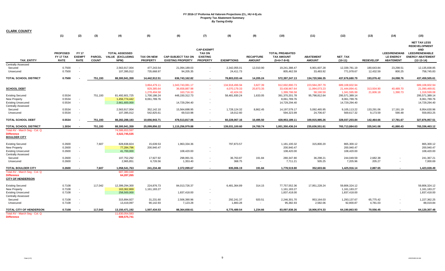| <b>CLARK COUNTY</b>                                                                               |                                             |                                              |                               |                                                   |                                                            |                                                                      |                                                                          |                                                              |                                       |                                                                   |                                                               |                                                                   |                                   |                                                             |                                                                                                                               |
|---------------------------------------------------------------------------------------------------|---------------------------------------------|----------------------------------------------|-------------------------------|---------------------------------------------------|------------------------------------------------------------|----------------------------------------------------------------------|--------------------------------------------------------------------------|--------------------------------------------------------------|---------------------------------------|-------------------------------------------------------------------|---------------------------------------------------------------|-------------------------------------------------------------------|-----------------------------------|-------------------------------------------------------------|-------------------------------------------------------------------------------------------------------------------------------|
|                                                                                                   | (1)                                         | (2)                                          | (3)                           | (4)                                               | (5)                                                        | (6)                                                                  | (7)                                                                      | (8)                                                          | (9)                                   | (10)                                                              | (11)                                                          | (12)                                                              | (13)                              | (14)                                                        | (15)                                                                                                                          |
| <b>TAX ENTITY</b>                                                                                 | <b>PROPOSED</b><br>FY 17 TAX<br><b>RATE</b> | <b>FY 17</b><br><b>EXEMPT</b><br><b>RATE</b> | <b>PARCEL</b><br><b>COUNT</b> | <b>TOTAL ASSESSED</b><br>VALUE (EXCLUDING<br>NPM) | <b>TAX ON NEW</b><br><b>PROPERTY</b>                       | <b>CAP-SUBJECT TAX ON</b><br><b>EXISTING PROPERTY</b>                | <b>CAP-EXEMPT</b><br><b>TAX ON</b><br><b>EXISTING</b><br><b>PROPERTY</b> | <b>EXEMPTIONS</b>                                            | <b>RECAPTURE</b><br><b>AMOUNT</b>     | <b>TOTAL PREABATED</b><br><b>TAX AMOUNT</b><br>$(5+6+7-8+9)$      | <b>ABATEMENT</b><br><b>AMOUNT</b>                             | NET_TAX<br>$(10-11)$                                              | <b>REDEVELOP</b>                  | <b>LEED/RENEWAB</b><br><b>LE ENERGY</b><br><b>ABATEMENT</b> | <b>NET TAX LESS</b><br><b>REDEVELOPMENT</b><br><b>AND</b><br><b>LEED/RENEWABLE</b><br><b>ENERGY ABATEMENT</b><br>$(12-13-14)$ |
| <b>Centrally Assessed</b><br>Secured                                                              | 0.7500                                      | $\overline{\phantom{a}}$                     |                               | 2,563,917,004                                     | 477,243.54                                                 | 21,094,189.03<br>94,205.35                                           | $\overline{\phantom{a}}$                                                 | 2,342,055.01                                                 | 12,010.90                             | 19,241,388.47                                                     | 6,901,607.28                                                  | 12,339,781.19                                                     | 180,643.84                        | 23,298.51                                                   | 12,135,838.85                                                                                                                 |
| Unsecured<br><b>TOTAL SCHOOL DISTRICT</b>                                                         | 0.7500<br>0.7500                            |                                              | 751,193                       | 107,395,012<br>88,300,941,359                     | 735,668.97<br>14,442,912.51                                | 636,743,162.82                                                       | $\sim$                                                                   | 24,411.73<br>78,803,033.44                                   | $\overline{\phantom{a}}$<br>14,205.24 | 805,462.59<br>572,397,247.13                                      | 33,483.92<br>134,720,566.35                                   | 771,978.67<br>437,676,680.79                                      | 12,432.59<br>193,076.42           | 800.25<br>24,098.76                                         | 758,745.83<br>437,459,505.61                                                                                                  |
|                                                                                                   |                                             |                                              |                               |                                                   |                                                            |                                                                      |                                                                          |                                                              |                                       |                                                                   |                                                               |                                                                   |                                   |                                                             |                                                                                                                               |
| <b>SCHOOL DEBT</b><br><b>Existing Secured</b>                                                     | 0.5534                                      |                                              | 751,193                       | 81,492,601,725                                    | 3,864,479.11<br>829,385.64<br>1,278,494.58<br>1,700,186.24 | 1,043,743,081.17<br>36,658,887.98<br>163,716.33<br>448, 150, 312. 73 | $\sim$<br>$\sim$                                                         | 134,918,496.94<br>4,070,179.33<br>42,424.33<br>58,481,930.24 | 3,827.39<br>20,873.35<br>1,633.05     | 912,692,890.73<br>33,438,967.64<br>1,399,786.58<br>391,370,201.78 | 223,584,287.79<br>11,994,073.23<br>58,190.59<br>95,798,812.64 | 689,108,602.94<br>21,444,894.41<br>1,341,595.99<br>295,571,389.14 | $\sim$<br>313,934.90<br>21,606.18 | $\sim$ $-$<br>40,489.70<br>1,390.73                         | 689,108,602.94<br>21,090,469.81<br>1,318,599.08<br>295,571,389.14                                                             |
| New Property<br><b>Existing Unsecured</b>                                                         | 0.5534<br>0.5534                            | $\sim$<br>$\sim$                             |                               | 1,456,774,442<br>2,661,600,000                    | 8,061,789.76                                               | 14,729,294.40                                                        | $\overline{\phantom{a}}$                                                 |                                                              |                                       | 8,061,789.76<br>14,729,294.40                                     |                                                               | 8,061,789.76<br>14,729,294.40                                     |                                   |                                                             | 8,061,789.76<br>14,729,294.40                                                                                                 |
| <b>Centrally Assessed</b><br>Secured<br>Unsecured                                                 | 0.5534<br>0.5534                            | $\sim$                                       |                               | 2,563,917,004<br>107,395,012                      | 352,142.10<br>542,825.61                                   | 15,564,698.95<br>69,510.98                                           |                                                                          | 1,728,124.32<br>18,012.60                                    | 8,862.45<br>$\overline{\phantom{a}}$  | 14, 197, 579. 17<br>594,323.99                                    | 5,092,465.95<br>24,706.67                                     | 9,105,113.22<br>569,617.32                                        | 133,291.06<br>9,173.59            | 17,191.19<br>590.48                                         | 8,954,630.96<br>559,853.25                                                                                                    |
| <b>TOTAL SCHOOL DEBT</b>                                                                          | 0.5534                                      |                                              | 751,193                       | 88,282,288,183                                    | 10,656,943.71                                              | 478,513,817.06                                                       | $\sim$                                                                   | 60,228,067.16                                                | 10,495.50                             | 428,953,189.11                                                    | 100,915,985.26                                                | 328,037,203.84                                                    | 142,464.66                        | 17,781.67                                                   | 327,876,957.51                                                                                                                |
| TOTAL SCHOOL DISTRICT                                                                             | 1.3034                                      |                                              | 751,193                       | 88,300,941,359                                    | 25,099,856.22                                              | 1,115,256,979.88                                                     | $\sim$                                                                   | 139,031,100.60                                               | 24,700.74                             | 1,001,350,436.24                                                  | 235,636,551.61                                                | 765,713,884.63                                                    | 335,541.08                        | 41,880.43                                                   | 765,336,463.12                                                                                                                |
| Total AV - March Seg - Col. Q<br><b>Difference</b><br><b>BOULDER CITY</b>                         |                                             |                                              |                               | 74,586,653,597<br>3,522,745,535                   |                                                            |                                                                      |                                                                          |                                                              |                                       |                                                                   |                                                               |                                                                   |                                   |                                                             |                                                                                                                               |
| <b>Existing Secured</b><br>New Property<br><b>Existing Unsecured</b><br><b>Centrally Assessed</b> | 0.2600<br>0.2600<br>0.2600                  | $\sim$<br>$\sim$                             | 7,607                         | 828,838,824<br>77,284,796<br>41,700,000           | 15,639.53<br>200,940.47                                    | 1,963,334.36<br>108,420.00                                           |                                                                          | 797,873.57                                                   |                                       | 1,181,100.32<br>200,940.47<br>108,420.00                          | 315,800.20                                                    | 865,300.12<br>200,940.47<br>108,420.00                            |                                   |                                                             | 865,300.12<br>200,940.47<br>108,420.00                                                                                        |
| Secured<br>Unsecured                                                                              | 0.2600<br>0.2600                            | $\sim$<br>$\sim$                             |                               | 107,752,292<br>2,965,851                          | 17,927.92<br>6,726.56                                      | 298,991.91<br>1,353.40                                               |                                                                          | 36,763.87<br>368.75                                          | 191.84<br>$\overline{\phantom{a}}$    | 280,347.80<br>7,711.21                                            | 36,298.21<br>505.25                                           | 244,049.59<br>7,205.96                                            | 2,682.38<br>205.27                | $\sim$                                                      | 241,367.21<br>7,000.69                                                                                                        |
| TOTAL BOULDER CITY                                                                                | 0.2600                                      |                                              | 7,607                         | 1,058,541,763                                     | 241,234.48                                                 | 2,372,099.67                                                         |                                                                          | 835,006.19                                                   | 191.84                                | 1,778,519.80                                                      | 352,603.66                                                    | 1,425,916.14                                                      | 2,887.65                          |                                                             | 1,423,028.49                                                                                                                  |
| Total AV - March Seg - Col. Q<br><b>Difference</b><br><b>CITY OF HENDERSON</b>                    |                                             |                                              |                               | 687,380,048<br>64,287,265                         |                                                            |                                                                      |                                                                          |                                                              |                                       |                                                                   |                                                               |                                                                   |                                   |                                                             |                                                                                                                               |
| <b>Existing Secured</b><br>New Property<br><b>Existing Unsecured</b><br><b>Centrally Assessed</b> | 0.7108<br>0.7108<br>0.7108                  | $\sim$<br>$\sim$                             | 117,042                       | 12,399,294,300<br>163,362,869<br>258,500,000      | 224,876.73<br>1,161,183.27                                 | 84,013,726.37<br>1,837,418.00                                        | $\blacksquare$                                                           | 6,481,364.89                                                 | 314.15                                | 77,757,552.36<br>1,161,183.27<br>1,837,418.00                     | 17,951,228.24                                                 | 59,806,324.12<br>1,161,183.27<br>1,837,418.00                     |                                   |                                                             | 59,806,324.12<br>1,161,183.27<br>1,837,418.00                                                                                 |
| Secured<br>Unsecured                                                                              | 0.7108<br>0.7108                            | $\overline{\phantom{a}}$<br>$\sim$           |                               | 315,894,927<br>13,419,097                         | 31,231.60<br>90,142.93                                     | 2,506,390.96<br>7,123.28                                             |                                                                          | 292,241.37<br>1,883.28                                       | 920.51<br>$\overline{\phantom{a}}$    | 2,246,301.70<br>95,382.93                                         | 953,164.03<br>2,582.06                                        | 1,293,137.67<br>92,800.87                                         | 65,775.42<br>4,781.03             | $\sim$                                                      | 1,227,362.25<br>88,019.84                                                                                                     |
| <b>TOTAL CITY OF HENDERSON</b>                                                                    | 0.7108                                      |                                              | 117,042                       | 13,150,471,192                                    | 1,507,434.53                                               | 88,364,658.61                                                        |                                                                          | 6,775,489.54                                                 | 1,234.66                              | 83,097,838.26                                                     | 18,906,974.33                                                 | 64,190,863.93                                                     | 70,556.45                         |                                                             | 64,120,307.48                                                                                                                 |
| Total AV - March Seg - Col. Q<br><b>Difference</b>                                                |                                             |                                              |                               | 11,630,054,583<br>608,575,741                     |                                                            |                                                                      |                                                                          |                                                              |                                       |                                                                   |                                                               |                                                                   |                                   |                                                             |                                                                                                                               |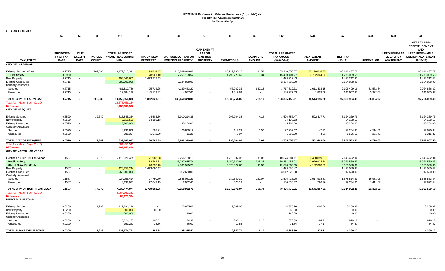| <b>CLARK COUNTY</b>                                     |                  |               |               |                            |                        |                           |                          |                      |                          |                            |                        |                           |                       |                          |                                                           |
|---------------------------------------------------------|------------------|---------------|---------------|----------------------------|------------------------|---------------------------|--------------------------|----------------------|--------------------------|----------------------------|------------------------|---------------------------|-----------------------|--------------------------|-----------------------------------------------------------|
|                                                         | (1)              | (2)           | (3)           | (4)                        | (5)                    | (6)                       | (7)                      | (8)                  | (9)                      | (10)                       | (11)                   | (12)                      | (13)                  | (14)                     | (15)                                                      |
|                                                         |                  |               |               |                            |                        |                           | <b>CAP-EXEMPT</b>        |                      |                          |                            |                        |                           |                       |                          | <b>NET TAX LESS</b><br><b>REDEVELOPMENT</b><br><b>AND</b> |
|                                                         | <b>PROPOSED</b>  | <b>FY 17</b>  |               | <b>TOTAL ASSESSED</b>      |                        |                           | <b>TAX ON</b>            |                      |                          | <b>TOTAL PREABATED</b>     |                        |                           |                       | <b>LEED/RENEWAB</b>      | <b>LEED/RENEWABLE</b>                                     |
|                                                         | FY 17 TAX        | <b>EXEMPT</b> | <b>PARCEL</b> | VALUE (EXCLUDING           | <b>TAX ON NEW</b>      | <b>CAP-SUBJECT TAX ON</b> | <b>EXISTING</b>          |                      | <b>RECAPTURE</b>         | <b>TAX AMOUNT</b>          | <b>ABATEMENT</b>       | <b>NET TAX</b>            |                       | <b>LE ENERGY</b>         | <b>ENERGY ABATEMENT</b>                                   |
| <b>TAX ENTITY</b>                                       | <b>RATE</b>      | <b>RATE</b>   | <b>COUNT</b>  | NPM)                       | <b>PROPERTY</b>        | <b>EXISTING PROPERTY</b>  | <b>PROPERTY</b>          | <b>EXEMPTIONS</b>    | <b>AMOUNT</b>            | $(5+6+7-8+9)$              | <b>AMOUNT</b>          | $(10-11)$                 | <b>REDEVELOP</b>      | <b>ABATEMENT</b>         | $(12-13-14)$                                              |
| <b>CITY OF LAS VEGAS</b>                                |                  |               |               |                            |                        |                           |                          |                      |                          |                            |                        |                           |                       |                          |                                                           |
| Existing Secured - City                                 | 0.7715           |               | 202,686       | 18,172,315,341             | 199,814.47             | 115,869,910.68            |                          | 10,729,730.16        | 61.58                    | 105,340,056.57             | 25,198,618.85          | 80,141,437.72             |                       |                          | 80,141,437.72                                             |
| <b>Fire Safety</b>                                      | 0.0950           |               |               |                            | 28,961.10              | 17,251,158.52             |                          | 1,799,726.69         | 11.34                    | 15,480,404.27              | 3,702,364.62           | 11,778,039.65             |                       |                          | 11,778,039.65                                             |
| New Property                                            | 0.7715           | $\sim$        |               | 193,546,653                | 1,493,212.43           |                           | $\overline{\phantom{a}}$ |                      |                          | 1,493,212.43               |                        | 1,493,212.43              |                       |                          | 1,493,212.43                                              |
| <b>Existing Unsecured</b>                               | 0.7715           |               |               | 283,200,000                |                        | 2,184,888.00              |                          |                      |                          | 2,184,888.00               |                        | 2,184,888.00              |                       |                          | 2,184,888.00                                              |
| <b>Centrally Assessed</b>                               |                  |               |               |                            |                        |                           |                          |                      |                          |                            |                        |                           |                       |                          |                                                           |
| Secured                                                 | 0.7715           |               |               | 481,810,766                | 25,714.25              | 4,149,443.20              |                          | 457,987.32           | 642.18                   | 3,717,812.31               | 1,611,403.15           | 2,106,409.16              | 81,572.84             |                          | 2,024,836.32                                              |
| Unsecured                                               | 0.7715           |               |               | 19,284,126                 | 145,119.32             | 4,977.60                  |                          | 1,319.89             | $\sim$                   | 148,777.03                 | 1,809.58               | 146,967.45                | 5,322.08              |                          | 141,645.37                                                |
| TOTAL CITY OF LAS VEGAS                                 | 0.7715           |               | 202,686       | 19,150,156,886             | 1,892,821.57           | 139,460,378.00            |                          | 12,988,764.06        | 715.10                   | 128,365,150.61             | 30,514,196.20          | 97,850,954.41             | 86,894.92             |                          | 97,764,059.49                                             |
| Total AV - March Seg - Col. Q                           |                  |               |               | 16,578,456,154             |                        |                           |                          |                      |                          |                            |                        |                           |                       |                          |                                                           |
| <b>Difference</b>                                       |                  |               |               | 1,180,938,560              |                        |                           |                          |                      |                          |                            |                        |                           |                       |                          |                                                           |
| <b>CITY OF MESQUITE</b>                                 |                  |               |               |                            |                        |                           |                          |                      |                          |                            |                        |                           |                       |                          |                                                           |
|                                                         |                  |               |               |                            |                        |                           |                          |                      |                          |                            |                        |                           |                       |                          |                                                           |
| <b>Existing Secured</b>                                 | 0.5520<br>0.5520 |               | 12,342        | 815,845,384<br>9,818,501   | 14,503.36<br>54,198.13 | 3,910,214.35              |                          | 297,964.38           | 4.14                     | 3,626,757.47<br>54,198.13  | 502,417.71             | 3,124,339.76<br>54,198.13 |                       |                          | 3,124,339.76<br>54,198.13                                 |
| New Property<br><b>Existing Unsecured</b>               | 0.5520           | $\sim$        |               | 8,200,000                  |                        | 45,264.00                 |                          |                      |                          | 45,264.00                  |                        | 45,264.00                 |                       |                          | 45,264.00                                                 |
| Centrally Assessed                                      |                  |               |               |                            |                        |                           |                          |                      |                          |                            |                        |                           |                       |                          |                                                           |
| Secured                                                 | 0.5520           |               |               | 4,936,808                  | 508.21                 | 26,860.19                 |                          | 117.23               | 1.50                     | 27,252.67                  | 47.72                  | 27,204.95                 | 4,514.61              |                          | 22,690.34                                                 |
| Unsecured                                               | 0.5520           | $\sim$        |               | 286,394                    | 1,572.69               | 11.28                     | $\sim$                   | 3.07                 | $\sim$                   | 1,580.90                   | 4.21                   | 1,576.69                  | 261.42                | $\overline{\phantom{a}}$ | 1,315.27                                                  |
|                                                         |                  |               |               |                            |                        |                           |                          |                      |                          |                            |                        |                           |                       |                          |                                                           |
| TOTAL CITY OF MESQUITE<br>Total AV - March Seq - Col. Q | 0.5520           |               | 12,342        | 839,087,087<br>681,450,543 | 70,782.39              | 3,982,349.82              |                          | 298,084.68           | 5.64                     | 3,755,053.17               | 502,469.64             | 3,252,583.53              | 4,776.03              |                          | 3,247,807.50                                              |
| <b>Difference</b>                                       |                  |               |               | 103,657,490                |                        |                           |                          |                      |                          |                            |                        |                           |                       |                          |                                                           |
| <b>CITY OF NORTH LAS VEGAS</b>                          |                  |               |               |                            |                        |                           |                          |                      |                          |                            |                        |                           |                       |                          |                                                           |
|                                                         |                  |               |               |                            |                        |                           |                          |                      |                          |                            |                        |                           |                       |                          |                                                           |
| Existing Secured - N. Las Vegas                         | 1.1587           |               | 77,876        | 6,416,926,435              | 21,968.98              | 12,266,168.13             |                          | 1,713,937.02         | 81.02                    | 10,574,281.11              | 3,430,859.07           | 7,143,422.04              |                       |                          | 7,143,422.04                                              |
| <b>Public Safety</b>                                    |                  |               |               |                            | 82,794.82              | 46,227,685.74             |                          | 6,459,330.90         | 305.35                   | 39,851,455.01              | 12,929,924.58          | 26,921,530.43             |                       |                          | 26,921,530.43                                             |
| <b>Street Maint/Fire/Park</b>                           |                  |               |               |                            | 26,653.13              | 14,881,515.29             |                          | 2,079,377.67         | 98.30                    | 12,828,889.05              | 4,162,368.69           | 8,666,520.36              |                       |                          | 8,666,520.36                                              |
| New Property                                            | 1.1587           | $\sim$        |               | 128,858,244                | 1,493,080.47           |                           | $\sim$                   |                      |                          | 1,493,080.47               |                        | 1,493,080.47              |                       |                          | 1,493,080.47                                              |
| <b>Existing Unsecured</b>                               | 1.1587           | $\sim$        |               | 260,000,000                |                        | 3,012,620.00              | $\sim$                   |                      |                          | 3,012,620.00               |                        | 3,012,620.00              |                       |                          | 3,012,620.00                                              |
| Centrally Assessed                                      |                  | $\sim$        |               |                            | 17,750.70              | 2,868,041.23              |                          |                      | 282.07                   |                            |                        | 1,578,514.89              |                       |                          | 1,558,563.84                                              |
| Secured<br>Unsecured                                    | 1.1587<br>1.1587 |               |               | 224,056,414<br>8,632,981   | 97,643.15              | 2,962.40                  |                          | 289,650.30<br>575.18 | $\sim$                   | 2,596,423.70<br>100,030.37 | 1,017,908.81<br>796.36 | 99,234.01                 | 19,951.05<br>1,411.57 |                          | 97,822.44                                                 |
|                                                         |                  |               |               |                            |                        |                           |                          |                      |                          |                            |                        |                           |                       |                          |                                                           |
| TOTAL CITY OF NORTH LAS VEGA                            | 1.1587           |               | 77,876        | 7,038,474,074              | 1,739,891.25           | 79,258,992.79             |                          | 10,542,871.07        | 766.74                   | 70,456,779.71              | 21,541,857.51          | 48,914,922.20             | 21,362.62             |                          | 48,893,559.58                                             |
| Total AV - March Seg - Col. Q                           |                  |               |               | 6,064,962,361              |                        |                           |                          |                      |                          |                            |                        |                           |                       |                          |                                                           |
| <b>Difference</b>                                       |                  |               |               | 88,671,324                 |                        |                           |                          |                      |                          |                            |                        |                           |                       |                          |                                                           |
| <b>BUNKERVILLE TOWN</b>                                 |                  |               |               |                            |                        |                           |                          |                      |                          |                            |                        |                           |                       |                          |                                                           |
|                                                         | 0.0200           |               | 1,233         | 119,291,294                |                        | 23,865.02                 |                          | 19,539.06            |                          | 4,325.96                   | 1,066.64               | 3,259.32                  |                       |                          | 3,259.32                                                  |
| <b>Existing Secured</b><br>New Property                 | 0.0200           | $\sim$        |               | 300,000                    | 60.00                  |                           |                          |                      |                          | 60.00                      |                        | 60.00                     |                       |                          | 60.00                                                     |
| <b>Existing Unsecured</b>                               | 0.0200           | $\sim$        |               | 700,000                    |                        | 140.00                    |                          |                      |                          | 140.00                     |                        | 140.00                    |                       |                          | 140.00                                                    |
| Centrally Assessed                                      |                  |               |               |                            |                        |                           |                          |                      |                          |                            |                        |                           |                       |                          |                                                           |
| Secured                                                 | 0.0200           |               |               | 5,324,177                  | 196.52                 | 1,174.38                  |                          | 306.11               | 6.10                     | 1,070.89                   | 194.71                 | 876.18                    |                       |                          | 876.18                                                    |
| Unsecured                                               | 0.0200           |               |               | 359,241                    | 38.36                  | 46.02                     |                          | 12.54                | $\overline{\phantom{a}}$ | 71.84                      | 17.17                  | 54.67                     |                       |                          | 54.67                                                     |
|                                                         |                  |               |               |                            |                        |                           |                          |                      |                          |                            |                        |                           |                       |                          |                                                           |
| TOTAL BUNKERVILLE TOWN                                  | 0.0200           |               | 1,233         | 125,974,713                | 294.88                 | 25.225.42                 |                          | 19,857.71            | 6.10                     | 5.668.69                   | 1,278.52               | 4,390.17                  |                       |                          | 4,390.17                                                  |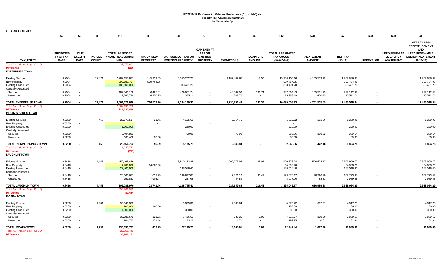| <b>CLARK COUNTY</b>                                                                                      |                                             |                                                      |                               |                                                          |                                      |                                                       |                                                                          |                                   |                                   |                                                              |                                   |                                           |                  |                                                             |                                                                                                                               |
|----------------------------------------------------------------------------------------------------------|---------------------------------------------|------------------------------------------------------|-------------------------------|----------------------------------------------------------|--------------------------------------|-------------------------------------------------------|--------------------------------------------------------------------------|-----------------------------------|-----------------------------------|--------------------------------------------------------------|-----------------------------------|-------------------------------------------|------------------|-------------------------------------------------------------|-------------------------------------------------------------------------------------------------------------------------------|
|                                                                                                          | (1)                                         | (2)                                                  | (3)                           | (4)                                                      | (5)                                  | (6)                                                   | (7)                                                                      | (8)                               | (9)                               | (10)                                                         | (11)                              | (12)                                      | (13)             | (14)                                                        | (15)                                                                                                                          |
| <b>TAX ENTITY</b>                                                                                        | <b>PROPOSED</b><br>FY 17 TAX<br><b>RATE</b> | <b>FY 17</b><br><b>EXEMPT</b><br><b>RATE</b>         | <b>PARCEL</b><br><b>COUNT</b> | <b>TOTAL ASSESSED</b><br><b>VALUE (EXCLUDING</b><br>NPM) | <b>TAX ON NEW</b><br><b>PROPERTY</b> | <b>CAP-SUBJECT TAX ON</b><br><b>EXISTING PROPERTY</b> | <b>CAP-EXEMPT</b><br><b>TAX ON</b><br><b>EXISTING</b><br><b>PROPERTY</b> | <b>EXEMPTIONS</b>                 | <b>RECAPTURE</b><br><b>AMOUNT</b> | <b>TOTAL PREABATED</b><br><b>TAX AMOUNT</b><br>$(5+6+7-8+9)$ | <b>ABATEMENT</b><br><b>AMOUNT</b> | <b>NET TAX</b><br>$(10-11)$               | <b>REDEVELOP</b> | <b>LEED/RENEWAB</b><br><b>LE ENERGY</b><br><b>ABATEMENT</b> | <b>NET TAX LESS</b><br><b>REDEVELOPMENT</b><br><b>AND</b><br><b>LEED/RENEWABLE</b><br><b>ENERGY ABATEMENT</b><br>$(12-13-14)$ |
| Total AV - March Seg - Col. Q<br><b>Difference</b><br><b>ENTERPRISE TOWN</b>                             |                                             |                                                      |                               | 28,279,693<br>(280)                                      |                                      |                                                       |                                                                          |                                   |                                   |                                                              |                                   |                                           |                  |                                                             |                                                                                                                               |
| <b>Existing Secured</b><br>New Property<br><b>Existing Unsecured</b><br><b>Centrally Assessed</b>        | 0.2064<br>0.2064<br>0.2064                  | $\overline{\phantom{a}}$<br>$\overline{\phantom{a}}$ | 77,471                        | 7,989,653,881<br>290,583,794<br>185,800,000              | 145,339.05<br>599,764.95             | 16,350,202.23<br>383,491.20                           |                                                                          | 1,187,409.68                      | 18.56                             | 15,308,150.16<br>599,764.95<br>383,491.20                    | 4,105,513.19                      | 11,202,636.97<br>599,764.95<br>383,491.20 |                  |                                                             | 11,202,636.97<br>599,764.95<br>383,491.20                                                                                     |
| Secured<br>Unsecured                                                                                     | 0.2064<br>0.2064                            | $\overline{\phantom{a}}$<br>$\overline{\phantom{a}}$ |                               | 187,741,168<br>7,743,794                                 | 6,485.01<br>14,950.75                | 429,051.74<br>1,375.14                                | $\overline{\phantom{a}}$<br>$\overline{\phantom{a}}$                     | 48,039.06<br>342.70               | 166.74<br>$\sim$                  | 387,664.43<br>15,983.19                                      | 155,551.95<br>470.45              | 232,112.48<br>15,512.74                   |                  | $\overline{\phantom{a}}$<br>$\sim$                          | 232,112.48<br>15,512.74                                                                                                       |
| TOTAL ENTERPRISE TOWN                                                                                    | 0.2064                                      |                                                      | 77,471                        | 8,661,522,636                                            | 766,539.76                           | 17,164,120.31                                         | $\sim$                                                                   | 1,235,791.44                      | 185.30                            | 16,695,053.93                                                | 4,261,535.59                      | 12,433,518.34                             | $\sim$           |                                                             | 12,433,518.34                                                                                                                 |
| Total AV - March Seq - Col. Q<br><b>Difference</b><br><b>INDIAN SPRINGS TOWN</b>                         |                                             |                                                      |                               | 7,864,691,750<br>221,535,498                             |                                      |                                                       |                                                                          |                                   |                                   |                                                              |                                   |                                           |                  |                                                             |                                                                                                                               |
| <b>Existing Secured</b>                                                                                  | 0.0200                                      |                                                      | 458                           | 20,877,517                                               | 21.41                                | 4,155.66                                              |                                                                          | 2,864.75                          |                                   | 1,312.32                                                     | 111.36                            | 1,200.96                                  |                  |                                                             | 1,200.96                                                                                                                      |
| New Property<br><b>Existing Unsecured</b><br><b>Centrally Assessed</b>                                   | 0.0200<br>0.0200                            | $\overline{\phantom{a}}$<br>$\overline{\phantom{a}}$ |                               | 1,100,000                                                | $\overline{\phantom{a}}$             | 220.00                                                | $\overline{\phantom{a}}$                                                 |                                   |                                   | 220.00                                                       |                                   | 220.00                                    |                  |                                                             | 220.00                                                                                                                        |
| Secured<br>Unsecured                                                                                     | 0.0200<br>0.0200                            | $\overline{\phantom{a}}$                             |                               | 3,404,823<br>168,422                                     | $\sim$<br>33.68                      | 760.05<br>$\overline{\phantom{a}}$                    | $\overline{\phantom{a}}$                                                 | 79.09<br>$\overline{\phantom{a}}$ |                                   | 680.96<br>33.68                                              | 310.82<br>$\sim$                  | 370.14<br>33.68                           |                  |                                                             | 370.14<br>33.68                                                                                                               |
| TOTAL INDIAN SPRINGS TOWN                                                                                | 0.0200                                      |                                                      | 458                           | 25,550,762                                               | 55.09                                | 5,135.71                                              |                                                                          | 2.943.84                          |                                   | 2,246.96                                                     | 422.18                            | 1,824.78                                  |                  |                                                             | 1,824.78                                                                                                                      |
| Total AV - March Seg - Col. Q<br><b>Difference</b><br><b>LAUGHLIN TOWN</b>                               |                                             |                                                      |                               | 11,227,723<br>(711)                                      |                                      |                                                       |                                                                          |                                   |                                   |                                                              |                                   |                                           |                  |                                                             |                                                                                                                               |
| <b>Existing Secured</b><br><b>New Property</b><br><b>Existing Unsecured</b><br><b>Centrally Assessed</b> | 0.8416<br>0.8416<br>0.8416                  | $\overline{\phantom{a}}$<br>$\overline{\phantom{a}}$ | 4,455                         | 452,165,459<br>7,700,000<br>22,400,000                   | 64,803.20                            | 3,810,162.88<br>188,518.40                            | $\overline{\phantom{a}}$                                                 | 909,773.96                        | 185.02                            | 2,900,573.94<br>64,803.20<br>188,518.40                      | 596,574.17                        | 2,303,999.77<br>64,803.20<br>188,518.40   |                  |                                                             | 2,303,999.77<br>64,803.20<br>188,518.40                                                                                       |
| Secured<br>Unsecured                                                                                     | 0.8416<br>0.8416                            | $\overline{\phantom{a}}$<br>$\overline{\phantom{a}}$ |                               | 20,560,687<br>959,833                                    | 1,032.79<br>7,905.47                 | 189,827.05<br>237.08                                  | $\overline{\phantom{a}}$                                                 | 17,821.10<br>64.59                | 31.43<br>$\sim$                   | 173,070.17<br>8,077.96                                       | 70,296.70<br>88.51                | 102,773.47<br>7,989.45                    |                  | $\overline{\phantom{a}}$<br>$\overline{a}$                  | 102,773.47<br>7,989.45                                                                                                        |
| <b>TOTAL LAUGHLIN TOWN</b>                                                                               | 0.8416                                      |                                                      | 4,455                         | 503,785,979                                              | 73,741.46                            | 4,188,745.41                                          | $\sim$                                                                   | 927,659.65                        | 216.45                            | 3,335,043.67                                                 | 666,959.38                        | 2,668,084.29                              | $\sim$           | $\overline{a}$                                              | 2,668,084.29                                                                                                                  |
| Total AV - March Seg - Col. Q<br><b>Difference</b><br><b>MOAPA TOWN</b>                                  |                                             |                                                      |                               | 395,766,915<br>(81, 454)                                 |                                      |                                                       |                                                                          |                                   |                                   |                                                              |                                   |                                           |                  |                                                             |                                                                                                                               |
| <b>Existing Secured</b><br>New Property<br><b>Existing Unsecured</b><br><b>Centrally Assessed</b>        | 0.0200<br>0.0200<br>0.0200                  | $\overline{\phantom{a}}$<br>$\overline{\phantom{a}}$ | 1,231                         | 96,540,303<br>900,000<br>1,900,000                       | 180.00                               | 19,309.36<br>380.00                                   | $\sim$                                                                   | 14,333.64                         |                                   | 4,975.72<br>180.00<br>380.00                                 | 657.97                            | 4,317.75<br>180.00<br>380.00              |                  |                                                             | 4,317.75<br>180.00<br>380.00                                                                                                  |
| Secured<br>Unsecured                                                                                     | 0.0200<br>0.0200                            | $\overline{\phantom{a}}$<br>$\overline{\phantom{a}}$ |                               | 36,088,672<br>964,787                                    | 121.31<br>171.44                     | 7,426.63<br>23.22                                     | $\overline{\phantom{a}}$<br>$\overline{\phantom{a}}$                     | 330.26<br>1.71                    | 1.09<br>$\sim$                    | 7,218.77<br>192.95                                           | 339.20<br>10.61                   | 6,879.57<br>182.34                        |                  | $\overline{\phantom{a}}$                                    | 6,879.57<br>182.34                                                                                                            |
| <b>TOTAL MOAPA TOWN</b><br>Total AV - March Seg - Col. Q<br><b>Difference</b>                            | 0.0200                                      |                                                      | 1,231                         | 136,393,762<br>27,758,441<br>36.967.121                  | 472.75                               | 27,139.21                                             |                                                                          | 14,665.61                         | 1.09                              | 12,947.44                                                    | 1,007.78                          | 11,939.66                                 |                  |                                                             | 11,939.66                                                                                                                     |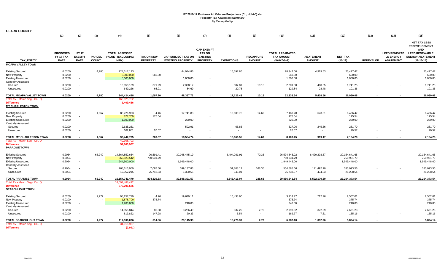| <b>CLARK COUNTY</b>                                                                               |                                             |                                                      |                               |                                                   |                                      |                                                       |                                                                          |                     |                                            |                                                              |                                   |                                             |                  |                                                             |                                                                                                                               |
|---------------------------------------------------------------------------------------------------|---------------------------------------------|------------------------------------------------------|-------------------------------|---------------------------------------------------|--------------------------------------|-------------------------------------------------------|--------------------------------------------------------------------------|---------------------|--------------------------------------------|--------------------------------------------------------------|-----------------------------------|---------------------------------------------|------------------|-------------------------------------------------------------|-------------------------------------------------------------------------------------------------------------------------------|
|                                                                                                   | (1)                                         | (2)                                                  | (3)                           | (4)                                               | (5)                                  | (6)                                                   | (7)                                                                      | (8)                 | (9)                                        | (10)                                                         | (11)                              | (12)                                        | (13)             | (14)                                                        | (15)                                                                                                                          |
| <b>TAX ENTITY</b>                                                                                 | <b>PROPOSED</b><br>FY 17 TAX<br><b>RATE</b> | <b>FY 17</b><br><b>EXEMPT</b><br><b>RATE</b>         | <b>PARCEL</b><br><b>COUNT</b> | <b>TOTAL ASSESSED</b><br>VALUE (EXCLUDING<br>NPM) | <b>TAX ON NEW</b><br><b>PROPERTY</b> | <b>CAP-SUBJECT TAX ON</b><br><b>EXISTING PROPERTY</b> | <b>CAP-EXEMPT</b><br><b>TAX ON</b><br><b>EXISTING</b><br><b>PROPERTY</b> | <b>EXEMPTIONS</b>   | <b>RECAPTURE</b><br><b>AMOUNT</b>          | <b>TOTAL PREABATED</b><br><b>TAX AMOUNT</b><br>$(5+6+7-8+9)$ | <b>ABATEMENT</b><br><b>AMOUNT</b> | <b>NET TAX</b><br>$(10-11)$                 | <b>REDEVELOP</b> | <b>LEED/RENEWAB</b><br><b>LE ENERGY</b><br><b>ABATEMENT</b> | <b>NET TAX LESS</b><br><b>REDEVELOPMENT</b><br><b>AND</b><br><b>LEED/RENEWABLE</b><br><b>ENERGY ABATEMENT</b><br>$(12-13-14)$ |
| <b>MOAPA VALLEY TOWN</b>                                                                          |                                             |                                                      |                               |                                                   |                                      |                                                       |                                                                          |                     |                                            |                                                              |                                   |                                             |                  |                                                             |                                                                                                                               |
| <b>Existing Secured</b><br>New Property<br><b>Existing Unsecured</b><br><b>Centrally Assessed</b> | 0.0200<br>0.0200<br>0.0200                  | $\sim$<br>$\overline{\phantom{a}}$                   | 4,780                         | 224,517,123<br>3,300,000<br>5,000,000             | 660.00                               | 44,944.86<br>1,000.00                                 | $\overline{\phantom{a}}$                                                 | 16,597.86           |                                            | 28,347.00<br>660.00<br>1,000.00                              | 4,919.53                          | 23,427.47<br>660.00<br>1,000.00             |                  |                                                             | 23,427.47<br>660.00<br>1,000.00                                                                                               |
| Secured<br>Unsecured                                                                              | 0.0200<br>0.0200                            | $\sim$<br>$\sim$                                     |                               | 10,958,139<br>649,226                             | 371.29<br>65.91                      | 2,328.17<br>84.69                                     | $\overline{\phantom{a}}$<br>$\overline{\phantom{a}}$                     | 507.81<br>20.76     | 10.15<br>$\sim$                            | 2,201.80<br>129.84                                           | 460.55<br>28.48                   | 1,741.25<br>101.36                          |                  | $\overline{a}$                                              | 1,741.25<br>101.36                                                                                                            |
| TOTAL MOAPA VALLEY TOWN                                                                           | 0.0200                                      | $\sim$                                               | 4,780                         | 244,424,488                                       | 1,097.20                             | 48,357.72                                             | $\blacksquare$                                                           | 17,126.43           | 10.15                                      | 32,338.64                                                    | 5,408.56                          | 26,930.08                                   |                  |                                                             | 26,930.08                                                                                                                     |
| Total AV - March Seg - Col. Q<br><b>Difference</b><br><b>MT CHARLESTON TOWN</b>                   |                                             |                                                      |                               | 160,025,752<br>1,409,436                          |                                      |                                                       |                                                                          |                     |                                            |                                                              |                                   |                                             |                  |                                                             |                                                                                                                               |
| <b>Existing Secured</b><br>New Property<br><b>Existing Unsecured</b><br><b>Centrally Assessed</b> | 0.0200<br>0.0200<br>0.0200                  | $\sim$<br>$\sim$                                     | 1,067                         | 88,726,903<br>877,700<br>1,100,000                | 4.46<br>175.54                       | 17,741.83<br>220.00                                   | $\overline{\phantom{a}}$<br>$\overline{\phantom{a}}$                     | 10,600.70           | 14.69                                      | 7,160.28<br>175.54<br>220.00                                 | 673.81                            | 6,486.47<br>175.54<br>220.00                |                  |                                                             | 6,486.47<br>175.54<br>220.00                                                                                                  |
| Secured<br>Unsecured                                                                              | 0.0200<br>0.0200                            | $\overline{\phantom{a}}$<br>$\overline{\phantom{a}}$ |                               | 2,635,251<br>102,851                              | $\sim$<br>20.57                      | 592.91                                                | $\overline{\phantom{a}}$                                                 | 65.85<br>$\sim$     | $\overline{a}$<br>$\overline{\phantom{a}}$ | 527.06<br>20.57                                              | 245.36<br>$\sim$                  | 281.70<br>20.57                             |                  | $\overline{a}$<br>$\overline{\phantom{a}}$                  | 281.70<br>20.57                                                                                                               |
| TOTAL MT CHARLESTON TOWN                                                                          | 0.0200                                      |                                                      | 1,067                         | 93,442,705                                        | 200.57                               | 18.554.74                                             | $\sim$                                                                   | 10.666.55           | 14.69                                      | 8,103.45                                                     | 919.17                            | 7,184.28                                    | $\sim$           |                                                             | 7,184.28                                                                                                                      |
| Total AV - March Seg - Col. Q<br><b>Difference</b><br><b>PARADISE TOWN</b>                        |                                             |                                                      |                               | 40,308,703<br>52,603,967                          |                                      |                                                       |                                                                          |                     |                                            |                                                              |                                   |                                             |                  |                                                             |                                                                                                                               |
| <b>Existing Secured</b><br>New Property<br><b>Existing Unsecured</b><br><b>Centrally Assessed</b> | 0.2064<br>0.2064<br>0.2064                  | $\sim$<br>$\overline{a}$                             | 63,740                        | 14,564,852,664<br>363,823,542<br>944,500,000      | 20,591.41<br>750,931.79              | 30,048,445.19<br>1,949,448.00                         | $\overline{\phantom{a}}$                                                 | 3,494,261.91        | 70.33                                      | 26,574,845.02<br>750,931.79<br>1,949,448.00                  | 6,420,203.37                      | 20,154,641.65<br>750,931.79<br>1,949,448.00 |                  |                                                             | 20,154,641.65<br>750,931.79<br>1,949,448.00                                                                                   |
| Secured<br>Unsecured                                                                              | 0.2064<br>0.2064                            | $\overline{\phantom{a}}$<br>$\overline{\phantom{a}}$ |                               | 268,613,050<br>12,952,215                         | 7,087.60<br>25,718.83                | 599,137.83<br>1,360.55                                | $\overline{\phantom{a}}$<br>$\overline{\phantom{a}}$                     | 51,808.12<br>346.01 | 168.35<br>$\sim$                           | 554,585.66<br>26,733.37                                      | 171,492.10<br>474.83              | 383,093.56<br>26,258.54                     |                  | $\overline{\phantom{a}}$<br>$\overline{\phantom{a}}$        | 383,093.56<br>26,258.54                                                                                                       |
| <b>TOTAL PARADISE TOWN</b>                                                                        | 0.2064                                      |                                                      | 63,740                        | 16, 154, 741, 470                                 | 804,329.63                           | 32,598,391.57                                         | $\sim$                                                                   | 3,546,416.04        | 238.68                                     | 29,856,543.84                                                | 6,592,170.30                      | 23,264,373.54                               |                  | $\overline{\phantom{a}}$                                    | 23,264,373.54                                                                                                                 |
| Total AV - March Seg - Col. Q<br><b>Difference</b><br><b>SEARCHLIGHT TOWN</b>                     |                                             |                                                      |                               | 14,091,488,492<br>370,296,626                     |                                      |                                                       |                                                                          |                     |                                            |                                                              |                                   |                                             |                  |                                                             |                                                                                                                               |
| <b>Existing Secured</b><br>New Property<br><b>Existing Unsecured</b><br><b>Centrally Assessed</b> | 0.0200<br>0.0200<br>0.0200                  | $\overline{\phantom{a}}$                             | 1,277                         | 98,257,710<br>1,878,700<br>1,200,000              | 4.26<br>375.74                       | 19,649.11<br>240.00                                   | $\overline{\phantom{a}}$<br>$\overline{a}$                               | 16,438.60           |                                            | 3,214.77<br>375.74<br>240.00                                 | 712.76                            | 2,502.01<br>375.74<br>240.00                |                  |                                                             | 2,502.01<br>375.74<br>240.00                                                                                                  |
| Secured<br>Unsecured                                                                              | 0.0200<br>0.0200                            | $\overline{\phantom{a}}$<br>$\overline{\phantom{a}}$ |                               | 14,955,844<br>813,822                             | 86.88<br>147.98                      | 3,236.49<br>20.33                                     | $\overline{\phantom{a}}$<br>$\overline{\phantom{a}}$                     | 332.25<br>5.54      | 2.70<br>$\overline{\phantom{a}}$           | 2,993.82<br>162.77                                           | 372.59<br>7.61                    | 2,621.23<br>155.16                          |                  |                                                             | 2,621.23<br>155.16                                                                                                            |
| TOTAL SEARCHLIGHT TOWN                                                                            | 0.0200                                      |                                                      | 1,277                         | 117,106,076                                       | 614.86                               | 23,145.93                                             | $\sim$                                                                   | 16,776.39           | 2.70                                       | 6,987.10                                                     | 1.092.96                          | 5,894.14                                    |                  |                                                             | 5,894.14                                                                                                                      |
| Total AV - March Seg - Col. Q<br><b>Difference</b>                                                |                                             |                                                      |                               | 34,915,987<br>(2,911)                             |                                      |                                                       |                                                                          |                     |                                            |                                                              |                                   |                                             |                  |                                                             |                                                                                                                               |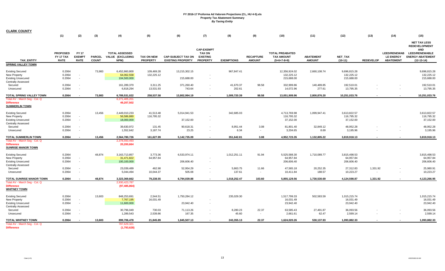| <b>CLARK COUNTY</b>                                                                               |                                             |                                              |                               |                                                   |                                      |                                                       |                                                      |                     |                                   |                                                              |                                   |                                          |                                      |                                                      |                                                                        |
|---------------------------------------------------------------------------------------------------|---------------------------------------------|----------------------------------------------|-------------------------------|---------------------------------------------------|--------------------------------------|-------------------------------------------------------|------------------------------------------------------|---------------------|-----------------------------------|--------------------------------------------------------------|-----------------------------------|------------------------------------------|--------------------------------------|------------------------------------------------------|------------------------------------------------------------------------|
|                                                                                                   | (1)                                         | (2)                                          | (3)                           | (4)                                               | (5)                                  | (6)                                                   | (7)                                                  | (8)                 | (9)                               | (10)                                                         | (11)                              | (12)                                     | (13)                                 | (14)                                                 | (15)                                                                   |
|                                                                                                   |                                             |                                              |                               |                                                   |                                      |                                                       | <b>CAP-EXEMPT</b>                                    |                     |                                   |                                                              |                                   |                                          |                                      |                                                      | <b>NET TAX LESS</b><br><b>REDEVELOPMENT</b><br><b>AND</b>              |
| <b>TAX ENTITY</b>                                                                                 | <b>PROPOSED</b><br>FY 17 TAX<br><b>RATE</b> | <b>FY 17</b><br><b>EXEMPT</b><br><b>RATE</b> | <b>PARCEL</b><br><b>COUNT</b> | <b>TOTAL ASSESSED</b><br>VALUE (EXCLUDING<br>NPM) | <b>TAX ON NEW</b><br><b>PROPERTY</b> | <b>CAP-SUBJECT TAX ON</b><br><b>EXISTING PROPERTY</b> | <b>TAX ON</b><br><b>EXISTING</b><br><b>PROPERTY</b>  | <b>EXEMPTIONS</b>   | <b>RECAPTURE</b><br><b>AMOUNT</b> | <b>TOTAL PREABATED</b><br><b>TAX AMOUNT</b><br>$(5+6+7-8+9)$ | <b>ABATEMENT</b><br><b>AMOUNT</b> | <b>NET TAX</b><br>$(10-11)$              | <b>REDEVELOP</b>                     | <b>LE ENERGY</b><br><b>ABATEMENT</b>                 | LEED/RENEWAB LEED/RENEWABLE<br><b>ENERGY ABATEMENT</b><br>$(12-13-14)$ |
| <b>SPRING VALLEY TOWN</b>                                                                         |                                             |                                              |                               |                                                   |                                      |                                                       |                                                      |                     |                                   |                                                              |                                   |                                          |                                      |                                                      |                                                                        |
| <b>Existing Secured</b><br>New Property<br><b>Existing Unsecured</b>                              | 0.2064<br>0.2064<br>0.2064                  | $\sim$<br>$\overline{\phantom{a}}$           | 73,983                        | 6,452,860,800<br>64,062,558<br>104,500,000        | 109,469.28<br>132,225.12             | 13,215,302.15<br>215,688.00                           | $\overline{\phantom{a}}$                             | 967,847.41          |                                   | 12,356,924.02<br>132,225.12<br>215,688.00                    | 2,660,108.74                      | 9,696,815.28<br>132,225.12<br>215,688.00 |                                      |                                                      | 9,696,815.28<br>132,225.12<br>215,688.00                               |
| <b>Centrally Assessed</b><br>Secured<br>Unsecured                                                 | 0.2064<br>0.2064                            | $\sim$                                       |                               | 161,289,370<br>6,818,294                          | 3,311.25<br>13,531.93                | 371,260.40<br>743.64                                  | $\overline{\phantom{a}}$<br>$\overline{\phantom{a}}$ | 41,670.37<br>202.61 | 98.58<br>$\sim$                   | 332,999.86<br>14,072.96                                      | 140,489.85<br>277.61              | 192,510.01<br>13,795.35                  |                                      | $\overline{\phantom{a}}$<br>$\overline{\phantom{a}}$ | 192,510.01<br>13,795.35                                                |
| TOTAL SPRING VALLEY TOWN                                                                          | 0.2064                                      |                                              | 73,983                        | 6,789,531,022                                     | 258,537.58                           | 13,802,994.19                                         | $\sim$                                               | 1,009,720.39        | 98.58                             | 13,051,909.96                                                | 2,800,876.20                      | 10,251,033.76                            | $\overline{\phantom{a}}$             | $\overline{\phantom{a}}$                             | 10,251,033.76                                                          |
| Total AV - March Seg - Col. Q<br><b>Difference</b><br><b>SUMMERLIN TOWN</b>                       |                                             |                                              |                               | 6,271,405,201<br>49,207,502                       |                                      |                                                       |                                                      |                     |                                   |                                                              |                                   |                                          |                                      |                                                      |                                                                        |
| <b>Existing Secured</b><br>New Property<br><b>Existing Unsecured</b><br><b>Centrally Assessed</b> | 0.2064<br>0.2064<br>0.2064                  | $\sim$<br>$\sim$                             | 13,456                        | 2,449,010,233<br>56,586,880<br>18,000,000         | 41,513.48<br>116,795.32              | 5,014,941.53<br>37,152.00                             | $\overline{\phantom{a}}$<br>$\sim$                   | 342,685.03          |                                   | 4,713,769.98<br>116,795.32<br>37,152.00                      | 1,099,947.41                      | 3,613,822.57<br>116,795.32<br>37,152.00  |                                      |                                                      | 3,613,822.57<br>116,795.32<br>37,152.00                                |
| Secured<br>Unsecured                                                                              | 0.2064<br>0.2064                            |                                              |                               | 39,630,972<br>1,552,642                           | 131.45<br>3,187.74                   | 90,618.31<br>23.25                                    | $\overline{\phantom{a}}$<br>$\overline{\phantom{a}}$ | 8,951.44<br>6.34    | 3.08<br>$\overline{a}$            | 81,801.40<br>3,204.65                                        | 32,849.12<br>8.69                 | 48,952.28<br>3,195.96                    |                                      | $\overline{\phantom{a}}$                             | 48,952.28<br>3,195.96                                                  |
| <b>TOTAL SUMMERLIN TOWN</b>                                                                       | 0.2064                                      |                                              | 13,456                        | 2,564,780,726                                     | 161,627.99                           | 5,142,735.09                                          | $\sim$                                               | 351,642.81          | 3.08                              | 4,952,723.35                                                 | 1,132,805.22                      | 3,819,918.13                             |                                      | $\overline{\phantom{a}}$                             | 3,819,918.13                                                           |
| Total AV - March Seq - Col. Q<br><b>Difference</b><br><b>SUNRISE MANOR TOWN</b>                   |                                             |                                              |                               | 2,378,550,493<br>20,200,664                       |                                      |                                                       |                                                      |                     |                                   |                                                              |                                   |                                          |                                      |                                                      |                                                                        |
| <b>Existing Secured</b><br>New Property<br><b>Existing Unsecured</b><br><b>Centrally Assessed</b> | 0.2064<br>0.2064<br>0.2064                  | $\sim$                                       | 48,874                        | 3,163,713,857<br>31,471,822<br>100,100,000        | 3,773.36<br>64,957.84                | 6,533,974.11<br>206,606.40                            | $\overline{\phantom{a}}$<br>$\overline{\phantom{a}}$ | 1,012,251.11        | 91.94                             | 5,525,588.30<br>64,957.84<br>206,606.40                      | 1,710,089.77                      | 3,815,498.53<br>64,957.84<br>206,606.40  |                                      |                                                      | 3,815,498.53<br>64,957.84<br>206,606.40                                |
| Secured<br>Unsecured                                                                              | 0.2064<br>0.2064                            | $\sim$                                       |                               | 23,039,489<br>5,044,494                           | 462.98<br>10,044.37                  | 52,954.29<br>505.08                                   | $\overline{\phantom{a}}$<br>$\overline{\phantom{a}}$ | 5,863.75<br>137.61  | 11.66<br>$\sim$                   | 47,565.18<br>10,411.84                                       | 20,252.35<br>188.57               | 27,312.83<br>10,223.27                   | 1,331.92<br>$\overline{\phantom{a}}$ | $\overline{\phantom{a}}$                             | 25,980.91<br>10,223.27                                                 |
| TOTAL SUNRISE MANOR TOWN                                                                          | 0.2064                                      |                                              | 48,874                        | 3,323,369,662                                     | 79,238.55                            | 6,794,039.88                                          |                                                      | 1,018,252.47        | 103.60                            | 5,855,129.56                                                 | 1,730,530.69                      | 4,124,598.87                             | 1,331.92                             |                                                      | 4,123,266.95                                                           |
| Total AV - March Seg - Col. Q<br><b>Difference</b><br><b>WHITNEY TOWN</b>                         |                                             |                                              |                               | 2,930,423,787<br>(97, 485, 864)                   |                                      |                                                       |                                                      |                     |                                   |                                                              |                                   |                                          |                                      |                                                      |                                                                        |
| <b>Existing Secured</b><br>New Property<br><b>Existing Unsecured</b><br><b>Centrally Assessed</b> | 0.2064<br>0.2064<br>0.2064                  | $\overline{\phantom{a}}$<br>$\sim$           | 13,603                        | 848,253,691<br>7,767,195<br>11,600,000            | 2,544.51<br>16,031.49                | 1,750,284.12<br>23,942.40                             | $\overline{\phantom{a}}$<br>$\overline{\phantom{a}}$ | 235,029.30          |                                   | 1,517,799.33<br>16,031.49<br>23,942.40                       | 502,583.59                        | 1,015,215.74<br>16,031.49<br>23,942.40   |                                      |                                                      | 1,015,215.74<br>16,031.49<br>23,942.40                                 |
| Secured<br>Unsecured                                                                              | 0.2064<br>0.2064                            |                                              |                               | 30,796,049<br>1,289,543                           | 730.03<br>2,539.86                   | 71,113.26<br>167.35                                   | $\overline{\phantom{a}}$<br>$\overline{\phantom{a}}$ | 8,280.23<br>45.60   | 22.37<br>$\sim$                   | 63,585.43<br>2,661.61                                        | 27,491.87<br>62.47                | 36,093.56<br>2,599.14                    |                                      | $\overline{\phantom{a}}$                             | 36,093.56<br>2,599.14                                                  |
| <b>TOTAL WHITNEY TOWN</b>                                                                         | 0.2064                                      |                                              | 13,603                        | 899,706,478                                       | 21,845.89                            | 1,845,507.13                                          |                                                      | 243,355.13          | 22.37                             | 1,624,020.26                                                 | 530,137.93                        | 1,093,882.33                             |                                      |                                                      | 1,093,882.33                                                           |
| Total AV - March Seg - Col. Q<br><b>Difference</b>                                                |                                             |                                              |                               | 787,629,321<br>(1,793,628)                        |                                      |                                                       |                                                      |                     |                                   |                                                              |                                   |                                          |                                      |                                                      |                                                                        |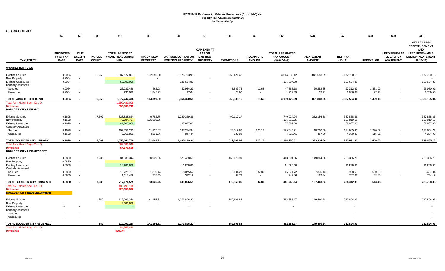| <b>CLARK COUNTY</b>                                                                                                     | (1)                                         | (2)                                          | (3)                           | (4)                                               | (5)                                   | (6)                                                   | (7)                                                                      | (8)                 | (9)                               | (10)                                                         | (11)                              | (12)                                  | (13)               | (14)                                                        | (15)                                                                                                                          |
|-------------------------------------------------------------------------------------------------------------------------|---------------------------------------------|----------------------------------------------|-------------------------------|---------------------------------------------------|---------------------------------------|-------------------------------------------------------|--------------------------------------------------------------------------|---------------------|-----------------------------------|--------------------------------------------------------------|-----------------------------------|---------------------------------------|--------------------|-------------------------------------------------------------|-------------------------------------------------------------------------------------------------------------------------------|
| <b>TAX ENTITY</b>                                                                                                       | <b>PROPOSED</b><br>FY 17 TAX<br><b>RATE</b> | <b>FY 17</b><br><b>EXEMPT</b><br><b>RATE</b> | <b>PARCEL</b><br><b>COUNT</b> | <b>TOTAL ASSESSED</b><br>VALUE (EXCLUDING<br>NPM) | <b>TAX ON NEW</b><br><b>PROPERTY</b>  | <b>CAP-SUBJECT TAX ON</b><br><b>EXISTING PROPERTY</b> | <b>CAP-EXEMPT</b><br><b>TAX ON</b><br><b>EXISTING</b><br><b>PROPERTY</b> | <b>EXEMPTIONS</b>   | <b>RECAPTURE</b><br><b>AMOUNT</b> | <b>TOTAL PREABATED</b><br><b>TAX AMOUNT</b><br>$(5+6+7-8+9)$ | <b>ABATEMENT</b><br><b>AMOUNT</b> | <b>NET TAX</b><br>$(10-11)$           | <b>REDEVELOP</b>   | <b>LEED/RENEWAB</b><br><b>LE ENERGY</b><br><b>ABATEMENT</b> | <b>NET TAX LESS</b><br><b>REDEVELOPMENT</b><br><b>AND</b><br><b>LEED/RENEWABLE</b><br><b>ENERGY ABATEMENT</b><br>$(12-13-14)$ |
| <b>WINCHESTER TOWN</b>                                                                                                  |                                             |                                              |                               |                                                   |                                       |                                                       |                                                                          |                     |                                   |                                                              |                                   |                                       |                    |                                                             |                                                                                                                               |
| <b>Existing Secured</b><br>New Property<br><b>Existing Unsecured</b>                                                    | 0.2064<br>0.2064<br>0.2064                  | $\sim$<br>$\sim$                             | 9,258                         | 1,587,572,897<br>65,700,000                       | 102,050.90                            | 3,175,703.95<br>135,604.80                            | $\overline{\phantom{a}}$                                                 | 263,421.43          |                                   | 3,014,333.42<br>135,604.80                                   | 841,583.29                        | 2,172,750.13<br>135,604.80            |                    |                                                             | 2,172,750.13<br>135,604.80                                                                                                    |
| <b>Centrally Assessed</b><br>Secured<br>Unsecured                                                                       | 0.2064<br>0.2064                            | $\sim$<br>$\sim$                             |                               | 23,039,489<br>930,030                             | 462.98<br>1,845.92                    | 52,954.29<br>97.64                                    | $\overline{\phantom{a}}$<br>$\overline{\phantom{a}}$                     | 5,863.75<br>23.97   | 11.66<br>$\sim$                   | 47,565.18<br>1,919.59                                        | 20,252.35<br>32.91                | 27,312.83<br>1,886.68                 | 1,331.92<br>97.18  |                                                             | 25,980.91<br>1,789.50                                                                                                         |
| TOTAL WINCHESTER TOWN<br>Total AV - March Seq - Col. Q<br><b>Difference</b><br><b>BOULDER CITY LIBRARY</b>              | 0.2064                                      | $\sim$                                       | 9,258                         | 1,677,242,416<br>1,199,480,009<br>350, 135, 745   | 104,359.80                            | 3,364,360.68                                          | $\sim$                                                                   | 269,309.15          | 11.66                             | 3,199,422.99                                                 | 861,868.55                        | 2,337,554.44                          | 1,429.10           |                                                             | 2,336,125.34                                                                                                                  |
| <b>Existing Secured</b><br>New Property<br><b>Existing Unsecured</b><br><b>Centrally Assessed</b>                       | 0.1628<br>0.1628<br>0.1628                  | $\sim$<br>$\sim$                             | 7,607                         | 828,838,824<br>77,284,797<br>41,700,000           | 9,792.75<br>125,819.65                | 1,229,349.36<br>67,887.60                             | $\overline{\phantom{a}}$                                                 | 499,117.17          |                                   | 740,024.94<br>125,819.65<br>67,887.60                        | 352,156.58                        | 387,868.36<br>125,819.65<br>67,887.60 |                    |                                                             | 387,868.36<br>125,819.65<br>67,887.60                                                                                         |
| Secured<br>Unsecured                                                                                                    | 0.1628<br>0.1628                            | $\sim$<br>$\sim$                             |                               | 107,752,292<br>2,965,851                          | 11,225.67<br>4,211.86                 | 187,214.94<br>847.44                                  | $\sim$<br>$\sim$                                                         | 23,019.87<br>230.89 | 225.17<br>$\sim$                  | 175,645.91<br>4,828.41                                       | 40,700.50<br>457.60               | 134,945.41<br>4,370.81                | 1,290.69<br>115.91 | $\overline{\phantom{a}}$                                    | 133,654.72<br>4,254.90                                                                                                        |
| TOTAL BOULDER CITY LIBRARY<br>Total AV - March Seg - Col. Q<br><b>Difference</b><br><b>BOULDER CITY LIBRARY DEBT</b>    | 0.1628                                      | $\sim$                                       | 7,607                         | 1,058,541,764<br>687,380,048<br>64,578,688        | 151,049.93                            | 1,485,299.34                                          | $\sim$                                                                   | 522,367.93          | 225.17                            | 1,114,206.51                                                 | 393,314.68                        | 720,891.83                            | 1,406.60           | $\overline{\phantom{a}}$                                    | 719,485.23                                                                                                                    |
| <b>Existing Secured</b><br>New Property<br><b>Existing Unsecured</b>                                                    | 0.0850<br>0.0850<br>0.0850                  | $\sim$<br>$\sim$                             | 7,285                         | 684, 131, 344<br>13,200,000                       | 10,939.86<br>$\overline{\phantom{a}}$ | 571,438.69<br>11,220.00                               | $\overline{\phantom{a}}$<br>$\sim$                                       | 169,176.99          |                                   | 413,201.56<br>11,220.00                                      | 149,864.86                        | 263,336.70<br>11,220.00               |                    |                                                             | 263,336.70<br>11,220.00                                                                                                       |
| <b>Centrally Assessed</b><br>Secured<br>Unsecured                                                                       | 0.0850<br>0.0850                            | $\sim$<br>$\sim$                             |                               | 19,225,757<br>1,117,478                           | 1,370.44<br>715.45                    | 18,075.67<br>322.19                                   | $\overline{\phantom{a}}$<br>$\overline{\phantom{a}}$                     | 3,104.28<br>87.78   | 32.89<br>$\sim$                   | 16,374.72<br>949.86                                          | 7,376.13<br>162.84                | 8,998.59<br>787.02                    | 500.65<br>42.83    | $\overline{\phantom{a}}$<br>$\overline{\phantom{a}}$        | 8,497.94<br>744.19                                                                                                            |
| TOTAL BOULDER CITY LIBRARY D<br>Total AV - March Seg - Col. Q<br><b>Difference</b><br><b>BOULDER CITY REDEVELOPMENT</b> | 0.0850                                      | $\sim$                                       | 7,285                         | 717,674,579<br>486,491,118<br>229,155,590         | 13,025.75                             | 601,056.55                                            | $\sim$                                                                   | 172,369.05          | 32.89                             | 441,746.14                                                   | 157,403.83                        | 284,342.31                            | 543.48             | $\overline{\phantom{a}}$                                    | 283,798.83                                                                                                                    |
| <b>Existing Secured</b><br>New Property<br><b>Existing Unsecured</b><br><b>Centrally Assessed</b><br>Secured            |                                             |                                              | 659                           | 117,793,238<br>2,000,000<br>$\sim$                | 141,155.81                            | 1,273,806.22                                          | $\overline{a}$                                                           | 552,606.86          |                                   | 862,355.17<br>$\sim$                                         | 149,460.24                        | 712,894.93<br>$\sim$                  |                    |                                                             | 712,894.93<br>$\overline{a}$<br>$\overline{\phantom{a}}$                                                                      |
| Unsecured<br>TOTAL BOULDER CITY REDEVELO<br>Total AV - March Seg - Col. Q<br><b>Difference</b>                          | $\blacksquare$                              |                                              | 659                           | 119,793,238<br>44.959.420<br>#DIV/0!              | 141,155.81                            | 1,273,806.22                                          | $\sim$                                                                   | 552,606.86          | $\overline{\phantom{a}}$          | 862,355.17                                                   | 149,460.24                        | 712,894.93                            | $\sim$             |                                                             | 712,894.93                                                                                                                    |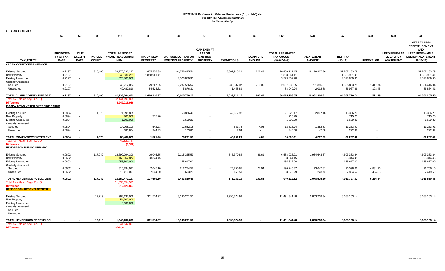| <b>CLARK COUNTY</b>                                                                               |                            |                                    |               |                                                |                            |                               |                                    |                        |                                  |                                               |                        |                                               |                    |                                                      |                                                                                    |
|---------------------------------------------------------------------------------------------------|----------------------------|------------------------------------|---------------|------------------------------------------------|----------------------------|-------------------------------|------------------------------------|------------------------|----------------------------------|-----------------------------------------------|------------------------|-----------------------------------------------|--------------------|------------------------------------------------------|------------------------------------------------------------------------------------|
|                                                                                                   | (1)                        | (2)                                | (3)           | (4)                                            | (5)                        | (6)                           | (7)                                | (8)                    | (9)                              | (10)                                          | (11)                   | (12)                                          | (13)               | (14)                                                 | (15)                                                                               |
|                                                                                                   | <b>PROPOSED</b>            | <b>FY 17</b>                       |               | <b>TOTAL ASSESSED</b>                          |                            |                               | <b>CAP-EXEMPT</b><br><b>TAX ON</b> |                        |                                  | <b>TOTAL PREABATED</b>                        |                        |                                               |                    | <b>LEED/RENEWAB</b>                                  | <b>NET TAX LESS</b><br><b>REDEVELOPMENT</b><br><b>AND</b><br><b>LEED/RENEWABLE</b> |
|                                                                                                   | FY 17 TAX                  | <b>EXEMPT</b>                      | <b>PARCEL</b> | VALUE (EXCLUDING                               | <b>TAX ON NEW</b>          | <b>CAP-SUBJECT TAX ON</b>     | <b>EXISTING</b>                    |                        | <b>RECAPTURE</b>                 | <b>TAX AMOUNT</b>                             | <b>ABATEMENT</b>       | <b>NET TAX</b>                                |                    | <b>LE ENERGY</b>                                     | <b>ENERGY ABATEMENT</b>                                                            |
| <b>TAX ENTITY</b>                                                                                 | <b>RATE</b>                | <b>RATE</b>                        | <b>COUNT</b>  | NPM)                                           | <b>PROPERTY</b>            | <b>EXISTING PROPERTY</b>      | <b>PROPERTY</b>                    | <b>EXEMPTIONS</b>      | <b>AMOUNT</b>                    | $(5+6+7-8+9)$                                 | <b>AMOUNT</b>          | $(10-11)$                                     | <b>REDEVELOP</b>   | <b>ABATEMENT</b>                                     | $(12-13-14)$                                                                       |
| <b>CLARK COUNTY FIRE SERVICE</b>                                                                  |                            |                                    |               |                                                |                            |                               |                                    |                        |                                  |                                               |                        |                                               |                    |                                                      |                                                                                    |
| <b>Existing Secured</b><br>New Property<br><b>Existing Unsecured</b>                              | 0.2197<br>0.2197<br>0.2197 | $\sim$<br>$\overline{\phantom{a}}$ | 310,460       | 38,770,533,297<br>846,136,281<br>1,626,700,000 | 455,358.39<br>1,858,961.41 | 84,758,445.54<br>3,573,859.90 |                                    | 8,807,915.21           | 222.43                           | 76,406,111.15<br>1,858,961.41<br>3,573,859.90 | 19,198,927.36          | 57,207,183.79<br>1,858,961.41<br>3,573,859.90 |                    |                                                      | 57,207,183.79<br>1,858,961.41<br>3,573,859.90                                      |
| <b>Centrally Assessed</b><br>Secured<br>Unsecured                                                 | 0.2197<br>0.2197           | $\overline{\phantom{a}}$<br>$\sim$ |               | 949,712,084<br>40,482,810                      | 29,267.85<br>84,523.32     | 2,287,586.52<br>5,876.31      |                                    | 230,337.07<br>1,458.89 | 713.05<br>$\sim$                 | 2,087,230.35<br>88,940.74                     | 761,396.57<br>2,002.88 | 1,325,833.78<br>86,937.86                     | 1,417.74<br>103.45 | $\overline{\phantom{a}}$                             | 1,324,416.04<br>86,834.41                                                          |
| TOTAL CLARK COUNTY FIRE SERV                                                                      | 0.2197                     |                                    | 310,460       | 42,233,564,472                                 | 2,428,110.97               | 90,625,768.27                 | $\sim$                             | 9,039,711.17           | 935.48                           | 84,015,103.55                                 | 19,962,326.81          | 64,052,776.74                                 | 1,521.19           | $\overline{\phantom{a}}$                             | 64,051,255.55                                                                      |
| Total AV - March Seg - Col. Q<br><b>Difference</b><br><b>MOAPA TOWN VOTER OVERRIDE PARKS</b>      |                            |                                    |               | 37,444,699,809<br>4,747,718,959                |                            |                               |                                    |                        |                                  |                                               |                        |                                               |                    |                                                      |                                                                                    |
| <b>Existing Secured</b><br>New Property<br><b>Existing Unsecured</b><br><b>Centrally Assessed</b> | 0.0894<br>0.0894<br>0.0894 | $\sim$ $-$<br>$\sim$               | 1,078         | 71,398,865<br>800,000<br>1,800,000             | 715.20                     | 63,836.40<br>1,609.20         | $\overline{a}$                     | 42,612.93              |                                  | 21,223.47<br>715.20<br>1,609.20               | 2,837.18               | 18,386.29<br>715.20<br>1,609.20               |                    |                                                      | 18,386.29<br>715.20<br>1,609.20                                                    |
| Secured<br>Unsecured                                                                              | 0.0894<br>0.0894           | $\overline{\phantom{a}}$           |               | 14,108,100<br>380,864                          | 542.23<br>244.33           | 12,652.18<br>103.81           | $\overline{\phantom{a}}$           | 581.72<br>7.64         | 4.05<br>$\overline{\phantom{a}}$ | 12,616.74<br>340.50                           | 1,352.83<br>47.68      | 11,263.91<br>292.82                           |                    | $\overline{\phantom{a}}$<br>$\overline{\phantom{a}}$ | 11,263.91<br>292.82                                                                |
| TOTAL MOAPA TOWN VOTER OVE                                                                        | 0.0894                     |                                    | 1,078         | 88,487,829                                     | 1,501.76                   | 78,201.59                     |                                    | 43,202.29              | 4.05                             | 36,505.11                                     | 4,237.69               | 32,267.42                                     |                    |                                                      | 32,267.42                                                                          |
| Total AV - March Seg - Col. Q<br><b>Difference</b><br><b>HENDERSON PUBLIC LIBRARY</b>             |                            |                                    |               | 40,827,747<br>(5,388)                          |                            |                               |                                    |                        |                                  |                                               |                        |                                               |                    |                                                      |                                                                                    |
| <b>Existing Secured</b><br>New Property<br><b>Existing Unsecured</b>                              | 0.0602<br>0.0602<br>0.0602 | $\sim$<br>$\sim$                   | 117,042       | 12,399,294,300<br>163,362,874<br>258,500,000   | 19,045.55<br>98,344.45     | 7,115,325.59<br>155,617.00    | $\sim$                             | 546,370.84             | 26.61                            | 6,588,026.91<br>98,344.45<br>155,617.00       | 1,984,643.67           | 4,603,383.24<br>98,344.45<br>155,617.00       |                    |                                                      | 4,603,383.24<br>98,344.45<br>155,617.00                                            |
| <b>Centrally Assessed</b><br>Secured<br>Unsecured                                                 | 0.0602<br>0.0602           | $\sim$                             |               | 315,894,927<br>13,419,097                      | 2,645.10<br>7,634.50       | 212,274.58<br>603.29          | $\overline{\phantom{a}}$           | 24,750.85<br>159.50    | 77.04<br>$\sim$                  | 190,245.87<br>8,078.29                        | 93,647.81<br>223.72    | 96,598.06<br>7,854.57                         | 4,831.96<br>404.88 | $\overline{\phantom{a}}$                             | 91,766.10<br>7,449.69                                                              |
| TOTAL HENDERSON PUBLIC LIBR.                                                                      | 0.0602                     |                                    | 117,042       | 13,150,471,197                                 | 127,669.60                 | 7,483,820.46                  |                                    | 571,281.19             | 103.65                           | 7,040,312.52                                  | 2,078,515.20           | 4,961,797.32                                  | 5,236.84           | $\sim$                                               | 4,956,560.48                                                                       |
| Total AV - March Seg - Col. Q<br><b>Difference</b><br><b>HENDERSON REDEVELOPMENT</b>              |                            |                                    |               | 11,630,054,583<br>612,823,857                  |                            |                               |                                    |                        |                                  |                                               |                        |                                               |                    |                                                      |                                                                                    |
| <b>Existing Secured</b><br>New Property<br><b>Existing Unsecured</b>                              |                            |                                    | 12,219        | 983,637,009<br>54,300,000<br>8,300,000         | 301,514.97                 | 13,145,201.50                 |                                    | 1,955,374.99           |                                  | 11,491,341.48                                 | 2,803,238.34           | 8,688,103.14                                  |                    |                                                      | 8,688,103.14                                                                       |
| <b>Centrally Assessed</b><br>Secured<br>Unsecured                                                 |                            |                                    |               |                                                |                            |                               |                                    |                        |                                  |                                               |                        |                                               |                    |                                                      |                                                                                    |
| TOTAL HENDERSON REDEVELOPI                                                                        |                            |                                    | 12,219        | 1,046,237,009                                  | 301,514.97                 | 13,145,201.50                 |                                    | 1,955,374.99           | $\sim$                           | 11,491,341.48                                 | 2,803,238.34           | 8,688,103.14                                  |                    |                                                      | 8,688,103.14                                                                       |
| Total AV - March Seg - Col. Q<br><b>Difference</b>                                                |                            |                                    |               | 541,842,807<br>#DIV/0!                         |                            |                               |                                    |                        |                                  |                                               |                        |                                               |                    |                                                      |                                                                                    |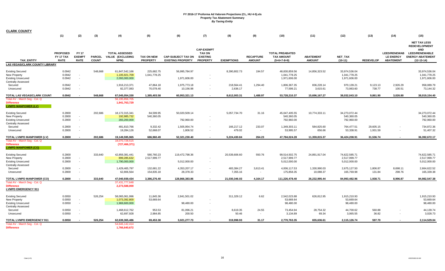| <b>CLARK COUNTY</b>                                |                 |                          |               |                                 |                   |                           |                                    |                   |                  |                        |                  |                |                  |                          |                                                                                    |
|----------------------------------------------------|-----------------|--------------------------|---------------|---------------------------------|-------------------|---------------------------|------------------------------------|-------------------|------------------|------------------------|------------------|----------------|------------------|--------------------------|------------------------------------------------------------------------------------|
|                                                    | (1)             | (2)                      | (3)           | (4)                             | (5)               | (6)                       | (7)                                | (8)               | (9)              | (10)                   | (11)             | (12)           | (13)             | (14)                     | (15)                                                                               |
|                                                    | <b>PROPOSED</b> | <b>FY 17</b>             |               | <b>TOTAL ASSESSED</b>           |                   |                           | <b>CAP-EXEMPT</b><br><b>TAX ON</b> |                   |                  | <b>TOTAL PREABATED</b> |                  |                |                  | <b>LEED/RENEWAB</b>      | <b>NET TAX LESS</b><br><b>REDEVELOPMENT</b><br><b>AND</b><br><b>LEED/RENEWABLE</b> |
|                                                    | FY 17 TAX       | <b>EXEMPT</b>            | <b>PARCEL</b> | VALUE (EXCLUDING                | <b>TAX ON NEW</b> | <b>CAP-SUBJECT TAX ON</b> | <b>EXISTING</b>                    |                   | <b>RECAPTURE</b> | <b>TAX AMOUNT</b>      | <b>ABATEMENT</b> | <b>NET TAX</b> |                  | <b>LE ENERGY</b>         | <b>ENERGY ABATEMENT</b>                                                            |
| <b>TAX ENTITY</b>                                  | <b>RATE</b>     | <b>RATE</b>              | <b>COUNT</b>  | NPM)                            | <b>PROPERTY</b>   | <b>EXISTING PROPERTY</b>  | <b>PROPERTY</b>                    | <b>EXEMPTIONS</b> | <b>AMOUNT</b>    | $(5+6+7-8+9)$          | <b>AMOUNT</b>    | $(10-11)$      | <b>REDEVELOP</b> | <b>ABATEMENT</b>         | $(12-13-14)$                                                                       |
| LAS VEGAS/CLARK COUNTY LIBRARY                     |                 |                          |               |                                 |                   |                           |                                    |                   |                  |                        |                  |                |                  |                          |                                                                                    |
| <b>Existing Secured</b>                            | 0.0942          |                          | 548,668       | 61,847,542,166                  | 225,682.75        | 56,995,784.97             |                                    | 8,390,802.73      | 194.57           | 48,830,859.56          | 14,856,323.52    | 33,974,536.04  |                  |                          | 33,974,536.04                                                                      |
| New Property                                       | 0.0942          | $\sim$                   |               | 1,105,921,709                   | 1,041,778.25      |                           |                                    |                   |                  | 1,041,778.25           |                  | 1,041,778.25   |                  |                          | 1,041,778.25                                                                       |
| <b>Existing Unsecured</b>                          | 0.0942          | $\overline{\phantom{a}}$ |               | 2,093,000,000                   |                   | 1,971,606.00              |                                    |                   |                  | 1,971,606.00           |                  | 1,971,606.00   |                  |                          | 1,971,606.00                                                                       |
| <b>Centrally Assessed</b>                          |                 |                          |               |                                 |                   |                           |                                    |                   |                  |                        |                  |                |                  |                          |                                                                                    |
| Secured                                            | 0.0942          |                          |               | 1,916,213,371                   | 47,864.18         | 1,975,773.18              | $\overline{a}$                     | 218,564.41        | 1,294.40         | 1,806,367.35           | 836,228.14       | 970,139.21     | 9,123.13         | 2,926.29                 | 958,089.79                                                                         |
| Unsecured                                          | 0.0942          | $\sim$                   |               | 82,377,083                      | 70,078.40         | 10,156.98                 | $\overline{\phantom{a}}$           | 2,636.17          |                  | 77,599.21              | 3,615.61         | 73,983.60      | 738.77           | 100.51                   | 73,144.32                                                                          |
| TOTAL LAS VEGAS/CLARK COUNT                        | 0.0942          |                          | 548,668       | 67,045,054,330                  | 1,385,403.58      | 60,953,321.13             | $\sim$                             | 8,612,003.31      | 1,488.97         | 53,728,210.37          | 15,696,167.27    | 38,032,043.10  | 9,861.90         | 3,026.80                 | 38,019,154.40                                                                      |
| Total AV - March Seg - Col. Q                      |                 |                          |               | 56,195,856,705                  |                   |                           |                                    |                   |                  |                        |                  |                |                  |                          |                                                                                    |
| <b>Difference</b><br><b>LVMPD MANPOWER (LV)</b>    |                 |                          |               | 1,941,763,729                   |                   |                           |                                    |                   |                  |                        |                  |                |                  |                          |                                                                                    |
| <b>Existing Secured</b>                            | 0.2800          |                          | 202,686       | 18,172,315,341                  | 84,599.95         | 50,020,509.14             |                                    | 5,057,734.70      | 31.16            | 45,047,405.55          | 10,774,333.11    | 34,273,072.44  |                  |                          | 34,273,072.44                                                                      |
| <b>New Property</b>                                | 0.2800          | $\sim$                   |               | 192,985,732                     | 540,360.05        |                           | $\overline{\phantom{a}}$           |                   |                  | 540,360.05             |                  | 540,360.05     |                  |                          | 540,360.05                                                                         |
| <b>Existing Unsecured</b>                          | 0.2800          | $\sim$                   |               | 283,200,000                     |                   | 792,960.00                | $\sim$                             |                   |                  | 792,960.00             |                  | 792,960.00     |                  |                          | 792,960.00                                                                         |
| <b>Centrally Assessed</b>                          |                 |                          |               |                                 |                   |                           |                                    |                   |                  |                        |                  |                |                  |                          |                                                                                    |
| Secured                                            | 0.2800          |                          |               | 481,810,766                     | 9,332.42          | 1,505,954.74              | $\overline{\phantom{a}}$           | 166,217.12        | 233.07           | 1,349,303.11           | 584,825.60       | 764,477.51     | 29,605.15        |                          | 734,872.36                                                                         |
| Unsecured                                          | 0.2800          | $\sim$                   |               | 19,284,126                      | 52,668.07         | 1,806.52                  | $\overline{a}$                     | 479.02            | $\sim$           | 53,995.57              | 656.66           | 53,338.91      | 1,931.59         | $\overline{\phantom{a}}$ | 51,407.32                                                                          |
| TOTAL LVMPD MANPOWER (LV)                          | 0.2800          |                          | 202,686       | 19,149,595,965                  | 686,960.49        | 52,321,230.40             |                                    | 5,224,430.84      | 264.23           | 47,784,024.28          | 11,359,815.37    | 36,424,208.91  | 31,536.74        | $\overline{\phantom{a}}$ | 36,392,672.17                                                                      |
| Total AV - March Seq - Col. Q                      |                 |                          |               | 18,070,728,515                  |                   |                           |                                    |                   |                  |                        |                  |                |                  |                          |                                                                                    |
| <b>Difference</b><br><b>LVMPD MANPOWER (CO)</b>    |                 |                          |               | (727, 466, 371)                 |                   |                           |                                    |                   |                  |                        |                  |                |                  |                          |                                                                                    |
| <b>Existing Secured</b>                            | 0.2800          |                          | 333,640       | 42,859,381,441                  | 580,760.23        | 119,472,798.36            |                                    | 20,539,606.60     | 550.76           | 99,514,502.75          | 24,891,917.04    | 74,622,585.71  |                  |                          | 74,622,585.71                                                                      |
| New Property                                       | 0.2800          | $\sim$                   |               | 899,285,632                     | 2,517,999.77      |                           |                                    |                   |                  | 2,517,999.77           |                  | 2,517,999.77   |                  |                          | 2,517,999.77                                                                       |
| <b>Existing Unsecured</b>                          | 0.2800          | $\sim$                   |               | 1,790,000,000                   |                   | 5,012,000.00              | $\overline{\phantom{a}}$           |                   |                  | 5,012,000.00           |                  | 5,012,000.00   |                  |                          | 5,012,000.00                                                                       |
| <b>Centrally Assessed</b>                          |                 |                          |               |                                 |                   |                           |                                    |                   |                  |                        |                  |                |                  |                          |                                                                                    |
| Secured                                            | 0.2800          |                          |               | 1,429,465,797                   | 132,681.22        | 4,353,207.17              |                                    | 483,384.27        | 3,613.41         | 4,006,117.53           | 1,330,990.03     | 2,675,127.50   | 1,806.87         | 8,698.11                 | 2,664,622.52                                                                       |
| Unsecured                                          | 0.2800          | $\sim$                   |               | 62,806,564                      | 154,835.18        | 28,378.33                 | $\overline{\phantom{a}}$           | 7,355.16          | $\sim$           | 175,858.35             | 10,088.37        | 165,769.98     | 131.84           | 298.76                   | 165,339.38                                                                         |
| <b>TOTAL LVMPD MANPOWER (CO)</b>                   | 0.2800          |                          | 333,640       | 47,040,939,434                  | 3,386,276.40      | 128,866,383.86            |                                    | 21,030,346.03     | 4,164.17         | 111,226,478.40         | 26,232,995.44    | 84,993,482.96  | 1,938.71         | 8,996.87                 | 84,982,547.38                                                                      |
| Total AV - March Seg - Col. Q<br><b>Difference</b> |                 |                          |               | 37,431,777,648<br>2,273,588,000 |                   |                           |                                    |                   |                  |                        |                  |                |                  |                          |                                                                                    |
| <b>LVMPD EMERGENCY 911</b>                         |                 |                          |               |                                 |                   |                           |                                    |                   |                  |                        |                  |                |                  |                          |                                                                                    |
| <b>Existing Secured</b>                            | 0.0050          |                          | 526,254       | 58,065,061,996                  | 11,845.36         | 2,841,501.02              |                                    | 311,329.12        | 6.62             | 2,542,023.88           | 626,812.95       | 1,915,210.93   |                  |                          | 1,915,210.93                                                                       |
| New Property                                       | 0.0050          | $\sim$                   |               | 1,073,392,800                   | 53,669.64         |                           |                                    |                   |                  | 53,669.64              |                  | 53,669.64      |                  |                          | 53,669.64                                                                          |
| <b>Existing Unsecured</b>                          | 0.0050          | $\sim$                   |               | 1,969,600,000                   |                   | 98,480.00                 | $\overline{\phantom{a}}$           |                   |                  | 98,480.00              |                  | 98,480.00      |                  |                          | 98,480.00                                                                          |
| <b>Centrally Assessed</b>                          |                 |                          |               |                                 |                   |                           |                                    |                   |                  |                        |                  |                |                  |                          |                                                                                    |
| Secured                                            | 0.0050          |                          |               | 1,468,612,762                   | 953.53            | 81,096.21                 |                                    | 8,619.35          | 24.55            | 73,454.94              | 28,754.32        | 44,700.62      | 560.88           |                          | 44,139.74                                                                          |
| Unsecured                                          | 0.0050          | $\sim$                   |               | 62,697,928                      | 2,984.85          | 200.50                    |                                    | 50.46             | $\sim$           | 3,134.89               | 69.34            | 3,065.55       | 36.82            |                          | 3,028.73                                                                           |
| TOTAL LVMPD EMERGENCY 911                          | 0.0050          |                          | 526,254       | 62,639,365,486                  | 69,453.38         | 3,021,277.73              | $\sim$                             | 319,998.93        | 31.17            | 2,770,763.35           | 655,636.61       | 2,115,126.74   | 597.70           | $\overline{\phantom{a}}$ | 2,114,529.04                                                                       |
| Total AV - March Seg - Col. Q                      |                 |                          |               | 54,646,142,414                  |                   |                           |                                    |                   |                  |                        |                  |                |                  |                          |                                                                                    |
| <b>Difference</b>                                  |                 |                          |               | 1,766,640,672                   |                   |                           |                                    |                   |                  |                        |                  |                |                  |                          |                                                                                    |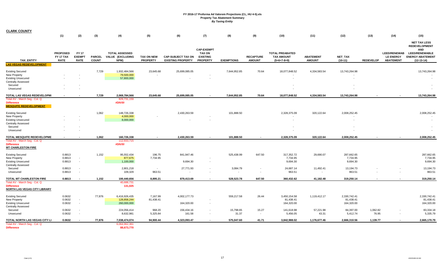| <b>CLARK COUNTY</b>                                            |                                             |                                                      |                               |                                                   |                                      |                                                       |                                                      |                                      |                                                      |                                                              |                                   |                       |                   |                                                             |                                                                  |
|----------------------------------------------------------------|---------------------------------------------|------------------------------------------------------|-------------------------------|---------------------------------------------------|--------------------------------------|-------------------------------------------------------|------------------------------------------------------|--------------------------------------|------------------------------------------------------|--------------------------------------------------------------|-----------------------------------|-----------------------|-------------------|-------------------------------------------------------------|------------------------------------------------------------------|
|                                                                | (1)                                         | (2)                                                  | (3)                           | (4)                                               | (5)                                  | (6)                                                   | (7)                                                  | (8)                                  | (9)                                                  | (10)                                                         | (11)                              | (12)                  | (13)              | (14)                                                        | (15)                                                             |
|                                                                |                                             |                                                      |                               |                                                   |                                      |                                                       | <b>CAP-EXEMPT</b>                                    |                                      |                                                      |                                                              |                                   |                       |                   |                                                             | <b>NET TAX LESS</b><br><b>REDEVELOPMENT</b><br><b>AND</b>        |
| <b>TAX ENTITY</b>                                              | <b>PROPOSED</b><br>FY 17 TAX<br><b>RATE</b> | <b>FY 17</b><br><b>EXEMPT</b><br><b>RATE</b>         | <b>PARCEL</b><br><b>COUNT</b> | <b>TOTAL ASSESSED</b><br>VALUE (EXCLUDING<br>NPM) | <b>TAX ON NEW</b><br><b>PROPERTY</b> | <b>CAP-SUBJECT TAX ON</b><br><b>EXISTING PROPERTY</b> | <b>TAX ON</b><br><b>EXISTING</b><br><b>PROPERTY</b>  | <b>EXEMPTIONS</b>                    | <b>RECAPTURE</b><br><b>AMOUNT</b>                    | <b>TOTAL PREABATED</b><br><b>TAX AMOUNT</b><br>$(5+6+7-8+9)$ | <b>ABATEMENT</b><br><b>AMOUNT</b> | NET_TAX<br>$(10-11)$  | <b>REDEVELOP</b>  | <b>LEED/RENEWAB</b><br><b>LE ENERGY</b><br><b>ABATEMENT</b> | <b>LEED/RENEWABLE</b><br><b>ENERGY ABATEMENT</b><br>$(12-13-14)$ |
| <b>LAS VEGAS REDEVELOPMENT</b>                                 |                                             |                                                      |                               |                                                   |                                      |                                                       |                                                      |                                      |                                                      |                                                              |                                   |                       |                   |                                                             |                                                                  |
| <b>Existing Secured</b>                                        |                                             |                                                      | 7,729                         | 1,932,484,566                                     | 23,645.68                            | 25,699,085.05                                         |                                                      | 7,644,952.85                         | 70.64                                                | 18,077,848.52                                                | 4,334,583.54                      | 13,743,264.98         |                   |                                                             | 13,743,264.98                                                    |
| New Property                                                   |                                             |                                                      |                               | 79,500,000                                        |                                      |                                                       |                                                      |                                      |                                                      |                                                              |                                   |                       |                   |                                                             |                                                                  |
| <b>Existing Unsecured</b>                                      |                                             |                                                      |                               | 57,800,000                                        |                                      |                                                       |                                                      |                                      |                                                      |                                                              |                                   |                       |                   |                                                             |                                                                  |
| <b>Centrally Assessed</b>                                      |                                             |                                                      |                               |                                                   |                                      |                                                       |                                                      |                                      |                                                      |                                                              |                                   |                       |                   |                                                             |                                                                  |
| Secured                                                        |                                             |                                                      |                               |                                                   |                                      |                                                       |                                                      |                                      |                                                      |                                                              |                                   |                       |                   |                                                             |                                                                  |
| Unsecured                                                      |                                             |                                                      |                               |                                                   |                                      |                                                       |                                                      |                                      |                                                      |                                                              |                                   |                       |                   |                                                             |                                                                  |
| TOTAL LAS VEGAS REDEVELOPMI                                    |                                             |                                                      | 7,729                         | 2,069,784,566                                     | 23,645.68                            | 25,699,085.05                                         | $\sim$                                               | 7,644,952.85                         | 70.64                                                | 18,077,848.52                                                | 4,334,583.54                      | 13,743,264.98         |                   |                                                             | 13,743,264.98                                                    |
| Total AV - March Seg - Col. Q                                  |                                             |                                                      |                               | 829,731,159                                       |                                      |                                                       |                                                      |                                      |                                                      |                                                              |                                   |                       |                   |                                                             |                                                                  |
| <b>Difference</b><br><b>MESQUITE REDEVELOPMENT</b>             |                                             |                                                      |                               | #DIV/0!                                           |                                      |                                                       |                                                      |                                      |                                                      |                                                              |                                   |                       |                   |                                                             |                                                                  |
| <b>Existing Secured</b>                                        |                                             |                                                      | 1,062                         | 148,726,338                                       |                                      | 2,430,263.59                                          |                                                      | 101,888.50                           |                                                      | 2,328,375.09                                                 | 320,122.64                        | 2,008,252.45          |                   |                                                             | 2,008,252.45                                                     |
| New Property                                                   |                                             |                                                      |                               | 4,000,000                                         |                                      |                                                       |                                                      |                                      |                                                      |                                                              |                                   |                       |                   |                                                             |                                                                  |
| <b>Existing Unsecured</b>                                      |                                             |                                                      |                               | 8,000,000                                         |                                      |                                                       |                                                      |                                      |                                                      |                                                              |                                   |                       |                   |                                                             |                                                                  |
| <b>Centrally Assessed</b>                                      |                                             |                                                      |                               |                                                   |                                      |                                                       |                                                      |                                      |                                                      |                                                              |                                   |                       |                   |                                                             |                                                                  |
| Secured<br>Unsecured                                           |                                             |                                                      |                               |                                                   |                                      |                                                       |                                                      |                                      |                                                      |                                                              |                                   |                       |                   |                                                             | $\sim$                                                           |
|                                                                |                                             |                                                      |                               |                                                   |                                      |                                                       |                                                      |                                      |                                                      |                                                              |                                   |                       |                   |                                                             |                                                                  |
| TOTAL MESQUITE REDEVELOPME                                     |                                             |                                                      | 1,062                         | 160,726,338                                       |                                      | 2,430,263.59                                          |                                                      | 101,888.50                           |                                                      | 2,328,375.09                                                 | 320,122.64                        | 2,008,252.45          |                   |                                                             | 2,008,252.45                                                     |
| Total AV - March Seg - Col. Q<br><b>Difference</b>             |                                             |                                                      |                               | 112,933,715<br>#DIV/0!                            |                                      |                                                       |                                                      |                                      |                                                      |                                                              |                                   |                       |                   |                                                             |                                                                  |
| <b>MT CHARLESTON FIRE</b>                                      |                                             |                                                      |                               |                                                   |                                      |                                                       |                                                      |                                      |                                                      |                                                              |                                   |                       |                   |                                                             |                                                                  |
| <b>Existing Secured</b>                                        | 0.8813                                      |                                                      | 1,152                         | 95,552,434                                        | 196.75                               | 841,947.46                                            |                                                      | 525,438.99                           | 647.50                                               | 317,352.72                                                   | 29,690.07                         | 287,662.65            |                   |                                                             | 287,662.65                                                       |
| New Property                                                   | 0.8813                                      | $\overline{\phantom{a}}$                             |                               | 877,675                                           | 7,734.95                             |                                                       |                                                      |                                      |                                                      | 7,734.95                                                     |                                   | 7,734.95              |                   |                                                             | 7,734.95                                                         |
| <b>Existing Unsecured</b>                                      | 0.8813                                      | $\overline{\phantom{a}}$                             |                               | 1,100,000                                         |                                      | 9,694.30                                              | $\overline{\phantom{a}}$                             |                                      |                                                      | 9,694.30                                                     |                                   | 9,694.30              |                   |                                                             | 9,694.30                                                         |
| <b>Centrally Assessed</b>                                      |                                             |                                                      |                               |                                                   |                                      |                                                       |                                                      |                                      |                                                      |                                                              |                                   |                       |                   |                                                             |                                                                  |
| Secured<br>Unsecured                                           | 0.8813<br>0.8813                            | $\overline{\phantom{a}}$<br>$\overline{\phantom{a}}$ |                               | 2,801,218<br>109,329                              | $\sim$<br>963.51                     | 27,771.93                                             | $\overline{\phantom{a}}$<br>$\overline{\phantom{a}}$ | 3,084.79<br>$\overline{\phantom{a}}$ | $\overline{\phantom{a}}$<br>$\overline{\phantom{a}}$ | 24,687.14<br>963.51                                          | 11,492.41<br>$\sim$               | 13,194.73<br>963.51   |                   | $\overline{\phantom{a}}$<br>$\overline{\phantom{a}}$        | 13,194.73<br>963.51                                              |
|                                                                |                                             |                                                      |                               |                                                   |                                      |                                                       |                                                      |                                      |                                                      |                                                              |                                   |                       |                   |                                                             |                                                                  |
| TOTAL MT CHARLESTON FIRE<br>Total AV - March Seg - Col. Q      | 0.8813                                      |                                                      | 1,152                         | 100,440,656<br>40,688,731                         | 8,895.21                             | 879,413.69                                            |                                                      | 528,523.78                           | 647.50                                               | 360,432.62                                                   | 41,182.48                         | 319,250.14            |                   |                                                             | 319,250.14                                                       |
| <b>Difference</b><br><b>NORTH LAS VEGAS CITY LIBRARY</b>       |                                             |                                                      |                               | 131,025                                           |                                      |                                                       |                                                      |                                      |                                                      |                                                              |                                   |                       |                   |                                                             |                                                                  |
| <b>Existing Secured</b>                                        | 0.0632                                      |                                                      | 77,876                        | 6,416,926,435                                     | 7,167.99                             | 4,002,177.73                                          |                                                      | 559,217.58                           | 26.44                                                | 3,450,154.58                                                 | 1,119,412.17                      | 2,330,742.41          |                   |                                                             | 2,330,742.41                                                     |
| New Property                                                   | 0.0632                                      | $\overline{\phantom{a}}$                             |                               | 128,858,244                                       | 81,438.41                            |                                                       |                                                      |                                      |                                                      | 81,438.41                                                    |                                   | 81,438.41             |                   |                                                             | 81,438.41                                                        |
| <b>Existing Unsecured</b>                                      | 0.0632                                      | $\overline{\phantom{a}}$                             |                               | 260,000,000                                       |                                      | 164,320.00                                            | $\overline{\phantom{a}}$                             |                                      |                                                      | 164,320.00                                                   |                                   | 164,320.00            |                   |                                                             | 164,320.00                                                       |
| <b>Centrally Assessed</b>                                      |                                             |                                                      |                               |                                                   |                                      |                                                       |                                                      |                                      |                                                      |                                                              |                                   |                       |                   |                                                             |                                                                  |
| Secured<br>Unsecured                                           | 0.0632<br>0.0632                            | $\overline{\phantom{a}}$<br>$\overline{\phantom{a}}$ |                               | 224,056,414<br>8,632,981                          | 968.20<br>5,325.84                   | 156,434.16<br>161.58                                  | $\overline{\phantom{a}}$<br>$\overline{\phantom{a}}$ | 15,798.65<br>31.37                   | 15.27<br>$\sim$                                      | 141,618.98<br>5,456.05                                       | 57,221.98<br>43.31                | 84,397.00<br>5,412.74 | 1,062.82<br>76.95 | $\sim$                                                      | 83,334.18<br>5,335.79                                            |
|                                                                |                                             |                                                      |                               |                                                   |                                      |                                                       |                                                      |                                      |                                                      |                                                              |                                   |                       |                   |                                                             |                                                                  |
| TOTAL NORTH LAS VEGAS CITY LI<br>Total AV - March Seg - Col. Q | 0.0632                                      |                                                      | 77,876                        | 7,038,474,074<br>6,064,962,361                    | 94.900.44                            | 4,323,093.47                                          | $\sim$                                               | 575,047.60                           | 41.71                                                | 3,842,988.02                                                 | 1,176,677.46                      | 2,666,310.56          | 1.139.77          | $\sim$                                                      | 2,665,170.79                                                     |
| <b>Difference</b>                                              |                                             |                                                      |                               | 88,673,770                                        |                                      |                                                       |                                                      |                                      |                                                      |                                                              |                                   |                       |                   |                                                             |                                                                  |

 $\overline{\phantom{a}}$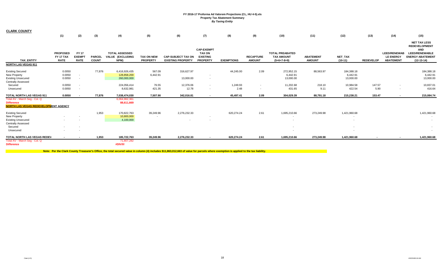| <b>CLARK COUNTY</b>                                                                                                       | (1)                                                                              | (2)                                          | (3)                           | (4)                                               | (5)                                  | (6)                                                   | (7)                                                                      | (8)               | (9)                               | (10)                                                         | (11)                              | (12)                                                                                                               | (13)             | (14)                                                        | (15)                                                                                                                          |
|---------------------------------------------------------------------------------------------------------------------------|----------------------------------------------------------------------------------|----------------------------------------------|-------------------------------|---------------------------------------------------|--------------------------------------|-------------------------------------------------------|--------------------------------------------------------------------------|-------------------|-----------------------------------|--------------------------------------------------------------|-----------------------------------|--------------------------------------------------------------------------------------------------------------------|------------------|-------------------------------------------------------------|-------------------------------------------------------------------------------------------------------------------------------|
| <b>TAX ENTITY</b>                                                                                                         | <b>PROPOSED</b><br>FY 17 TAX<br><b>RATE</b>                                      | <b>FY 17</b><br><b>EXEMPT</b><br><b>RATE</b> | <b>PARCEL</b><br><b>COUNT</b> | <b>TOTAL ASSESSED</b><br>VALUE (EXCLUDING<br>NPM) | <b>TAX ON NEW</b><br><b>PROPERTY</b> | <b>CAP-SUBJECT TAX ON</b><br><b>EXISTING PROPERTY</b> | <b>CAP-EXEMPT</b><br><b>TAX ON</b><br><b>EXISTING</b><br><b>PROPERTY</b> | <b>EXEMPTIONS</b> | <b>RECAPTURE</b><br><b>AMOUNT</b> | <b>TOTAL PREABATED</b><br><b>TAX AMOUNT</b><br>$(5+6+7-8+9)$ | <b>ABATEMENT</b><br><b>AMOUNT</b> | NET_TAX<br>$(10-11)$                                                                                               | <b>REDEVELOP</b> | <b>LEED/RENEWAB</b><br><b>LE ENERGY</b><br><b>ABATEMENT</b> | <b>NET TAX LESS</b><br><b>REDEVELOPMENT</b><br><b>AND</b><br><b>LEED/RENEWABLE</b><br><b>ENERGY ABATEMENT</b><br>$(12-13-14)$ |
| <b>NORTH LAS VEGAS 911</b>                                                                                                |                                                                                  |                                              |                               |                                                   |                                      |                                                       |                                                                          |                   |                                   |                                                              |                                   |                                                                                                                    |                  |                                                             |                                                                                                                               |
| <b>Existing Secured</b><br>New Property<br><b>Existing Unsecured</b><br><b>Centrally Assessed</b>                         | 0.0050<br>0.0050<br>0.0050                                                       | $\sim$<br>$\overline{\phantom{a}}$           | 77,876                        | 6,416,926,435<br>128,858,200<br>260,000,000       | 567.09<br>6,442.91                   | 316,627.97<br>13,000.00                               | $\sim$<br>$\overline{\phantom{a}}$                                       | 44,245.00         | 2.09                              | 272,952.15<br>6,442.91<br>13,000.00                          | 88,563.97                         | 184,388.18<br>6,442.91<br>13,000.00                                                                                |                  |                                                             | 184,388.18<br>6,442.91<br>13,000.00                                                                                           |
| Secured                                                                                                                   | 0.0050                                                                           |                                              |                               | 224,056,414                                       | 76.55                                | 12,376.06                                             | $\overline{a}$                                                           | 1,249.93          | $\overline{\phantom{a}}$          | 11,202.68                                                    | 218.10                            | 10,984.58                                                                                                          | 147.57           | $\overline{\phantom{a}}$                                    | 10,837.01                                                                                                                     |
| Unsecured                                                                                                                 | 0.0050                                                                           |                                              |                               | 8,632,981                                         | 421.35                               | 12.78                                                 | $\overline{\phantom{a}}$                                                 | 2.48              | $\overline{\phantom{a}}$          | 431.65                                                       | 9.11                              | 422.54                                                                                                             | 5.90             | $\overline{\phantom{a}}$                                    | 416.64                                                                                                                        |
| TOTAL NORTH LAS VEGAS 911                                                                                                 | 0.0050                                                                           |                                              | 77,876                        | 7,038,474,030                                     | 7,507.90                             | 342,016.81                                            |                                                                          | 45,497.41         | 2.09                              | 304,029.39                                                   | 88,791.18                         | 215,238.21                                                                                                         | 153.47           | $\overline{\phantom{a}}$                                    | 215,084.74                                                                                                                    |
| Total AV - March Seg - Col. Q<br><b>Difference</b><br><b>NORTH LAS VEGAS REDEVELOPMENT AGENCY</b>                         |                                                                                  |                                              |                               | 6,064,962,361<br>88,611,669                       |                                      |                                                       |                                                                          |                   |                                   |                                                              |                                   |                                                                                                                    |                  |                                                             |                                                                                                                               |
| <b>Existing Secured</b><br>New Property<br><b>Existing Unsecured</b><br><b>Centrally Assessed</b><br>Secured<br>Unsecured | $\overline{\phantom{a}}$<br>$\overline{\phantom{a}}$<br>$\overline{\phantom{a}}$ |                                              | 1,953                         | 170,822,763<br>10,800,000<br>4,100,000            | 39,249.96<br>$\sim$                  | 2,276,232.33                                          | $\overline{\phantom{a}}$<br>$\overline{\phantom{a}}$                     | 620,274.24        | 2.61                              | 1,695,210.66                                                 | 273,249.98                        | 1,421,960.68<br>$\overline{a}$<br>$\overline{\phantom{a}}$<br>$\overline{\phantom{a}}$<br>$\overline{\phantom{a}}$ |                  |                                                             | 1,421,960.68                                                                                                                  |
| TOTAL NORTH LAS VEGAS REDEV<br>Total AV - March Seg - Col. Q<br><b>Difference</b>                                         | $\sim$                                                                           |                                              | 1,953                         | 185,722,763<br>71,807,282<br>#DIV/0!              | 39,249.96                            | 2,276,232.33                                          | $\sim$                                                                   | 620,274.24        | 2.61                              | 1,695,210.66                                                 | 273,249.98                        | 1,421,960.68                                                                                                       | $\sim$           | $\overline{\phantom{a}}$                                    | 1,421,960.68                                                                                                                  |

**Note: Per the Clark County Treasurer's Office, the total secured value in column (4) includes \$11,863,012,663 of value for parcels where exemption is applied to the tax liability.**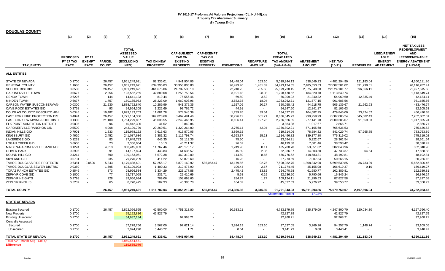| <b>DOUGLAS COUNTY</b>                                  |                                             |                                              |                               |                                                                       |                                      |                                                                           |                                                                          |                   |                                   |                                                                        |                                   |                      |              |                                                                          |                                                                                                                               |
|--------------------------------------------------------|---------------------------------------------|----------------------------------------------|-------------------------------|-----------------------------------------------------------------------|--------------------------------------|---------------------------------------------------------------------------|--------------------------------------------------------------------------|-------------------|-----------------------------------|------------------------------------------------------------------------|-----------------------------------|----------------------|--------------|--------------------------------------------------------------------------|-------------------------------------------------------------------------------------------------------------------------------|
|                                                        | (1)                                         | (2)                                          | (3)                           | (4)                                                                   | (5)                                  | (6)                                                                       | (7)                                                                      | (8)               | (9)                               | (10)                                                                   | (11)                              | (12)                 | (13)         | (14)                                                                     | (15)                                                                                                                          |
| <b>TAX ENTITY</b>                                      | <b>PROPOSED</b><br>FY 17 TAX<br><b>RATE</b> | <b>FY 17</b><br><b>EXEMPT</b><br><b>RATE</b> | <b>PARCEL</b><br><b>COUNT</b> | <b>TOTAL</b><br><b>ASSESSED</b><br><b>VALUE</b><br>(EXCLUDING<br>NPM) | <b>TAX ON NEW</b><br><b>PROPERTY</b> | <b>CAP-SUBJECT</b><br><b>TAX ON</b><br><b>EXISTING</b><br><b>PROPERTY</b> | <b>CAP-EXEMPT</b><br><b>TAX ON</b><br><b>EXISTING</b><br><b>PROPERTY</b> | <b>EXEMPTIONS</b> | <b>RECAPTURE</b><br><b>AMOUNT</b> | <b>TOTAL</b><br><b>PREABATED</b><br><b>TAX AMOUNT</b><br>$(5+6+7-8+9)$ | <b>ABATEMENT</b><br><b>AMOUNT</b> | NET_TAX<br>$(10-11)$ |              | <b>LEED/RENEW</b><br><b>ABLE</b><br><b>ENERGY</b><br>REDEVELOP ABATEMENT | <b>NET TAX LESS</b><br><b>REDEVELOPMENT</b><br><b>AND</b><br><b>LEED/RENEWABLE</b><br><b>ENERGY ABATEMENT</b><br>$(12-13-14)$ |
| <b>ALL ENTITIES</b>                                    |                                             |                                              |                               |                                                                       |                                      |                                                                           |                                                                          |                   |                                   |                                                                        |                                   |                      |              |                                                                          |                                                                                                                               |
| <b>STATE OF NEVADA</b>                                 | 0.1700                                      | $\overline{\phantom{a}}$                     | 26,457                        | 2,961,249,621                                                         | 92,335.01                            | 4,941,904.06                                                              |                                                                          | 14,448.04         | 153.10                            | 5,019,944.13                                                           | 538,649.23                        | 4,481,294.90         | 121,183.04   |                                                                          | 4,360,111.86                                                                                                                  |
| <b>GENERAL COUNTY</b>                                  | 1.1680                                      |                                              | 26,457                        | 2,961,249,621                                                         | 634,395.83                           | 33,953,806.80                                                             |                                                                          | 96,499.40         | 1,431.32                          | 34,493,134.55                                                          | 7,485,553.53                      | 27,007,581.02        | 891,298.61   |                                                                          | 26,116,282.41                                                                                                                 |
| <b>SCHOOL DISTRICT</b>                                 | 0.8500                                      | $\overline{\phantom{a}}$                     | 26,457                        | 2,961,249,621                                                         | 461,675.06                           | 24,709,538.18                                                             |                                                                          | 72,248.75         | 765.66                            | 25,099,730.15                                                          | 2,575,548.38                      | 22,524,181.77        | 596,666.11   |                                                                          | 21,927,515.66                                                                                                                 |
| <b>GARDNERVILLE TOWN</b>                               | 0.6677                                      |                                              | 2,256                         | 193,552,269                                                           | 42,880.08                            | 1,258,753.54                                                              |                                                                          | 3,191.18          | 28.08                             | 1,298,470.52                                                           | 184,820.78                        | 1,113,649.74         |              |                                                                          | 1,113,649.74                                                                                                                  |
| <b>GENOA TOWN</b>                                      | 0.6226                                      |                                              | 144                           | 14,641,133                                                            | 819.44                               | 75,556.46                                                                 |                                                                          | 69.50             | 3.52                              | 76,309.92                                                              | 21,340.32                         | 54,969.60            | 12,835.49    |                                                                          | 42,134.11                                                                                                                     |
| <b>MINDEN TOWN</b>                                     | 0.6677                                      |                                              | 1,757                         | 160,185,962                                                           | 26,223.09                            | 1,060,603.96                                                              |                                                                          | 3,582.38          | 18.04                             | 1,083,262.71                                                           | 121,577.15                        | 961,685.56           |              |                                                                          | 961,685.56                                                                                                                    |
| CARSON WATER SUBCONSERVAN                              | 0.0300                                      | $\sim$                                       | 21,230                        | 1,838,762,840                                                         | 10,289.99                            | 541,375.35                                                                |                                                                          | 1,627.09          | 20.17                             | 550,058.42                                                             | 44,918.75                         | 505,139.67           | 21,662.93    |                                                                          | 483,476.74                                                                                                                    |
|                                                        |                                             |                                              |                               |                                                                       |                                      |                                                                           |                                                                          |                   | $\sim$                            |                                                                        |                                   |                      |              |                                                                          |                                                                                                                               |
| <b>CAVE ROCK ESTATES GID</b>                           | 0.3768                                      |                                              | 93                            | 24,954,308                                                            | 1,222.69                             | 93,769.72                                                                 |                                                                          | 44.91             |                                   | 94,947.50                                                              | 12,841.87                         | 82,105.63            |              |                                                                          | 82,105.63                                                                                                                     |
| DOUGLAS COUNTY MOSQUITO AB/                            | 0.0345                                      |                                              | 19,482                        | 1,699,133,703                                                         | 11,681.78                            | 574,546.39                                                                |                                                                          | 1,739.76          | 39.54                             | 584,527.95                                                             | 104,682.95                        | 479,845.00           | 23,424.62    |                                                                          | 456,420.38                                                                                                                    |
| <b>EAST FORK FIRE PROTECTION DIST</b>                  | 0.4874                                      |                                              | 26,457                        | 1,771,154,386                                                         | 169,028.68                           | 8,467,491.46                                                              |                                                                          | 30,726.12         | 551.21                            | 8,606,345.23                                                           | 999,259.99                        | 7,607,085.24         | 345,002.43   |                                                                          | 7,262,082.81                                                                                                                  |
| EAST FORK SWIMMING POOL DISTI                          | 0.1300                                      | $\overline{\phantom{a}}$                     | 21,100                        | 1,764,229,837                                                         | 45,038.55                            | 2,249,466.95                                                              |                                                                          | 8,106.41          | 127.76                            | 2,286,526.85                                                           | 277,141.78                        | 2,009,385.07         | 91,559.83    |                                                                          | 1,917,825.24                                                                                                                  |
| ELK POINT SANITATION DISTRICT                          | 0.0095                                      | $\blacksquare$                               | 96                            | 40,842,306                                                            | 41.52                                | 3,842.86                                                                  |                                                                          | $\blacksquare$    | $\sim$                            | 3,884.38                                                               | 1,017.67                          | 2,866.71             |              |                                                                          | 2,866.71                                                                                                                      |
| <b>GARDNERVILLE RANCHOS GID</b>                        | 0.5500                                      | $\overline{\phantom{a}}$                     | 4,068                         | 243,199,739                                                           | 20,260.51                            | 1,320,264.80                                                              |                                                                          | 3,765.14          | 42.04                             | 1,336,802.21                                                           | 571,165.68                        | 765,636.53           |              |                                                                          | 765,636.53                                                                                                                    |
| <b>INDIAN HILLS GID</b>                                | 0.7901                                      |                                              | 1,833                         | 115,978,162                                                           | 7,613.63                             | 915,870.05                                                                |                                                                          | 3,869.62          | $\sim$                            | 919,614.06                                                             | 78,584.32                         | 841,029.74           | 57,265.85    |                                                                          | 783,763.89                                                                                                                    |
| <b>KINGSBURY GID</b>                                   | 0.4620                                      |                                              | 2,452                         | 241,087,636                                                           | 5,381.32                             | 1,115,793.74                                                              |                                                                          | 6,693.37          | 15.13                             | 1,114,496.82                                                           | 339,177.80                        | 775,319.02           |              |                                                                          | 775,319.02                                                                                                                    |
| <b>LAKERIDGE GID</b>                                   | 0.1233                                      | $\overline{\phantom{a}}$                     | 83                            | 27,648,783                                                            | 646.35                               | 33,113.36                                                                 |                                                                          | 75.50             | $\sim$                            | 33,684.21                                                              | 5,322.67                          | 28,361.54            |              |                                                                          | 28,361.54                                                                                                                     |
| <b>LOGAN CREEK GID</b>                                 | 0.6600                                      |                                              | 23                            | 7,356,064                                                             | 15.13                                | 46,211.37                                                                 |                                                                          | 26.62             | $\sim$                            | 46,199.88                                                              | 7,601.46                          | 38,598.42            |              |                                                                          | 38,598.42                                                                                                                     |
| MINDEN-GARDNERVILLE SANITATIO                          | 0.1224                                      |                                              | 4,013                         | 358,445,983                                                           | 11,767.46                            | 425,175.17                                                                |                                                                          | 1,249.96          | 8.11                              | 435,700.78                                                             | 53,651.82                         | 382,048.96           |              |                                                                          | 382,048.96                                                                                                                    |
| <b>OLIVER PARK</b>                                     | 0.5996                                      |                                              | 91                            | 14,197,824                                                            | 443.83                               | 61,636.57                                                                 |                                                                          | 45.89             | 2.36                              | 62,036.87                                                              | 14,303.50                         | 47,733.37            | 64.54        |                                                                          | 47,668.83                                                                                                                     |
| ROUND HILL GID                                         | 0.4214                                      |                                              | 590                           | 109,163,061                                                           | 6,572.38                             | 460,310.09                                                                |                                                                          | 114.50            | 8.65                              | 466,776.62                                                             | 418,583.81                        | 48,192.81            |              |                                                                          | 48,192.81                                                                                                                     |
| <b>SKYLAND GID</b>                                     | 0.0731                                      | $\overline{\phantom{a}}$                     | 235                           | 79,270,209                                                            | 411.22                               | 56,878.69                                                                 |                                                                          | 16.23             | $\sim$                            | 57,273.69                                                              | 7,007.54                          | 50,266.15            |              |                                                                          | 50,266.15                                                                                                                     |
|                                                        |                                             |                                              |                               |                                                                       |                                      |                                                                           |                                                                          |                   |                                   |                                                                        |                                   |                      |              |                                                                          |                                                                                                                               |
| TAHOE-DOUGLAS FIRE PROTECTIC                           | 0.6381                                      | 0.0500                                       | 5,343                         | 1,179,488,691                                                         | 57,255.17                            | 6,879,160.92                                                              | 585,053.47                                                               | 13,179.56         | 92.75                             | 7,508,382.75                                                           | 1,808,842.90                      | 5,699,539.85         | 36,733.39    |                                                                          | 5,662,806.46                                                                                                                  |
| TAHOE-DOUGLAS SEWER DISTRIC'                           | 0.0350                                      |                                              | 1,595                         | 603,109,093                                                           | 1,400.33                             | 210,477.90                                                                |                                                                          | 106.44            | 2.67                              | 211,774.45                                                             | 45,155.08                         | 166,619.37           | 0.10         |                                                                          | 166,619.27                                                                                                                    |
| TOPAZ RANCH ESTATES GID                                | 0.8546                                      | $\blacksquare$                               | 873                           | 28,926,534                                                            | 3,334.29                             | 223,177.88                                                                | $\overline{a}$                                                           | 2,475.42          | 33.82                             | 224,070.58                                                             | 61,680.77                         | 162,389.81           |              |                                                                          | 162,389.81                                                                                                                    |
| ZEPHYR COVE GID                                        | 0.1000                                      | $\sim$                                       | 77                            | 22,717,068                                                            | 231.71                               | 22,410.69                                                                 |                                                                          | 5.68              | 0.19                              | 22,636.90                                                              | 5,790.66                          | 16,846.24            |              |                                                                          | 16,846.24                                                                                                                     |
| ZEPHYR HEIGHTS                                         | 0.2798                                      |                                              | 228                           | 39,056,694                                                            | 709.06                               | 108,698.65                                                                |                                                                          | 284.87            | 1.27                              | 109,124.11                                                             | 21,296.53                         | 87,827.58            |              |                                                                          | 87,827.58                                                                                                                     |
| <b>ZEPHYR KNOLLS</b>                                   | 0.5237                                      |                                              | 65                            | 8,770,475                                                             | 107.93                               | 45,383.78                                                                 |                                                                          | 164.02            | ٠                                 | 45,327.69                                                              | 5,776.92                          | 39,550.77            |              |                                                                          | 39,550.77                                                                                                                     |
| <b>TOTAL COUNTY</b>                                    |                                             |                                              | 26,457                        | 2,961,249,621                                                         | 1,611,782.04                         | 89,855,219.39                                                             | 585,053.47                                                               | 264,356.36        | 3,345.39                          | 91,791,043.93                                                          | 15,811,293.86                     | 75,979,750.07        | 2,197,696.94 |                                                                          | 73,782,053.13                                                                                                                 |
|                                                        |                                             |                                              |                               |                                                                       |                                      |                                                                           |                                                                          |                   |                                   | <b>Abatement Percent</b>                                               | 17.23%                            |                      |              |                                                                          |                                                                                                                               |
| <b>STATE OF NEVADA</b>                                 |                                             |                                              |                               |                                                                       |                                      |                                                                           |                                                                          |                   |                                   |                                                                        |                                   |                      |              |                                                                          |                                                                                                                               |
| <b>Existing Secured</b>                                | 0.1700                                      |                                              | 26,457                        | 2,822,066,565                                                         | 42,500.00                            | 4,751,313.00                                                              |                                                                          | 10,633.21         |                                   | 4,783,179.79                                                           | 535,379.09                        | 4,247,800.70         | 120,034.30   |                                                                          | 4,127,766.40                                                                                                                  |
| <b>New Property</b>                                    | 0.1700                                      | $\sim$                                       |                               | 25,192,816                                                            | 42,827.79                            |                                                                           |                                                                          |                   |                                   | 42,827.79                                                              |                                   | 42,827.79            |              |                                                                          | 42,827.79                                                                                                                     |
|                                                        | 0.1700                                      | $\overline{\phantom{a}}$                     |                               |                                                                       |                                      | 92,968.21                                                                 |                                                                          |                   |                                   | 92,968.21                                                              |                                   | 92,968.21            |              |                                                                          | 92,968.21                                                                                                                     |
| <b>Existing Unsecured</b><br><b>Centrally Assessed</b> |                                             |                                              |                               | 54,687,184                                                            |                                      |                                                                           |                                                                          |                   |                                   |                                                                        |                                   |                      |              |                                                                          |                                                                                                                               |
| Secured                                                | 0.1700                                      |                                              |                               | 57,278,766                                                            | 3,567.00                             | 97,621.14                                                                 | $\overline{\phantom{a}}$                                                 | 3,814.19          | 153.10                            | 97,527.05                                                              | 3,269.26                          | 94,257.79            | 1,148.74     |                                                                          | 93,109.05                                                                                                                     |
| Unsecured                                              | 0.1700                                      |                                              |                               | 2,024,290                                                             | 3,440.22                             | 1.71                                                                      |                                                                          | 0.64              | $\sim$                            | 3,441.29                                                               | 0.88                              | 3,440.41             |              |                                                                          | 3,440.41                                                                                                                      |
|                                                        |                                             |                                              |                               |                                                                       |                                      |                                                                           |                                                                          |                   |                                   |                                                                        |                                   |                      |              |                                                                          |                                                                                                                               |
| TOTAL STATE OF NEVADA                                  | 0.1700                                      |                                              | 26,457                        | 2,961,249,621                                                         | 92,335.01                            | 4,941,904.06                                                              |                                                                          | 14.448.04         | 153.10                            | 5,019,944.13                                                           | 538.649.23                        | 4,481,294.90         | 121,183.04   |                                                                          | 4,360,111.86                                                                                                                  |
| Total AV - March Seg - Col. Q                          |                                             |                                              |                               | 2,850,564,551                                                         |                                      |                                                                           |                                                                          |                   |                                   |                                                                        |                                   |                      |              |                                                                          |                                                                                                                               |
| <b>Difference</b>                                      |                                             |                                              |                               | 110,685,070                                                           |                                      |                                                                           |                                                                          |                   |                                   |                                                                        |                                   |                      |              |                                                                          |                                                                                                                               |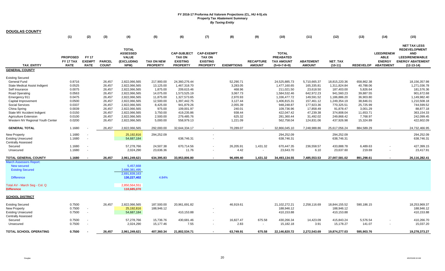| <b>DOUGLAS COUNTY</b>                                                                                                                                                                   |                                                                              |                                              |                                                                              |                                                                                                                                      |                                                                                                  |                                                                                                                         |                                                                          |                                                                                           |                                   |                                                                                                                         |                                                                                                              |                                                                                                                      |                                                                                                     |                                                                       |                                                                                                                               |
|-----------------------------------------------------------------------------------------------------------------------------------------------------------------------------------------|------------------------------------------------------------------------------|----------------------------------------------|------------------------------------------------------------------------------|--------------------------------------------------------------------------------------------------------------------------------------|--------------------------------------------------------------------------------------------------|-------------------------------------------------------------------------------------------------------------------------|--------------------------------------------------------------------------|-------------------------------------------------------------------------------------------|-----------------------------------|-------------------------------------------------------------------------------------------------------------------------|--------------------------------------------------------------------------------------------------------------|----------------------------------------------------------------------------------------------------------------------|-----------------------------------------------------------------------------------------------------|-----------------------------------------------------------------------|-------------------------------------------------------------------------------------------------------------------------------|
|                                                                                                                                                                                         | (1)                                                                          | (2)                                          | (3)                                                                          | (4)                                                                                                                                  | (5)                                                                                              | (6)                                                                                                                     | (7)                                                                      | (8)                                                                                       | (9)                               | (10)                                                                                                                    | (11)                                                                                                         | (12)                                                                                                                 | (13)                                                                                                | (14)                                                                  | (15)                                                                                                                          |
| <b>TAX ENTITY</b>                                                                                                                                                                       | <b>PROPOSED</b><br>FY 17 TAX<br><b>RATE</b>                                  | <b>FY 17</b><br><b>EXEMPT</b><br><b>RATE</b> | <b>PARCEL</b><br><b>COUNT</b>                                                | <b>TOTAL</b><br><b>ASSESSED</b><br><b>VALUE</b><br>(EXCLUDING<br>NPM)                                                                | <b>TAX ON NEW</b><br><b>PROPERTY</b>                                                             | <b>CAP-SUBJECT</b><br><b>TAX ON</b><br><b>EXISTING</b><br><b>PROPERTY</b>                                               | <b>CAP-EXEMPT</b><br><b>TAX ON</b><br><b>EXISTING</b><br><b>PROPERTY</b> | <b>EXEMPTIONS</b>                                                                         | <b>RECAPTURE</b><br><b>AMOUNT</b> | <b>TOTAL</b><br><b>PREABATED</b><br><b>TAX AMOUNT</b><br>$(5+6+7-8+9)$                                                  | <b>ABATEMENT</b><br><b>AMOUNT</b>                                                                            | <b>NET TAX</b><br>$(10-11)$                                                                                          | <b>REDEVELOP</b>                                                                                    | <b>LEED/RENEW</b><br><b>ABLE</b><br><b>ENERGY</b><br><b>ABATEMENT</b> | <b>NET TAX LESS</b><br><b>REDEVELOPMENT</b><br><b>AND</b><br><b>LEED/RENEWABLE</b><br><b>ENERGY ABATEMENT</b><br>$(12-13-14)$ |
| <b>GENERAL COUNTY</b>                                                                                                                                                                   |                                                                              |                                              |                                                                              |                                                                                                                                      |                                                                                                  |                                                                                                                         |                                                                          |                                                                                           |                                   |                                                                                                                         |                                                                                                              |                                                                                                                      |                                                                                                     |                                                                       |                                                                                                                               |
| Existing Secured<br>General Fund<br>State Medical Assist Indigent<br>Self Insurance<br><b>Road Operating</b><br>Emergency 911<br>Capital Improvement<br>Social Services<br>China Spring | 0.8716<br>0.0525<br>0.0075<br>0.0563<br>0.0475<br>0.0500<br>0.0337<br>0.0039 |                                              | 26,457<br>26,457<br>26,457<br>26,457<br>26,457<br>26,457<br>26,457<br>26,457 | 2,822,066,565<br>2,822,066,565<br>2,822,066,565<br>2,822,066,565<br>2,822,066,565<br>2,822,066,565<br>2,822,066,565<br>2,822,066,565 | 217,900.00<br>13,125.00<br>1,875.00<br>14,075.00<br>11,875.00<br>12,500.00<br>8,425.00<br>975.00 | 24,360,276.44<br>1,467,318.70<br>209,615.46<br>1,573,525.19<br>1,327,573.65<br>1,397,442.75<br>941,879.26<br>109,001.97 |                                                                          | 52,290.71<br>3,283.05<br>468.96<br>3,067.73<br>2,970.93<br>3,127.44<br>2,055.39<br>240.01 |                                   | 24,525,885.73<br>1,477,160.65<br>211,021.50<br>1,584,532.46<br>1,336,477.72<br>1,406,815.31<br>948,248.87<br>109,736.96 | 5,710,665.37<br>165,335.81<br>23,618.50<br>642,972.23<br>149,591.52<br>157,461.12<br>177,923.36<br>17,858.49 | 18,815,220.36<br>1,311,824.84<br>187,403.00<br>941,560.23<br>1,186,886.20<br>1,249,354.19<br>770,325.51<br>91,878.47 | 658,862.38<br>40,788.06<br>5,826.64<br>39,887.55<br>36,903.80<br>38,846.01<br>25,725.99<br>3,001.29 |                                                                       | 18,156,357.98<br>1,271,036.78<br>181,576.36<br>901,672.68<br>1,149,982.40<br>1,210,508.18<br>744,599.52<br>88,877.18          |
| State MV Accident Indigent                                                                                                                                                              | 0.0150                                                                       |                                              | 26,457                                                                       | 2,822,066,565                                                                                                                        | 3,750.00                                                                                         | 419,235.86                                                                                                              |                                                                          | 938.44                                                                                    |                                   | 422,047.42                                                                                                              | 47,239.38                                                                                                    | 374,808.04                                                                                                           | 11,653.71                                                                                           |                                                                       | 363,154.33                                                                                                                    |
| <b>Agriculture Extension</b><br>Western NV Regional Youth Center                                                                                                                        | 0.0100<br>0.0200                                                             |                                              | 26,457<br>26,457                                                             | 2,822,066,565<br>2,822,066,565                                                                                                       | 2,500.00<br>5,000.00                                                                             | 279,485.76<br>558,979.13                                                                                                |                                                                          | 625.32<br>1,221.09                                                                        |                                   | 281,360.44<br>562,758.04                                                                                                | 31,492.02<br>124,831.06                                                                                      | 249,868.42<br>437,926.98                                                                                             | 7,768.97<br>15,324.89                                                                               |                                                                       | 242,099.45<br>422,602.09                                                                                                      |
| <b>GENERAL TOTAL</b>                                                                                                                                                                    | 1.1680                                                                       |                                              | 26,457                                                                       | 2,822,066,565                                                                                                                        | 292,000.00                                                                                       | 32,644,334.17                                                                                                           |                                                                          | 70,289.07                                                                                 |                                   | 32,866,045.10                                                                                                           | 7,248,988.86                                                                                                 | 25,617,056.24                                                                                                        | 884,589.29                                                                                          |                                                                       | 24,732,466.95                                                                                                                 |
| New Property<br><b>Existing Unsecured</b><br>Centrally Assessed                                                                                                                         | 1.1680<br>1.1680                                                             | $\sim$<br>$\mathbf{r}$                       |                                                                              | 25,192,816<br>54,687,184                                                                                                             | 294,252.09                                                                                       | 638,746.31                                                                                                              | $\overline{\phantom{a}}$                                                 |                                                                                           |                                   | 294,252.09<br>638,746.31                                                                                                |                                                                                                              | 294,252.09<br>638,746.31                                                                                             |                                                                                                     |                                                                       | 294,252.09<br>638,746.31                                                                                                      |
| Secured                                                                                                                                                                                 | 1.1680                                                                       | $\blacksquare$                               |                                                                              | 57,278,766                                                                                                                           | 24,507.38                                                                                        | 670,714.56                                                                                                              |                                                                          | 26,205.91                                                                                 | 1,431.32                          | 670,447.35                                                                                                              | 236,558.57                                                                                                   | 433,888.78                                                                                                           | 6,489.63                                                                                            |                                                                       | 427,399.15                                                                                                                    |
| Unsecured                                                                                                                                                                               | 1.1680                                                                       | $\blacksquare$                               |                                                                              | 2,024,290                                                                                                                            | 23,636.36                                                                                        | 11.76                                                                                                                   |                                                                          | 4.42                                                                                      | $\sim$                            | 23,643.70                                                                                                               | 6.10                                                                                                         | 23,637.60                                                                                                            | 219.69                                                                                              |                                                                       | 23,417.91                                                                                                                     |
| <b>TOTAL GENERAL COUNTY</b>                                                                                                                                                             | 1.1680                                                                       |                                              | 26,457                                                                       | 2,961,249,621                                                                                                                        | 634,395.83                                                                                       | 33,953,806.80                                                                                                           |                                                                          | 96,499.40                                                                                 | 1,431.32                          | 34,493,134.55                                                                                                           | 7,485,553.53                                                                                                 | 27,007,581.02                                                                                                        | 891,298.61                                                                                          |                                                                       | 26,116,282.41                                                                                                                 |
| March Assessors Report:<br><b>New secured</b><br><b>Existing Secured</b><br><b>Difference</b><br>Total AV - March Seg - Col. Q<br><b>Difference</b>                                     |                                                                              |                                              |                                                                              | 5,457,668<br>2,686,381,495<br>2,691,839,163<br>130,227,402<br>2,850,564,551<br>110,685,070                                           | 4.84%                                                                                            |                                                                                                                         |                                                                          |                                                                                           |                                   |                                                                                                                         |                                                                                                              |                                                                                                                      |                                                                                                     |                                                                       |                                                                                                                               |
| <b>SCHOOL DISTRICT</b>                                                                                                                                                                  |                                                                              |                                              |                                                                              |                                                                                                                                      |                                                                                                  |                                                                                                                         |                                                                          |                                                                                           |                                   |                                                                                                                         |                                                                                                              |                                                                                                                      |                                                                                                     |                                                                       |                                                                                                                               |
| Existing Secured<br>New Property<br><b>Existing Unsecured</b><br><b>Centrally Assessed</b>                                                                                              | 0.7500<br>0.7500<br>0.7500                                                   | $\sim$<br>$\sim$                             | 26,457                                                                       | 2,822,066,565<br>25,192,816<br>54,687,184                                                                                            | 187,500.00<br>188,946.12                                                                         | 20,961,691.82<br>410,153.88                                                                                             |                                                                          | 46,919.61                                                                                 |                                   | 21,102,272.21<br>188,946.12<br>410,153.88                                                                               | 2,258,116.69                                                                                                 | 18,844,155.52<br>188,946.12<br>410,153.88                                                                            | 590,186.15                                                                                          |                                                                       | 18,253,969.37<br>188,946.12<br>410,153.88                                                                                     |
| Secured<br>Unsecured                                                                                                                                                                    | 0.7500<br>0.7500                                                             | $\sim$<br>$\sim$                             |                                                                              | 57,278,766<br>2,024,290                                                                                                              | 15,736.76<br>15,177.46                                                                           | 430,681.46<br>7.55                                                                                                      |                                                                          | 16,827.47<br>2.83                                                                         | 675.58<br>$\sim$                  | 430,266.34<br>15,182.18                                                                                                 | 14,423.09<br>3.91                                                                                            | 415,843.24<br>15,178.27                                                                                              | 5,576.54<br>141.07                                                                                  |                                                                       | 410,266.70<br>15,037.20                                                                                                       |
| <b>TOTAL SCHOOL OPERATING</b>                                                                                                                                                           | 0.7500                                                                       |                                              | 26.457                                                                       | 2,961,249,621                                                                                                                        | 407.360.34                                                                                       | 21,802,534.71                                                                                                           |                                                                          | 63.749.91                                                                                 | 675.58                            | 22,146,820.72                                                                                                           | 2,272,543.69                                                                                                 | 19,874,277.03                                                                                                        | 595,903.76                                                                                          |                                                                       | 19,278,373.27                                                                                                                 |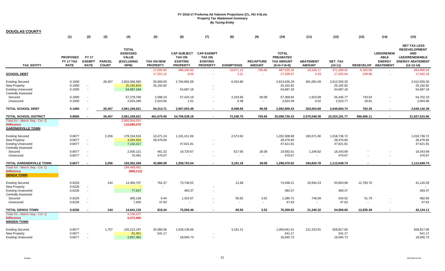| <b>DOUGLAS COUNTY</b>                                                                                    |                                             |                                              |                               |                                                                       |                                      |                                                                           |                                                                          |                   |                                   |                                                                        |                                   |                                        |                         |                                                                       |                                                                                                                               |
|----------------------------------------------------------------------------------------------------------|---------------------------------------------|----------------------------------------------|-------------------------------|-----------------------------------------------------------------------|--------------------------------------|---------------------------------------------------------------------------|--------------------------------------------------------------------------|-------------------|-----------------------------------|------------------------------------------------------------------------|-----------------------------------|----------------------------------------|-------------------------|-----------------------------------------------------------------------|-------------------------------------------------------------------------------------------------------------------------------|
|                                                                                                          | (1)                                         | (2)                                          | (3)                           | (4)                                                                   | (5)                                  | (6)                                                                       | (7)                                                                      | (8)               | (9)                               | (10)                                                                   | (11)                              | (12)                                   | (13)                    | (14)                                                                  | (15)                                                                                                                          |
| <b>TAX ENTITY</b>                                                                                        | <b>PROPOSED</b><br>FY 17 TAX<br><b>RATE</b> | <b>FY 17</b><br><b>EXEMPT</b><br><b>RATE</b> | <b>PARCEL</b><br><b>COUNT</b> | <b>TOTAL</b><br><b>ASSESSED</b><br><b>VALUE</b><br>(EXCLUDING<br>NPM) | <b>TAX ON NEW</b><br><b>PROPERTY</b> | <b>CAP-SUBJECT</b><br><b>TAX ON</b><br><b>EXISTING</b><br><b>PROPERTY</b> | <b>CAP-EXEMPT</b><br><b>TAX ON</b><br><b>EXISTING</b><br><b>PROPERTY</b> | <b>EXEMPTIONS</b> | <b>RECAPTURE</b><br><b>AMOUNT</b> | <b>TOTAL</b><br><b>PREABATED</b><br><b>TAX AMOUNT</b><br>$(5+6+7-8+9)$ | <b>ABATEMENT</b><br><b>AMOUNT</b> | <b>NET TAX</b><br>$(10-11)$            | <b>REDEVELOP</b>        | <b>LEED/RENEW</b><br><b>ABLE</b><br><b>ENERGY</b><br><b>ABATEMENT</b> | <b>NET TAX LESS</b><br><b>REDEVELOPMENT</b><br><b>AND</b><br><b>LEED/RENEWABLE</b><br><b>ENERGY ABATEMENT</b><br>$(12-13-14)$ |
| <b>SCHOOL DEBT</b>                                                                                       |                                             |                                              |                               |                                                                       | 17,835.00<br>17,201.12               | 488,105.65<br>8.56                                                        |                                                                          | 19,071.13<br>3.21 | 765.66                            | 487,635.18<br>17,206.47                                                | 16,346.17<br>4.43                 | 471,289.01<br>17,202.04                | 6.320.08<br>159.88      |                                                                       | 464,968.93<br>17,042.16                                                                                                       |
| <b>Existing Secured</b><br>New Property<br><b>Existing Unsecured</b><br><b>Centrally Assessed</b>        | 0.1000<br>0.1000<br>0.1000                  | $\sim$                                       | 26,457                        | 2,822,066,565<br>25,192,816<br>54,687,184                             | 25,000.00<br>25,192.82               | 2,794,891.09<br>54,687.18                                                 | $\overline{\phantom{a}}$                                                 | 6,254.80          |                                   | 2,813,636.29<br>25,192.82<br>54,687.18                                 | 301,081.09                        | 2,512,555.20<br>25,192.82<br>54,687.18 |                         |                                                                       | 2,512,555.20<br>25,192.82<br>54,687.18                                                                                        |
| Secured<br>Unsecured                                                                                     | 0.1000<br>0.1000                            |                                              |                               | 57,278,766<br>2,024,290                                               | 2,098.24<br>2,023.66                 | 57,424.19<br>1.01                                                         |                                                                          | 2,243.66<br>0.38  | 90.08<br>$\sim$                   | 57,368.84<br>2,024.29                                                  | 1,923.08<br>0.52                  | 55,445.77<br>2,023.77                  | 743.54<br>18.81         | $\sim$                                                                | 54,702.23<br>2,004.96                                                                                                         |
| <b>TOTAL SCHOOL DEBT</b>                                                                                 | 0.1000                                      |                                              | 26,457                        | 2,961,249,621                                                         | 54,314.71                            | 2,907,003.48                                                              |                                                                          | 8,498.84          | 90.08                             | 2,952,909.43                                                           | 303,004.69                        | 2,649,904.74                           | 762.35                  |                                                                       | 2,649,142.39                                                                                                                  |
| <b>TOTAL SCHOOL DISTRICT</b>                                                                             | 0.8500                                      |                                              | 26,457                        | 2,961,249,621                                                         | 461,675.06                           | 24,709,538.18                                                             | $\overline{\phantom{a}}$                                                 | 72,248.75         | 765.66                            | 25,099,730.15                                                          | 2,575,548.38                      | 22,524,181.77                          | 596,666.11              | $\sim$                                                                | 21,927,515.66                                                                                                                 |
| Total AV - March Seg - Col. Q<br><b>Difference</b><br><b>GARDNERVILLE TOWN</b>                           |                                             |                                              |                               | 2,850,564,551<br>110,685,070                                          |                                      |                                                                           |                                                                          |                   |                                   |                                                                        |                                   |                                        |                         |                                                                       |                                                                                                                               |
| <b>Existing Secured</b><br><b>New Property</b><br><b>Existing Unsecured</b>                              | 0.6677<br>0.6677<br>0.6677                  | $\sim$<br>$\sim$                             | 2,256                         | 179,154,524<br>4,264,916<br>7,132,217                                 | 13,471.24<br>28,476.84               | 1,191,411.06<br>47,621.81                                                 |                                                                          | 2,573.62          |                                   | 1,202,308.68<br>28,476.84<br>47,621.81                                 | 183,571.96                        | 1,018,736.72<br>28,476.84<br>47,621.81 |                         |                                                                       | 1,018,736.72<br>28,476.84<br>47,621.81                                                                                        |
| <b>Centrally Assessed</b><br>Secured<br>Unsecured                                                        | 0.6677<br>0.6677                            | $\sim$                                       |                               | 2,930,121<br>70,491                                                   | 461.32<br>470.67                     | 19,720.67                                                                 |                                                                          | 617.56<br>$\sim$  | 28.08<br>$\sim$                   | 19,592.51<br>470.67                                                    | 1,248.82<br>$\sim$                | 18,343.69<br>470.67                    |                         |                                                                       | 18,343.69<br>470.67                                                                                                           |
| TOTAL GARDNERVILLE TOWN<br>Total AV - March Seg - Col. Q<br><b>Difference</b><br><b>GENOA TOWN</b>       | 0.6677                                      |                                              | 2,256                         | 193,552,269<br>194,460,481<br>(908, 212)                              | 42,880.08                            | 1,258,753.54                                                              |                                                                          | 3,191.18          | 28.08                             | 1,298,470.52                                                           | 184,820.78                        | 1,113,649.74                           |                         |                                                                       | 1,113,649.74                                                                                                                  |
| <b>Existing Secured</b><br><b>New Property</b><br><b>Existing Unsecured</b><br><b>Centrally Assessed</b> | 0.6226<br>0.6226<br>0.6226                  | $\sim$<br>$\sim$                             | 144                           | 14,350,707<br>77,637                                                  | 762.37                               | 73,748.52<br>483.37                                                       |                                                                          | 12.68             |                                   | 74,498.21<br>483.37                                                    | 20,594.23                         | 53,903.98<br>483.37                    | 12,783.70               |                                                                       | 41,120.28<br>483.37                                                                                                           |
| Secured<br>Unsecured                                                                                     | 0.6226<br>0.6226                            | $\sim$                                       |                               | 205,139<br>7,650                                                      | 9.44<br>47.63                        | 1,324.57<br>$\overline{a}$                                                |                                                                          | 56.82<br>$\sim$   | 3.52<br>$\sim$                    | 1,280.71<br>47.63                                                      | 746.09<br>$\sim$                  | 534.62<br>47.63                        | 51.79<br>$\overline{a}$ |                                                                       | 482.83<br>47.63                                                                                                               |
| <b>TOTAL GENOA TOWN</b>                                                                                  | 0.6226                                      |                                              | 144                           | 14,641,133                                                            | 819.44                               | 75,556.46                                                                 |                                                                          | 69.50             | 3.52                              | 76,309.92                                                              | 21,340.32                         | 54,969.60                              | 12,835.49               |                                                                       | 42,134.11                                                                                                                     |
| Total AV - March Seg - Col. Q<br><b>Difference</b><br><b>MINDEN TOWN</b>                                 |                                             |                                              |                               | 9,168,227<br>5,472,906                                                |                                      |                                                                           |                                                                          |                   |                                   |                                                                        |                                   |                                        |                         |                                                                       |                                                                                                                               |
| <b>Existing Secured</b><br><b>New Property</b><br><b>Existing Unsecured</b>                              | 0.6677<br>0.6677<br>0.6677                  | $\sim$<br>$\sim$                             | 1,757                         | 155,213,197<br>81,051<br>2,837,462                                    | 25,066.06<br>541.17                  | 1,028,136.66<br>18,945.73                                                 |                                                                          | 3,161.21          |                                   | 1,050,041.51<br>541.17<br>18,945.73                                    | 121,223.91                        | 928,817.60<br>541.17<br>18,945.73      |                         |                                                                       | 928,817.60<br>541.17<br>18,945.73                                                                                             |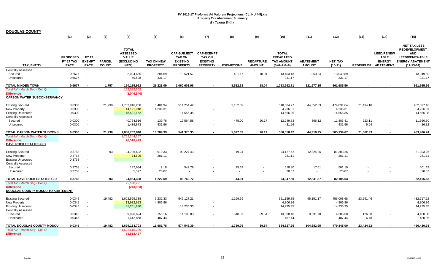| <b>DOUGLAS COUNTY</b>                                                                          |                                             |                                              |                               |                                                                              |                                      |                                                                           |                                                                          |                   |                                   |                                                                        |                                   |                                     |                |                                                                          |                                                                                                                               |
|------------------------------------------------------------------------------------------------|---------------------------------------------|----------------------------------------------|-------------------------------|------------------------------------------------------------------------------|--------------------------------------|---------------------------------------------------------------------------|--------------------------------------------------------------------------|-------------------|-----------------------------------|------------------------------------------------------------------------|-----------------------------------|-------------------------------------|----------------|--------------------------------------------------------------------------|-------------------------------------------------------------------------------------------------------------------------------|
|                                                                                                | (1)                                         | (2)                                          | (3)                           | (4)                                                                          | (5)                                  | (6)                                                                       | (7)                                                                      | (8)               | (9)                               | (10)                                                                   | (11)                              | (12)                                | (13)           | (14)                                                                     | (15)                                                                                                                          |
| <b>TAX ENTITY</b>                                                                              | <b>PROPOSED</b><br>FY 17 TAX<br><b>RATE</b> | <b>FY 17</b><br><b>EXEMPT</b><br><b>RATE</b> | <b>PARCEL</b><br><b>COUNT</b> | <b>TOTAL</b><br><b>ASSESSED</b><br><b>VALUE</b><br><b>(EXCLUDING</b><br>NPM) | <b>TAX ON NEW</b><br><b>PROPERTY</b> | <b>CAP-SUBJECT</b><br><b>TAX ON</b><br><b>EXISTING</b><br><b>PROPERTY</b> | <b>CAP-EXEMPT</b><br><b>TAX ON</b><br><b>EXISTING</b><br><b>PROPERTY</b> | <b>EXEMPTIONS</b> | <b>RECAPTURE</b><br><b>AMOUNT</b> | <b>TOTAL</b><br><b>PREABATED</b><br><b>TAX AMOUNT</b><br>$(5+6+7-8+9)$ | <b>ABATEMENT</b><br><b>AMOUNT</b> | <b>NET TAX</b><br>$(10-11)$         |                | <b>LEED/RENEW</b><br><b>ABLE</b><br><b>ENERGY</b><br>REDEVELOP ABATEMENT | <b>NET TAX LESS</b><br><b>REDEVELOPMENT</b><br><b>AND</b><br><b>LEED/RENEWABLE</b><br><b>ENERGY ABATEMENT</b><br>$(12-13-14)$ |
| <b>Centrally Assessed</b>                                                                      |                                             |                                              |                               |                                                                              |                                      |                                                                           |                                                                          |                   |                                   |                                                                        |                                   |                                     |                |                                                                          |                                                                                                                               |
| Secured<br>Unsecured                                                                           | 0.6677<br>0.6677                            | $\sim$<br>$\sim$                             |                               | 2,004,655<br>49,598                                                          | 284.69<br>331.17                     | 13,521.57                                                                 | $\sim$                                                                   | 421.17            | 18.04<br>$\sim$                   | 13,403.13<br>331.17                                                    | 353.24<br>$\blacksquare$          | 13,049.89<br>331.17                 |                |                                                                          | 13,049.89<br>331.17                                                                                                           |
| <b>TOTAL MINDEN TOWN</b>                                                                       | 0.6677                                      |                                              | 1,757                         | 160,185,962                                                                  | 26,223.09                            | 1,060,603.96                                                              | $\overline{\phantom{a}}$                                                 | 3,582.38          | 18.04                             | 1,083,262.71                                                           | 121,577.15                        | 961,685.56                          |                |                                                                          | 961,685.56                                                                                                                    |
| Total AV - March Seq - Col. Q<br><b>Difference</b><br><b>CARSON WATER SUBCONSERVANCY</b>       |                                             |                                              |                               | 162,232,502<br>(2,046,540)                                                   |                                      |                                                                           |                                                                          |                   |                                   |                                                                        |                                   |                                     |                |                                                                          |                                                                                                                               |
| <b>Existing Secured</b><br>New Property<br><b>Existing Unsecured</b>                           | 0.0300<br>0.0300<br>0.0300                  | $\sim$<br>$\sim$                             | 21,230                        | 1,733,916,250<br>14,121,048<br>48,521,152                                    | 5,481.94<br>4,236.31                 | 514,254.42<br>14,556.35                                                   | $\blacksquare$                                                           | 1,152.09          |                                   | 518,584.27<br>4,236.31<br>14,556.35                                    | 44,552.63                         | 474,031.64<br>4,236.31<br>14,556.35 | 21,434.18      |                                                                          | 452,597.46<br>4,236.31<br>14,556.35                                                                                           |
| <b>Centrally Assessed</b><br>Secured                                                           | 0.0300                                      | $\sim$                                       |                               | 40,764,516                                                                   | 139.78                               | 12,564.58                                                                 | $\blacksquare$                                                           | 475.00            | 20.17                             | 12,249.53                                                              | 366.12                            | 11,883.41                           | 223.11         |                                                                          | 11,660.30                                                                                                                     |
| Unsecured                                                                                      | 0.0300                                      | $\sim$                                       |                               | 1,439,873                                                                    | 431.96                               |                                                                           | $\overline{\phantom{a}}$                                                 |                   | $\sim$                            | 431.96                                                                 | $\blacksquare$                    | 431.96                              | 5.64           |                                                                          | 426.32                                                                                                                        |
| <b>TOTAL CARSON WATER SUBCONS</b>                                                              | 0.0300                                      | $\overline{\phantom{a}}$                     | 21,230                        | 1,838,762,840                                                                | 10,289.99                            | 541,375.35                                                                | $\blacksquare$                                                           | 1,627.09          | 20.17                             | 550,058.42                                                             | 44,918.75                         | 505,139.67                          | 21,662.93      | $\blacksquare$                                                           | 483,476.74                                                                                                                    |
| Total AV - March Seg - Col. Q<br><b>Difference</b><br><b>CAVE ROCK ESTATES GID</b>             |                                             |                                              |                               | 1,762,244,367<br>76,518,473                                                  |                                      |                                                                           |                                                                          |                   |                                   |                                                                        |                                   |                                     |                |                                                                          |                                                                                                                               |
| <b>Existing Secured</b>                                                                        | 0.3768                                      |                                              | 93                            | 24,736,692                                                                   | 919.33                               | 93,227.43                                                                 |                                                                          | 19.24             |                                   | 94,127.52                                                              | 12,824.26                         | 81,303.26                           |                |                                                                          | 81,303.26                                                                                                                     |
| New Property                                                                                   | 0.3768                                      | $\blacksquare$                               |                               | 74,605                                                                       | 281.11                               |                                                                           |                                                                          |                   |                                   | 281.11                                                                 |                                   | 281.11                              |                |                                                                          | 281.11                                                                                                                        |
| <b>Existing Unsecured</b><br><b>Centrally Assessed</b>                                         | 0.3768                                      | $\sim$                                       |                               | $\sim$                                                                       |                                      |                                                                           |                                                                          |                   |                                   | $\sim$                                                                 |                                   | $\sim$                              |                |                                                                          | $\sim$                                                                                                                        |
| Secured                                                                                        | 0.3768                                      | $\sim$                                       |                               | 137,684                                                                      | 2.18                                 | 542.29                                                                    | $\overline{\phantom{a}}$                                                 | 25.67             | $\overline{\phantom{a}}$          | 518.80                                                                 | 17.61                             | 501.19                              |                |                                                                          | 501.19                                                                                                                        |
| Unsecured                                                                                      | 0.3768                                      | $\sim$                                       |                               | 5,327                                                                        | 20.07                                |                                                                           |                                                                          | $\sim$            | $\sim$                            | 20.07                                                                  | $\blacksquare$                    | 20.07                               |                |                                                                          | 20.07                                                                                                                         |
| TOTAL CAVE ROCK ESTATES GID                                                                    | 0.3768                                      | $\blacksquare$                               | 93                            | 24,954,308                                                                   | 1,222.69                             | 93,769.72                                                                 | $\overline{\phantom{a}}$                                                 | 44.91             | $\overline{\phantom{a}}$          | 94,947.50                                                              | 12,841.87                         | 82,105.63                           | $\blacksquare$ |                                                                          | 82,105.63                                                                                                                     |
| Total AV - March Seg - Col. Q<br><b>Difference</b><br><b>DOUGLAS COUNTY MOSQUITO ABATEMENT</b> |                                             |                                              |                               | 25,198,291<br>(243, 983)                                                     |                                      |                                                                           |                                                                          |                   |                                   |                                                                        |                                   |                                     |                |                                                                          |                                                                                                                               |
| <b>Existing Secured</b>                                                                        | 0.0345                                      |                                              | 19,482                        | 1,602,529,338                                                                | 6,232.33                             | 546,127.21                                                                |                                                                          | 1,199.69          |                                   | 551,159.85                                                             | 95,151.17                         | 456,008.68                          | 23,291.46      |                                                                          | 432,717.22                                                                                                                    |
| <b>New Property</b>                                                                            | 0.0345                                      | $\sim$                                       |                               | 13,932,923                                                                   | 4,806.86                             |                                                                           |                                                                          |                   |                                   | 4,806.86                                                               |                                   | 4,806.86                            |                |                                                                          | 4,806.86                                                                                                                      |
| <b>Existing Unsecured</b><br><b>Centrally Assessed</b>                                         | 0.0345                                      | $\sim$                                       |                               | 41,261,880                                                                   |                                      | 14,235.35                                                                 | $\blacksquare$                                                           |                   |                                   | 14,235.35                                                              |                                   | 14,235.35                           |                |                                                                          | 14,235.35                                                                                                                     |
| Secured                                                                                        | 0.0345                                      | $\sim$                                       |                               | 39,996,694                                                                   | 155.16                               | 14,183.83                                                                 | $\sim$                                                                   | 540.07            | 39.54                             | 13,838.46                                                              | 9,531.78                          | 4,306.68                            | 126.68         |                                                                          | 4,180.00                                                                                                                      |
| Unsecured                                                                                      | 0.0345                                      | $\sim$                                       |                               | 1,412,868                                                                    | 487.44                               |                                                                           | $\sim$                                                                   | $\sim$            | $\sim$                            | 487.44                                                                 | $\sim$                            | 487.44                              | 6.48           | $\overline{\phantom{a}}$                                                 | 480.96                                                                                                                        |
| TOTAL DOUGLAS COUNTY MOSQU                                                                     | 0.0345                                      | $\overline{\phantom{a}}$                     | 19,482                        | 1,699,133,703                                                                | 11,681.78                            | 574,546.39                                                                | $\overline{\phantom{a}}$                                                 | 1,739.76          | 39.54                             | 584,527.95                                                             | 104,682.95                        | 479,845.00                          | 23,424.62      |                                                                          | 456,420.38                                                                                                                    |
| Total AV - March Seg - Col. Q                                                                  |                                             |                                              |                               | 1,622,615,236                                                                |                                      |                                                                           |                                                                          |                   |                                   |                                                                        |                                   |                                     |                |                                                                          |                                                                                                                               |
| <b>Difference</b>                                                                              |                                             |                                              |                               | 76,518,467                                                                   |                                      |                                                                           |                                                                          |                   |                                   |                                                                        |                                   |                                     |                |                                                                          |                                                                                                                               |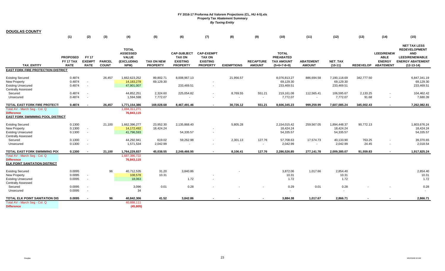| <b>DOUGLAS COUNTY</b>                                                                                    |                                             |                                              |                               |                                                                       |                                      |                                                                           |                                                                          |                   |                                   |                                                                        |                                   |                                         |            |                                                                          |                                                                                                                               |
|----------------------------------------------------------------------------------------------------------|---------------------------------------------|----------------------------------------------|-------------------------------|-----------------------------------------------------------------------|--------------------------------------|---------------------------------------------------------------------------|--------------------------------------------------------------------------|-------------------|-----------------------------------|------------------------------------------------------------------------|-----------------------------------|-----------------------------------------|------------|--------------------------------------------------------------------------|-------------------------------------------------------------------------------------------------------------------------------|
|                                                                                                          | (1)                                         | (2)                                          | (3)                           | (4)                                                                   | (5)                                  | (6)                                                                       | (7)                                                                      | (8)               | (9)                               | (10)                                                                   | (11)                              | (12)                                    | (13)       | (14)                                                                     | (15)                                                                                                                          |
| <b>TAX ENTITY</b>                                                                                        | <b>PROPOSED</b><br>FY 17 TAX<br><b>RATE</b> | <b>FY 17</b><br><b>EXEMPT</b><br><b>RATE</b> | <b>PARCEL</b><br><b>COUNT</b> | <b>TOTAL</b><br><b>ASSESSED</b><br><b>VALUE</b><br>(EXCLUDING<br>NPM) | <b>TAX ON NEW</b><br><b>PROPERTY</b> | <b>CAP-SUBJECT</b><br><b>TAX ON</b><br><b>EXISTING</b><br><b>PROPERTY</b> | <b>CAP-EXEMPT</b><br><b>TAX ON</b><br><b>EXISTING</b><br><b>PROPERTY</b> | <b>EXEMPTIONS</b> | <b>RECAPTURE</b><br><b>AMOUNT</b> | <b>TOTAL</b><br><b>PREABATED</b><br><b>TAX AMOUNT</b><br>$(5+6+7-8+9)$ | <b>ABATEMENT</b><br><b>AMOUNT</b> | <b>NET TAX</b><br>$(10-11)$             |            | <b>LEED/RENEW</b><br><b>ABLE</b><br><b>ENERGY</b><br>REDEVELOP ABATEMENT | <b>NET TAX LESS</b><br><b>REDEVELOPMENT</b><br><b>AND</b><br><b>LEED/RENEWABLE</b><br><b>ENERGY ABATEMENT</b><br>$(12-13-14)$ |
| <b>EAST FORK FIRE PROTECTION DISTRICT</b>                                                                |                                             |                                              |                               |                                                                       |                                      |                                                                           |                                                                          |                   |                                   |                                                                        |                                   |                                         |            |                                                                          |                                                                                                                               |
| <b>Existing Secured</b><br><b>New Property</b><br><b>Existing Unsecured</b><br><b>Centrally Assessed</b> | 0.4874<br>0.4874<br>0.4874                  | $\sim$<br>$\sim$                             | 26,457                        | 1,662,623,252<br>14,183,278<br>47,901,007                             | 89,802.71<br>69,129.30               | 8,008,967.13<br>233,469.51                                                | $\sim$                                                                   | 21,956.57         |                                   | 8,076,813.27<br>69,129.30<br>233,469.51                                | 886,694.58                        | 7,190,118.69<br>69,129.30<br>233,469.51 | 342,777.50 |                                                                          | 6,847,341.19<br>69,129.30<br>233,469.51                                                                                       |
| Secured                                                                                                  | 0.4874                                      | $\sim$                                       |                               | 44,852,251                                                            | 2,324.60                             | 225,054.82                                                                | $\sim$                                                                   | 8,769.55          | 551.21                            | 219,161.08                                                             | 112,565.41                        | 106,595.67                              | 2,133.25   | $\sim$                                                                   | 104,462.42                                                                                                                    |
| Unsecured                                                                                                | 0.4874                                      | $\overline{\phantom{a}}$                     |                               | 1,594,598                                                             | 7,772.07                             |                                                                           | $\blacksquare$                                                           | $\sim$            | $\sim$                            | 7,772.07                                                               | $\overline{\phantom{a}}$          | 7,772.07                                | 91.68      | $\sim$                                                                   | 7,680.39                                                                                                                      |
| <b>TOTAL EAST FORK FIRE PROTECTI</b>                                                                     | 0.4874                                      | $\overline{\phantom{a}}$                     | 26,457                        | 1,771,154,386                                                         | 169,028.68                           | 8,467,491.46                                                              | $\blacksquare$                                                           | 30,726.12         | 551.21                            | 8,606,345.23                                                           | 999,259.99                        | 7,607,085.24                            | 345,002.43 | $\sim$                                                                   | 7,262,082.81                                                                                                                  |
| Total AV - March Seg - Col. Q<br><b>Difference</b><br><b>EAST FORK SWIMMING POOL DISTRICT</b>            |                                             |                                              |                               | 1,694,311,271<br>76,843,115                                           |                                      |                                                                           |                                                                          |                   |                                   |                                                                        |                                   |                                         |            |                                                                          |                                                                                                                               |
| <b>Existing Secured</b><br><b>New Property</b><br><b>Existing Unsecured</b><br><b>Centrally Assessed</b> | 0.1300<br>0.1300<br>0.1300                  | $\sim$<br>$\sim$                             | 21,100                        | 1,662,396,277<br>14.172.492<br>41,796,593                             | 23,952.30<br>18,424.24               | 2,135,868.40<br>54,335.57                                                 | $\overline{\phantom{a}}$<br>$\overline{\phantom{a}}$                     | 5,805.28          |                                   | 2,154,015.42<br>18,424.24<br>54,335.57                                 | 259,567.05                        | 1,894,448.37<br>18,424.24<br>54,335.57  | 90,772.13  |                                                                          | 1,803,676.24<br>18,424.24<br>54,335.57                                                                                        |
| Secured                                                                                                  | 0.1300                                      | $\overline{\phantom{a}}$                     |                               | 44,292,941                                                            | 619.02                               | 59,262.98                                                                 | $\sim$                                                                   | 2,301.13          | 127.76                            | 57,708.63                                                              | 17,574.73                         | 40,133.90                               | 763.25     | $\sim$                                                                   | 39,370.65                                                                                                                     |
| Unsecured                                                                                                | 0.1300                                      | $\sim$                                       |                               | 1,571,534                                                             | 2,042.99                             |                                                                           | $\overline{\phantom{a}}$                                                 |                   | $\sim$                            | 2,042.99                                                               | $\sim$                            | 2,042.99                                | 24.45      | $\overline{\phantom{a}}$                                                 | 2,018.54                                                                                                                      |
| TOTAL EAST FORK SWIMMING PO(                                                                             | 0.1300                                      | $\overline{\phantom{a}}$                     | 21,100                        | 1,764,229,837                                                         | 45,038.55                            | 2,249,466.95                                                              |                                                                          | 8,106.41          | 127.76                            | 2,286,526.85                                                           | 277,141.78                        | 2,009,385.07                            | 91,559.83  |                                                                          | 1,917,825.24                                                                                                                  |
| Total AV - March Seg - Col. Q<br><b>Difference</b><br>ELK POINT SANITATION DISTRICT                      |                                             |                                              |                               | 1,687,386,722<br>76,843,115                                           |                                      |                                                                           |                                                                          |                   |                                   |                                                                        |                                   |                                         |            |                                                                          |                                                                                                                               |
| <b>Existing Secured</b><br>New Property<br><b>Existing Unsecured</b>                                     | 0.0095<br>0.0095<br>0.0095                  | $\sim$<br>$\sim$                             | 96                            | 40,712,535<br>108,578<br>18,063                                       | 31.20<br>10.31                       | 3,840.86<br>1.72                                                          | $\overline{\phantom{a}}$                                                 |                   |                                   | 3,872.06<br>10.31<br>1.72                                              | 1,017.66                          | 2,854.40<br>10.31<br>1.72               |            |                                                                          | 2,854.40<br>10.31<br>1.72                                                                                                     |
| <b>Centrally Assessed</b><br>Secured<br>Unsecured                                                        | 0.0095<br>0.0095                            | $\sim$<br>$\sim$                             |                               | 3,096<br>34                                                           | 0.01                                 | 0.28                                                                      |                                                                          |                   |                                   | 0.29                                                                   | 0.01                              | 0.28<br>$\sim$                          |            |                                                                          | 0.28                                                                                                                          |
| TOTAL ELK POINT SANITATION DIS<br>Total AV - March Seq - Col. Q<br><b>Difference</b>                     | 0.0095                                      | $\overline{\phantom{a}}$                     | 96                            | 40,842,306<br>40.888.111<br>(45, 805)                                 | 41.52                                | 3,842.86                                                                  |                                                                          |                   |                                   | 3,884.38                                                               | 1,017.67                          | 2,866.71                                |            |                                                                          | 2,866.71                                                                                                                      |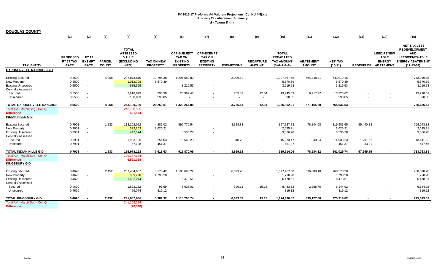| <b>DOUGLAS COUNTY</b>                                                                                    |                                                    |                                              |                               |                                                                       |                                      |                                                                           |                                                                          |                   |                                   |                                                                        |                                   |                                    |                          |                                                                          |                                                                                                                               |
|----------------------------------------------------------------------------------------------------------|----------------------------------------------------|----------------------------------------------|-------------------------------|-----------------------------------------------------------------------|--------------------------------------|---------------------------------------------------------------------------|--------------------------------------------------------------------------|-------------------|-----------------------------------|------------------------------------------------------------------------|-----------------------------------|------------------------------------|--------------------------|--------------------------------------------------------------------------|-------------------------------------------------------------------------------------------------------------------------------|
|                                                                                                          | (1)                                                | (2)                                          | (3)                           | (4)                                                                   | (5)                                  | (6)                                                                       | (7)                                                                      | (8)               | (9)                               | (10)                                                                   | (11)                              | (12)                               | (13)                     | (14)                                                                     | (15)                                                                                                                          |
| <b>TAX ENTITY</b>                                                                                        | <b>PROPOSED</b><br><b>FY 17 TAX</b><br><b>RATE</b> | <b>FY 17</b><br><b>EXEMPT</b><br><b>RATE</b> | <b>PARCEL</b><br><b>COUNT</b> | <b>TOTAL</b><br><b>ASSESSED</b><br><b>VALUE</b><br>(EXCLUDING<br>NPM) | <b>TAX ON NEW</b><br><b>PROPERTY</b> | <b>CAP-SUBJECT</b><br><b>TAX ON</b><br><b>EXISTING</b><br><b>PROPERTY</b> | <b>CAP-EXEMPT</b><br><b>TAX ON</b><br><b>EXISTING</b><br><b>PROPERTY</b> | <b>EXEMPTIONS</b> | <b>RECAPTURE</b><br><b>AMOUNT</b> | <b>TOTAL</b><br><b>PREABATED</b><br><b>TAX AMOUNT</b><br>$(5+6+7-8+9)$ | <b>ABATEMENT</b><br><b>AMOUNT</b> | <b>NET TAX</b><br>$(10-11)$        |                          | <b>LEED/RENEW</b><br><b>ABLE</b><br><b>ENERGY</b><br>REDEVELOP ABATEMENT | <b>NET TAX LESS</b><br><b>REDEVELOPMENT</b><br><b>AND</b><br><b>LEED/RENEWABLE</b><br><b>ENERGY ABATEMENT</b><br>$(12-13-14)$ |
| <b>GARDNERVILLE RANCHOS GID</b>                                                                          |                                                    |                                              |                               |                                                                       |                                      |                                                                           |                                                                          |                   |                                   |                                                                        |                                   |                                    |                          |                                                                          |                                                                                                                               |
| <b>Existing Secured</b><br><b>New Property</b><br><b>Existing Unsecured</b><br><b>Centrally Assessed</b> | 0.5500<br>0.5500<br>0.5500                         | $\sim$<br>$\sim$                             | 4,068                         | 237,873,810<br>1,012,798<br>585,369                                   | 13,794.38<br>5,570.39                | 1,296,682.80<br>3,219.53                                                  | $\overline{\phantom{a}}$                                                 | 3,009.62          |                                   | 1,307,467.56<br>5,570.39<br>3,219.53                                   | 564,448.41                        | 743,019.15<br>5,570.39<br>3,219.53 |                          |                                                                          | 743,019.15<br>5,570.39<br>3,219.53                                                                                            |
| Secured                                                                                                  | 0.5500                                             | $\sim$                                       |                               | 3,618,879                                                             | 296.90                               | 20,362.47                                                                 | $\sim$                                                                   | 755.52            | 42.04                             | 19,945.89                                                              | 6,717.27                          | 13,228.62                          |                          |                                                                          | 13,228.62                                                                                                                     |
| Unsecured                                                                                                | 0.5500                                             | $\sim$                                       |                               | 108,883                                                               | 598.85                               |                                                                           | ۰                                                                        | $\sim$            | $\sim$                            | 598.85                                                                 | $\sim$                            | 598.85                             |                          |                                                                          | 598.85                                                                                                                        |
| <b>TOTAL GARDNERVILLE RANCHOS</b>                                                                        | 0.5500                                             | $\overline{\phantom{a}}$                     | 4,068                         | 243,199,739                                                           | 20.260.51                            | 1,320,264.80                                                              | $\sim$                                                                   | 3,765.14          | 42.04                             | 1,336,802.21                                                           | 571,165.68                        | 765,636.53                         | $\overline{\phantom{a}}$ |                                                                          | 765,636.53                                                                                                                    |
| Total AV - March Seg - Col. Q<br><b>Difference</b><br><b>INDIAN HILLS GID</b>                            |                                                    |                                              |                               | 242,798,565<br>401,174                                                |                                      |                                                                           |                                                                          |                   |                                   |                                                                        |                                   |                                    |                          |                                                                          |                                                                                                                               |
| <b>Existing Secured</b><br><b>New Property</b><br><b>Existing Unsecured</b><br><b>Centrally Assessed</b> | 0.7901<br>0.7901<br>0.7901                         | $\sim$<br>$\sim$                             | 1,833                         | 113,208,092<br>332,263<br>447,574                                     | 4,286.02<br>2,625.21                 | 896,770.54<br>3,536.28                                                    | $\overline{\phantom{a}}$<br>$\overline{\phantom{a}}$                     | 3,328.83          |                                   | 897,727.73<br>2,625.21<br>3,536.28                                     | 78,244.08                         | 819,483.65<br>2,625.21<br>3,536.28 | 55,440.33                |                                                                          | 764,043.32<br>2,625.21<br>3,536.28                                                                                            |
| Secured                                                                                                  | 0.7901                                             | $\sim$                                       |                               | 1,933,106                                                             | 251.03                               | 15,563.23                                                                 | $\sim$                                                                   | 540.79            | $\sim$                            | 15,273.47                                                              | 340.24                            | 14,933.23                          | 1,791.61                 | ٠                                                                        | 13,141.62                                                                                                                     |
| Unsecured                                                                                                | 0.7901                                             | $\sim$                                       |                               | 57,128                                                                | 451.37                               | $\overline{\phantom{a}}$                                                  |                                                                          |                   |                                   | 451.37                                                                 | $\overline{\phantom{a}}$          | 451.37                             | 33.91                    | $\sim$                                                                   | 417.46                                                                                                                        |
| <b>TOTAL INDIAN HILLS GID</b>                                                                            | 0.7901                                             |                                              | 1,833                         | 115,978,162                                                           | 7,613.63                             | 915,870.05                                                                | $\sim$                                                                   | 3,869.62          | $\overline{\phantom{a}}$          | 919,614.06                                                             | 78,584.32                         | 841,029.74                         | 57,265.85                | $\overline{a}$                                                           | 783,763.89                                                                                                                    |
| Total AV - March Seq - Col. Q<br><b>Difference</b><br><b>KINGSBURY GID</b>                               |                                                    |                                              |                               | 109,387,134<br>6,591,028                                              |                                      |                                                                           |                                                                          |                   |                                   |                                                                        |                                   |                                    |                          |                                                                          |                                                                                                                               |
| <b>Existing Secured</b><br><b>New Property</b><br><b>Existing Unsecured</b><br><b>Centrally Assessed</b> | 0.4620<br>0.4620<br>0.4620                         | $\sim$<br>$\sim$                             | 2,452                         | 237,404,887<br>389,220<br>1,402,274                                   | 3,170.42<br>1,798.20                 | 1,100,690.22<br>6,478.51                                                  | $\overline{\phantom{a}}$                                                 | 6.393.26          |                                   | 1,097,467.38<br>1,798.20<br>6,478.51                                   | 336,889.10                        | 760,578.28<br>1,798.20<br>6,478.51 |                          |                                                                          | 760,578.28<br>1,798.20<br>6,478.51                                                                                            |
| Secured<br>Unsecured                                                                                     | 0.4620<br>0.4620                                   | $\sim$<br>$\sim$                             |                               | 1,822,182<br>69,074                                                   | 93.59<br>319.12                      | 8,625.01<br>$\sim$                                                        | $\blacksquare$<br>$\sim$                                                 | 300.11<br>$\sim$  | 15.13<br>$\sim$                   | 8,433.62<br>319.12                                                     | 2,288.70<br>$\sim$                | 6,144.92<br>319.12                 |                          |                                                                          | 6,144.92<br>319.12                                                                                                            |
| <b>TOTAL KINGSBURY GID</b>                                                                               | 0.4620                                             |                                              | 2.452                         | 241,087,636                                                           | 5.381.32                             | 1,115,793.74                                                              | $\sim$                                                                   | 6.693.37          | 15.13                             | 1,114,496.82                                                           | 339,177.80                        | 775,319.02                         | $\overline{\phantom{a}}$ |                                                                          | 775,319.02                                                                                                                    |
| Total AV - March Seg - Col. Q<br><b>Difference</b>                                                       |                                                    |                                              |                               | 241, 158, 184<br>(70, 548)                                            |                                      |                                                                           |                                                                          |                   |                                   |                                                                        |                                   |                                    |                          |                                                                          |                                                                                                                               |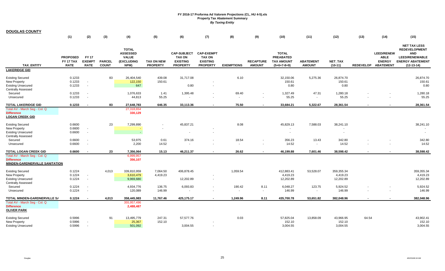| <b>DOUGLAS COUNTY</b>                                                                                    |                                             |                                              |                               |                                                                       |                                      |                                                                           |                                                                          |                   |                                   |                                                                        |                                   |                                     |       |                                                                          |                                                                                                                               |
|----------------------------------------------------------------------------------------------------------|---------------------------------------------|----------------------------------------------|-------------------------------|-----------------------------------------------------------------------|--------------------------------------|---------------------------------------------------------------------------|--------------------------------------------------------------------------|-------------------|-----------------------------------|------------------------------------------------------------------------|-----------------------------------|-------------------------------------|-------|--------------------------------------------------------------------------|-------------------------------------------------------------------------------------------------------------------------------|
|                                                                                                          | (1)                                         | (2)                                          | (3)                           | (4)                                                                   | (5)                                  | (6)                                                                       | (7)                                                                      | (8)               | (9)                               | (10)                                                                   | (11)                              | (12)                                | (13)  | (14)                                                                     | (15)                                                                                                                          |
| <b>TAX ENTITY</b>                                                                                        | <b>PROPOSED</b><br>FY 17 TAX<br><b>RATE</b> | <b>FY 17</b><br><b>EXEMPT</b><br><b>RATE</b> | <b>PARCEL</b><br><b>COUNT</b> | <b>TOTAL</b><br><b>ASSESSED</b><br><b>VALUE</b><br>(EXCLUDING<br>NPM) | <b>TAX ON NEW</b><br><b>PROPERTY</b> | <b>CAP-SUBJECT</b><br><b>TAX ON</b><br><b>EXISTING</b><br><b>PROPERTY</b> | <b>CAP-EXEMPT</b><br><b>TAX ON</b><br><b>EXISTING</b><br><b>PROPERTY</b> | <b>EXEMPTIONS</b> | <b>RECAPTURE</b><br><b>AMOUNT</b> | <b>TOTAL</b><br><b>PREABATED</b><br><b>TAX AMOUNT</b><br>$(5+6+7-8+9)$ | <b>ABATEMENT</b><br><b>AMOUNT</b> | <b>NET TAX</b><br>$(10-11)$         |       | <b>LEED/RENEW</b><br><b>ABLE</b><br><b>ENERGY</b><br>REDEVELOP ABATEMENT | <b>NET TAX LESS</b><br><b>REDEVELOPMENT</b><br><b>AND</b><br><b>LEED/RENEWABLE</b><br><b>ENERGY ABATEMENT</b><br>$(12-13-14)$ |
| <b>LAKERIDGE GID</b>                                                                                     |                                             |                                              |                               |                                                                       |                                      |                                                                           |                                                                          |                   |                                   |                                                                        |                                   |                                     |       |                                                                          |                                                                                                                               |
| <b>Existing Secured</b><br>New Property<br><b>Existing Unsecured</b><br><b>Centrally Assessed</b>        | 0.1233<br>0.1233<br>0.1233                  | $\sim$<br>$\sim$                             | 83                            | 26,404,540<br>122,150<br>647                                          | 439.08<br>150.61                     | 31,717.08<br>0.80                                                         |                                                                          | 6.10              |                                   | 32,150.06<br>150.61<br>0.80                                            | 5,275.36                          | 26,874.70<br>150.61<br>0.80         |       |                                                                          | 26,874.70<br>150.61<br>0.80                                                                                                   |
| Secured                                                                                                  | 0.1233                                      |                                              |                               | 1,076,633                                                             | 1.41                                 | 1,395.48                                                                  | $\blacksquare$                                                           | 69.40             | $\blacksquare$                    | 1,327.49                                                               | 47.31                             | 1,280.18                            |       |                                                                          | 1,280.18                                                                                                                      |
| Unsecured                                                                                                | 0.1233                                      | $\sim$                                       |                               | 44,813                                                                | 55.25                                | $\sim$                                                                    |                                                                          | $\sim$            | $\sim$                            | 55.25                                                                  | $\sim$                            | 55.25                               |       | $\overline{\phantom{a}}$                                                 | 55.25                                                                                                                         |
| <b>TOTAL LAKERIDGE GID</b>                                                                               | 0.1233                                      |                                              | 83                            | 27,648,783                                                            | 646.35                               | 33,113.36                                                                 |                                                                          | 75.50             |                                   | 33,684.21                                                              | 5,322.67                          | 28,361.54                           |       |                                                                          | 28,361.54                                                                                                                     |
| Total AV - March Seg - Col. Q<br><b>Difference</b><br><b>LOGAN CREEK GID</b>                             |                                             |                                              |                               | 27,318,654<br>330,129                                                 |                                      |                                                                           |                                                                          |                   |                                   |                                                                        |                                   |                                     |       |                                                                          |                                                                                                                               |
| <b>Existing Secured</b><br><b>New Property</b><br><b>Existing Unsecured</b>                              | 0.6600<br>0.6600<br>0.6600                  | $\sim$                                       | 23                            | 7,299,890                                                             |                                      | 45,837.21                                                                 | $\blacksquare$<br>$\overline{\phantom{a}}$                               | 8.08              |                                   | 45,829.13<br>$\sim$<br>$\overline{\phantom{a}}$                        | 7,588.03                          | 38,241.10                           |       |                                                                          | 38,241.10<br>$\sim$                                                                                                           |
| <b>Centrally Assessed</b><br>Secured<br>Unsecured                                                        | 0.6600<br>0.6600                            | $\sim$<br>$\sim$                             |                               | 53,975<br>2,200                                                       | 0.61<br>14.52                        | 374.16<br>$\sim$                                                          | $\blacksquare$                                                           | 18.54<br>$\sim$   | $\sim$                            | 356.23<br>14.52                                                        | 13.43<br>$\sim$                   | 342.80<br>14.52                     |       |                                                                          | 342.80<br>14.52                                                                                                               |
| <b>TOTAL LOGAN CREEK GID</b>                                                                             | 0.6600                                      |                                              | 23                            | 7,356,064                                                             | 15.13                                | 46,211.37                                                                 |                                                                          | 26.62             |                                   | 46,199.88                                                              | 7,601.46                          | 38,598.42                           |       |                                                                          | 38,598.42                                                                                                                     |
| Total AV - March Seg - Col. Q<br><b>Difference</b><br><b>MINDEN-GARDNERVILLE SANITATION</b>              |                                             |                                              |                               | 6,999,957<br>356,107                                                  |                                      |                                                                           |                                                                          |                   |                                   |                                                                        |                                   |                                     |       |                                                                          |                                                                                                                               |
| <b>Existing Secured</b><br><b>New Property</b><br><b>Existing Unsecured</b><br><b>Centrally Assessed</b> | 0.1224<br>0.1224<br>0.1224                  | $\sim$                                       | 4,013                         | 339,810,959<br>3,610,479<br>9,969,680                                 | 7,064.50<br>4,419.23                 | 406,878.45<br>12,202.89                                                   | $\blacksquare$                                                           | 1,059.54          |                                   | 412,883.41<br>4,419.23<br>12,202.89                                    | 53,528.07                         | 359,355.34<br>4,419.23<br>12,202.89 |       |                                                                          | 359,355.34<br>4,419.23<br>12,202.89                                                                                           |
| Secured<br>Unsecured                                                                                     | 0.1224<br>0.1224                            | $\sim$                                       |                               | 4,934,776<br>120,089                                                  | 136.75<br>146.99                     | 6,093.83<br>$\overline{\phantom{a}}$                                      |                                                                          | 190.42<br>$\sim$  | 8.11<br>$\sim$                    | 6,048.27<br>146.99                                                     | 123.75<br>$\sim$                  | 5,924.52<br>146.99                  |       |                                                                          | 5,924.52<br>146.99                                                                                                            |
| TOTAL MINDEN-GARDNERVILLE S/                                                                             | 0.1224                                      |                                              | 4,013                         | 358,445,983                                                           | 11,767.46                            | 425,175.17                                                                | $\blacksquare$                                                           | 1,249.96          | 8.11                              | 435,700.78                                                             | 53,651.82                         | 382,048.96                          |       |                                                                          | 382,048.96                                                                                                                    |
| Total AV - March Seg - Col. Q<br><b>Difference</b><br><b>OLIVER PARK</b>                                 |                                             |                                              |                               | 355,957,496<br>2,488,487                                              |                                      |                                                                           |                                                                          |                   |                                   |                                                                        |                                   |                                     |       |                                                                          |                                                                                                                               |
| <b>Existing Secured</b><br>New Property<br><b>Existing Unsecured</b>                                     | 0.5996<br>0.5996<br>0.5996                  |                                              | 91                            | 13,495,779<br>25,367<br>501,092                                       | 247.31<br>152.10                     | 57,577.76<br>3,004.55                                                     | $\sim$                                                                   | 0.03              |                                   | 57,825.04<br>152.10<br>3,004.55                                        | 13,858.09                         | 43,966.95<br>152.10<br>3,004.55     | 64.54 |                                                                          | 43,902.41<br>152.10<br>3,004.55                                                                                               |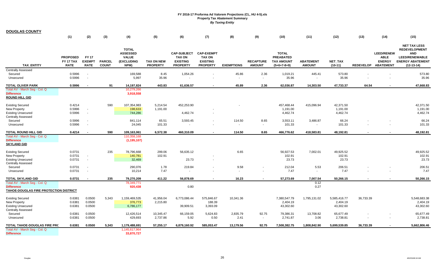| <b>DOUGLAS COUNTY</b>                                                                             |                                             |                                              |                               |                                                                              |                                      |                                                                           |                                                                          |                   |                                   |                                                                        |                                   |                                       |           |                                                                          |                                                                                                                               |
|---------------------------------------------------------------------------------------------------|---------------------------------------------|----------------------------------------------|-------------------------------|------------------------------------------------------------------------------|--------------------------------------|---------------------------------------------------------------------------|--------------------------------------------------------------------------|-------------------|-----------------------------------|------------------------------------------------------------------------|-----------------------------------|---------------------------------------|-----------|--------------------------------------------------------------------------|-------------------------------------------------------------------------------------------------------------------------------|
|                                                                                                   | (1)                                         | (2)                                          | (3)                           | (4)                                                                          | (5)                                  | (6)                                                                       | (7)                                                                      | (8)               | (9)                               | (10)                                                                   | (11)                              | (12)                                  | (13)      | (14)                                                                     | (15)                                                                                                                          |
| <b>TAX ENTITY</b>                                                                                 | <b>PROPOSED</b><br>FY 17 TAX<br><b>RATE</b> | <b>FY 17</b><br><b>EXEMPT</b><br><b>RATE</b> | <b>PARCEL</b><br><b>COUNT</b> | <b>TOTAL</b><br><b>ASSESSED</b><br><b>VALUE</b><br><b>(EXCLUDING</b><br>NPM) | <b>TAX ON NEW</b><br><b>PROPERTY</b> | <b>CAP-SUBJECT</b><br><b>TAX ON</b><br><b>EXISTING</b><br><b>PROPERTY</b> | <b>CAP-EXEMPT</b><br><b>TAX ON</b><br><b>EXISTING</b><br><b>PROPERTY</b> | <b>EXEMPTIONS</b> | <b>RECAPTURE</b><br><b>AMOUNT</b> | <b>TOTAL</b><br><b>PREABATED</b><br><b>TAX AMOUNT</b><br>$(5+6+7-8+9)$ | <b>ABATEMENT</b><br><b>AMOUNT</b> | <b>NET TAX</b><br>$(10-11)$           |           | <b>LEED/RENEW</b><br><b>ABLE</b><br><b>ENERGY</b><br>REDEVELOP ABATEMENT | <b>NET TAX LESS</b><br><b>REDEVELOPMENT</b><br><b>AND</b><br><b>LEED/RENEWABLE</b><br><b>ENERGY ABATEMENT</b><br>$(12-13-14)$ |
| <b>Centrally Assessed</b>                                                                         |                                             |                                              |                               |                                                                              |                                      |                                                                           |                                                                          |                   |                                   |                                                                        |                                   |                                       |           |                                                                          |                                                                                                                               |
| Secured<br>Unsecured                                                                              | 0.5996<br>0.5996                            | $\sim$<br>$\sim$                             |                               | 169,588<br>5,997                                                             | 8.45<br>35.96                        | 1,054.26                                                                  | $\blacksquare$                                                           | 45.86<br>$\sim$   | 2.36<br>$\sim$                    | 1,019.21<br>35.96                                                      | 445.41<br>$\blacksquare$          | 573.80<br>35.96                       |           |                                                                          | 573.80<br>35.96                                                                                                               |
| TOTAL OLIVER PARK                                                                                 | 0.5996                                      |                                              | 91                            | 14,197,824                                                                   | 443.83                               | 61.636.57                                                                 | $\overline{\phantom{0}}$                                                 | 45.89             | 2.36                              | 62.036.87                                                              | 14.303.50                         | 47,733.37                             | 64.54     |                                                                          | 47,668.83                                                                                                                     |
| Total AV - March Seg - Col. Q<br><b>Difference</b><br>ROUND HILL GID                              |                                             |                                              |                               | 10,279,266<br>3,918,558                                                      |                                      |                                                                           |                                                                          |                   |                                   |                                                                        |                                   |                                       |           |                                                                          |                                                                                                                               |
| <b>Existing Secured</b><br>New Property<br><b>Existing Unsecured</b><br><b>Centrally Assessed</b> | 0.4214<br>0.5996<br>0.5996                  | $\sim$<br>$\sim$                             | 590                           | 107,354,983<br>198,633<br>744,286                                            | 5,214.54<br>1,191.00                 | 452,253.90<br>4,462.74                                                    |                                                                          |                   |                                   | 457,468.44<br>1,191.00<br>4,462.74                                     | 415,096.94                        | 42,371.50<br>1,191.00<br>4,462.74     |           |                                                                          | 42,371.50<br>1,191.00<br>4,462.74                                                                                             |
| Secured                                                                                           | 0.5996                                      | $\sim$                                       |                               | 841,114                                                                      | 65.51                                | 3,593.45                                                                  | $\overline{\phantom{a}}$                                                 | 114.50            | 8.65                              | 3,553.11                                                               | 3,486.87                          | 66.24                                 |           |                                                                          | 66.24                                                                                                                         |
| Unsecured                                                                                         | 0.5996                                      | $\sim$                                       |                               | 24,045                                                                       | 101.33                               |                                                                           |                                                                          | $\sim$            | $\sim$                            | 101.33                                                                 | $\blacksquare$                    | 101.33                                |           |                                                                          | 101.33                                                                                                                        |
| TOTAL ROUND HILL GID                                                                              | 0.4214                                      | $\overline{\phantom{a}}$                     | 590                           | 109,163,061                                                                  | 6,572.38                             | 460,310.09                                                                | $\blacksquare$                                                           | 114.50            | 8.65                              | 466,776.62                                                             | 418,583.81                        | 48,192.81                             | $\sim$    |                                                                          | 48,192.81                                                                                                                     |
| Total AV - March Seg - Col. Q<br><b>Difference</b><br><b>SKYLAND GID</b>                          |                                             |                                              |                               | 110,358,168<br>(1, 195, 107)                                                 |                                      |                                                                           |                                                                          |                   |                                   |                                                                        |                                   |                                       |           |                                                                          |                                                                                                                               |
| <b>Existing Secured</b><br><b>New Property</b><br><b>Existing Unsecured</b>                       | 0.0731<br>0.0731<br>0.0731                  | $\sim$<br>$\sim$                             | 235                           | 78,796,668<br>140,781<br>32,469                                              | 299.06<br>102.91                     | 56,635.12<br>23.73                                                        | $\mathbf{r}$                                                             | 6.65              |                                   | 56,927.53<br>102.91<br>23.73                                           | 7,002.01                          | 49,925.52<br>102.91<br>23.73          |           |                                                                          | 49,925.52<br>102.91<br>23.73                                                                                                  |
| <b>Centrally Assessed</b><br>Secured                                                              | 0.0731                                      | $\sim$                                       |                               | 290,076                                                                      | 1.78                                 | 219.84                                                                    | $\blacksquare$                                                           | 9.58              | $\sim$                            | 212.04                                                                 | 5.53                              | 206.51                                |           |                                                                          | 206.51                                                                                                                        |
| Unsecured                                                                                         | 0.0731                                      | $\sim$                                       |                               | 10,214                                                                       | 7.47                                 |                                                                           |                                                                          | $\sim$            | $\sim$                            | 7.47                                                                   | $\omega$                          | 7.47                                  |           |                                                                          | 7.47                                                                                                                          |
| TOTAL SKYLAND GID                                                                                 | 0.0731                                      |                                              | 235                           | 79,270,209                                                                   | 411.22                               | 56,878.69                                                                 |                                                                          | 16.23             |                                   | 57,273.69                                                              | 7,007.54                          | 50.266.15                             |           |                                                                          | 50,266.15                                                                                                                     |
| Total AV - March Seg - Col. Q<br><b>Difference</b><br>TAHOE-DOUGLAS FIRE PROTECTION DISTRICT      |                                             |                                              |                               | 78,349,771<br>920,438                                                        |                                      | 0.80                                                                      |                                                                          |                   |                                   |                                                                        | 0.12<br>0.27                      |                                       |           |                                                                          |                                                                                                                               |
| <b>Existing Secured</b><br>New Property<br><b>Existing Unsecured</b><br><b>Centrally Assessed</b> | 0.6381<br>0.6381<br>0.6381                  | 0.0500<br>0.0500<br>0.0500                   | 5,343                         | 1,159,469,535<br>376,773<br>6,786,177                                        | 41,956.04<br>2,215.80                | 6,773,086.44<br>39,909.51                                                 | 575,846.67<br>188.39<br>3,393.09                                         | 10,341.36         |                                   | 7,380,547.79<br>2,404.19<br>43,302.60                                  | 1,795,131.02                      | 5,585,416.77<br>2,404.19<br>43,302.60 | 36,733.39 |                                                                          | 5,548,683.38<br>2,404.19<br>43,302.60                                                                                         |
| Secured<br>Unsecured                                                                              | 0.6381<br>0.6381                            | 0.0500<br>0.0500                             |                               | 12,426,514<br>429,693                                                        | 10,345.47<br>2,737.86                | 66,159.05<br>5.92                                                         | 5,624.83<br>0.50                                                         | 2,835.79<br>2.41  | 92.75<br>$\sim$                   | 79,386.31<br>2,741.87                                                  | 13,708.82<br>3.06                 | 65,677.49<br>2,738.81                 |           |                                                                          | 65,677.49<br>2,738.81                                                                                                         |
| TOTAL TAHOE-DOUGLAS FIRE PRC                                                                      | 0.6381                                      | 0.0500                                       | 5,343                         | 1,179,488,691                                                                | 57,255.17                            | 6,879,160.92                                                              | 585,053.47                                                               | 13,179.56         | 92.75                             | 7,508,382.75                                                           | 1,808,842.90                      | 5,699,539.85                          | 36,733.39 |                                                                          | 5,662,806.46                                                                                                                  |
| Total AV - March Seg - Col. Q<br><b>Difference</b>                                                |                                             |                                              |                               | 1,145,617,964<br>33,870,727                                                  |                                      |                                                                           |                                                                          |                   |                                   |                                                                        |                                   |                                       |           |                                                                          |                                                                                                                               |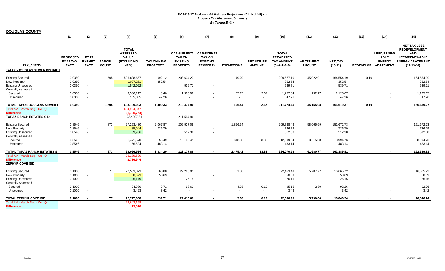| <b>DOUGLAS COUNTY</b>                                                                             |                                             |                                              |                               |                                                                              |                                      |                                                                           |                                                                          |                   |                                   |                                                                        |                                      |                                |                     |                                                   |                                                                                                                               |
|---------------------------------------------------------------------------------------------------|---------------------------------------------|----------------------------------------------|-------------------------------|------------------------------------------------------------------------------|--------------------------------------|---------------------------------------------------------------------------|--------------------------------------------------------------------------|-------------------|-----------------------------------|------------------------------------------------------------------------|--------------------------------------|--------------------------------|---------------------|---------------------------------------------------|-------------------------------------------------------------------------------------------------------------------------------|
|                                                                                                   | (1)                                         | (2)                                          | (3)                           | (4)                                                                          | (5)                                  | (6)                                                                       | (7)                                                                      | (8)               | (9)                               | (10)                                                                   | (11)                                 | (12)                           | (13)                | (14)                                              | (15)                                                                                                                          |
| <b>TAX ENTITY</b>                                                                                 | <b>PROPOSED</b><br>FY 17 TAX<br><b>RATE</b> | <b>FY 17</b><br><b>EXEMPT</b><br><b>RATE</b> | <b>PARCEL</b><br><b>COUNT</b> | <b>TOTAL</b><br><b>ASSESSED</b><br><b>VALUE</b><br><b>(EXCLUDING</b><br>NPM) | <b>TAX ON NEW</b><br><b>PROPERTY</b> | <b>CAP-SUBJECT</b><br><b>TAX ON</b><br><b>EXISTING</b><br><b>PROPERTY</b> | <b>CAP-EXEMPT</b><br><b>TAX ON</b><br><b>EXISTING</b><br><b>PROPERTY</b> | <b>EXEMPTIONS</b> | <b>RECAPTURE</b><br><b>AMOUNT</b> | <b>TOTAL</b><br><b>PREABATED</b><br><b>TAX AMOUNT</b><br>$(5+6+7-8+9)$ | <b>ABATEMENT</b><br><b>AMOUNT</b>    | <b>NET TAX</b><br>$(10-11)$    | REDEVELOP ABATEMENT | <b>LEED/RENEW</b><br><b>ABLE</b><br><b>ENERGY</b> | <b>NET TAX LESS</b><br><b>REDEVELOPMENT</b><br><b>AND</b><br><b>LEED/RENEWABLE</b><br><b>ENERGY ABATEMENT</b><br>$(12-13-14)$ |
| <b>TAHOE-DOUGLAS SEWER DISTRICT</b>                                                               |                                             |                                              |                               |                                                                              |                                      |                                                                           |                                                                          |                   |                                   |                                                                        |                                      |                                |                     |                                                   |                                                                                                                               |
| <b>Existing Secured</b><br>New Property<br><b>Existing Unsecured</b><br><b>Centrally Assessed</b> | 0.0350<br>0.0350<br>0.0350                  | $\sim$<br>$\sim$                             | 1,595                         | 596,838,657<br>1,007,261<br>1,542,022                                        | 992.12<br>352.54                     | 208,634.27<br>539.71                                                      | $\blacksquare$                                                           | 49.29             |                                   | 209,577.10<br>352.54<br>539.71                                         | 45,022.91                            | 164,554.19<br>352.54<br>539.71 | 0.10                |                                                   | 164,554.09<br>352.54<br>539.71                                                                                                |
| Secured                                                                                           | 0.0350                                      | $\sim$                                       |                               | 3,586,117                                                                    | 8.40                                 | 1,303.92                                                                  | $\blacksquare$                                                           | 57.15             | 2.67                              | 1,257.84                                                               | 132.17                               | 1,125.67                       |                     |                                                   | 1,125.67                                                                                                                      |
| Unsecured                                                                                         | 0.0350                                      | $\sim$                                       |                               | 135,035                                                                      | 47.26                                |                                                                           |                                                                          | $\sim$            | $\sim$                            | 47.26                                                                  | $\overline{\phantom{a}}$             | 47.26                          |                     |                                                   | 47.26                                                                                                                         |
| TOTAL TAHOE-DOUGLAS SEWER L                                                                       | 0.0350                                      | $\overline{\phantom{a}}$                     | 1,595                         | 603,109,093                                                                  | 1,400.33                             | 210,477.90                                                                | $\sim$                                                                   | 106.44            | 2.67                              | 211,774.45                                                             | 45,155.08                            | 166,619.37                     | 0.10                |                                                   | 166,619.27                                                                                                                    |
| Total AV - March Seg - Col. Q<br><b>Difference</b><br><b>TOPAZ RANCH ESTATES GID</b>              |                                             |                                              |                               | 604,904,847<br>(1,795,754)<br>232,907.81                                     |                                      | 211,594.96                                                                |                                                                          |                   |                                   |                                                                        |                                      |                                |                     |                                                   |                                                                                                                               |
| <b>Existing Secured</b><br>New Property<br><b>Existing Unsecured</b>                              | 0.8546<br>0.8546<br>0.8546                  | $\sim$<br>$\sim$                             | 873                           | 27,253,430<br>85,044<br>59,956                                               | 2,067.87<br>726.79                   | 209,527.09<br>512.38                                                      | $\overline{\phantom{a}}$                                                 | 1,856.54          |                                   | 209,738.42<br>726.79<br>512.38                                         | 58,065.69                            | 151,672.73<br>726.79<br>512.38 |                     |                                                   | 151,672.73<br>726.79<br>512.38                                                                                                |
| <b>Centrally Assessed</b><br>Secured<br>Unsecured                                                 | 0.8546<br>0.8546                            | $\sim$                                       |                               | 1,471,570<br>56,534                                                          | 56.49<br>483.14                      | 13,138.41                                                                 | $\sim$                                                                   | 618.88            | 33.82<br>$\sim$                   | 12,609.84<br>483.14                                                    | 3,615.08<br>$\overline{\phantom{a}}$ | 8,994.76<br>483.14             |                     |                                                   | 8,994.76<br>483.14                                                                                                            |
| TOTAL TOPAZ RANCH ESTATES GI                                                                      | 0.8546                                      |                                              | 873                           | 28,926,534                                                                   | 3,334.29                             | 223,177.88                                                                | $\sim$                                                                   | 2,475.42          | 33.82                             | 224,070.58                                                             | 61,680.77                            | 162,389.81                     |                     |                                                   | 162,389.81                                                                                                                    |
| Total AV - March Seg - Col. Q<br><b>Difference</b><br><b>ZEPHYR COVE GID</b>                      |                                             |                                              |                               | 26,189,590<br>2,736,944                                                      |                                      |                                                                           |                                                                          |                   |                                   |                                                                        |                                      |                                |                     |                                                   |                                                                                                                               |
| <b>Existing Secured</b><br>New Property<br><b>Existing Unsecured</b><br><b>Centrally Assessed</b> | 0.1000<br>0.1000<br>0.1000                  | $\sim$<br>$\sim$                             | 77                            | 22,533,823<br>58,693<br>26,149                                               | 168.88<br>58.69                      | 22,285.91<br>26.15                                                        | $\sim$                                                                   | 1.30              |                                   | 22,453.49<br>58.69<br>26.15                                            | 5,787.77                             | 16,665.72<br>58.69<br>26.15    |                     |                                                   | 16,665.72<br>58.69<br>26.15                                                                                                   |
| Secured<br>Unsecured                                                                              | 0.1000<br>0.1000                            | $\sim$<br>$\sim$                             |                               | 94,980<br>3,423                                                              | 0.71<br>3.42                         | 98.63<br>$\blacksquare$                                                   | $\sim$                                                                   | 4.38              | 0.19<br>$\sim$                    | 95.15<br>3.42                                                          | 2.89<br>$\sim$                       | 92.26<br>3.42                  |                     |                                                   | 92.26<br>3.42                                                                                                                 |
| <b>TOTAL ZEPHYR COVE GID</b>                                                                      | 0.1000                                      |                                              | 77                            | 22,717,068                                                                   | 231.71                               | 22,410.69                                                                 |                                                                          | 5.68              | 0.19                              | 22,636.90                                                              | 5,790.66                             | 16,846.24                      |                     |                                                   | 16,846.24                                                                                                                     |
| Total AV - March Seg - Col. Q<br><b>Difference</b>                                                |                                             |                                              |                               | 22,643,198<br>73,870                                                         |                                      |                                                                           |                                                                          |                   |                                   |                                                                        |                                      |                                |                     |                                                   |                                                                                                                               |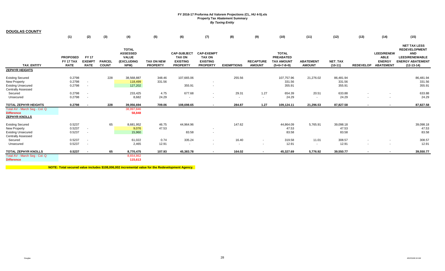| <b>DOUGLAS COUNTY</b>                                                                             | (1)                                         | (2)                                         | (3)                           | (4)                                                                   | (5)                                  | (6)                                                                       | (7)                                                                      | (8)               | (9)                               | (10)                                                                   | (11)                              | (12)                          | (13)             | (14)                                                                  | (15)                                                                                                                          |
|---------------------------------------------------------------------------------------------------|---------------------------------------------|---------------------------------------------|-------------------------------|-----------------------------------------------------------------------|--------------------------------------|---------------------------------------------------------------------------|--------------------------------------------------------------------------|-------------------|-----------------------------------|------------------------------------------------------------------------|-----------------------------------|-------------------------------|------------------|-----------------------------------------------------------------------|-------------------------------------------------------------------------------------------------------------------------------|
|                                                                                                   |                                             |                                             |                               |                                                                       |                                      |                                                                           |                                                                          |                   |                                   |                                                                        |                                   |                               |                  |                                                                       |                                                                                                                               |
| <b>TAX ENTITY</b>                                                                                 | <b>PROPOSED</b><br>FY 17 TAX<br><b>RATE</b> | <b>FY17</b><br><b>EXEMPT</b><br><b>RATE</b> | <b>PARCEL</b><br><b>COUNT</b> | <b>TOTAL</b><br><b>ASSESSED</b><br><b>VALUE</b><br>(EXCLUDING<br>NPM) | <b>TAX ON NEW</b><br><b>PROPERTY</b> | <b>CAP-SUBJECT</b><br><b>TAX ON</b><br><b>EXISTING</b><br><b>PROPERTY</b> | <b>CAP-EXEMPT</b><br><b>TAX ON</b><br><b>EXISTING</b><br><b>PROPERTY</b> | <b>EXEMPTIONS</b> | <b>RECAPTURE</b><br><b>AMOUNT</b> | <b>TOTAL</b><br><b>PREABATED</b><br><b>TAX AMOUNT</b><br>$(5+6+7-8+9)$ | <b>ABATEMENT</b><br><b>AMOUNT</b> | <b>NET TAX</b><br>$(10-11)$   | <b>REDEVELOP</b> | <b>LEED/RENEW</b><br><b>ABLE</b><br><b>ENERGY</b><br><b>ABATEMENT</b> | <b>NET TAX LESS</b><br><b>REDEVELOPMENT</b><br><b>AND</b><br><b>LEED/RENEWABLE</b><br><b>ENERGY ABATEMENT</b><br>$(12-13-14)$ |
| <b>ZEPHYR HEIGHTS</b>                                                                             |                                             |                                             |                               |                                                                       |                                      |                                                                           |                                                                          |                   |                                   |                                                                        |                                   |                               |                  |                                                                       |                                                                                                                               |
| <b>Existing Secured</b><br>New Property<br><b>Existing Unsecured</b><br><b>Centrally Assessed</b> | 0.2798<br>0.2798<br>0.2798                  | $\sim$<br>$\sim$                            | 228                           | 38,568,887<br>118,499<br>127,202                                      | 348.46<br>331.56                     | 107,665.06<br>355.91                                                      | $\overline{\phantom{a}}$<br>$\blacksquare$                               | 255.56            |                                   | 107,757.96<br>331.56<br>355.91                                         | 21,276.02                         | 86,481.94<br>331.56<br>355.91 |                  |                                                                       | 86,481.94<br>331.56<br>355.91                                                                                                 |
| Secured                                                                                           | 0.2798                                      | $\sim$                                      |                               | 233,425                                                               | 4.75                                 | 677.68                                                                    | $\sim$                                                                   | 29.31             | 1.27                              | 654.39                                                                 | 20.51                             | 633.88                        |                  | $\sim$                                                                | 633.88                                                                                                                        |
| Unsecured                                                                                         | 0.2798                                      | $\sim$                                      |                               | 8,682                                                                 | 24.29                                | $\sim$                                                                    | $\sim$                                                                   | $\sim$            | $\sim$                            | 24.29                                                                  | $\sim$                            | 24.29                         | $\sim$           |                                                                       | 24.29                                                                                                                         |
| <b>TOTAL ZEPHYR HEIGHTS</b>                                                                       | 0.2798                                      | $\blacksquare$                              | 228                           | 39,056,694                                                            | 709.06                               | 108,698.65                                                                | $\sim$                                                                   | 284.87            | 1.27                              | 109,124.11                                                             | 21,296.53                         | 87,827.58                     | $\blacksquare$   | $\overline{\phantom{a}}$                                              | 87,827.58                                                                                                                     |
| Total AV - March Seg - Col. Q<br><b>Difference</b><br><b>ZEPHYR KNOLLS</b>                        |                                             |                                             |                               | 38,997,846<br>58,848                                                  |                                      |                                                                           |                                                                          |                   |                                   |                                                                        |                                   |                               |                  |                                                                       |                                                                                                                               |
| <b>Existing Secured</b>                                                                           | 0.5237                                      |                                             | 65                            | 8,681,952                                                             | 46.75                                | 44,964.96                                                                 |                                                                          | 147.62            |                                   | 44,864.09                                                              | 5,765.91                          | 39,098.18                     |                  |                                                                       | 39,098.18                                                                                                                     |
| New Property                                                                                      | 0.5237                                      | $\sim$                                      |                               | 9,076                                                                 | 47.53                                |                                                                           | $\sim$                                                                   |                   |                                   | 47.53                                                                  |                                   | 47.53                         |                  |                                                                       | 47.53                                                                                                                         |
| <b>Existing Unsecured</b><br><b>Centrally Assessed</b>                                            | 0.5237                                      | $\sim$                                      |                               | 15,960                                                                |                                      | 83.58                                                                     | $\sim$                                                                   |                   |                                   | 83.58                                                                  |                                   | 83.58                         |                  |                                                                       | 83.58                                                                                                                         |
| Secured                                                                                           | 0.5237                                      | $\sim$                                      |                               | 61,022                                                                | 0.74                                 | 335.24                                                                    | $\sim$                                                                   | 16.40             | $\sim$                            | 319.58                                                                 | 11.01                             | 308.57                        |                  | $\sim$                                                                | 308.57                                                                                                                        |
| Unsecured                                                                                         | 0.5237                                      | $\sim$                                      |                               | 2,465                                                                 | 12.91                                | $\sim$                                                                    | $\sim$                                                                   | $\sim$            | $\sim$                            | 12.91                                                                  | $\sim$                            | 12.91                         | $\sim$           | . .                                                                   | 12.91                                                                                                                         |
| <b>TOTAL ZEPHYR KNOLLS</b>                                                                        | 0.5237                                      | $\blacksquare$                              | 65                            | 8,770,475                                                             | 107.93                               | 45,383.78                                                                 | $\blacksquare$                                                           | 164.02            | $\sim$                            | 45,327.69                                                              | 5,776.92                          | 39,550.77                     | $\blacksquare$   | $\overline{\phantom{a}}$                                              | 39,550.77                                                                                                                     |
| Total AV - March Seg - Col. Q<br><b>Difference</b>                                                |                                             |                                             |                               | 8,654,862<br>115,613                                                  |                                      |                                                                           |                                                                          |                   |                                   |                                                                        |                                   |                               |                  |                                                                       |                                                                                                                               |

**NOTE: Total secured value includes \$108,006,002 incremental value for the Redevelopment Agency.**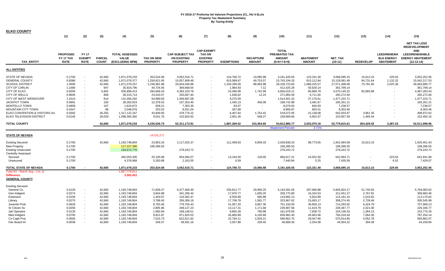| <b>ELKO COUNTY</b>                                                                                                                                                                                                                                                 |                                                                                                            |                                                                                                                                            |                                                                                        |                                                                                                                                                                    |                                                                                                                                               |                                                                                                                                                                |                                                                          |                                                                                                                                      |                                                                                                            |                                                                                                                                                                   |                                                                                                                                          |                                                                                                                                                                |                                                                    |                                                             |                                                                                                                                                                |
|--------------------------------------------------------------------------------------------------------------------------------------------------------------------------------------------------------------------------------------------------------------------|------------------------------------------------------------------------------------------------------------|--------------------------------------------------------------------------------------------------------------------------------------------|----------------------------------------------------------------------------------------|--------------------------------------------------------------------------------------------------------------------------------------------------------------------|-----------------------------------------------------------------------------------------------------------------------------------------------|----------------------------------------------------------------------------------------------------------------------------------------------------------------|--------------------------------------------------------------------------|--------------------------------------------------------------------------------------------------------------------------------------|------------------------------------------------------------------------------------------------------------|-------------------------------------------------------------------------------------------------------------------------------------------------------------------|------------------------------------------------------------------------------------------------------------------------------------------|----------------------------------------------------------------------------------------------------------------------------------------------------------------|--------------------------------------------------------------------|-------------------------------------------------------------|----------------------------------------------------------------------------------------------------------------------------------------------------------------|
|                                                                                                                                                                                                                                                                    | (1)                                                                                                        | (2)                                                                                                                                        | (3)                                                                                    | (4)                                                                                                                                                                | (5)                                                                                                                                           | (6)                                                                                                                                                            | (7)                                                                      | (8)                                                                                                                                  | (9)                                                                                                        | (10)                                                                                                                                                              | (11)                                                                                                                                     | (12)                                                                                                                                                           | (13)                                                               | (14)                                                        | (15)                                                                                                                                                           |
| TAX_ENTITY                                                                                                                                                                                                                                                         | <b>PROPOSED</b><br>FY 17 TAX<br><b>RATE</b>                                                                | <b>FY 17</b><br><b>EXEMPT</b><br><b>RATE</b>                                                                                               | <b>PARCEL</b><br><b>COUNT</b>                                                          | <b>TOTAL ASSESSED</b><br><b>VALUE</b><br>(EXCLUDING NPM)                                                                                                           | <b>TAX ON NEW</b><br><b>PROPERTY</b>                                                                                                          | <b>CAP-SUBJECT TAX</b><br><b>ON EXISTING</b><br><b>PROPERTY</b>                                                                                                | <b>CAP-EXEMPT</b><br><b>TAX ON</b><br><b>EXISTING</b><br><b>PROPERTY</b> | <b>EXEMPTIONS</b>                                                                                                                    | <b>RECAPTURE</b><br><b>AMOUNT</b>                                                                          | <b>TOTAL</b><br>PREABATED TAX<br><b>AMOUNT</b><br>$(5+6+7-8+9)$                                                                                                   | <b>ABATEMENT</b><br><b>AMOUNT</b>                                                                                                        | <b>NET TAX</b><br>$(10-11)$                                                                                                                                    | <b>REDEVELOP</b>                                                   | <b>LEED/RENEWA</b><br><b>BLE ENERGY</b><br><b>ABATEMENT</b> | <b>NET TAX LESS</b><br><b>REDEVELOPMENT</b><br><b>AND</b><br><b>LEED/RENEWABLE</b><br><b>ENERGY ABATEMENT</b><br>$(12-13-14)$                                  |
| <b>ALL ENTITIES</b>                                                                                                                                                                                                                                                |                                                                                                            |                                                                                                                                            |                                                                                        |                                                                                                                                                                    |                                                                                                                                               |                                                                                                                                                                |                                                                          |                                                                                                                                      |                                                                                                            |                                                                                                                                                                   |                                                                                                                                          |                                                                                                                                                                |                                                                    |                                                             |                                                                                                                                                                |
| <b>STATE OF NEVADA</b><br><b>GENERAL COUNTY</b><br><b>SCHOOL DISTRICT</b><br><b>CITY OF CARLIN</b><br>CITY OF ELKO<br>CITY OF WELLS<br>CITY OF WEST WENDOVER<br><b>JACKPOT TOWN</b><br><b>MONTELLO TOWN</b><br>MOUNTAIN CITY TOWN<br>ELKO CONVENTION & VISITORS AU | 0.1700<br>0.8386<br>1.5000<br>1.1480<br>0.9200<br>0.9605<br>1.1514<br>0.5891<br>0.4858<br>0.4347<br>0.0392 | $\overline{\phantom{a}}$<br>$\overline{\phantom{a}}$<br>$\overline{\phantom{a}}$<br>$\sim$<br>$\sim$<br>$\overline{\phantom{a}}$<br>$\sim$ | 42,660<br>42,660<br>42,660<br>947<br>5,962<br>808<br>814<br>183<br>167<br>88<br>26,255 | 1,871,079,233<br>1,871,079,377<br>1,871,079,257<br>35,924,795<br>505,899,413<br>28,315,714<br>131,466,292<br>28,303,924<br>1,624,872<br>2,048,976<br>1,317,122,167 | 253,524.58<br>1,250,621.95<br>2,236,981.88<br>44,734.45<br>294,668.43<br>23,543.57<br>64,989.83<br>12,378.53<br>839.21<br>253.52<br>43,949.05 | 3,052,516.71<br>15,057,908.48<br>26,934,046.88<br>369,668.64<br>4,383,103.78<br>250,067.40<br>1,458,687.08<br>157,353.40<br>7,303.36<br>8,921.04<br>478,776.22 |                                                                          | 124,700.72<br>615,089.67<br>1,100,299.09<br>1,984.93<br>23,496.08<br>1,638.62<br>9,275.59<br>1,445.13<br>63.07<br>267.68<br>6,407.64 | 10,085.98<br>49,753.57<br>88,993.98<br>7.12<br>1,742.99<br>12.24<br>$\sim$<br>456.08<br>$\sim$<br>1,754.42 | 3,191,426.55<br>15,743,194.33<br>28, 159, 723. 65<br>412,425.28<br>4,656,019.11<br>271,984.59<br>1,514,401.32<br>168,742.88<br>8,079.50<br>8,906.87<br>518,072.05 | 123,331.40<br>615,112.84<br>1,088,225.57<br>50,626.14<br>85,869.79<br>6,711.65<br>37,176.61<br>3,481.67<br>840.93<br>603.41<br>15,138.08 | 3,068,095.15<br>15,128,081.49<br>27,071,498.08<br>361,799.14<br>4,570,149.32<br>265,272.94<br>1,477,224.71<br>165,261.21<br>7,238.57<br>8,303.46<br>502,933.97 | 15,613.15<br>84,731.64<br>75,791.95<br>82,865.89<br>3,961.35       | 229.55<br>1,132.32<br>2,025.36                              | 3,052,252.45<br>15,042,217.53<br>26,993,680.77<br>361,799.14<br>4,487,283.43<br>265,272.94<br>1,477,224.71<br>165,261.21<br>7,238.57<br>8,303.46<br>498,972.62 |
| ELKO TELEVISION DISTRICT<br><b>TOTAL COUNTY</b>                                                                                                                                                                                                                    | 0.0145                                                                                                     |                                                                                                                                            | 26,029<br>42,660                                                                       | 1,098,365,382<br>1,871,079,233                                                                                                                                     | 9,041.76<br>4,235,526.73                                                                                                                      | 152,820.92<br>52,311,173.91                                                                                                                                    |                                                                          | 2,601.30<br>1,887,269.52                                                                                                             | 648.27<br>153,454.65                                                                                       | 159,909.66<br>54,812,885.77                                                                                                                                       | 5,952.07<br>2,033,070.16                                                                                                                 | 153,957.59<br>52,779,815.61                                                                                                                                    | 1,465.44<br>264,429.42                                             | 3,387.23                                                    | 152,492.15<br>52,511,998.96                                                                                                                                    |
|                                                                                                                                                                                                                                                                    |                                                                                                            |                                                                                                                                            |                                                                                        |                                                                                                                                                                    |                                                                                                                                               |                                                                                                                                                                |                                                                          |                                                                                                                                      |                                                                                                            | <b>Abatement Percent</b>                                                                                                                                          | 3.71%                                                                                                                                    |                                                                                                                                                                |                                                                    |                                                             |                                                                                                                                                                |
| <b>STATE OF NEVADA</b>                                                                                                                                                                                                                                             |                                                                                                            |                                                                                                                                            |                                                                                        |                                                                                                                                                                    | 14,031,271                                                                                                                                    |                                                                                                                                                                |                                                                          |                                                                                                                                      |                                                                                                            |                                                                                                                                                                   |                                                                                                                                          |                                                                                                                                                                |                                                                    |                                                             |                                                                                                                                                                |
| <b>Existing Secured</b><br><b>New Property</b><br><b>Existing Unsecured</b><br><b>Centrally Assessed</b>                                                                                                                                                           | 0.1700<br>0.1700<br>0.1700                                                                                 |                                                                                                                                            | 42,660                                                                                 | 1,193,748,804<br>117,227,380<br>163,672,776                                                                                                                        | 23,853.16<br>199,286.55                                                                                                                       | 2,117,525.37<br>278,243.72                                                                                                                                     |                                                                          | 111,499.63                                                                                                                           | 9,959.33                                                                                                   | 2,039,838.23<br>199,286.55<br>278,243.72                                                                                                                          | 98,773.65                                                                                                                                | 1,941,064.58<br>199,286.55<br>278,243.72                                                                                                                       | 15,613.15                                                          |                                                             | 1,925,451.43<br>199,286.55<br>278,243.72                                                                                                                       |
| Secured<br>Unsecured                                                                                                                                                                                                                                               | 0.1700<br>0.1700                                                                                           |                                                                                                                                            |                                                                                        | 392,053,305<br>4,376,968                                                                                                                                           | 25,100.99<br>5,283.88                                                                                                                         | 654,584.07<br>2,163.55                                                                                                                                         |                                                                          | 13,194.50<br>6.59                                                                                                                    | 126.65                                                                                                     | 666,617.21<br>7,440.84                                                                                                                                            | 24,552.50<br>5.25                                                                                                                        | 642,064.71<br>7,435.59                                                                                                                                         |                                                                    | 223.03<br>6.52                                              | 641,841.68<br>7,429.07                                                                                                                                         |
| TOTAL STATE OF NEVADA<br>Total AV - March Seg - Col. Q                                                                                                                                                                                                             | 0.1700                                                                                                     |                                                                                                                                            | 42,660                                                                                 | 1,871,079,233<br>1,867,776,811                                                                                                                                     | 253,524.58                                                                                                                                    | 3,052,516.71                                                                                                                                                   | $\sim$                                                                   | 124,700.72                                                                                                                           | 10,085.98                                                                                                  | 3,191,426.55                                                                                                                                                      | 123,331.40                                                                                                                               | 3,068,095.15                                                                                                                                                   | 15,613.15                                                          | 229.55                                                      | 3,052,252.45                                                                                                                                                   |
| <b>Difference</b><br><b>GENERAL COUNTY</b>                                                                                                                                                                                                                         |                                                                                                            |                                                                                                                                            |                                                                                        | 3,302,422                                                                                                                                                          |                                                                                                                                               |                                                                                                                                                                |                                                                          |                                                                                                                                      |                                                                                                            |                                                                                                                                                                   |                                                                                                                                          |                                                                                                                                                                |                                                                    |                                                             |                                                                                                                                                                |
| <b>Existing Secured</b><br>General Co.<br>Gen Indigent<br>Extension<br>Library                                                                                                                                                                                     | 0.5120<br>0.0274<br>0.0100<br>0.0270                                                                       | $\overline{\phantom{a}}$<br>$\sim$<br>$\sim$<br>$\sim$                                                                                     | 42,660<br>42,660<br>42,660<br>42,660                                                   | 1,193,748,804<br>1,193,748,804<br>1,193,748,804<br>1,193,748,804                                                                                                   | 71,839.27<br>3,844.88<br>1,403.67<br>3,788.45                                                                                                 | 6,377,469.30<br>341,296.44<br>124,562.47<br>336,306.18                                                                                                         |                                                                          | 335,812.77<br>17,970.77<br>6,559.89<br>17,708.78                                                                                     | 29,995.25<br>1,605.25<br>585.88<br>1,581.77                                                                | 6,143,491.05<br>328,775.80<br>119,992.13<br>323,967.62                                                                                                            | 297,666.88<br>16,324.53<br>5,810.89<br>15,693.17                                                                                         | 5,845,824.17<br>312,451.27<br>114,181.24<br>308,274.45                                                                                                         | 51,740.55<br>2,767.81<br>1,010.62<br>2,728.46                      |                                                             | 5,794,083.62<br>309,683.46<br>113,170.62<br>305,545.99                                                                                                         |
| Juvenile Prob<br>Sr Citizen Sv<br>Jail Operatns<br>Med Indigent<br>Co Captl Proj<br>Fair Board Im                                                                                                                                                                  | 0.0626<br>0.0200<br>0.0135<br>0.0700<br>0.0500<br>0.0039                                                   | $\sim$<br>$\sim$                                                                                                                           | 42,660<br>42,660<br>42,660<br>42,660<br>42,660<br>42,660                               | 1,193,748,804<br>1,193,748,804<br>1,193,748,804<br>1,193,748,804<br>1,193,748,804<br>1,193,748,804                                                                 | 8,783.46<br>2,805.96<br>1,893.94<br>9,821.87<br>7,015.73<br>546.57                                                                            | 779,756.43<br>249,127.23<br>168,148.51<br>871,920.53<br>622,811.92<br>48,591.16                                                                                |                                                                          | 41,057.20<br>13,117.31<br>8,855.28<br>45,860.89<br>32,794.11<br>2,557.88                                                             | 3,667.36<br>1,171.68<br>790.88<br>4,100.89<br>2,929.21<br>228.45                                           | 751,150.05<br>239,987.56<br>161,978.05<br>839,982.40<br>599,962.75<br>46,808.30                                                                                   | 36,856.13<br>11,619.79<br>7,838.72<br>45,663.96<br>29,047.90<br>2,254.08                                                                 | 714,293.92<br>228,367.77<br>154,139.33<br>794,318.44<br>570,914.85<br>44,554.22                                                                                | 6,324.79<br>2,021.00<br>1,364.13<br>7,064.30<br>5,052.78<br>394.38 |                                                             | 707,969.13<br>226,346.77<br>152,775.20<br>787,254.14<br>565,862.07<br>44,159.84                                                                                |
|                                                                                                                                                                                                                                                                    |                                                                                                            |                                                                                                                                            |                                                                                        |                                                                                                                                                                    |                                                                                                                                               |                                                                                                                                                                |                                                                          |                                                                                                                                      |                                                                                                            |                                                                                                                                                                   |                                                                                                                                          |                                                                                                                                                                |                                                                    |                                                             |                                                                                                                                                                |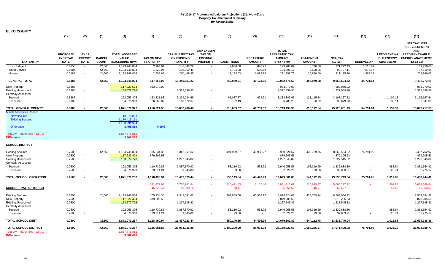| <b>ELKO COUNTY</b>                                                                                                                                  |                              |                               |                            |                                                                                         |                                  |                                              |                                                       |                                   |                                    |                                                |                                   |                                            |                                |                                         |                                                                                                               |
|-----------------------------------------------------------------------------------------------------------------------------------------------------|------------------------------|-------------------------------|----------------------------|-----------------------------------------------------------------------------------------|----------------------------------|----------------------------------------------|-------------------------------------------------------|-----------------------------------|------------------------------------|------------------------------------------------|-----------------------------------|--------------------------------------------|--------------------------------|-----------------------------------------|---------------------------------------------------------------------------------------------------------------|
|                                                                                                                                                     | (1)                          | (2)                           | (3)                        | (4)                                                                                     | (5)                              | (6)                                          | (7)                                                   | (8)                               | (9)                                | (10)                                           | (11)                              | (12)                                       | (13)                           | (14)                                    | (15)                                                                                                          |
|                                                                                                                                                     | <b>PROPOSED</b><br>FY 17 TAX | <b>FY 17</b><br><b>EXEMPT</b> | <b>PARCEL</b>              | <b>TOTAL ASSESSED</b><br><b>VALUE</b>                                                   | TAX ON NEW                       | <b>CAP-SUBJECT TAX</b><br><b>ON EXISTING</b> | <b>CAP-EXEMPT</b><br><b>TAX ON</b><br><b>EXISTING</b> |                                   | <b>RECAPTURE</b>                   | <b>TOTAL</b><br>PREABATED TAX<br><b>AMOUNT</b> | <b>ABATEMENT</b>                  | NET_TAX                                    |                                | <b>LEED/RENEWA</b><br><b>BLE ENERGY</b> | <b>NET TAX LESS</b><br><b>REDEVELOPMENT</b><br><b>AND</b><br><b>LEED/RENEWABLE</b><br><b>ENERGY ABATEMENT</b> |
| <b>TAX ENTITY</b>                                                                                                                                   | <b>RATE</b>                  | <b>RATE</b>                   | <b>COUNT</b>               | (EXCLUDING NPM)                                                                         | <b>PROPERTY</b>                  | <b>PROPERTY</b>                              | <b>PROPERTY</b>                                       | <b>EXEMPTIONS</b>                 | <b>AMOUNT</b>                      | $(5+6+7-8+9)$                                  | <b>AMOUNT</b>                     | $(10-11)$                                  | <b>REDEVELOP</b>               | <b>ABATEMENT</b>                        | $(12-13-14)$                                                                                                  |
| Hosp Indigent<br>Youth Service<br>Museum                                                                                                            | 0.0150<br>0.0087<br>0.0185   | $\sim$<br>$\sim$<br>$\sim$    | 42,660<br>42,660<br>42,660 | 1,193,748,804<br>1,193,748,804<br>1,193,748,804                                         | 2,104.61<br>1,220.97<br>2,595.65 | 186,842.29<br>108,369.41<br>230,449.35       | $\sim$<br>$\overline{\phantom{a}}$                    | 9,836.80<br>5,704.90<br>12,133.03 | 878.77<br>509.69<br>1,083.78       | 179,988.87<br>104,395.17<br>221,995.75         | 8,716.38<br>5,598.06<br>10,880.49 | 171,272.49<br>98,797.11<br>211,115.26      | 1,515.81<br>877.77<br>1,869.24 |                                         | 169,756.68<br>97,919.34<br>209,246.02                                                                         |
| <b>GENERAL TOTAL</b>                                                                                                                                | 0.8386                       |                               | 42,660                     | 1,193,748,804                                                                           | 117,665.03                       | 10,445,651.22                                |                                                       | 549,969.61                        | 49,128.86                          | 10,062,475.50                                  | 493,970.98                        | 9,568,504.52                               | 84,731.64                      | $\blacksquare$                          | 9,483,772.88                                                                                                  |
| <b>New Property</b><br><b>Existing Unsecured</b><br><b>Centrally Assessed</b>                                                                       | 0.8386<br>0.8386             | $\sim$                        |                            | 117,227,524<br>163,672,776                                                              | 983,070.02                       | 1,372,559.90                                 | $\overline{\phantom{a}}$<br>$\sim$                    |                                   |                                    | 983,070.02<br>1,372,559.90                     |                                   | 983,070.02<br>1,372,559.90                 |                                |                                         | 983,070.02<br>1,372,559.90                                                                                    |
| Secured<br>Unsecured                                                                                                                                | 0.8386<br>0.8386             | $\sim$<br>$\sim$              |                            | 392,053,305<br>4,376,968                                                                | 123,821.83<br>26,065.07          | 3,229,024.69<br>10,672.67                    | $\sim$<br>$\sim$                                      | 65,087.57<br>32.49                | 624.71<br>$\overline{\phantom{a}}$ | 3,288,383.66<br>36,705.25                      | 121,115.84<br>26.02               | 3,167,267.82<br>36,679.23                  | $\overline{\phantom{a}}$       | 1,100.18<br>32.14                       | 3,166,167.64<br>36,647.09                                                                                     |
| <b>TOTAL GENERAL COUNTY</b>                                                                                                                         | 0.8386                       |                               | 42,660                     | 1,871,079,377                                                                           | 1,250,621.95                     | 15,057,908.48                                | $\blacksquare$                                        | 615,089.67                        | 49,753.57                          | 15,743,194.33                                  | 615,112.84                        | 15,128,081.49                              | 84,731.64                      | 1,132.32                                | 15,042,217.53                                                                                                 |
| <b>March Assessors Report:</b><br>New secured<br><b>Existing Secured</b><br><b>Difference</b><br>Total AV - March Seg - Col. Q<br><b>Difference</b> |                              |                               |                            | 13,876,883<br>1,176,415,111<br>1,190,291,994<br>3,456,810<br>1,867,776,811<br>3,302,566 | 0.29%                            |                                              |                                                       |                                   |                                    |                                                |                                   |                                            |                                |                                         |                                                                                                               |
| <b>SCHOOL DISTRICT</b>                                                                                                                              |                              |                               |                            |                                                                                         |                                  |                                              |                                                       |                                   |                                    |                                                |                                   |                                            |                                |                                         |                                                                                                               |
| <b>Existing Secured</b><br><b>New Property</b><br><b>Existing Unsecured</b><br><b>Centrally Assessed</b>                                            | 0.7500<br>0.7500<br>0.7500   | $\sim$<br>$\sim$              | 42,660                     | 1,193,748,804<br>117,227,404<br>163,672,776                                             | 105,234.35<br>879,205.53         | 9,342,061.62<br>1,227,545.82                 | $\sim$                                                | 491,909.57                        | 43,938.27                          | 8,999,324.67<br>879,205.53<br>1,227,545.82     | 435,769.75                        | 8,563,554.92<br>879,205.53<br>1,227,545.82 | 75,791.95                      |                                         | 8,487,762.97<br>879,205.53<br>1,227,545.82                                                                    |
| Secured                                                                                                                                             | 0.7500                       |                               |                            | 392,053,305                                                                             | 110,739.82                       | 2,887,870.92                                 | $\sim$                                                | 58,210.92                         | 558.72                             | 2,940,958.55                                   | 108,319.69                        | 2,832,638.86                               |                                | 983.94                                  | 2,831,654.92                                                                                                  |
| Unsecured                                                                                                                                           | 0.7500                       |                               |                            | 4,376,968                                                                               | 23,311.24                        | 9,545.08                                     | $\overline{\phantom{a}}$                              | 29.06                             | $\overline{\phantom{a}}$           | 32,827.26                                      | 23.36                             | 32,803.91                                  |                                | 28.74                                   | 32,775.17                                                                                                     |
| TOTAL SCHOOL OPERATING                                                                                                                              | 0.7500                       |                               | 42,660                     | 1,871,079,257                                                                           | 1,118,490.94                     | 13,467,023.44                                | $\sim$                                                | 550,149.54                        | 44,496.99                          | 14,079,861.83                                  | 544,112.79                        | 13,535,749.04                              | 75,791.95                      | 1,012.68                                | 13,458,944.41                                                                                                 |
| <u>SCHOOL - PAY-AS-YOU-GO</u>                                                                                                                       |                              |                               |                            |                                                                                         | 221,479.64<br>46,622.47          | 5,775,741.84<br>19,090.16                    | $\Delta \sim 10$<br>$\sim$                            | 116,421.83<br>58.11               | 1,117.44<br>$\sim 100$             | 5,881,917.09<br>65,654.52                      | 216,639.37<br>46.71               | 5,665,277.72<br>65,607.81                  | $\sim$                         | 1,967.88<br>57.48                       | 5,663,309.84<br>65,550.33                                                                                     |
| <b>Existing Secured</b><br><b>New Property</b><br><b>Existing Unsecured</b><br>Centrally Assessed                                                   | 0.7500<br>0.7500<br>0.7500   | $\sim$<br>$\sim$              | 42,660                     | 1,193,748,804<br>117,227,404<br>163,672,776                                             | 105,234.35<br>879,205.53         | 9,342,061.62<br>1,227,545.82                 | $\sim$                                                | 491,909.58                        | 43,938.27                          | 8,999,324.66<br>879,205.53<br>1,227,545.82     | 435,769.74                        | 8,563,554.92<br>879,205.53<br>1,227,545.82 |                                |                                         | 8,563,554.92<br>879,205.53<br>1,227,545.82                                                                    |
| Secured                                                                                                                                             | 0.7500                       |                               |                            | 392,053,305                                                                             | 110,739.82                       | 2,887,870.92                                 |                                                       | 58,210.92                         | 558.72                             | 2,940,958.55                                   | 108,319.69                        | 2,832,638.86                               |                                | 983.94                                  | 2,831,654.92                                                                                                  |
| Unsecured                                                                                                                                           | 0.7500                       | $\sim$                        |                            | 4,376,968                                                                               | 23,311.24                        | 9,545.08                                     | $\sim$                                                | 29.06                             | $\blacksquare$                     | 32,827.26                                      | 23.36                             | 32,803.91                                  | $\overline{\phantom{a}}$       | 28.74                                   | 32,775.17                                                                                                     |
| <b>TOTAL SCHOOL DEBT</b>                                                                                                                            | 0.7500                       |                               | 42,660                     | 1,871,079,257                                                                           | 1,118,490.94                     | 13,467,023.44                                | $\sim$                                                | 550,149.55                        | 44,496.99                          | 14,079,861.82                                  | 544,112.78                        | 13,535,749.04                              | $\sim$                         | 1,012.68                                | 13,534,736.36                                                                                                 |
| TOTAL SCHOOL DISTRICT                                                                                                                               | 1.5000                       |                               | 42,660                     | 1,871,079,257                                                                           | 2,236,981.88                     | 26,934,046.88                                | $\sim$                                                | 1,100,299.09                      | 88,993.98                          | 28, 159, 723. 65                               | 1,088,225.57                      | 27,071,498.08                              | 75,791.95                      | 2,025.36                                | 26,993,680.77                                                                                                 |
| Total AV - March Seg - Col. Q<br><b>Difference</b>                                                                                                  |                              |                               |                            | 1,867,776,811<br>3,302,446                                                              |                                  |                                              |                                                       |                                   |                                    |                                                |                                   |                                            |                                |                                         |                                                                                                               |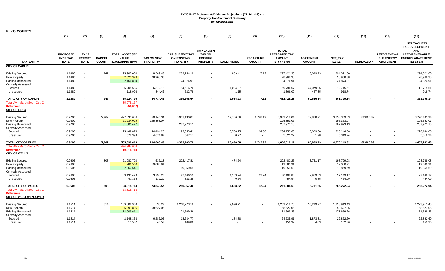| <b>ELKO COUNTY</b>                                                                                       |                                             |                                              |                               |                                                          |                                      |                                                                 |                                                                          |                   |                                                      |                                                                        |                                   |                                          |                  |                                                             |                                                                                                                        |
|----------------------------------------------------------------------------------------------------------|---------------------------------------------|----------------------------------------------|-------------------------------|----------------------------------------------------------|--------------------------------------|-----------------------------------------------------------------|--------------------------------------------------------------------------|-------------------|------------------------------------------------------|------------------------------------------------------------------------|-----------------------------------|------------------------------------------|------------------|-------------------------------------------------------------|------------------------------------------------------------------------------------------------------------------------|
|                                                                                                          | (1)                                         | (2)                                          | (3)                           | (4)                                                      | (5)                                  | (6)                                                             | (7)                                                                      | (8)               | (9)                                                  | (10)                                                                   | (11)                              | (12)                                     | (13)             | (14)                                                        | (15)                                                                                                                   |
| <b>TAX ENTITY</b>                                                                                        | <b>PROPOSED</b><br>FY 17 TAX<br><b>RATE</b> | <b>FY 17</b><br><b>EXEMPT</b><br><b>RATE</b> | <b>PARCEL</b><br><b>COUNT</b> | <b>TOTAL ASSESSED</b><br><b>VALUE</b><br>(EXCLUDING NPM) | <b>TAX ON NEW</b><br><b>PROPERTY</b> | <b>CAP-SUBJECT TAX</b><br><b>ON EXISTING</b><br><b>PROPERTY</b> | <b>CAP-EXEMPT</b><br><b>TAX ON</b><br><b>EXISTING</b><br><b>PROPERTY</b> | <b>EXEMPTIONS</b> | <b>RECAPTURE</b><br><b>AMOUNT</b>                    | <b>TOTAL</b><br><b>PREABATED TAX</b><br><b>AMOUNT</b><br>$(5+6+7-8+9)$ | <b>ABATEMENT</b><br><b>AMOUNT</b> | NET_TAX<br>$(10-11)$                     | <b>REDEVELOP</b> | <b>LEED/RENEWA</b><br><b>BLE ENERGY</b><br><b>ABATEMENT</b> | <b>NET TAX LESS</b><br><b>REDEVELOPMENT</b><br><b>AND</b><br>LEED/RENEWABLE<br><b>ENERGY ABATEMENT</b><br>$(12-13-14)$ |
| <b>CITY OF CARLIN</b>                                                                                    |                                             |                                              |                               |                                                          |                                      |                                                                 |                                                                          |                   |                                                      |                                                                        |                                   |                                          |                  |                                                             |                                                                                                                        |
| <b>Existing Secured</b><br>New Property<br><b>Existing Unsecured</b><br><b>Centrally Assessed</b>        | 1.1480<br>1.1480<br>1.1480                  | $\sim$<br>$\sim$<br>$\sim$                   | 947                           | 25,907,030<br>2,523,378<br>2,166,804                     | 8,549.43<br>28,968.38                | 289,754.19<br>24,874.91                                         |                                                                          | 889.41            | 7.12                                                 | 297,421.33<br>28,968.38<br>24,874.91                                   | 3,099.73                          | 294,321.60<br>28,968.38<br>24,874.91     |                  |                                                             | 294,321.60<br>28,968.38<br>24,874.91                                                                                   |
| Secured<br>Unsecured                                                                                     | 1.1480<br>1.1480                            | $\overline{\phantom{a}}$<br>$\sim$           |                               | 5,208,585<br>118,998                                     | 6,372.18<br>844.46                   | 54,516.76<br>522.78                                             | $\sim$                                                                   | 1,094.37<br>1.15  | $\overline{\phantom{a}}$<br>$\overline{\phantom{a}}$ | 59,794.57<br>1,366.09                                                  | 47,079.06<br>447.35               | 12,715.51<br>918.74                      |                  |                                                             | 12,715.51<br>918.74                                                                                                    |
| TOTAL CITY OF CARLIN                                                                                     | 1.1480                                      | $\sim$                                       | 947                           | 35,924,795                                               | 44,734.45                            | 369,668.64                                                      | $\sim$                                                                   | 1,984.93          | 7.12                                                 | 412,425.28                                                             | 50,626.14                         | 361,799.14                               | $\blacksquare$   |                                                             | 361,799.14                                                                                                             |
| Total AV - March Seg - Col. Q<br><b>Difference</b><br><b>CITY OF ELKO</b>                                |                                             |                                              |                               | 35,975,177<br>(50, 382)                                  |                                      |                                                                 |                                                                          |                   |                                                      |                                                                        |                                   |                                          |                  |                                                             |                                                                                                                        |
| <b>Existing Secured</b><br><b>New Property</b><br><b>Existing Unsecured</b><br><b>Centrally Assessed</b> | 0.9200<br>0.9200<br>0.9200                  | $\sim$<br>$\sim$                             | 5,962                         | 427,335,686<br>21,234,029<br>31,301,427                  | 50,146.34<br>195,353.07              | 3,901,130.07<br>287,973.13                                      | $\overline{\phantom{a}}$                                                 | 19,786.56         | 1,728.19                                             | 3,933,218.04<br>195,353.07<br>287,973.13                               | 79,858.21                         | 3,853,359.83<br>195,353.07<br>287,973.13 | 82,865.89        |                                                             | 3,770,493.94<br>195,353.07<br>287,973.13                                                                               |
| Secured<br>Unsecured                                                                                     | 0.9200<br>0.9200                            | $\sim$                                       |                               | 25,449,878<br>578,393                                    | 44,494.20<br>4,674.82                | 193,353.41<br>647.17                                            | $\sim$                                                                   | 3,708.75<br>0.77  | 14.80<br>$\blacksquare$                              | 234,153.66<br>5,321.22                                                 | 6,009.60<br>1.98                  | 228,144.06<br>5,319.24                   |                  |                                                             | 228,144.06<br>5,319.24                                                                                                 |
| TOTAL CITY OF ELKO                                                                                       | 0.9200                                      | $\sim$                                       | 5,962                         | 505,899,413                                              | 294,668.43                           | 4,383,103.78                                                    |                                                                          | 23,496.08         | 1,742.99                                             | 4,656,019.11                                                           | 85,869.79                         | 4,570,149.32                             | 82,865.89        |                                                             | 4,487,283.43                                                                                                           |
| Total AV - March Seg - Col. Q<br><b>Difference</b><br><b>CITY OF WELLS</b>                               |                                             |                                              |                               | 494,984,664<br>10,914,749                                |                                      |                                                                 |                                                                          |                   |                                                      |                                                                        |                                   |                                          |                  |                                                             |                                                                                                                        |
| <b>Existing Secured</b><br>New Property<br><b>Existing Unsecured</b><br><b>Centrally Assessed</b>        | 0.9605<br>0.9605<br>0.9605                  | $\sim$<br>$\sim$<br>$\sim$                   | 808                           | 21,080,720<br>1,986,560<br>2,067,641                     | 537.18<br>19,080.91                  | 202,417.81<br>19,859.69                                         |                                                                          | 474.74            |                                                      | 202,480.25<br>19,080.91<br>19,859.69                                   | 3,751.17                          | 198,729.08<br>19,080.91<br>19,859.69     |                  |                                                             | 198,729.08<br>19,080.91<br>19,859.69                                                                                   |
| Secured<br>Unsecured                                                                                     | 0.9605<br>0.9605                            | $\sim$<br>$\sim$                             |                               | 3,133,429<br>47,365                                      | 3,793.28<br>132.20                   | 27,466.52<br>323.38                                             | $\sim$                                                                   | 1,163.24<br>0.64  | 12.24<br>$\sim$                                      | 30,108.80<br>454.94                                                    | 2,959.63<br>0.85                  | 27,149.17<br>454.09                      |                  |                                                             | 27,149.17<br>454.09                                                                                                    |
| TOTAL CITY OF WELLS<br>Total AV - March Seg - Col. Q<br><b>Difference</b>                                | 0.9605                                      |                                              | 808                           | 28,315,714<br>28,315,713                                 | 23,543.57                            | 250,067.40                                                      |                                                                          | 1,638.62          | 12.24                                                | 271,984.59                                                             | 6,711.65                          | 265,272.94                               |                  |                                                             | 265,272.94                                                                                                             |
| <b>CITY OF WEST WENDOVER</b>                                                                             |                                             |                                              |                               |                                                          |                                      |                                                                 |                                                                          |                   |                                                      |                                                                        |                                   |                                          |                  |                                                             |                                                                                                                        |
| <b>Existing Secured</b><br>New Property<br><b>Existing Unsecured</b><br><b>Centrally Assessed</b>        | 1.1514<br>1.1514<br>1.1514                  | $\sim$<br>$\sim$<br>$\sim$                   | 814                           | 109,302,959<br>5,091,806<br>14,909,611                   | 30.22<br>58,627.06                   | 1,268,273.19<br>171,669.26                                      |                                                                          | 9,090.71          |                                                      | 1,259,212.70<br>58,627.06<br>171,669.26                                | 35,299.27                         | 1,223,913.43<br>58,627.06<br>171,669.26  |                  |                                                             | 1,223,913.43<br>58,627.06<br>171,669.26                                                                                |
| Secured<br>Unsecured                                                                                     | 1.1514<br>1.1514                            |                                              |                               | 2,148,333<br>13,582                                      | 6,286.02<br>46.53                    | 18,634.77<br>109.86                                             |                                                                          | 184.88            |                                                      | 24,735.91<br>156.39                                                    | 1,873.31<br>4.03                  | 22,862.60<br>152.36                      |                  |                                                             | 22,862.60<br>152.36                                                                                                    |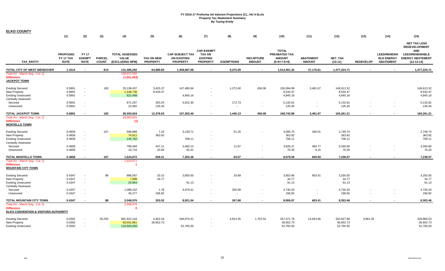| <b>ELKO COUNTY</b>                                                                                    |                                             |                                                                |                               |                                                          |                                      |                                                                 |                                                                          |                                    |                                   |                                                                 |                                                      |                                      |                  |                                                             |                                                                                                                               |
|-------------------------------------------------------------------------------------------------------|---------------------------------------------|----------------------------------------------------------------|-------------------------------|----------------------------------------------------------|--------------------------------------|-----------------------------------------------------------------|--------------------------------------------------------------------------|------------------------------------|-----------------------------------|-----------------------------------------------------------------|------------------------------------------------------|--------------------------------------|------------------|-------------------------------------------------------------|-------------------------------------------------------------------------------------------------------------------------------|
|                                                                                                       | (1)                                         | (2)                                                            | (3)                           | (4)                                                      | (5)                                  | (6)                                                             | (7)                                                                      | (8)                                | (9)                               | (10)                                                            | (11)                                                 | (12)                                 | (13)             | (14)                                                        | (15)                                                                                                                          |
| <b>TAX ENTITY</b>                                                                                     | <b>PROPOSED</b><br>FY 17 TAX<br><b>RATE</b> | <b>FY 17</b><br><b>EXEMPT</b><br><b>RATE</b>                   | <b>PARCEL</b><br><b>COUNT</b> | <b>TOTAL ASSESSED</b><br><b>VALUE</b><br>(EXCLUDING NPM) | <b>TAX ON NEW</b><br><b>PROPERTY</b> | <b>CAP-SUBJECT TAX</b><br><b>ON EXISTING</b><br><b>PROPERTY</b> | <b>CAP-EXEMPT</b><br><b>TAX ON</b><br><b>EXISTING</b><br><b>PROPERTY</b> | <b>EXEMPTIONS</b>                  | <b>RECAPTURE</b><br><b>AMOUNT</b> | <b>TOTAL</b><br>PREABATED TAX<br><b>AMOUNT</b><br>$(5+6+7-8+9)$ | <b>ABATEMENT</b><br><b>AMOUNT</b>                    | NET_TAX<br>$(10-11)$                 | <b>REDEVELOP</b> | <b>LEED/RENEWA</b><br><b>BLE ENERGY</b><br><b>ABATEMENT</b> | <b>NET TAX LESS</b><br><b>REDEVELOPMENT</b><br><b>AND</b><br><b>LEED/RENEWABLE</b><br><b>ENERGY ABATEMENT</b><br>$(12-13-14)$ |
| TOTAL CITY OF WEST WENDOVER                                                                           | 1.1514                                      | $\sim$                                                         | 814                           | 131,466,292                                              | 64,989.83                            | 1,458,687.08                                                    |                                                                          | 9,275.59                           |                                   | 1,514,401.32                                                    | 37,176.61                                            | 1,477,224.71                         |                  |                                                             | 1,477,224.71                                                                                                                  |
| Total AV - March Seg - Col. Q<br><b>Difference</b><br><b>JACKPOT TOWN</b>                             |                                             |                                                                |                               | 139,017,555<br>(7, 551, 263)                             |                                      |                                                                 |                                                                          |                                    |                                   |                                                                 |                                                      |                                      |                  |                                                             |                                                                                                                               |
| <b>Existing Secured</b><br><b>New Property</b><br><b>Existing Unsecured</b>                           | 0.5891<br>0.5891<br>0.5891                  | $\sim$<br>$\sim$<br>$\sim$                                     | 183                           | 25,138,437<br>1,448,730<br>822,468                       | 3,425.37<br>8,534.47                 | 147,485.94<br>4,845.16                                          | $\overline{\phantom{a}}$                                                 | 1,272.40                           | 456.08                            | 150,094.99<br>8,534.47<br>4,845.16                              | 3,481.67                                             | 146,613.32<br>8,534.47<br>4,845.16   |                  |                                                             | 146,613.32<br>8,534.47<br>4,845.16                                                                                            |
| <b>Centrally Assessed</b><br>Secured                                                                  | 0.5891                                      | $\sim$                                                         |                               | 871,297                                                  | 283.24                               | 5,022.30                                                        | $\overline{\phantom{a}}$                                                 | 172.73                             |                                   | 5,132.81                                                        | $\blacksquare$                                       | 5,132.81                             |                  |                                                             | 5,132.81                                                                                                                      |
| Unsecured                                                                                             | 0.5891                                      | $\overline{\phantom{a}}$                                       |                               | 22,992                                                   | 135.45                               |                                                                 |                                                                          | $\sim$                             |                                   | 135.45                                                          | $\blacksquare$                                       | 135.45                               |                  |                                                             | 135.45                                                                                                                        |
| <b>TOTAL JACKPOT TOWN</b>                                                                             | 0.5891                                      | $\sim$                                                         | 183                           | 28,303,924                                               | 12,378.53                            | 157,353.40                                                      | $\sim$                                                                   | 1,445.13                           | 456.08                            | 168,742.88                                                      | 3,481.67                                             | 165,261.21                           | $\sim$           |                                                             | 165,261.21                                                                                                                    |
| Total AV - March Seg - Col. Q<br><b>Difference</b><br><b>MONTELLO TOWN</b>                            |                                             |                                                                |                               | 28,303,925<br>(1)                                        |                                      |                                                                 |                                                                          |                                    |                                   |                                                                 |                                                      |                                      |                  |                                                             |                                                                                                                               |
| <b>Existing Secured</b><br>New Property<br><b>Existing Unsecured</b><br><b>Centrally Assessed</b>     | 0.4858<br>0.4858<br>0.4858                  | $\sim$<br>$\sim$<br>$\overline{\phantom{a}}$                   | 167                           | 598,989<br>74,911<br>145,762                             | 7.24<br>363.92                       | 3,139.71<br>708.11                                              |                                                                          | 51.20                              |                                   | 3,095.75<br>363.92<br>708.11                                    | 346.01                                               | 2,749.74<br>363.92<br>708.11         |                  |                                                             | 2,749.74<br>363.92<br>708.11                                                                                                  |
| Secured<br>Unsecured                                                                                  | 0.4858<br>0.4858                            | $\sim$                                                         |                               | 789,494<br>15,716                                        | 447.11<br>20.94                      | 3,400.13<br>55.41                                               | $\overline{\phantom{a}}$                                                 | 11.87<br>$\sim$                    |                                   | 3,835.37<br>76.35                                               | 494.77<br>0.15                                       | 3,340.60<br>76.20                    |                  |                                                             | 3,340.60<br>76.20                                                                                                             |
| TOTAL MONTELLO TOWN                                                                                   | 0.4858                                      |                                                                | 167                           | 1,624,872                                                | 839.21                               | 7,303.36                                                        |                                                                          | 63.07                              |                                   | 8,079.50                                                        | 840.93                                               | 7,238.57                             |                  |                                                             | 7,238.57                                                                                                                      |
| Total AV - March Seg - Col. Q<br><b>Difference</b><br><b>MOUNTAIN CITY TOWN</b>                       |                                             |                                                                |                               | 1,624,871<br>-1                                          |                                      |                                                                 |                                                                          |                                    |                                   |                                                                 |                                                      |                                      |                  |                                                             |                                                                                                                               |
| <b>Existing Secured</b><br>New Property<br><b>Existing Unsecured</b>                                  | 0.4347<br>0.4347<br>0.4347                  | $\sim$<br>$\overline{\phantom{a}}$<br>$\overline{\phantom{a}}$ | 88                            | 886,587<br>7,998<br>20,963                               | 20.15<br>34.77                       | 3,850.50<br>91.13                                               |                                                                          | 16.69                              |                                   | 3,853.96<br>34.77<br>91.13                                      | 603.41                                               | 3,250.55<br>34.77<br>91.13           |                  |                                                             | 3,250.55<br>34.77<br>91.13                                                                                                    |
| <b>Centrally Assessed</b><br>Secured<br>Unsecured                                                     | 0.4347<br>0.4347                            | $\sim$                                                         |                               | 1,088,152<br>45,277                                      | 1.78<br>196.82                       | 4,979.41<br>$\blacksquare$                                      | $\overline{\phantom{a}}$                                                 | 250.99<br>$\overline{\phantom{a}}$ |                                   | 4,730.20<br>196.82                                              | $\overline{\phantom{a}}$<br>$\overline{\phantom{a}}$ | 4,730.20<br>196.82                   |                  |                                                             | 4,730.20<br>196.82                                                                                                            |
| TOTAL MOUNTAIN CITY TOWN                                                                              | 0.4347                                      | $\sim$                                                         | 88                            | 2,048,976                                                | 253.52                               | 8,921.04                                                        |                                                                          | 267.68                             |                                   | 8,906.87                                                        | 603.41                                               | 8,303.46                             |                  |                                                             | 8,303.46                                                                                                                      |
| Total AV - March Seg - Col. Q<br><b>Difference</b><br><b>ELKO CONVENTION &amp; VISITORS AUTHORITY</b> |                                             |                                                                |                               | 2,048,976<br>0                                           |                                      |                                                                 |                                                                          |                                    |                                   |                                                                 |                                                      |                                      |                  |                                                             |                                                                                                                               |
| <b>Existing Secured</b><br>New Property<br><b>Existing Unsecured</b>                                  | 0.0392<br>0.0392<br>0.0392                  | $\overline{\phantom{a}}$                                       | 26,255                        | 881,922,144<br>93,501,861<br>134,605,858                 | 4,463.18<br>36,652.73                | 346,070.41<br>52,765.50                                         |                                                                          | 4,814.35                           | 1,752.54                          | 347,471.78<br>36,652.73<br>52,765.50                            | 14,643.90                                            | 332,827.88<br>36,652.73<br>52,765.50 | 3,961.35         |                                                             | 328,866.53<br>36,652.73<br>52,765.50                                                                                          |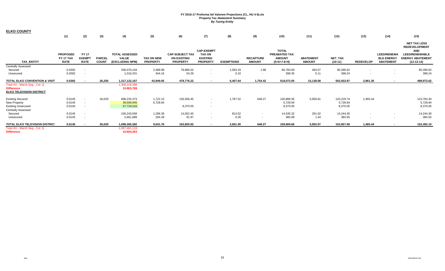| <b>ELKO COUNTY</b>                                                                    |                                             |                                              |                               |                                                          |                                      |                                                                 |                                                                          |                   |                                   |                                                                 |                                   |                             |                  |                                                             |                                                                                                                               |
|---------------------------------------------------------------------------------------|---------------------------------------------|----------------------------------------------|-------------------------------|----------------------------------------------------------|--------------------------------------|-----------------------------------------------------------------|--------------------------------------------------------------------------|-------------------|-----------------------------------|-----------------------------------------------------------------|-----------------------------------|-----------------------------|------------------|-------------------------------------------------------------|-------------------------------------------------------------------------------------------------------------------------------|
|                                                                                       | (1)                                         | (2)                                          | (3)                           | (4)                                                      | (5)                                  | (6)                                                             | (7)                                                                      | (8)               | (9)                               | (10)                                                            | (11)                              | (12)                        | (13)             | (14)                                                        | (15)                                                                                                                          |
| <b>TAX ENTITY</b>                                                                     | <b>PROPOSED</b><br>FY 17 TAX<br><b>RATE</b> | <b>FY 17</b><br><b>EXEMPT</b><br><b>RATE</b> | <b>PARCEL</b><br><b>COUNT</b> | <b>TOTAL ASSESSED</b><br><b>VALUE</b><br>(EXCLUDING NPM) | <b>TAX ON NEW</b><br><b>PROPERTY</b> | <b>CAP-SUBJECT TAX</b><br><b>ON EXISTING</b><br><b>PROPERTY</b> | <b>CAP-EXEMPT</b><br><b>TAX ON</b><br><b>EXISTING</b><br><b>PROPERTY</b> | <b>EXEMPTIONS</b> | <b>RECAPTURE</b><br><b>AMOUNT</b> | <b>TOTAL</b><br>PREABATED TAX<br><b>AMOUNT</b><br>$(5+6+7-8+9)$ | <b>ABATEMENT</b><br><b>AMOUNT</b> | <b>NET TAX</b><br>$(10-11)$ | <b>REDEVELOP</b> | <b>LEED/RENEWA</b><br><b>BLE ENERGY</b><br><b>ABATEMENT</b> | <b>NET TAX LESS</b><br><b>REDEVELOPMENT</b><br><b>AND</b><br><b>LEED/RENEWABLE</b><br><b>ENERGY ABATEMENT</b><br>$(12-13-14)$ |
| <b>Centrally Assessed</b>                                                             |                                             |                                              |                               |                                                          |                                      |                                                                 |                                                                          |                   |                                   |                                                                 |                                   |                             |                  |                                                             |                                                                                                                               |
| Secured                                                                               | 0.0392                                      | $\sim$                                       |                               | 206,076,104                                              | 2,488.98                             | 79,886.02                                                       | $\sim$                                                                   | 1,593.19          | 1.88                              | 80,783.69                                                       | 494.07                            | 80,289.62                   |                  |                                                             | 80,289.62                                                                                                                     |
| Unsecured                                                                             | 0.0392                                      |                                              |                               | 1,016,201                                                | 344.16                               | 54.29                                                           |                                                                          | 0.10              |                                   | 398.35                                                          | 0.11                              | 398.24                      |                  |                                                             | 398.24                                                                                                                        |
| TOTAL ELKO CONVENTION & VISIT                                                         | 0.0392                                      |                                              | 26,255                        | 1,317,122,167                                            | 43,949.05                            | 478,776.22                                                      |                                                                          | 6,407.64          | 1,754.42                          | 518,072.05                                                      | 15,138.08                         | 502,933.97                  | 3,961.35         | $\,$                                                        | 498,972.62                                                                                                                    |
| Total AV - March Seg - Col. Q<br><b>Difference</b><br><b>ELKO TELEVISION DISTRICT</b> |                                             |                                              |                               | 1,306,218,398<br>10,903,769                              |                                      |                                                                 |                                                                          |                   |                                   |                                                                 |                                   |                             |                  |                                                             |                                                                                                                               |
| <b>Existing Secured</b>                                                               | 0.0145                                      | $\sim$                                       | 26,029                        | 898,225,373                                              | 1,722.15                             | 130,306.45                                                      |                                                                          | 1,787.52          | 648.27                            | 130,889.35                                                      | 5,659.61                          | 125,229.74                  | 1,465.44         |                                                             | 123,764.30                                                                                                                    |
| <b>New Property</b>                                                                   | 0.0145                                      | $\sim$                                       |                               | 39,509,945                                               | 5,728.94                             |                                                                 |                                                                          |                   |                                   | 5,728.94                                                        |                                   | 5,728.94                    |                  |                                                             | 5,728.94                                                                                                                      |
| <b>Existing Unsecured</b>                                                             | 0.0145                                      | $\sim$                                       |                               | 57,724,516                                               |                                      | 8,370.05                                                        | $\sim$                                                                   |                   |                                   | 8,370.05                                                        |                                   | 8,370.05                    |                  |                                                             | 8,370.05                                                                                                                      |
| <b>Centrally Assessed</b>                                                             |                                             |                                              |                               |                                                          |                                      |                                                                 |                                                                          |                   |                                   |                                                                 |                                   |                             |                  |                                                             |                                                                                                                               |
| Secured                                                                               | 0.0145                                      | $\sim$                                       |                               | 100,243,558                                              | 1,296.39                             | 14,052.45                                                       | $\sim$                                                                   | 813.52            | $\sim$                            | 14,535.32                                                       | 291.02                            | 14,244.30                   |                  |                                                             | 14,244.30                                                                                                                     |
| Unsecured                                                                             | 0.0145                                      | $\overline{\phantom{a}}$                     |                               | 2,661,989                                                | 294.28                               | 91.97                                                           |                                                                          | 0.26              | $\overline{\phantom{a}}$          | 385.99                                                          | 1.44                              | 384.55                      |                  |                                                             | 384.55                                                                                                                        |
| TOTAL ELKO TELEVISION DISTRICT                                                        | 0.0145                                      |                                              | 26,029                        | 1,098,365,382                                            | 9,041.76                             | 152,820.92                                                      |                                                                          | 2,601.30          | 648.27                            | 159,909.66                                                      | 5,952.07                          | 153,957.59                  | 1,465.44         | $\blacksquare$                                              | 152,492.15                                                                                                                    |
| Total AV - March Seg - Col. Q<br><b>Difference</b>                                    |                                             |                                              |                               | 1,087,461,119<br>10,904,263                              |                                      |                                                                 |                                                                          |                   |                                   |                                                                 |                                   |                             |                  |                                                             |                                                                                                                               |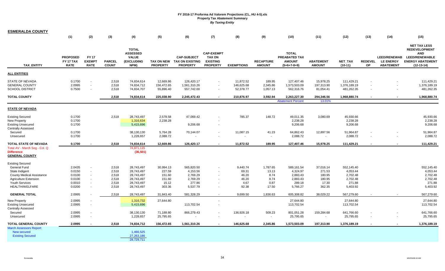| <b>ESMERALDA COUNTY</b>                                                                                                                                                         |                                                          |                                                                                    |                                                    |                                                                                  |                                                            |                                                                      |                                                                          |                                                      |                                                    |                                                                      |                                                            |                                                                      |                      |                                                             |                                                                                                                               |
|---------------------------------------------------------------------------------------------------------------------------------------------------------------------------------|----------------------------------------------------------|------------------------------------------------------------------------------------|----------------------------------------------------|----------------------------------------------------------------------------------|------------------------------------------------------------|----------------------------------------------------------------------|--------------------------------------------------------------------------|------------------------------------------------------|----------------------------------------------------|----------------------------------------------------------------------|------------------------------------------------------------|----------------------------------------------------------------------|----------------------|-------------------------------------------------------------|-------------------------------------------------------------------------------------------------------------------------------|
|                                                                                                                                                                                 | (1)                                                      | (2)                                                                                | $(3)$                                              | (4)                                                                              | (5)                                                        | (6)                                                                  | (7)                                                                      | (8)                                                  | (9)                                                | (10)                                                                 | (11)                                                       | (12)                                                                 | (13)                 | (14)                                                        | (15)                                                                                                                          |
| <b>TAX ENTITY</b>                                                                                                                                                               | <b>PROPOSED</b><br>FY 17 TAX<br><b>RATE</b>              | <b>FY 17</b><br><b>EXEMPT</b><br><b>RATE</b>                                       | <b>PARCEL</b><br><b>COUNT</b>                      | <b>TOTAL</b><br><b>ASSESSED</b><br><b>VALUE</b><br>(EXCLUDING<br>NPM)            | <b>TAX ON NEW</b><br><b>PROPERTY</b>                       | <b>CAP-SUBJECT</b><br><b>TAX ON EXISTING</b><br><b>PROPERTY</b>      | <b>CAP-EXEMPT</b><br><b>TAX ON</b><br><b>EXISTING</b><br><b>PROPERTY</b> | <b>EXEMPTIONS</b>                                    | <b>RECAPTURE</b><br><b>AMOUNT</b>                  | <b>TOTAL</b><br>PREABATED TAX<br><b>AMOUNT</b><br>$(5+6+7-8+9)$      | <b>ABATEMENT</b><br><b>AMOUNT</b>                          | <b>NET TAX</b><br>$(10-11)$                                          | <b>REDEVEL</b><br>OP | <b>LEED/RENEWAB</b><br><b>LE ENERGY</b><br><b>ABATEMENT</b> | <b>NET TAX LESS</b><br><b>REDEVELOPMENT</b><br><b>AND</b><br><b>LEED/RENEWABLE</b><br><b>ENERGY ABATEMENT</b><br>$(12-13-14)$ |
| <b>ALL ENTITIES</b>                                                                                                                                                             |                                                          |                                                                                    |                                                    |                                                                                  |                                                            |                                                                      |                                                                          |                                                      |                                                    |                                                                      |                                                            |                                                                      |                      |                                                             |                                                                                                                               |
| <b>STATE OF NEVADA</b><br><b>GENERAL COUNTY</b><br><b>SCHOOL DISTRICT</b>                                                                                                       | 0.1700<br>2.0995<br>0.7500                               | $\overline{\phantom{a}}$<br>$\sim$<br>$\sim$                                       | 2,518<br>2,518<br>2,518                            | 74,834,614<br>74,834,712<br>74,834,707                                           | 12,669.86<br>156,472.65<br>55,896.40                       | 126,420.17<br>1,561,310.26<br>557,742.00                             | $\mathbf{r}$<br>$\overline{\phantom{a}}$                                 | 11,872.52<br>146,625.68<br>52,378.77                 | 189.95<br>2,345.86<br>1,057.13                     | 127,407.46<br>1,573,503.09<br>562,316.76                             | 15,978.25<br>197,313.90<br>81,054.41                       | 111,429.21<br>1,376,189.19<br>481,262.35                             |                      | $\overline{\phantom{a}}$                                    | 111,429.21<br>1,376,189.19<br>481,262.35                                                                                      |
| <b>TOTAL COUNTY</b>                                                                                                                                                             |                                                          |                                                                                    | 2,518                                              | 74,834,614                                                                       | 225,038.90                                                 | 2,245,472.43                                                         |                                                                          | 210,876.97                                           | 3,592.94                                           | 2,263,227.30                                                         | 294,346.56                                                 | 1,968,880.74                                                         |                      |                                                             | 1,968,880.74                                                                                                                  |
|                                                                                                                                                                                 |                                                          |                                                                                    |                                                    |                                                                                  |                                                            |                                                                      |                                                                          |                                                      |                                                    | <b>Abatement Percent</b>                                             | 13.01%                                                     |                                                                      |                      |                                                             |                                                                                                                               |
| <b>STATE OF NEVADA</b>                                                                                                                                                          |                                                          |                                                                                    |                                                    |                                                                                  |                                                            |                                                                      |                                                                          |                                                      |                                                    |                                                                      |                                                            |                                                                      |                      |                                                             |                                                                                                                               |
| <b>Existing Secured</b><br>New Property<br><b>Existing Unsecured</b><br><b>Centrally Assessed</b>                                                                               | 0.1700<br>0.1700<br>0.1700                               |                                                                                    | 2,518                                              | 28,743,497<br>1,316,634<br>5,415,696                                             | 2,578.58<br>2,238.28                                       | 47,069.42<br>9,206.68                                                |                                                                          | 785.37                                               | 148.72                                             | 49,011.35<br>2,238.28<br>9,206.68                                    | 3,080.69                                                   | 45,930.66<br>2,238.28<br>9,206.68                                    |                      |                                                             | 45,930.66<br>2,238.28<br>9,206.68                                                                                             |
| Secured<br>Unsecured                                                                                                                                                            | 0.1700<br>0.1700                                         |                                                                                    |                                                    | 38,130,130<br>1,228,657                                                          | 5,764.28<br>2,088.72                                       | 70,144.07                                                            | $\overline{\phantom{a}}$                                                 | 11,087.15                                            | 41.23<br>$\overline{\phantom{a}}$                  | 64,862.43<br>2,088.72                                                | 12,897.56<br>$\sim$                                        | 51,964.87<br>2,088.72                                                |                      | $\blacksquare$                                              | 51,964.87<br>2,088.72                                                                                                         |
| TOTAL STATE OF NEVADA<br>Total AV - March Seg - Col. Q<br><b>Difference</b><br><b>GENERAL COUNTY</b>                                                                            | 0.1700                                                   |                                                                                    | 2,518                                              | 74,834,614<br>74,871,115<br>(36, 501)                                            | 12,669.86                                                  | 126,420.17                                                           | $\blacksquare$                                                           | 11,872.52                                            | 189.95                                             | 127,407.46                                                           | 15,978.25                                                  | 111,429.21                                                           |                      |                                                             | 111,429.21                                                                                                                    |
| <b>Existing Secured</b><br><b>General Fund</b><br>State Indigent<br><b>County Medical Assistance</b><br><b>Agriculture Extension</b><br><b>Youth Services</b><br>HEALTH/WELFARE | 2.0435<br>0.0150<br>0.0100<br>0.0100<br>0.0010<br>0.0200 | $\overline{\phantom{a}}$<br>$\sim$<br>$\sim$<br>$\sim$<br>$\blacksquare$<br>$\sim$ | 2,518<br>2,518<br>2,518<br>2,518<br>2,518<br>2,518 | 28,743,497<br>28,743,497<br>28,743,497<br>28,743,497<br>28,743,497<br>28,743,497 | 30,994.13<br>227.59<br>151.60<br>151.60<br>15.12<br>303.36 | 565,820.50<br>4,153.56<br>2,769.29<br>2,769.29<br>277.86<br>5,537.79 | $\blacksquare$                                                           | 9,440.74<br>69.31<br>46.20<br>46.20<br>4.67<br>92.38 | 1,787.65<br>13.13<br>8.74<br>8.74<br>0.87<br>17.50 | 589,161.54<br>4,324.97<br>2,883.43<br>2,883.43<br>289.18<br>5,766.27 | 37,016.14<br>271.53<br>180.95<br>180.95<br>17.30<br>362.35 | 552,145.40<br>4,053.44<br>2,702.48<br>2,702.48<br>271.88<br>5,403.92 |                      |                                                             | 552,145.40<br>4,053.44<br>2,702.48<br>2,702.48<br>271.88<br>5,403.92                                                          |
| <b>GENERAL TOTAL</b>                                                                                                                                                            | 2.0995                                                   |                                                                                    | 2,518                                              | 28,743,497                                                                       | 31,843.40                                                  | 581,328.29                                                           |                                                                          | 9,699.50                                             | 1,836.63                                           | 605,308.82                                                           | 38,029.22                                                  | 567,279.60                                                           |                      |                                                             | 567,279.60                                                                                                                    |
| <b>New Property</b><br><b>Existing Unsecured</b><br><b>Centrally Assessed</b><br>Secured<br>Unsecured                                                                           | 2.0995<br>2.0995<br>2.0995<br>2.0995                     | $\overline{\phantom{a}}$<br>$\overline{\phantom{a}}$<br>$\sim$                     |                                                    | 1,316,732<br>5,415,696<br>38,130,130<br>1,228,657                                | 27,644.80<br>71,188.80<br>25,795.65                        | 113,702.54<br>866,279.43                                             |                                                                          | 136,926.18                                           | 509.23<br>$\blacksquare$                           | 27,644.80<br>113,702.54<br>801,051.28<br>25,795.65                   | 159,284.68<br>$\sim$                                       | 27,644.80<br>113,702.54<br>641,766.60<br>25,795.65                   |                      |                                                             | 27,644.80<br>113,702.54<br>641,766.60<br>25,795.65                                                                            |
| <b>TOTAL GENERAL COUNTY</b><br><b>March Assessors Report:</b><br>New secured<br><b>Existing Secured</b>                                                                         | 2.0995                                                   |                                                                                    | 2,518                                              | 74,834,712<br>1,466,525<br>27,263,186                                            | 156,472.65                                                 | 1,561,310.26                                                         |                                                                          | 146,625.68                                           | 2,345.86                                           | 1,573,503.09                                                         | 197,313.90                                                 | 1,376,189.19                                                         |                      |                                                             | 1,376,189.19                                                                                                                  |
|                                                                                                                                                                                 |                                                          |                                                                                    |                                                    | 28.729.711                                                                       |                                                            |                                                                      |                                                                          |                                                      |                                                    |                                                                      |                                                            |                                                                      |                      |                                                             |                                                                                                                               |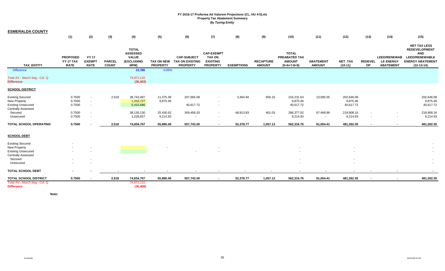| <b>ESMERALDA COUNTY</b>                            |                                                    |                                              |                               |                                                                       |                                      |                                                                 |                                                                          |                     |                                   |                                                                 |                                   |                             |                      |                                                             |                                                                                                                               |
|----------------------------------------------------|----------------------------------------------------|----------------------------------------------|-------------------------------|-----------------------------------------------------------------------|--------------------------------------|-----------------------------------------------------------------|--------------------------------------------------------------------------|---------------------|-----------------------------------|-----------------------------------------------------------------|-----------------------------------|-----------------------------|----------------------|-------------------------------------------------------------|-------------------------------------------------------------------------------------------------------------------------------|
|                                                    | (1)                                                | (2)                                          | (3)                           | (4)                                                                   | (5)                                  | (6)                                                             | (7)                                                                      | (8)                 | (9)                               | (10)                                                            | (11)                              | (12)                        | (13)                 | (14)                                                        | (15)                                                                                                                          |
| TAX_ENTITY                                         | <b>PROPOSED</b><br><b>FY 17 TAX</b><br><b>RATE</b> | <b>FY 17</b><br><b>EXEMPT</b><br><b>RATE</b> | <b>PARCEL</b><br><b>COUNT</b> | <b>TOTAL</b><br><b>ASSESSED</b><br><b>VALUE</b><br>(EXCLUDING<br>NPM) | <b>TAX ON NEW</b><br><b>PROPERTY</b> | <b>CAP-SUBJECT</b><br><b>TAX ON EXISTING</b><br><b>PROPERTY</b> | <b>CAP-EXEMPT</b><br><b>TAX ON</b><br><b>EXISTING</b><br><b>PROPERTY</b> | <b>EXEMPTIONS</b>   | <b>RECAPTURE</b><br><b>AMOUNT</b> | <b>TOTAL</b><br>PREABATED TAX<br><b>AMOUNT</b><br>$(5+6+7-8+9)$ | <b>ABATEMENT</b><br><b>AMOUNT</b> | <b>NET TAX</b><br>$(10-11)$ | <b>REDEVEL</b><br>OP | <b>LEED/RENEWAB</b><br><b>LE ENERGY</b><br><b>ABATEMENT</b> | <b>NET TAX LESS</b><br><b>REDEVELOPMENT</b><br><b>AND</b><br><b>LEED/RENEWABLE</b><br><b>ENERGY ABATEMENT</b><br>$(12-13-14)$ |
| <b>Difference</b>                                  |                                                    |                                              |                               | 13,786                                                                | 0.05%                                |                                                                 |                                                                          |                     |                                   |                                                                 |                                   |                             |                      |                                                             |                                                                                                                               |
| Total AV - March Seg - Col. Q<br><b>Difference</b> |                                                    |                                              |                               | 74,871,115<br>(36, 403)                                               |                                      |                                                                 |                                                                          |                     |                                   |                                                                 |                                   |                             |                      |                                                             |                                                                                                                               |
| <b>SCHOOL DISTRICT</b>                             |                                                    |                                              |                               |                                                                       |                                      |                                                                 |                                                                          |                     |                                   |                                                                 |                                   |                             |                      |                                                             |                                                                                                                               |
| <b>Existing Secured</b>                            | 0.7500                                             | $\sim$                                       | 2,518                         | 28,743,497                                                            | 11,375.39                            | 207,665.08                                                      | $\sim$                                                                   | 3,464.94            | 656.10                            | 216,231.63                                                      | 13,585.55                         | 202,646.08                  |                      |                                                             | 202,646.08                                                                                                                    |
| <b>New Property</b><br><b>Existing Unsecured</b>   | 0.7500<br>0.7500                                   | $\sim$<br>$\sim$                             |                               | 1,316,727<br>5,415,696                                                | 9,875.46                             | 40,617.72                                                       | $\blacksquare$<br>$\sim$                                                 |                     |                                   | 9,875.46<br>40,617.72                                           |                                   | 9,875.46<br>40,617.72       |                      |                                                             | 9,875.46<br>40,617.72                                                                                                         |
| <b>Centrally Assessed</b>                          |                                                    |                                              |                               |                                                                       |                                      |                                                                 |                                                                          |                     |                                   |                                                                 |                                   |                             |                      |                                                             |                                                                                                                               |
| Secured<br>Unsecured                               | 0.7500<br>0.7500                                   | $\sim$<br>$\sim$                             |                               | 38,130,130<br>1,228,657                                               | 25,430.62<br>9,214.93                | 309,459.20<br>$\sim$                                            | $\sim$<br>$\sim$                                                         | 48,913.83<br>$\sim$ | 401.03<br>$\sim$                  | 286,377.02<br>9,214.93                                          | 67,468.86<br>$\sim$               | 218,908.16<br>9,214.93      | $\sim$               | $\sim$<br>$\sim$                                            | 218,908.16<br>9,214.93                                                                                                        |
| <b>TOTAL SCHOOL OPERATING</b>                      | 0.7500                                             |                                              | 2,518                         | 74,834,707                                                            | 55,896.40                            | 557,742.00                                                      | $\blacksquare$                                                           | 52,378.77           | 1,057.13                          | 562,316.76                                                      | 81,054.41                         | 481,262.35                  |                      |                                                             | 481,262.35                                                                                                                    |
| <b>SCHOOL DEBT</b>                                 |                                                    |                                              |                               |                                                                       |                                      |                                                                 |                                                                          |                     |                                   |                                                                 |                                   |                             |                      |                                                             |                                                                                                                               |
| <b>Existing Secured</b>                            |                                                    |                                              |                               |                                                                       |                                      |                                                                 |                                                                          |                     |                                   |                                                                 |                                   |                             |                      |                                                             |                                                                                                                               |
| <b>New Property</b>                                |                                                    |                                              |                               |                                                                       |                                      |                                                                 |                                                                          |                     |                                   |                                                                 |                                   |                             |                      |                                                             |                                                                                                                               |
| <b>Existing Unsecured</b>                          |                                                    |                                              |                               |                                                                       |                                      |                                                                 |                                                                          |                     |                                   |                                                                 |                                   |                             |                      |                                                             |                                                                                                                               |
| <b>Centrally Assessed</b><br>Secured               |                                                    | $\overline{\phantom{a}}$                     |                               |                                                                       |                                      |                                                                 |                                                                          |                     |                                   |                                                                 |                                   | $\sim$                      |                      |                                                             |                                                                                                                               |
| Unsecured                                          |                                                    |                                              |                               |                                                                       |                                      |                                                                 |                                                                          |                     |                                   |                                                                 |                                   |                             |                      |                                                             |                                                                                                                               |
| <b>TOTAL SCHOOL DEBT</b>                           | $\overline{\phantom{a}}$                           |                                              |                               |                                                                       |                                      |                                                                 |                                                                          |                     |                                   |                                                                 |                                   |                             |                      | $\blacksquare$                                              | $\sim$                                                                                                                        |
| <b>TOTAL SCHOOL DISTRICT</b>                       | 0.7500                                             |                                              | 2,518                         | 74,834,707                                                            | 55,896.40                            | 557,742.00                                                      | $\blacksquare$                                                           | 52,378.77           | 1,057.13                          | 562,316.76                                                      | 81,054.41                         | 481,262.35                  | $\sim$               | $\sim$                                                      | 481,262.35                                                                                                                    |
| Total AV - March Seg - Col. Q<br><b>Difference</b> |                                                    |                                              |                               | 74,871,115<br>(36, 408)                                               |                                      |                                                                 |                                                                          |                     |                                   |                                                                 |                                   |                             |                      |                                                             |                                                                                                                               |

**Note:**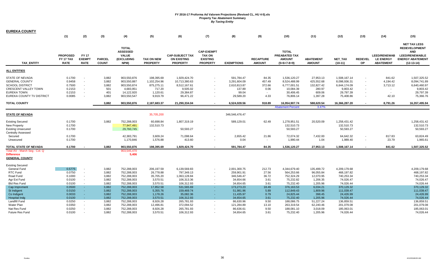| <b>EUREKA COUNTY</b>                                                                                                                          |                                                          |                                                                |                                                |                                                                                     |                                                                            |                                                                                     |                                                                          |                                                                            |                                                     |                                                                                     |                                                                       |                                                                                    |                                    |                                                             |                                                                                                                               |
|-----------------------------------------------------------------------------------------------------------------------------------------------|----------------------------------------------------------|----------------------------------------------------------------|------------------------------------------------|-------------------------------------------------------------------------------------|----------------------------------------------------------------------------|-------------------------------------------------------------------------------------|--------------------------------------------------------------------------|----------------------------------------------------------------------------|-----------------------------------------------------|-------------------------------------------------------------------------------------|-----------------------------------------------------------------------|------------------------------------------------------------------------------------|------------------------------------|-------------------------------------------------------------|-------------------------------------------------------------------------------------------------------------------------------|
|                                                                                                                                               | (1)                                                      | (2)                                                            | (3)                                            | (4)                                                                                 | (5)                                                                        | (6)                                                                                 | (7)                                                                      | (8)                                                                        | (9)                                                 | (10)                                                                                | (11)                                                                  | (12)                                                                               | (13)                               | (14)                                                        | (15)                                                                                                                          |
| <b>TAX ENTITY</b>                                                                                                                             | <b>PROPOSED</b><br><b>FY 17 TAX</b><br><b>RATE</b>       | <b>FY 17</b><br><b>EXEMPT</b><br><b>RATE</b>                   | <b>PARCEL</b><br><b>COUNT</b>                  | <b>TOTAL</b><br><b>ASSESSED</b><br><b>VALUE</b><br>(EXCLUDING<br>NPM)               | <b>TAX ON NEW</b><br><b>PROPERTY</b>                                       | <b>CAP-SUBJECT TAX</b><br><b>ON EXISTING</b><br><b>PROPERTY</b>                     | <b>CAP-EXEMPT</b><br><b>TAX ON</b><br><b>EXISTING</b><br><b>PROPERTY</b> | <b>EXEMPTIONS</b>                                                          | <b>RECAPTURE</b><br><b>AMOUNT</b>                   | <b>TOTAL</b><br>PREABATED TAX<br><b>AMOUNT</b><br>$(5+6+7-8+9)$                     | <b>ABATEMENT</b><br><b>AMOUNT</b>                                     | <b>NET TAX</b><br>$(10-11)$                                                        | <b>REDEVEL</b><br><b>OP</b>        | <b>LEED/RENEWAB</b><br><b>LE ENERGY</b><br><b>ABATEMENT</b> | <b>NET TAX LESS</b><br><b>REDEVELOPMENT</b><br><b>AND</b><br><b>LEED/RENEWABLE</b><br><b>ENERGY ABATEMENT</b><br>$(12-13-14)$ |
| <b>ALL ENTITIES</b>                                                                                                                           |                                                          |                                                                |                                                |                                                                                     |                                                                            |                                                                                     |                                                                          |                                                                            |                                                     |                                                                                     |                                                                       |                                                                                    |                                    |                                                             |                                                                                                                               |
| STATE OF NEVADA<br><b>GENERAL COUNTY</b><br><b>SCHOOL DISTRICT</b><br><b>CRESCENT VALLEY TOWN</b><br>EUREKA TOWN<br>EUREKA COUNTY TV DISTRICT | 0.1700<br>0.9458<br>0.7500<br>0.2153<br>0.2153<br>0.0085 | $\sim$<br>$\overline{\phantom{a}}$<br>$\overline{\phantom{a}}$ | 3,882<br>3,882<br>3,882<br>501<br>401<br>3,882 | 903,550,876<br>903,550,887<br>903,550,874<br>4,683,951<br>14,122,920<br>903,550,547 | 198,395.69<br>1,102,254.96<br>875,275.11<br>717.20<br>1,120.61<br>9,919.79 | 1,929,424.70<br>10,713,380.63<br>8,512,167.61<br>9,505.02<br>29,384.87<br>96,471.22 |                                                                          | 591,784.47<br>3,291,604.09<br>2,610,813.87<br>137.89<br>99.04<br>29,589.20 | 84.35<br>457.49<br>372.66<br>0.06<br>$\sim$<br>4.33 | 1,536,120.27<br>8,524,488.99<br>6,777,001.51<br>10,084.39<br>30,406.45<br>76,806.14 | 27,953.13<br>425,552.68<br>132,827.42<br>280.97<br>609.06<br>1,397.28 | 1,508,167.14<br>8,098,936.31<br>6,644,174.09<br>9,803.42<br>29,797.39<br>75,408.86 |                                    | 841.62<br>4,194.42<br>3,713.12<br>$\sim$<br>$\sim$<br>42.10 | 1,507,325.52<br>8,094,741.89<br>6,640,460.97<br>9,803.42<br>29,797.39<br>75,366.76                                            |
| <b>TOTAL COUNTY</b>                                                                                                                           |                                                          |                                                                | 3,882                                          | 903,550,876                                                                         | 2,187,683.37                                                               | 21,290,334.04                                                                       |                                                                          | 6,524,028.56                                                               | 918.89                                              | 16,954,907.74                                                                       | 588,620.54                                                            | 16,366,287.20                                                                      |                                    | 8,791.26                                                    | 16,357,495.94                                                                                                                 |
|                                                                                                                                               |                                                          |                                                                |                                                |                                                                                     |                                                                            |                                                                                     |                                                                          |                                                                            |                                                     | <b>Abatement Percent</b>                                                            | 3.47%                                                                 |                                                                                    |                                    |                                                             |                                                                                                                               |
| <b>STATE OF NEVADA</b>                                                                                                                        |                                                          |                                                                |                                                |                                                                                     | 35,705,200                                                                 |                                                                                     |                                                                          | 346,546,476.47                                                             |                                                     |                                                                                     |                                                                       |                                                                                    |                                    |                                                             |                                                                                                                               |
| <b>Existing Secured</b><br>New Property<br><b>Existing Unsecured</b><br><b>Centrally Assessed</b>                                             | 0.1700<br>0.1700<br>0.1700                               |                                                                | 3,882                                          | 752,288,003<br>77,947,491<br>29,760,745                                             | 60,698.84<br>132,510.73                                                    | 1,807,319.19<br>50,593.27                                                           |                                                                          | 589,129.01                                                                 | 62.49                                               | 1,278,951.51<br>132,510.73<br>50,593.27                                             | 20,520.09                                                             | 1,258,431.42<br>132,510.73<br>50,593.27                                            |                                    |                                                             | 1,258,431.42<br>132,510.73<br>50,593.27                                                                                       |
| Secured<br>Unsecured                                                                                                                          | 0.1700<br>0.1700                                         |                                                                |                                                | 42,383,791<br>1,170,846                                                             | 3,609.24<br>1,576.88                                                       | 71,098.64<br>413.60                                                                 |                                                                          | 2,655.42<br>0.04                                                           | 21.86                                               | 72,074.32<br>1,990.44                                                               | 7,432.00<br>1.04                                                      | 64,642.32<br>1,989.40                                                              | $\overline{\phantom{a}}$<br>$\sim$ | 817.83<br>23.79                                             | 63,824.49<br>1,965.61                                                                                                         |
| TOTAL STATE OF NEVADA                                                                                                                         | 0.1700                                                   |                                                                | 3.882                                          | 903,550,876                                                                         | 198,395.69                                                                 | 1,929,424.70                                                                        |                                                                          | 591,784.47                                                                 | 84.35                                               | 1,536,120.27                                                                        | 27,953.13                                                             | 1,508,167.14                                                                       |                                    | 841.62                                                      | 1,507,325.52                                                                                                                  |
| Total AV - March Seq - Col. Q<br><b>Difference</b><br><b>GENERAL COUNTY</b>                                                                   |                                                          |                                                                |                                                | 903,545,470<br>5,406                                                                |                                                                            |                                                                                     |                                                                          |                                                                            |                                                     |                                                                                     |                                                                       |                                                                                    |                                    |                                                             |                                                                                                                               |
| Existing Secured<br>General Fund<br>RTC Fund                                                                                                  | 0.5775<br>0.0750                                         | $\overline{\phantom{a}}$<br>$\sim$                             | 3,882<br>3,882                                 | 752,288,003<br>752,288,003                                                          | 206,197.59<br>26,778.88                                                    | 6,139,569.83<br>797,349.13                                                          | $\overline{\phantom{a}}$                                                 | 2,001,300.75<br>259,901.91                                                 | 212.73<br>27.56                                     | 4,344,679.40<br>564,253.66                                                          | 135,499.72<br>96,055.84                                               | 4,209,179.68<br>468,197.82                                                         |                                    |                                                             | 4,209,179.68<br>468,197.82                                                                                                    |
| Road Fund<br>Agr Ext Fund<br><b>Bld Res Fund</b>                                                                                              | 0.1000<br>0.0100<br>0.0100                               | $\sim$<br>$\sim$<br>$\sim$                                     | 3,882<br>3,882<br>3,882                        | 752,288,003<br>752,288,003<br>752,288,003                                           | 35,705.20<br>3,570.51<br>3,570.51                                          | 1,063,128.84<br>106,313.36<br>106,312.93                                            | $\overline{\phantom{a}}$<br>$\overline{\phantom{a}}$                     | 346,546.47<br>34,654.66<br>34,654.65                                       | 36.72<br>3.61<br>3.61                               | 752,324.29<br>75,232.82<br>75,232.40                                                | 12,070.95<br>1,206.35<br>1,205.96                                     | 740,253.34<br>74,026.47<br>74,026.44                                               |                                    |                                                             | 740,253.34<br>74,026.47<br>74,026.44                                                                                          |
| Cap Imprvment<br>St Indigent<br>Co Indigent                                                                                                   | 0.0500<br>0.0150<br>0.0033                               | $\sim$<br>х.<br>$\sim$                                         | 3,882<br>3,882<br>3,882                        | 752,288,003<br>752,288,003<br>752,288,003                                           | 17,852.58<br>5,355.76<br>1,178.26                                          | 531,565.69<br>159,469.74<br>35,082.36                                               | $\sim$<br>$\sim$                                                         | 173,273.23<br>51,981.96<br>11,435.97                                       | 18.49<br>5.89<br>0.79                               | 376,163.53<br>112,849.43<br>24,825.44                                               | 6,034.21<br>1,809.96<br>398.45                                        | 370,129.32<br>111,039.47<br>24,426.99                                              |                                    |                                                             | 370,129.32<br>111,039.47<br>24,426.99                                                                                         |
| <b>Hospital Indg</b><br>Landfill Fund<br>Water Plan                                                                                           | 0.0100<br>0.0250<br>0.0350                               | - 4<br>$\sim$                                                  | 3,882<br>3,882<br>3,882                        | 752,288,003<br>752,288,003<br>752,288,003                                           | 3,570.51<br>8,926.28<br>12,496.81                                          | 106,312.93<br>265,781.93<br>372,094.52                                              | $\overline{\phantom{a}}$                                                 | 34,654.65<br>86,630.96<br>121,284.89                                       | 3.61<br>9.50<br>13.10                               | 75,232.40<br>188,086.75<br>263,319.54                                               | 1,205.96<br>51,227.24<br>62,240.46                                    | 74,026.44<br>136,859.51<br>201,079.08                                              |                                    |                                                             | 74,026.44<br>136,859.51<br>201,079.08                                                                                         |
| Nat Res Fund<br>Future Res Fund                                                                                                               | 0.0250<br>0.0100                                         | $\overline{\phantom{a}}$                                       | 3,882<br>3,882                                 | 752,288,003<br>752,288,003                                                          | 8,926.28<br>3,570.51                                                       | 265,781.93<br>106,312.93                                                            |                                                                          | 86,636.61<br>34,654.65                                                     | 9.50<br>3.61                                        | 188,081.10<br>75,232.40                                                             | 3,018.09<br>1,205.96                                                  | 185,063.01<br>74,026.44                                                            |                                    |                                                             | 185,063.01<br>74,026.44                                                                                                       |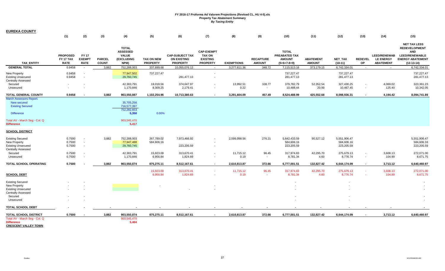| <b>EUREKA COUNTY</b>                                                                              |                                             |                                             |                               |                                                                       |                                      |                                                                 |                                                                          |                   |                                   |                                                                 |                                   |                                          |                                    |                                                             |                                                                                                                               |
|---------------------------------------------------------------------------------------------------|---------------------------------------------|---------------------------------------------|-------------------------------|-----------------------------------------------------------------------|--------------------------------------|-----------------------------------------------------------------|--------------------------------------------------------------------------|-------------------|-----------------------------------|-----------------------------------------------------------------|-----------------------------------|------------------------------------------|------------------------------------|-------------------------------------------------------------|-------------------------------------------------------------------------------------------------------------------------------|
|                                                                                                   | (1)                                         | (2)                                         | (3)                           | (4)                                                                   | (5)                                  | (6)                                                             | (7)                                                                      | (8)               | (9)                               | (10)                                                            | (11)                              | (12)                                     | (13)                               | (14)                                                        | (15)                                                                                                                          |
| <b>TAX ENTITY</b>                                                                                 | <b>PROPOSED</b><br>FY 17 TAX<br><b>RATE</b> | <b>FY17</b><br><b>EXEMPT</b><br><b>RATE</b> | <b>PARCEL</b><br><b>COUNT</b> | <b>TOTAL</b><br><b>ASSESSED</b><br><b>VALUE</b><br>(EXCLUDING<br>NPM) | <b>TAX ON NEW</b><br><b>PROPERTY</b> | <b>CAP-SUBJECT TAX</b><br><b>ON EXISTING</b><br><b>PROPERTY</b> | <b>CAP-EXEMPT</b><br><b>TAX ON</b><br><b>EXISTING</b><br><b>PROPERTY</b> | <b>EXEMPTIONS</b> | <b>RECAPTURE</b><br><b>AMOUNT</b> | <b>TOTAL</b><br>PREABATED TAX<br><b>AMOUNT</b><br>$(5+6+7-8+9)$ | <b>ABATEMENT</b><br><b>AMOUNT</b> | NET_TAX<br>$(10-11)$                     | <b>REDEVEL</b><br>OP               | <b>LEED/RENEWAB</b><br><b>LE ENERGY</b><br><b>ABATEMENT</b> | <b>NET TAX LESS</b><br><b>REDEVELOPMENT</b><br><b>AND</b><br><b>LEED/RENEWABLE</b><br><b>ENERGY ABATEMENT</b><br>$(12-13-14)$ |
| <b>GENERAL TOTAL</b>                                                                              | 0.9458                                      |                                             | 3,882                         | 752,288,003                                                           | 337,699.68                           | 10,055,076.12                                                   | $\sim$                                                                   | 3,277,611.36      | 348.72                            | 7,115,513.16                                                    | 373,179.15                        | 6,742,334.01                             | $\sim$                             | $\sim$                                                      | 6,742,334.01                                                                                                                  |
| New Property<br><b>Existing Unsecured</b><br><b>Centrally Assessed</b>                            | 0.9458<br>0.9458                            |                                             |                               | 77,947,502<br>29,760,745                                              | 737,227.47                           | 281,477.13                                                      |                                                                          |                   |                                   | 737,227.47<br>281,477.13                                        |                                   | 737,227.47<br>281,477.13                 |                                    |                                                             | 737,227.47<br>281,477.13                                                                                                      |
| Secured<br>Unsecured                                                                              |                                             |                                             |                               | 42,383,791<br>1,170,846                                               | 19,018.56<br>8,309.25                | 374,647.97<br>2,179.41                                          |                                                                          | 13,992.51<br>0.22 | 108.77<br>$\sim$                  | 379,782.79<br>10,488.44                                         | 52,352.54<br>20.99                | 327,430.25<br>10,467.45                  | $\sim$<br>$\blacksquare$           | 4,069.02<br>125.40                                          | 323,361.23<br>10,342.05                                                                                                       |
| TOTAL GENERAL COUNTY                                                                              | 0.9458                                      |                                             | 3,882                         | 903,550,887                                                           | 1,102,254.96                         | 10,713,380.63                                                   |                                                                          | 3,291,604.09      | 457.49                            | 8,524,488.99                                                    | 425,552.68                        | 8,098,936.31                             |                                    | 4,194.42                                                    | 8,094,741.89                                                                                                                  |
| <b>March Assessors Report:</b><br>New secured<br><b>Existing Secured</b><br><b>Difference</b>     |                                             |                                             |                               | 35,705,256<br>716,577,397<br>752.282.653<br>5,350                     | 0.00%                                |                                                                 |                                                                          |                   |                                   |                                                                 |                                   |                                          |                                    |                                                             |                                                                                                                               |
| Total AV - March Seg - Col. Q<br><b>Difference</b>                                                |                                             |                                             |                               | 903,545,470<br>5,417                                                  |                                      |                                                                 |                                                                          |                   |                                   |                                                                 |                                   |                                          |                                    |                                                             |                                                                                                                               |
| <b>SCHOOL DISTRICT</b>                                                                            |                                             |                                             |                               |                                                                       |                                      |                                                                 |                                                                          |                   |                                   |                                                                 |                                   |                                          |                                    |                                                             |                                                                                                                               |
| <b>Existing Secured</b><br>New Property<br><b>Existing Unsecured</b>                              | 0.7500<br>0.7500<br>0.7500                  | $\sim$                                      | 3,882                         | 752,288,003<br>77,947,488<br>29,760,745                               | 267,789.02<br>584,606.16             | 7,973,466.92<br>223,205.59                                      |                                                                          | 2,599,098.56      | 276.21                            | 5,642,433.59<br>584,606.16<br>223,205.59                        | 90,527.12                         | 5,551,906.47<br>584,606.16<br>223,205.59 |                                    |                                                             | 5,551,906.47<br>584,606.16<br>223,205.59                                                                                      |
| <b>Centrally Assessed</b><br>Secured<br>Unsecured                                                 | 0.7500<br>0.7500                            |                                             |                               | 42,383,791<br>1,170,846                                               | 15,923.09<br>6,956.84                | 313,670.41<br>1,824.69                                          |                                                                          | 11,715.12<br>0.19 | 96.45<br>$\sim$                   | 317,974.83<br>8,781.34                                          | 42,295.70<br>4.60                 | 275,679.13<br>8,776.74                   | $\overline{\phantom{a}}$<br>$\sim$ | 3,608.13<br>104.99                                          | 272,071.00<br>8,671.75                                                                                                        |
| TOTAL SCHOOL OPERATING                                                                            | 0.7500                                      |                                             | 3,882                         | 903,550,874                                                           | 875,275.11                           | 8,512,167.61                                                    | $\sim$                                                                   | 2,610,813.87      | 372.66                            | 6,777,001.51                                                    | 132,827.42                        | 6,644,174.09                             | $\sim$                             | 3,713.12                                                    | 6,640,460.97                                                                                                                  |
| <b>SCHOOL DEBT</b>                                                                                |                                             |                                             |                               |                                                                       | 15,923.09<br>6,956.84                | 313,670.41<br>1,824.69                                          |                                                                          | 11,715.12<br>0.19 | 96.45<br>$\sim$                   | 317,974.83<br>8,781.34                                          | 42,295.70<br>4.60                 | 275,679.13<br>8,776.74                   | ÷.                                 | 3,608.13<br>104.99                                          | 272,071.00<br>8,671.75                                                                                                        |
| <b>Existing Secured</b><br>New Property<br><b>Existing Unsecured</b><br><b>Centrally Assessed</b> |                                             |                                             |                               |                                                                       |                                      |                                                                 |                                                                          |                   |                                   |                                                                 |                                   | $\blacksquare$                           |                                    |                                                             |                                                                                                                               |
| Secured<br>Unsecured                                                                              |                                             |                                             |                               |                                                                       |                                      |                                                                 |                                                                          |                   |                                   |                                                                 |                                   |                                          |                                    |                                                             |                                                                                                                               |
| TOTAL SCHOOL DEBT                                                                                 |                                             |                                             |                               |                                                                       |                                      |                                                                 |                                                                          |                   |                                   |                                                                 |                                   |                                          |                                    |                                                             |                                                                                                                               |
| TOTAL SCHOOL DISTRICT                                                                             | 0.7500                                      |                                             | 3,882                         | 903,550,874                                                           | 875,275.11                           | 8,512,167.61                                                    |                                                                          | 2,610,813.87      | 372.66                            | 6,777,001.51                                                    | 132,827.42                        | 6,644,174.09                             |                                    | 3,713.12                                                    | 6,640,460.97                                                                                                                  |
| Total AV - March Seg - Col. Q<br><b>Difference</b>                                                |                                             |                                             |                               | 903,545,470<br>5,404                                                  |                                      |                                                                 |                                                                          |                   |                                   |                                                                 |                                   |                                          |                                    |                                                             |                                                                                                                               |

**CRESCENT VALLEY TOWN**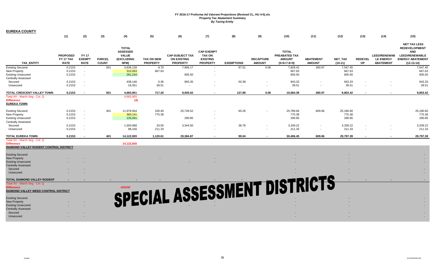| <b>EUREKA COUNTY</b>                                      |                                             |                                              |                               |                                                                       |                                      |                                                                 |                                                                          |                   |                                   |                                                                 |                                   |                             |                      |                                                             |                                                                                                                               |
|-----------------------------------------------------------|---------------------------------------------|----------------------------------------------|-------------------------------|-----------------------------------------------------------------------|--------------------------------------|-----------------------------------------------------------------|--------------------------------------------------------------------------|-------------------|-----------------------------------|-----------------------------------------------------------------|-----------------------------------|-----------------------------|----------------------|-------------------------------------------------------------|-------------------------------------------------------------------------------------------------------------------------------|
|                                                           | (1)                                         | (2)                                          | (3)                           | (4)                                                                   | (5)                                  | (6)                                                             | (7)                                                                      | (8)               | (9)                               | (10)                                                            | (11)                              | (12)                        | (13)                 | (14)                                                        | (15)                                                                                                                          |
| <b>TAX ENTITY</b>                                         | <b>PROPOSED</b><br>FY 17 TAX<br><b>RATE</b> | <b>FY 17</b><br><b>EXEMPT</b><br><b>RATE</b> | <b>PARCEL</b><br><b>COUNT</b> | <b>TOTAL</b><br><b>ASSESSED</b><br><b>VALUE</b><br>(EXCLUDING<br>NPM) | <b>TAX ON NEW</b><br><b>PROPERTY</b> | <b>CAP-SUBJECT TAX</b><br><b>ON EXISTING</b><br><b>PROPERTY</b> | <b>CAP-EXEMPT</b><br><b>TAX ON</b><br><b>EXISTING</b><br><b>PROPERTY</b> | <b>EXEMPTIONS</b> | <b>RECAPTURE</b><br><b>AMOUNT</b> | <b>TOTAL</b><br>PREABATED TAX<br><b>AMOUNT</b><br>$(5+6+7-8+9)$ | <b>ABATEMENT</b><br><b>AMOUNT</b> | <b>NET TAX</b><br>$(10-11)$ | <b>REDEVEL</b><br>OP | <b>LEED/RENEWAB</b><br><b>LE ENERGY</b><br><b>ABATEMENT</b> | <b>NET TAX LESS</b><br><b>REDEVELOPMENT</b><br><b>AND</b><br><b>LEED/RENEWABLE</b><br><b>ENERGY ABATEMENT</b><br>$(12-13-14)$ |
| <b>Existing Secured</b>                                   | 0.2153                                      | $\sim$ $-$                                   | 501                           | 3,636,128                                                             | 9.70                                 | 7,906.17                                                        | $\sim$                                                                   | 87.51             | 0.06                              | 7,828.42                                                        | 280.97                            | 7,547.45                    |                      |                                                             | 7,547.45                                                                                                                      |
| New Property                                              | 0.2153                                      | $\sim$                                       |                               | 310,093                                                               | 667.63                               |                                                                 |                                                                          |                   |                                   | 667.63                                                          |                                   | 667.63                      |                      |                                                             | 667.63                                                                                                                        |
| <b>Existing Unsecured</b>                                 | 0.2153                                      | $\sim$                                       |                               | 281,234                                                               |                                      | 605.50                                                          |                                                                          |                   |                                   | 605.50                                                          |                                   | 605.50                      |                      |                                                             | 605.50                                                                                                                        |
| <b>Centrally Assessed</b>                                 |                                             |                                              |                               |                                                                       |                                      |                                                                 |                                                                          |                   |                                   |                                                                 |                                   |                             |                      |                                                             |                                                                                                                               |
| Secured                                                   | 0.2153                                      |                                              |                               | 438,146                                                               | 0.36                                 | 993.35                                                          |                                                                          | 50.38             |                                   | 943.33                                                          |                                   | 943.33                      |                      |                                                             | 943.33                                                                                                                        |
| Unsecured                                                 | 0.2153                                      |                                              |                               | 18,351                                                                | 39.51                                |                                                                 |                                                                          | $\sim$            |                                   | 39.51                                                           |                                   | 39.51                       |                      |                                                             | 39.51                                                                                                                         |
| TOTAL CRESCENT VALLEY TOWN                                | 0.2153                                      | $\sim$                                       | 501                           | 4,683,951                                                             | 717.20                               | 9.505.02                                                        |                                                                          | 137.89            | 0.06                              | 10,084.39                                                       | 280.97                            | 9,803.42                    |                      |                                                             | 9,803.42                                                                                                                      |
| Total AV - March Seq - Col. Q                             |                                             |                                              |                               | 4,683,955                                                             |                                      |                                                                 |                                                                          |                   |                                   |                                                                 |                                   |                             |                      |                                                             |                                                                                                                               |
| <b>Difference</b>                                         |                                             |                                              |                               | (4)                                                                   |                                      |                                                                 |                                                                          |                   |                                   |                                                                 |                                   |                             |                      |                                                             |                                                                                                                               |
| <b>EUREKA TOWN</b>                                        |                                             |                                              |                               |                                                                       |                                      |                                                                 |                                                                          |                   |                                   |                                                                 |                                   |                             |                      |                                                             |                                                                                                                               |
| <b>Existing Secured</b>                                   | 0.2153                                      |                                              | 401                           |                                                                       | 100.40                               | 25,749.52                                                       |                                                                          | 60.26             |                                   | 25,789.66                                                       | 609.06                            | 25,180.60                   |                      |                                                             | 25,180.60                                                                                                                     |
| New Property                                              | 0.2153                                      | $\sim$                                       |                               | 11,978,564<br>360,141                                                 | 775.38                               |                                                                 |                                                                          |                   |                                   | 775.38                                                          |                                   | 775.38                      |                      |                                                             | 775.38                                                                                                                        |
| <b>Existing Unsecured</b>                                 | 0.2153                                      | $\sim$                                       |                               | 135,091                                                               |                                      | 290.85                                                          |                                                                          |                   |                                   | 290.85                                                          |                                   | 290.85                      |                      |                                                             | 290.85                                                                                                                        |
| <b>Centrally Assessed</b>                                 |                                             |                                              |                               |                                                                       |                                      |                                                                 |                                                                          |                   |                                   |                                                                 |                                   |                             |                      |                                                             |                                                                                                                               |
|                                                           |                                             | $\sim$                                       |                               |                                                                       |                                      |                                                                 |                                                                          |                   |                                   |                                                                 |                                   |                             |                      |                                                             |                                                                                                                               |
| Secured<br>Unsecured                                      | 0.2153<br>0.2153                            | $\sim$                                       |                               | 1,550,968<br>98,156                                                   | 33.50<br>211.33                      | 3,344.50                                                        |                                                                          | 38.78<br>$\sim$   |                                   | 3,339.22<br>211.33                                              |                                   | 3,339.22<br>211.33          |                      |                                                             | 3,339.22<br>211.33                                                                                                            |
|                                                           |                                             |                                              |                               |                                                                       |                                      |                                                                 |                                                                          |                   |                                   |                                                                 |                                   |                             |                      |                                                             |                                                                                                                               |
| <b>TOTAL EUREKA TOWN</b><br>Total AV - March Seg - Col. Q | 0.2153                                      |                                              | 401                           | 14,122,920                                                            | 1,120.61                             | 29,384.87                                                       |                                                                          | 99.04             |                                   | 30,406.45                                                       | 609.06                            | 29,797.39                   |                      |                                                             | 29,797.39                                                                                                                     |
| <b>Difference</b>                                         |                                             |                                              |                               | 14,122,920                                                            |                                      |                                                                 |                                                                          |                   |                                   |                                                                 |                                   |                             |                      |                                                             |                                                                                                                               |
| DIAMOND VALLEY RODENT CONTROL DISTRICT                    |                                             |                                              |                               |                                                                       |                                      |                                                                 |                                                                          |                   |                                   |                                                                 |                                   |                             |                      |                                                             |                                                                                                                               |
| <b>Existing Secured</b>                                   |                                             |                                              |                               |                                                                       |                                      |                                                                 |                                                                          |                   |                                   |                                                                 |                                   |                             |                      |                                                             |                                                                                                                               |
| <b>New Property</b>                                       |                                             |                                              |                               |                                                                       |                                      |                                                                 |                                                                          |                   |                                   |                                                                 |                                   |                             |                      |                                                             |                                                                                                                               |
| <b>Existing Unsecured</b>                                 |                                             |                                              |                               |                                                                       |                                      |                                                                 |                                                                          |                   |                                   |                                                                 |                                   |                             |                      |                                                             |                                                                                                                               |
| <b>Centrally Assessed</b>                                 |                                             |                                              |                               |                                                                       |                                      |                                                                 |                                                                          |                   |                                   |                                                                 |                                   |                             |                      |                                                             |                                                                                                                               |
| Secured                                                   |                                             |                                              |                               |                                                                       |                                      |                                                                 |                                                                          |                   |                                   |                                                                 |                                   |                             |                      |                                                             |                                                                                                                               |
| Unsecured                                                 |                                             |                                              |                               |                                                                       |                                      |                                                                 |                                                                          |                   |                                   |                                                                 |                                   |                             |                      |                                                             |                                                                                                                               |
| TOTAL DIAMOND VALLEY RODENT                               |                                             |                                              |                               |                                                                       |                                      | SPECIAL ASSESSMENT DISTRICTS                                    |                                                                          |                   |                                   |                                                                 |                                   |                             |                      |                                                             |                                                                                                                               |
| Total AV - March Seg - Col. Q                             |                                             |                                              |                               |                                                                       |                                      |                                                                 |                                                                          |                   |                                   |                                                                 |                                   |                             |                      |                                                             |                                                                                                                               |
| <b>Difference</b>                                         |                                             |                                              |                               |                                                                       |                                      |                                                                 |                                                                          |                   |                                   |                                                                 |                                   |                             |                      |                                                             |                                                                                                                               |
| DIAMOND VALLEY WEED CONTROL DISTRICT                      |                                             |                                              |                               |                                                                       |                                      |                                                                 |                                                                          |                   |                                   |                                                                 |                                   |                             |                      |                                                             |                                                                                                                               |
|                                                           |                                             |                                              |                               |                                                                       |                                      |                                                                 |                                                                          |                   |                                   |                                                                 |                                   |                             |                      |                                                             |                                                                                                                               |
| <b>Existing Secured</b>                                   |                                             |                                              |                               |                                                                       |                                      |                                                                 |                                                                          |                   |                                   |                                                                 |                                   |                             |                      |                                                             |                                                                                                                               |
| <b>New Property</b>                                       |                                             |                                              |                               |                                                                       |                                      |                                                                 |                                                                          |                   |                                   |                                                                 |                                   |                             |                      |                                                             |                                                                                                                               |
| <b>Existing Unsecured</b>                                 |                                             |                                              |                               |                                                                       |                                      |                                                                 |                                                                          |                   |                                   |                                                                 |                                   |                             |                      |                                                             |                                                                                                                               |
| <b>Centrally Assessed</b>                                 |                                             |                                              |                               |                                                                       |                                      |                                                                 |                                                                          |                   |                                   |                                                                 |                                   |                             |                      |                                                             |                                                                                                                               |
| Secured                                                   |                                             |                                              |                               |                                                                       |                                      |                                                                 |                                                                          |                   |                                   |                                                                 |                                   |                             |                      |                                                             |                                                                                                                               |
| Unsecured                                                 |                                             |                                              |                               |                                                                       |                                      |                                                                 |                                                                          |                   |                                   |                                                                 |                                   |                             |                      |                                                             |                                                                                                                               |
|                                                           |                                             |                                              |                               |                                                                       |                                      |                                                                 |                                                                          |                   |                                   |                                                                 |                                   |                             |                      |                                                             |                                                                                                                               |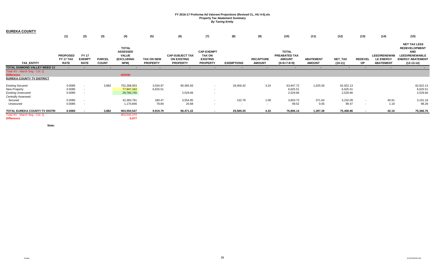| <b>EUREKA COUNTY</b>                                                                              |                                             |                                              |                               |                                                                       |                                      |                                                                 |                                                                          |                   |                                   |                                                                 |                                   |                                   |                      |                                                             |                                                                                                                        |
|---------------------------------------------------------------------------------------------------|---------------------------------------------|----------------------------------------------|-------------------------------|-----------------------------------------------------------------------|--------------------------------------|-----------------------------------------------------------------|--------------------------------------------------------------------------|-------------------|-----------------------------------|-----------------------------------------------------------------|-----------------------------------|-----------------------------------|----------------------|-------------------------------------------------------------|------------------------------------------------------------------------------------------------------------------------|
|                                                                                                   | (1)                                         | (2)                                          | (3)                           | (4)                                                                   | (5)                                  | (6)                                                             | (7)                                                                      | (8)               | (9)                               | (10)                                                            | (11)                              | (12)                              | (13)                 | (14)                                                        | (15)                                                                                                                   |
| <b>TAX ENTITY</b>                                                                                 | <b>PROPOSED</b><br>FY 17 TAX<br><b>RATE</b> | <b>FY 17</b><br><b>EXEMPT</b><br><b>RATE</b> | <b>PARCEL</b><br><b>COUNT</b> | <b>TOTAL</b><br><b>ASSESSED</b><br><b>VALUE</b><br>(EXCLUDING<br>NPM) | <b>TAX ON NEW</b><br><b>PROPERTY</b> | <b>CAP-SUBJECT TAX</b><br><b>ON EXISTING</b><br><b>PROPERTY</b> | <b>CAP-EXEMPT</b><br><b>TAX ON</b><br><b>EXISTING</b><br><b>PROPERTY</b> | <b>EXEMPTIONS</b> | <b>RECAPTURE</b><br><b>AMOUNT</b> | <b>TOTAL</b><br>PREABATED TAX<br><b>AMOUNT</b><br>$(5+6+7-8+9)$ | <b>ABATEMENT</b><br><b>AMOUNT</b> | NET_TAX<br>$(10-11)$              | <b>REDEVEL</b><br>OP | <b>LEED/RENEWAB</b><br><b>LE ENERGY</b><br><b>ABATEMENT</b> | <b>NET TAX LESS</b><br><b>REDEVELOPMENT</b><br><b>AND</b><br>LEED/RENEWABLE<br><b>ENERGY ABATEMENT</b><br>$(12-13-14)$ |
| TOTAL DIAMOND VALLEY WEED CC                                                                      | $\sim$                                      |                                              |                               |                                                                       |                                      |                                                                 |                                                                          |                   | $\blacksquare$                    |                                                                 |                                   |                                   |                      |                                                             |                                                                                                                        |
| Total AV - March Seg - Col. Q<br><b>Difference</b>                                                |                                             |                                              |                               | #DIV/0!                                                               |                                      |                                                                 |                                                                          |                   |                                   |                                                                 |                                   |                                   |                      |                                                             |                                                                                                                        |
| <b>EUREKA COUNTY TV DISTRICT</b>                                                                  |                                             |                                              |                               |                                                                       |                                      |                                                                 |                                                                          |                   |                                   |                                                                 |                                   |                                   |                      |                                                             |                                                                                                                        |
| <b>Existing Secured</b><br><b>New Property</b><br><b>Existing Unsecured</b><br>Centrally Assessed | 0.0085<br>0.0085<br>0.0085                  |                                              | 3,882                         | 752,288,003<br>77,947,162<br>29,760,745                               | 3,034.97<br>6,625.51                 | 90,365.93<br>2,529.66                                           | $\sim$                                                                   | 29,456.42         | 3.24                              | 63,947.72<br>6,625.51<br>2,529.66                               | 1,025.59                          | 62,922.13<br>6,625.51<br>2,529.66 |                      |                                                             | 62,922.13<br>6,625.51<br>2,529.66                                                                                      |
| Secured<br>Unsecured                                                                              | 0.0085<br>0.0085                            | $\sim$                                       |                               | 42,383,791<br>1,170,846                                               | 180.47<br>78.84                      | 3,554.95<br>20.68                                               | $\sim$                                                                   | 132.78<br>$\sim$  | 1.09<br>$\sim$                    | 3,603.73<br>99.52                                               | 371.64<br>0.05                    | 3,232.09<br>99.47                 | $\sim$               | 40.91<br>1.19                                               | 3,191.18<br>98.28                                                                                                      |
| TOTAL EUREKA COUNTY TV DISTRI                                                                     | 0.0085                                      |                                              | 3,882                         | 903,550,547                                                           | 9,919.79                             | 96,471.22                                                       | $\sim$                                                                   | 29,589.20         | 4.33                              | 76,806.14                                                       | 1,397.28                          | 75,408.86                         | $\sim$               | 42.10                                                       | 75,366.76                                                                                                              |
| Total AV - March Seg - Col. Q<br><b>Difference</b>                                                |                                             |                                              |                               | 903,545,470<br>5,077                                                  |                                      |                                                                 |                                                                          |                   |                                   |                                                                 |                                   |                                   |                      |                                                             |                                                                                                                        |

**Note:**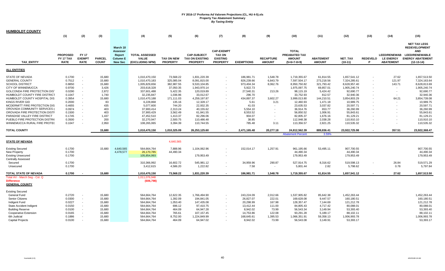| <b>HUMBOLDT COUNTY</b>                                                      |                                             |                                              |                               |                                                                     |                                                   |                                      |                                                                 |                                                                          |                   |                                   |                                                                 |                                   |                             |                      |                                                             |                                                                                                                               |
|-----------------------------------------------------------------------------|---------------------------------------------|----------------------------------------------|-------------------------------|---------------------------------------------------------------------|---------------------------------------------------|--------------------------------------|-----------------------------------------------------------------|--------------------------------------------------------------------------|-------------------|-----------------------------------|-----------------------------------------------------------------|-----------------------------------|-----------------------------|----------------------|-------------------------------------------------------------|-------------------------------------------------------------------------------------------------------------------------------|
|                                                                             | (1)                                         | (2)                                          | (3)                           |                                                                     | (4)                                               | (5)                                  | (6)                                                             | (7)                                                                      | (8)               | (9)                               | (10)                                                            | (11)                              | (12)                        | (13)                 | (14)                                                        | (15)                                                                                                                          |
| <b>TAX ENTITY</b>                                                           | <b>PROPOSED</b><br>FY 17 TAX<br><b>RATE</b> | <b>FY 17</b><br><b>EXEMPT</b><br><b>RATE</b> | <b>PARCEL</b><br><b>COUNT</b> | March 10<br>Assessor<br>Report<br><b>Column E</b><br><b>New Sec</b> | <b>TOTAL ASSESSED</b><br>VALUE<br>(EXCLUDING NPM) | <b>TAX ON NEW</b><br><b>PROPERTY</b> | <b>CAP-SUBJECT</b><br><b>TAX ON EXISTING</b><br><b>PROPERTY</b> | <b>CAP-EXEMPT</b><br><b>TAX ON</b><br><b>EXISTING</b><br><b>PROPERTY</b> | <b>EXEMPTIONS</b> | <b>RECAPTURE</b><br><b>AMOUNT</b> | <b>TOTAL</b><br>PREABATED TAX<br><b>AMOUNT</b><br>$(5+6+7-8+9)$ | <b>ABATEMENT</b><br><b>AMOUNT</b> | <b>NET TAX</b><br>$(10-11)$ | <b>REDEVELO</b><br>P | <b>LEED/RENEWAB</b><br><b>LE ENERGY</b><br><b>ABATEMENT</b> | <b>NET TAX LESS</b><br><b>REDEVELOPMENT</b><br><b>AND</b><br><b>LEED/RENEWABLE</b><br><b>ENERGY ABATEMENT</b><br>$(12-13-14)$ |
| <b>ALL ENTITIES</b>                                                         |                                             |                                              |                               |                                                                     |                                                   |                                      |                                                                 |                                                                          |                   |                                   |                                                                 |                                   |                             |                      |                                                             |                                                                                                                               |
| STATE OF NEVADA                                                             | 0.1700                                      |                                              | 15,680                        |                                                                     | 1,010,470,150                                     | 73,568.22                            | 1,831,220.39                                                    |                                                                          | 186,981.71        | 1,548.78                          | 1,719,355.67                                                    | 61,814.55                         | 1,657,541.12                |                      | 27.62                                                       | 1,657,513.50                                                                                                                  |
| <b>GENERAL COUNTY</b>                                                       | 0.7512                                      | $\sim$                                       | 15,680                        |                                                                     | 1,010,470,183                                     | 325,085.04                           | 8,091,815.00                                                    |                                                                          | 826,239.66        | 6,843.79                          | 7,597,504.17                                                    | 273,218.56                        | 7,324,285.61                |                      | 121.97                                                      | 7,324,163.64                                                                                                                  |
| <b>SCHOOL DISTRICT</b>                                                      | 0.8850                                      | $\sim$                                       | 15,680                        |                                                                     | 1,005,829,656                                     | 382,987.55                           | 9,533,104.85                                                    |                                                                          | 973,404.34        | 8,062.76                          | 8,950,750.82                                                    | 321,793.42                        | 8,628,957.40                |                      | 143.71                                                      | 8,628,813.69                                                                                                                  |
| CITY OF WINNEMUCCA                                                          | 0.9700                                      | $\sim$                                       | 3,426                         |                                                                     | 203,618,328                                       | 37,050.35                            | 1,943,970.14                                                    |                                                                          | 5,922.73          | $\sim$                            | 1,975,097.75                                                    | 69,857.01                         | 1,905,240.74                |                      |                                                             | 1,905,240.74                                                                                                                  |
| GOLCONDA FIRE PROTECTION DIST                                               | 0.0290                                      | $\sim$                                       | 2,872                         |                                                                     | 337,601,488                                       | 5,422.35                             | 120,019.89                                                      |                                                                          | 27,540.31         | 213.26                            | 98,115.19                                                       | 5,424.42                          | 92,690.77                   |                      |                                                             | 92,690.77                                                                                                                     |
| HUMBOLDT COUNTY FIRE DISTRICT                                               | 0.1047                                      |                                              | 1,740                         |                                                                     | 32,235,847                                        | 1,036.96                             | 33,012.67                                                       |                                                                          | 296.70            |                                   | 33,752.93                                                       | 812.57                            | 32,940.36                   |                      |                                                             | 32,940.36                                                                                                                     |
| HUMBOLDT COUNTY HOSPITAL DIS                                                | 0.3954                                      | $\sim$                                       | 15,680                        |                                                                     | 1,010,470,188                                     | 171,111.03                           | 4,259,197.87                                                    |                                                                          | 434,897.37        | 3,602.27                          | 3,999,013.80                                                    | 144,210.51                        | 3,854,803.29                |                      | 64.21                                                       | 3,854,739.08                                                                                                                  |
| KINGS RIVER GID                                                             | 0.2000                                      |                                              | 83                            |                                                                     | 6,228,868                                         | 135.16                               | 12,328.17                                                       |                                                                          | 5.61              | 3.21                              | 12,460.93                                                       | 1,471.18                          | 10,989.75                   |                      |                                                             | 10,989.75                                                                                                                     |
| MCDERMITT FIRE PROTECTION DIS                                               | 0.4655                                      | $\sim$                                       | 435                           |                                                                     | 5,077,600                                         | 744.20                               | 22,932.35                                                       |                                                                          | 41.03             |                                   | 23,635.53                                                       | 3,037.82                          | 20,597.71                   |                      |                                                             | 20,597.71                                                                                                                     |
| OROVADA COMMUNITY SERVICES                                                  | 0.0974                                      |                                              | 403                           |                                                                     | 37,900,414                                        | 2,313.24                             | 40,155.62                                                       |                                                                          | 5,554.10          |                                   | 36,914.76                                                       | 653.77                            | 36,260.99                   |                      |                                                             | 36,260.99                                                                                                                     |
| OROVADA FIRE PROTECTION DISTI                                               | 0.1500                                      | $\sim$                                       | 403                           |                                                                     | 37,900,429                                        | 3,562.49                             | 61,841.55                                                       |                                                                          | 8,553.52          |                                   | 56,850.52                                                       | 1,006.91                          | 55,843.61                   |                      |                                                             | 55,843.61                                                                                                                     |
| PARADISE VALLEY FIRE DISTRICT                                               | 0.1745                                      |                                              | 1,437                         |                                                                     | 47,452,510                                        | 1,413.37                             | 82,296.06                                                       |                                                                          | 904.07            |                                   | 82,805.37                                                       | 1,676.16                          | 81,129.21                   |                      |                                                             | 81,129.21                                                                                                                     |
| PUEBLO FIRE PROTECTION DISTRI                                               | 0.3500                                      |                                              | 200                           |                                                                     | 32,270,947                                        | 2,500.75                             | 110,486.48                                                      |                                                                          | 38.85             |                                   | 112,948.38                                                      | 2,038.28                          | 110,910.10                  |                      |                                                             | 110,910.10                                                                                                                    |
| WINNEMUCCA RURAL FIRE PROTE(                                                | 0.1047                                      |                                              | 2,950                         |                                                                     | 108,265,065                                       | 3,394.39                             | 110,744.55                                                      |                                                                          | 785.48            | 3.11                              | 113,356.57                                                      | 2,821.25                          | 110,535.32                  |                      |                                                             | 110,535.32                                                                                                                    |
| <b>TOTAL COUNTY</b>                                                         |                                             |                                              | 15,680                        |                                                                     | 1,010,470,150                                     | 1,010,325.09                         | 26,253,125.60                                                   | $\sim$                                                                   | 2,471,165.48      | 20,277.18                         | 24,812,562.39                                                   | 889,836.41                        | 23,922,725.98               |                      | 357.51                                                      | 23,922,368.47                                                                                                                 |
|                                                                             |                                             |                                              |                               |                                                                     |                                                   |                                      |                                                                 |                                                                          |                   |                                   | <b>Abatement Percent</b>                                        | 3.59%                             |                             |                      |                                                             |                                                                                                                               |
| <b>STATE OF NEVADA</b>                                                      |                                             |                                              |                               |                                                                     |                                                   | 4,640,565                            |                                                                 |                                                                          |                   |                                   |                                                                 |                                   |                             |                      |                                                             |                                                                                                                               |
| <b>Existing Secured</b>                                                     | 0.1700                                      |                                              | 15,680                        | 4,640,565                                                           | 564,664,764                                       | 7,888.96                             | 1,104,062.96                                                    |                                                                          | 152,014.17        | 1,257.91                          | 961,195.66                                                      | 53,495.11                         | 907,700.55                  |                      |                                                             | 907,700.55                                                                                                                    |
| New Property                                                                | 0.1700                                      |                                              |                               | 4,478,577                                                           | 26,170,785                                        | 44,490.34                            |                                                                 |                                                                          |                   |                                   | 44,490.34                                                       |                                   | 44,490.34                   |                      |                                                             | 44,490.34                                                                                                                     |
| <b>Existing Unsecured</b>                                                   | 0.1700                                      |                                              |                               |                                                                     | 105,854,993                                       |                                      | 179,953.49                                                      |                                                                          |                   |                                   | 179,953.49                                                      |                                   | 179,953.49                  |                      |                                                             | 179,953.49                                                                                                                    |
| <b>Centrally Assessed</b>                                                   |                                             |                                              |                               |                                                                     |                                                   |                                      |                                                                 |                                                                          |                   |                                   |                                                                 |                                   |                             |                      |                                                             |                                                                                                                               |
| Secured                                                                     | 0.1700                                      |                                              |                               |                                                                     | 310,366,992                                       | 16,602.72                            | 545,981.12                                                      |                                                                          | 34,959.96         | 290.87                            | 527,914.75                                                      | 8,316.62                          | 519,598.13                  |                      | 26.84                                                       | 519,571.29                                                                                                                    |
| Unsecured                                                                   | 0.1700                                      |                                              |                               |                                                                     | 3,412,615                                         | 4,586.20                             | 1,222.82                                                        | $\sim$                                                                   | 7.58              |                                   | 5,801.44                                                        | 2.82                              | 5,798.62                    |                      | 0.78                                                        | 5,797.84                                                                                                                      |
| TOTAL STATE OF NEVADA                                                       | 0.1700                                      |                                              | 15,680                        |                                                                     | 1,010,470,150                                     | 73,568.22                            | 1,831,220.39                                                    |                                                                          | 186,981.71        | 1,548.78                          | 1,719,355.67                                                    | 61,814.55                         | 1,657,541.12                |                      | 27.62                                                       | 1,657,513.50                                                                                                                  |
| Total AV - March Seg - Col. Q<br><b>Difference</b><br><b>GENERAL COUNTY</b> |                                             |                                              |                               |                                                                     | 1,011,076,948<br>(606, 798)                       |                                      |                                                                 |                                                                          |                   |                                   |                                                                 |                                   |                             |                      |                                                             |                                                                                                                               |
| Existing Secured                                                            |                                             |                                              |                               |                                                                     |                                                   |                                      |                                                                 |                                                                          |                   |                                   |                                                                 |                                   |                             |                      |                                                             |                                                                                                                               |
| General Fund                                                                | 0.2720                                      | $\sim$                                       | 15,680                        |                                                                     | 564,664,764                                       | 12,622.35                            | 1,766,494.90                                                    |                                                                          | 243,224.09        | 2,012.66                          | 1,537,905.82                                                    | 85,642.38                         | 1,452,263.44                |                      |                                                             | 1,452,263.44                                                                                                                  |
| Senior Citizens                                                             | 0.0300                                      | $\sim$                                       | 15,680                        |                                                                     | 564,664,764                                       | 1,392.09                             | 194,841.05                                                      |                                                                          | 26,827.07         | 222.01                            | 169,628.08                                                      | 9,447.57                          | 160,180.51                  |                      |                                                             | 160,180.51                                                                                                                    |
| Indigent Fund                                                               | 0.0227                                      | $\sim$                                       | 15,680                        |                                                                     | 564,664,764                                       | 1,053.40                             | 147,435.08                                                      |                                                                          | 20,298.99         | 167.98                            | 128,357.47                                                      | 7,144.69                          | 121,212.78                  |                      |                                                             | 121,212.78                                                                                                                    |
| State Accident Indigent                                                     | 0.0150                                      | $\sim$                                       | 15,680                        |                                                                     | 564,664,764                                       | 696.12                               | 97,410.75                                                       |                                                                          | 13,412.44         | 111.00                            | 84,805.43                                                       | 4,717.42                          | 80,088.01                   |                      |                                                             | 80,088.01                                                                                                                     |
| <b>Building Reserve</b>                                                     | 0.0100                                      |                                              | 15,680                        |                                                                     | 564,664,764                                       | 464.09                               | 64,947.28                                                       |                                                                          | 8,942.02          | 73.99                             | 56,543.34                                                       | 3,149.94                          | 53,393.40                   |                      |                                                             | 53,393.40                                                                                                                     |
| Cooperative Extension                                                       | 0.0165                                      |                                              | 15,680                        |                                                                     | 564,664,764                                       | 765.61                               | 107,157.45                                                      |                                                                          | 14,753.86         | 122.08                            | 93,291.28                                                       | 5,189.17                          | 88,102.11                   |                      |                                                             | 88,102.11                                                                                                                     |
| 6th Judicial                                                                | 0.1886                                      |                                              | 15,680                        |                                                                     | 564,664,764                                       | 8,752.00                             | 1,224,849.99                                                    |                                                                          | 168,645.61        | 1,395.53                          | 1,066,351.91                                                    | 59,358.13                         | 1,006,993.78                |                      |                                                             | 1,006,993.78                                                                                                                  |
| <b>Capital Projects</b>                                                     | 0.0100                                      |                                              | 15,680                        |                                                                     | 564,664,764                                       | 464.09                               | 64,947.02                                                       |                                                                          | 8,942.02          | 73.99                             | 56,543.08                                                       | 3,149.91                          | 53,393.17                   |                      |                                                             | 53,393.17                                                                                                                     |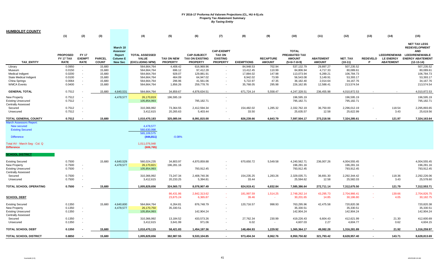| <b>HUMBOLDT COUNTY</b>                                                                                                               |                  |                  |                  |                      |                                                                        |                   |                         |                          |                        |                  |                         |                      |                         |                 |                     |                                                           |
|--------------------------------------------------------------------------------------------------------------------------------------|------------------|------------------|------------------|----------------------|------------------------------------------------------------------------|-------------------|-------------------------|--------------------------|------------------------|------------------|-------------------------|----------------------|-------------------------|-----------------|---------------------|-----------------------------------------------------------|
|                                                                                                                                      | (1)              | (2)              | (3)              |                      | (4)                                                                    | (5)               | (6)                     | (7)                      | (8)                    | (9)              | (10)                    | (11)                 | (12)                    | (13)            | (14)                | (15)                                                      |
|                                                                                                                                      |                  |                  |                  | March 10<br>Assessor |                                                                        |                   |                         | <b>CAP-EXEMPT</b>        |                        |                  | <b>TOTAL</b>            |                      |                         |                 |                     | <b>NET TAX LESS</b><br><b>REDEVELOPMENT</b><br><b>AND</b> |
|                                                                                                                                      | <b>PROPOSED</b>  | <b>FY 17</b>     |                  | Report               | <b>TOTAL ASSESSED</b>                                                  |                   | <b>CAP-SUBJECT</b>      | <b>TAX ON</b>            |                        |                  | PREABATED TAX           |                      |                         |                 | <b>LEED/RENEWAB</b> | <b>LEED/RENEWABLE</b>                                     |
|                                                                                                                                      | FY 17 TAX        | <b>EXEMPT</b>    | <b>PARCEL</b>    | <b>Column E</b>      | <b>VALUE</b>                                                           | <b>TAX ON NEW</b> | <b>TAX ON EXISTING</b>  | <b>EXISTING</b>          |                        | <b>RECAPTURE</b> | <b>AMOUNT</b>           | <b>ABATEMENT</b>     | <b>NET TAX</b>          | <b>REDEVELO</b> | <b>LE ENERGY</b>    | <b>ENERGY ABATEMENT</b>                                   |
| TAX_ENTITY                                                                                                                           | <b>RATE</b>      | <b>RATE</b>      | <b>COUNT</b>     | <b>New Sec</b>       | (EXCLUDING NPM)                                                        | <b>PROPERTY</b>   | <b>PROPERTY</b>         | <b>PROPERTY</b>          | <b>EXEMPTIONS</b>      | <b>AMOUNT</b>    | $(5+6+7-8+9)$           | <b>AMOUNT</b>        | $(10-11)$               | P               | <b>ABATEMENT</b>    | $(12-13-14)$                                              |
| Library                                                                                                                              | 0.0950           | $\sim$           | 15,680           |                      | 564,664,764                                                            | 4,408.42          | 616,969.96              |                          | 84,948.53              | 702.94           | 537,132.79              | 29,897.27            | 507,235.52              |                 |                     | 507,235.52                                                |
| Museum                                                                                                                               | 0.0150<br>0.0200 | $\sim$<br>$\sim$ | 15,680<br>15,680 |                      | 564,664,764<br>564,664,764                                             | 696.12<br>928.07  | 97,412.28<br>129,881.91 |                          | 13,412.45<br>17,884.02 | 110.99<br>147.98 | 84,806.94<br>113,073.94 | 4,717.33<br>6,289.21 | 80,089.61<br>106,784.73 |                 |                     | 80,089.61<br>106,784.73                                   |
| Medical Indigent<br>State Medical Indigent                                                                                           | 0.0100           | $\sim$           | 15,680           |                      | 564,664,764                                                            | 464.09            | 64,947.02               |                          | 8,942.02               | 73.99            | 56,543.08               | 3,149.91             | 53,393.17               |                 |                     | 53,393.17                                                 |
| China Springs                                                                                                                        | 0.0064           |                  | 15,680           |                      | 564,664,764                                                            | 296.96            | 41,561.06               |                          | 5,722.97               | 47.35            | 36,182.40               | 2,014.64             | 34, 167. 76             |                 |                     | 34,167.76                                                 |
| <b>WMCA Events</b>                                                                                                                   | 0.0400           |                  | 15,680           |                      | 564,664,764                                                            | 1,856.26          | 259,778.76              |                          | 35,768.05              | 295.98           | 226,162.95              | 12,588.41            | 213,574.54              |                 |                     | 213,574.54                                                |
| <b>GENERAL TOTAL</b>                                                                                                                 | 0.7512           |                  | 15,680           | 4,640,531            | 564,664,764                                                            | 34,859.67         | 4,878,634.51            |                          | 671,724.14             | 5,558.47         | 4,247,328.51            | 236,455.98           | 4,010,872.53            |                 |                     | 4,010,872.53                                              |
|                                                                                                                                      |                  |                  |                  |                      |                                                                        |                   |                         |                          |                        |                  |                         |                      |                         |                 |                     |                                                           |
| New Property                                                                                                                         | 0.7512           | $\sim$           |                  | 4,478,577            | 26,170,819                                                             | 196,595.19        |                         |                          |                        |                  | 196,595.19              |                      | 196,595.19              |                 |                     | 196,595.19                                                |
| <b>Existing Unsecured</b>                                                                                                            | 0.7512           | $\sim$           |                  |                      | 105,854,993                                                            |                   | 795,182.71              |                          |                        |                  | 795,182.71              |                      | 795,182.71              |                 |                     | 795,182.71                                                |
| <b>Centrally Assessed</b>                                                                                                            | 0.7512           | $\sim$           |                  |                      | 310,366,992                                                            | 73,364.55         | 2,412,594.34            |                          | 154,482.02             | 1,285.32         | 2,332,762.19            | 36,750.00            | 2,296,012.19            |                 | 118.54              | 2,295,893.65                                              |
| Secured<br>Unsecured                                                                                                                 | 0.7512           | $\sim$           |                  |                      | 3,412,615                                                              | 20,265.63         | 5,403.44                |                          | 33.50                  | $\sim$           | 25,635.57               | 12.58                | 25,622.99               |                 | 3.43                | 25,619.56                                                 |
|                                                                                                                                      |                  |                  |                  |                      |                                                                        |                   |                         |                          |                        |                  |                         |                      |                         |                 |                     |                                                           |
| TOTAL GENERAL COUNTY                                                                                                                 | 0.7512           |                  | 15,680           |                      | 1,010,470,183                                                          | 325,085.04        | 8,091,815.00            |                          | 826,239.66             | 6,843.79         | 7,597,504.17            | 273,218.56           | 7,324,285.61            |                 | 121.97              | 7,324,163.64                                              |
| <b>March Assessors Report</b><br><b>New secured</b><br><b>Existing Secured</b><br><b>Difference</b><br>Total AV - March Seg - Col. Q |                  |                  |                  |                      | 4,478,577<br>560,630,998<br>565,109,575<br>(444, 811)<br>1,011,076,948 | $-0.08%$          |                         |                          |                        |                  |                         |                      |                         |                 |                     |                                                           |
| <b>Difference</b>                                                                                                                    |                  |                  |                  |                      | (606, 765)                                                             |                   |                         |                          |                        |                  |                         |                      |                         |                 |                     |                                                           |
| <b>SCHOOL DISTRICT</b>                                                                                                               |                  |                  |                  |                      |                                                                        |                   |                         |                          |                        |                  |                         |                      |                         |                 |                     |                                                           |
| <b>Existing Secured</b>                                                                                                              | 0.7500           |                  | 15,680           | 4,640,529            | 560,024,235                                                            | 34,803.97         | 4,870,859.88            |                          | 670,650.72             | 5,549.58         | 4,240,562.71            | 236,007.26           | 4,004,555.45            |                 |                     | 4,004,555.45                                              |
| New Property                                                                                                                         | 0.7500           | $\sim$           |                  | 4,478,577            | 26,170,821                                                             | 196,281.16        |                         |                          |                        |                  | 196,281.16              |                      | 196,281.16              |                 |                     | 196,281.16                                                |
| <b>Existing Unsecured</b>                                                                                                            | 0.7500           | $\sim$           |                  |                      | 105,854,993                                                            |                   | 793,912.45              | $\overline{\phantom{a}}$ |                        |                  | 793,912.45              |                      | 793,912.45              |                 |                     | 793,912.45                                                |
| <b>Centrally Assessed</b>                                                                                                            |                  |                  |                  |                      |                                                                        |                   |                         |                          |                        |                  |                         |                      |                         |                 |                     |                                                           |
| Secured                                                                                                                              | 0.7500           | $\sim$           |                  |                      | 310,366,992                                                            | 73,247.34         | 2,408,740.36            | $\sim$                   | 154,235.25             | 1,283.26         | 2,329,035.71            | 36,691.30            | 2,292,344.42            |                 | 118.36              | 2,292,226.06                                              |
| Unsecured                                                                                                                            | 0.7500           | $\sim$           |                  |                      | 3,412,615                                                              | 20,233.25         | 5,394.81                | $\overline{\phantom{a}}$ | 33.44                  | $\sim$           | 25,594.62               | 12.58                | 25,582.03               |                 | 3.43                | 25,578.60                                                 |
| TOTAL SCHOOL OPERATING                                                                                                               | 0.7500           |                  | 15,680           |                      | 1,005,829,656                                                          | 324,565.72        | 8,078,907.49            | $\sim$                   | 824,919.41             | 6,832.84         | 7,585,386.64            | 272,711.14           | 7,312,675.50            |                 | 121.79              | 7,312,553.71                                              |
|                                                                                                                                      |                  |                  |                  |                      |                                                                        | 86,431.86         | 2,842,313.62            | $\sim$                   | 181,997.59             | 1,514.25         | 2,748,262.14            | 43,295.73            | 2,704,966.41            |                 | 139.66              | 2,704,826.75                                              |
| <b>SCHOOL DEBT</b>                                                                                                                   |                  |                  |                  |                      |                                                                        | 23,875.24         | 6,365.87                |                          | 39.46                  |                  | 30,201.65               | 14.85                | 30,186.80               |                 | 4.05                | 30,182.75                                                 |
|                                                                                                                                      |                  |                  |                  |                      |                                                                        |                   |                         |                          |                        |                  |                         |                      |                         |                 |                     |                                                           |
| <b>Existing Secured</b>                                                                                                              | 0.1350           |                  | 15,680           | 4,640,600            | 564,664,764                                                            | 6,264.81          | 876,748.79              |                          | 120,716.57             | 998.93           | 763,295.96              | 42,475.58            | 720,820.38              |                 |                     | 720,820.38                                                |
| New Property                                                                                                                         | 0.1350           | $\sim$           |                  | 4,478,577            | 26,170,750                                                             | 35,330.51         |                         |                          |                        |                  | 35,330.51               |                      | 35,330.51               |                 |                     | 35,330.51                                                 |
| <b>Existing Unsecured</b>                                                                                                            | 0.1350           | $\sim$           |                  |                      | 105,854,993                                                            |                   | 142,904.24              |                          |                        |                  | 142,904.24              |                      | 142,904.24              |                 |                     | 142,904.24                                                |
| <b>Centrally Assessed</b><br>Secured                                                                                                 | 0.1350           | $\sim$           |                  |                      | 310,366,992                                                            | 13,184.52         | 433,573.26              |                          | 27,762.34              | 230.99           | 419,226.43              | 6,604.43             | 412,621.99              |                 | 21.30               | 412,600.69                                                |
| Unsecured                                                                                                                            | 0.1350           | $\sim$           |                  |                      | 3,412,615                                                              | 3,641.99          | 971.06                  | $\overline{\phantom{a}}$ | 6.02                   | $\sim$           | 4,607.03                | 2.27                 | 4,604.77                |                 | 0.62                | 4,604.15                                                  |
|                                                                                                                                      |                  |                  |                  |                      |                                                                        |                   |                         |                          |                        |                  |                         |                      |                         |                 |                     |                                                           |
| TOTAL SCHOOL DEBT                                                                                                                    | 0.1350           |                  | 15,680           |                      | 1,010,470,115                                                          | 58,421.83         | 1,454,197.36            |                          | 148,484.93             | 1,229.92         | 1,365,364.17            | 49,082.28            | 1,316,281.89            |                 | 21.92               | 1,316,259.97                                              |
| <b>TOTAL SCHOOL DISTRICT</b>                                                                                                         | 0.8850           |                  | 15,680           |                      | 1,005,829,656                                                          | 382,987.55        | 9,533,104.85            |                          | 973,404.34             | 8,062.76         | 8,950,750.82            | 321,793.42           | 8,628,957.40            |                 | 143.71              | 8,628,813.69                                              |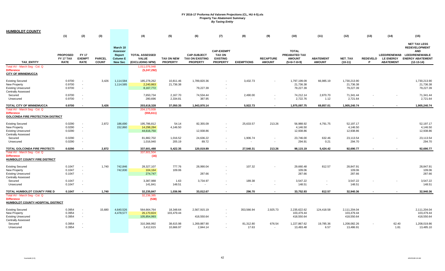| <b>HUMBOLDT COUNTY</b>                                                                            |                                             |                                              |                               |                                                                     |                                                                           |                                      |                                                          |                                                                          |                                    |                                   |                                                                 |                                   |                                          |                      |                                      |                                                                                                                                     |
|---------------------------------------------------------------------------------------------------|---------------------------------------------|----------------------------------------------|-------------------------------|---------------------------------------------------------------------|---------------------------------------------------------------------------|--------------------------------------|----------------------------------------------------------|--------------------------------------------------------------------------|------------------------------------|-----------------------------------|-----------------------------------------------------------------|-----------------------------------|------------------------------------------|----------------------|--------------------------------------|-------------------------------------------------------------------------------------------------------------------------------------|
|                                                                                                   | (1)                                         | (2)                                          | (3)                           |                                                                     | (4)                                                                       | (5)                                  | (6)                                                      | (7)                                                                      | (8)                                | (9)                               | (10)                                                            | (11)                              | (12)                                     | (13)                 | (14)                                 | (15)                                                                                                                                |
| <b>TAX ENTITY</b><br>Total AV - March Seq - Col. Q                                                | <b>PROPOSED</b><br>FY 17 TAX<br><b>RATE</b> | <b>FY 17</b><br><b>EXEMPT</b><br><b>RATE</b> | <b>PARCEL</b><br><b>COUNT</b> | March 10<br>Assessor<br>Report<br><b>Column E</b><br><b>New Sec</b> | <b>TOTAL ASSESSED</b><br><b>VALUE</b><br>(EXCLUDING NPM)<br>1,011,076,948 | <b>TAX ON NEW</b><br><b>PROPERTY</b> | <b>CAP-SUBJECT</b><br>TAX ON EXISTING<br><b>PROPERTY</b> | <b>CAP-EXEMPT</b><br><b>TAX ON</b><br><b>EXISTING</b><br><b>PROPERTY</b> | <b>EXEMPTIONS</b>                  | <b>RECAPTURE</b><br><b>AMOUNT</b> | <b>TOTAL</b><br>PREABATED TAX<br><b>AMOUNT</b><br>$(5+6+7-8+9)$ | <b>ABATEMENT</b><br><b>AMOUNT</b> | NET_TAX<br>$(10-11)$                     | <b>REDEVELO</b><br>P | <b>LE ENERGY</b><br><b>ABATEMENT</b> | <b>NET TAX LESS</b><br><b>REDEVELOPMENT</b><br><b>AND</b><br>LEED/RENEWAB LEED/RENEWABLE<br><b>ENERGY ABATEMENT</b><br>$(12-13-14)$ |
| <b>Difference</b><br><b>CITY OF WINNEMUCCA</b>                                                    |                                             |                                              |                               |                                                                     | (5,247,292)                                                               |                                      |                                                          |                                                                          |                                    |                                   |                                                                 |                                   |                                          |                      |                                      |                                                                                                                                     |
| <b>Existing Secured</b><br>New Property<br><b>Existing Unsecured</b><br><b>Centrally Assessed</b> | 0.9700<br>0.9700<br>0.9700                  | $\sim$<br>$\sim$<br>$\sim$                   | 3,426                         | 1,114,584<br>1,114,585                                              | 185,278,262<br>2,240,863<br>8,167,772                                     | 10,811.46<br>21,736.38               | 1,789,820.36<br>79,227.39                                | $\sim$                                                                   | 3,432.73                           |                                   | 1,797,199.09<br>21,736.38<br>79,227.39                          | 66,985.19                         | 1,730,213.90<br>21,736.38<br>79,227.39   |                      |                                      | 1,730,213.90<br>21,736.38<br>79,227.39                                                                                              |
| Secured<br>Unsecured                                                                              | 0.9700<br>0.9700                            | $\sim$<br>$\overline{\phantom{a}}$           |                               |                                                                     | 7,650,734<br>280,696                                                      | 2,167.70<br>2,334.81                 | 74,534.44<br>387.95                                      | $\sim$                                                                   | 2,490.00                           |                                   | 74,212.14<br>2,722.76                                           | 2,870.70<br>1.12                  | 71,341.44<br>2,721.64                    |                      |                                      | 71,341.44<br>2,721.64                                                                                                               |
| TOTAL CITY OF WINNEMUCCA                                                                          | 0.9700                                      | $\overline{\phantom{a}}$                     | 3,426                         |                                                                     | 203,618,328                                                               | 37,050.35                            | 1,943,970.14                                             | $\overline{\phantom{a}}$                                                 | 5,922.73                           |                                   | 1,975,097.75                                                    | 69,857.01                         | 1,905,240.74                             |                      |                                      | 1,905,240.74                                                                                                                        |
| Total AV - March Seg - Col. Q<br><b>Difference</b><br><b>GOLCONDA FIRE PROTECTION DISTRICT</b>    |                                             |                                              |                               |                                                                     | 204,173,939<br>(555, 611)                                                 |                                      |                                                          |                                                                          |                                    |                                   |                                                                 |                                   |                                          |                      |                                      |                                                                                                                                     |
| <b>Existing Secured</b><br>New Property<br><b>Existing Unsecured</b><br><b>Centrally Assessed</b> | 0.0290<br>0.0290<br>0.0290                  | $\overline{\phantom{a}}$<br>$\sim$<br>$\sim$ | 2,872                         | 186,690<br>152,860                                                  | 195,786,812<br>14,298,284<br>44,616,750                                   | 54.14<br>4,146.50                    | 82,355.09<br>12,938.86                                   |                                                                          | 25,633.57                          | 213.26                            | 56,988.92<br>4,146.50<br>12,938.86                              | 4,791.75                          | 52,197.17<br>4,146.50<br>12,938.86       |                      |                                      | 52,197.17<br>4,146.50<br>12,938.86                                                                                                  |
| Secured<br>Unsecured                                                                              | 0.0290<br>0.0290                            | $\overline{\phantom{a}}$<br>$\sim$           |                               |                                                                     | 81,882,702<br>1,016,940                                                   | 1,016.52<br>205.19                   | 24,636.22<br>89.72                                       | $\overline{\phantom{a}}$<br>$\sim$                                       | 1,906.74                           |                                   | 23,746.00<br>294.91                                             | 632.46<br>0.21                    | 23,113.54<br>294.70                      |                      |                                      | 23,113.54<br>294.70                                                                                                                 |
| TOTAL GOLCONDA FIRE PROTECTI                                                                      | 0.0290                                      |                                              | 2,872                         |                                                                     | 337,601,488                                                               | 5,422.35                             | 120,019.89                                               |                                                                          | 27,540.31                          | 213.26                            | 98,115.19                                                       | 5,424.42                          | 92,690.77                                |                      |                                      | 92,690.77                                                                                                                           |
| Total AV - March Seg - Col. Q<br><b>Difference</b><br><b>HUMBOLDT COUNTY FIRE DISTRICT</b>        |                                             |                                              |                               |                                                                     | 337,601,504<br>(16)                                                       |                                      |                                                          |                                                                          |                                    |                                   |                                                                 |                                   |                                          |                      |                                      |                                                                                                                                     |
| <b>Existing Secured</b><br>New Property<br><b>Existing Unsecured</b><br>Centrally Assessed        | 0.1047<br>0.1047<br>0.1047                  | $\sim$<br>$\overline{\phantom{a}}$<br>$\sim$ | 1.740                         | 742,846<br>742,830                                                  | 28,327,107<br>104,164<br>274,747                                          | 777.76<br>109.06                     | 28,990.04<br>287.66                                      |                                                                          | 107.32                             |                                   | 29,660.48<br>109.06<br>287.66                                   | 812.57                            | 28,847.91<br>109.06<br>287.66            |                      |                                      | 28,847.91<br>109.06<br>287.66                                                                                                       |
| Secured<br>Unsecured                                                                              | 0.1047<br>0.1047                            | $\sim$<br>$\sim$                             |                               |                                                                     | 3,387,988<br>141,841                                                      | 1.63<br>148.51                       | 3,734.97<br>$\blacksquare$                               | $\sim$                                                                   | 189.38<br>$\overline{\phantom{a}}$ |                                   | 3,547.22<br>148.51                                              | $\sim$                            | 3,547.22<br>148.51                       |                      |                                      | 3,547.22<br>148.51                                                                                                                  |
| TOTAL HUMBOLDT COUNTY FIRE D                                                                      | 0.1047                                      |                                              | 1,740                         |                                                                     | 32,235,847                                                                | 1,036.96                             | 33,012.67                                                |                                                                          | 296.70                             |                                   | 33,752.93                                                       | 812.57                            | 32,940.36                                |                      |                                      | 32,940.36                                                                                                                           |
| Total AV - March Seg - Col. Q<br><b>Difference</b><br>HUMBOLDT COUNTY HOSPITAL DISTRICT           |                                             |                                              |                               |                                                                     | 32,236,385<br>(538)                                                       |                                      |                                                          |                                                                          |                                    |                                   |                                                                 |                                   |                                          |                      |                                      |                                                                                                                                     |
| <b>Existing Secured</b><br><b>New Property</b><br><b>Existing Unsecured</b>                       | 0.3954<br>0.3954<br>0.3954                  | $\sim$<br>$\sim$<br>$\sim$                   | 15.680                        | 4,640,526<br>4,478,577                                              | 564,664,764<br>26,170,824<br>105,854,993                                  | 18,348.64<br>103,479.44              | 2,567,915.19<br>418,550.64                               | $\overline{\phantom{a}}$                                                 | 353,566.94                         | 2,925.73                          | 2,235,622.62<br>103,479.44<br>418,550.64                        | 124,418.58                        | 2,111,204.04<br>103,479.44<br>418,550.64 |                      |                                      | 2,111,204.04<br>103,479.44<br>418,550.64                                                                                            |
| <b>Centrally Assessed</b><br>Secured<br>Unsecured                                                 | 0.3954<br>0.3954                            | $\sim$                                       |                               |                                                                     | 310,366,992<br>3,412,615                                                  | 38,615.98<br>10,666.97               | 1,269,887.90<br>2,844.14                                 | $\sim$                                                                   | 81,312.80<br>17.63                 | 676.54                            | 1,227,867.62<br>13,493.48                                       | 19,785.36<br>6.57                 | 1,208,082.26<br>13,486.91                |                      | 62.40<br>1.81                        | 1,208,019.86<br>13,485.10                                                                                                           |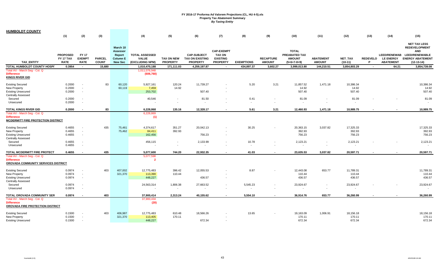| <b>HUMBOLDT COUNTY</b>                                                                          |                                             |                                              |                               |                                                                            |                                                          |                               |                                                                 |                                                                          |                   |                                   |                                                                 |                                   |                             |                      |                                                             |                                                                                                                               |
|-------------------------------------------------------------------------------------------------|---------------------------------------------|----------------------------------------------|-------------------------------|----------------------------------------------------------------------------|----------------------------------------------------------|-------------------------------|-----------------------------------------------------------------|--------------------------------------------------------------------------|-------------------|-----------------------------------|-----------------------------------------------------------------|-----------------------------------|-----------------------------|----------------------|-------------------------------------------------------------|-------------------------------------------------------------------------------------------------------------------------------|
|                                                                                                 | (1)                                         | (2)                                          | (3)                           |                                                                            | (4)                                                      | (5)                           | (6)                                                             | (7)                                                                      | (8)               | (9)                               | (10)                                                            | (11)                              | (12)                        | (13)                 | (14)                                                        | (15)                                                                                                                          |
| <b>TAX ENTITY</b>                                                                               | <b>PROPOSED</b><br>FY 17 TAX<br><b>RATE</b> | <b>FY 17</b><br><b>EXEMPT</b><br><b>RATE</b> | <b>PARCEL</b><br><b>COUNT</b> | March 10<br><b>Assessor</b><br>Report<br><b>Column E</b><br><b>New Sec</b> | <b>TOTAL ASSESSED</b><br><b>VALUE</b><br>(EXCLUDING NPM) | TAX ON NEW<br><b>PROPERTY</b> | <b>CAP-SUBJECT</b><br><b>TAX ON EXISTING</b><br><b>PROPERTY</b> | <b>CAP-EXEMPT</b><br><b>TAX ON</b><br><b>EXISTING</b><br><b>PROPERTY</b> | <b>EXEMPTIONS</b> | <b>RECAPTURE</b><br><b>AMOUNT</b> | <b>TOTAL</b><br>PREABATED TAX<br><b>AMOUNT</b><br>$(5+6+7-8+9)$ | <b>ABATEMENT</b><br><b>AMOUNT</b> | <b>NET TAX</b><br>$(10-11)$ | <b>REDEVELO</b><br>P | <b>LEED/RENEWAB</b><br><b>LE ENERGY</b><br><b>ABATEMENT</b> | <b>NET TAX LESS</b><br><b>REDEVELOPMENT</b><br><b>AND</b><br><b>LEED/RENEWABLE</b><br><b>ENERGY ABATEMENT</b><br>$(12-13-14)$ |
| TOTAL HUMBOLDT COUNTY HOSPI                                                                     | 0.3954                                      | $\sim$                                       | 15,680                        |                                                                            | 1,010,470,188                                            | 171,111.03                    | 4,259,197.87                                                    | $\sim$                                                                   | 434,897.37        | 3,602.27                          | 3,999,013.80                                                    | 144,210.51                        | 3,854,803.29                | $\sim$               | 64.21                                                       | 3,854,739.08                                                                                                                  |
| Total AV - March Seg - Col. Q<br><b>Difference</b><br><b>KINGS RIVER GID</b>                    |                                             |                                              |                               |                                                                            | 1,011,076,948<br>(606, 760)                              |                               |                                                                 |                                                                          |                   |                                   |                                                                 |                                   |                             |                      |                                                             |                                                                                                                               |
| <b>Existing Secured</b>                                                                         | 0.2000                                      | $\sim$                                       | 83                            | 60,120                                                                     | 5,927,161                                                | 120.24                        | 11,739.27                                                       |                                                                          | 5.20              | 3.21                              | 11,857.52                                                       | 1,471.18                          | 10,386.34                   |                      |                                                             | 10,386.34                                                                                                                     |
| New Property                                                                                    | 0.2000                                      | $\sim$                                       |                               | 60,119                                                                     | 7,459                                                    | 14.92                         |                                                                 |                                                                          |                   |                                   | 14.92                                                           |                                   | 14.92                       |                      |                                                             | 14.92                                                                                                                         |
| <b>Existing Unsecured</b>                                                                       | 0.2000                                      | $\sim$                                       |                               |                                                                            | 253,702                                                  |                               | 507.40                                                          | $\overline{\phantom{a}}$                                                 |                   |                                   | 507.40                                                          |                                   | 507.40                      |                      |                                                             | 507.40                                                                                                                        |
| <b>Centrally Assessed</b>                                                                       |                                             |                                              |                               |                                                                            |                                                          |                               |                                                                 |                                                                          |                   |                                   |                                                                 |                                   |                             |                      |                                                             |                                                                                                                               |
| Secured                                                                                         | 0.2000                                      | $\sim$                                       |                               |                                                                            | 40,546                                                   | $\blacksquare$                | 81.50                                                           |                                                                          | 0.41              |                                   | 81.09                                                           | $\overline{\phantom{a}}$          | 81.09                       |                      |                                                             | 81.09                                                                                                                         |
| Unsecured                                                                                       | 0.2000                                      | $\sim$                                       |                               |                                                                            |                                                          | $\blacksquare$                |                                                                 |                                                                          | $\sim$            |                                   |                                                                 | $\sim$                            | $\overline{\phantom{a}}$    |                      |                                                             |                                                                                                                               |
| TOTAL KINGS RIVER GID                                                                           | 0.2000                                      |                                              | 83                            |                                                                            | 6,228,868                                                | 135.16                        | 12,328.17                                                       |                                                                          | 5.61              | 3.21                              | 12,460.93                                                       | 1,471.18                          | 10.989.75                   |                      |                                                             | 10,989.75                                                                                                                     |
| Total AV - March Seg - Col. Q<br><b>Difference</b><br><u>MCDERMITT FIRE PROTECTION DISTRICT</u> |                                             |                                              |                               |                                                                            | 6,228,869<br>(1)                                         |                               |                                                                 |                                                                          |                   |                                   |                                                                 |                                   |                             |                      |                                                             |                                                                                                                               |
| <b>Existing Secured</b>                                                                         | 0.4655                                      | $\sim$                                       | 435                           | 75,461                                                                     | 4,374,617                                                | 351.27                        | 20,042.13                                                       |                                                                          | 30.25             |                                   | 20,363.15                                                       | 3,037.82                          | 17,325.33                   |                      |                                                             | 17,325.33                                                                                                                     |
| New Property                                                                                    | 0.4655                                      | $\sim$                                       |                               | 75,462                                                                     | 84,411                                                   | 392.93                        |                                                                 | $\overline{\phantom{a}}$                                                 |                   |                                   | 392.93                                                          |                                   | 392.93                      |                      |                                                             | 392.93                                                                                                                        |
| <b>Existing Unsecured</b>                                                                       | 0.4655                                      | $\sim$                                       |                               |                                                                            | 162,456                                                  |                               | 756.23                                                          | $\overline{\phantom{a}}$                                                 |                   |                                   | 756.23                                                          |                                   | 756.23                      |                      |                                                             | 756.23                                                                                                                        |
| <b>Centrally Assessed</b>                                                                       |                                             |                                              |                               |                                                                            |                                                          |                               |                                                                 |                                                                          |                   |                                   |                                                                 |                                   |                             |                      |                                                             |                                                                                                                               |
| Secured                                                                                         | 0.4655                                      | $\sim$                                       |                               |                                                                            | 456,115                                                  | $\sim$                        | 2,133.99                                                        |                                                                          | 10.78             |                                   | 2,123.21                                                        |                                   | 2,123.21                    |                      |                                                             | 2,123.21                                                                                                                      |
| Unsecured                                                                                       | 0.4655                                      | $\sim$                                       |                               |                                                                            |                                                          |                               | $\overline{\phantom{a}}$                                        |                                                                          | $\sim$            |                                   | $\sim$                                                          |                                   |                             |                      |                                                             | $\overline{\phantom{a}}$                                                                                                      |
| TOTAL MCDERMITT FIRE PROTECT                                                                    | 0.4655                                      | $\overline{\phantom{a}}$                     | 435                           |                                                                            | 5,077,600                                                | 744.20                        | 22,932.35                                                       | $\sim$                                                                   | 41.03             |                                   | 23,635.53                                                       | 3,037.82                          | 20,597.71                   |                      |                                                             | 20,597.71                                                                                                                     |
| Total AV - March Seg - Col. Q                                                                   |                                             |                                              |                               |                                                                            | 5,077,598                                                |                               |                                                                 |                                                                          |                   |                                   |                                                                 |                                   |                             |                      |                                                             |                                                                                                                               |
| <b>Difference</b><br>OROVADA COMMUNITY SERVICES DISTRICT                                        |                                             |                                              |                               |                                                                            | $\overline{2}$                                           |                               |                                                                 |                                                                          |                   |                                   |                                                                 |                                   |                             |                      |                                                             |                                                                                                                               |
| <b>Existing Secured</b>                                                                         | 0.0974                                      | $\sim$                                       | 403                           | 407,002                                                                    | 12,775,483                                               | 396.42                        | 12,055.53                                                       |                                                                          | 8.87              |                                   | 12,443.08                                                       | 653.77                            | 11,789.31                   |                      |                                                             | 11,789.31                                                                                                                     |
| <b>New Property</b>                                                                             | 0.0974                                      | $\sim$                                       |                               | 321,370                                                                    | 113,390                                                  | 110.44                        |                                                                 |                                                                          |                   |                                   | 110.44                                                          |                                   | 110.44                      |                      |                                                             | 110.44                                                                                                                        |
| <b>Existing Unsecured</b><br><b>Centrally Assessed</b>                                          | 0.0974                                      | $\sim$                                       |                               |                                                                            | 448,227                                                  |                               | 436.57                                                          | $\overline{\phantom{a}}$                                                 |                   |                                   | 436.57                                                          |                                   | 436.57                      |                      |                                                             | 436.57                                                                                                                        |
| Secured                                                                                         | 0.0974                                      | $\sim$                                       |                               |                                                                            | 24,563,314                                               | 1,806.38                      | 27,663.52                                                       | $\sim$                                                                   | 5,545.23          | $\blacksquare$                    | 23,924.67                                                       | $\sim$                            | 23,924.67                   |                      |                                                             | 23,924.67                                                                                                                     |
| Unsecured                                                                                       | 0.0974                                      |                                              |                               |                                                                            |                                                          |                               |                                                                 |                                                                          |                   |                                   |                                                                 | $\sim$                            | $\overline{\phantom{a}}$    |                      |                                                             | $\sim$                                                                                                                        |
| TOTAL OROVADA COMMUNITY SER                                                                     | 0.0974                                      |                                              | 403                           |                                                                            | 37,900,414                                               | 2,313.24                      | 40,155.62                                                       |                                                                          | 5,554.10          |                                   | 36,914.76                                                       | 653.77                            | 36,260.99                   |                      |                                                             | 36,260.99                                                                                                                     |
| Total AV - March Seg - Col. Q                                                                   |                                             |                                              |                               |                                                                            | 37,900,434                                               |                               |                                                                 |                                                                          |                   |                                   |                                                                 |                                   |                             |                      |                                                             |                                                                                                                               |
| <b>Difference</b><br>OROVADA FIRE PROTECTION DISTRICT                                           |                                             |                                              |                               |                                                                            | (20)                                                     |                               |                                                                 |                                                                          |                   |                                   |                                                                 |                                   |                             |                      |                                                             |                                                                                                                               |
| <b>Existing Secured</b>                                                                         | 0.1500                                      |                                              | 403                           | 406,987                                                                    | 12,775,483                                               | 610.48                        | 18,566.26                                                       |                                                                          | 13.65             |                                   | 19,163.09                                                       | 1,006.91                          | 18,156.18                   |                      |                                                             | 18,156.18                                                                                                                     |
| New Property                                                                                    | 0.1500                                      | $\sim$                                       |                               | 321,370                                                                    | 113,405                                                  | 170.11                        |                                                                 |                                                                          |                   |                                   | 170.11                                                          |                                   | 170.11                      |                      |                                                             | 170.11                                                                                                                        |
| <b>Existing Unsecured</b>                                                                       | 0.1500                                      |                                              |                               |                                                                            | 448,227                                                  |                               | 672.34                                                          |                                                                          |                   |                                   | 672.34                                                          |                                   | 672.34                      |                      |                                                             | 672.34                                                                                                                        |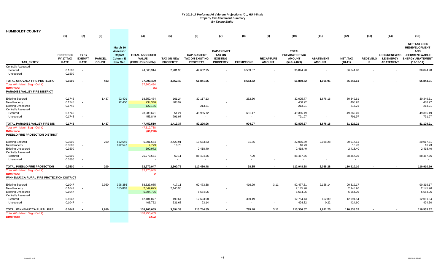| <b>HUMBOLDT COUNTY</b>                                                                            |                                                    |                                              |                               |                                                                            |                                                          |                                      |                                                          |                                                                          |                    |                                   |                                                                 |                                   |                                   |                      |                                      |                                                                                                                                     |
|---------------------------------------------------------------------------------------------------|----------------------------------------------------|----------------------------------------------|-------------------------------|----------------------------------------------------------------------------|----------------------------------------------------------|--------------------------------------|----------------------------------------------------------|--------------------------------------------------------------------------|--------------------|-----------------------------------|-----------------------------------------------------------------|-----------------------------------|-----------------------------------|----------------------|--------------------------------------|-------------------------------------------------------------------------------------------------------------------------------------|
|                                                                                                   | (1)                                                | (2)                                          | (3)                           |                                                                            | (4)                                                      | (5)                                  | (6)                                                      | (7)                                                                      | (8)                | (9)                               | (10)                                                            | (11)                              | (12)                              | (13)                 | (14)                                 | (15)                                                                                                                                |
| <b>TAX ENTITY</b>                                                                                 | <b>PROPOSED</b><br><b>FY 17 TAX</b><br><b>RATE</b> | <b>FY 17</b><br><b>EXEMPT</b><br><b>RATE</b> | <b>PARCEL</b><br><b>COUNT</b> | March 10<br><b>Assessor</b><br>Report<br><b>Column E</b><br><b>New Sec</b> | <b>TOTAL ASSESSED</b><br><b>VALUE</b><br>(EXCLUDING NPM) | <b>TAX ON NEW</b><br><b>PROPERTY</b> | <b>CAP-SUBJECT</b><br>TAX ON EXISTING<br><b>PROPERTY</b> | <b>CAP-EXEMPT</b><br><b>TAX ON</b><br><b>EXISTING</b><br><b>PROPERTY</b> | <b>EXEMPTIONS</b>  | <b>RECAPTURE</b><br><b>AMOUNT</b> | <b>TOTAL</b><br>PREABATED TAX<br><b>AMOUNT</b><br>$(5+6+7-8+9)$ | <b>ABATEMENT</b><br><b>AMOUNT</b> | <b>NET TAX</b><br>$(10-11)$       | <b>REDEVELO</b><br>P | <b>LE ENERGY</b><br><b>ABATEMENT</b> | <b>NET TAX LESS</b><br><b>REDEVELOPMENT</b><br><b>AND</b><br>LEED/RENEWAB LEED/RENEWABLE<br><b>ENERGY ABATEMENT</b><br>$(12-13-14)$ |
| <b>Centrally Assessed</b>                                                                         |                                                    |                                              |                               |                                                                            |                                                          |                                      |                                                          |                                                                          |                    |                                   |                                                                 |                                   |                                   |                      |                                      |                                                                                                                                     |
| Secured<br>Unsecured                                                                              | 0.1500<br>0.1500                                   | $\sim$<br>$\sim$                             |                               |                                                                            | 24,563,314                                               | 2,781.90<br>$\blacksquare$           | 42,602.95                                                | $\sim$<br>$\blacksquare$                                                 | 8,539.87<br>$\sim$ |                                   | 36,844.98                                                       |                                   | 36,844.98                         |                      |                                      | 36,844.98                                                                                                                           |
| TOTAL OROVADA FIRE PROTECTIO                                                                      | 0.1500                                             | $\sim$                                       | 403                           |                                                                            | 37,900,429                                               | 3,562.49                             | 61,841.55                                                | $\sim$                                                                   | 8,553.52           |                                   | 56,850.52                                                       | 1,006.91                          | 55,843.61                         |                      | $\sim$                               | 55,843.61                                                                                                                           |
| Total AV - March Seg - Col. Q<br><b>Difference</b><br>PARADISE VALLEY FIRE DISTRICT               |                                                    |                                              |                               |                                                                            | 37,900,434<br>(5)                                        |                                      |                                                          |                                                                          |                    |                                   |                                                                 |                                   |                                   |                      |                                      |                                                                                                                                     |
| <b>Existing Secured</b><br>New Property<br><b>Existing Unsecured</b>                              | 0.1745<br>0.1745<br>0.1745                         | $\overline{\phantom{a}}$<br>$\sim$<br>$\sim$ | 1,437                         | 92,401<br>92,400                                                           | 18,352,464<br>234,340<br>122,186                         | 161.24<br>408.92                     | 32,117.13<br>213.21                                      | $\sim$                                                                   | 252.60             |                                   | 32,025.77<br>408.92<br>213.21                                   | 1,676.16                          | 30,349.61<br>408.92<br>213.21     |                      |                                      | 30,349.61<br>408.92<br>213.21                                                                                                       |
| <b>Centrally Assessed</b><br>Secured                                                              | 0.1745                                             | $\sim$                                       |                               |                                                                            | 28,289,671                                               | 51.24                                | 49,965.72                                                | $\blacksquare$                                                           | 651.47             |                                   | 49,365.49                                                       |                                   | 49,365.49                         |                      |                                      | 49,365.49                                                                                                                           |
| Unsecured                                                                                         | 0.1745                                             | $\sim$                                       |                               |                                                                            | 453,849                                                  | 791.97                               |                                                          |                                                                          |                    |                                   | 791.97                                                          | $\blacksquare$                    | 791.97                            |                      |                                      | 791.97                                                                                                                              |
| TOTAL PARADISE VALLEY FIRE DIS                                                                    | 0.1745                                             | $\sim$                                       | 1,437                         |                                                                            | 47,452,510                                               | 1,413.37                             | 82,296.06                                                | $\sim$                                                                   | 904.07             |                                   | 82,805.37                                                       | 1,676.16                          | 81,129.21                         |                      |                                      | 81,129.21                                                                                                                           |
| Total AV - March Seg - Col. Q<br><b>Difference</b><br>PUEBLO FIRE PROTECTION DISTRICT             |                                                    |                                              |                               |                                                                            | 47,512,738<br>(60, 228)                                  |                                      |                                                          |                                                                          |                    |                                   |                                                                 |                                   |                                   |                      |                                      |                                                                                                                                     |
| <b>Existing Secured</b><br>New Property<br><b>Existing Unsecured</b><br><b>Centrally Assessed</b> | 0.3500<br>0.3500<br>0.3500                         | $\overline{\phantom{a}}$<br>$\sim$<br>$\sim$ | 200                           | 692,546<br>692,547                                                         | 6,301,664<br>4,779<br>690,972                            | 2,423.91<br>16.73                    | 19,663.83<br>2,418.40                                    | $\blacksquare$                                                           | 31.85              |                                   | 22,055.89<br>16.73<br>2,418.40                                  | 2,038.28                          | 20,017.61<br>16.73<br>2,418.40    |                      |                                      | 20,017.61<br>16.73<br>2,418.40                                                                                                      |
| Secured<br>Unsecured                                                                              | 0.3500<br>0.3500                                   | $\sim$<br>$\sim$                             |                               |                                                                            | 25,273,531                                               | 60.11<br>$\sim$                      | 88,404.25                                                | $\sim$                                                                   | 7.00<br>$\sim$     |                                   | 88,457.36                                                       | $\blacksquare$                    | 88,457.36                         |                      |                                      | 88,457.36                                                                                                                           |
| TOTAL PUEBLO FIRE PROTECTION                                                                      | 0.3500                                             | $\overline{\phantom{a}}$                     | 200                           |                                                                            | 32,270,947                                               | 2,500.75                             | 110,486.48                                               | $\overline{\phantom{a}}$                                                 | 38.85              |                                   | 112,948.38                                                      | 2,038.28                          | 110,910.10                        |                      |                                      | 110,910.10                                                                                                                          |
| Total AV - March Seg - Col. Q<br><b>Difference</b><br>WINNEMUCCA RURAL FIRE PROTECTION DISTRICT   |                                                    |                                              |                               |                                                                            | 32,270,945<br>$\overline{\mathbf{2}}$                    |                                      |                                                          |                                                                          |                    |                                   |                                                                 |                                   |                                   |                      |                                      |                                                                                                                                     |
| <b>Existing Secured</b><br>New Property<br><b>Existing Unsecured</b><br><b>Centrally Assessed</b> | 0.1047<br>0.1047<br>0.1047                         | $\sim$<br>$\sim$<br>$\sim$                   | 2,950                         | 398,386<br>355,863                                                         | 88.323.085<br>2,049,625<br>5,304,726                     | 417.11<br>2,145.96                   | 92,473.38<br>5,554.05                                    | $\sim$                                                                   | 416.29             | 3.11                              | 92,477.31<br>2,145.96<br>5,554.05                               | 2,158.14                          | 90,319.17<br>2,145.96<br>5,554.05 |                      |                                      | 90,319.17<br>2,145.96<br>5,554.05                                                                                                   |
| Secured<br>Unsecured                                                                              | 0.1047<br>0.1047                                   | $\sim$                                       |                               |                                                                            | 12,181,877<br>405,752                                    | 499.64<br>331.68                     | 12,623.98<br>93.14                                       | $\sim$<br>$\blacksquare$                                                 | 369.19             |                                   | 12,754.43<br>424.82                                             | 662.89<br>0.22                    | 12,091.54<br>424.60               |                      |                                      | 12,091.54<br>424.60                                                                                                                 |
| TOTAL WINNEMUCCA RURAL FIRE                                                                       | 0.1047                                             |                                              | 2,950                         |                                                                            | 108,265,065                                              | 3,394.39                             | 110,744.55                                               |                                                                          | 785.48             | 3.11                              | 113,356.57                                                      | 2,821.25                          | 110,535.32                        |                      |                                      | 110,535.32                                                                                                                          |
| Total AV - March Seg - Col. Q<br><b>Difference</b>                                                |                                                    |                                              |                               |                                                                            | 108,255,463<br>9,602                                     |                                      |                                                          |                                                                          |                    |                                   |                                                                 |                                   |                                   |                      |                                      |                                                                                                                                     |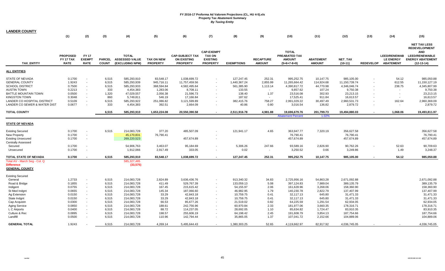| <b>LANDER COUNTY</b>                    |                                             |                                              |                               |                                                   |                                      |                                                                 |                                                                          |                   |                                   |                                                                 |                                   |                             |                  |                                                             |                                                                                                                        |
|-----------------------------------------|---------------------------------------------|----------------------------------------------|-------------------------------|---------------------------------------------------|--------------------------------------|-----------------------------------------------------------------|--------------------------------------------------------------------------|-------------------|-----------------------------------|-----------------------------------------------------------------|-----------------------------------|-----------------------------|------------------|-------------------------------------------------------------|------------------------------------------------------------------------------------------------------------------------|
|                                         | (1)                                         | (2)                                          | (3)                           | (4)                                               | (5)                                  | (6)                                                             | (7)                                                                      | (8)               | (9)                               | (10)                                                            | (11)                              | (12)                        | (13)             | (14)                                                        | (15)                                                                                                                   |
| <b>TAX ENTITY</b>                       | <b>PROPOSED</b><br>FY 17 TAX<br><b>RATE</b> | <b>FY 17</b><br><b>EXEMPT</b><br><b>RATE</b> | <b>PARCEL</b><br><b>COUNT</b> | <b>TOTAL</b><br>ASSESSED VALUE<br>(EXCLUDING NPM) | <b>TAX ON NEW</b><br><b>PROPERTY</b> | <b>CAP-SUBJECT TAX</b><br><b>ON EXISTING</b><br><b>PROPERTY</b> | <b>CAP-EXEMPT</b><br><b>TAX ON</b><br><b>EXISTING</b><br><b>PROPERTY</b> | <b>EXEMPTIONS</b> | <b>RECAPTURE</b><br><b>AMOUNT</b> | <b>TOTAL</b><br>PREABATED TAX<br><b>AMOUNT</b><br>$(5+6+7-8+9)$ | <b>ABATEMENT</b><br><b>AMOUNT</b> | <b>NET TAX</b><br>$(10-11)$ | <b>REDEVELOP</b> | <b>LEED/RENEWAB</b><br><b>LE ENERGY</b><br><b>ABATEMENT</b> | <b>NET TAX LESS</b><br><b>REDEVELOPMENT</b><br>AND<br><b>LEED/RENEWABLE</b><br><b>ENERGY ABATEMENT</b><br>$(12-13-14)$ |
| ALL ENTITIES                            |                                             |                                              |                               |                                                   |                                      |                                                                 |                                                                          |                   |                                   |                                                                 |                                   |                             |                  |                                                             |                                                                                                                        |
| STATE OF NEVADA                         | 0.1700                                      | $\sim$                                       | 6,515                         | 585,293,910                                       | 83,548.17                            | 1,038,699.72                                                    |                                                                          | 127,247.45        | 252.31                            | 995,252.75                                                      | 10,147.75                         | 985,105.00                  |                  | 54.12                                                       | 985,050.88                                                                                                             |
| GENERAL COUNTY                          | 1.9243                                      | $\sim$                                       | 6,515                         | 585,293,939                                       | 945,716.11                           | 11,757,459.56                                                   |                                                                          | 1,440,367.24      | 2,855.99                          | 11,265,664.42                                                   | 114,924.68                        | 11,150,739.74               |                  | 612.55                                                      | 11,150,127.19                                                                                                          |
| SCHOOL DISTRICT                         | 0.7500                                      |                                              | 6,515                         | 585,293,933                                       | 368,594.84                           | 4,582,495.64                                                    |                                                                          | 561,385.90        | 1,113.14                          | 4,390,817.72                                                    | 44,770.98                         | 4,346,046.74                |                  | 238.75                                                      | 4,345,807.99                                                                                                           |
| AUSTIN TOWN                             | 0.2213                                      | $\sim$                                       | 333                           | 4,454,383                                         | 1,283.06                             | 8,708.11                                                        |                                                                          | 133.55            | $\sim$                            | 9,857.62                                                        | 107.24                            | 9,750.38                    |                  |                                                             | 9,750.38                                                                                                               |
| BATTLE MOUNTAIN TOWN                    | 0.0500                                      |                                              | 1,320                         | 47,029,557                                        | 2,056.38                             | 21,596.73                                                       |                                                                          | 138.40            | 1.37                              | 23,516.08                                                       | 302.93                            | 23,213.15                   |                  |                                                             | 23,213.15                                                                                                              |
| KINGSTON TOWN                           | 0.3048                                      |                                              | 860                           | 5,749,811                                         | 546.19                               | 17,166.84                                                       |                                                                          | 187.62            | $\sim$                            | 17,525.41                                                       | 911.84                            | 16,613.57                   |                  |                                                             | 16,613.57                                                                                                              |
| LANDER CO HOSPITAL DISTRICT             | 0.5109                                      | $\sim$                                       | 6,515                         | 585,293,922                                       | 251,086.82                           | 3,121,599.89                                                    |                                                                          | 382,415.76        | 758.27                            | 2,991,029.22                                                    | 30,497.49                         | 2,960,531.73                |                  | 162.64                                                      | 2,960,369.09                                                                                                           |
| <b>LANDER CO SEWER &amp; WATER DIST</b> | 0.0677                                      |                                              | 333                           | 4,454,383                                         | 392.51                               | 2,664.09                                                        |                                                                          | 40.86             | 0.80                              | 3,016.54                                                        | 136.82                            | 2,879.72                    |                  |                                                             | 2,879.72                                                                                                               |
| <b>TOTAL COUNTY</b>                     |                                             |                                              | 6,515                         | 585,293,910                                       | 1,653,224.08                         | 20,550,390.58                                                   |                                                                          | 2,511,916.78      | 4,981.88                          | 19,696,679.76                                                   | 201,799.73                        | 19,494,880.03               |                  | 1,068.06                                                    | 19,493,811.97                                                                                                          |
|                                         |                                             |                                              |                               |                                                   |                                      |                                                                 |                                                                          |                   |                                   | <b>Abatement Percent</b>                                        | 1.02%                             |                             |                  |                                                             |                                                                                                                        |
| <b>STATE OF NEVADA</b>                  |                                             |                                              |                               |                                                   |                                      |                                                                 |                                                                          |                   |                                   |                                                                 |                                   |                             |                  |                                                             |                                                                                                                        |
| <b>Existing Secured</b>                 | 0.1700                                      | $\sim$                                       | 6,515                         | 214,083,728                                       | 377.20                               | 485,507.09                                                      |                                                                          | 121,941.17        | 4.65                              | 363,947.77                                                      | 7,320.19                          | 356,627.58                  |                  |                                                             | 356,627.58                                                                                                             |
| New Property                            | 0.1700                                      | $\sim$                                       |                               | 45,170,831                                        | 76,790.41                            |                                                                 |                                                                          |                   |                                   | 76,790.41                                                       |                                   | 76,790.41                   |                  |                                                             | 76,790.41                                                                                                              |
| Existing Unsecured                      | 0.1700                                      | $\sim$                                       |                               | 269,220,523                                       |                                      | 457,674.89                                                      | $\overline{\phantom{a}}$                                                 |                   |                                   | 457,674.89                                                      |                                   | 457,674.89                  |                  |                                                             | 457,674.89                                                                                                             |
| Centrally Assessed                      |                                             |                                              |                               |                                                   |                                      |                                                                 |                                                                          |                   |                                   |                                                                 |                                   |                             |                  |                                                             |                                                                                                                        |
| Secured                                 | 0.1700                                      |                                              |                               | 54,906,763                                        | 3,463.07                             | 95,184.69                                                       |                                                                          | 5,306.26          | 247.66                            | 93,589.16                                                       | 2,826.90                          | 90,762.26                   |                  | 52.63                                                       | 90,709.63                                                                                                              |
| Unsecured                               | 0.1700                                      |                                              |                               | 1,912,066                                         | 2,917.49                             | 333.05                                                          | $\overline{\phantom{a}}$                                                 | 0.02              | $\sim$                            | 3,250.52                                                        | 0.66                              | 3,249.86                    |                  | 1.49                                                        | 3,248.37                                                                                                               |
| TOTAL STATE OF NEVADA                   | 0.1700                                      |                                              | 6,515                         | 585,293,910                                       | 83,548.17                            | 1,038,699.72                                                    | $\blacksquare$                                                           | 127,247.45        | 252.31                            | 995,252.75                                                      | 10,147.75                         | 985,105.00                  |                  | 54.12                                                       | 985,050.88                                                                                                             |
| Total AV - March Seg - Col. Q           |                                             |                                              |                               | 585,327,485                                       |                                      |                                                                 |                                                                          |                   |                                   |                                                                 |                                   |                             |                  |                                                             |                                                                                                                        |
| Difference<br><b>GENERAL COUNTY</b>     |                                             |                                              |                               | (33, 575)                                         |                                      |                                                                 |                                                                          |                   |                                   |                                                                 |                                   |                             |                  |                                                             |                                                                                                                        |
| <b>Existing Secured</b>                 |                                             |                                              |                               |                                                   |                                      |                                                                 |                                                                          |                   |                                   |                                                                 |                                   |                             |                  |                                                             |                                                                                                                        |
| General                                 | 1.2733                                      | $\sim$                                       | 6,515                         | 214,083,728                                       | 2,824.89                             | 3,636,436.76                                                    |                                                                          | 913,340.32        | 34.83                             | 2,725,956.16                                                    | 54,863.28                         | 2,671,092.88                |                  |                                                             | 2,671,092.88                                                                                                           |
| Road & Bridge                           | 0.1855                                      | $\sim$                                       | 6,515                         | 214,083,728                                       | 411.49                               | 529,767.39                                                      |                                                                          | 133,059.13        | 5.08                              | 397,124.83                                                      | 7,989.04                          | 389,135.79                  |                  |                                                             | 389,135.79                                                                                                             |
| Indigent                                | 0.0755                                      | $\sim$                                       | 6,515                         | 214,083,728                                       | 167.45                               | 215,615.42                                                      |                                                                          | 54,155.97         | 2.06                              | 161,628.96                                                      | 3,268.06                          | 158,360.90                  |                  |                                                             | 158,360.90                                                                                                             |
| St Med Indgnt                           | 0.0655                                      |                                              | 6,515                         | 214,083,728                                       | 145.34                               | 187,066.60                                                      |                                                                          | 46,982.95         | 1.79                              | 140,230.78                                                      | 2,822.79                          | 137,407.99                  |                  |                                                             | 137,407.99                                                                                                             |
| Ag Extension                            | 0.0150                                      | $\sim$                                       | 6,515                         | 214,083,728                                       | 33.29                                | 42,843.18                                                       |                                                                          | 10,759.75         | 0.41                              | 32,117.13                                                       | 645.80                            | 31,471.33                   |                  |                                                             | 31,471.33                                                                                                              |
| State Indgnt                            | 0.0150                                      |                                              | 6,515                         | 214,083,728                                       | 33.29                                | 42,843.18                                                       |                                                                          | 10,759.75         | 0.41                              | 32,117.13                                                       | 645.80                            | 31,471.33                   |                  |                                                             | 31,471.33                                                                                                              |
| Cap Acquistn                            | 0.0300                                      |                                              | 6,515                         | 214,083,728                                       | 66.53                                | 85,677.26                                                       |                                                                          | 21,519.02         | 0.82                              | 64,225.59                                                       | 1,291.54                          | 62,934.05                   |                  |                                                             | 62,934.05                                                                                                              |
| <b>Aging Service</b>                    | 0.0850                                      |                                              | 6,515                         | 214,083,728                                       | 188.61                               | 242,756.96                                                      |                                                                          | 60,970.84         | 2.33                              | 181,977.06                                                      | 3,660.35                          | 178,316.71                  |                  |                                                             | 178,316.71                                                                                                             |
| L C Airports                            | 0.0400                                      |                                              | 6,515                         | 214,083,728                                       | 88.72                                | 114,237.05                                                      |                                                                          | 28,692.05         | 1.10                              | 85,634.82                                                       | 1,724.47                          | 83,910.35                   |                  |                                                             | 83,910.35                                                                                                              |
| Culture & Rec                           | 0.0895                                      | $\sim$                                       | 6,515                         | 214,083,728                                       | 198.57                               | 255,606.19                                                      | $\overline{\phantom{a}}$                                                 | 64,198.42         | 2.45                              | 191,608.79                                                      | 3,854.13                          | 187,754.66                  |                  |                                                             | 187,754.66                                                                                                             |
| Landfill                                | 0.0500                                      |                                              | 6,515                         | 214,083,728                                       | 110.96                               | 142,794.44                                                      |                                                                          | 35,865.05         | 1.37                              | 107,041.72                                                      | 2,152.66                          | 104,889.06                  |                  |                                                             | 104,889.06                                                                                                             |
| <b>GENERAL TOTAL</b>                    | 1.9243                                      |                                              | 6,515                         | 214,083,728                                       | 4,269.14                             | 5,495,644.43                                                    |                                                                          | 1,380,303.25      | 52.65                             | 4,119,662.97                                                    | 82,917.92                         | 4,036,745.05                |                  |                                                             | 4,036,745.05                                                                                                           |

٠.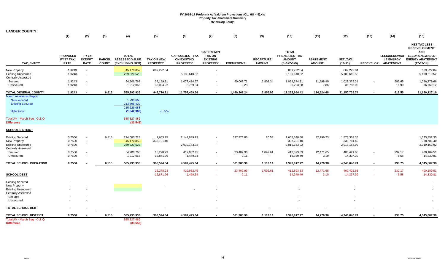| <b>LANDER COUNTY</b>                                                                                                                                |                                             |                                              |                               |                                                                                    |                                      |                                                                 |                                                                          |                   |                                      |                                                                 |                                   |                                            |                          |                                                             |                                                                                                                               |
|-----------------------------------------------------------------------------------------------------------------------------------------------------|---------------------------------------------|----------------------------------------------|-------------------------------|------------------------------------------------------------------------------------|--------------------------------------|-----------------------------------------------------------------|--------------------------------------------------------------------------|-------------------|--------------------------------------|-----------------------------------------------------------------|-----------------------------------|--------------------------------------------|--------------------------|-------------------------------------------------------------|-------------------------------------------------------------------------------------------------------------------------------|
|                                                                                                                                                     | (1)                                         | (2)                                          | (3)                           | (4)                                                                                | (5)                                  | (6)                                                             | (7)                                                                      | (8)               | (9)                                  | (10)                                                            | (11)                              | (12)                                       | (13)                     | (14)                                                        | (15)                                                                                                                          |
| <b>TAX ENTITY</b>                                                                                                                                   | <b>PROPOSED</b><br>FY 17 TAX<br><b>RATE</b> | <b>FY 17</b><br><b>EXEMPT</b><br><b>RATE</b> | <b>PARCEL</b><br><b>COUNT</b> | <b>TOTAL</b><br><b>ASSESSED VALUE</b><br>(EXCLUDING NPM)                           | <b>TAX ON NEW</b><br><b>PROPERTY</b> | <b>CAP-SUBJECT TAX</b><br><b>ON EXISTING</b><br><b>PROPERTY</b> | <b>CAP-EXEMPT</b><br><b>TAX ON</b><br><b>EXISTING</b><br><b>PROPERTY</b> | <b>EXEMPTIONS</b> | <b>RECAPTURE</b><br><b>AMOUNT</b>    | <b>TOTAL</b><br>PREABATED TAX<br><b>AMOUNT</b><br>$(5+6+7-8+9)$ | <b>ABATEMENT</b><br><b>AMOUNT</b> | NET_TAX<br>$(10-11)$                       | <b>REDEVELOP</b>         | <b>LEED/RENEWAB</b><br><b>LE ENERGY</b><br><b>ABATEMENT</b> | <b>NET TAX LESS</b><br><b>REDEVELOPMENT</b><br><b>AND</b><br><b>LEED/RENEWABLE</b><br><b>ENERGY ABATEMENT</b><br>$(12-13-14)$ |
| New Property<br><b>Existing Unsecured</b>                                                                                                           | 1.9243<br>1.9243                            | $\sim$<br>$\sim$                             |                               | 45,170,859<br>269,220,523                                                          | 869,222.84                           | 5,180,610.52                                                    | $\sim$<br>. .                                                            |                   |                                      | 869,222.84<br>5,180,610.52                                      |                                   | 869,222.84<br>5,180,610.52                 |                          |                                                             | 869,222.84<br>5,180,610.52                                                                                                    |
| <b>Centrally Assessed</b>                                                                                                                           |                                             |                                              |                               |                                                                                    |                                      |                                                                 |                                                                          |                   |                                      |                                                                 |                                   |                                            |                          |                                                             |                                                                                                                               |
| Secured                                                                                                                                             | 1.9243                                      | $\sim$                                       |                               | 54,906,763                                                                         | 39,199.91                            | 1,077,434.67                                                    | $\sim$                                                                   | 60,063.71         | 2,803.34                             | 1,059,374.21                                                    | 31,998.90                         | 1,027,375.31                               | $\overline{\phantom{a}}$ | 595.65                                                      | 1,026,779.66                                                                                                                  |
| Unsecured                                                                                                                                           | 1.9243                                      | $\blacksquare$                               |                               | 1,912,066                                                                          | 33,024.22                            | 3,769.94                                                        | $\sim$                                                                   | 0.28              | $\overline{\phantom{a}}$             | 36,793.88                                                       | 7.86                              | 36,786.02                                  |                          | 16.90                                                       | 36,769.12                                                                                                                     |
| <b>TOTAL GENERAL COUNTY</b>                                                                                                                         | 1.9243                                      | $\overline{\phantom{a}}$                     | 6,515                         | 585,293,939                                                                        | 945,716.11                           | 11,757,459.56                                                   | $\overline{\phantom{a}}$                                                 | 1,440,367.24      | 2,855.99                             | 11,265,664.42                                                   | 114,924.68                        | 11,150,739.74                              |                          | 612.55                                                      | 11,150,127.19                                                                                                                 |
| <b>March Assessors Report:</b><br>New secured<br><b>Existing Secured</b><br><b>Difference</b><br>Total AV - March Seg - Col. Q<br><b>Difference</b> |                                             |                                              |                               | 1,730,668<br>213,895,420<br>215,626,088<br>(1,542,360)<br>585,327,485<br>(33, 546) | $-0.72%$                             |                                                                 |                                                                          |                   |                                      |                                                                 |                                   |                                            |                          |                                                             |                                                                                                                               |
|                                                                                                                                                     |                                             |                                              |                               |                                                                                    |                                      |                                                                 |                                                                          |                   |                                      |                                                                 |                                   |                                            |                          |                                                             |                                                                                                                               |
| <b>SCHOOL DISTRICT</b>                                                                                                                              |                                             |                                              |                               |                                                                                    |                                      |                                                                 |                                                                          |                   |                                      |                                                                 |                                   |                                            |                          |                                                             |                                                                                                                               |
| <b>Existing Secured</b><br>New Property<br><b>Existing Unsecured</b><br><b>Centrally Assessed</b>                                                   | 0.7500<br>0.7500<br>0.7500                  | $\blacksquare$<br>$\blacksquare$<br>$\sim$   | 6,515                         | 214,083,728<br>45,170,853<br>269,220,523                                           | 1,663.95<br>338,781.40               | 2,141,939.93<br>2,019,153.92                                    |                                                                          | 537,975.83        | 20.53                                | 1,605,648.58<br>338,781.40<br>2,019,153.92                      | 32,296.23                         | 1,573,352.35<br>338,781.40<br>2,019,153.92 |                          |                                                             | 1,573,352.35<br>338,781.40<br>2,019,153.92                                                                                    |
| Secured<br>Unsecured                                                                                                                                | 0.7500<br>0.7500                            | $\sim$<br>$\sim$                             |                               | 54,906,763<br>1,912,066                                                            | 15,278.23<br>12,871.26               | 419,932.45<br>1,469.34                                          | $\sim$                                                                   | 23,409.96<br>0.11 | 1,092.61<br>$\overline{\phantom{a}}$ | 412,893.33<br>14,340.49                                         | 12,471.65<br>3.10                 | 400,421.68<br>14,337.39                    | $\sim$                   | 232.17<br>6.58                                              | 400,189.51<br>14,330.81                                                                                                       |
| TOTAL SCHOOL OPERATING                                                                                                                              | 0.7500                                      |                                              | 6,515                         | 585,293,933                                                                        | 368,594.84                           | 4,582,495.64                                                    | $\sim$                                                                   | 561,385.90        | 1,113.14                             | 4,390,817.72                                                    | 44,770.98                         | 4,346,046.74                               | $\blacksquare$           | 238.75                                                      | 4,345,807.99                                                                                                                  |
| <b>SCHOOL DEBT</b>                                                                                                                                  |                                             |                                              |                               |                                                                                    | 15,278.23<br>12,871.26               | 419,932.45<br>1,469.34                                          | $\sim$                                                                   | 23,409.96<br>0.11 | 1,092.61<br>$\sim$                   | 412,893.33<br>14,340.49                                         | 12,471.65<br>3.10                 | 400,421.68<br>14,337.39                    | $\sim$<br>×.             | 232.17<br>6.58                                              | 400,189.51<br>14,330.81                                                                                                       |
| <b>Existing Secured</b><br>New Property                                                                                                             |                                             |                                              |                               |                                                                                    |                                      |                                                                 |                                                                          |                   |                                      |                                                                 |                                   |                                            |                          |                                                             |                                                                                                                               |
| <b>Existing Unsecured</b><br><b>Centrally Assessed</b>                                                                                              |                                             |                                              |                               |                                                                                    |                                      |                                                                 |                                                                          |                   |                                      |                                                                 |                                   |                                            |                          |                                                             |                                                                                                                               |
| Secured<br>Unsecured                                                                                                                                |                                             |                                              |                               |                                                                                    |                                      |                                                                 |                                                                          |                   |                                      |                                                                 |                                   |                                            |                          |                                                             |                                                                                                                               |
| <b>TOTAL SCHOOL DEBT</b>                                                                                                                            |                                             |                                              |                               |                                                                                    |                                      |                                                                 |                                                                          |                   |                                      |                                                                 |                                   |                                            |                          |                                                             |                                                                                                                               |
| TOTAL SCHOOL DISTRICT                                                                                                                               | 0.7500                                      |                                              | 6,515                         | 585,293,933                                                                        | 368,594.84                           | 4,582,495.64                                                    | $\sim$                                                                   | 561,385.90        | 1,113.14                             | 4,390,817.72                                                    | 44,770.98                         | 4,346,046.74                               |                          | 238.75                                                      | 4,345,807.99                                                                                                                  |
| Total AV - March Seg - Col. Q<br><b>Difference</b>                                                                                                  |                                             |                                              |                               | 585,327,485<br>(33, 552)                                                           |                                      |                                                                 |                                                                          |                   |                                      |                                                                 |                                   |                                            |                          |                                                             |                                                                                                                               |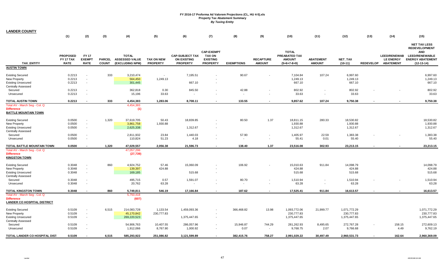| <b>LANDER COUNTY</b>                                                                              |                                             |                                              |                               |                                                          |                                      |                                                                 |                                                                          |                   |                                    |                                                                 |                                            |                                            |                  |                                                             |                                                                                                                               |
|---------------------------------------------------------------------------------------------------|---------------------------------------------|----------------------------------------------|-------------------------------|----------------------------------------------------------|--------------------------------------|-----------------------------------------------------------------|--------------------------------------------------------------------------|-------------------|------------------------------------|-----------------------------------------------------------------|--------------------------------------------|--------------------------------------------|------------------|-------------------------------------------------------------|-------------------------------------------------------------------------------------------------------------------------------|
|                                                                                                   | (1)                                         | (2)                                          | (3)                           | (4)                                                      | (5)                                  | (6)                                                             | (7)                                                                      | (8)               | (9)                                | (10)                                                            | (11)                                       | (12)                                       | (13)             | (14)                                                        | (15)                                                                                                                          |
| <b>TAX ENTITY</b>                                                                                 | <b>PROPOSED</b><br>FY 17 TAX<br><b>RATE</b> | <b>FY 17</b><br><b>EXEMPT</b><br><b>RATE</b> | <b>PARCEL</b><br><b>COUNT</b> | <b>TOTAL</b><br><b>ASSESSED VALUE</b><br>(EXCLUDING NPM) | <b>TAX ON NEW</b><br><b>PROPERTY</b> | <b>CAP-SUBJECT TAX</b><br><b>ON EXISTING</b><br><b>PROPERTY</b> | <b>CAP-EXEMPT</b><br><b>TAX ON</b><br><b>EXISTING</b><br><b>PROPERTY</b> | <b>EXEMPTIONS</b> | <b>RECAPTURE</b><br><b>AMOUNT</b>  | <b>TOTAL</b><br>PREABATED TAX<br><b>AMOUNT</b><br>$(5+6+7-8+9)$ | <b>ABATEMENT</b><br><b>AMOUNT</b>          | <b>NET TAX</b><br>$(10-11)$                | <b>REDEVELOP</b> | <b>LEED/RENEWAB</b><br><b>LE ENERGY</b><br><b>ABATEMENT</b> | <b>NET TAX LESS</b><br><b>REDEVELOPMENT</b><br><b>AND</b><br><b>LEED/RENEWABLE</b><br><b>ENERGY ABATEMENT</b><br>$(12-13-14)$ |
| <b>AUSTIN TOWN</b>                                                                                |                                             |                                              |                               |                                                          |                                      |                                                                 |                                                                          |                   |                                    |                                                                 |                                            |                                            |                  |                                                             |                                                                                                                               |
| <b>Existing Secured</b><br>New Property<br><b>Existing Unsecured</b><br><b>Centrally Assessed</b> | 0.2213<br>0.2213<br>0.2213                  | $\blacksquare$<br>$\blacksquare$<br>$\sim$   | 333                           | 3,210,474<br>564,450<br>301,445                          | $\sim$<br>1,249.13                   | 7,195.51<br>667.10                                              |                                                                          | 90.67             |                                    | 7,104.84<br>1,249.13<br>667.10                                  | 107.24                                     | 6,997.60<br>1,249.13<br>667.10             |                  |                                                             | 6,997.60<br>1,249.13<br>667.10                                                                                                |
| Secured<br>Unsecured                                                                              | 0.2213<br>0.2213                            | $\blacksquare$<br>$\blacksquare$             |                               | 362,818<br>15,196                                        | 0.30<br>33.63                        | 845.50<br>$\sim$                                                |                                                                          | 42.88<br>$\sim$   | $\blacksquare$                     | 802.92<br>33.63                                                 | $\blacksquare$                             | 802.92<br>33.63                            |                  |                                                             | 802.92<br>33.63                                                                                                               |
| <b>TOTAL AUSTIN TOWN</b>                                                                          | 0.2213                                      |                                              | 333                           | 4,454,383                                                | 1,283.06                             | 8,708.11                                                        | $\sim$                                                                   | 133.55            |                                    | 9,857.62                                                        | 107.24                                     | 9,750.38                                   |                  |                                                             | 9,750.38                                                                                                                      |
| Total AV - March Seg - Col. Q<br><b>Difference</b><br><b>BATTLE MOUNTAIN TOWN</b>                 |                                             |                                              |                               | 4,454,383<br>(1)                                         |                                      |                                                                 |                                                                          |                   |                                    |                                                                 |                                            |                                            |                  |                                                             |                                                                                                                               |
| <b>Existing Secured</b><br>New Property<br><b>Existing Unsecured</b><br><b>Centrally Assessed</b> | 0.0500<br>0.0500<br>0.0500                  | $\blacksquare$<br>$\blacksquare$<br>$\sim$   | 1,320                         | 37,619,705<br>3,861,758<br>2,625,338                     | 50.43<br>1,930.88                    | 18,839.85<br>1,312.67                                           | $\sim$                                                                   | 80.50             | 1.37                               | 18,811.15<br>1,930.88<br>1,312.67                               | 280.33                                     | 18,530.82<br>1,930.88<br>1,312.67          |                  |                                                             | 18,530.82<br>1,930.88<br>1,312.67                                                                                             |
| Secured<br>Unsecured                                                                              | 0.0500<br>0.0500                            | $\blacksquare$<br>$\sim$                     |                               | 2,811,932<br>110,824                                     | 23.84<br>51.23                       | 1,440.03<br>4.18                                                | $\sim$                                                                   | 57.90<br>$\sim$   | $\blacksquare$<br>$\sim$           | 1,405.97<br>55.41                                               | 22.59<br>0.01                              | 1,383.38<br>55.40                          |                  |                                                             | 1,383.38<br>55.40                                                                                                             |
| TOTAL BATTLE MOUNTAIN TOWN                                                                        | 0.0500                                      |                                              | 1,320                         | 47,029,557                                               | 2,056.38                             | 21,596.73                                                       | $\overline{\phantom{a}}$                                                 | 138.40            | 1.37                               | 23,516.08                                                       | 302.93                                     | 23,213.15                                  |                  |                                                             | 23,213.15                                                                                                                     |
| Total AV - March Seg - Col. Q<br><b>Difference</b><br><b>KINGSTON TOWN</b>                        |                                             |                                              |                               | 47,057,296<br>(27, 739)                                  |                                      |                                                                 |                                                                          |                   |                                    |                                                                 |                                            |                                            |                  |                                                             |                                                                                                                               |
| <b>Existing Secured</b><br>New Property<br><b>Existing Unsecured</b><br><b>Centrally Assessed</b> | 0.3048<br>0.3048<br>0.3048                  | $\blacksquare$<br>$\sim$<br>$\sim$           | 860                           | 4,924,752<br>139,397<br>169,185                          | 57.46<br>424.88                      | 15,060.09<br>515.68                                             |                                                                          | 106.92            |                                    | 15,010.63<br>424.88<br>515.68                                   | 911.84                                     | 14,098.79<br>424.88<br>515.68              |                  |                                                             | 14,098.79<br>424.88<br>515.68                                                                                                 |
| Secured<br>Unsecured                                                                              | 0.3048<br>0.3048                            | $\sim$<br>$\blacksquare$                     |                               | 495,715<br>20,762                                        | 0.57<br>63.28                        | 1,591.07<br>÷.                                                  | $\sim$                                                                   | 80.70<br>$\sim$   | $\blacksquare$<br>$\blacksquare$   | 1,510.94<br>63.28                                               | $\overline{\phantom{a}}$<br>$\blacksquare$ | 1,510.94<br>63.28                          |                  |                                                             | 1,510.94<br>63.28                                                                                                             |
| <b>TOTAL KINGSTON TOWN</b>                                                                        | 0.3048                                      |                                              | 860                           | 5,749,811                                                | 546.19                               | 17,166.84                                                       |                                                                          | 187.62            |                                    | 17,525.41                                                       | 911.84                                     | 16,613.57                                  |                  |                                                             | 16,613.57                                                                                                                     |
| Total AV - March Seg - Col. Q<br><b>Difference</b><br><b>LANDER CO HOSPITAL DISTRICT</b>          |                                             |                                              |                               | 5,750,418<br>(607)                                       |                                      |                                                                 |                                                                          |                   |                                    |                                                                 |                                            |                                            |                  |                                                             |                                                                                                                               |
| <b>Existing Secured</b><br>New Property<br><b>Existing Unsecured</b><br><b>Centrally Assessed</b> | 0.5109<br>0.5109<br>0.5109                  | $\overline{\phantom{a}}$<br>$\sim$<br>$\sim$ | 6,515                         | 214,083,728<br>45,170,842<br>269,220,523                 | 1,133.54<br>230,777.83               | 1,459,093.36<br>1,375,447.65                                    | $\sim$                                                                   | 366,468.82        | 13.98                              | 1,093,772.06<br>230,777.83<br>1,375,447.65                      | 21,999.77                                  | 1,071,772.29<br>230,777.83<br>1,375,447.65 |                  |                                                             | 1,071,772.29<br>230,777.83<br>1,375,447.65                                                                                    |
| Secured<br>Unsecured                                                                              | 0.5109<br>0.5109                            | $\sim$                                       |                               | 54,906,763<br>1,912,066                                  | 10,407.55<br>8,767.90                | 286,057.96<br>1,000.92                                          | $\sim$                                                                   | 15,946.87<br>0.07 | 744.29<br>$\overline{\phantom{a}}$ | 281,262.93<br>9,768.75                                          | 8,495.65<br>2.07                           | 272,767.28<br>9,766.68                     |                  | 158.15<br>4.49                                              | 272,609.13<br>9,762.19                                                                                                        |
| TOTAL LANDER CO HOSPITAL DIST                                                                     | 0.5109                                      |                                              | 6.515                         | 585,293,922                                              | 251.086.82                           | 3,121,599.89                                                    |                                                                          | 382.415.76        | 758.27                             | 2,991,029.22                                                    | 30.497.49                                  | 2,960,531.73                               |                  | 162.64                                                      | 2,960,369.09                                                                                                                  |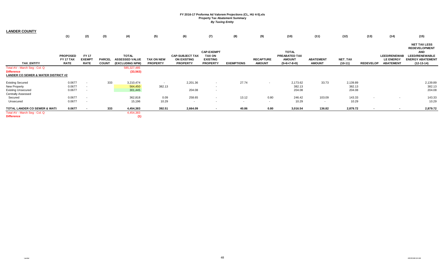| <b>LANDER COUNTY</b>                                                                                     | (1)                                         | (2)                                          | (3)                           | (4)                                                      | (5)                           | (6)                                                             | (7)                                                                      | (8)               | (9)                               | (10)                                                            | (11)                               | (12)                         | (13)             | (14)                                                        | (15)                                                                                                                          |
|----------------------------------------------------------------------------------------------------------|---------------------------------------------|----------------------------------------------|-------------------------------|----------------------------------------------------------|-------------------------------|-----------------------------------------------------------------|--------------------------------------------------------------------------|-------------------|-----------------------------------|-----------------------------------------------------------------|------------------------------------|------------------------------|------------------|-------------------------------------------------------------|-------------------------------------------------------------------------------------------------------------------------------|
| <b>TAX ENTITY</b>                                                                                        | <b>PROPOSED</b><br>FY 17 TAX<br><b>RATE</b> | <b>FY 17</b><br><b>EXEMPT</b><br><b>RATE</b> | <b>PARCEL</b><br><b>COUNT</b> | <b>TOTAL</b><br><b>ASSESSED VALUE</b><br>(EXCLUDING NPM) | TAX ON NEW<br><b>PROPERTY</b> | <b>CAP-SUBJECT TAX</b><br><b>ON EXISTING</b><br><b>PROPERTY</b> | <b>CAP-EXEMPT</b><br><b>TAX ON</b><br><b>EXISTING</b><br><b>PROPERTY</b> | <b>EXEMPTIONS</b> | <b>RECAPTURE</b><br><b>AMOUNT</b> | <b>TOTAL</b><br>PREABATED TAX<br><b>AMOUNT</b><br>$(5+6+7-8+9)$ | <b>ABATEMENT</b><br><b>AMOUNT</b>  | NET_TAX<br>$(10-11)$         | <b>REDEVELOP</b> | <b>LEED/RENEWAB</b><br><b>LE ENERGY</b><br><b>ABATEMENT</b> | <b>NET TAX LESS</b><br><b>REDEVELOPMENT</b><br><b>AND</b><br><b>LEED/RENEWABLE</b><br><b>ENERGY ABATEMENT</b><br>$(12-13-14)$ |
| Total AV - March Seg - Col. Q<br><b>Difference</b><br><b>LANDER CO SEWER &amp; WATER DISTRICT #2</b>     |                                             |                                              |                               | 585,327,485<br>(33, 563)                                 |                               |                                                                 |                                                                          |                   |                                   |                                                                 |                                    |                              |                  |                                                             |                                                                                                                               |
| <b>Existing Secured</b><br><b>New Property</b><br><b>Existing Unsecured</b><br><b>Centrally Assessed</b> | 0.0677<br>0.0677<br>0.0677                  | $\sim$                                       | 333                           | 3,210,474<br>564,450<br>301,445                          | $\sim$<br>382.13              | 2,201.36<br>204.08                                              | $\sim$<br>$\sim$<br>$\sim$                                               | 27.74             |                                   | 2,173.62<br>382.13<br>204.08                                    | 33.73                              | 2,139.89<br>382.13<br>204.08 |                  |                                                             | 2,139.89<br>382.13<br>204.08                                                                                                  |
| Secured<br>Unsecured                                                                                     | 0.0677<br>0.0677                            | $\sim$                                       |                               | 362,818<br>15,196                                        | 0.09<br>10.29                 | 258.65<br>$\sim$                                                | $\sim$                                                                   | 13.12<br>$\sim$   | 0.80<br>$\sim$                    | 246.42<br>10.29                                                 | 103.09<br>$\overline{\phantom{a}}$ | 143.33<br>10.29              |                  |                                                             | 143.33<br>10.29                                                                                                               |
| TOTAL LANDER CO SEWER & WATI<br>Total AV - March Seg - Col. Q<br><b>Difference</b>                       | 0.0677                                      |                                              | 333                           | 4,454,383<br>4,454,383<br>(1)                            | 392.51                        | 2,664.09                                                        | $\sim$                                                                   | 40.86             | 0.80                              | 3,016.54                                                        | 136.82                             | 2,879.72                     |                  | $\overline{\phantom{a}}$                                    | 2,879.72                                                                                                                      |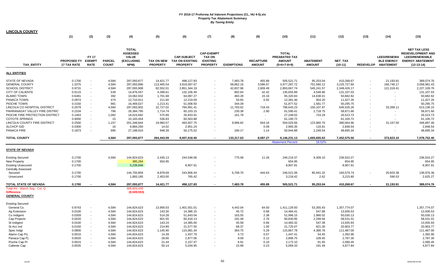| <b>LINCOLN COUNTY</b>                                                                                                       |                                          |                                            |                                |                                                                       |                                                  |                                                                 |                                                                          |                                              |                                         |                                                                 |                                                   |                                                          |                  |                                                             |                                                                                                                     |
|-----------------------------------------------------------------------------------------------------------------------------|------------------------------------------|--------------------------------------------|--------------------------------|-----------------------------------------------------------------------|--------------------------------------------------|-----------------------------------------------------------------|--------------------------------------------------------------------------|----------------------------------------------|-----------------------------------------|-----------------------------------------------------------------|---------------------------------------------------|----------------------------------------------------------|------------------|-------------------------------------------------------------|---------------------------------------------------------------------------------------------------------------------|
|                                                                                                                             | (1)                                      | (2)                                        | (3)                            | (4)                                                                   | (5)                                              | (6)                                                             | (7)                                                                      | (8)                                          | (9)                                     | (10)                                                            | (11)                                              | (12)                                                     | (13)             | (14)                                                        | (15)                                                                                                                |
| <b>TAX ENTITY</b>                                                                                                           | PROPOSED FY EXEMPT<br><b>17 TAX RATE</b> | <b>FY 17</b><br><b>RATE</b>                | <b>PARCEL</b><br><b>COUNT</b>  | <b>TOTAL</b><br><b>ASSESSED</b><br><b>VALUE</b><br>(EXCLUDING<br>NPM) | <b>TAX ON NEW</b><br><b>PROPERTY</b>             | <b>CAP-SUBJECT</b><br><b>TAX ON EXISTING</b><br><b>PROPERTY</b> | <b>CAP-EXEMPT</b><br><b>TAX ON</b><br><b>EXISTING</b><br><b>PROPERTY</b> | <b>EXEMPTIONS</b>                            | <b>RECAPTURE</b><br><b>AMOUNT</b>       | <b>TOTAL</b><br>PREABATED TAX<br><b>AMOUNT</b><br>$(5+6+7-8+9)$ | <b>ABATEMENT</b><br><b>AMOUNT</b>                 | NET_TAX<br>$(10-11)$                                     | <b>REDEVELOP</b> | <b>LEED/RENEWA</b><br><b>BLE ENERGY</b><br><b>ABATEMENT</b> | <b>NET TAX LESS</b><br><b>REDEVELOPMENT AND</b><br><b>LEED/RENEWABLE</b><br><b>ENERGY ABATEMENT</b><br>$(12-13-14)$ |
| <b>ALL ENTITIES</b>                                                                                                         |                                          |                                            |                                |                                                                       |                                                  |                                                                 |                                                                          |                                              |                                         |                                                                 |                                                   |                                                          |                  |                                                             |                                                                                                                     |
| <b>STATE OF NEVADA</b><br><b>GENERAL COUNTY</b><br><b>SCHOOL DISTRICT</b><br><b>CITY OF CALIENTE</b>                        | 0.1700<br>1.3375<br>0.9731<br>0.9115     | $\overline{\phantom{a}}$                   | 4,584<br>4,584<br>4,584<br>539 | 297,093,877<br>297,093,896<br>297,093,908<br>14,876,557               | 14,421.77<br>113,465.54<br>82,552.01<br>4,399.61 | 498,127.83<br>3,919,097.67<br>2,851,344.19<br>132,106.49        |                                                                          | 7,483.78<br>58,862.16<br>42,837.96<br>892.64 | 455.89<br>3,586.67<br>2,609.49<br>42.42 | 505,521.71<br>3,977,287.72<br>2,893,667.74<br>135,655.89        | 95,253.04<br>751,560.12<br>545,241.57<br>4,548.86 | 410,268.67<br>3,225,727.60<br>2,348,426.17<br>131,107.03 |                  | 21,193.91<br>166,746.17<br>121,316.41                       | 389,074.76<br>3,058,981.43<br>2,227,109.76<br>131,107.03                                                            |
| <b>ALAMO TOWN</b><br>PANACA TOWN<br>PIOCHE TOWN                                                                             | 0.6481<br>0.0974<br>0.3150               |                                            | 392<br>474<br>981              | 10,062,932<br>12,710,911<br>16,469,027                                | 1,701.68<br>211.60<br>1,213.41                   | 64,087.27<br>12,219.59<br>51,008.50                             | $\sim$                                                                   | 483.28<br>50.65<br>344.39                    | 15.16<br>0.92<br>$\sim$                 | 65,320.83<br>12,381.46<br>51,877.52                             | 14,638.01<br>954.20<br>1,581.77                   | 50,682.82<br>11,427.26<br>50,295.75                      |                  |                                                             | 50,682.82<br>11,427.26<br>50,295.75                                                                                 |
| LINCOLN CO HOSPITAL DISTRICT<br>PAHRANAGAT VALLEY FIRE DISTRICT<br>PIOCHE FIRE PROTECTION DISTRICT<br><b>COYOTE SPRINGS</b> | 0.2679<br>0.2334<br>0.1463<br>0.6000     |                                            | 4,584<br>796<br>1,082<br>15    | 297,093,902<br>26,384,795<br>18,624,682<br>10,183,454                 | 22,727.02<br>1,714.74<br>575.89<br>536.83        | 784,991.41<br>60,103.15<br>26,833.91<br>60,563.88               |                                                                          | 11,793.62<br>230.38<br>161.78                | 718.43<br>2.90<br>$\sim$<br>$\sim$      | 796,643.23<br>61,590.41<br>27,248.02<br>61,100.72               | 150,107.97<br>2,718.75<br>724.29                  | 646,535.26<br>58,871.66<br>26,523.73<br>61,100.72        |                  | 33,399.11                                                   | 613,136.15<br>58,871.66<br>26,523.73<br>61,100.72                                                                   |
| LINCOLN COUNTY FIRE DISTRICT<br><b>SLCHCP GID</b><br>PANACA FIRE                                                            | 0.2500<br>0.0300<br>0.1873               | $\blacksquare$                             | 1,157<br>16<br>995             | 201,348,844<br>9,884,250<br>27,198,910                                | 19,960.57<br>14.02<br>948.39                     | 493,407.75<br>2,951.24<br>50,175.52                             |                                                                          | 9,996.82<br>$\blacksquare$<br>180.17         | 654.16<br>0.09<br>1.14                  | 504,025.66<br>2,965.35<br>50,944.88                             | 123,960.70<br>116.81<br>2,249.54                  | 380,064.96<br>2,848.54<br>48,695.34                      |                  | 31,167.50                                                   | 348,897.46<br>2,848.54<br>48,695.34                                                                                 |
| <b>TOTAL COUNTY</b>                                                                                                         |                                          |                                            | 4,584                          | 297,093,877                                                           | 264,443.09                                       | 9,007,018.40                                                    |                                                                          | 133,317.63                                   | 8,087.27                                | 9,146,231.13<br><b>Abatement Percent</b>                        | 1,693,655.63<br>18.52%                            | 7,452,575.50                                             |                  | 373,823.10                                                  | 7,078,752.40                                                                                                        |
| <b>STATE OF NEVADA</b>                                                                                                      |                                          |                                            |                                |                                                                       |                                                  |                                                                 |                                                                          |                                              |                                         |                                                                 |                                                   |                                                          |                  |                                                             |                                                                                                                     |
| <b>Existing Secured</b><br><b>New Property</b><br><b>Existing Unsecured</b><br>Centrally Assessed                           | 0.1700<br>0.1700<br>0.1700               |                                            | 4,584                          | 144,824,623<br>385,264<br>5,239,946                                   | 2,435.13<br>654.95                               | 244,548.06<br>8,907.91                                          |                                                                          | 775.08                                       | 11.26                                   | 246,219.37<br>654.95<br>8,907.91                                | 9,309.10                                          | 236,910.27<br>654.95<br>8,907.91                         |                  |                                                             | 236,910.27<br>654.95<br>8,907.91                                                                                    |
| Secured<br>Unsecured                                                                                                        | 0.1700<br>0.1700                         |                                            |                                | 144,750,859<br>1,893,185                                              | 8,878.69<br>2,453.00                             | 243,906.44<br>765.42                                            | $\sim$<br>$\sim$                                                         | 6,708.70                                     | 444.63<br>$\sim$                        | 246,521.06<br>3,218.42                                          | 85,941.32<br>2.62                                 | 160,579.74<br>3,215.80                                   |                  | 20,603.38<br>590.53                                         | 139,976.36<br>2,625.27                                                                                              |
| TOTAL STATE OF NEVADA<br>Total AV - March Seg - Col. Q                                                                      | 0.1700                                   |                                            | 4,584                          | 297,093,877<br>305,603,430                                            | 14,421.77                                        | 498,127.83                                                      | $\overline{\phantom{a}}$                                                 | 7,483.78                                     | 455.89                                  | 505,521.71                                                      | 95,253.04                                         | 410,268.67                                               |                  | 21,193.91                                                   | 389,074.76                                                                                                          |
| <b>Difference</b><br><b>GENERAL COUNTY</b>                                                                                  |                                          |                                            |                                | (8,509,553)                                                           |                                                  |                                                                 |                                                                          |                                              |                                         |                                                                 |                                                   |                                                          |                  |                                                             |                                                                                                                     |
| <b>Existing Secured</b><br>General Co.                                                                                      | 0.9743                                   |                                            | 4,584                          | 144,824,623                                                           | 13,956.03                                        | 1,401,551.01                                                    |                                                                          | 4,442.04                                     | 64.50                                   | 1,411,129.50                                                    | 53,355.43                                         | 1,357,774.07                                             |                  |                                                             | 1,357,774.07                                                                                                        |
| Ag Extension<br>Co Indigent<br>Cap Projects                                                                                 | 0.0100<br>0.0359<br>0.0420               | $\sim$<br>$\blacksquare$<br>$\blacksquare$ | 4,584<br>4,584<br>4,584        | 144,824,623<br>144,824,623<br>144,824,623                             | 143.30<br>514.28<br>601.55                       | 14,386.15<br>51,643.04<br>60,418.13                             | $\sim$                                                                   | 45.72<br>163.55<br>191.49                    | 0.68<br>2.38<br>2.76                    | 14,484.41<br>51,996.15<br>60,830.95                             | 547.88<br>1,966.02<br>2,299.94                    | 13,936.53<br>50,030.13<br>58,531.01                      |                  |                                                             | 13,936.53<br>50,030.13<br>58,531.01                                                                                 |
| St Indigent<br>St Acc Ind<br>Spec Indgt                                                                                     | 0.0100<br>0.0150<br>0.0800               | $\overline{\phantom{a}}$                   | 4,584<br>4,584<br>4,584        | 144,824,623<br>144,824,623<br>144,824,623                             | 143.24<br>214.89<br>1,145.90                     | 14,385.00<br>21,577.55<br>115,081.34                            |                                                                          | 45.58<br>68.37<br>364.75                     | 0.66<br>1.00<br>5.29                    | 14,483.32<br>21,725.07<br>115,867.78                            | 547.39<br>821.30<br>4,380.78                      | 13,935.93<br>20,903.77<br>111,487.00                     |                  |                                                             | 13,935.93<br>20,903.77<br>111,487.00                                                                                |
| Alamo Cap Pri<br>Panaca Cap Pi<br>Pioche Cap Pr                                                                             | 0.0010<br>0.0020<br>0.0015               |                                            | 4,584<br>4,584<br>4,584        | 144,824,623<br>144,824,623<br>144,824,623                             | 14.28<br>28.66<br>21.44                          | 1,437.79<br>2,877.06<br>2,157.47                                |                                                                          | 4.73<br>9.09<br>6.91                         | 0.07<br>0.12<br>0.10                    | 1,447.41<br>2,896.75<br>2,172.10                                | 54.45<br>109.45<br>81.65                          | 1,392.96<br>2,787.30<br>2,090.45                         |                  |                                                             | 1,392.96<br>2,787.30<br>2,090.45                                                                                    |
| Caliente Cap                                                                                                                | 0.0035                                   |                                            | 4,584                          | 144,824,623                                                           | 50.14                                            | 5,034.95                                                        |                                                                          | 15.99                                        | 0.23                                    | 5,069.33                                                        | 191.49                                            | 4,877.84                                                 |                  |                                                             | 4,877.84                                                                                                            |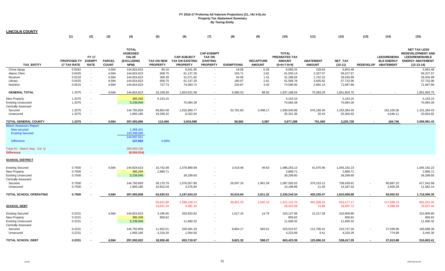|                                                                                                   | (1)                                      | (2)                                          | (3)                           | (4)                                                                   | (5)                                  | (6)                                                             | (7)                                                                      | (8)                 | (9)                               | (10)                                                                   | (11)                              | (12)                                  | (13)                     | (14)                                                           | (15)                                                                                                                |
|---------------------------------------------------------------------------------------------------|------------------------------------------|----------------------------------------------|-------------------------------|-----------------------------------------------------------------------|--------------------------------------|-----------------------------------------------------------------|--------------------------------------------------------------------------|---------------------|-----------------------------------|------------------------------------------------------------------------|-----------------------------------|---------------------------------------|--------------------------|----------------------------------------------------------------|---------------------------------------------------------------------------------------------------------------------|
| <b>TAX ENTITY</b>                                                                                 | <b>PROPOSED FY</b><br><b>17 TAX RATE</b> | <b>FY 17</b><br><b>EXEMPT</b><br><b>RATE</b> | <b>PARCEL</b><br><b>COUNT</b> | <b>TOTAL</b><br><b>ASSESSED</b><br><b>VALUE</b><br>(EXCLUDING<br>NPM) | <b>TAX ON NEW</b><br><b>PROPERTY</b> | <b>CAP-SUBJECT</b><br><b>TAX ON EXISTING</b><br><b>PROPERTY</b> | <b>CAP-EXEMPT</b><br><b>TAX ON</b><br><b>EXISTING</b><br><b>PROPERTY</b> | <b>EXEMPTIONS</b>   | <b>RECAPTURE</b><br><b>AMOUNT</b> | <b>TOTAL</b><br><b>PREABATED TAX</b><br><b>AMOUNT</b><br>$(5+6+7-8+9)$ | <b>ABATEMENT</b><br><b>AMOUNT</b> | <b>NET TAX</b><br>$(10-11)$           |                          | <b>LEED/RENEWA</b><br><b>BLE ENERGY</b><br>REDEVELOP ABATEMENT | <b>NET TAX LESS</b><br><b>REDEVELOPMENT AND</b><br><b>LEED/RENEWABLE</b><br><b>ENERGY ABATEMENT</b><br>$(12-13-14)$ |
| China Sprgs                                                                                       | 0.0042                                   | $\sim$                                       | 4,584                         | 144,824,623                                                           | 60.16                                | 6,041.95                                                        | $\sim$                                                                   | 19.08               | 0.28                              | 6,083.31                                                               | 229.83                            | 5,853.48                              |                          |                                                                | 5,853.48                                                                                                            |
| Alamo Clinic                                                                                      | 0.0425                                   | $\sim$                                       | 4,584                         | 144,824,623                                                           | 608.75                               | 61,137.29                                                       | $\sim$                                                                   | 193.71              | 2.81                              | 61,555.14                                                              | 2,327.57                          | 59,227.57                             |                          |                                                                | 59,227.57                                                                                                           |
| Museum                                                                                            | 0.0216                                   | $\sim$                                       | 4,584                         | 144,824,623                                                           | 309.39                               | 31,071.82                                                       | $\sim$                                                                   | 94.58               | 1.41                              | 31,288.04                                                              | 1,742.15                          | 29,545.89                             |                          |                                                                | 29,545.89                                                                                                           |
| Library                                                                                           | 0.0425                                   | $\sim$                                       | 4,584                         | 144,824,623                                                           | 608.75                               | 61,137.29                                                       |                                                                          | 180.07              | 2.81                              | 61,568.78                                                              | 3,835.82                          | 57,732.96                             |                          |                                                                | 57,732.96                                                                                                           |
| Nutrition                                                                                         | 0.0515                                   | $\sim$                                       | 4,584                         | 144,824,623                                                           | 737.73                               | 74,083.74                                                       | $\sim$                                                                   | 234.87              | 3.40                              | 74,590.00                                                              | 2,892.14                          | 71,697.86                             |                          |                                                                | 71,697.86                                                                                                           |
| <b>GENERAL TOTAL</b>                                                                              | 1.3375                                   |                                              | 4,584                         | 144,824,623                                                           | 19,158.49                            | 1,924,021.58                                                    | $\sim$                                                                   | 6,080.53            | 88.50                             | 1,937,188.04                                                           | 75,383.29                         | 1,861,804.75                          |                          |                                                                | 1,861,804.75                                                                                                        |
| New Property                                                                                      | 1.3375                                   | $\overline{\phantom{a}}$                     |                               | 385,283                                                               | 5,153.15                             |                                                                 | $\sim$                                                                   |                     |                                   | 5,153.15                                                               |                                   | 5,153.15                              |                          |                                                                | 5,153.15                                                                                                            |
| <b>Existing Unsecured</b><br>Centrally Assessed                                                   | 1.3375                                   | $\sim$                                       |                               | 5,239,946                                                             |                                      | 70,084.28                                                       | $\sim$                                                                   |                     |                                   | 70,084.28                                                              |                                   | 70,084.28                             |                          |                                                                | 70,084.28                                                                                                           |
| Secured                                                                                           | 1.3375                                   | $\sim$                                       |                               | 144,750,859                                                           | 69,854.58                            | 1,918,969.77                                                    |                                                                          | 52,781.63           | 3,498.17                          | 1,939,540.89                                                           | 676,156.40                        | 1,263,384.49                          |                          | 162,100.06                                                     | 1,101,284.43                                                                                                        |
| Unsecured                                                                                         | 1.3375                                   | $\sim$                                       |                               | 1,893,185                                                             | 19,299.32                            | 6,022.04                                                        |                                                                          |                     | $\sim$                            | 25,321.36                                                              | 20.43                             | 25,300.93                             |                          | 4,646.11                                                       | 20,654.82                                                                                                           |
| <b>TOTAL GENERAL COUNTY</b>                                                                       | 1.3375                                   |                                              | 4,584                         | 297,093,896                                                           | 113,466                              | 3,919,098                                                       |                                                                          | 58,862              | 3,587                             | 3,977,288                                                              | 751,560                           | 3,225,728                             |                          | 166,746                                                        | 3,058,981.43                                                                                                        |
| <b>March Assessors Report:</b><br>New secured<br><b>Existing Secured</b><br><b>Difference</b>     |                                          |                                              |                               | 1,358,431<br>143.338.590<br>144,697,021<br>127,602                    | 0.09%                                |                                                                 |                                                                          |                     |                                   |                                                                        |                                   |                                       |                          |                                                                |                                                                                                                     |
| Total AV - March Seg - Col. Q<br><b>Difference</b>                                                |                                          |                                              |                               | 305,603,430<br>(8,509,534)                                            |                                      |                                                                 |                                                                          |                     |                                   |                                                                        |                                   |                                       |                          |                                                                |                                                                                                                     |
| SCHOOL DISTRICT                                                                                   |                                          |                                              |                               |                                                                       |                                      |                                                                 |                                                                          |                     |                                   |                                                                        |                                   |                                       |                          |                                                                |                                                                                                                     |
| <b>Existing Secured</b><br>New Property<br><b>Existing Unsecured</b><br><b>Centrally Assessed</b> | 0.7500<br>0.7500<br>0.7500               | $\sim$<br>$\sim$<br>$\overline{\phantom{a}}$ | 4,584                         | 144,824,623<br>385,294<br>5,239,946                                   | 10,742.99<br>2,889.71                | 1,078,889.99<br>39,299.60                                       |                                                                          | 3,419.48            | 49.63                             | 1,086,263.13<br>2,889.71<br>39,299.60                                  | 41,070.90                         | 1,045,192.23<br>2,889.71<br>39,299.60 |                          |                                                                | 1,045,192.23<br>2,889.71<br>39,299.60                                                                               |
| Secured                                                                                           | 0.7500                                   | $\overline{\phantom{a}}$                     |                               | 144,750,859                                                           | 39,170.79                            | 1,076,057.80                                                    | $\sim$                                                                   | 29,597.16           | 1,961.59                          | 1,087,593.03                                                           | 379,153.12                        | 708,439.91                            |                          | 90,897.23                                                      | 617,542.68                                                                                                          |
| Unsecured                                                                                         | 0.7500                                   | $\sim$                                       |                               | 1,893,185                                                             | 10,822.04                            | 3,376.84                                                        | $\sim$                                                                   |                     | $\sim$                            | 14,198.89                                                              | 11.45                             | 14,187.43                             |                          | 2,605.29                                                       | 11,582.14                                                                                                           |
| <b>TOTAL SCHOOL OPERATING</b>                                                                     | 0.7500                                   |                                              | 4,584                         | 297,093,908                                                           | 63,625.53                            | 2,197,624.23                                                    | $\blacksquare$                                                           | 33,016.64           | 2,011.22                          | 2,230,244.34                                                           | 420,235.47                        | 1,810,008.88                          | $\overline{\phantom{a}}$ | 93,502.53                                                      | 1,716,506.35                                                                                                        |
| <b>SCHOOL DEBT</b>                                                                                |                                          |                                              |                               |                                                                       | 50,822.80<br>14,041.24               | 1,396,149.13<br>4,381.34                                        | $\sim$<br>$\sim$                                                         | 38,401.33<br>$\sim$ | 2,545.10<br>$\sim$                | 1,411,115.70<br>18,422.58                                              | 491,938.53<br>14.86               | 919,177.17<br>18,407.72               | $\sim$                   | 117,936.13<br>3,380.28                                         | 801,241.04<br>15,027.44                                                                                             |
| <b>Existing Secured</b>                                                                           | 0.2231                                   |                                              | 4,584                         | 144,824,623                                                           | 3,195.65                             | 320,933.82                                                      | $\sim$                                                                   | 1,017.15            | 14.76                             | 323,127.08                                                             | 12,217.28                         | 310,909.80                            |                          |                                                                | 310,909.80                                                                                                          |
| New Property                                                                                      | 0.2231                                   | $\sim$                                       |                               | 385,308                                                               | 859.62                               |                                                                 | $\overline{\phantom{a}}$                                                 |                     |                                   | 859.62                                                                 |                                   | 859.62                                |                          |                                                                | 859.62                                                                                                              |
| <b>Existing Unsecured</b><br>Centrally Assessed                                                   | 0.2231                                   | $\sim$                                       |                               | 5,239,946                                                             |                                      | 11,690.32                                                       | $\sim$                                                                   |                     |                                   | 11,690.32                                                              |                                   | 11,690.32                             |                          |                                                                | 11,690.32                                                                                                           |
| Secured                                                                                           | 0.2231                                   | $\overline{\phantom{a}}$                     |                               | 144,750,859                                                           | 11,652.01                            | 320,091.33                                                      | $\sim$                                                                   | 8,804.17            | 583.51                            | 323,522.67                                                             | 112,785.41                        | 210,737.26                            |                          | 27,038.90                                                      | 183,698.36                                                                                                          |
| Unsecured                                                                                         | 0.2231                                   |                                              |                               | 1,893,185                                                             | 3,219.20                             | 1,004.50                                                        | $\sim$                                                                   | $\sim$              | $\sim$                            | 4,223.69                                                               | 3.41                              | 4,220.29                              |                          | 774.99                                                         | 3,445.30                                                                                                            |
| <b>TOTAL SCHOOL DEBT</b>                                                                          | 0.2231                                   |                                              | 4,584                         | 297,093,922                                                           | 18,926.48                            | 653,719.97                                                      | $\overline{\phantom{0}}$                                                 | 9,821.32            | 598.27                            | 663,423.39                                                             | 125,006.10                        | 538,417.29                            |                          | 27,813.88                                                      | 510,603.41                                                                                                          |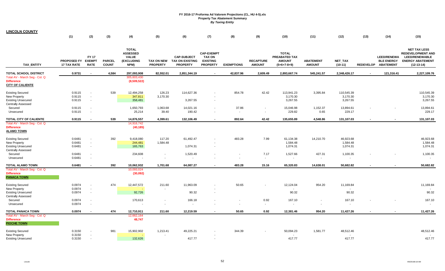| <b>LINCOLN COUNTY</b>                                                         |                                          |                                              |                               |                                                                       |                                      |                                                                 |                                                                          |                     |                                   |                                                                 |                                   |                       |                  |                                                             |                                                                                                                     |
|-------------------------------------------------------------------------------|------------------------------------------|----------------------------------------------|-------------------------------|-----------------------------------------------------------------------|--------------------------------------|-----------------------------------------------------------------|--------------------------------------------------------------------------|---------------------|-----------------------------------|-----------------------------------------------------------------|-----------------------------------|-----------------------|------------------|-------------------------------------------------------------|---------------------------------------------------------------------------------------------------------------------|
|                                                                               | (1)                                      | (2)                                          | (3)                           | (4)                                                                   | (5)                                  | (6)                                                             | (7)                                                                      | (8)                 | (9)                               | (10)                                                            | (11)                              | (12)                  | (13)             | (14)                                                        | (15)                                                                                                                |
| <b>TAX ENTITY</b>                                                             | <b>PROPOSED FY</b><br><b>17 TAX RATE</b> | <b>FY 17</b><br><b>EXEMPT</b><br><b>RATE</b> | <b>PARCEL</b><br><b>COUNT</b> | <b>TOTAL</b><br><b>ASSESSED</b><br><b>VALUE</b><br>(EXCLUDING<br>NPM) | <b>TAX ON NEW</b><br><b>PROPERTY</b> | <b>CAP-SUBJECT</b><br><b>TAX ON EXISTING</b><br><b>PROPERTY</b> | <b>CAP-EXEMPT</b><br><b>TAX ON</b><br><b>EXISTING</b><br><b>PROPERTY</b> | <b>EXEMPTIONS</b>   | <b>RECAPTURE</b><br><b>AMOUNT</b> | <b>TOTAL</b><br>PREABATED TAX<br><b>AMOUNT</b><br>$(5+6+7-8+9)$ | <b>ABATEMENT</b><br><b>AMOUNT</b> | NET_TAX<br>$(10-11)$  | <b>REDEVELOP</b> | <b>LEED/RENEWA</b><br><b>BLE ENERGY</b><br><b>ABATEMENT</b> | <b>NET TAX LESS</b><br><b>REDEVELOPMENT AND</b><br><b>LEED/RENEWABLE</b><br><b>ENERGY ABATEMENT</b><br>$(12-13-14)$ |
| <b>TOTAL SCHOOL DISTRICT</b>                                                  | 0.9731                                   |                                              | 4,584                         | 297,093,908                                                           | 82,552.01                            | 2,851,344.19                                                    | $\blacksquare$                                                           | 42,837.96           | 2,609.49                          | 2,893,667.74                                                    | 545,241.57                        | 2,348,426.17          |                  | 121,316.41                                                  | 2,227,109.76                                                                                                        |
| Total AV - March Seg - Col. Q<br><b>Difference</b><br><b>CITY OF CALIENTE</b> |                                          |                                              |                               | 305,603,430<br>(8,509,522)                                            |                                      |                                                                 |                                                                          |                     |                                   |                                                                 |                                   |                       |                  |                                                             |                                                                                                                     |
| <b>Existing Secured</b>                                                       | 0.9115                                   |                                              | 539                           | 12,494,258                                                            | 126.23                               | 114,627.36                                                      |                                                                          | 854.78              | 42.42                             | 113,941.23                                                      | 3,395.84                          | 110,545.39            |                  |                                                             | 110,545.39                                                                                                          |
| New Property<br><b>Existing Unsecured</b><br><b>Centrally Assessed</b>        | 0.9115<br>0.9115                         | $\sim$<br>$\overline{\phantom{a}}$           |                               | 347,811<br>358,481                                                    | 3,170.30                             | 3,267.55                                                        | $\sim$                                                                   |                     |                                   | 3,170.30<br>3,267.55                                            |                                   | 3,170.30<br>3,267.55  |                  |                                                             | 3,170.30<br>3,267.55                                                                                                |
| Secured<br>Unsecured                                                          | 0.9115<br>0.9115                         | $\overline{\phantom{a}}$<br>$\sim$           |                               | 1,650,793<br>25,214                                                   | 1,063.68<br>39.40                    | 14,021.16<br>190.42                                             | $\sim$                                                                   | 37.86<br><b>COL</b> |                                   | 15,046.98<br>229.82                                             | 1,152.37<br>0.65                  | 13,894.61<br>229.17   |                  |                                                             | 13,894.61<br>229.17                                                                                                 |
| TOTAL CITY OF CALIENTE                                                        | 0.9115                                   |                                              | 539                           | 14,876,557                                                            | 4,399.61                             | 132,106.49                                                      | $\blacksquare$                                                           | 892.64              | 42.42                             | 135,655.89                                                      | 4,548.86                          | 131,107.03            |                  |                                                             | 131,107.03                                                                                                          |
| Total AV - March Seg - Col. Q<br><b>Difference</b><br><b>ALAMO TOWN</b>       |                                          |                                              |                               | 14,916,742<br>(40, 185)                                               |                                      |                                                                 |                                                                          |                     |                                   |                                                                 |                                   |                       |                  |                                                             |                                                                                                                     |
| <b>Existing Secured</b><br><b>New Property</b>                                | 0.6481<br>0.6481                         | $\overline{\phantom{a}}$                     | 392                           | 9,418,080<br>244,481                                                  | 117.20<br>1,584.48                   | 61,492.47                                                       |                                                                          | 483.28              | 7.99                              | 61,134.38<br>1,584.48                                           | 14,210.70                         | 46,923.68<br>1,584.48 |                  |                                                             | 46,923.68<br>1,584.48                                                                                               |
| <b>Existing Unsecured</b><br><b>Centrally Assessed</b>                        | 0.6481                                   | $\overline{\phantom{a}}$                     |                               | 165,763                                                               |                                      | 1,074.31                                                        | $\sim$                                                                   |                     |                                   | 1,074.31                                                        |                                   | 1,074.31              |                  |                                                             | 1,074.31                                                                                                            |
| Secured<br>Unsecured                                                          | 0.6481<br>0.6481                         | $\overline{\phantom{a}}$                     |                               | 234,608                                                               |                                      | 1,520.49                                                        |                                                                          |                     | 7.17<br>$\sim$                    | 1,527.66                                                        | 427.31<br>$\sim$                  | 1,100.35              |                  |                                                             | 1,100.35                                                                                                            |
| <b>TOTAL ALAMO TOWN</b>                                                       | 0.6481                                   |                                              | 392                           | 10,062,932                                                            | 1,701.68                             | 64,087.27                                                       | $\blacksquare$                                                           | 483.28              | 15.16                             | 65,320.83                                                       | 14,638.01                         | 50,682.82             |                  |                                                             | 50,682.82                                                                                                           |
| Total AV - March Seq - Col. Q<br><b>Difference</b><br><b>PANACA TOWN</b>      |                                          |                                              |                               | 10,093,024<br>(30,092)                                                |                                      |                                                                 |                                                                          |                     |                                   |                                                                 |                                   |                       |                  |                                                             |                                                                                                                     |
| <b>Existing Secured</b>                                                       | 0.0974                                   | $\overline{\phantom{a}}$                     | 474                           | 12,447,572                                                            | 211.60                               | 11,963.09                                                       |                                                                          | 50.65               |                                   | 12,124.04                                                       | 954.20                            | 11,169.84             |                  |                                                             | 11,169.84                                                                                                           |
| New Property<br><b>Existing Unsecured</b><br><b>Centrally Assessed</b>        | 0.0974<br>0.0974                         | $\sim$<br>$\sim$                             |                               | 92,726                                                                |                                      | 90.32                                                           |                                                                          |                     |                                   | 90.32                                                           |                                   | 90.32                 |                  |                                                             | 90.32                                                                                                               |
| Secured<br>Unsecured                                                          | 0.0974<br>0.0974                         | $\sim$<br>$\sim$                             |                               | 170,613                                                               | $\overline{\phantom{a}}$             | 166.18<br>$\sim$                                                | $\sim$                                                                   |                     | 0.92                              | 167.10                                                          | $\overline{\phantom{a}}$          | 167.10                |                  |                                                             | 167.10                                                                                                              |
| <b>TOTAL PANACA TOWN</b>                                                      | 0.0974                                   | $\overline{\phantom{a}}$                     | 474                           | 12,710,911                                                            | 211.60                               | 12,219.59                                                       | $\overline{\phantom{a}}$                                                 | 50.65               | 0.92                              | 12,381.46                                                       | 954.20                            | 11,427.26             |                  | $\blacksquare$                                              | 11,427.26                                                                                                           |
| Total AV - March Seg - Col. Q<br><b>Difference</b><br><b>PIOCHE TOWN</b>      |                                          |                                              |                               | 12,662,164<br>48,747                                                  |                                      |                                                                 |                                                                          |                     |                                   |                                                                 |                                   |                       |                  |                                                             |                                                                                                                     |
| <b>Existing Secured</b>                                                       | 0.3150                                   |                                              | 981                           | 15,902,902                                                            | 1,213.41                             | 49,225.21                                                       |                                                                          | 344.39              |                                   | 50,094.23                                                       | 1,581.77                          | 48,512.46             |                  |                                                             | 48,512.46                                                                                                           |
| New Property<br><b>Existing Unsecured</b>                                     | 0.3150<br>0.3150                         |                                              |                               | 132,626                                                               | $\sim$                               | 417.77                                                          |                                                                          |                     |                                   | 417.77                                                          |                                   | 417.77                |                  |                                                             | 417.77                                                                                                              |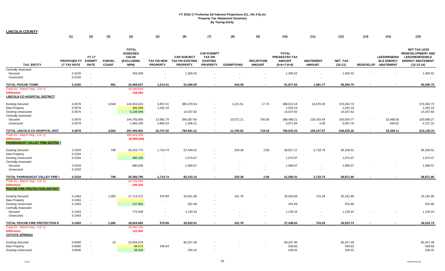| <b>LINCOLN COUNTY</b> |
|-----------------------|
|-----------------------|

|                                                                                       | (1)                               | (2)                                          | (3)                           | (4)                                                            | (5)                           | (6)                                                             | (7)                                                                      | (8)               | (9)                               | (10)                                                            | (11)                              | (12)                        | (13)                     | (14)                                                           | (15)                                                                                                                |
|---------------------------------------------------------------------------------------|-----------------------------------|----------------------------------------------|-------------------------------|----------------------------------------------------------------|-------------------------------|-----------------------------------------------------------------|--------------------------------------------------------------------------|-------------------|-----------------------------------|-----------------------------------------------------------------|-----------------------------------|-----------------------------|--------------------------|----------------------------------------------------------------|---------------------------------------------------------------------------------------------------------------------|
| <b>TAX ENTITY</b>                                                                     | PROPOSED FY<br><b>17 TAX RATE</b> | <b>FY 17</b><br><b>EXEMPT</b><br><b>RATE</b> | <b>PARCEL</b><br><b>COUNT</b> | <b>TOTAL</b><br>ASSESSED<br><b>VALUE</b><br>(EXCLUDING<br>NPM) | TAX ON NEW<br><b>PROPERTY</b> | <b>CAP-SUBJECT</b><br><b>TAX ON EXISTING</b><br><b>PROPERTY</b> | <b>CAP-EXEMPT</b><br><b>TAX ON</b><br><b>EXISTING</b><br><b>PROPERTY</b> | <b>EXEMPTIONS</b> | <b>RECAPTURE</b><br><b>AMOUNT</b> | <b>TOTAL</b><br>PREABATED TAX<br><b>AMOUNT</b><br>$(5+6+7-8+9)$ | <b>ABATEMENT</b><br><b>AMOUNT</b> | <b>NET TAX</b><br>$(10-11)$ |                          | <b>LEED/RENEWA</b><br><b>BLE ENERGY</b><br>REDEVELOP ABATEMENT | <b>NET TAX LESS</b><br><b>REDEVELOPMENT AND</b><br><b>LEED/RENEWABLE</b><br><b>ENERGY ABATEMENT</b><br>$(12-13-14)$ |
| <b>Centrally Assessed</b>                                                             |                                   |                                              |                               |                                                                |                               |                                                                 |                                                                          |                   |                                   |                                                                 |                                   |                             |                          |                                                                |                                                                                                                     |
| Secured<br>Unsecured                                                                  | 0.3150<br>0.3150                  | $\sim$                                       |                               | 433,499                                                        |                               | 1,365.52                                                        |                                                                          |                   | $\overline{\phantom{a}}$          | 1,365.52                                                        |                                   | 1,365.52                    |                          |                                                                | 1,365.52                                                                                                            |
| <b>TOTAL PIOCHE TOWN</b>                                                              | 0.3150                            |                                              | 981                           | 16,469,027                                                     | 1,213.41                      | 51,008.50                                                       |                                                                          | 344.39            |                                   | 51,877.52                                                       | 1,581.77                          | 50,295.75                   |                          |                                                                | 50,295.75                                                                                                           |
| Total AV - March Seg - Col. Q<br><b>Difference</b><br>LINCOLN CO HOSPITAL DISTRICT    |                                   |                                              |                               | 16,340,543<br>128,484                                          |                               |                                                                 |                                                                          |                   |                                   |                                                                 |                                   |                             |                          |                                                                |                                                                                                                     |
| <b>Existing Secured</b>                                                               | 0.2679                            | $\sim$                                       | 4,584                         | 144,824,623                                                    | 3,837.41                      | 385,379.54                                                      |                                                                          | 1,221.51          | 17.74                             | 388,013.18                                                      | 14,670.45                         | 373,342.73                  |                          |                                                                | 373,342.73                                                                                                          |
| New Property                                                                          | 0.2679                            | $\sim$                                       |                               | 385,289                                                        | 1,032.19                      |                                                                 |                                                                          |                   |                                   | 1,032.19                                                        |                                   | 1,032.19                    |                          |                                                                | 1,032.19                                                                                                            |
| <b>Existing Unsecured</b>                                                             | 0.2679                            | $\sim$                                       |                               | 5,239,946                                                      |                               | 14,037.82                                                       | $\sim$                                                                   |                   |                                   | 14,037.82                                                       |                                   | 14,037.82                   |                          |                                                                | 14,037.82                                                                                                           |
| <b>Centrally Assessed</b><br>Secured                                                  | 0.2679                            |                                              |                               | 144,750,859                                                    | 13,991.79                     | 384,367.84                                                      | $\sim$                                                                   | 10,572.11         | 700.69                            | 388,488.21                                                      | 135,433.44                        | 253,054.77                  |                          | 32,468.50                                                      | 220,586.27                                                                                                          |
| Unsecured                                                                             | 0.2679                            | $\sim$                                       |                               | 1,893,185                                                      | 3,865.63                      | 1,206.21                                                        | $\sim$                                                                   | $\sim$            | $\sim$                            | 5,071.84                                                        | 4.08                              | 5,067.76                    |                          | 930.61                                                         | 4,137.15                                                                                                            |
| TOTAL LINCOLN CO HOSPITAL DIST                                                        | 0.2679                            |                                              | 4,584                         | 297,093,902                                                    | 22,727.02                     | 784,991.41                                                      | $\sim$                                                                   | 11,793.62         | 718.43                            | 796,643.23                                                      | 150,107.97                        | 646,535.26                  | $\overline{\phantom{a}}$ | 33,399.11                                                      | 613,136.15                                                                                                          |
| Total AV - March Seg - Col. Q<br><b>Difference</b><br>PAHRANAGAT VALLEY FIRE DISTRICT |                                   |                                              |                               | 305,603,430<br>(8,509,528)                                     |                               |                                                                 |                                                                          |                   |                                   |                                                                 |                                   |                             |                          |                                                                |                                                                                                                     |
| <b>Existing Secured</b>                                                               | 0.2334                            | $\sim$                                       | 796                           | 25,243,774                                                     | 1,714.74                      | 57,440.01                                                       | $\sim$                                                                   | 230.38            | 2.90                              | 58,927.27                                                       | 2,718.75                          | 56,208.52                   |                          |                                                                | 56,208.52                                                                                                           |
| <b>New Property</b>                                                                   | 0.2334                            | $\sim$                                       |                               |                                                                |                               |                                                                 |                                                                          |                   |                                   |                                                                 |                                   | $\sim$                      |                          |                                                                |                                                                                                                     |
| <b>Existing Unsecured</b><br><b>Centrally Assessed</b>                                | 0.2334                            | $\sim$                                       |                               | 460,185                                                        |                               | 1,074.07                                                        | $\sim$                                                                   |                   |                                   | 1,074.07                                                        |                                   | 1,074.07                    |                          |                                                                | 1,074.07                                                                                                            |
| Secured                                                                               | 0.2334                            | $\sim$                                       |                               | 680,836                                                        | $\overline{\phantom{a}}$      | 1,589.07                                                        |                                                                          |                   |                                   | 1,589.07                                                        |                                   | 1,589.07                    |                          |                                                                | 1,589.07                                                                                                            |
| Unsecured                                                                             | 0.2334                            | $\overline{\phantom{a}}$                     |                               |                                                                | $\overline{\phantom{a}}$      |                                                                 |                                                                          |                   | $\sim$                            |                                                                 | $\sim$                            |                             |                          |                                                                |                                                                                                                     |
| TOTAL PAHRANAGAT VALLEY FIRE I                                                        | 0.2334                            |                                              | 796                           | 26,384,795                                                     | 1,714.74                      | 60,103.15                                                       | $\blacksquare$                                                           | 230.38            | 2.90                              | 61,590.41                                                       | 2,718.75                          | 58,871.66                   |                          |                                                                | 58,871.66                                                                                                           |
| Total AV - March Seg - Col. Q<br><b>Difference</b><br>PIOCHE FIRE PROTECTION DISTRICT |                                   |                                              |                               | 26, 135, 465<br>249,330                                        |                               |                                                                 |                                                                          |                   |                                   |                                                                 |                                   |                             |                          |                                                                |                                                                                                                     |
| <b>Existing Secured</b>                                                               | 0.1463                            | $\sim$                                       | 1,082                         | 17,714,272                                                     | 575.89                        | 25,501.98                                                       |                                                                          | 161.78            |                                   | 25,916.09                                                       | 724.29                            | 25,191.80                   |                          |                                                                | 25,191.80                                                                                                           |
| New Property                                                                          | 0.1463                            | $\sim$                                       |                               |                                                                |                               |                                                                 |                                                                          |                   |                                   |                                                                 |                                   |                             |                          |                                                                |                                                                                                                     |
| <b>Existing Unsecured</b><br><b>Centrally Assessed</b>                                | 0.1463                            | $\sim$                                       |                               | 137,862                                                        |                               | 201.69                                                          |                                                                          |                   |                                   | 201.69                                                          |                                   | 201.69                      |                          |                                                                | 201.69                                                                                                              |
| Secured                                                                               | 0.1463                            | $\overline{\phantom{a}}$                     |                               | 772,548                                                        | $\overline{\phantom{a}}$      | 1,130.24                                                        |                                                                          |                   |                                   | 1,130.24                                                        |                                   | 1,130.24                    |                          |                                                                | 1,130.24                                                                                                            |
| Unsecured                                                                             | 0.1463                            | $\sim$                                       |                               |                                                                | $\sim$                        |                                                                 |                                                                          |                   |                                   | $\sim$                                                          |                                   |                             |                          |                                                                | $\sim$                                                                                                              |
| TOTAL PIOCHE FIRE PROTECTION D                                                        | 0.1463                            | $\sim$                                       | 1,082                         | 18,624,682                                                     | 575.89                        | 26,833.91                                                       | $\sim$                                                                   | 161.78            | $\blacksquare$                    | 27,248.02                                                       | 724.29                            | 26,523.73                   | $\overline{\phantom{a}}$ | $\blacksquare$                                                 | 26,523.73                                                                                                           |
| Total AV - March Seg - Col. Q<br><b>Difference</b><br><b>COYOTE SPRINGS</b>           |                                   |                                              |                               | 18,492,756<br>131,926                                          |                               |                                                                 |                                                                          |                   |                                   |                                                                 |                                   |                             |                          |                                                                |                                                                                                                     |
| <b>Existing Secured</b>                                                               | 0.6000                            |                                              | 15                            | 10,054,578                                                     | $\sim$                        | 60,327.46                                                       |                                                                          |                   |                                   | 60,327.46                                                       |                                   | 60,327.46                   |                          |                                                                | 60,327.46                                                                                                           |
| <b>New Property</b>                                                                   | 0.6000                            |                                              |                               | 89,472                                                         | 536.83                        |                                                                 |                                                                          |                   |                                   | 536.83                                                          |                                   | 536.83                      |                          |                                                                | 536.83                                                                                                              |
| <b>Existing Unsecured</b>                                                             | 0.6000                            | $\sim$                                       |                               | 39,404                                                         |                               | 236.42                                                          |                                                                          |                   |                                   | 236.42                                                          |                                   | 236.42                      |                          |                                                                | 236.42                                                                                                              |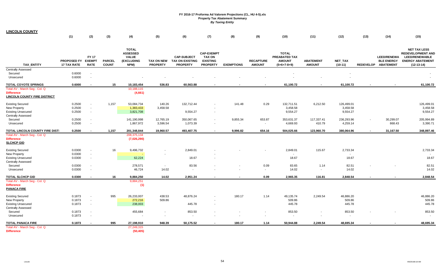| <b>LINCOLN COUNTY</b>                                                                     |                                          |                             |                               |                                                                       |                                                      |                                                          |                                                                          |                   |                                   |                                                                 |                                   |                                    |        |                                                                |                                                                                                                     |
|-------------------------------------------------------------------------------------------|------------------------------------------|-----------------------------|-------------------------------|-----------------------------------------------------------------------|------------------------------------------------------|----------------------------------------------------------|--------------------------------------------------------------------------|-------------------|-----------------------------------|-----------------------------------------------------------------|-----------------------------------|------------------------------------|--------|----------------------------------------------------------------|---------------------------------------------------------------------------------------------------------------------|
|                                                                                           | (1)                                      | (2)                         | (3)                           | (4)                                                                   | (5)                                                  | (6)                                                      | (7)                                                                      | (8)               | (9)                               | (10)                                                            | (11)                              | (12)                               | (13)   | (14)                                                           | (15)                                                                                                                |
| <b>TAX ENTITY</b>                                                                         | PROPOSED FY EXEMPT<br><b>17 TAX RATE</b> | <b>FY 17</b><br><b>RATE</b> | <b>PARCEL</b><br><b>COUNT</b> | <b>TOTAL</b><br><b>ASSESSED</b><br><b>VALUE</b><br>(EXCLUDING<br>NPM) | <b>TAX ON NEW</b><br><b>PROPERTY</b>                 | <b>CAP-SUBJECT</b><br>TAX ON EXISTING<br><b>PROPERTY</b> | <b>CAP-EXEMPT</b><br><b>TAX ON</b><br><b>EXISTING</b><br><b>PROPERTY</b> | <b>EXEMPTIONS</b> | <b>RECAPTURE</b><br><b>AMOUNT</b> | <b>TOTAL</b><br>PREABATED TAX<br><b>AMOUNT</b><br>$(5+6+7-8+9)$ | <b>ABATEMENT</b><br><b>AMOUNT</b> | NET_TAX<br>$(10-11)$               |        | <b>LEED/RENEWA</b><br><b>BLE ENERGY</b><br>REDEVELOP ABATEMENT | <b>NET TAX LESS</b><br><b>REDEVELOPMENT AND</b><br><b>LEED/RENEWABLE</b><br><b>ENERGY ABATEMENT</b><br>$(12-13-14)$ |
| <b>Centrally Assessed</b>                                                                 |                                          |                             |                               |                                                                       |                                                      |                                                          |                                                                          |                   |                                   |                                                                 |                                   |                                    |        |                                                                |                                                                                                                     |
| Secured<br>Unsecured                                                                      | 0.6000<br>0.6000                         | $\sim$<br>$\sim$            |                               |                                                                       |                                                      |                                                          |                                                                          |                   |                                   |                                                                 |                                   |                                    |        |                                                                |                                                                                                                     |
| TOTAL COYOTE SPRINGS                                                                      | 0.6000                                   | $\overline{\phantom{a}}$    | 15                            | 10,183,454                                                            | 536.83                                               | 60,563.88                                                | $\sim$                                                                   |                   | $\overline{\phantom{a}}$          | 61,100.72                                                       | $\overline{\phantom{a}}$          | 61,100.72                          |        | $\blacksquare$                                                 | 61,100.72                                                                                                           |
| Total AV - March Seg - Col. Q<br><b>Difference</b><br><b>LINCOLN COUNTY FIRE DISTRICT</b> |                                          |                             |                               | 10,188,115<br>(4,661)                                                 |                                                      |                                                          |                                                                          |                   |                                   |                                                                 |                                   |                                    |        |                                                                |                                                                                                                     |
| <b>Existing Secured</b><br>New Property<br><b>Existing Unsecured</b>                      | 0.2500<br>0.2500<br>0.2500               | $\sim$<br>$\sim$<br>$\sim$  | 1,157                         | 53,084,734<br>1,383,433<br>3,821,708                                  | 140.26<br>3,458.58                                   | 132,712.44<br>9,554.27                                   | $\sim$                                                                   | 141.48            | 0.29                              | 132,711.51<br>3,458.58<br>9,554.27                              | 6,212.50                          | 126,499.01<br>3,458.58<br>9,554.27 |        |                                                                | 126,499.01<br>3,458.58<br>9,554.27                                                                                  |
| <b>Centrally Assessed</b>                                                                 |                                          |                             |                               |                                                                       |                                                      |                                                          |                                                                          |                   |                                   |                                                                 |                                   |                                    |        |                                                                |                                                                                                                     |
| Secured                                                                                   | 0.2500                                   |                             |                               | 141,190,998                                                           | 12,765.19                                            | 350,067.65                                               |                                                                          | 9,855.34          | 653.87                            | 353,631.37                                                      | 117,337.41                        | 236,293.96                         |        | 30,299.07                                                      | 205,994.89                                                                                                          |
| Unsecured                                                                                 | 0.2500                                   | $\sim$                      |                               | 1,867,972                                                             | 3,596.54                                             | 1,073.39                                                 |                                                                          | $\sim$            | $\sim$                            | 4,669.93                                                        | 410.79                            | 4,259.14                           |        | 868.43                                                         | 3,390.71                                                                                                            |
| TOTAL LINCOLN COUNTY FIRE DISTI                                                           | 0.2500                                   | $\sim$                      | 1,157                         | 201,348,844                                                           | 19,960.57                                            | 493,407.75                                               | $\sim$                                                                   | 9,996.82          | 654.16                            | 504,025.66                                                      | 123,960.70                        | 380,064.96                         | $\sim$ | 31,167.50                                                      | 348,897.46                                                                                                          |
| Total AV - March Seg - Col. Q<br><b>Difference</b><br><b>SLCHCP GID</b>                   |                                          |                             |                               | 208,375,134<br>(7,026,290)                                            |                                                      |                                                          |                                                                          |                   |                                   |                                                                 |                                   |                                    |        |                                                                |                                                                                                                     |
| <b>Existing Secured</b>                                                                   | 0.0300                                   |                             | 16                            | 9,496,732                                                             | $\overline{\phantom{a}}$                             | 2,849.01                                                 |                                                                          |                   |                                   | 2,849.01                                                        | 115.67                            | 2,733.34                           |        |                                                                | 2,733.34                                                                                                            |
| New Property                                                                              | 0.0300                                   | $\sim$                      |                               |                                                                       |                                                      |                                                          |                                                                          |                   |                                   | $\sim$                                                          |                                   | $\sim$                             |        |                                                                |                                                                                                                     |
| <b>Existing Unsecured</b><br><b>Centrally Assessed</b>                                    | 0.0300                                   | $\sim$                      |                               | 62,224                                                                |                                                      | 18.67                                                    |                                                                          |                   |                                   | 18.67                                                           |                                   | 18.67                              |        |                                                                | 18.67                                                                                                               |
| Secured<br>Unsecured                                                                      | 0.0300<br>0.0300                         | $\sim$                      |                               | 278,571<br>46,724                                                     | $\overline{\phantom{a}}$<br>14.02                    | 83.56<br>$\sim$                                          |                                                                          |                   | 0.09<br>$\sim$                    | 83.65<br>14.02                                                  | 1.14<br>$\sim$                    | 82.51<br>14.02                     |        |                                                                | 82.51<br>14.02                                                                                                      |
| <b>TOTAL SLCHCP GID</b>                                                                   | 0.0300                                   |                             | 16                            | 9,884,250                                                             | 14.02                                                | 2,951.24                                                 |                                                                          |                   | 0.09                              | 2,965.35                                                        | 116.81                            | 2,848.54                           |        |                                                                | 2,848.54                                                                                                            |
| Total AV - March Seg - Col. Q<br><b>Difference</b><br><b>PANACA FIRE</b>                  |                                          |                             |                               | 9,884,251<br>(1)                                                      |                                                      |                                                          |                                                                          |                   |                                   |                                                                 |                                   |                                    |        |                                                                |                                                                                                                     |
| <b>Existing Secured</b>                                                                   | 0.1873                                   | $\sim$                      | 995                           | 26,233,007                                                            | 438.53                                               | 48,876.24                                                |                                                                          | 180.17            | 1.14                              | 49,135.74                                                       | 2,249.54                          | 46,886.20                          |        |                                                                | 46,886.20                                                                                                           |
| New Property                                                                              | 0.1873                                   | $\sim$                      |                               | 272,216                                                               | 509.86                                               |                                                          |                                                                          |                   |                                   | 509.86                                                          |                                   | 509.86                             |        |                                                                | 509.86                                                                                                              |
| <b>Existing Unsecured</b>                                                                 | 0.1873                                   | $\sim$                      |                               | 238,003                                                               |                                                      | 445.78                                                   |                                                                          |                   |                                   | 445.78                                                          |                                   | 445.78                             |        |                                                                | 445.78                                                                                                              |
| <b>Centrally Assessed</b>                                                                 |                                          |                             |                               |                                                                       |                                                      |                                                          |                                                                          |                   |                                   |                                                                 |                                   |                                    |        |                                                                |                                                                                                                     |
| Secured<br>Unsecured                                                                      | 0.1873<br>0.1873                         | $\sim$<br>$\sim$            |                               | 455,684<br>. —                                                        | $\overline{\phantom{a}}$<br>$\overline{\phantom{a}}$ | 853.50                                                   |                                                                          |                   | $\sim$                            | 853.50<br>$\sim$                                                | $\sim$                            | 853.50                             |        |                                                                | 853.50<br>$\sim$                                                                                                    |
| <b>TOTAL PANACA FIRE</b>                                                                  | 0.1873                                   |                             | 995                           | 27,198,910                                                            | 948.39                                               | 50,175.52                                                |                                                                          | 180.17            | 1.14                              | 50,944.88                                                       | 2,249.54                          | 48,695.34                          |        |                                                                | 48,695.34                                                                                                           |
| Total AV - March Seg - Col. Q<br><b>Difference</b>                                        |                                          |                             |                               | 27,249,315<br>(50, 405)                                               |                                                      |                                                          |                                                                          |                   |                                   |                                                                 |                                   |                                    |        |                                                                |                                                                                                                     |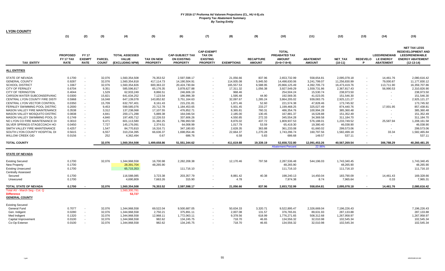| <b>LYON COUNTY</b>                                                    |                  |                          |                |                              |                        |                            |                   |                      |                  |                          |                         |                            |                          |                     |                                                 |
|-----------------------------------------------------------------------|------------------|--------------------------|----------------|------------------------------|------------------------|----------------------------|-------------------|----------------------|------------------|--------------------------|-------------------------|----------------------------|--------------------------|---------------------|-------------------------------------------------|
|                                                                       | (1)              | (2)                      | (3)            | (4)                          | (5)                    | (6)                        | (7)               | (8)                  | (9)              | (10)                     | (11)                    | (12)                       | (13)                     | (14)                | (15)                                            |
|                                                                       |                  |                          |                |                              |                        |                            |                   |                      |                  |                          |                         |                            |                          |                     |                                                 |
|                                                                       |                  |                          |                |                              |                        |                            |                   |                      |                  |                          |                         |                            |                          |                     |                                                 |
|                                                                       |                  |                          |                |                              |                        |                            | <b>CAP-EXEMPT</b> |                      |                  | <b>TOTAL</b>             |                         |                            |                          |                     | <b>NET TAX LESS</b><br><b>REDEVELOPMENT AND</b> |
|                                                                       | <b>PROPOSED</b>  | <b>FY17</b>              |                | <b>TOTAL ASSESSED</b>        |                        | <b>CAP-SUBJECT TAX</b>     | <b>TAX ON</b>     |                      |                  | PREABATED TAX            |                         |                            |                          | <b>LEED/RENEWAB</b> | LEED/RENEWABLE                                  |
|                                                                       | FY 17 TAX        | <b>EXEMPT</b>            | <b>PARCEL</b>  | VALUE                        | <b>TAX ON NEW</b>      | <b>ON EXISTING</b>         | <b>EXISTING</b>   |                      | <b>RECAPTURE</b> | <b>AMOUNT</b>            | <b>ABATEMENT</b>        | NET_TAX                    | <b>REDEVELO</b>          | <b>LE ENERGY</b>    | <b>ENERGY ABATEMENT</b>                         |
| <b>TAX ENTITY</b>                                                     | <b>RATE</b>      | <b>RATE</b>              | <b>COUNT</b>   | (EXCLUDING NPM)              | <b>PROPERTY</b>        | <b>PROPERTY</b>            | <b>PROPERTY</b>   | <b>EXEMPTIONS</b>    | <b>AMOUNT</b>    | (5+6+7-8+9)              | <b>AMOUNT</b>           | $(10-11)$                  | D                        | <b>ABATEMENT</b>    | $(12-13-14)$                                    |
| <b>ALL ENTITIES</b>                                                   |                  |                          |                |                              |                        |                            |                   |                      |                  |                          |                         |                            |                          |                     |                                                 |
|                                                                       |                  |                          |                |                              |                        |                            |                   |                      |                  |                          |                         |                            |                          |                     |                                                 |
| STATE OF NEVADA                                                       | 0.1700           | $\overline{\phantom{a}}$ | 32,076         | 1,560,354,508                | 76,353.52              | 2,597,598.17               |                   | 21,056.66            | 837.96           | 2,653,732.99             | 558,654.81              | 2,095,078.18               | $\overline{\phantom{a}}$ | 14,461.76           | 2,080,616.42                                    |
| <b>GENERAL COUNTY</b>                                                 | 0.9287           | $\sim$                   | 32,076         | 1,560,354,818                | 417,114.73             | 14,190,504.91              |                   | 114,935.08           | 5,945.50         | 14,498,630.06            | 3,241,799.07            | 11,256,830.99              |                          | 79,000.87           | 11,177,830.12                                   |
| <b>SCHOOL DISTRICT</b>                                                | 1.3367           | $\sim$                   | 32,076         | 1,560,354,826                | 600,363.22             | 20,424,730.84              |                   | 165,557.53           | 6,588.95         | 20,866,125.49            | 4,392,705.73            | 16,473,419.76              |                          | 113,711.90          | 16,359,707.86                                   |
| <b>CITY OF FERNLEY</b>                                                | 0.6704           | $\sim$                   | 9,351          | 585,596,817                  | 65,176.35              | 3,878,627.88               |                   | 17,311.32            | 1,056.38         | 3,927,549.29             | 1,559,731.86            | 2,367,817.43               | $\overline{\phantom{a}}$ | 56,990.53           | 2,310,826.90                                    |
| <b>CITY OF YERINGTON</b>                                              | 0.4044           | $\sim$                   | 1,529          | 62,933,249                   | 8,866.51               | 246,606.19                 |                   | 968.46               | $\sim$           | 254,504.24               | 15,530.74               | 238,973.50                 |                          |                     | 238,973.50                                      |
| CARSON WATER SUBCONSERVANC                                            | 0.0300           | $\sim$                   | 15,821         | 641,634,252                  | 7,123.54               | 186,996.39                 |                   | 1,595.48             | 44.90            | 192,569.35               | 41,023.05               | 151,546.30                 |                          |                     | 151,546.30                                      |
| CENTRAL LYON COUNTY FIRE DISTR                                        | 0.5968           | $\sim$                   | 16,048         | 647,139,078                  | 143,852.82             | 3,751,164.63               |                   | 32,097.67            | 1,285.24         | 3,864,205.02             | 939,083.75              | 2,925,121.27               |                          |                     | 2,925,121.27                                    |
| CENTRAL LYON VECTOR CONTROL                                           | 0.0350           | $\blacksquare$           | 15,709         | 632,797,401                  | 8,161.43               | 215,231.81                 |                   | 1,871.46             | 52.60            | 221,574.38               | 47,828.46               | 173,745.92                 |                          |                     | 173,745.92                                      |
| FERNLEY SWIMMING POOL DISTRIC<br><b>MASON VALLEY FIRE MAINTENANCE</b> | 0.2000           | $\sim$                   | 9,453          | 599,585,076                  | 20,712.78              | 1,184,453.65               |                   | 5,931.45<br>8.365.81 | 233.27           | 1,199,468.25             | 325,027.49              | 874,440.76                 | $\overline{\phantom{a}}$ | 17,001.95           | 857,438.81                                      |
| <b>MASON VALLEY MOSQUITO DISTRIC</b>                                  | 0.3538<br>0.0838 | $\sim$<br>$\sim$         | 3,312<br>4,841 | 137,238,068<br>200, 171, 288 | 17,107.55<br>5,889.38  | 476,852.71<br>164,046.54   |                   | 2,185.00             | 760.31<br>130.45 | 486,354.76<br>167,881.37 | 100,994.28<br>16,528.88 | 385,360.48<br>151,352.49   |                          | $\blacksquare$      | 385,360.48<br>151,352.49                        |
| MASON VALLEY SWIMMING POOL DI                                         | 0.1749           | $\sim$                   | 4,840          | 197,405,712                  | 12,226.53              | 337,606.26                 |                   | 4,550.85             | 272.33           | 345,554.28               | 34,369.58               | 311,184.70                 | $\overline{\phantom{a}}$ |                     | 311,184.70                                      |
| NO LYON CO FIRE MAINTENANCE DI                                        |                  | $\sim$                   |                |                              |                        |                            |                   | 8,876.02             |                  |                          |                         |                            |                          |                     |                                                 |
| SILVER SPRINGS-STAGECOACH HO                                          | 0.3010<br>0.0450 |                          | 9,471<br>7,727 | 601,113,580                  | 31,382.25              | 1,786,993.59               |                   | 1,017.79             | 437.72           | 1,809,937.53             | 576,188.01              | 1,233,749.52               |                          | 25,587.94           | 1,208,161.58<br>46,038.90                       |
| SMITH VALLEY FIRE MAINTENANCE                                         |                  | $\sim$<br>$\sim$         | 1,547          | 145,176,091                  | 2,374.51               | 64,008.99                  |                   | 2.628.35             | 53.59<br>363.88  | 65,419.30<br>361,233.08  | 19,380.40<br>61,660.02  | 46,038.90                  |                          |                     | 299,573.06                                      |
| SOUTH LYON COUNTY HOSPITAL DI                                         | 0.4257<br>0.5615 | $\sim$                   | 6,557          | 84,770,810<br>310,234,395    | 16,316.71<br>66,636.37 | 347,180.83<br>1,698,054.46 |                   | 22,664.37            | 1,270.28         | 1,743,296.74             | 160,797.56              | 299,573.06<br>1,582,499.18 | $\blacksquare$           | 33.34               | 1,582,465.84                                    |
| <b>WILLOW CREEK GID</b>                                               | 0.0156           | $\overline{\phantom{a}}$ | 252            | 4,362,494                    |                        | 686.76                     |                   | 6.58                 | 5.83             | 686.68                   | 149.57                  |                            | $\overline{\phantom{a}}$ |                     | 537.11                                          |
|                                                                       |                  |                          |                |                              | 0.67                   |                            |                   |                      |                  |                          |                         | 537.11                     |                          |                     |                                                 |
| <b>TOTAL COUNTY</b>                                                   |                  |                          | 32,076         | 1,560,354,508                | 1,499,658.86           | 51,551,344.62              |                   | 411,619.88           | 19,339.19        | 52,658,722.80            | 12,091,453.26           | 40,567,269.54              |                          | 306,788.29          | 40,260,481.25                                   |
|                                                                       |                  |                          |                |                              |                        |                            |                   |                      |                  | <b>Abatement Percent</b> | 22.96%                  |                            |                          |                     |                                                 |
| <b>STATE OF NEVADA</b>                                                |                  |                          |                |                              |                        |                            |                   |                      |                  |                          |                         |                            |                          |                     |                                                 |
| <b>Existing Secured</b>                                               | 0.1700           |                          | 32,076         | 1,344,968,558                | 16,700.98              | 2,282,208.38               |                   | 12,170.46            | 797.58           | 2,287,536.48             | 544,196.03              | 1,743,340.45               |                          |                     | 1,743,340.45                                    |
| <b>New Property</b>                                                   | 0.1700           |                          |                | 28,391,704                   | 48,265.90              |                            |                   |                      |                  | 48,265.90                |                         | 48,265.90                  |                          |                     | 48,265.90                                       |
| <b>Existing Unsecured</b>                                             | 0.1700           |                          |                | 65,715,353                   |                        | 111,716.10                 |                   |                      |                  | 111,716.10               |                         | 111,716.10                 |                          |                     | 111,716.10                                      |
| <b>Centrally Assessed</b>                                             |                  |                          |                |                              |                        |                            |                   |                      |                  |                          |                         |                            |                          |                     |                                                 |
| Secured                                                               | 0.1700           |                          |                | 116,588,085                  | 3,723.38               | 203,357.79                 |                   | 8,881.42             | 40.38            | 198,240.13               | 14,450.04               | 183,790.09                 |                          | 14,461.43           | 169,328.66                                      |
| Unsecured                                                             | 0.1700           |                          |                | 4,690,809                    | 7,663.26               | 315.90                     |                   | 4.78                 | $\sim$           | 7,974.38                 | 8.74                    | 7,965.64                   |                          | 0.33                | 7,965.31                                        |
| TOTAL STATE OF NEVADA                                                 | 0.1700           |                          | 32,076         | 1,560,354,508                | 76,353.52              | 2,597,598.17               |                   | 21,056.66            | 837.96           | 2,653,732.99             | 558,654.81              | 2,095,078.18               |                          | 14,461.76           | 2,080,616.42                                    |
| Total AV - March Seg - Col. Q                                         |                  |                          |                | 1,560,300,781                |                        |                            |                   |                      |                  |                          |                         |                            |                          |                     |                                                 |
| <b>Difference</b>                                                     |                  |                          |                | 53,727                       |                        |                            |                   |                      |                  |                          |                         |                            |                          |                     |                                                 |
| <b>GENERAL COUNTY</b>                                                 |                  |                          |                |                              |                        |                            |                   |                      |                  |                          |                         |                            |                          |                     |                                                 |
| <b>Existing Secured</b>                                               |                  |                          |                |                              |                        |                            |                   |                      |                  |                          |                         |                            |                          |                     |                                                 |
| General Fund                                                          | 0.7077           | $\blacksquare$           | 32,076         | 1,344,968,558                | 69,522.04              | 9,500,687.05               |                   | 50,634.33            | 3,320.71         | 9,522,895.47             | 2,326,669.04            | 7,196,226.43               |                          |                     | 7,196,226.43                                    |
| Gen. Indigent                                                         | 0.0280           | $\sim$                   | 32,076         | 1,344,968,558                | 2,750.21               | 375,891.11                 |                   | 2,007.08             | 131.57           | 376,765.81               | 89,631.93               | 287,133.88                 |                          |                     | 287,133.88                                      |
| Med Indigent                                                          | 0.1320           | $\sim$                   | 32,076         | 1,344,968,558                | 12,968.11              | 1,772,063.11               |                   | 9,378.56             | 618.99           | 1,776,271.65             | 508,312.68              | 1,267,958.97               |                          |                     | 1,267,958.97                                    |
| Capital Improvement                                                   | 0.0100           | $\sim$                   | 32,076         | 1,344,968,558                | 982.62                 | 134,245.75                 |                   | 718.70               | 46.65            | 134,556.32               | 32,010.98               | 102,545.34                 |                          |                     | 102,545.34                                      |
| Co-Op Extensn                                                         | 0.0100           | $\overline{\phantom{a}}$ | 32,076         | 1,344,968,558                | 982.62                 | 134,245.75                 |                   | 718.70               | 46.65            | 134,556.32               | 32,010.98               | 102,545.34                 |                          |                     | 102,545.34                                      |
|                                                                       |                  |                          |                |                              |                        |                            |                   |                      |                  |                          |                         |                            |                          |                     |                                                 |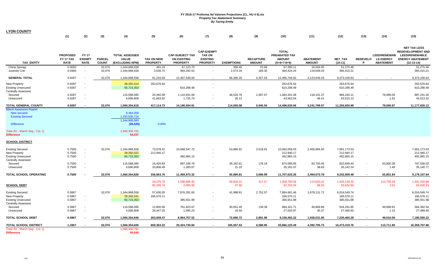| <b>LYON COUNTY</b>                                                                                                                                  |                                             |                                             |                               |                                                                                     |                                      |                                                                 |                                                                          |                    |                                   |                                                                        |                                   |                                          |        |                                                               |                                                                                                                     |
|-----------------------------------------------------------------------------------------------------------------------------------------------------|---------------------------------------------|---------------------------------------------|-------------------------------|-------------------------------------------------------------------------------------|--------------------------------------|-----------------------------------------------------------------|--------------------------------------------------------------------------|--------------------|-----------------------------------|------------------------------------------------------------------------|-----------------------------------|------------------------------------------|--------|---------------------------------------------------------------|---------------------------------------------------------------------------------------------------------------------|
|                                                                                                                                                     | (1)                                         | (2)                                         | (3)                           | (4)                                                                                 | (5)                                  | (6)                                                             | (7)                                                                      | (8)                | (9)                               | (10)                                                                   | (11)                              | (12)                                     | (13)   | (14)                                                          | (15)                                                                                                                |
| <b>TAX ENTITY</b>                                                                                                                                   | <b>PROPOSED</b><br>FY 17 TAX<br><b>RATE</b> | <b>FY17</b><br><b>EXEMPT</b><br><b>RATE</b> | <b>PARCEL</b><br><b>COUNT</b> | <b>TOTAL ASSESSED</b><br><b>VALUE</b><br>(EXCLUDING NPM)                            | <b>TAX ON NEW</b><br><b>PROPERTY</b> | <b>CAP-SUBJECT TAX</b><br><b>ON EXISTING</b><br><b>PROPERTY</b> | <b>CAP-EXEMPT</b><br><b>TAX ON</b><br><b>EXISTING</b><br><b>PROPERTY</b> | <b>EXEMPTIONS</b>  | <b>RECAPTURE</b><br><b>AMOUNT</b> | <b>TOTAL</b><br><b>PREABATED TAX</b><br><b>AMOUNT</b><br>$(5+6+7-8+9)$ | <b>ABATEMENT</b><br><b>AMOUNT</b> | <b>NET TAX</b><br>$(10-11)$              | P      | <b>LEED/RENEWAB</b><br>REDEVELO LE ENERGY<br><b>ABATEMENT</b> | <b>NET TAX LESS</b><br><b>REDEVELOPMENT AND</b><br><b>LEED/RENEWABLE</b><br><b>ENERGY ABATEMENT</b><br>$(12-13-14)$ |
| China Springs<br>Juvenile Cntr                                                                                                                      | 0.0050<br>0.0360                            | $\sim$                                      | 32,076<br>32,076              | 1,344,968,558<br>1,344,968,558                                                      | 491.24<br>3,536.75                   | 67,123.70<br>483,292.53                                         | $\sim$                                                                   | 358.49<br>2,574.34 | 23.66<br>169.30                   | 67,280.11<br>484,424.24                                                | 16,004.65<br>119,009.03           | 51,275.46<br>365,415.21                  |        |                                                               | 51,275.46<br>365,415.21                                                                                             |
| <b>GENERAL TOTAL</b>                                                                                                                                | 0.9287                                      |                                             | 32,076                        | 1,344,968,558                                                                       | 91,233.59                            | 12,467,549.00                                                   | $\sim$                                                                   | 66,390.20          | 4,357.53                          | 12,496,749.92                                                          | 3,123,649.29                      | 9,373,100.63                             |        |                                                               | 9,373,100.63                                                                                                        |
| <b>New Property</b><br><b>Existing Unsecured</b><br><b>Centrally Assessed</b>                                                                       | 0.9287<br>0.9287                            |                                             |                               | 28,392,014<br>65,715,353                                                            | 263,676.64                           | 610,298.48                                                      | $\overline{\phantom{a}}$<br>$\overline{\phantom{a}}$                     |                    |                                   | 263,676.64<br>610,298.48                                               |                                   | 263,676.64<br>610,298.48                 |        |                                                               | 263,676.64<br>610,298.48                                                                                            |
| Secured<br>Unsecured                                                                                                                                | 0.9287<br>0.9287                            |                                             |                               | 116,588,085<br>4,690,809                                                            | 20,340.58<br>41,863.92               | 1,110,931.69<br>1,725.74                                        | $\blacksquare$<br>$\sim$                                                 | 48,518.76<br>26.12 | 1,587.97<br>$\sim$                | 1,084,341.48<br>43,563.54                                              | 118,101.37<br>48.41               | 966,240.11<br>43,515.13                  |        | 78,999.06<br>1.81                                             | 887,241.05<br>43,513.32                                                                                             |
| <b>TOTAL GENERAL COUNTY</b>                                                                                                                         | 0.9287                                      |                                             | 32,076                        | 1,560,354,818                                                                       | 417,114.73                           | 14,190,504.91                                                   |                                                                          | 114,935.08         | 5,945.50                          | 14,498,630.06                                                          | 3,241,799.07                      | 11,256,830.99                            |        | 79,000.87                                                     | 11,177,830.12                                                                                                       |
| <b>March Assessors Report:</b><br>New secured<br><b>Existing Secured</b><br><b>Difference</b><br>Total AV - March Seg - Col. Q<br><b>Difference</b> |                                             |                                             |                               | 9,364,359<br>1,335,630,724<br>1,344,995,083<br>(26, 525)<br>1,560,300,781<br>54,037 | 0.00%                                |                                                                 |                                                                          |                    |                                   |                                                                        |                                   |                                          |        |                                                               |                                                                                                                     |
| <b>SCHOOL DISTRICT</b>                                                                                                                              |                                             |                                             |                               |                                                                                     |                                      |                                                                 |                                                                          |                    |                                   |                                                                        |                                   |                                          |        |                                                               |                                                                                                                     |
| <b>Existing Secured</b><br>New Property<br><b>Existing Unsecured</b>                                                                                | 0.7500<br>0.7500<br>0.7500                  | $\overline{\phantom{a}}$                    | 32,076                        | 1,344,968,558<br>28,392,022<br>65,715,353                                           | 73,678.41<br>212,940.17              | 10,068,547.72<br>492,865.15                                     | $\sim$                                                                   | 53,686.91          | 3,518.81                          | 10,092,058.03<br>212,940.17<br>492,865.15                              | 2,400,884.50                      | 7,691,173.53<br>212,940.17<br>492,865.15 |        |                                                               | 7,691,173.53<br>212,940.17<br>492,865.15                                                                            |
| <b>Centrally Assessed</b><br>Secured<br>Unsecured                                                                                                   | 0.7500<br>0.7500                            |                                             |                               | 116,588,085<br>4,690,809                                                            | 16,426.69<br>33,808.49               | 897,166.78<br>1,393.67                                          | $\sim$<br>$\sim$                                                         | 39,182.81<br>21.10 | 178.18<br>$\sim$                  | 874,588.85<br>35,181.07                                                | 63,750.45<br>38.83                | 810,838.40<br>35,142.24                  |        | 63,800.38<br>1.46                                             | 747,038.02<br>35,140.77                                                                                             |
| TOTAL SCHOOL OPERATING                                                                                                                              | 0.7500                                      |                                             | 32,076                        | 1,560,354,826                                                                       | 336,853.76                           | 11,459,973.32                                                   | $\sim$                                                                   | 92,890.81          | 3,696.99                          | 11,707,633.26                                                          | 2,464,673.78                      | 9,242,959.48                             | $\sim$ | 63,801.84                                                     | 9,179,157.64                                                                                                        |
| <b>SCHOOL DEBT</b>                                                                                                                                  |                                             |                                             |                               |                                                                                     | 29,276.75<br>60,255.74               | 1,598,990.45<br>2,483.90                                        | $\sim$<br>$\sim$                                                         | 69,834.21<br>37.60 | 317.57<br>na.                     | 1,558,750.56<br>62,702.04                                              | 113,620.31<br>69.20               | 1,445,130.25<br>62,632.84                | $\sim$ | 113,709.29<br>2.61                                            | 1,331,420.96<br>62,630.23                                                                                           |
| <b>Existing Secured</b><br>New Property<br><b>Existing Unsecured</b><br><b>Centrally Assessed</b>                                                   | 0.5867<br>0.5867<br>0.5867                  | $\sim$                                      | 32,076                        | 1,344,968,558<br>28,392,041<br>65,715,353                                           | 57,636.05<br>166,576.11              | 7,876,291.65<br>385,551.98                                      | $\overline{\phantom{a}}$<br>$\sim$                                       | 41,998.81          | 2,752.57                          | 7,894,681.46<br>166,576.11<br>385,551.98                               | 1,878,131.72                      | 6,016,549.74<br>166,576.11<br>385,551.98 |        |                                                               | 6,016,549.74<br>166,576.11<br>385,551.98                                                                            |
| Secured<br>Unsecured                                                                                                                                | 0.5867<br>0.5867                            |                                             |                               | 116,588,085<br>4,690,809                                                            | 12,850.06<br>26,447.25               | 701,823.67<br>1,090.23                                          | $\overline{\phantom{a}}$                                                 | 30,651.40<br>16.50 | 139.39<br>$\sim$                  | 684,161.71<br>27,520.97                                                | 49,869.86<br>30.37                | 634,291.85<br>27,490.60                  |        | 49,908.91<br>1.15                                             | 584,382.94<br>27,489.46                                                                                             |
| <b>TOTAL SCHOOL DEBT</b>                                                                                                                            | 0.5867                                      |                                             | 32,076                        | 1,560,354,846                                                                       | 263,509.47                           | 8,964,757.52                                                    |                                                                          | 72,666.72          | 2,891.96                          | 9,158,492.22                                                           | 1,928,031.95                      | 7,230,460.28                             |        | 49,910.06                                                     | 7,180,550.22                                                                                                        |
| TOTAL SCHOOL DISTRICT                                                                                                                               | 1.3367                                      |                                             | 32,076                        | 1,560,354,826                                                                       | 600,363.22                           | 20,424,730.84                                                   |                                                                          | 165,557.53         | 6,588.95                          | 20,866,125.49                                                          | 4,392,705.73                      | 16,473,419.76                            |        | 113,711.90                                                    | 16,359,707.86                                                                                                       |
| Total AV - March Seg - Col. Q<br><b>Difference</b>                                                                                                  |                                             |                                             |                               | 1,560,300,781<br>54,045                                                             |                                      |                                                                 |                                                                          |                    |                                   |                                                                        |                                   |                                          |        |                                                               |                                                                                                                     |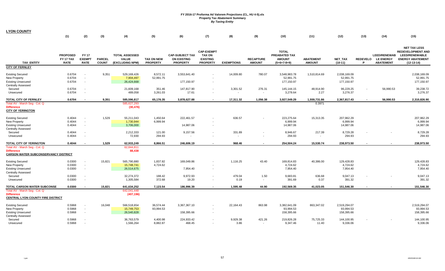| <b>LYON COUNTY</b>                                                                                           |                                             |                                              |                               |                                                          |                                      |                                                                 |                                                                          |                       |                                    |                                                                        |                                   |                                                      |                      |                                                             |                                                                                                                     |
|--------------------------------------------------------------------------------------------------------------|---------------------------------------------|----------------------------------------------|-------------------------------|----------------------------------------------------------|--------------------------------------|-----------------------------------------------------------------|--------------------------------------------------------------------------|-----------------------|------------------------------------|------------------------------------------------------------------------|-----------------------------------|------------------------------------------------------|----------------------|-------------------------------------------------------------|---------------------------------------------------------------------------------------------------------------------|
|                                                                                                              | (1)                                         | (2)                                          | (3)                           | (4)                                                      | (5)                                  | (6)                                                             | (7)                                                                      | (8)                   | (9)                                | (10)                                                                   | (11)                              | (12)                                                 | (13)                 | (14)                                                        | (15)                                                                                                                |
| <b>TAX ENTITY</b>                                                                                            | <b>PROPOSED</b><br>FY 17 TAX<br><b>RATE</b> | <b>FY 17</b><br><b>EXEMPT</b><br><b>RATE</b> | <b>PARCEL</b><br><b>COUNT</b> | <b>TOTAL ASSESSED</b><br><b>VALUE</b><br>(EXCLUDING NPM) | <b>TAX ON NEW</b><br><b>PROPERTY</b> | <b>CAP-SUBJECT TAX</b><br><b>ON EXISTING</b><br><b>PROPERTY</b> | <b>CAP-EXEMPT</b><br><b>TAX ON</b><br><b>EXISTING</b><br><b>PROPERTY</b> | <b>EXEMPTIONS</b>     | <b>RECAPTURE</b><br><b>AMOUNT</b>  | <b>TOTAL</b><br><b>PREABATED TAX</b><br><b>AMOUNT</b><br>$(5+6+7-8+9)$ | <b>ABATEMENT</b><br><b>AMOUNT</b> | <b>NET TAX</b><br>$(10-11)$                          | <b>REDEVELO</b><br>P | <b>LEED/RENEWAB</b><br><b>LE ENERGY</b><br><b>ABATEMENT</b> | <b>NET TAX LESS</b><br><b>REDEVELOPMENT AND</b><br><b>LEED/RENEWABLE</b><br><b>ENERGY ABATEMENT</b><br>$(12-13-14)$ |
| <b>CITY OF FERNLEY</b>                                                                                       |                                             |                                              |                               |                                                          |                                      |                                                                 |                                                                          |                       |                                    |                                                                        |                                   |                                                      |                      |                                                             |                                                                                                                     |
| <b>Existing Secured</b><br>New Property<br><b>Existing Unsecured</b><br><b>Centrally Assessed</b><br>Secured | 0.6704<br>0.6704<br>0.6704<br>0.6704        | $\sim$<br>$\overline{\phantom{a}}$           | 9,351                         | 529,169,426<br>7,904,497<br>26,424,668<br>21,609,168     | 8,572.11<br>52,991.75<br>351.46      | 3,553,641.40<br>177,150.97<br>147,817.90                        | $\blacksquare$<br>$\blacksquare$                                         | 14,009.80<br>3,301.52 | 780.07<br>276.31                   | 3,548,983.78<br>52,991.75<br>177,150.97<br>145,144.15                  | 1,510,814.69<br>48,914.90         | 2,038,169.09<br>52,991.75<br>177,150.97<br>96,229.25 |                      | 56,990.53                                                   | 2,038,169.09<br>52,991.75<br>177,150.97<br>39,238.72                                                                |
| Unsecured                                                                                                    | 0.6704                                      |                                              |                               | 489,058                                                  | 3,261.03                             | 17.61                                                           | $\overline{\phantom{a}}$                                                 | $\sim$                | $\sim$                             | 3,278.64                                                               | 2.27                              | 3,276.37                                             |                      |                                                             | 3,276.37                                                                                                            |
| TOTAL CITY OF FERNLEY                                                                                        | 0.6704                                      |                                              | 9,351                         | 585,596,817                                              | 65,176.35                            | 3,878,627.88                                                    | $\blacksquare$                                                           | 17,311.32             | 1,056.38                           | 3,927,549.29                                                           | 1,559,731.86                      | 2,367,817.43                                         |                      | 56,990.53                                                   | 2,310,826.90                                                                                                        |
| Total AV - March Seg - Col. Q<br><b>Difference</b><br><b>CITY OF YERINGTON</b>                               |                                             |                                              |                               | 585,627,293<br>(30, 476)                                 |                                      |                                                                 |                                                                          |                       |                                    |                                                                        | 0.3971                            |                                                      |                      |                                                             |                                                                                                                     |
| <b>Existing Secured</b><br>New Property<br><b>Existing Unsecured</b>                                         | 0.4044<br>0.4044<br>0.4044                  | $\overline{\phantom{a}}$<br>$\sim$           | 1,529                         | 55,211,043<br>1,730,944<br>3,706,000                     | 1,450.64<br>6,999.94                 | 222,461.57<br>14,987.06                                         | $\overline{\phantom{a}}$                                                 | 636.57                |                                    | 223,275.64<br>6,999.94<br>14,987.06                                    | 15,313.35                         | 207,962.29<br>6,999.94<br>14,987.06                  |                      |                                                             | 207,962.29<br>6,999.94<br>14,987.06                                                                                 |
| <b>Centrally Assessed</b><br>Secured<br>Unsecured                                                            | 0.4044<br>0.4044                            |                                              |                               | 2,212,333<br>72,930                                      | 121.00<br>294.93                     | 9,157.56                                                        | $\overline{\phantom{a}}$                                                 | 331.89<br>$\sim$      |                                    | 8,946.67<br>294.93                                                     | 217.39<br>$\overline{a}$          | 8,729.28<br>294.93                                   |                      |                                                             | 8,729.28<br>294.93                                                                                                  |
| TOTAL CITY OF YERINGTON                                                                                      | 0.4044                                      |                                              | 1,529                         | 62,933,249                                               | 8,866.51                             | 246,606.19                                                      | $\overline{\phantom{a}}$                                                 | 968.46                |                                    | 254,504.24                                                             | 15,530.74                         | 238,973.50                                           |                      |                                                             | 238,973.50                                                                                                          |
| Total AV - March Seg - Col. Q<br><b>Difference</b><br><b>CARSON WATER SUBCONSERVANCY DISTRICT</b>            |                                             |                                              |                               | 62,844,811<br>88,438                                     |                                      |                                                                 |                                                                          |                       |                                    |                                                                        |                                   |                                                      |                      |                                                             |                                                                                                                     |
| <b>Existing Secured</b><br>New Property<br><b>Existing Unsecured</b><br><b>Centrally Assessed</b>            | 0.0300<br>0.0300<br>0.0300                  | $\overline{\phantom{a}}$                     | 15,821                        | 565,790,880<br>15,748,741<br>26,514,675                  | 1,837.82<br>4,724.62                 | 169,049.86<br>7,954.40                                          | $\blacksquare$<br>$\overline{\phantom{a}}$                               | 1,116.25              | 43.40                              | 169,814.83<br>4,724.62<br>7,954.40                                     | 40,386.00                         | 129,428.83<br>4,724.62<br>7,954.40                   |                      |                                                             | 129,428.83<br>4,724.62<br>7,954.40                                                                                  |
| Secured<br>Unsecured                                                                                         | 0.0300<br>0.0300                            |                                              |                               | 32,274,372<br>1,305,584                                  | 188.42<br>372.68                     | 9,972.93<br>19.20                                               | $\blacksquare$<br>$\overline{\phantom{a}}$                               | 479.04<br>0.19        | 1.50<br>$\sim$                     | 9,683.81<br>391.69                                                     | 636.68<br>0.37                    | 9,047.13<br>391.32                                   |                      |                                                             | 9,047.13<br>391.32                                                                                                  |
| <b>TOTAL CARSON WATER SUBCONSE</b>                                                                           | 0.0300                                      |                                              | 15,821                        | 641,634,252                                              | 7,123.54                             | 186,996.39                                                      |                                                                          | 1,595.48              | 44.90                              | 192,569.35                                                             | 41,023.05                         | 151,546.30                                           |                      |                                                             | 151,546.30                                                                                                          |
| Total AV - March Seg - Col. Q<br><b>Difference</b><br><b>CENTRAL LYON COUNTY FIRE DISTRICT</b>               |                                             |                                              |                               | 642,041,448<br>(407, 196)                                |                                      |                                                                 |                                                                          |                       |                                    |                                                                        |                                   |                                                      |                      |                                                             |                                                                                                                     |
| <b>Existing Secured</b><br>New Property<br><b>Existing Unsecured</b><br><b>Centrally Assessed</b>            | 0.5968<br>0.5968<br>0.5968                  | $\sim$                                       | 16,048                        | 566,518,654<br>15,749,753<br>26,540,828                  | 36,574.44<br>93,994.53               | 3,367,367.10<br>158,395.66                                      | $\overline{\phantom{a}}$                                                 | 22,164.43             | 863.98                             | 3,382,641.09<br>93,994.53<br>158,395.66                                | 863,347.02                        | 2,519,294.07<br>93,994.53<br>158,395.66              |                      |                                                             | 2,519,294.07<br>93,994.53<br>158,395.66                                                                             |
| Secured<br>Unsecured                                                                                         | 0.5968<br>0.5968                            |                                              |                               | 36,763,579<br>1,566,264                                  | 4,400.98<br>8,882.87                 | 224,933.42<br>468.45                                            |                                                                          | 9,929.38<br>3.86      | 421.26<br>$\overline{\phantom{a}}$ | 219,826.28<br>9,347.46                                                 | 75,725.33<br>11.40                | 144,100.95<br>9,336.06                               |                      |                                                             | 144,100.95<br>9,336.06                                                                                              |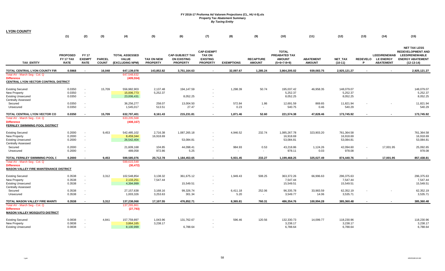| <b>LYON COUNTY</b>                                                                                  |                                             |                                              |                               |                                                          |                                      |                                                                 |                                                                          |                   |                                   |                                                                 |                                   |                       |      |                                                               |                                                                                                              |
|-----------------------------------------------------------------------------------------------------|---------------------------------------------|----------------------------------------------|-------------------------------|----------------------------------------------------------|--------------------------------------|-----------------------------------------------------------------|--------------------------------------------------------------------------|-------------------|-----------------------------------|-----------------------------------------------------------------|-----------------------------------|-----------------------|------|---------------------------------------------------------------|--------------------------------------------------------------------------------------------------------------|
|                                                                                                     | (1)                                         | (2)                                          | (3)                           | (4)                                                      | (5)                                  | (6)                                                             | (7)                                                                      | (8)               | (9)                               | (10)                                                            | (11)                              | (12)                  | (13) | (14)                                                          | (15)                                                                                                         |
| <b>TAX ENTITY</b>                                                                                   | <b>PROPOSED</b><br>FY 17 TAX<br><b>RATE</b> | <b>FY 17</b><br><b>EXEMPT</b><br><b>RATE</b> | <b>PARCEL</b><br><b>COUNT</b> | <b>TOTAL ASSESSED</b><br><b>VALUE</b><br>(EXCLUDING NPM) | <b>TAX ON NEW</b><br><b>PROPERTY</b> | <b>CAP-SUBJECT TAX</b><br><b>ON EXISTING</b><br><b>PROPERTY</b> | <b>CAP-EXEMPT</b><br><b>TAX ON</b><br><b>EXISTING</b><br><b>PROPERTY</b> | <b>EXEMPTIONS</b> | <b>RECAPTURE</b><br><b>AMOUNT</b> | <b>TOTAL</b><br>PREABATED TAX<br><b>AMOUNT</b><br>$(5+6+7-8+9)$ | <b>ABATEMENT</b><br><b>AMOUNT</b> | NET_TAX<br>$(10-11)$  | P    | <b>LEED/RENEWAB</b><br>REDEVELO LE ENERGY<br><b>ABATEMENT</b> | <b>NET TAX LESS</b><br><b>REDEVELOPMENT AND</b><br>LEED/RENEWABLE<br><b>ENERGY ABATEMENT</b><br>$(12-13-14)$ |
| TOTAL CENTRAL LYON COUNTY FIR                                                                       | 0.5968                                      | $\overline{\phantom{a}}$                     | 16,048                        | 647,139,078                                              | 143,852.82                           | 3,751,164.63                                                    | $\overline{\phantom{a}}$                                                 | 32,097.67         | 1,285.24                          | 3,864,205.02                                                    | 939,083.75                        | 2,925,121.27          |      |                                                               | 2,925,121.27                                                                                                 |
| Total AV - March Seg - Col. Q<br><b>Difference</b><br><b>CENTRAL LYON VECTOR CONTROL DISTRICT</b>   |                                             |                                              |                               | 647,548,632<br>(409, 554)                                |                                      |                                                                 |                                                                          |                   |                                   |                                                                 |                                   |                       |      |                                                               |                                                                                                              |
| <b>Existing Secured</b>                                                                             | 0.0350                                      |                                              | 15,709                        | 556,982,903                                              | 2,137.48                             | 194,147.59                                                      |                                                                          | 1,298.39          | 50.74                             | 195,037.42                                                      | 46,958.35                         | 148,079.07            |      |                                                               | 148,079.07                                                                                                   |
| New Property<br><b>Existing Unsecured</b><br><b>Centrally Assessed</b>                              | 0.0350<br>0.0350                            | $\sim$<br>$\overline{\phantom{a}}$           |                               | 15,006,773<br>23,006,431                                 | 5,252.37                             | 8,052.25                                                        | $\overline{\phantom{a}}$                                                 |                   |                                   | 5,252.37<br>8,052.25                                            |                                   | 5,252.37<br>8,052.25  |      |                                                               | 5,252.37<br>8,052.25                                                                                         |
| Secured                                                                                             | 0.0350                                      |                                              |                               | 36,256,277                                               | 258.07                               | 13,004.50                                                       |                                                                          | 572.84            | 1.86                              | 12,691.59                                                       | 869.65                            | 11,821.94             |      |                                                               | 11,821.94                                                                                                    |
| Unsecured                                                                                           | 0.0350                                      | $\overline{\phantom{a}}$                     |                               | 1,545,017                                                | 513.51                               | 27.47                                                           | $\overline{\phantom{a}}$                                                 | 0.23              | $\sim$                            | 540.75                                                          | 0.46                              | 540.29                |      |                                                               | 540.29                                                                                                       |
| TOTAL CENTRAL LYON VECTOR CO                                                                        | 0.0350                                      |                                              | 15,709                        | 632,797,401                                              | 8.161.43                             | 215,231.81                                                      | $\overline{\phantom{a}}$                                                 | 1.871.46          | 52.60                             | 221,574.38                                                      | 47.828.46                         | 173,745.92            |      |                                                               | 173,745.92                                                                                                   |
| Total AV - March Seg - Col. Q<br><b>Difference</b><br>FERNLEY SWIMMING POOL DISTRICT                |                                             |                                              |                               | 633,205,568<br>(408, 167)                                |                                      |                                                                 |                                                                          |                   |                                   |                                                                 |                                   |                       |      |                                                               |                                                                                                              |
| <b>Existing Secured</b>                                                                             | 0.2000                                      |                                              | 9,453                         | 542,485,102                                              | 2,716.38                             | 1,087,265.18                                                    |                                                                          | 4,946.52          | 232.74                            | 1,085,267.78                                                    | 323,903.20                        | 761,364.58            |      |                                                               | 761,364.58                                                                                                   |
| <b>New Property</b>                                                                                 | 0.2000                                      | $\overline{\phantom{a}}$                     |                               | 8,459,344                                                | 16,918.69                            |                                                                 |                                                                          |                   |                                   | 16,918.69                                                       |                                   | 16,918.69             |      |                                                               | 16,918.69                                                                                                    |
| <b>Existing Unsecured</b><br><b>Centrally Assessed</b>                                              | 0.2000                                      | $\overline{\phantom{a}}$                     |                               | 26,542,404                                               |                                      | 53,084.81                                                       | $\overline{\phantom{a}}$                                                 |                   |                                   | 53,084.81                                                       |                                   | 53,084.81             |      |                                                               | 53,084.81                                                                                                    |
| Secured<br>Unsecured                                                                                | 0.2000<br>0.2000                            |                                              |                               | 21,609,168<br>489,058                                    | 104.85<br>972.86                     | 44,098.41<br>5.25                                               | $\overline{\phantom{a}}$                                                 | 984.93            | 0.53<br>$\sim$                    | 43,218.86<br>978.11                                             | 1,124.26<br>0.03                  | 42,094.60<br>978.08   |      | 17,001.95                                                     | 25,092.65<br>978.08                                                                                          |
| TOTAL FERNLEY SWIMMING POOL I                                                                       | 0.2000                                      |                                              | 9,453                         | 599,585,076                                              | 20,712.78                            | 1,184,453.65                                                    |                                                                          | 5,931.45          | 233.27                            | 1,199,468.25                                                    | 325,027.49                        | 874,440.76            |      | 17,001.95                                                     | 857,438.81                                                                                                   |
| Total AV - March Seg - Col. Q<br><b>Difference</b><br><b>MASON VALLEY FIRE MAINTENANCE DISTRICT</b> |                                             |                                              |                               | 599,615,548<br>(30, 472)                                 |                                      |                                                                 |                                                                          |                   |                                   |                                                                 |                                   |                       |      |                                                               |                                                                                                              |
| <b>Existing Secured</b>                                                                             | 0.3538                                      |                                              | 3,312                         | 102,548,854                                              | 3,138.32                             | 361,675.12                                                      |                                                                          | 1,949.43          | 508.25                            | 363,372.26                                                      | 66,996.63                         | 296,375.63            |      |                                                               | 296,375.63                                                                                                   |
| New Property<br><b>Existing Unsecured</b><br><b>Centrally Assessed</b>                              | 0.3538<br>0.3538                            | $\overline{\phantom{a}}$<br>$\blacksquare$   |                               | 2,133,251<br>4,394,999                                   | 7,547.44                             | 15,549.51                                                       | $\overline{\phantom{a}}$                                                 |                   |                                   | 7,547.44<br>15,549.51                                           |                                   | 7,547.44<br>15,549.51 |      |                                                               | 7,547.44<br>15,549.51                                                                                        |
| Secured                                                                                             | 0.3538                                      |                                              |                               | 27, 157, 638                                             | 3,168.16                             | 99,326.74                                                       | $\overline{\phantom{a}}$                                                 | 6,411.18          | 252.06                            | 96,335.78                                                       | 33,983.59                         | 62,352.19             |      |                                                               | 62,352.19                                                                                                    |
| Unsecured                                                                                           | 0.3538                                      | $\overline{\phantom{a}}$                     |                               | 1,003,326                                                | 3,253.63                             | 301.34                                                          | $\sim$                                                                   | 5.20              | $\sim$                            | 3,549.77                                                        | 14.06                             | 3,535.71              |      |                                                               | 3,535.71                                                                                                     |
| TOTAL MASON VALLEY FIRE MAINTI                                                                      | 0.3538                                      |                                              | 3,312                         | 137,238,068                                              | 17,107.55                            | 476,852.71                                                      | $\overline{\phantom{a}}$                                                 | 8,365.81          | 760.31                            | 486,354.76                                                      | 100,994.28                        | 385,360.48            |      |                                                               | 385,360.48                                                                                                   |
| Total AV - March Seg - Col. Q<br><b>Difference</b><br><b>MASON VALLEY MOSQUITO DISTRICT</b>         |                                             |                                              |                               | 137,265,861<br>(27, 793)                                 |                                      |                                                                 |                                                                          |                   |                                   |                                                                 |                                   |                       |      |                                                               |                                                                                                              |
| <b>Existing Secured</b>                                                                             | 0.0838                                      |                                              | 4,841                         | 157,759,897                                              | 1,043.96                             | 131,762.67                                                      |                                                                          | 596.46            | 120.56                            | 132,330.73                                                      | 14,099.77                         | 118,230.96            |      |                                                               | 118,230.96                                                                                                   |
| New Property                                                                                        | 0.0838                                      |                                              |                               | 3,864,165                                                | 3,238.17                             |                                                                 |                                                                          |                   |                                   | 3,238.17                                                        |                                   | 3,238.17              |      |                                                               | 3,238.17                                                                                                     |
| <b>Existing Unsecured</b>                                                                           | 0.0838                                      |                                              |                               | 8,100,999                                                |                                      | 6,788.64                                                        |                                                                          |                   |                                   | 6,788.64                                                        |                                   | 6,788.64              |      |                                                               | 6,788.64                                                                                                     |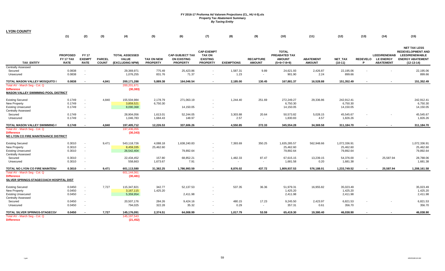| <b>LYON COUNTY</b>                                                                                |                                             |                                              |                               |                                                          |                                      |                                                                 |                                                                          |                    |                                   |                                                                        |                                   |                                        |                      |                                                             |                                                                                                                     |
|---------------------------------------------------------------------------------------------------|---------------------------------------------|----------------------------------------------|-------------------------------|----------------------------------------------------------|--------------------------------------|-----------------------------------------------------------------|--------------------------------------------------------------------------|--------------------|-----------------------------------|------------------------------------------------------------------------|-----------------------------------|----------------------------------------|----------------------|-------------------------------------------------------------|---------------------------------------------------------------------------------------------------------------------|
|                                                                                                   | (1)                                         | (2)                                          | (3)                           | (4)                                                      | (5)                                  | (6)                                                             | (7)                                                                      | (8)                | $(9)$                             | (10)                                                                   | (11)                              | (12)                                   | (13)                 | (14)                                                        | (15)                                                                                                                |
| TAX_ENTITY                                                                                        | <b>PROPOSED</b><br>FY 17 TAX<br><b>RATE</b> | <b>FY 17</b><br><b>EXEMPT</b><br><b>RATE</b> | <b>PARCEL</b><br><b>COUNT</b> | <b>TOTAL ASSESSED</b><br><b>VALUE</b><br>(EXCLUDING NPM) | <b>TAX ON NEW</b><br><b>PROPERTY</b> | <b>CAP-SUBJECT TAX</b><br><b>ON EXISTING</b><br><b>PROPERTY</b> | <b>CAP-EXEMPT</b><br><b>TAX ON</b><br><b>EXISTING</b><br><b>PROPERTY</b> | <b>EXEMPTIONS</b>  | <b>RECAPTURE</b><br><b>AMOUNT</b> | <b>TOTAL</b><br><b>PREABATED TAX</b><br><b>AMOUNT</b><br>$(5+6+7-8+9)$ | <b>ABATEMENT</b><br><b>AMOUNT</b> | <b>NET TAX</b><br>$(10-11)$            | <b>REDEVELO</b><br>D | <b>LEED/RENEWAB</b><br><b>LE ENERGY</b><br><b>ABATEMENT</b> | <b>NET TAX LESS</b><br><b>REDEVELOPMENT AND</b><br><b>LEED/RENEWABLE</b><br><b>ENERGY ABATEMENT</b><br>$(12-13-14)$ |
| <b>Centrally Assessed</b><br>Secured                                                              | 0.0838                                      | $\sim$                                       |                               | 29,369,971                                               | 775.49                               | 25,423.86                                                       |                                                                          | 1,587.31           | 9.89                              | 24,621.93                                                              | 2,426.87                          | 22,195.06                              |                      |                                                             | 22,195.06                                                                                                           |
| Unsecured                                                                                         | 0.0838                                      | $\sim$                                       |                               | 1,076,255                                                | 831.76                               | 71.37                                                           |                                                                          | 1.23               | $\sim$                            | 901.90                                                                 | 2.24                              | 899.66                                 |                      |                                                             | 899.66                                                                                                              |
| TOTAL MASON VALLEY MOSQUITO I                                                                     | 0.0838                                      | $\blacksquare$                               | 4,841                         | 200, 171, 288                                            | 5,889.38                             | 164,046.54                                                      |                                                                          | 2,185.00           | 130.45                            | 167,881.37                                                             | 16,528.88                         | 151,352.49                             |                      |                                                             | 151,352.49                                                                                                          |
| Total AV - March Seg - Col. Q                                                                     |                                             |                                              |                               | 200,201,671                                              |                                      |                                                                 |                                                                          |                    |                                   |                                                                        |                                   |                                        |                      |                                                             |                                                                                                                     |
| <b>Difference</b><br>MASON VALLEY SWIMMING POOL DISTRICT                                          |                                             |                                              |                               | (30, 383)                                                |                                      |                                                                 |                                                                          |                    |                                   |                                                                        |                                   |                                        |                      |                                                             |                                                                                                                     |
| <b>Existing Secured</b><br>New Property<br><b>Existing Unsecured</b><br><b>Centrally Assessed</b> | 0.1749<br>0.1749<br>0.1749                  | $\sim$<br>$\sim$                             | 4,840                         | 155,504,984<br>3,859,521<br>8,090,368                    | 2,178.79<br>6,750.30                 | 271,063.19<br>14,150.05                                         | $\overline{\phantom{a}}$                                                 | 1,244.40           | 251.69                            | 272,249.27<br>6,750.30<br>14,150.05                                    | 29,336.86                         | 242,912.41<br>6,750.30<br>14,150.05    |                      |                                                             | 242,912.41<br>6,750.30<br>14,150.05                                                                                 |
| Secured<br>Unsecured                                                                              | 0.1749<br>0.1749                            | $\sim$<br>$\sim$                             |                               | 28,904,056<br>1,046,783                                  | 1,613.01<br>1,684.43                 | 52,244.05<br>148.97                                             |                                                                          | 3,303.88<br>2.57   | 20.64<br>$\sim$                   | 50,573.82<br>1,830.83                                                  | 5,028.15<br>4.57                  | 45,545.67<br>1,826.26                  |                      |                                                             | 45,545.67<br>1,826.26                                                                                               |
| TOTAL MASON VALLEY SWIMMING I                                                                     | 0.1749                                      |                                              | 4,840                         | 197,405,712                                              | 12,226.53                            | 337,606.26                                                      |                                                                          | 4,550.85           | 272.33                            | 345,554.28                                                             | 34,369.58                         | 311,184.70                             |                      |                                                             | 311,184.70                                                                                                          |
| Total AV - March Seg - Col. Q<br><b>Difference</b><br>NO LYON CO FIRE MAINTENANCE DISTRICT        |                                             |                                              |                               | 197,436,055<br>(30, 343)                                 |                                      |                                                                 |                                                                          |                    |                                   |                                                                        |                                   |                                        |                      |                                                             |                                                                                                                     |
| <b>Existing Secured</b><br>New Property<br><b>Existing Unsecured</b><br><b>Centrally Assessed</b> | 0.3010<br>0.3010<br>0.3010                  | $\sim$<br>$\sim$<br>$\sim$                   | 9,471                         | 543,118,726<br>8,459,335<br>26,542,404                   | 4,088.18<br>25,462.60                | 1,638,240.83<br>79,892.64                                       |                                                                          | 7,393.69           | 350.25                            | 1,635,285.57<br>25,462.60<br>79,892.64                                 | 562,948.66                        | 1,072,336.91<br>25,462.60<br>79,892.64 |                      |                                                             | 1,072,336.91<br>25,462.60<br>79,892.64                                                                              |
| Secured<br>Unsecured                                                                              | 0.3010<br>0.3010                            | $\sim$<br>$\sim$                             |                               | 22,434,452<br>558,663                                    | 157.80<br>1,673.67                   | 68,852.21<br>7.91                                               |                                                                          | 1,482.33<br>$\sim$ | 87.47<br>$\sim$                   | 67,615.15<br>1,681.58                                                  | 13,239.15<br>0.20                 | 54,376.00<br>1,681.38                  |                      | 25,587.94                                                   | 28,788.06<br>1,681.38                                                                                               |
| TOTAL NO LYON CO FIRE MAINTEN/                                                                    | 0.3010                                      |                                              | 9,471                         | 601,113,580                                              | 31,382.25                            | 1,786,993.59                                                    |                                                                          | 8,876.02           | 437.72                            | 1,809,937.53                                                           | 576,188.01                        | 1,233,749.52                           |                      | 25,587.94                                                   | 1,208,161.58                                                                                                        |
| Total AV - March Seg - Col. Q<br><b>Difference</b><br>SILVER SPRINGS-STAGECOACH HOSPITAL DIST     |                                             |                                              |                               | 601,144,061<br>(30, 481)                                 |                                      |                                                                 |                                                                          |                    |                                   |                                                                        |                                   |                                        |                      |                                                             |                                                                                                                     |
| <b>Existing Secured</b><br>New Property<br><b>Existing Unsecured</b><br><b>Centrally Assessed</b> | 0.0450<br>0.0450<br>0.0450                  | $\sim$<br>$\sim$<br>$\sim$                   | 7,727                         | 115,347,821<br>3,167,115<br>5,359,954                    | 342.77<br>1,425.20                   | 52,137.53<br>2,411.98                                           |                                                                          | 537.35             | 36.36                             | 51,979.31<br>1,425.20<br>2,411.98                                      | 16,955.82                         | 35,023.49<br>1,425.20<br>2,411.98      |                      |                                                             | 35,023.49<br>1,425.20<br>2,411.98                                                                                   |
| Secured<br>Unsecured                                                                              | 0.0450<br>0.0450                            | $\sim$<br>$\sim$                             |                               | 20,507,176<br>794,025                                    | 284.26<br>322.28                     | 9,424.16<br>35.32                                               | $\overline{\phantom{a}}$                                                 | 480.15<br>0.29     | 17.23<br>$\sim$                   | 9,245.50<br>357.31                                                     | 2,423.97<br>0.61                  | 6,821.53<br>356.70                     |                      |                                                             | 6,821.53<br>356.70                                                                                                  |
| TOTAL SILVER SPRINGS-STAGECO/                                                                     | 0.0450                                      |                                              | 7,727                         | 145,176,091                                              | 2,374.51                             | 64,008.99                                                       |                                                                          | 1,017.79           | 53.59                             | 65,419.30                                                              | 19,380.40                         | 46,038.90                              |                      |                                                             | 46,038.90                                                                                                           |
| Total AV - March Seg - Col. Q<br><b>Difference</b>                                                |                                             |                                              |                               | 145, 197, 543<br>(21, 452)                               |                                      |                                                                 |                                                                          |                    |                                   |                                                                        |                                   |                                        |                      |                                                             |                                                                                                                     |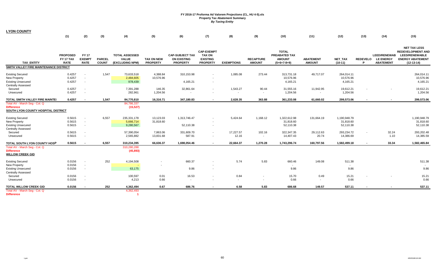| <b>LYON COUNTY</b>                                                                                |                                             |                                              |                               |                                                          |                                      |                                                                 |                                                                          |                    |                                   |                                                                 |                                       |                                        |                      |                                                             |                                                                                                                     |
|---------------------------------------------------------------------------------------------------|---------------------------------------------|----------------------------------------------|-------------------------------|----------------------------------------------------------|--------------------------------------|-----------------------------------------------------------------|--------------------------------------------------------------------------|--------------------|-----------------------------------|-----------------------------------------------------------------|---------------------------------------|----------------------------------------|----------------------|-------------------------------------------------------------|---------------------------------------------------------------------------------------------------------------------|
|                                                                                                   | (1)                                         | (2)                                          | (3)                           | (4)                                                      | (5)                                  | (6)                                                             | (7)                                                                      | (8)                | (9)                               | (10)                                                            | (11)                                  | (12)                                   | (13)                 | (14)                                                        | (15)                                                                                                                |
| <b>TAX ENTITY</b>                                                                                 | <b>PROPOSED</b><br>FY 17 TAX<br><b>RATE</b> | <b>FY17</b><br><b>EXEMPT</b><br><b>RATE</b>  | <b>PARCEL</b><br><b>COUNT</b> | <b>TOTAL ASSESSED</b><br><b>VALUE</b><br>(EXCLUDING NPM) | <b>TAX ON NEW</b><br><b>PROPERTY</b> | <b>CAP-SUBJECT TAX</b><br><b>ON EXISTING</b><br><b>PROPERTY</b> | <b>CAP-EXEMPT</b><br><b>TAX ON</b><br><b>EXISTING</b><br><b>PROPERTY</b> | <b>EXEMPTIONS</b>  | <b>RECAPTURE</b><br><b>AMOUNT</b> | <b>TOTAL</b><br>PREABATED TAX<br><b>AMOUNT</b><br>$(5+6+7-8+9)$ | <b>ABATEMENT</b><br><b>AMOUNT</b>     | <b>NET TAX</b><br>$(10-11)$            | <b>REDEVELO</b><br>D | <b>LEED/RENEWAB</b><br><b>LE ENERGY</b><br><b>ABATEMENT</b> | <b>NET TAX LESS</b><br><b>REDEVELOPMENT AND</b><br><b>LEED/RENEWABLE</b><br><b>ENERGY ABATEMENT</b><br>$(12-13-14)$ |
| SMITH VALLEY FIRE MAINTENANCE DISTRICT                                                            |                                             |                                              |                               |                                                          |                                      |                                                                 |                                                                          |                    |                                   |                                                                 |                                       |                                        |                      |                                                             |                                                                                                                     |
| <b>Existing Secured</b><br>New Property<br><b>Existing Unsecured</b><br><b>Centrally Assessed</b> | 0.4257<br>0.4257<br>0.4257                  | $\sim$<br>$\sim$<br>$\sim$                   | 1,547                         | 73,633,518<br>2,484,605<br>978,439                       | 4,388.84<br>10,576.96                | 310,153.98<br>4,165.21                                          |                                                                          | 1,085.08           | 273.44                            | 313,731.18<br>10,576.96<br>4,165.21                             | 49,717.07                             | 264,014.11<br>10,576.96<br>4,165.21    |                      |                                                             | 264,014.11<br>10,576.96<br>4,165.21                                                                                 |
| Secured<br>Unsecured                                                                              | 0.4257<br>0.4257                            | $\sim$<br>$\overline{\phantom{a}}$           |                               | 7,391,288<br>282,961                                     | 146.35<br>1,204.56                   | 32,861.64                                                       |                                                                          | 1,543.27<br>$\sim$ | 90.44<br>$\sim$                   | 31,555.16<br>1,204.56                                           | 11,942.95<br>$\overline{\phantom{a}}$ | 19,612.21<br>1,204.56                  |                      |                                                             | 19,612.21<br>1,204.56                                                                                               |
| TOTAL SMITH VALLEY FIRE MAINTEI                                                                   | 0.4257                                      | $\sim$                                       | 1,547                         | 84,770,810                                               | 16,316.71                            | 347,180.83                                                      |                                                                          | 2,628.35           | 363.88                            | 361,233.08                                                      | 61,660.02                             | 299,573.06                             |                      |                                                             | 299,573.06                                                                                                          |
| Total AV - March Seg - Col. Q<br><b>Difference</b><br>SOUTH LYON COUNTY HOSPITAL DISTRICT         |                                             |                                              |                               | 84,786,337<br>(15, 527)                                  |                                      |                                                                 |                                                                          |                    |                                   |                                                                 |                                       |                                        |                      |                                                             |                                                                                                                     |
| <b>Existing Secured</b><br>New Property<br><b>Existing Unsecured</b><br><b>Centrally Assessed</b> | 0.5615<br>0.5615<br>0.5615                  | $\sim$<br>$\sim$<br>$\overline{\phantom{a}}$ | 6,557                         | 235,331,178<br>5,666,714<br>9,280,567                    | 13,123.03<br>31,818.60               | 1,313,746.47<br>52,110.38                                       |                                                                          | 5,424.64           | 1,168.12                          | 1,322,612.98<br>31,818.60<br>52,110.38                          | 131,664.19                            | 1,190,948.79<br>31,818.60<br>52,110.38 |                      |                                                             | 1,190,948.79<br>31,818.60<br>52,110.38                                                                              |
| Secured<br>Unsecured                                                                              | 0.5615<br>0.5615                            | $\sim$<br>$\blacksquare$                     |                               | 57,390,054<br>2,565,882                                  | 7,863.06<br>13,831.68                | 331,609.70<br>587.91                                            | $\overline{\phantom{a}}$                                                 | 17,227.57<br>12.16 | 102.16<br>$\sim$                  | 322,347.35<br>14,407.43                                         | 29,112.63<br>20.74                    | 293,234.72<br>14,386.69                | $\sim$               | 32.24<br>1.10                                               | 293,202.48<br>14,385.59                                                                                             |
| TOTAL SOUTH LYON COUNTY HOSP                                                                      | 0.5615                                      | $\sim$                                       | 6,557                         | 310,234,395                                              | 66,636.37                            | 1,698,054.46                                                    |                                                                          | 22,664.37          | 1,270.28                          | 1,743,296.74                                                    | 160,797.56                            | 1,582,499.18                           | $\blacksquare$       | 33.34                                                       | 1,582,465.84                                                                                                        |
| Total AV - March Seg - Col. Q<br><b>Difference</b><br><b>WILLOW CREEK GID</b>                     |                                             |                                              |                               | 310,280,288<br>(45, 893)                                 |                                      |                                                                 |                                                                          |                    |                                   |                                                                 |                                       |                                        |                      |                                                             |                                                                                                                     |
| <b>Existing Secured</b><br><b>New Property</b>                                                    | 0.0156<br>0.0156                            | $\overline{\phantom{a}}$<br>$\sim$           | 252                           | 4,194,508                                                |                                      | 660.37                                                          |                                                                          | 5.74               | 5.83                              | 660.46                                                          | 149.08                                | 511.38                                 |                      |                                                             | 511.38                                                                                                              |
| <b>Existing Unsecured</b><br><b>Centrally Assessed</b>                                            | 0.0156                                      | $\sim$                                       |                               | 63,175                                                   |                                      | 9.86                                                            |                                                                          |                    |                                   | 9.86                                                            |                                       | 9.86                                   |                      |                                                             | 9.86                                                                                                                |
| Secured<br>Unsecured                                                                              | 0.0156<br>0.0156                            | $\blacksquare$<br>$\sim$                     |                               | 100,597<br>4,213                                         | 0.01<br>0.66                         | 16.53<br>$\sim$                                                 |                                                                          | 0.84<br>$\sim$     | $\blacksquare$<br>$\sim$          | 15.70<br>0.66                                                   | 0.49<br>$\sim$                        | 15.21<br>0.66                          |                      |                                                             | 15.21<br>0.66                                                                                                       |
| <b>TOTAL WILLOW CREEK GID</b><br>Total AV - March Seg - Col. Q<br><b>Difference</b>               | 0.0156                                      | $\sim$                                       | 252                           | 4,362,494<br>4,362,493                                   | 0.67                                 | 686.76                                                          |                                                                          | 6.58               | 5.83                              | 686.68                                                          | 149.57                                | 537.11                                 |                      |                                                             | 537.11                                                                                                              |

**Difference**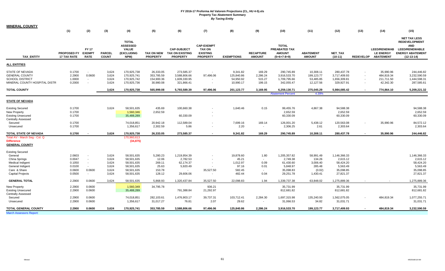| MINERAL COUNTY |  |
|----------------|--|
|----------------|--|

|                                                                                                             | (1)                                                      | (2)                                            | (3)                                                | (4)                                                                              | (5)                                                      | (6)                                                                      | (7)                                                                      | (8)                                                         | (9)                                              | (10)                                                                        | (11)                                                            | (12)                                                                        | (13)                     | (14)                                                           | (15)                                                                                                                          |
|-------------------------------------------------------------------------------------------------------------|----------------------------------------------------------|------------------------------------------------|----------------------------------------------------|----------------------------------------------------------------------------------|----------------------------------------------------------|--------------------------------------------------------------------------|--------------------------------------------------------------------------|-------------------------------------------------------------|--------------------------------------------------|-----------------------------------------------------------------------------|-----------------------------------------------------------------|-----------------------------------------------------------------------------|--------------------------|----------------------------------------------------------------|-------------------------------------------------------------------------------------------------------------------------------|
| <b>TAX ENTITY</b>                                                                                           | <b>PROPOSED FY</b><br><b>17 TAX RATE</b>                 | <b>FY 17</b><br><b>EXEMPT</b><br><b>RATE</b>   | <b>PARCEL</b><br><b>COUNT</b>                      | <b>TOTAL</b><br><b>ASSESSED</b><br><b>VALUE</b><br>(EXCLUDING<br>NPM)            | <b>TAX ON NEW</b><br><b>PROPERTY</b>                     | <b>CAP-SUBJECT</b><br><b>TAX ON EXISTING</b><br><b>PROPERTY</b>          | <b>CAP-EXEMPT</b><br><b>TAX ON</b><br><b>EXISTING</b><br><b>PROPERTY</b> | <b>EXEMPTIONS</b>                                           | <b>RECAPTURE</b><br><b>AMOUNT</b>                | <b>TOTAL</b><br>PREABATED TAX<br><b>AMOUNT</b><br>$(5+6+7-8+9)$             | <b>ABATEMENT</b><br><b>AMOUNT</b>                               | <b>NET TAX</b><br>$(10-11)$                                                 |                          | <b>LEED/RENEWAB</b><br><b>LE ENERGY</b><br>REDEVELOP ABATEMENT | <b>NET TAX LESS</b><br><b>REDEVELOPMENT</b><br><b>AND</b><br><b>LEED/RENEWABLE</b><br><b>ENERGY ABATEMENT</b><br>$(12-13-14)$ |
| <b>ALL ENTITIES</b>                                                                                         |                                                          |                                                |                                                    |                                                                                  |                                                          |                                                                          |                                                                          |                                                             |                                                  |                                                                             |                                                                 |                                                                             |                          |                                                                |                                                                                                                               |
| <b>STATE OF NEVADA</b><br><b>GENERAL COUNTY</b><br><b>SCHOOL DISTRICT</b><br>MINERAL COUNTY HOSPITAL DISTR  | 0.1700<br>2.2900<br>1.0000<br>0.2000                     | $\sim$<br>0.0600<br>$\sim$<br>$\sim$           | 3,624<br>3,624<br>3,624<br>3,624                   | 170,925,738<br>170,925,741<br>170,925,742<br>170,925,736                         | 26,333.05<br>353,785.59<br>154,900.36<br>30,980.08       | 273,585.37<br>3,588,806.66<br>1,609,330.95<br>321,866.41                 | $\sim$<br>97,496.06                                                      | 9,341.82<br>125,840.86<br>54,950.92<br>10,990.17            | 169.29<br>2,286.24<br>515.27<br>199.15           | 290,745.89<br>3,916,533.70<br>1,709,795.66<br>342,055.47                    | 10,308.11<br>199,123.77<br>53,485.85<br>12,127.56               | 280,437.78<br>3,717,409.93<br>1,656,309.81<br>329,927.91                    | $\overline{\phantom{a}}$ | 35,990.96<br>484,819.34<br>211,711.50<br>42,342.30             | 244,446.82<br>3,232,590.59<br>1,444,598.31<br>287,585.61                                                                      |
| <b>TOTAL COUNTY</b>                                                                                         |                                                          |                                                | 3,624                                              | 170,925,738                                                                      | 565,999.08                                               | 5,793,589.39                                                             | 97,496.06                                                                | 201,123.77                                                  | 3,169.95                                         | 6,259,130.71                                                                | 275,045.29                                                      | 5,984,085.42                                                                | $\sim$                   | 774,864.10                                                     | 5,209,221.32                                                                                                                  |
|                                                                                                             |                                                          |                                                |                                                    |                                                                                  |                                                          |                                                                          |                                                                          |                                                             |                                                  | <b>Abatement Percent</b>                                                    | 4.39%                                                           |                                                                             |                          |                                                                |                                                                                                                               |
| <b>STATE OF NEVADA</b>                                                                                      |                                                          |                                                |                                                    |                                                                                  |                                                          |                                                                          |                                                                          |                                                             |                                                  |                                                                             |                                                                 |                                                                             |                          |                                                                |                                                                                                                               |
| <b>Existing Secured</b><br><b>New Property</b><br><b>Existing Unsecured</b><br><b>Centrally Assessed</b>    | 0.1700<br>0.1700<br>0.1700                               |                                                | 3,624                                              | 58,501,635<br>1,560,346<br>35,488,289                                            | 435.69<br>2,652.59                                       | 100,660.38<br>60,330.09                                                  |                                                                          | 1,640.46                                                    | 0.15                                             | 99,455.76<br>2,652.59<br>60,330.09                                          | 4,867.38                                                        | 94,588.38<br>2,652.59<br>60,330.09                                          |                          |                                                                | 94,588.38<br>2,652.59<br>60,330.09                                                                                            |
| Secured<br>Unsecured                                                                                        | 0.1700<br>0.1700                                         |                                                |                                                    | 74,018,851<br>1,356,617                                                          | 20,942.18<br>2,302.59                                    | 112,589.04<br>5.86                                                       |                                                                          | 7,699.16<br>2.20                                            | 169.14<br>$\sim$                                 | 126,001.20<br>2,306.25                                                      | 5,438.12<br>2.61                                                | 120,563.08<br>2,303.64                                                      |                          | 35,990.96                                                      | 84,572.12<br>2,303.64                                                                                                         |
| <b>TOTAL STATE OF NEVADA</b>                                                                                | 0.1700                                                   |                                                | 3.624                                              | 170,925,738                                                                      | 26.333.05                                                | 273.585.37                                                               |                                                                          | 9.341.82                                                    | 169.29                                           | 290.745.89                                                                  | 10.308.11                                                       | 280,437.78                                                                  |                          | 35.990.96                                                      | 244.446.82                                                                                                                    |
| Total AV - March Seg - Col. Q<br><b>Difference</b><br><b>GENERAL COUNTY</b>                                 |                                                          |                                                |                                                    | 170,960,613<br>(34, 875)                                                         |                                                          |                                                                          |                                                                          |                                                             |                                                  |                                                                             |                                                                 |                                                                             |                          |                                                                |                                                                                                                               |
| <b>Existing Secured</b>                                                                                     |                                                          |                                                |                                                    |                                                                                  |                                                          |                                                                          |                                                                          |                                                             |                                                  |                                                                             |                                                                 |                                                                             |                          |                                                                |                                                                                                                               |
| General<br>China Springs<br>Medical Indigent<br>General Indigent<br>Care & Share<br><b>Capital Projects</b> | 2.0603<br>0.0047<br>0.1050<br>0.0100<br>0.0600<br>0.0500 | $\sim$<br>$\sim$<br>$\sim$<br>0.0600<br>$\sim$ | 3,624<br>3,624<br>3,624<br>3,624<br>3,624<br>3,624 | 58,501,635<br>58,501,635<br>58,501,635<br>58,501,635<br>58,501,635<br>58,501,635 | 5,280.23<br>12.06<br>269.11<br>25.63<br>153.78<br>128.12 | 1,219,954.39<br>2,782.53<br>62.174.37<br>5,920.49<br>$\sim$<br>29,606.06 | $\sim$<br>35,527.50                                                      | 19,878.60<br>45.21<br>1,012.97<br>97.16<br>582.45<br>482.44 | 1.80<br>$\sim$<br>0.09<br>0.01<br>$\sim$<br>0.04 | 1,205,357.82<br>2,749.38<br>61,430.60<br>5,848.97<br>35,098.83<br>29,251.78 | 58,991.49<br>134.26<br>3,006.40<br>285.48<br>(0.02)<br>1,430.41 | 1,146,366.33<br>2,615.12<br>58.424.20<br>5,563.49<br>35,098.85<br>27,821.37 |                          |                                                                | 1,146,366.33<br>2,615.12<br>58,424.20<br>5,563.49<br>35,098.85<br>27,821.37                                                   |
| <b>GENERAL TOTAL</b>                                                                                        | 2.2900                                                   | 0.0600                                         | 3,624                                              | 58,501,635                                                                       | 5,868.93                                                 | 1,320,437.84                                                             | 35,527.50                                                                | 22,098.83                                                   | 1.94                                             | 1,339,737.38                                                                | 63,848.02                                                       | 1,275,889.36                                                                |                          |                                                                | 1,275,889.36                                                                                                                  |
| <b>New Property</b><br><b>Existing Unsecured</b><br><b>Centrally Assessed</b>                               | 2.2900<br>2.2900                                         | 0.0600<br>0.0600                               |                                                    | 1,560,349<br>35,488,289                                                          | 34,795.78                                                | 791,388.84                                                               | 936.21<br>21,292.97                                                      |                                                             |                                                  | 35,731.99<br>812,681.82                                                     |                                                                 | 35,731.99<br>812,681.82                                                     |                          |                                                                | 35,731.99<br>812,681.82                                                                                                       |
| Secured<br>Unsecured                                                                                        | 2.2900<br>2.2900                                         | 0.0600<br>0.0600                               |                                                    | 74,018,851<br>1,356,617                                                          | 282,103.61<br>31,017.27                                  | 1,476,903.17<br>76.81                                                    | 39,737.31<br>2.07                                                        | 103,712.41<br>29.62                                         | 2,284.30<br>$\sim$                               | 1,697,315.98<br>31,066.53                                                   | 135,240.93<br>34.82                                             | 1,562,075.05<br>31,031.71                                                   |                          | 484,819.34                                                     | 1,077,255.71<br>31,031.71                                                                                                     |
| <b>TOTAL GENERAL COUNTY</b><br><b>March Assessors Report:</b>                                               | 2.2900                                                   | 0.0600                                         | 3,624                                              | 170,925,741                                                                      | 353,785.59                                               | 3,588,806.66                                                             | 97,496.06                                                                | 125,840.86                                                  | 2,286.24                                         | 3,916,533.70                                                                | 199,123.77                                                      | 3,717,409.93                                                                |                          | 484,819.34                                                     | 3,232,590.59                                                                                                                  |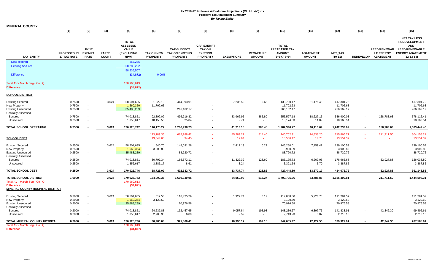|                                                                                                   | (1)                                      | (2)                                                          | (3)                           | (4)                                                                          | (5)                                  | (6)                                                             | (7)                                                                      | (8)                | (9)                               | (10)                                                            | (11)                              | (12)                                  | (13)                     | (14)                                                           | (15)                                                                                                                              |
|---------------------------------------------------------------------------------------------------|------------------------------------------|--------------------------------------------------------------|-------------------------------|------------------------------------------------------------------------------|--------------------------------------|-----------------------------------------------------------------|--------------------------------------------------------------------------|--------------------|-----------------------------------|-----------------------------------------------------------------|-----------------------------------|---------------------------------------|--------------------------|----------------------------------------------------------------|-----------------------------------------------------------------------------------------------------------------------------------|
| <b>TAX ENTITY</b>                                                                                 | <b>PROPOSED FY</b><br><b>17 TAX RATE</b> | <b>FY 17</b><br><b>EXEMPT</b><br><b>RATE</b>                 | <b>PARCEL</b><br><b>COUNT</b> | <b>TOTAL</b><br><b>ASSESSED</b><br><b>VALUE</b><br><b>(EXCLUDING</b><br>NPM) | <b>TAX ON NEW</b><br><b>PROPERTY</b> | <b>CAP-SUBJECT</b><br><b>TAX ON EXISTING</b><br><b>PROPERTY</b> | <b>CAP-EXEMPT</b><br><b>TAX ON</b><br><b>EXISTING</b><br><b>PROPERTY</b> | <b>EXEMPTIONS</b>  | <b>RECAPTURE</b><br><b>AMOUNT</b> | <b>TOTAL</b><br>PREABATED TAX<br><b>AMOUNT</b><br>$(5+6+7-8+9)$ | <b>ABATEMENT</b><br><b>AMOUNT</b> | <b>NET TAX</b><br>$(10-11)$           |                          | <b>LEED/RENEWAB</b><br><b>LE ENERGY</b><br>REDEVELOP ABATEMENT | <b>NET TAX LESS</b><br><b>REDEVELOPMENT</b><br><b>AND</b><br><b>LEED/RENEWABLE</b><br><b>ENERGY ABATEMENT</b><br>$(12 - 13 - 14)$ |
| New secured                                                                                       |                                          |                                                              |                               | 256,285                                                                      |                                      |                                                                 |                                                                          |                    |                                   |                                                                 |                                   |                                       |                          |                                                                |                                                                                                                                   |
| <b>Existing Secured</b>                                                                           |                                          |                                                              |                               | 58,280,222<br>58.536.507                                                     |                                      |                                                                 |                                                                          |                    |                                   |                                                                 |                                   |                                       |                          |                                                                |                                                                                                                                   |
| <b>Difference</b>                                                                                 |                                          |                                                              |                               | (34, 872)                                                                    | $-0.06%$                             |                                                                 |                                                                          |                    |                                   |                                                                 |                                   |                                       |                          |                                                                |                                                                                                                                   |
| Total AV - March Seg - Col. Q<br><b>Difference</b>                                                |                                          |                                                              |                               | 170,960,613<br>(34, 872)                                                     |                                      |                                                                 |                                                                          |                    |                                   |                                                                 |                                   |                                       |                          |                                                                |                                                                                                                                   |
| <b>SCHOOL DISTRICT</b>                                                                            |                                          |                                                              |                               |                                                                              |                                      |                                                                 |                                                                          |                    |                                   |                                                                 |                                   |                                       |                          |                                                                |                                                                                                                                   |
| <b>Existing Secured</b><br><b>New Property</b><br><b>Existing Unsecured</b>                       | 0.7500<br>0.7500<br>0.7500               | $\overline{a}$<br>$\blacksquare$<br>$\overline{\phantom{a}}$ | 3,624                         | 58,501,635<br>1,560,350<br>35,488,289                                        | 1,922.13<br>11,702.63                | 444,093.91<br>266,162.17                                        |                                                                          | 7,236.52           | 0.65                              | 438,780.17<br>11,702.63<br>266,162.17                           | 21,475.45                         | 417,304.72<br>11,702.63<br>266,162.17 |                          |                                                                | 417,304.72<br>11,702.63<br>266,162.17                                                                                             |
| <b>Centrally Assessed</b><br>Secured<br>Unsecured                                                 | 0.7500<br>0.7500                         | $\overline{\phantom{a}}$<br>$\overline{\phantom{a}}$         |                               | 74,018,851<br>1,356,617                                                      | 92,392.02<br>10,158.50               | 496,716.32<br>25.84                                             |                                                                          | 33,966.95<br>9.71  | 385.80<br>$\sim$                  | 555,527.18<br>10,174.63                                         | 18,627.15<br>11.09                | 536,900.03<br>10,163.54               | $\overline{\phantom{a}}$ | 158,783.63                                                     | 378,116.41<br>10,163.54                                                                                                           |
| <b>TOTAL SCHOOL OPERATING</b>                                                                     | 0.7500                                   |                                                              | 3,624                         | 170,925,742                                                                  | 116,175.27                           | 1,206,998.23                                                    |                                                                          | 41,213.18          | 386.45                            | 1,282,346.77                                                    | 40,113.69                         | 1,242,233.09                          | $\overline{\phantom{a}}$ | 158,783.63                                                     | 1,083,449.46                                                                                                                      |
| <b>SCHOOL DEBT</b>                                                                                |                                          |                                                              |                               |                                                                              | 123,189.36<br>13,544.66              | 662,288.42<br>34.45                                             |                                                                          | 45,289.27<br>12.94 | 514.40<br>- 4                     | 740,702.91<br>13,566.17                                         | 24,836.20<br>14.78                | 715,866.71<br>13,551.39               | $\sim$                   | 211,711.50                                                     | 504,155.21<br>13,551.39                                                                                                           |
| <b>Existing Secured</b><br><b>New Property</b><br><b>Existing Unsecured</b>                       | 0.2500<br>0.2500<br>0.2500               | $\overline{\phantom{a}}$<br>$\sim$                           | 3,624                         | 58,501,635<br>1,560,354<br>35,488,289                                        | 640.70<br>3,900.89                   | 148,031.28<br>88,720.72                                         |                                                                          | 2,412.19           | 0.22                              | 146,260.01<br>3,900.89<br>88,720.72                             | 7,159.42                          | 139,100.59<br>3,900.89<br>88,720.72   |                          |                                                                | 139,100.59<br>3,900.89<br>88,720.72                                                                                               |
| <b>Centrally Assessed</b><br>Secured<br>Unsecured                                                 | 0.2500<br>0.2500                         | $\blacksquare$<br>$\overline{\phantom{a}}$                   |                               | 74,018,851<br>1,356,617                                                      | 30,797.34<br>3,386.17                | 165,572.11<br>8.61                                              |                                                                          | 11,322.32<br>3.24  | 128.60<br>$\sim$                  | 185, 175.73<br>3,391.54                                         | 6,209.05<br>3.70                  | 178,966.68<br>3,387.85                | $\blacksquare$           | 52,927.88                                                      | 126,038.80<br>3,387.85                                                                                                            |
| <b>TOTAL SCHOOL DEBT</b>                                                                          | 0.2500                                   |                                                              | 3,624                         | 170,925,746                                                                  | 38,725.09                            | 402,332.72                                                      | $\sim$                                                                   | 13,737.74          | 128.82                            | 427,448.89                                                      | 13,372.17                         | 414,076.72                            | $\sim$                   | 52,927.88                                                      | 361,148.85                                                                                                                        |
| <b>TOTAL SCHOOL DISTRICT</b>                                                                      | 1.0000                                   |                                                              | 3,624                         | 170,925,742                                                                  | 154,900.36                           | 1,609,330.95                                                    |                                                                          | 54,950.92          | 515.27                            | 1,709,795.66                                                    | 53,485.85                         | 1,656,309.81                          | $\sim$                   | 211,711.50                                                     | 1,444,598.31                                                                                                                      |
| Total AV - March Seq - Col. Q<br><b>Difference</b><br>MINERAL COUNTY HOSPITAL DISTRICT            |                                          |                                                              |                               | 170,960,613<br>(34, 871)                                                     |                                      |                                                                 |                                                                          |                    |                                   |                                                                 |                                   |                                       |                          |                                                                |                                                                                                                                   |
| <b>Existing Secured</b><br>New Property<br><b>Existing Unsecured</b><br><b>Centrally Assessed</b> | 0.2000<br>0.2000<br>0.2000               | $\sim$<br>$\sim$<br>$\blacksquare$                           | 3,624                         | 58,501,635<br>1,560,344<br>35,488,289                                        | 512.58<br>3,120.69                   | 118,425.29<br>70,976.58                                         |                                                                          | 1,929.74           | 0.17                              | 117,008.30<br>3,120.69<br>70,976.58                             | 5,726.73                          | 111,281.57<br>3,120.69<br>70,976.58   |                          |                                                                | 111,281.57<br>3,120.69<br>70,976.58                                                                                               |
| Secured<br>Unsecured                                                                              | 0.2000<br>0.2000                         | $\overline{\phantom{a}}$<br>÷,                               |                               | 74,018,851<br>1,356,617                                                      | 24,637.88<br>2,708.93                | 132,457.65<br>6.89                                              |                                                                          | 9,057.84<br>2.59   | 198.98<br>$\sim$                  | 148,236.67<br>2,713.23                                          | 6,397.76<br>3.07                  | 141,838.91<br>2,710.16                |                          | 42,342.30                                                      | 99,496.61<br>2,710.16                                                                                                             |
| TOTAL MINERAL COUNTY HOSPITAL                                                                     | 0.2000                                   |                                                              | 3,624                         | 170,925,736                                                                  | 30,980.08                            | 321,866.41                                                      |                                                                          | 10,990.17          | 199.15                            | 342,055.47                                                      | 12,127.56                         | 329,927.91                            |                          | 42,342.30                                                      | 287,585.61                                                                                                                        |
| Total AV - March Seg - Col. Q<br><b>Difference</b>                                                |                                          |                                                              |                               | 170,960,613<br>(34, 877)                                                     |                                      |                                                                 |                                                                          |                    |                                   |                                                                 |                                   |                                       |                          |                                                                |                                                                                                                                   |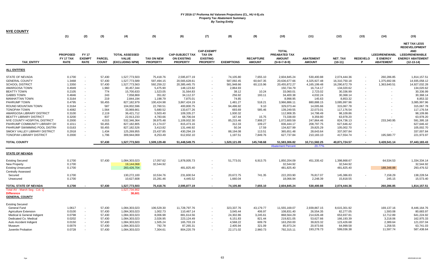| <b>NYE COUNTY</b>                                                                                                                                                                                                                                                                                                                                                                                                                                         |                                                                                                                                                                        |                                                                                                                                                                                                                                                                                                                                  |                                                                                                                                                   |                                                                                                                                                                                                                                                          |                                                                                                                                                                                                                   |                                                                                                                                                                                                                                                   |                                                                          |                                                                                                                                                                                                 |                                                                                                                                                                               |                                                                                                                                                                                                                                                   |                                                                                                                                                                                                                                |                                                                                                                                                                                                                                                |                          |                                                                                      |                                                                                                                                                                                                                                                |
|-----------------------------------------------------------------------------------------------------------------------------------------------------------------------------------------------------------------------------------------------------------------------------------------------------------------------------------------------------------------------------------------------------------------------------------------------------------|------------------------------------------------------------------------------------------------------------------------------------------------------------------------|----------------------------------------------------------------------------------------------------------------------------------------------------------------------------------------------------------------------------------------------------------------------------------------------------------------------------------|---------------------------------------------------------------------------------------------------------------------------------------------------|----------------------------------------------------------------------------------------------------------------------------------------------------------------------------------------------------------------------------------------------------------|-------------------------------------------------------------------------------------------------------------------------------------------------------------------------------------------------------------------|---------------------------------------------------------------------------------------------------------------------------------------------------------------------------------------------------------------------------------------------------|--------------------------------------------------------------------------|-------------------------------------------------------------------------------------------------------------------------------------------------------------------------------------------------|-------------------------------------------------------------------------------------------------------------------------------------------------------------------------------|---------------------------------------------------------------------------------------------------------------------------------------------------------------------------------------------------------------------------------------------------|--------------------------------------------------------------------------------------------------------------------------------------------------------------------------------------------------------------------------------|------------------------------------------------------------------------------------------------------------------------------------------------------------------------------------------------------------------------------------------------|--------------------------|--------------------------------------------------------------------------------------|------------------------------------------------------------------------------------------------------------------------------------------------------------------------------------------------------------------------------------------------|
|                                                                                                                                                                                                                                                                                                                                                                                                                                                           | (1)                                                                                                                                                                    | (2)                                                                                                                                                                                                                                                                                                                              | (3)                                                                                                                                               | (4)                                                                                                                                                                                                                                                      | (5)                                                                                                                                                                                                               | (6)                                                                                                                                                                                                                                               | (7)                                                                      | (8)                                                                                                                                                                                             | (9)                                                                                                                                                                           | (10)                                                                                                                                                                                                                                              | (11)                                                                                                                                                                                                                           | (12)                                                                                                                                                                                                                                           | (13)                     | (14)                                                                                 | (15)                                                                                                                                                                                                                                           |
| <b>TAX ENTITY</b>                                                                                                                                                                                                                                                                                                                                                                                                                                         | <b>PROPOSED</b><br>FY 17 TAX<br><b>RATE</b>                                                                                                                            | <b>FY17</b><br><b>EXEMPT</b><br><b>RATE</b>                                                                                                                                                                                                                                                                                      | <b>PARCEL</b><br><b>COUNT</b>                                                                                                                     | <b>TOTAL ASSESSED</b><br><b>VALUE</b><br>(EXCLUDING NPM)                                                                                                                                                                                                 | <b>TAX ON NEW</b><br><b>PROPERTY</b>                                                                                                                                                                              | <b>CAP-SUBJECT TAX</b><br><b>ON EXISTING</b><br><b>PROPERTY</b>                                                                                                                                                                                   | <b>CAP-EXEMPT</b><br><b>TAX ON</b><br><b>EXISTING</b><br><b>PROPERTY</b> | <b>EXEMPTIONS</b>                                                                                                                                                                               | <b>RECAPTURE</b><br><b>AMOUNT</b>                                                                                                                                             | <b>TOTAL</b><br><b>PREABATED TAX</b><br><b>AMOUNT</b><br>$(5+6+7-8+9)$                                                                                                                                                                            | <b>ABATEMENT</b><br><b>AMOUNT</b>                                                                                                                                                                                              | <b>NET TAX</b><br>$(10-11)$                                                                                                                                                                                                                    | <b>REDEVELO</b><br>Р     | <b>LEED/RENEWABL</b><br><b>E ENERGY</b><br><b>ABATEMENT</b>                          | <b>NET TAX LESS</b><br><b>REDEVELOPMENT</b><br><b>AND</b><br><b>LEED/RENEWABLE</b><br><b>ENERGY ABATEMENT</b><br>(12-13-14)                                                                                                                    |
| <b>ALL ENTITIES</b>                                                                                                                                                                                                                                                                                                                                                                                                                                       |                                                                                                                                                                        |                                                                                                                                                                                                                                                                                                                                  |                                                                                                                                                   |                                                                                                                                                                                                                                                          |                                                                                                                                                                                                                   |                                                                                                                                                                                                                                                   |                                                                          |                                                                                                                                                                                                 |                                                                                                                                                                               |                                                                                                                                                                                                                                                   |                                                                                                                                                                                                                                |                                                                                                                                                                                                                                                |                          |                                                                                      |                                                                                                                                                                                                                                                |
| <b>STATE OF NEVADA</b><br><b>GENERAL COUNTY</b><br><b>SCHOOL DISTRICT</b><br>AMARGOSA TOWN<br><b>BEATTY TOWN</b><br><b>GABBS TOWN</b><br><b>MANHATTAN TOWN</b><br>PAHRUMP TOWN<br>ROUND MOUNTAIN TOWN<br><b>TONOPAH TOWN</b><br>AMARGOSA LIBRARY DISTRICT<br><b>BEATTY LIBRARY DISTRICT</b><br>NYE COUNTY HOSPITAL DISTRICT<br>PAHRUMP COMMUNITY LIBRARY DI:<br>PAHRUMP SWIMMING POOL DISTRI<br>SMOKY VALLEY LIBRARY DISTRICT<br>TONOPAH LIBRARY DISTRICT | 0.1700<br>1.3468<br>1.3350<br>0.4949<br>0.2105<br>0.4846<br>0.3164<br>0.4795<br>0.3164<br>0.4082<br>0.3100<br>0.3200<br>0.2000<br>0.1011<br>0.0163<br>0.2918<br>0.2000 | $\blacksquare$<br>$\overline{\phantom{a}}$<br>$\sim$<br>$\sim$<br>$\sim$<br>$\blacksquare$<br>$\overline{\phantom{a}}$<br>$\overline{\phantom{a}}$<br>$\overline{\phantom{a}}$<br>$\blacksquare$<br>$\overline{\phantom{a}}$<br>$\overline{\phantom{a}}$<br>$\blacksquare$<br>$\blacksquare$<br>$\blacksquare$<br>$\blacksquare$ | 57,430<br>57,430<br>57,430<br>1,960<br>774<br>243<br>219<br>50,455<br>587<br>1,564<br>2,119<br>837<br>4,015<br>50,455<br>50,455<br>1,434<br>1,796 | 1,527,773,503<br>1,527,773,589<br>1,527,773,563<br>30,457,344<br>15,700,633<br>7,058,869<br>2.844.194<br>827,182,979<br>104,002,596<br>33,969,661<br>36,421,712<br>22,913,233<br>532,346,364<br>827,182,805<br>827,182,526<br>125,269,955<br>309,944,069 | 75,418.76<br>597,494.15<br>592,259.22<br>5,475.90<br>1,523.05<br>351.82<br>1,198.79<br>100,424.98<br>22,760.51<br>5,680.52<br>5,503.40<br>4,783.66<br>39,975.48<br>21,174.07<br>3,413.82<br>23,437.85<br>8,253.49 | 2,595,877.19<br>20,565,628.61<br>20,385,445.75<br>148,123.82<br>31,564.83<br>34,112.37<br>7.875.01<br>3,867,424.19<br>400,800.75<br>133,677.26<br>109,335.27<br>68,706.04<br>1,109,932.30<br>815,473.16<br>131,446.92<br>430,294.19<br>612,832.10 | $\sim$<br>$\blacksquare$                                                 | 74,105.80<br>587,092.45<br>581,948.66<br>2,864.93<br>38.12<br>256.92<br>74.85<br>1,481.27<br>94,496.92<br>693.69<br>1,930.32<br>167.44<br>85,215.46<br>312.33<br>50.34<br>88,194.08<br>1,197.51 | 7,655.10<br>60,647.35<br>60,115.96<br>$\sim$<br>10.24<br>193.11<br>$\sim$<br>518.21<br>9.10<br>585.46<br>$\sim$<br>15.75<br>7,908.27<br>109.27<br>17.59<br>113.51<br>7,849.76 | 2,604,845.24<br>20,636,677.66<br>20,455,872.27<br>150,734.79<br>33,060.01<br>34,400.38<br>8.998.95<br>3,966,886.11<br>329,073.44<br>139,249.55<br>112,908.35<br>73,338.00<br>1,072,600.59<br>836,444.17<br>134,827.99<br>365,651.48<br>627,737.84 | 530,400.88<br>4,325,927.48<br>4,165,199.48<br>16,714.17<br>2,723.02<br>4,032.24<br>145.63<br>880,888.15<br>14,005.66<br>22,073.01<br>14,798.49<br>9,359.80<br>247,864.46<br>208,797.75<br>29,825.29<br>28,643.64<br>210,183.10 | 2,074,444.36<br>16,310,750.18<br>16,290,672.79<br>134,020.62<br>30,336.99<br>30,368.14<br>8.853.32<br>3,085,997.96<br>315,067.78<br>117,176.54<br>98,109.86<br>63,978.20<br>824,736.13<br>627,646.42<br>105,002.70<br>337,007.84<br>417,554.74 | $\overline{\phantom{a}}$ | 260,286.85<br>1,375,692.06<br>1,363,640.51<br>233,340.95<br>$\sim$<br>195,580.77     | 1,814,157.51<br>14,935,058.12<br>14,927,032.28<br>134,020.62<br>30,336.99<br>30,368.14<br>8.853.32<br>3,085,997.96<br>315,067.78<br>117,176.54<br>98,109.86<br>63,978.20<br>591,395.18<br>627,646.42<br>105,002.70<br>337,007.84<br>221,973.97 |
| <b>TOTAL COUNTY</b>                                                                                                                                                                                                                                                                                                                                                                                                                                       |                                                                                                                                                                        |                                                                                                                                                                                                                                                                                                                                  | 57,430                                                                                                                                            | 1,527,773,503                                                                                                                                                                                                                                            | 1,509,129.48                                                                                                                                                                                                      | 51,448,549.75                                                                                                                                                                                                                                     |                                                                          | 1,520,121.09                                                                                                                                                                                    | 145,748.68                                                                                                                                                                    | 51,583,306.82<br><b>Abatement Percent</b>                                                                                                                                                                                                         | 10,711,582.25<br>20.77%                                                                                                                                                                                                        | 40,871,724.57                                                                                                                                                                                                                                  |                          | 3,428,541.14                                                                         | 37,443,183.43                                                                                                                                                                                                                                  |
| <b>STATE OF NEVADA</b>                                                                                                                                                                                                                                                                                                                                                                                                                                    |                                                                                                                                                                        |                                                                                                                                                                                                                                                                                                                                  |                                                                                                                                                   |                                                                                                                                                                                                                                                          |                                                                                                                                                                                                                   |                                                                                                                                                                                                                                                   |                                                                          |                                                                                                                                                                                                 |                                                                                                                                                                               |                                                                                                                                                                                                                                                   |                                                                                                                                                                                                                                |                                                                                                                                                                                                                                                |                          |                                                                                      |                                                                                                                                                                                                                                                |
| <b>Existing Secured</b><br>New Property<br><b>Existing Unsecured</b><br><b>Centrally Assessed</b><br>Secured<br>Unsecured                                                                                                                                                                                                                                                                                                                                 | 0.1700<br>0.1700<br>0.1700<br>0.1700<br>0.1700                                                                                                                         |                                                                                                                                                                                                                                                                                                                                  | 57,430                                                                                                                                            | 1,084,303,023<br>19,144,068<br>283,426,704<br>130,272,100<br>10,627,608                                                                                                                                                                                  | 17,057.62<br>32,544.92<br>10,534.76<br>15,281.46                                                                                                                                                                  | 1,878,005.73<br>481,825.40<br>231,600.54<br>4,445.52                                                                                                                                                                                              | $\blacksquare$<br>$\overline{\phantom{a}}$                               | 51,773.01<br>20,672.75<br>1,660.04                                                                                                                                                              | 6,913.75<br>741.35<br>$\sim$                                                                                                                                                  | 1,850,204.09<br>32,544.92<br>481,825.40<br>222,203.90<br>18,066.94                                                                                                                                                                                | 451,335.42<br>76,817.07<br>2,248.39                                                                                                                                                                                            | 1,398,868.67<br>32,544.92<br>481,825.40<br>145,386.83<br>15,818.55                                                                                                                                                                             |                          | 64,534.53<br>188,348.88<br>7,158.29<br>245.15                                        | 1,334,334.14<br>32,544.92<br>293,476.52<br>138,228.54<br>15,573.40                                                                                                                                                                             |
| TOTAL STATE OF NEVADA                                                                                                                                                                                                                                                                                                                                                                                                                                     | 0.1700                                                                                                                                                                 |                                                                                                                                                                                                                                                                                                                                  | 57,430                                                                                                                                            | 1,527,773,503                                                                                                                                                                                                                                            | 75,418.76                                                                                                                                                                                                         | 2,595,877.19                                                                                                                                                                                                                                      |                                                                          | 74,105.80                                                                                                                                                                                       | 7,655.10                                                                                                                                                                      | 2,604,845.24                                                                                                                                                                                                                                      | 530,400.88                                                                                                                                                                                                                     | 2,074,444.36                                                                                                                                                                                                                                   |                          | 260,286.85                                                                           | 1,814,157.51                                                                                                                                                                                                                                   |
| Total AV - March Seg - Col. Q<br><b>Difference</b><br><b>GENERAL COUNTY</b>                                                                                                                                                                                                                                                                                                                                                                               |                                                                                                                                                                        |                                                                                                                                                                                                                                                                                                                                  |                                                                                                                                                   | 1,527,734,902<br>38,601                                                                                                                                                                                                                                  |                                                                                                                                                                                                                   |                                                                                                                                                                                                                                                   |                                                                          |                                                                                                                                                                                                 |                                                                                                                                                                               |                                                                                                                                                                                                                                                   |                                                                                                                                                                                                                                |                                                                                                                                                                                                                                                |                          |                                                                                      |                                                                                                                                                                                                                                                |
| <b>Existing Secured</b><br>General Fund<br><b>Agriculture Extension</b><br>Medical & General Indigent<br>Dedicated Co. Medical<br>Auto Accident Indigent<br>Museum<br>Juvenile Probation                                                                                                                                                                                                                                                                  | 1.0617<br>0.0100<br>0.0798<br>0.0202<br>0.0150<br>0.0079<br>0.0728                                                                                                     | $\sim$<br>$\overline{\phantom{a}}$<br>$\sim$<br>$\sim$<br>$\blacksquare$                                                                                                                                                                                                                                                         | 57,430<br>57,430<br>57,430<br>57,430<br>57,430<br>57,430<br>57.430                                                                                | 1,084,303,023<br>1,084,303,023<br>1,084,303,023<br>1,084,303,023<br>1,084,303,023<br>1,084,303,023<br>1,084,303,023                                                                                                                                      | 106,529.30<br>1,002.73<br>8,006.98<br>2,026.95<br>1,505.24<br>792.78<br>7,304.61                                                                                                                                  | 11,728,797.76<br>110,467.14<br>881,614.56<br>223,124.49<br>165,703.19<br>87,265.31<br>804,220.79                                                                                                                                                  |                                                                          | 323,337.76<br>3,045.44<br>24,302.86<br>6,151.83<br>4,568.22<br>2,405.94<br>22,171.02                                                                                                            | 43,179.77<br>406.97<br>3,245.61<br>821.44<br>609.79<br>321.09<br>2,960.73                                                                                                     | 11,555,169.07<br>108,831.40<br>868,564.29<br>219,821.05<br>163,250.00<br>85,973.24<br>792,315.11                                                                                                                                                  | 2,939,867.15<br>26,554.35<br>214,626.48<br>53,627.66<br>39,823.32<br>20,973.66<br>193,278.73                                                                                                                                   | 8,615,301.92<br>82,277.05<br>653,937.81<br>166,193.39<br>123,426.68<br>64,999.58<br>599,036.38                                                                                                                                                 |                          | 169,137.16<br>1,593.08<br>12,712.89<br>3,218.06<br>2,389.64<br>1,258.55<br>11,597.74 | 8,446,164.76<br>80,683.97<br>641,224.92<br>162,975.33<br>121,037.04<br>63,741.03<br>587,438.64                                                                                                                                                 |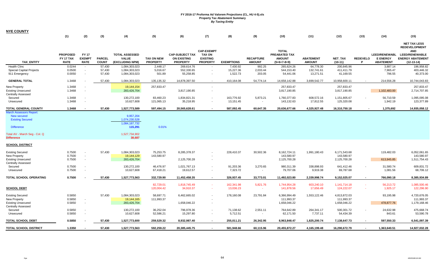| <b>NYE COUNTY</b>                                                                                                              |                                                |                                              |                               |                                                                         |                                      |                                                                 |                                                                          |                         |                                   |                                                                       |                                        |                                                                       |                      |                                                             |                                                                                                                                   |
|--------------------------------------------------------------------------------------------------------------------------------|------------------------------------------------|----------------------------------------------|-------------------------------|-------------------------------------------------------------------------|--------------------------------------|-----------------------------------------------------------------|--------------------------------------------------------------------------|-------------------------|-----------------------------------|-----------------------------------------------------------------------|----------------------------------------|-----------------------------------------------------------------------|----------------------|-------------------------------------------------------------|-----------------------------------------------------------------------------------------------------------------------------------|
|                                                                                                                                | (1)                                            | (2)                                          | (3)                           | (4)                                                                     | (5)                                  | (6)                                                             | (7)                                                                      | (8)                     | (9)                               | (10)                                                                  | (11)                                   | (12)                                                                  | (13)                 | (14)                                                        | (15)                                                                                                                              |
| <b>TAX ENTITY</b>                                                                                                              | <b>PROPOSED</b><br>FY 17 TAX<br><b>RATE</b>    | <b>FY 17</b><br><b>EXEMPT</b><br><b>RATE</b> | <b>PARCEL</b><br><b>COUNT</b> | <b>TOTAL ASSESSED</b><br><b>VALUE</b><br>(EXCLUDING NPM)                | <b>TAX ON NEW</b><br><b>PROPERTY</b> | <b>CAP-SUBJECT TAX</b><br><b>ON EXISTING</b><br><b>PROPERTY</b> | <b>CAP-EXEMPT</b><br><b>TAX ON</b><br><b>EXISTING</b><br><b>PROPERTY</b> | <b>EXEMPTIONS</b>       | <b>RECAPTURE</b><br><b>AMOUNT</b> | <b>TOTAL</b><br>PREABATED TAX<br><b>AMOUNT</b><br>$(5+6+7-8+9)$       | <b>ABATEMENT</b><br><b>AMOUNT</b>      | <b>NET TAX</b><br>$(10-11)$                                           | <b>REDEVELO</b><br>P | <b>LEED/RENEWABL</b><br><b>E ENERGY</b><br><b>ABATEMENT</b> | <b>NET TAX LESS</b><br><b>REDEVELOPMENT</b><br><b>AND</b><br><b>LEED/RENEWABLE</b><br><b>ENERGY ABATEMENT</b><br>$(12 - 13 - 14)$ |
| <b>Health Clinc</b><br>Special Capital Projects                                                                                | 0.0244<br>0.0500                               | $\sim$                                       | 57,430<br>57,430              | 1,084,303,023<br>1,084,303,023                                          | 2,448.17<br>5,016.67                 | 269,614.76<br>552,330.65                                        |                                                                          | 7,430.92<br>15,227.36   | 992.25<br>2,033.44                | 265,624.26<br>544,153.40                                              | 64,778.30<br>132,741.61                | 200,845.96<br>411,411.79                                              |                      | 3,887.14<br>7,965.47                                        | 196,958.82<br>403,446.32                                                                                                          |
| 911 Emergency                                                                                                                  | 0.0050                                         | $\sim$                                       | 57,430                        | 1,084,303,023                                                           | 501.89                               | 55,258.85                                                       | $\sim$                                                                   | 1,522.73                | 203.05                            | 54,441.06                                                             | 13,271.51                              | 41,169.55                                                             |                      | 796.55                                                      | 40,373.00                                                                                                                         |
| <b>GENERAL TOTAL</b>                                                                                                           | 1.3468                                         |                                              | 57,430                        | 1,084,303,023                                                           | 135,135.32                           | 14,878,397.50                                                   | $\sim$                                                                   | 410,164.08              | 54,774.14                         | 14,658,142.88                                                         | 3,699,542.77                           | 10,958,600.11                                                         |                      | 214,556.28                                                  | 10,744,043.83                                                                                                                     |
| New Property<br><b>Existing Unsecured</b><br><b>Centrally Assessed</b>                                                         | 1.3468<br>1.3468                               |                                              |                               | 19,144,154<br>283,426,704                                               | 257,833.47                           | 3,817,190.85                                                    | $\sim$                                                                   |                         |                                   | 257,833.47<br>3,817,190.85                                            |                                        | 257,833.47<br>3,817,190.85                                            |                      | 1,102,483.00                                                | 257,833.47<br>2,714,707.85                                                                                                        |
| Secured<br>Unsecured                                                                                                           | 1.3468<br>1.3468                               |                                              |                               | 130,272,100<br>10,627,608                                               | 83,460.23<br>121,065.13              | 1,834,821.31<br>35,218.95                                       | $\overline{\phantom{a}}$                                                 | 163,776.92<br>13,151.45 | 5,873.21<br>$\sim$                | 1,760,377.83<br>143,132.63                                            | 608,572.16<br>17,812.55                | 1,151,805.67<br>125,320.08                                            |                      | 56,710.59<br>1,942.19                                       | 1,095,095.08<br>123,377.89                                                                                                        |
| TOTAL GENERAL COUNTY                                                                                                           | 1.3468                                         |                                              | 57,430                        | 1,527,773,589                                                           | 597,494.15                           | 20,565,628.61                                                   | $\sim$                                                                   | 587,092.45              | 60,647.35                         | 20,636,677.66                                                         | 4,325,927.48                           | 16,310,750.18                                                         |                      | 1,375,692                                                   | 14,935,058.12                                                                                                                     |
| <b>March Assessors Report:</b><br>New secured<br><b>Existing Secured</b><br><b>Difference</b><br>Total AV - March Seg - Col. Q |                                                |                                              |                               | 9.957.204<br>1,074,230,528<br>1,084,187,732<br>115,291<br>1,527,734,902 | 0.01%                                |                                                                 |                                                                          |                         |                                   |                                                                       |                                        |                                                                       |                      |                                                             |                                                                                                                                   |
| <b>Difference</b>                                                                                                              |                                                |                                              |                               | 38,687                                                                  |                                      |                                                                 |                                                                          |                         |                                   |                                                                       |                                        |                                                                       |                      |                                                             |                                                                                                                                   |
| <b>SCHOOL DISTRICT</b>                                                                                                         |                                                |                                              |                               |                                                                         |                                      |                                                                 |                                                                          |                         |                                   |                                                                       |                                        |                                                                       |                      |                                                             |                                                                                                                                   |
| <b>Existing Secured</b><br>New Property<br><b>Existing Unsecured</b><br><b>Centrally Assessed</b><br>Secured                   | 0.7500<br>0.7500<br>0.7500<br>0.7500<br>0.7500 | $\sim$<br>$\sim$                             | 57,430                        | 1,084,303,023<br>19,144,129<br>283,426,704<br>130,272,100<br>10,627,608 | 75,253.75<br>143,580.97<br>46,476.97 | 8,285,378.37<br>2,125,700.28<br>1,021,767.13                    | $\sim$<br>$\sim$                                                         | 228,410.37<br>91,203.36 | 30,502.36<br>3,270.65             | 8,162,724.11<br>143,580.97<br>2,125,700.28<br>980,311.39<br>79,707.06 | 1,991,180.43<br>338,898.93<br>9,919.38 | 6,171,543.68<br>143,580.97<br>2,125,700.28<br>641,412.46<br>69,787.68 |                      | 119,482.03<br>613,945.85<br>31,580.74                       | 6,052,061.65<br>143,580.97<br>1,511,754.43<br>609,831.72<br>68,706.12                                                             |
| Unsecured                                                                                                                      |                                                |                                              |                               |                                                                         | 67,418.21                            | 19,612.57                                                       | $\overline{\phantom{a}}$                                                 | 7,323.72                | $\sim$                            |                                                                       |                                        |                                                                       |                      | 1,081.56                                                    |                                                                                                                                   |
| TOTAL SCHOOL OPERATING                                                                                                         | 0.7500                                         |                                              | 57,430                        | 1,527,773,563                                                           | 332,729.90                           | 11,452,458.35                                                   | $\sim$                                                                   | 326,937.45              | 33,773.01                         | 11,492,023.80                                                         | 2,339,998.74                           | 9,152,025.07                                                          |                      | 766,090.18                                                  | 8,385,934.89                                                                                                                      |
| <b>SCHOOL DEBT</b>                                                                                                             |                                                |                                              |                               |                                                                         | 82,729.01<br>120,004.42              | 1,818,745.49<br>34,910.37                                       |                                                                          | 162,341.98<br>13,036.23 | 5,821.76<br>$\sim$                | 1,744,954.28<br>141,878.56                                            | 603,240.10<br>17,656.49                | 1,141,714.18<br>124,222.07                                            |                      | 56,213.72<br>1,925.17                                       | 1,085,500.46<br>122,296.90                                                                                                        |
| <b>Existing Secured</b><br>New Property<br><b>Existing Unsecured</b><br><b>Centrally Assessed</b><br>Secured                   | 0.5850<br>0.5850<br>0.5850<br>0.5850           | $\sim$                                       | 57,430                        | 1,084,303,023<br>19,144,165<br>283,426,704<br>130,272,100               | 58,697.71<br>111,993.37<br>36,252.04 | 6,462,665.02<br>1,658,046.22<br>796,978.36                      | $\overline{\phantom{a}}$                                                 | 178,160.08<br>71,138.62 | 23,791.84<br>2,551.11             | 6,366,994.49<br>111,993.37<br>1,658,046.22<br>764,642.89              | 1,553,122.46<br>264,341.17             | 4,813,872.03<br>111,993.37<br>1,658,046.22<br>500,301.72              |                      | 93,195.98<br>478,877.76<br>24,632.98                        | 4,720,676.05<br>111,993.37<br>1,179,168.46<br>475,668.74                                                                          |
| Unsecured                                                                                                                      | 0.5850                                         | $\sim$                                       |                               | 10,627,608                                                              | 52,586.21                            | 15,297.80                                                       | $\overline{\phantom{a}}$                                                 | 5,712.51                | $\sim$                            | 62,171.50                                                             | 7,737.11                               | 54,434.39                                                             |                      | 843.61                                                      | 53,590.78                                                                                                                         |
| TOTAL SCHOOL DEBT                                                                                                              | 0.5850                                         |                                              | 57,430                        | 1,527,773,600                                                           | 259,529.32                           | 8,932,987.40                                                    | $\sim$                                                                   | 255,011.21              | 26,342.95                         | 8,963,848.47                                                          | 1,825,200.74                           | 7,138,647.73                                                          |                      | 597,550.33                                                  | 6,541,097.39                                                                                                                      |
| TOTAL SCHOOL DISTRICT                                                                                                          | 1.3350                                         |                                              | 57,430                        | 1,527,773,563                                                           | 592,259.22                           | 20,385,445.75                                                   |                                                                          | 581,948.66              | 60,115.96                         | 20,455,872.27                                                         | 4,165,199.48                           | 16,290,672.79                                                         |                      | 1,363,640.51                                                | 14,927,032.28                                                                                                                     |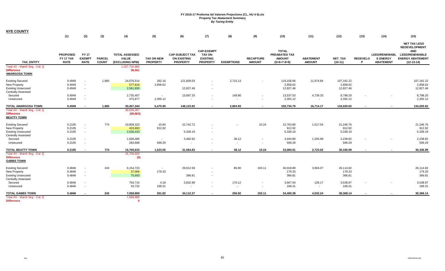| <b>NYE COUNTY</b>                                                                                        |                                             |                                              |                               |                                                                           |                                      |                                                                 |                                                                          |                                    |                                                      |                                                                 |                                   |                                     |                      |                                                             |                                                                                                                        |
|----------------------------------------------------------------------------------------------------------|---------------------------------------------|----------------------------------------------|-------------------------------|---------------------------------------------------------------------------|--------------------------------------|-----------------------------------------------------------------|--------------------------------------------------------------------------|------------------------------------|------------------------------------------------------|-----------------------------------------------------------------|-----------------------------------|-------------------------------------|----------------------|-------------------------------------------------------------|------------------------------------------------------------------------------------------------------------------------|
|                                                                                                          | (1)                                         | (2)                                          | (3)                           | (4)                                                                       | (5)                                  | (6)                                                             | (7)                                                                      | (8)                                | (9)                                                  | (10)                                                            | (11)                              | (12)                                | (13)                 | (14)                                                        | (15)                                                                                                                   |
| <b>TAX ENTITY</b><br>Total AV - March Seg - Col. Q                                                       | <b>PROPOSED</b><br>FY 17 TAX<br><b>RATE</b> | <b>FY 17</b><br><b>EXEMPT</b><br><b>RATE</b> | <b>PARCEL</b><br><b>COUNT</b> | <b>TOTAL ASSESSED</b><br><b>VALUE</b><br>(EXCLUDING NPM)<br>1,527,734,902 | <b>TAX ON NEW</b><br><b>PROPERTY</b> | <b>CAP-SUBJECT TAX</b><br><b>ON EXISTING</b><br><b>PROPERTY</b> | <b>CAP-EXEMPT</b><br><b>TAX ON</b><br><b>EXISTING</b><br><b>PROPERTY</b> | <b>EXEMPTIONS</b>                  | <b>RECAPTURE</b><br><b>AMOUNT</b>                    | <b>TOTAL</b><br>PREABATED TAX<br><b>AMOUNT</b><br>$(5+6+7-8+9)$ | <b>ABATEMENT</b><br><b>AMOUNT</b> | <b>NET TAX</b><br>$(10-11)$         | <b>REDEVELO</b><br>P | <b>LEED/RENEWABL</b><br><b>E ENERGY</b><br><b>ABATEMENT</b> | <b>NET TAX LESS</b><br><b>REDEVELOPMENT</b><br><b>AND</b><br>LEED/RENEWABLE<br><b>ENERGY ABATEMENT</b><br>$(12-13-14)$ |
| <b>Difference</b><br><b>AMARGOSA TOWN</b>                                                                |                                             |                                              |                               | 38,661                                                                    |                                      |                                                                 |                                                                          |                                    |                                                      |                                                                 |                                   |                                     |                      |                                                             |                                                                                                                        |
| <b>Existing Secured</b><br>New Property<br><b>Existing Unsecured</b><br><b>Centrally Assessed</b>        | 0.4949<br>0.4949<br>0.4949                  | $\sim$<br>$\sim$<br>$\sim$                   | 1,960                         | 24,076,514<br>577,616<br>2,591,930                                        | 262.16<br>2,858.62                   | 121,609.03<br>12,827.46                                         | $\sim$                                                                   | 2,715.13                           |                                                      | 119,156.06<br>2,858.62<br>12,827.46                             | 11,974.84                         | 107,181.22<br>2,858.62<br>12,827.46 |                      |                                                             | 107,181.22<br>2,858.62<br>12,827.46                                                                                    |
| Secured<br>Unsecured                                                                                     | 0.4949<br>0.4949                            | $\sim$<br>$\sim$                             |                               | 2,735,407<br>475,877                                                      | $\sim$<br>2,355.12                   | 13,687.33<br>$\overline{\phantom{a}}$                           | $\sim$                                                                   | 149.80<br>$\overline{\phantom{a}}$ | $\blacksquare$<br>$\overline{\phantom{a}}$           | 13,537.53<br>2,355.12                                           | 4,739.33<br>$\sim$                | 8,798.20<br>2,355.12                |                      |                                                             | 8,798.20<br>2,355.12                                                                                                   |
| <b>TOTAL AMARGOSA TOWN</b>                                                                               | 0.4949                                      |                                              | 1,960                         | 30,457,344                                                                | 5,475.90                             | 148,123.82                                                      |                                                                          | 2,864.93                           | $\overline{\phantom{a}}$                             | 150,734.79                                                      | 16,714.17                         | 134,020.62                          | $\blacksquare$       |                                                             | 134,020.62                                                                                                             |
| Total AV - March Seg - Col. Q<br><b>Difference</b><br><b>BEATTY TOWN</b>                                 |                                             |                                              |                               | 30,526,207<br>(68, 863)                                                   |                                      |                                                                 |                                                                          |                                    |                                                      |                                                                 |                                   |                                     |                      |                                                             |                                                                                                                        |
| <b>Existing Secured</b><br>New Property<br><b>Existing Unsecured</b><br><b>Centrally Assessed</b>        | 0.2105<br>0.2105<br>0.2105                  | $\sim$<br>$\sim$<br>$\sim$                   | 774                           | 10,809,323<br>433,693<br>2,536,433                                        | 10.84<br>912.92                      | 22,742.72<br>5,339.19                                           | $\sim$                                                                   |                                    | 10.24                                                | 22,763.80<br>912.92<br>5,339.19                                 | 1,517.04                          | 21,246.76<br>912.92<br>5,339.19     |                      |                                                             | 21,246.76<br>912.92<br>5,339.19                                                                                        |
| Secured<br>Unsecured                                                                                     | 0.2105<br>0.2105                            | $\sim$<br>$\overline{\phantom{a}}$           |                               | 1,636,485<br>284,698                                                      | $\sim$<br>599.29                     | 3,482.92<br>$\sim$                                              |                                                                          | 38.12<br>$\sim$                    | $\overline{\phantom{a}}$<br>$\overline{\phantom{a}}$ | 3,444.80<br>599.29                                              | 1,205.98<br>$\sim$                | 2,238.82<br>599.29                  |                      |                                                             | 2,238.82<br>599.29                                                                                                     |
| <b>TOTAL BEATTY TOWN</b>                                                                                 | 0.2105                                      |                                              | 774                           | 15,700,633                                                                | 1,523.05                             | 31,564.83                                                       |                                                                          | 38.12                              | 10.24                                                | 33,060.01                                                       | 2.723.02                          | 30,336.99                           |                      |                                                             | 30,336.99                                                                                                              |
| Total AV - March Seg - Col. Q<br><b>Difference</b><br><b>GABBS TOWN</b>                                  |                                             |                                              |                               | 15,700,633<br>(0)                                                         |                                      |                                                                 |                                                                          |                                    |                                                      |                                                                 |                                   |                                     |                      |                                                             |                                                                                                                        |
| <b>Existing Secured</b><br><b>New Property</b><br><b>Existing Unsecured</b><br><b>Centrally Assessed</b> | 0.4846<br>0.4846<br>0.4846                  | $\overline{\phantom{a}}$<br>$\sim$<br>$\sim$ | 243                           | 6,154,723<br>37,006<br>75,693                                             | $\sim$<br>179.33                     | 29,912.58<br>366.81                                             | $\sim$                                                                   | 86.80                              | 193.11                                               | 30,018.89<br>179.33<br>366.81                                   | 3,904.07                          | 26,114.82<br>179.33<br>366.81       |                      |                                                             | 26,114.82<br>179.33<br>366.81                                                                                          |
| Secured<br>Unsecured                                                                                     | 0.4846<br>0.4846                            | $\overline{\phantom{a}}$<br>$\sim$           |                               | 756,715<br>34,732                                                         | 4.18<br>168.31                       | 3,832.98<br>$\sim$                                              |                                                                          | 170.12<br>$\sim$                   | $\overline{\phantom{a}}$<br>$\sim$                   | 3,667.04<br>168.31                                              | 128.17<br>$\sim$                  | 3,538.87<br>168.31                  |                      |                                                             | 3,538.87<br>168.31                                                                                                     |
| <b>TOTAL GABBS TOWN</b>                                                                                  | 0.4846                                      | $\sim$                                       | 243                           | 7,058,869                                                                 | 351.82                               | 34,112.37                                                       |                                                                          | 256.92                             | 193.11                                               | 34,400.38                                                       | 4,032.24                          | 30,368.14                           |                      |                                                             | 30,368.14                                                                                                              |
| Total AV - March Seg - Col. Q<br><b>Difference</b>                                                       |                                             |                                              |                               | 7,058,869<br>$\Omega$                                                     |                                      |                                                                 |                                                                          |                                    |                                                      |                                                                 |                                   |                                     |                      |                                                             |                                                                                                                        |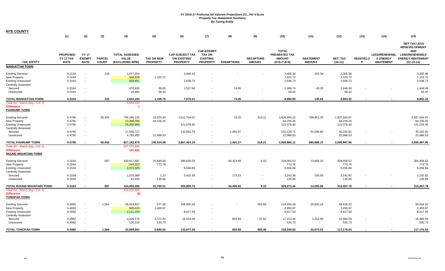| <b>NYE COUNTY</b>                                      |                                             |                                             |                               |                                                          |                                      |                                                                 |                                                     |                          |                                   |                                                 |                                   |                      |                      |                                                             | (15)                                                             |
|--------------------------------------------------------|---------------------------------------------|---------------------------------------------|-------------------------------|----------------------------------------------------------|--------------------------------------|-----------------------------------------------------------------|-----------------------------------------------------|--------------------------|-----------------------------------|-------------------------------------------------|-----------------------------------|----------------------|----------------------|-------------------------------------------------------------|------------------------------------------------------------------|
|                                                        | (1)                                         | (2)                                         | (3)                           | (4)                                                      | (5)                                  | (6)                                                             | (7)                                                 | (8)                      | (9)                               | (10)                                            | (11)                              | (12)                 | (13)                 | (14)                                                        |                                                                  |
|                                                        |                                             |                                             |                               |                                                          |                                      |                                                                 | <b>CAP-EXEMPT</b>                                   |                          |                                   | <b>TOTAL</b>                                    |                                   |                      |                      |                                                             | <b>NET TAX LESS</b><br><b>REDEVELOPMENT</b><br><b>AND</b>        |
| <b>TAX ENTITY</b>                                      | <b>PROPOSED</b><br>FY 17 TAX<br><b>RATE</b> | <b>FY17</b><br><b>EXEMPT</b><br><b>RATE</b> | <b>PARCEL</b><br><b>COUNT</b> | <b>TOTAL ASSESSED</b><br><b>VALUE</b><br>(EXCLUDING NPM) | <b>TAX ON NEW</b><br><b>PROPERTY</b> | <b>CAP-SUBJECT TAX</b><br><b>ON EXISTING</b><br><b>PROPERTY</b> | <b>TAX ON</b><br><b>EXISTING</b><br><b>PROPERTY</b> | <b>EXEMPTIONS</b>        | <b>RECAPTURE</b><br><b>AMOUNT</b> | PREABATED TAX<br><b>AMOUNT</b><br>$(5+6+7-8+9)$ | <b>ABATEMENT</b><br><b>AMOUNT</b> | NET_TAX<br>$(10-11)$ | <b>REDEVELO</b><br>P | <b>LEED/RENEWABL</b><br><b>E ENERGY</b><br><b>ABATEMENT</b> | <b>LEED/RENEWABLE</b><br><b>ENERGY ABATEMENT</b><br>$(12-13-14)$ |
| <b>MANHATTAN TOWN</b>                                  |                                             |                                             |                               |                                                          |                                      |                                                                 |                                                     |                          |                                   |                                                 |                                   |                      |                      |                                                             |                                                                  |
|                                                        |                                             |                                             |                               |                                                          |                                      |                                                                 |                                                     |                          |                                   |                                                 |                                   |                      |                      |                                                             |                                                                  |
| <b>Existing Secured</b><br>New Property                | 0.3164<br>0.3164                            | $\sim$<br>$\sim$                            | 219                           | 1,077,254<br>348,838                                     | $\sim$<br>1,103.72                   | 3,408.34                                                        |                                                     |                          |                                   | 3,408.34<br>1,103.72                            | 102.38                            | 3,305.96<br>1,103.72 |                      |                                                             | 3,305.96<br>1,103.72                                             |
| <b>Existing Unsecured</b>                              | 0.3164                                      | $\sim$                                      |                               | 928,801                                                  |                                      | 2,938.73                                                        |                                                     |                          |                                   | 2,938.73                                        |                                   | 2,938.73             |                      |                                                             | 2,938.73                                                         |
| <b>Centrally Assessed</b>                              |                                             |                                             |                               |                                                          |                                      |                                                                 |                                                     |                          |                                   |                                                 |                                   |                      |                      |                                                             |                                                                  |
| Secured                                                | 0.3164                                      | $\sim$                                      |                               | 470,836                                                  | 36.65                                | 1,527.94                                                        |                                                     | 74.85                    |                                   | 1,489.74                                        | 43.25                             | 1,446.49             |                      |                                                             | 1,446.49                                                         |
| Unsecured                                              | 0.3164                                      | $\sim$                                      |                               | 18,464                                                   | 58.42                                | $\sim$                                                          |                                                     | $\sim$                   |                                   | 58.42                                           | $\sim$                            | 58.42                |                      |                                                             | 58.42                                                            |
| TOTAL MANHATTAN TOWN                                   | 0.3164                                      | $\overline{\phantom{a}}$                    | 219                           | 2,844,194                                                | 1.198.79                             | 7,875.01                                                        |                                                     | 74.85                    |                                   | 8,998.95                                        | 145.63                            | 8,853.32             |                      |                                                             | 8,853.32                                                         |
| Total AV - March Seg - Col. Q                          |                                             |                                             |                               | 2,844,193                                                |                                      |                                                                 |                                                     |                          |                                   |                                                 |                                   |                      |                      |                                                             |                                                                  |
| <b>Difference</b>                                      |                                             |                                             |                               |                                                          |                                      |                                                                 |                                                     |                          |                                   |                                                 |                                   |                      |                      |                                                             |                                                                  |
| <b>PAHRUMP TOWN</b>                                    |                                             |                                             |                               |                                                          |                                      |                                                                 |                                                     |                          |                                   |                                                 |                                   |                      |                      |                                                             |                                                                  |
| <b>Existing Secured</b>                                | 0.4795                                      | $\overline{\phantom{a}}$                    | 50,455                        | 756,186,130                                              | 13,203.20                            | 3,612,754.01                                                    |                                                     | 19.20                    | 518.21                            | 3,626,456.22                                    | 788,951.25                        | 2,837,504.97         |                      |                                                             | 2,837,504.97                                                     |
| New Property                                           | 0.4795                                      | $\sim$                                      |                               | 13,396,298                                               | 64,235.25                            |                                                                 |                                                     |                          |                                   | 64,235.25                                       |                                   | 64,235.25            |                      |                                                             | 64,235.25                                                        |
| <b>Existing Unsecured</b>                              | 0.4795                                      | $\sim$                                      |                               | 25,250,969                                               |                                      | 121,078.40                                                      |                                                     |                          |                                   | 121,078.40                                      |                                   | 121,078.40           |                      |                                                             | 121,078.40                                                       |
| <b>Centrally Assessed</b>                              |                                             |                                             |                               |                                                          |                                      |                                                                 |                                                     |                          |                                   |                                                 |                                   |                      |                      |                                                             |                                                                  |
| Secured                                                | 0.4795                                      | $\sim$                                      |                               | 27,555,727                                               | $\sim$                               | 133,591.78                                                      |                                                     | 1,462.07                 | $\overline{\phantom{a}}$          | 132,129.71                                      | 91,936.90                         | 40,192.81            |                      |                                                             | 40,192.81                                                        |
| Unsecured                                              | 0.4795                                      | $\overline{\phantom{a}}$                    |                               | 4,793,855                                                | 22,986.53                            |                                                                 |                                                     | $\sim$                   |                                   | 22,986.53                                       | $\sim$                            | 22,986.53            |                      |                                                             | 22,986.53                                                        |
| <b>TOTAL PAHRUMP TOWN</b>                              | 0.4795                                      |                                             | 50,455                        | 827,182,979                                              | 100,424.98                           | 3,867,424.19                                                    |                                                     | 1,481.27                 | 518.21                            | 3,966,886.11                                    | 880,888.15                        | 3,085,997.96         |                      |                                                             | 3,085,997.96                                                     |
| Total AV - March Seg - Col. Q                          |                                             |                                             |                               | 827,075,546                                              |                                      |                                                                 |                                                     |                          |                                   |                                                 |                                   |                      |                      |                                                             |                                                                  |
| <b>Difference</b><br><b>ROUND MOUNTAIN TOWN</b>        |                                             |                                             |                               | 107,433                                                  |                                      |                                                                 |                                                     |                          |                                   |                                                 |                                   |                      |                      |                                                             |                                                                  |
|                                                        |                                             |                                             |                               |                                                          |                                      |                                                                 |                                                     |                          |                                   |                                                 |                                   |                      |                      |                                                             |                                                                  |
| <b>Existing Secured</b>                                | 0.3164                                      | $\overline{\phantom{a}}$                    | 587                           | 100,617,697                                              | 21,849.68                            | 390,828.53                                                      |                                                     | 94,323.69                | 9.10                              | 318,363.62                                      | 13,905.10                         | 304,458.52           |                      |                                                             | 304,458.52                                                       |
| New Property                                           | 0.3164                                      | $\sim$                                      |                               | 244,553                                                  | 773.76                               |                                                                 |                                                     |                          |                                   | 773.76                                          |                                   | 773.76               |                      |                                                             | 773.76                                                           |
| <b>Existing Unsecured</b>                              | 0.3164                                      | $\sim$                                      |                               | 2,072,325                                                |                                      | 6,556.84                                                        |                                                     |                          |                                   | 6,556.84                                        |                                   | 6,556.84             |                      |                                                             | 6,556.84                                                         |
| <b>Centrally Assessed</b>                              | 0.3164                                      | $\sim$                                      |                               | 1,025,088                                                | 1.23                                 | 3,415.38                                                        |                                                     | 173.23                   | $\overline{\phantom{a}}$          | 3,243.38                                        | 100.56                            | 3,142.82             |                      |                                                             | 3,142.82                                                         |
| Secured<br>Unsecured                                   | 0.3164                                      | $\overline{\phantom{a}}$                    |                               | 42,933                                                   | 135.84                               |                                                                 |                                                     |                          | $\overline{\phantom{a}}$          | 135.84                                          | $\sim$                            | 135.84               |                      |                                                             | 135.84                                                           |
|                                                        |                                             |                                             |                               |                                                          |                                      |                                                                 |                                                     |                          |                                   |                                                 |                                   |                      |                      |                                                             |                                                                  |
| TOTAL ROUND MOUNTAIN TOWN                              | 0.3164                                      |                                             | 587                           | 104,002,596                                              | 22,760.51                            | 400,800.75                                                      |                                                     | 94,496.92                | 9.10                              | 329,073.44                                      | 14,005.66                         | 315,067.78           |                      |                                                             | 315,067.78                                                       |
| Total AV - March Seg - Col. Q<br><b>Difference</b>     |                                             |                                             |                               | 104,002,596<br>(0)                                       |                                      |                                                                 |                                                     |                          |                                   |                                                 |                                   |                      |                      |                                                             |                                                                  |
| <b>TONOPAH TOWN</b>                                    |                                             |                                             |                               |                                                          |                                      |                                                                 |                                                     |                          |                                   |                                                 |                                   |                      |                      |                                                             |                                                                  |
|                                                        |                                             |                                             |                               |                                                          |                                      |                                                                 |                                                     |                          |                                   |                                                 |                                   |                      |                      |                                                             |                                                                  |
| <b>Existing Secured</b>                                | 0.4082                                      | $\sim$                                      | 1,564                         | 26,918,837                                               | 977.00                               | 108,905.64                                                      |                                                     |                          | 553.84                            | 110,436.48                                      | 20,820.16                         | 89,616.32            |                      |                                                             | 89,616.32                                                        |
| New Property                                           | 0.4082                                      | $\sim$                                      |                               | 600,433                                                  | 2,450.97                             |                                                                 |                                                     |                          |                                   | 2,450.97                                        |                                   | 2,450.97             |                      |                                                             | 2,450.97<br>8,617.93                                             |
| <b>Existing Unsecured</b><br><b>Centrally Assessed</b> | 0.4082                                      | $\sim$                                      |                               | 2,111,204                                                |                                      | 8,617.93                                                        |                                                     |                          |                                   | 8,617.93                                        |                                   | 8,617.93             |                      |                                                             |                                                                  |
| Secured                                                | 0.4082                                      | $\sim$                                      |                               | 4,209,170                                                | 1,721.82                             | 16,153.69                                                       |                                                     | 693.69                   | 31.62                             | 17,213.44                                       | 1,252.85                          | 15,960.59            |                      |                                                             | 15,960.59                                                        |
| Unsecured                                              | 0.4082                                      | $\sim$                                      |                               | 130,018                                                  | 530.73                               | $\sim$                                                          |                                                     | $\overline{\phantom{a}}$ | $\overline{\phantom{a}}$          | 530.73                                          | $\overline{\phantom{a}}$          | 530.73               |                      |                                                             | 530.73                                                           |
|                                                        |                                             |                                             |                               |                                                          |                                      |                                                                 |                                                     |                          |                                   |                                                 |                                   |                      |                      |                                                             |                                                                  |
| <b>TOTAL TONOPAH TOWN</b>                              | 0.4082                                      |                                             | 1.564                         | 33.969.661                                               | 5.680.52                             | 133.677.26                                                      |                                                     | 693.69                   | 585.46                            | 139.249.55                                      | 22.073.01                         | 117,176.54           |                      |                                                             | 117,176.54                                                       |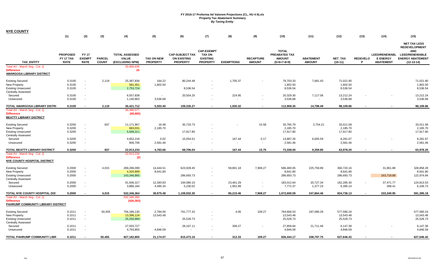| <b>NYE COUNTY</b>                                   |                              |                                    |               |                                       |                       |                                              |                                  |                          |                  |                                |                          |                        |                          |                                         |                                                  |
|-----------------------------------------------------|------------------------------|------------------------------------|---------------|---------------------------------------|-----------------------|----------------------------------------------|----------------------------------|--------------------------|------------------|--------------------------------|--------------------------|------------------------|--------------------------|-----------------------------------------|--------------------------------------------------|
|                                                     | (1)                          | (2)                                | (3)           | (4)                                   | (5)                   | (6)                                          | (7)                              | (8)                      | (9)              | (10)                           | (11)                     | (12)                   | (13)                     | (14)                                    | (15)                                             |
|                                                     |                              |                                    |               |                                       |                       |                                              |                                  |                          |                  |                                |                          |                        |                          |                                         |                                                  |
|                                                     |                              |                                    |               |                                       |                       |                                              |                                  |                          |                  |                                |                          |                        |                          |                                         | <b>NET TAX LESS</b>                              |
|                                                     |                              |                                    |               |                                       |                       |                                              |                                  |                          |                  |                                |                          |                        |                          |                                         | <b>REDEVELOPMENT</b>                             |
|                                                     |                              |                                    |               |                                       |                       |                                              | <b>CAP-EXEMPT</b>                |                          |                  | <b>TOTAL</b>                   |                          |                        |                          |                                         | <b>AND</b>                                       |
|                                                     | <b>PROPOSED</b><br>FY 17 TAX | <b>FY17</b><br><b>EXEMPT</b>       | <b>PARCEL</b> | <b>TOTAL ASSESSED</b><br><b>VALUE</b> | <b>TAX ON NEW</b>     | <b>CAP-SUBJECT TAX</b><br><b>ON EXISTING</b> | <b>TAX ON</b><br><b>EXISTING</b> |                          | <b>RECAPTURE</b> | PREABATED TAX<br><b>AMOUNT</b> | <b>ABATEMENT</b>         | <b>NET TAX</b>         | <b>REDEVELO</b>          | <b>LEED/RENEWABL</b><br><b>E ENERGY</b> | <b>LEED/RENEWABLE</b><br><b>ENERGY ABATEMENT</b> |
| TAX_ENTITY                                          | <b>RATE</b>                  | <b>RATE</b>                        | <b>COUNT</b>  | (EXCLUDING NPM)                       | <b>PROPERTY</b>       | <b>PROPERTY</b>                              | <b>PROPERTY</b>                  | <b>EXEMPTIONS</b>        | <b>AMOUNT</b>    | $(5+6+7-8+9)$                  | <b>AMOUNT</b>            | $(10-11)$              | P                        | <b>ABATEMENT</b>                        | $(12-13-14)$                                     |
| Total AV - March Seg - Col. Q                       |                              |                                    |               | 33,969,636                            |                       |                                              |                                  |                          |                  |                                |                          |                        |                          |                                         |                                                  |
| <b>Difference</b>                                   |                              |                                    |               | 25                                    |                       |                                              |                                  |                          |                  |                                |                          |                        |                          |                                         |                                                  |
| <b>AMARGOSA LIBRARY DISTRICT</b>                    |                              |                                    |               |                                       |                       |                                              |                                  |                          |                  |                                |                          |                        |                          |                                         |                                                  |
|                                                     |                              |                                    |               |                                       |                       |                                              |                                  |                          |                  |                                |                          |                        |                          |                                         |                                                  |
| <b>Existing Secured</b>                             | 0.3100                       | $\overline{\phantom{a}}$           | 2,119         | 25,387,836                            | 164.22                | 80,244.48                                    |                                  | 1,705.37                 |                  | 78,703.33                      | 7,681.43                 | 71,021.90              |                          |                                         | 71,021.90                                        |
| New Property                                        | 0.3100                       | $\sim$                             |               | 581,451                               | 1,802.50              |                                              |                                  |                          |                  | 1,802.50                       |                          | 1,802.50               |                          |                                         | 1,802.50                                         |
| <b>Existing Unsecured</b>                           | 0.3100                       | $\sim$                             |               | 2,753,724                             |                       | 8,536.54                                     | $\sim$                           |                          |                  | 8,536.54                       |                          | 8,536.54               |                          |                                         | 8,536.54                                         |
| <b>Centrally Assessed</b><br>Secured                | 0.3100                       | $\overline{\phantom{a}}$           |               | 6,557,838                             | $\sim$                | 20,554.25                                    | $\sim$                           | 224.95                   |                  | 20,329.30                      | 7,117.06                 | 13,212.24              |                          |                                         | 13,212.24                                        |
| Unsecured                                           | 0.3100                       | $\blacksquare$                     |               | 1,140,863                             | 3,536.68              |                                              |                                  | $\overline{\phantom{a}}$ |                  | 3,536.68                       | $\sim$                   | 3,536.68               |                          |                                         | 3,536.68                                         |
|                                                     |                              |                                    |               |                                       |                       |                                              |                                  |                          |                  |                                |                          |                        |                          |                                         |                                                  |
| TOTAL AMARGOSA LIBRARY DISTRI                       | 0.3100                       |                                    | 2,119         | 36,421,712                            | 5,503.40              | 109,335.27                                   |                                  | 1,930.32                 | $\overline{a}$   | 112,908.35                     | 14,798.49                | 98,109.86              |                          |                                         | 98,109.86                                        |
| Total AV - March Seg - Col. Q                       |                              |                                    |               | 36,490,577                            |                       |                                              |                                  |                          |                  |                                |                          |                        |                          |                                         |                                                  |
| <b>Difference</b><br><b>BEATTY LIBRARY DISTRICT</b> |                              |                                    |               | (68, 865)                             |                       |                                              |                                  |                          |                  |                                |                          |                        |                          |                                         |                                                  |
|                                                     |                              |                                    |               |                                       |                       |                                              |                                  |                          |                  |                                |                          |                        |                          |                                         |                                                  |
| <b>Existing Secured</b>                             | 0.3200                       | $\overline{\phantom{a}}$           | 837           | 11,171,967                            | 16.48                 | 35,733.73                                    |                                  |                          | 15.58            | 35,765.79                      | 2,754.21                 | 33,011.58              |                          |                                         | 33,011.58                                        |
| New Property                                        | 0.3200                       | $\sim$                             |               | 683,031                               | 2,185.70              |                                              |                                  |                          |                  | 2,185.70                       |                          | 2,185.70               |                          |                                         | 2,185.70                                         |
| <b>Existing Unsecured</b>                           | 0.3200                       | $\sim$                             |               | 5,599,311                             |                       | 17,917.80                                    | $\sim$                           |                          |                  | 17,917.80                      |                          | 17,917.80              |                          |                                         | 17,917.80                                        |
| <b>Centrally Assessed</b>                           |                              |                                    |               |                                       |                       |                                              |                                  |                          |                  |                                |                          |                        |                          |                                         |                                                  |
| Secured                                             | 0.3200                       | $\sim$                             |               | 4,652,218                             | 0.02                  | 15,054.51                                    |                                  | 167.44                   | 0.17             | 14,887.26                      | 6,605.59                 | 8,281.67               |                          |                                         | 8,281.67                                         |
| Unsecured                                           | 0.3200                       | $\blacksquare$                     |               | 806,706                               | 2,581.46              |                                              |                                  | $\blacksquare$           | $\sim$           | 2,581.46                       | $\overline{\phantom{a}}$ | 2,581.46               |                          |                                         | 2,581.46                                         |
| TOTAL BEATTY LIBRARY DISTRICT                       | 0.3200                       | $\blacksquare$                     | 837           | 22,913,233                            | 4,783.66              | 68,706.04                                    |                                  | 167.44                   | 15.75            | 73,338.00                      | 9,359.80                 | 63,978.20              |                          |                                         | 63,978.20                                        |
| Total AV - March Seg - Col. Q                       |                              |                                    |               | 22,913,234                            |                       |                                              |                                  |                          |                  |                                |                          |                        |                          |                                         |                                                  |
| <b>Difference</b>                                   |                              |                                    |               | (2)                                   |                       |                                              |                                  |                          |                  |                                |                          |                        |                          |                                         |                                                  |
| NYE COUNTY HOSPITAL DISTRICT                        |                              |                                    |               |                                       |                       |                                              |                                  |                          |                  |                                |                          |                        |                          |                                         |                                                  |
|                                                     |                              |                                    |               |                                       |                       |                                              |                                  |                          |                  |                                |                          |                        |                          |                                         |                                                  |
| <b>Existing Secured</b>                             | 0.2000<br>0.2000             | $\overline{\phantom{a}}$<br>$\sim$ | 4,015         | 289,286,099<br>4,320,899              | 14,444.51<br>8,641.80 | 623,928.45                                   |                                  | 59,801.18                | 7,908.27         | 586,480.05<br>8,641.80         | 225,759.89               | 360,720.16<br>8,641.80 |                          | 31,861.88                               | 328,858.28<br>8,641.80                           |
| New Property<br><b>Existing Unsecured</b>           | 0.2000                       | $\overline{\phantom{a}}$           |               | 143,346,865                           |                       | 286,693.73                                   | . —                              |                          |                  | 286,693.73                     |                          | 286,693.73             |                          | 163,718.89                              | 122,974.84                                       |
| <b>Centrally Assessed</b>                           |                              |                                    |               |                                       |                       |                                              |                                  |                          |                  |                                |                          |                        |                          |                                         |                                                  |
| Secured                                             | 0.2000                       | $\overline{\phantom{a}}$           |               | 91,506,317                            | 12,393.83             | 194,080.10                                   | $\sim$                           | 23,461.29                |                  | 183,012.64                     | 20,727.34                | 162,285.30             | $\overline{\phantom{a}}$ | 37,471.77                               | 124,813.53                                       |
| Unsecured                                           | 0.2000                       | $\overline{\phantom{a}}$           |               | 3,886,184                             | 4,495.34              | 5,230.02                                     | $\sim$                           | 1,952.99                 | $\blacksquare$   | 7,772.37                       | 1,377.23                 | 6,395.14               |                          | 288.41                                  | 6,106.73                                         |
|                                                     |                              |                                    |               |                                       |                       |                                              |                                  |                          |                  |                                |                          |                        |                          |                                         |                                                  |
| TOTAL NYE COUNTY HOSPITAL DIS'                      | 0.2000                       | $\overline{\phantom{a}}$           | 4,015         | 532,346,364                           | 39,975.48             | 1,109,932.30                                 |                                  | 85,215.46                | 7,908.27         | 1,072,600.59                   | 247,864.46               | 824,736.13             |                          | 233,340.95                              | 591,395.18                                       |
| Total AV - March Seg - Col. Q<br><b>Difference</b>  |                              |                                    |               | 532,346,350<br>(426,063)              |                       |                                              |                                  |                          |                  |                                |                          |                        |                          |                                         |                                                  |
| PAHRUMP COMMUNITY LIBRARY DISTRICT                  |                              |                                    |               |                                       |                       |                                              |                                  |                          |                  |                                |                          |                        |                          |                                         |                                                  |
|                                                     |                              |                                    |               |                                       |                       |                                              |                                  |                          |                  |                                |                          |                        |                          |                                         |                                                  |
| <b>Existing Secured</b>                             | 0.1011                       | $\overline{\phantom{a}}$           | 50,455        | 756,186,130                           | 2,784.00              | 761,777.32                                   |                                  | 4.06                     | 109.27           | 764,666.53                     | 187,086.29               | 577,580.24             |                          |                                         | 577,580.24                                       |
| New Property                                        | 0.1011                       | $\blacksquare$                     |               | 13,396,124                            | 13,543.48             |                                              |                                  |                          |                  | 13,543.48                      |                          | 13,543.48              |                          |                                         | 13,543.48                                        |
| <b>Existing Unsecured</b>                           | 0.1011                       | $\overline{\phantom{a}}$           |               | 25,250,969                            |                       | 25,528.73                                    | $\overline{\phantom{a}}$         |                          |                  | 25,528.73                      |                          | 25,528.73              |                          |                                         | 25,528.73                                        |
| <b>Centrally Assessed</b>                           |                              |                                    |               |                                       |                       |                                              |                                  |                          |                  |                                |                          |                        |                          |                                         |                                                  |
| Secured                                             | 0.1011                       | $\blacksquare$                     |               | 27,555,727                            |                       | 28,167.11                                    |                                  | 308.27                   |                  | 27,858.84                      | 21,711.46                | 6,147.38               |                          |                                         | 6,147.38                                         |
| Unsecured                                           | 0.1011                       | $\blacksquare$                     |               | 4,793,855                             | 4,846.59              |                                              |                                  |                          |                  | 4,846.59                       | $\overline{\phantom{a}}$ | 4,846.59               |                          |                                         | 4,846.59                                         |
| TOTAL PAHRUMP COMMUNITY LIBR                        | 0.1011                       |                                    | 50,455        | 827,182,805                           | 21,174.07             | 815,473.16                                   |                                  | 312.33                   | 109.27           | 836,444.17                     | 208,797.75               | 627,646.42             |                          |                                         | 627,646.42                                       |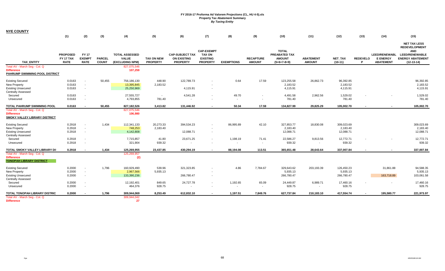| <b>NYE COUNTY</b>                                                                                 |                                             |                                              |                               |                                                          |                                      |                                                                 |                                                                          |                                      |                                   |                                                                 |                                   |                                     |                          |                                                             |                                                                                                                               |
|---------------------------------------------------------------------------------------------------|---------------------------------------------|----------------------------------------------|-------------------------------|----------------------------------------------------------|--------------------------------------|-----------------------------------------------------------------|--------------------------------------------------------------------------|--------------------------------------|-----------------------------------|-----------------------------------------------------------------|-----------------------------------|-------------------------------------|--------------------------|-------------------------------------------------------------|-------------------------------------------------------------------------------------------------------------------------------|
|                                                                                                   | (1)                                         | (2)                                          | (3)                           | (4)                                                      | (5)                                  | (6)                                                             | (7)                                                                      | (8)                                  | (9)                               | (10)                                                            | (11)                              | (12)                                | (13)                     | (14)                                                        | (15)                                                                                                                          |
| <b>TAX ENTITY</b>                                                                                 | <b>PROPOSED</b><br>FY 17 TAX<br><b>RATE</b> | <b>FY 17</b><br><b>EXEMPT</b><br><b>RATE</b> | <b>PARCEL</b><br><b>COUNT</b> | <b>TOTAL ASSESSED</b><br><b>VALUE</b><br>(EXCLUDING NPM) | <b>TAX ON NEW</b><br><b>PROPERTY</b> | <b>CAP-SUBJECT TAX</b><br><b>ON EXISTING</b><br><b>PROPERTY</b> | <b>CAP-EXEMPT</b><br><b>TAX ON</b><br><b>EXISTING</b><br><b>PROPERTY</b> | <b>EXEMPTIONS</b>                    | <b>RECAPTURE</b><br><b>AMOUNT</b> | <b>TOTAL</b><br>PREABATED TAX<br><b>AMOUNT</b><br>$(5+6+7-8+9)$ | <b>ABATEMENT</b><br><b>AMOUNT</b> | <b>NET TAX</b><br>$(10-11)$         | <b>REDEVELO</b><br>P     | <b>LEED/RENEWABL</b><br><b>E ENERGY</b><br><b>ABATEMENT</b> | <b>NET TAX LESS</b><br><b>REDEVELOPMENT</b><br><b>AND</b><br><b>LEED/RENEWABLE</b><br><b>ENERGY ABATEMENT</b><br>$(12-13-14)$ |
| Total AV - March Seg - Col. Q<br><b>Difference</b>                                                |                                             |                                              |                               | 827,075,546<br>107,259                                   |                                      |                                                                 |                                                                          |                                      |                                   |                                                                 |                                   |                                     |                          |                                                             |                                                                                                                               |
| PAHRUMP SWIMMING POOL DISTRICT                                                                    |                                             |                                              |                               |                                                          |                                      |                                                                 |                                                                          |                                      |                                   |                                                                 |                                   |                                     |                          |                                                             |                                                                                                                               |
| <b>Existing Secured</b><br>New Property<br><b>Existing Unsecured</b><br><b>Centrally Assessed</b> | 0.0163<br>0.0163<br>0.0163                  | $\sim$<br>$\sim$                             | 50,455                        | 756,186,130<br>13,395,845<br>25,250,969                  | 448.90<br>2,183.52                   | 122,789.73<br>4,115.91                                          | $\sim$                                                                   | 0.64                                 | 17.59                             | 123,255.58<br>2,183.52<br>4,115.91                              | 26,862.73                         | 96,392.85<br>2,183.52<br>4,115.91   |                          |                                                             | 96,392.85<br>2,183.52<br>4,115.91                                                                                             |
| Secured<br>Unsecured                                                                              | 0.0163<br>0.0163                            | $\sim$<br>$\sim$                             |                               | 27,555,727<br>4,793,855                                  | $\sim$<br>781.40                     | 4,541.28                                                        | $\sim$                                                                   | 49.70<br>$\overline{\phantom{a}}$    | $\overline{\phantom{a}}$          | 4,491.58<br>781.40                                              | 2,962.56                          | 1,529.02<br>781.40                  |                          |                                                             | 1,529.02<br>781.40                                                                                                            |
| TOTAL PAHRUMP SWIMMING POOL                                                                       | 0.0163                                      |                                              | 50,455                        | 827,182,526                                              | 3,413.82                             | 131,446.92                                                      |                                                                          | 50.34                                | 17.59                             | 134,827.99                                                      | 29.825.29                         | 105,002.70                          | $\overline{\phantom{a}}$ |                                                             | 105,002.70                                                                                                                    |
| Total AV - March Seg - Col. Q<br><b>Difference</b><br><b>SMOKY VALLEY LIBRARY DISTRICT</b>        |                                             |                                              |                               | 827,075,546<br>106,980                                   |                                      |                                                                 |                                                                          |                                      |                                   |                                                                 |                                   |                                     |                          |                                                             |                                                                                                                               |
| <b>Existing Secured</b><br>New Property<br><b>Existing Unsecured</b><br><b>Centrally Assessed</b> | 0.2918<br>0.2918<br>0.2918                  | $\sim$<br>$\sim$                             | 1,434                         | 112,341,133<br>748,253<br>4,142,808                      | 20,273.33<br>2,183.40                | 394,534.23<br>12,088.71                                         | $\sim$                                                                   | 86,995.89                            | 42.10                             | 327,853.77<br>2,183.40<br>12,088.71                             | 18,830.08                         | 309,023.69<br>2,183.40<br>12,088.71 |                          |                                                             | 309,023.69<br>2,183.40<br>12,088.71                                                                                           |
| Secured<br>Unsecured                                                                              | 0.2918<br>0.2918                            | $\sim$<br>$\sim$                             |                               | 7,715,857<br>321,904                                     | 41.80<br>939.32                      | 23,671.25<br>$\blacksquare$                                     | $\sim$                                                                   | 1,198.19<br>$\overline{\phantom{a}}$ | 71.41<br>$\sim$                   | 22,586.27<br>939.32                                             | 9,813.56                          | 12,772.71<br>939.32                 |                          |                                                             | 12,772.71<br>939.32                                                                                                           |
| TOTAL SMOKY VALLEY LIBRARY DI                                                                     | 0.2918                                      |                                              | 1,434                         | 125,269,955                                              | 23,437.85                            | 430,294.19                                                      |                                                                          | 88,194.08                            | 113.51                            | 365,651.48                                                      | 28,643.64                         | 337,007.84                          | $\overline{\phantom{a}}$ |                                                             | 337,007.84                                                                                                                    |
| Total AV - March Seg - Col. Q<br><b>Difference</b><br><b>TONOPAH LIBRARY DISTRICT</b>             |                                             |                                              |                               | 125,269,957<br>(2)                                       |                                      |                                                                 |                                                                          |                                      |                                   |                                                                 |                                   |                                     |                          |                                                             |                                                                                                                               |
| <b>Existing Secured</b><br><b>New Property</b>                                                    | 0.2000<br>0.2000                            | $\sim$<br>$\sim$                             | 1,796                         | 160,929,490<br>2,967,566                                 | 539.96<br>5,935.13                   | 321,323.85                                                      |                                                                          | 4.86                                 | 7,784.67                          | 329,643.62<br>5,935.13                                          | 203,193.39                        | 126,450.23<br>5,935.13              |                          | 31,861.88                                                   | 94,588.35<br>5,935.13                                                                                                         |
| <b>Existing Unsecured</b><br><b>Centrally Assessed</b>                                            | 0.2000                                      | $\sim$                                       |                               | 133,390,236                                              |                                      | 266,780.47                                                      | $\sim$                                                                   |                                      |                                   | 266,780.47                                                      |                                   | 266,780.47                          |                          | 163,718.89                                                  | 103,061.58                                                                                                                    |
| Secured<br>Unsecured                                                                              | 0.2000<br>0.2000                            | $\sim$<br>$\sim$                             |                               | 12,192,401<br>464,376                                    | 849.65<br>928.75                     | 24,727.78                                                       | $\sim$                                                                   | 1,192.65                             | 65.09<br>$\sim$                   | 24,449.87<br>928.75                                             | 6,989.71<br>$\sim$                | 17,460.16<br>928.75                 |                          | $\overline{\phantom{a}}$                                    | 17,460.16<br>928.75                                                                                                           |
| TOTAL TONOPAH LIBRARY DISTRIC                                                                     | 0.2000                                      |                                              | 1,796                         | 309,944,069                                              | 8,253.49                             | 612,832.10                                                      |                                                                          | 1,197.51                             | 7,849.76                          | 627,737.84                                                      | 210,183.10                        | 417,554.74                          |                          | 195,580.77                                                  | 221,973.97                                                                                                                    |
| Total AV - March Seg - Col. Q<br><b>Difference</b>                                                |                                             |                                              |                               | 309,944,042<br>27                                        |                                      |                                                                 |                                                                          |                                      |                                   |                                                                 |                                   |                                     |                          |                                                             |                                                                                                                               |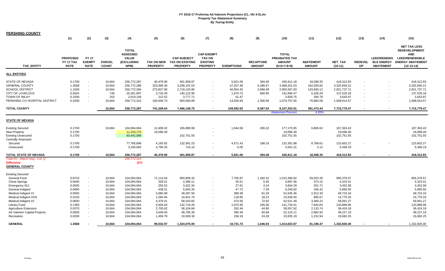| <b>PERSHING COUNTY</b>                                                                                                                                                                                                                                    |                                                                                                            |                                                                                                                                                                                            |                                                                                                            |                                                                                                                                                                   |                                                                                                                             |                                                                                                                                            |                                                                          |                                                                                                             |                                                                                                  |                                                                                                                                              |                                                                                                                           |                                                                                                                                            |                             |                                                             |                                                                                                                                            |
|-----------------------------------------------------------------------------------------------------------------------------------------------------------------------------------------------------------------------------------------------------------|------------------------------------------------------------------------------------------------------------|--------------------------------------------------------------------------------------------------------------------------------------------------------------------------------------------|------------------------------------------------------------------------------------------------------------|-------------------------------------------------------------------------------------------------------------------------------------------------------------------|-----------------------------------------------------------------------------------------------------------------------------|--------------------------------------------------------------------------------------------------------------------------------------------|--------------------------------------------------------------------------|-------------------------------------------------------------------------------------------------------------|--------------------------------------------------------------------------------------------------|----------------------------------------------------------------------------------------------------------------------------------------------|---------------------------------------------------------------------------------------------------------------------------|--------------------------------------------------------------------------------------------------------------------------------------------|-----------------------------|-------------------------------------------------------------|--------------------------------------------------------------------------------------------------------------------------------------------|
|                                                                                                                                                                                                                                                           | (1)                                                                                                        | (2)                                                                                                                                                                                        | (3)                                                                                                        | (4)                                                                                                                                                               | (5)                                                                                                                         | (6)                                                                                                                                        | (7)                                                                      | (8)                                                                                                         | (9)                                                                                              | (10)                                                                                                                                         | (11)                                                                                                                      | (12)                                                                                                                                       | (13)                        | (14)                                                        | (15)                                                                                                                                       |
| <b>TAX ENTITY</b>                                                                                                                                                                                                                                         | <b>PROPOSED</b><br><b>FY 17 TAX</b><br><b>RATE</b>                                                         | <b>FY 17</b><br><b>EXEMPT</b><br><b>RATE</b>                                                                                                                                               | <b>PARCEL</b><br><b>COUNT</b>                                                                              | <b>TOTAL</b><br><b>ASSESSED</b><br><b>VALUE</b><br>(EXCLUDING<br>NPM)                                                                                             | TAX ON NEW<br><b>PROPERTY</b>                                                                                               | <b>CAP-SUBJECT</b><br><b>TAX ON EXISTING</b><br><b>PROPERTY</b>                                                                            | <b>CAP-EXEMPT</b><br><b>TAX ON</b><br><b>EXISTING</b><br><b>PROPERTY</b> | <b>EXEMPTIONS</b>                                                                                           | <b>RECAPTURE</b><br><b>AMOUNT</b>                                                                | <b>TOTAL</b><br>PREABATED TAX<br><b>AMOUNT</b><br>$(5+6+7-8+9)$                                                                              | <b>ABATEMENT</b><br><b>AMOUNT</b>                                                                                         | <b>NET TAX</b><br>$(10-11)$                                                                                                                | <b>REDEVEL</b><br><b>OP</b> | <b>LEED/RENEWA</b><br><b>BLE ENERGY</b><br><b>ABATEMENT</b> | <b>NET TAX LESS</b><br><b>REDEVELOPMENT</b><br><b>AND</b><br><b>LEED/RENEWABLE</b><br><b>ENERGY ABATEMENT</b><br>$(12-13-14)$              |
| ALL ENTITIES                                                                                                                                                                                                                                              |                                                                                                            |                                                                                                                                                                                            |                                                                                                            |                                                                                                                                                                   |                                                                                                                             |                                                                                                                                            |                                                                          |                                                                                                             |                                                                                                  |                                                                                                                                              |                                                                                                                           |                                                                                                                                            |                             |                                                             |                                                                                                                                            |
| STATE OF NEVADA<br><b>GENERAL COUNTY</b><br>SCHOOL DISTRICT<br>CITY OF LOVELOCK                                                                                                                                                                           | 0.1700<br>1.3568<br>1.1500<br>0.5624                                                                       | $\blacksquare$<br>$\overline{\phantom{a}}$<br>$\overline{\phantom{a}}$                                                                                                                     | 10,664<br>10,664<br>10,664<br>746                                                                          | 256,772,287<br>256,772,289<br>256,772,284<br>25,281,897                                                                                                           | 40,478.90<br>323,069.30<br>273,827.90<br>3,733.29                                                                           | 401,958.87<br>3,208,102.53<br>2,719,125.80<br>140,122.96                                                                                   | $\sim$                                                                   | 5,921.06<br>47,257.48<br>40,054.35<br>1,670.73                                                              | 394.48<br>4,286.67<br>2,668.48<br>660.95                                                         | 436,911.18<br>3,488,201.03<br>2,955,567.83<br>142,846.47                                                                                     | 18,598.35<br>162,550.82<br>133,830.12<br>5,326.29                                                                         | 418,312.83<br>3,325,650.21<br>2,821,737.71<br>137,520.18                                                                                   |                             |                                                             | 418,312.83<br>3,325,650.21<br>2,821,737.71<br>137,520.18                                                                                   |
| TOWN OF IMLAY<br>PERSHING CO HOSPITAL DISTRICT                                                                                                                                                                                                            | 0.1500<br>0.4200                                                                                           |                                                                                                                                                                                            | 253<br>10,664                                                                                              | 2,619,149<br>256,772,315                                                                                                                                          | 212.52<br>100,006.73                                                                                                        | 3,777.71<br>993,060.89                                                                                                                     |                                                                          | 61.47<br>14,626.93                                                                                          | 1,356.96                                                                                         | 3,928.75<br>1,079,797.65                                                                                                                     | 284.78<br>70,883.08                                                                                                       | 3,643.97<br>1,008,914.57                                                                                                                   |                             |                                                             | 3,643.97<br>1,008,914.57                                                                                                                   |
| <b>TOTAL COUNTY</b>                                                                                                                                                                                                                                       |                                                                                                            |                                                                                                                                                                                            | 10,664                                                                                                     | 256,772,287                                                                                                                                                       | 741,328.64                                                                                                                  | 7,466,148.75                                                                                                                               |                                                                          | 109,592.02                                                                                                  | 9,367.54                                                                                         | 8,107,252.91<br><b>Abatement Percent</b>                                                                                                     | 391,473.44<br>4.83%                                                                                                       | 7,715,779.47                                                                                                                               |                             |                                                             | 7,715,779.47                                                                                                                               |
| <b>STATE OF NEVADA</b>                                                                                                                                                                                                                                    |                                                                                                            |                                                                                                                                                                                            |                                                                                                            |                                                                                                                                                                   |                                                                                                                             |                                                                                                                                            |                                                                          |                                                                                                             |                                                                                                  |                                                                                                                                              |                                                                                                                           |                                                                                                                                            |                             |                                                             |                                                                                                                                            |
| <b>Existing Secured</b><br>New Property<br><b>Existing Unsecured</b>                                                                                                                                                                                      | 0.1700<br>0.1700<br>0.1700                                                                                 |                                                                                                                                                                                            | 10,664                                                                                                     | 104,094,064<br>11,233,175<br>60,442,086                                                                                                                           | 12,408.32<br>19,096.40                                                                                                      | 165,899.99<br>102,751.55                                                                                                                   |                                                                          | 1,344.58                                                                                                    | 206.32                                                                                           | 177,170.05<br>19,096.40<br>102,751.55                                                                                                        | 9,806.62                                                                                                                  | 167,363.43<br>19,096.40<br>102,751.55                                                                                                      |                             |                                                             | 167,363.43<br>19,096.40<br>102,751.55                                                                                                      |
| <b>Centrally Assessed</b><br>Secured<br>Unsecured                                                                                                                                                                                                         | 0.1700<br>0.1700                                                                                           |                                                                                                                                                                                            |                                                                                                            | 77,766,898<br>3,236,063                                                                                                                                           | 4,183.92<br>4,790.26                                                                                                        | 132,591.23<br>716.10                                                                                                                       | $\overline{\phantom{a}}$                                                 | 4,571.43<br>5.05                                                                                            | 188.16                                                                                           | 132,391.88<br>5,501.31                                                                                                                       | 8,789.61<br>2.12                                                                                                          | 123,602.27<br>5,499.19                                                                                                                     |                             |                                                             | 123,602.27<br>5,499.19                                                                                                                     |
| TOTAL STATE OF NEVADA<br>Total AV - March Seg - Col. Q<br><b>Difference</b><br><b>GENERAL COUNTY</b>                                                                                                                                                      | 0.1700                                                                                                     |                                                                                                                                                                                            | 10,664                                                                                                     | 256,772,287<br>256,772,314<br>(27)                                                                                                                                | 40,478.90                                                                                                                   | 401,958.87                                                                                                                                 |                                                                          | 5,921.06                                                                                                    | 394.48                                                                                           | 436,911.18                                                                                                                                   | 18,598.35                                                                                                                 | 418,312.83                                                                                                                                 |                             |                                                             | 418,312.83                                                                                                                                 |
| Existing Secured<br>General Fund<br>China Springs<br>Emergency 911<br>General Indigent<br>Medical Indigent #1<br>Medical Indigent HVS<br>Medical Indigent #2<br>Library Fund<br><b>Agriculture Extension</b><br>Ad Valorem Capital Projects<br>Recreation | 0.9743<br>0.0045<br>0.0035<br>0.0060<br>0.0505<br>0.0150<br>0.0600<br>0.1360<br>0.0370<br>0.0500<br>0.0200 | $\overline{\phantom{a}}$<br>$\sim$<br>$\overline{\phantom{a}}$<br>$\sim$<br>$\overline{\phantom{a}}$<br>$\sim$<br>$\overline{\phantom{a}}$<br>$\sim$<br>$\overline{\phantom{a}}$<br>$\sim$ | 10,664<br>10,664<br>10,664<br>10,664<br>10,664<br>10,664<br>10,664<br>10,664<br>10,664<br>10,664<br>10,664 | 104,094,064<br>104,094,064<br>104,094,064<br>104,094,064<br>104,094,064<br>104,094,064<br>104,094,064<br>104,094,064<br>104,094,064<br>104,094,064<br>104,094,064 | 71,114.04<br>328.51<br>255.52<br>438.01<br>3,685.99<br>1,094.94<br>4,379.41<br>9,926.64<br>2,700.62<br>3,649.50<br>1,459.79 | 950,809.33<br>4,399.11<br>3,422.34<br>5,843.35<br>49,287.56<br>14,641.70<br>58,543.82<br>132,718.26<br>36,104.84<br>48,795.39<br>19,509.30 | $\sim$                                                                   | 7,705.87<br>35.51<br>27.81<br>47.72<br>399.38<br>118.85<br>474.56<br>1,075.95<br>292.44<br>395.46<br>158.18 | 1,182.42<br>5.45<br>4.24<br>7.28<br>61.29<br>18.21<br>72.82<br>165.06<br>44.90<br>60.68<br>24.28 | 1,015,399.92<br>4,697.56<br>3,654.29<br>6,240.92<br>52,635.46<br>15,636.00<br>62,521.49<br>141,734.01<br>38,557.92<br>52,110.11<br>20,835.19 | 59,023.35<br>374.15<br>201.71<br>345.42<br>2,912.30<br>865.67<br>3,460.22<br>7,844.05<br>2,133.74<br>2,882.92<br>1,152.94 | 956,376.57<br>4,323.41<br>3,452.58<br>5,895.50<br>49,723.16<br>14,770.33<br>59,061.27<br>133,889.96<br>36,424.18<br>49,227.19<br>19,682.25 |                             |                                                             | 956,376.57<br>4,323.41<br>3,452.58<br>5,895.50<br>49,723.16<br>14,770.33<br>59,061.27<br>133,889.96<br>36,424.18<br>49,227.19<br>19,682.25 |
| <b>GENERAL</b>                                                                                                                                                                                                                                            | 1.3568                                                                                                     |                                                                                                                                                                                            | 10.664                                                                                                     | 104.094.064                                                                                                                                                       | 99,032.97                                                                                                                   | 1,324,075.00                                                                                                                               |                                                                          | 10,731.73                                                                                                   | 1,646.63                                                                                         | 1,414,022.87                                                                                                                                 | 81,196.47                                                                                                                 | 1,332,826.40                                                                                                                               |                             |                                                             | 1,332,826.40                                                                                                                               |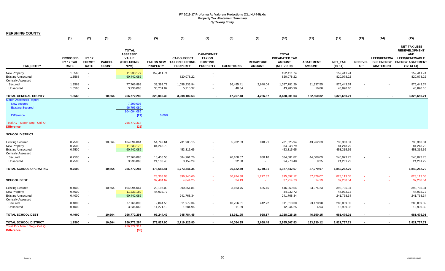**PERSHING COUNTY**

|                                                                                                                                                            | (1)                                                | (2)                                          | (3)                           | (4)                                                                   | (5)                                  | (6)                                                             | (7)                                                                      | (8)                | (9)                               | (10)                                                            | (11)                              | (12)                                  | (13)                 | (14)                                                        | (15)                                                                                                                              |
|------------------------------------------------------------------------------------------------------------------------------------------------------------|----------------------------------------------------|----------------------------------------------|-------------------------------|-----------------------------------------------------------------------|--------------------------------------|-----------------------------------------------------------------|--------------------------------------------------------------------------|--------------------|-----------------------------------|-----------------------------------------------------------------|-----------------------------------|---------------------------------------|----------------------|-------------------------------------------------------------|-----------------------------------------------------------------------------------------------------------------------------------|
| <b>TAX ENTITY</b>                                                                                                                                          | <b>PROPOSED</b><br><b>FY 17 TAX</b><br><b>RATE</b> | <b>FY 17</b><br><b>EXEMPT</b><br><b>RATE</b> | <b>PARCEL</b><br><b>COUNT</b> | <b>TOTAL</b><br><b>ASSESSED</b><br><b>VALUE</b><br>(EXCLUDING<br>NPM) | <b>TAX ON NEW</b><br><b>PROPERTY</b> | <b>CAP-SUBJECT</b><br><b>TAX ON EXISTING</b><br><b>PROPERTY</b> | <b>CAP-EXEMPT</b><br><b>TAX ON</b><br><b>EXISTING</b><br><b>PROPERTY</b> | <b>EXEMPTIONS</b>  | <b>RECAPTURE</b><br><b>AMOUNT</b> | <b>TOTAL</b><br>PREABATED TAX<br><b>AMOUNT</b><br>$(5+6+7-8+9)$ | <b>ABATEMENT</b><br><b>AMOUNT</b> | <b>NET TAX</b><br>$(10-11)$           | <b>REDEVEL</b><br>OP | <b>LEED/RENEWA</b><br><b>BLE ENERGY</b><br><b>ABATEMENT</b> | <b>NET TAX LESS</b><br><b>REDEVELOPMENT</b><br><b>AND</b><br><b>LEED/RENEWABLE</b><br><b>ENERGY ABATEMENT</b><br>$(12 - 13 - 14)$ |
| New Property                                                                                                                                               | 1.3568                                             | $\sim$                                       |                               | 11,233,177                                                            | 152,411.74                           |                                                                 |                                                                          |                    |                                   | 152,411.74                                                      |                                   | 152,411.74                            |                      |                                                             | 152,411.74                                                                                                                        |
| <b>Existing Unsecured</b><br><b>Centrally Assessed</b>                                                                                                     | 1.3568                                             | $\sim$                                       |                               | 60,442,086                                                            |                                      | 820,078.22                                                      |                                                                          |                    |                                   | 820,078.22                                                      |                                   | 820,078.22                            |                      |                                                             | 820,078.22                                                                                                                        |
| Secured                                                                                                                                                    | 1.3568                                             |                                              |                               | 77,766,898                                                            | 33,392.72                            | 1,058,233.94                                                    |                                                                          | 36,485.41          | 2,640.04                          | 1,057,781.29                                                    | 81,337.55                         | 976,443.74                            |                      |                                                             | 976,443.74                                                                                                                        |
| Unsecured                                                                                                                                                  | 1.3568                                             | $\sim$                                       |                               | 3,236,063                                                             | 38,231.87                            | 5,715.37                                                        |                                                                          | 40.34              | $\overline{\phantom{a}}$          | 43,906.90                                                       | 16.80                             | 43,890.10                             |                      |                                                             | 43,890.10                                                                                                                         |
| <b>TOTAL GENERAL COUNTY</b>                                                                                                                                | 1.3568                                             |                                              | 10,664                        | 256,772,289                                                           | 323,069.30                           | 3,208,102.53                                                    | $\overline{\phantom{a}}$                                                 | 47,257.48          | 4,286.67                          | 3,488,201.03                                                    | 162,550.82                        | 3,325,650.21                          | $\blacksquare$       | $\blacksquare$                                              | 3,325,650.21                                                                                                                      |
| <b>March Assessors Report:</b><br><b>New secured</b><br><b>Existing Secured</b><br><b>Difference</b><br>Total AV - March Seg - Col. Q<br><b>Difference</b> |                                                    |                                              |                               | 7,299,006<br>96,795,080<br>104,094,086<br>(22)<br>256,772,314<br>(25) | 0.00%                                |                                                                 |                                                                          |                    |                                   |                                                                 |                                   |                                       |                      |                                                             |                                                                                                                                   |
| <b>SCHOOL DISTRICT</b>                                                                                                                                     |                                                    |                                              |                               |                                                                       |                                      |                                                                 |                                                                          |                    |                                   |                                                                 |                                   |                                       |                      |                                                             |                                                                                                                                   |
| <b>Existing Secured</b><br>New Property<br><b>Existing Unsecured</b>                                                                                       | 0.7500<br>0.7500<br>0.7500                         | $\sim$<br>$\sim$                             | 10,664                        | 104,094,064<br>11,233,172<br>60,442,086                               | 54,742.61<br>84,248.79               | 731,905.15<br>453,315.65                                        | $\sim$                                                                   | 5,932.03           | 910.21                            | 781,625.94<br>84,248.79<br>453,315.65                           | 43,262.63                         | 738,363.31<br>84,248.79<br>453,315.65 |                      |                                                             | 738,363.31<br>84,248.79<br>453,315.65                                                                                             |
| <b>Centrally Assessed</b><br>Secured                                                                                                                       | 0.7500                                             | $\sim$                                       |                               | 77,766,898                                                            | 18,458.53                            | 584,961.26                                                      | $\overline{\phantom{a}}$                                                 | 20,168.07          | 830.10                            | 584,081.82                                                      | 44,008.09                         | 540,073.73                            |                      |                                                             | 540,073.73                                                                                                                        |
| Unsecured                                                                                                                                                  | 0.7500                                             |                                              |                               | 3,236,063                                                             | 21,133.48                            | 3,159.29                                                        |                                                                          | 22.30              | $\overline{\phantom{a}}$          | 24,270.48                                                       | 9.25                              | 24,261.22                             |                      |                                                             | 24,261.22                                                                                                                         |
| TOTAL SCHOOL OPERATING                                                                                                                                     | 0.7500                                             |                                              | 10,664                        | 256,772,284                                                           | 178,583.41                           | 1,773,341.35                                                    | $\blacksquare$                                                           | 26,122.40          | 1,740.31                          | 1,927,542.67                                                    | 87,279.97                         | 1,840,262.70                          |                      |                                                             | 1,840,262.70                                                                                                                      |
| <b>SCHOOL DEBT</b>                                                                                                                                         |                                                    |                                              |                               |                                                                       | 28,303.08<br>32,404.67               | 896,940.60<br>4,844.25                                          | $\sim$<br>$\sim$                                                         | 30,924.38<br>34.19 | 1,272.82<br>$\sim$                | 895,592.12<br>37,214.73                                         | 67,479.07<br>14.19                | 828,113.05<br>37,200.54               |                      |                                                             | 828,113.05<br>37,200.54                                                                                                           |
| <b>Existing Secured</b>                                                                                                                                    | 0.4000                                             |                                              | 10,664                        | 104,094,064                                                           | 29,196.03                            | 390,351.81                                                      |                                                                          | 3,163.75           | 485.45                            | 416,869.54                                                      | 23,074.23                         | 393,795.31                            |                      |                                                             | 393,795.31                                                                                                                        |
| New Property                                                                                                                                               | 0.4000                                             | $\sim$                                       |                               | 11,233,180                                                            | 44,932.72                            |                                                                 |                                                                          |                    |                                   | 44,932.72                                                       |                                   | 44,932.72                             |                      |                                                             | 44,932.72                                                                                                                         |
| <b>Existing Unsecured</b><br><b>Centrally Assessed</b>                                                                                                     | 0.4000                                             |                                              |                               | 60,442,086                                                            |                                      | 241,768.34                                                      |                                                                          |                    |                                   | 241,768.34                                                      |                                   | 241,768.34                            |                      |                                                             | 241,768.34                                                                                                                        |
| Secured                                                                                                                                                    | 0.4000                                             |                                              |                               | 77,766,898                                                            | 9,844.55                             | 311,979.34                                                      |                                                                          | 10,756.31          | 442.72                            | 311,510.30                                                      | 23,470.98                         | 288,039.32                            |                      |                                                             | 288,039.32                                                                                                                        |
| Unsecured                                                                                                                                                  | 0.4000                                             | $\overline{\phantom{a}}$                     |                               | 3,236,063                                                             | 11,271.19                            | 1,684.96                                                        | $\sim$                                                                   | 11.89              | $\sim$                            | 12,944.25                                                       | 4.94                              | 12,939.32                             |                      |                                                             | 12,939.32                                                                                                                         |
| <b>TOTAL SCHOOL DEBT</b>                                                                                                                                   | 0.4000                                             |                                              | 10,664                        | 256,772,291                                                           | 95,244.49                            | 945,784.45                                                      |                                                                          | 13,931.95          | 928.17                            | 1,028,025.16                                                    | 46,550.15                         | 981,475.01                            |                      |                                                             | 981,475.01                                                                                                                        |
| TOTAL SCHOOL DISTRICT                                                                                                                                      | 1.1500                                             |                                              | 10,664                        | 256,772,284                                                           | 273,827.90                           | 2,719,125.80                                                    |                                                                          | 40,054.35          | 2,668.48                          | 2,955,567.83                                                    | 133,830.12                        | 2,821,737.71                          |                      |                                                             | 2,821,737.71                                                                                                                      |
| Total AV - March Seg - Col. Q                                                                                                                              |                                                    |                                              |                               | 256,772,314                                                           |                                      |                                                                 |                                                                          |                    |                                   |                                                                 |                                   |                                       |                      |                                                             |                                                                                                                                   |
| <b>Difference</b>                                                                                                                                          |                                                    |                                              |                               | (30)                                                                  |                                      |                                                                 |                                                                          |                    |                                   |                                                                 |                                   |                                       |                      |                                                             |                                                                                                                                   |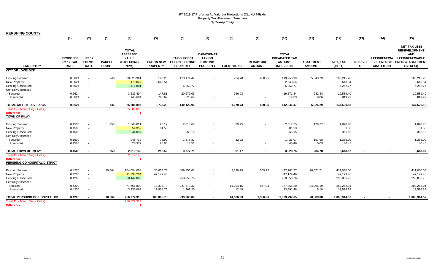**PERSHING COUNTY**

|                                                                                                          | (1)                                         | (2)                                          | (3)                           | (4)                                                                   | (5)                                  | (6)                                                             | (7)                                                                      | (8)                | (9)                               | (10)                                                            | (11)                              | (12)                                  | (13)                        | (14)                                                        | (15)                                                                                                                          |
|----------------------------------------------------------------------------------------------------------|---------------------------------------------|----------------------------------------------|-------------------------------|-----------------------------------------------------------------------|--------------------------------------|-----------------------------------------------------------------|--------------------------------------------------------------------------|--------------------|-----------------------------------|-----------------------------------------------------------------|-----------------------------------|---------------------------------------|-----------------------------|-------------------------------------------------------------|-------------------------------------------------------------------------------------------------------------------------------|
| <b>TAX ENTITY</b>                                                                                        | <b>PROPOSED</b><br>FY 17 TAX<br><b>RATE</b> | <b>FY 17</b><br><b>EXEMPT</b><br><b>RATE</b> | <b>PARCEL</b><br><b>COUNT</b> | <b>TOTAL</b><br><b>ASSESSED</b><br><b>VALUE</b><br>(EXCLUDING<br>NPM) | <b>TAX ON NEW</b><br><b>PROPERTY</b> | <b>CAP-SUBJECT</b><br><b>TAX ON EXISTING</b><br><b>PROPERTY</b> | <b>CAP-EXEMPT</b><br><b>TAX ON</b><br><b>EXISTING</b><br><b>PROPERTY</b> | <b>EXEMPTIONS</b>  | <b>RECAPTURE</b><br><b>AMOUNT</b> | <b>TOTAL</b><br>PREABATED TAX<br><b>AMOUNT</b><br>$(5+6+7-8+9)$ | <b>ABATEMENT</b><br><b>AMOUNT</b> | NET_TAX<br>$(10-11)$                  | <b>REDEVEL</b><br><b>OP</b> | <b>LEED/RENEWA</b><br><b>BLE ENERGY</b><br><b>ABATEMENT</b> | <b>NET TAX LESS</b><br><b>REDEVELOPMENT</b><br><b>AND</b><br><b>LEED/RENEWABLE</b><br><b>ENERGY ABATEMENT</b><br>$(12-13-14)$ |
| <b>CITY OF LOVELOCK</b>                                                                                  |                                             |                                              |                               |                                                                       |                                      |                                                                 |                                                                          |                    |                                   |                                                                 |                                   |                                       |                             |                                                             |                                                                                                                               |
| <b>Existing Secured</b><br><b>New Property</b><br><b>Existing Unsecured</b><br><b>Centrally Assessed</b> | 0.5624<br>0.5624<br>0.5624                  | $\sim$<br>$\sim$<br>$\sim$                   | 746                           | 20,020,961<br>470,047<br>1,111,801                                    | 148.25<br>2,643.54                   | 113,174.49<br>6,252.77                                          | $\overline{\phantom{a}}$                                                 | 724.70             | 660.95                            | 113,258.99<br>2,643.54<br>6,252.77                              | 5,043.79                          | 108,215.20<br>2,643.54<br>6,252.77    |                             |                                                             | 108,215.20<br>2,643.54<br>6,252.77                                                                                            |
| Secured<br>Unsecured                                                                                     | 0.5624<br>0.5624                            | $\sim$                                       |                               | 3,533,404<br>145,684                                                  | 147.81<br>793.69                     | 20,670.06<br>25.64                                              |                                                                          | 946.03<br>$\sim$   |                                   | 19,871.84<br>819.33                                             | 282.44<br>0.06                    | 19,589.40<br>819.27                   |                             |                                                             | 19,589.40<br>819.27                                                                                                           |
| TOTAL CITY OF LOVELOCK                                                                                   | 0.5624                                      |                                              | 746                           | 25,281,897                                                            | 3,733.29                             | 140,122.96                                                      | $\blacksquare$                                                           | 1,670.73           | 660.95                            | 142,846.47                                                      | 5,326.29                          | 137,520.18                            | $\blacksquare$              |                                                             | 137,520.18                                                                                                                    |
| Total AV - March Seg - Col. Q<br><b>Difference</b><br><b>TOWN OF IMLAY</b>                               |                                             |                                              |                               | 25,281,896                                                            |                                      |                                                                 |                                                                          |                    |                                   |                                                                 |                                   |                                       |                             |                                                             |                                                                                                                               |
| <b>Existing Secured</b><br><b>New Property</b><br><b>Existing Unsecured</b><br><b>Centrally Assessed</b> | 0.1500<br>0.1500<br>0.1500                  | $\sim$<br>$\sim$<br>$\sim$                   | 253                           | 1,345,011<br>54,352<br>244,097                                        | 28.12<br>81.53                       | 2,018.68<br>366.15                                              | $\overline{\phantom{a}}$                                                 | 29.25              |                                   | 2,017.55<br>81.53<br>366.15                                     | 126.77                            | 1,890.78<br>81.53<br>366.15           |                             |                                                             | 1,890.78<br>81.53<br>366.15                                                                                                   |
| Secured<br>Unsecured                                                                                     | 0.1500<br>0.1500                            | $\sim$<br>$\sim$                             |                               | 948,712<br>26,977                                                     | 76.92<br>25.95                       | 1,378.37<br>14.51                                               |                                                                          | 32.22<br>$\sim$    | $\overline{\phantom{a}}$          | 1,423.07<br>40.46                                               | 157.98<br>0.03                    | 1,265.09<br>40.43                     | $\sim$                      |                                                             | 1,265.09<br>40.43                                                                                                             |
| <b>TOTAL TOWN OF IMLAY</b>                                                                               | 0.1500                                      |                                              | 253                           | 2,619,149                                                             | 212.52                               | 3,777.71                                                        |                                                                          | 61.47              | $\blacksquare$                    | 3,928.75                                                        | 284.78                            | 3,643.97                              |                             |                                                             | 3,643.97                                                                                                                      |
| Total AV - March Seg - Col. Q<br><b>Difference</b><br>PERSHING CO HOSPITAL DISTRICT                      |                                             |                                              |                               | 2,619,148                                                             |                                      |                                                                 |                                                                          |                    |                                   |                                                                 |                                   |                                       |                             |                                                             |                                                                                                                               |
| <b>Existing Secured</b><br><b>New Property</b><br><b>Existing Unsecured</b>                              | 0.4200<br>0.4200<br>0.4200                  | $\sim$ $-$<br>$\sim$<br>$\sim$               | 10,664                        | 104,094,064<br>11,233,204<br>60,442,086                               | 30,655.73<br>47,179.46               | 409,856.61<br>253,856.76                                        | $\overline{\phantom{a}}$<br>$\overline{\phantom{a}}$                     | 3,320.29           | 509.72                            | 437,701.77<br>47,179.46<br>253,856.76                           | 26,671.71                         | 411,030.06<br>47,179.46<br>253,856.76 |                             |                                                             | 411,030.06<br>47,179.46<br>253,856.76                                                                                         |
| <b>Centrally Assessed</b><br>Secured<br>Unsecured                                                        | 0.4200<br>0.4200                            | $\sim$<br>$\sim$                             |                               | 77,766,898<br>3,236,063                                               | 10,336.79<br>11,834.75               | 327,578.32<br>1,769.20                                          | $\overline{\phantom{a}}$<br>$\sim$                                       | 11,294.15<br>12.49 | 847.24                            | 327,468.20<br>13,591.46                                         | 44,206.19<br>5.18                 | 283,262.01<br>13,586.28               |                             |                                                             | 283,262.01<br>13,586.28                                                                                                       |
| TOTAL PERSHING CO HOSPITAL DIS                                                                           | 0.4200                                      |                                              | 10,664                        | 256,772,315                                                           | 100,006.73                           | 993,060.89                                                      |                                                                          | 14,626.93          | 1,356.96                          | 1,079,797.65                                                    | 70,883.08                         | 1,008,914.57                          |                             |                                                             | 1,008,914.57                                                                                                                  |
| Total AV - March Seg - Col. Q<br><b>Difference</b>                                                       |                                             |                                              |                               | 256,772,314                                                           |                                      |                                                                 |                                                                          |                    |                                   |                                                                 |                                   |                                       |                             |                                                             |                                                                                                                               |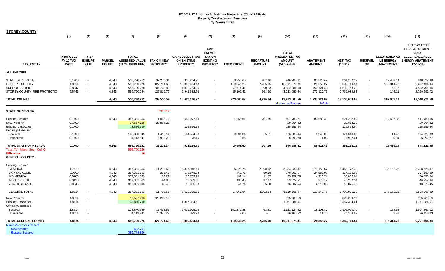| <b>STOREY COUNTY</b>                                                        |                                                    |                                              |                               |                                                              |                 |                                                                 |                                                                              |                   |                                   |                                                                        |                                   |                             |                      |                                                             |                                                                                                                        |
|-----------------------------------------------------------------------------|----------------------------------------------------|----------------------------------------------|-------------------------------|--------------------------------------------------------------|-----------------|-----------------------------------------------------------------|------------------------------------------------------------------------------|-------------------|-----------------------------------|------------------------------------------------------------------------|-----------------------------------|-----------------------------|----------------------|-------------------------------------------------------------|------------------------------------------------------------------------------------------------------------------------|
|                                                                             | (1)                                                | (2)                                          | (3)                           | (4)                                                          | (5)             | (6)                                                             | (7)                                                                          | (8)               | (9)                               | (10)                                                                   | (11)                              | (12)                        | (13)                 | (14)                                                        | (15)                                                                                                                   |
| <b>TAX ENTITY</b>                                                           | <b>PROPOSED</b><br><b>FY 17 TAX</b><br><b>RATE</b> | <b>FY 17</b><br><b>EXEMPT</b><br><b>RATE</b> | <b>PARCEL</b><br><b>COUNT</b> | <b>TOTAL</b><br>ASSESSED VALUE TAX ON NEW<br>(EXCLUDING NPM) | <b>PROPERTY</b> | <b>CAP-SUBJECT TAX</b><br><b>ON EXISTING</b><br><b>PROPERTY</b> | CAP-<br><b>EXEMPT</b><br><b>TAX ON</b><br><b>EXISTING</b><br><b>PROPERTY</b> | <b>EXEMPTIONS</b> | <b>RECAPTURE</b><br><b>AMOUNT</b> | <b>TOTAL</b><br><b>PREABATED TAX</b><br><b>AMOUNT</b><br>$(5+6+7-8+9)$ | <b>ABATEMENT</b><br><b>AMOUNT</b> | <b>NET TAX</b><br>$(10-11)$ | <b>REDEVEL</b><br>OP | <b>LEED/RENEWAB</b><br><b>LE ENERGY</b><br><b>ABATEMENT</b> | <b>NET TAX LESS</b><br><b>REDEVELOPMENT</b><br>AND<br><b>LEED/RENEWABLE</b><br><b>ENERGY ABATEMENT</b><br>$(12-13-14)$ |
| <b>ALL ENTITIES</b>                                                         |                                                    |                                              |                               |                                                              |                 |                                                                 |                                                                              |                   |                                   |                                                                        |                                   |                             |                      |                                                             |                                                                                                                        |
| STATE OF NEVADA                                                             | 0.1700                                             |                                              | 4,843                         | 556,790,262                                                  | 39,275.34       | 918,264.71                                                      |                                                                              | 10,958.60         | 207.16                            | 946,788.61                                                             | 85,526.49                         | 861,262.12                  |                      | 12,439.14                                                   | 848,822.98                                                                                                             |
| <b>GENERAL COUNTY</b>                                                       | 1.8514                                             | $\sim$                                       | 4,843                         | 556,790,276                                                  | 427,731.63      | 10,000,434.48                                                   | $\blacksquare$                                                               | 119,346.25        | 2,255.95                          | 10,311,075.81                                                          | 928,356.27                        | 9,382,719.54                |                      | 175,314.70                                                  | 9,207,404.84                                                                                                           |
| SCHOOL DISTRICT                                                             | 0.8947                                             |                                              | 4,843                         | 556,790,280                                                  | 206,703.83      | 4,832,764.95                                                    |                                                                              | 57,674.41         | 1,090.23                          | 4,982,884.60                                                           | 450,121.40                        | 4,532,763.20                |                      | 62.16                                                       | 4,532,701.04                                                                                                           |
| STOREY COUNTY FIRE PROTECTIO                                                | 0.5446                                             |                                              | 4,843                         | 556,790,284                                                  | 125,819.72      | 2,941,682.63                                                    | $\sim$                                                                       | 35,106.41         | 663.60                            | 3,033,059.54                                                           | 273,120.71                        | 2,759,938.83                | $\sim$               | 146.11                                                      | 2,759,792.72                                                                                                           |
| <b>TOTAL COUNTY</b>                                                         |                                                    |                                              | 4,843                         | 556,790,262                                                  | 799,530.52      | 18,693,146.77                                                   | $\blacksquare$                                                               | 223,085.67        | 4,216.94                          | 19,273,808.56                                                          | 1,737,124.87                      | 17,536,683.69               |                      | 187,962.11                                                  | 17,348,721.58                                                                                                          |
|                                                                             |                                                    |                                              |                               |                                                              |                 |                                                                 |                                                                              |                   |                                   | <b>Abatement Percent</b>                                               | 9.01%                             |                             |                      |                                                             |                                                                                                                        |
| <b>STATE OF NEVADA</b>                                                      |                                                    |                                              |                               |                                                              | 632,812         |                                                                 |                                                                              |                   |                                   |                                                                        |                                   |                             |                      |                                                             |                                                                                                                        |
| <b>Existing Secured</b>                                                     | 0.1700                                             |                                              | 4,843                         | 357,381,693                                                  | 1,075.78        | 608,077.69                                                      |                                                                              | 1,566.61          | 201.35                            | 607,788.21                                                             | 83,580.32                         | 524,207.89                  |                      | 12,427.33                                                   | 511,780.56                                                                                                             |
| New Property                                                                | 0.1700                                             |                                              |                               | 17,567,188                                                   | 29,864.22       |                                                                 |                                                                              |                   |                                   | 29,864.22                                                              |                                   | 29,864.22                   |                      |                                                             | 29,864.22                                                                                                              |
| <b>Existing Unsecured</b>                                                   | 0.1700                                             |                                              |                               | 73,856,790                                                   |                 | 125,556.54                                                      | $\overline{\phantom{a}}$                                                     |                   |                                   | 125,556.54                                                             |                                   | 125,556.54                  |                      |                                                             | 125,556.54                                                                                                             |
| <b>Centrally Assessed</b>                                                   |                                                    |                                              |                               |                                                              |                 |                                                                 |                                                                              |                   |                                   |                                                                        |                                   |                             |                      |                                                             |                                                                                                                        |
| Secured                                                                     | 0.1700                                             |                                              |                               | 103,870,649                                                  | 1,417.14        | 184,554.33                                                      | $\blacksquare$                                                               | 9,391.34          | 5.81                              | 176,585.94                                                             | 1,945.08                          | 174,640.86                  |                      | 11.47                                                       | 174,629.39                                                                                                             |
| Unsecured                                                                   | 0.1700                                             |                                              |                               | 4,113,941                                                    | 6,918.20        | 76.15                                                           | $\sim$                                                                       | 0.65              | $\sim$                            | 6,993.70                                                               | 1.09                              | 6,992.61                    |                      | 0.34                                                        | 6,992.27                                                                                                               |
| <b>TOTAL STATE OF NEVADA</b>                                                | 0.1700                                             |                                              | 4,843                         | 556,790,262                                                  | 39,275.34       | 918,264.71                                                      | $\blacksquare$                                                               | 10,958.60         | 207.16                            | 946,788.61                                                             | 85,526.49                         | 861,262.12                  |                      | 12,439.14                                                   | 848,822.98                                                                                                             |
| Total AV - March Seg - Col. Q<br><b>Difference</b><br><u>GENERAL COUNTY</u> |                                                    |                                              |                               | 556,790,246<br>16                                            |                 |                                                                 |                                                                              |                   |                                   |                                                                        |                                   |                             |                      |                                                             |                                                                                                                        |
| <b>Existing Secured</b>                                                     |                                                    |                                              |                               |                                                              |                 |                                                                 |                                                                              |                   |                                   |                                                                        |                                   |                             |                      |                                                             |                                                                                                                        |
| <b>GENERAL</b>                                                              | 1.7719                                             |                                              | 4,843                         | 357,381,693                                                  | 11,212.60       | 6,337,948.60                                                    |                                                                              | 16,328.75         | 2,098.52                          | 6,334,930.97                                                           | 871,153.67                        | 5,463,777.30                |                      | 175,152.23                                                  | 5,288,625.07                                                                                                           |
| <b>CAPITAL AQUIS</b>                                                        | 0.0500                                             |                                              | 4,843                         | 357,381,693                                                  | 316.41          | 178,848.34                                                      |                                                                              | 460.76            | 59.18                             | 178,763.17                                                             | 24,583.08                         | 154,180.09                  |                      |                                                             | 154,180.09                                                                                                             |
| <b>IND MEDICAL</b>                                                          | 0.0100                                             |                                              | 4,843                         | 357,381,693                                                  | 63.27           | 35,769.78                                                       |                                                                              | 92.14             | 11.87                             | 35,752.78                                                              | 4,916.74                          | 30,836.04                   |                      |                                                             | 30,836.04                                                                                                              |
| <b>IND ACCIDENT</b>                                                         | 0.0150                                             |                                              | 4,843                         | 357,381,693                                                  | 94.88           | 53,653.31                                                       |                                                                              | 138.45            | 17.77                             | 53,627.51                                                              | 7,375.17                          | 46,252.34                   |                      |                                                             | 46,252.34                                                                                                              |
| YOUTH SERVICE                                                               | 0.0045                                             |                                              | 4,843                         | 357,381,693                                                  | 28.45           | 16,095.53                                                       |                                                                              | 41.74             | 5.30                              | 16,087.54                                                              | 2,212.09                          | 13,875.45                   |                      |                                                             | 13,875.45                                                                                                              |
| <b>GENERAL TOTAL</b>                                                        | 1.8514                                             |                                              | 4,843                         | 357,381,693                                                  | 11,715.61       | 6,622,315.56                                                    | $\sim$                                                                       | 17,061.84         | 2,192.64                          | 6,619,161.97                                                           | 910,240.75                        | 5,708,921.22                |                      | 175,152.23                                                  | 5,533,768.99                                                                                                           |
| New Property                                                                | 1.8514                                             |                                              |                               | 17,567,203                                                   | 325,239.19      |                                                                 | $\overline{\phantom{a}}$                                                     |                   |                                   | 325,239.19                                                             |                                   | 325,239.19                  |                      |                                                             | 325.239.19                                                                                                             |
| <b>Existing Unsecured</b>                                                   | 1.8514                                             | $\sim$                                       |                               | 73,856,790                                                   |                 | 1,367,384.61                                                    | $\overline{\phantom{a}}$                                                     |                   |                                   | 1,367,384.61                                                           |                                   | 1,367,384.61                |                      |                                                             | 1,367,384.61                                                                                                           |
| Centrally Assessed                                                          |                                                    |                                              |                               |                                                              |                 |                                                                 |                                                                              |                   |                                   |                                                                        |                                   |                             |                      |                                                             |                                                                                                                        |
| Secured                                                                     | 1.8514                                             |                                              |                               | 103,870,649                                                  | 15,433.56       | 2,009,905.03                                                    | $\overline{\phantom{a}}$                                                     | 102,277.38        | 63.31                             | 1,923,124.52                                                           | 18,103.82                         | 1,905,020.70                |                      | 158.68                                                      | 1,904,862.02                                                                                                           |
| Unsecured                                                                   | 1.8514                                             |                                              |                               | 4,113,941                                                    | 75,343.27       | 829.28                                                          |                                                                              | 7.03              | $\sim$                            | 76,165.52                                                              | 11.70                             | 76,153.82                   |                      | 3.79                                                        | 76,150.03                                                                                                              |
| TOTAL GENERAL COUNTY                                                        | 1.8514                                             |                                              | 4,843                         | 556,790,276                                                  | 427,731.63      | 10,000,434.48                                                   |                                                                              | 119,346.25        | 2,255.95                          | 10,311,075.81                                                          | 928,356.27                        | 9,382,719.54                |                      | 175,314.70                                                  | 9,207,404.84                                                                                                           |
| <b>March Assessors Report:</b>                                              |                                                    |                                              |                               |                                                              |                 |                                                                 |                                                                              |                   |                                   |                                                                        |                                   |                             |                      |                                                             |                                                                                                                        |
| New secured<br><b>Existing Secured</b>                                      |                                                    |                                              |                               | 632,797<br>356,748,866                                       |                 |                                                                 |                                                                              |                   |                                   |                                                                        |                                   |                             |                      |                                                             |                                                                                                                        |
|                                                                             |                                                    |                                              |                               |                                                              |                 |                                                                 |                                                                              |                   |                                   |                                                                        |                                   |                             |                      |                                                             |                                                                                                                        |

 $\mathbb{R}^2$ 

 $\sim$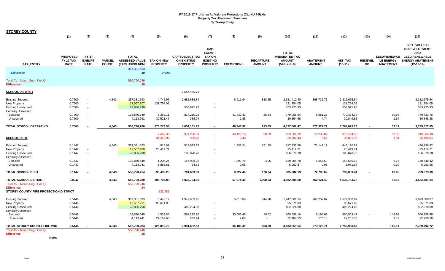| <b>STOREY COUNTY</b>                                                                                |                                                    |                                              |                               |                                                              |                        |                                                                 |                                                                              |                   |                                   |                                                                 |                                   |                                          |                      |                                                             |                                                                                                                               |
|-----------------------------------------------------------------------------------------------------|----------------------------------------------------|----------------------------------------------|-------------------------------|--------------------------------------------------------------|------------------------|-----------------------------------------------------------------|------------------------------------------------------------------------------|-------------------|-----------------------------------|-----------------------------------------------------------------|-----------------------------------|------------------------------------------|----------------------|-------------------------------------------------------------|-------------------------------------------------------------------------------------------------------------------------------|
|                                                                                                     | (1)                                                | (2)                                          | (3)                           | (4)                                                          | (5)                    | (6)                                                             | (7)                                                                          | (8)               | (9)                               | (10)                                                            | (11)                              | (12)                                     | (13)                 | (14)                                                        | (15)                                                                                                                          |
| TAX_ENTITY                                                                                          | <b>PROPOSED</b><br><b>FY 17 TAX</b><br><b>RATE</b> | <b>FY 17</b><br><b>EXEMPT</b><br><b>RATE</b> | <b>PARCEL</b><br><b>COUNT</b> | <b>TOTAL</b><br>ASSESSED VALUE TAX ON NEW<br>(EXCLUDING NPM) | <b>PROPERTY</b>        | <b>CAP-SUBJECT TAX</b><br><b>ON EXISTING</b><br><b>PROPERTY</b> | CAP-<br><b>EXEMPT</b><br><b>TAX ON</b><br><b>EXISTING</b><br><b>PROPERTY</b> | <b>EXEMPTIONS</b> | <b>RECAPTURE</b><br><b>AMOUNT</b> | <b>TOTAL</b><br>PREABATED TAX<br><b>AMOUNT</b><br>$(5+6+7-8+9)$ | <b>ABATEMENT</b><br><b>AMOUNT</b> | NET_TAX<br>$(10-11)$                     | <b>REDEVEL</b><br>OP | <b>LEED/RENEWAB</b><br><b>LE ENERGY</b><br><b>ABATEMENT</b> | <b>NET TAX LESS</b><br><b>REDEVELOPMENT</b><br><b>AND</b><br><b>LEED/RENEWABLE</b><br><b>ENERGY ABATEMENT</b><br>$(12-13-14)$ |
| <b>Difference</b>                                                                                   |                                                    |                                              |                               | 357,381,663<br>30                                            | 0.00%                  |                                                                 |                                                                              |                   |                                   |                                                                 |                                   |                                          |                      |                                                             |                                                                                                                               |
| Total AV - March Seg - Col. Q<br>Difference                                                         |                                                    |                                              |                               | 556,790,246<br>30                                            |                        |                                                                 |                                                                              |                   |                                   |                                                                 |                                   |                                          |                      |                                                             |                                                                                                                               |
| <b>SCHOOL DISTRICT</b>                                                                              |                                                    |                                              |                               |                                                              |                        | 2,687,435.79                                                    |                                                                              |                   |                                   |                                                                 |                                   |                                          |                      |                                                             |                                                                                                                               |
| <b>Existing Secured</b><br>New Property<br><b>Existing Unsecured</b>                                | 0.7500<br>0.7500<br>0.7500                         | $\sim$<br>$\sim$<br>$\sim$                   | 4,843                         | 357,381,693<br>17,567,207<br>73,856,790                      | 4,745.95<br>131,754.05 | 2,682,689.84<br>553,925.93                                      | ×.                                                                           | 6,911.64          | 888.25                            | 2,681,412.40<br>131,754.05<br>553,925.93                        | 368,736.76                        | 2,312,675.64<br>131,754.05<br>553,925.93 |                      |                                                             | 2,312,675.64<br>131,754.05<br>553,925.93                                                                                      |
| <b>Centrally Assessed</b><br>Secured<br>Unsecured                                                   | 0.7500<br>0.7500                                   | $\sim$<br>$\blacksquare$                     |                               | 103,870,649<br>4,113,941                                     | 6,252.11<br>30,521.47  | 814,210.22<br>335.94                                            | $\blacksquare$<br>$\overline{\phantom{a}}$                                   | 41,432.43<br>2.85 | 25.64<br>$\sim$                   | 779,055.54<br>30,854.56                                         | 8,581.22<br>4.74                  | 770,474.32<br>30,849.82                  | $\blacksquare$       | 50.56<br>1.54                                               | 770,423.76<br>30,848.28                                                                                                       |
| TOTAL SCHOOL OPERATING                                                                              | 0.7500                                             |                                              | 4,843                         | 556,790,280                                                  | 173,273.58             | 4,051,161.92                                                    | $\sim$                                                                       | 48.346.92         | 913.89                            | 4,177,002.47                                                    | 377,322.71                        | 3,799,679.76                             | $\blacksquare$       | 52.11                                                       | 3,799,627.65                                                                                                                  |
| <b>SCHOOL DEBT</b>                                                                                  |                                                    |                                              |                               |                                                              | 7,458.35<br>36,410.08  | 971,298.51<br>400.75                                            | ×.<br>$\sim$                                                                 | 49,426.13<br>3.40 | 30.59<br>$\sim$                   | 929,361.32<br>36,807.43                                         | 10,236.82<br>5.65                 | 919,124.50<br>36,801.78                  | $\sim$               | 60.32<br>1.84                                               | 919,064.18<br>36,799.94                                                                                                       |
| <b>Existing Secured</b><br>New Property<br><b>Existing Unsecured</b><br><b>Centrally Assessed</b>   | 0.1447<br>0.1447<br>0.1447                         | $\sim$<br>$\sim$                             | 4,843                         | 357,381,693<br>17,567,180<br>73,856,790                      | 915.69<br>25,419.71    | 517,579.15<br>106,870.78                                        | $\blacksquare$                                                               | 1,333.24          | 171.39                            | 517,332.99<br>25,419.71<br>106,870.78                           | 71,142.17                         | 446,190.82<br>25,419.71<br>106,870.78    |                      |                                                             | 446,190.82<br>25,419.71<br>106,870.78                                                                                         |
| Secured<br>Unsecured                                                                                | 0.1447<br>0.1447                                   |                                              |                               | 103,870,649<br>4,113,941                                     | 1,206.24<br>5,888.61   | 157,088.29<br>64.81                                             | $\blacksquare$<br>$\overline{\phantom{a}}$                                   | 7,993.70<br>0.55  | 4.95<br>$\sim$                    | 150,305.78<br>5,952.87                                          | 1,655.60<br>0.91                  | 148,650.18<br>5,951.96                   | $\blacksquare$       | 9.76<br>0.30                                                | 148,640.42<br>5,951.66                                                                                                        |
| TOTAL SCHOOL DEBT                                                                                   | 0.1447                                             |                                              | 4.843                         | 556,790,254                                                  | 33,430.25              | 781.603.03                                                      | $\sim$                                                                       | 9,327.49          | 176.34                            | 805,882.13                                                      | 72,798.69                         | 733,083.44                               | $\blacksquare$       | 10.05                                                       | 733,073.39                                                                                                                    |
| TOTAL SCHOOL DISTRICT                                                                               | 0.8947                                             |                                              | 4,843                         | 556,790,280                                                  | 206,703.83             | 4,832,764.95                                                    | $\sim$                                                                       | 57,674.41         | 1,090.23                          | 4,982,884.60                                                    | 450,121.40                        | 4,532,763.20                             | $\blacksquare$       | 62.16                                                       | 4,532,701.04                                                                                                                  |
| Total AV - March Seg - Col. Q<br><b>Difference</b><br><b>STOREY COUNTY FIRE PROTECTION DISTRICT</b> |                                                    |                                              |                               | 556,790,246<br>34                                            | 632,789                |                                                                 |                                                                              |                   |                                   |                                                                 |                                   |                                          |                      |                                                             |                                                                                                                               |
| <b>Existing Secured</b><br>New Property<br><b>Existing Unsecured</b>                                | 0.5446<br>0.5446<br>0.5446                         |                                              | 4,843                         | 357,381,693<br>17,567,211<br>73,856,790                      | 3,446.17<br>95,671.03  | 1,947,989.45<br>402,224.08                                      | $\sim$                                                                       | 5,018.86          | 644.98                            | 1,947,061.74<br>95,671.03<br>402,224.08                         | 267,752.87                        | 1,679,308.87<br>95,671.03<br>402,224.08  |                      |                                                             | 1,679,308.87<br>95,671.03<br>402,224.08                                                                                       |
| Centrally Assessed<br>Secured<br>Unsecured                                                          | 0.5446<br>0.5446                                   |                                              |                               | 103,870,649<br>4,113,941                                     | 4,539.86<br>22,162.66  | 591,225.16<br>243.94                                            | $\sim$<br>$\sim$                                                             | 30,085.48<br>2.07 | 18.62<br>$\sim$                   | 565,698.16<br>22,404.53                                         | 5,194.69<br>173.15                | 560,503.47<br>22,231.38                  | $\blacksquare$       | 144.99<br>1.12                                              | 560,358.48<br>22,230.26                                                                                                       |
| TOTAL STOREY COUNTY FIRE PRO                                                                        | 0.5446                                             |                                              | 4,843                         | 556,790,284                                                  | 125,819.72             | 2,941,682.63                                                    | $\blacksquare$                                                               | 35,106.41         | 663.60                            | 3,033,059.54                                                    | 273,120.71                        | 2,759,938.83                             |                      | 146.11                                                      | 2,759,792.72                                                                                                                  |
| Total AV - March Seg - Col. Q<br><b>Difference</b><br>Note:                                         |                                                    |                                              |                               | 556,790,246<br>38                                            |                        |                                                                 |                                                                              |                   |                                   |                                                                 |                                   |                                          |                      |                                                             |                                                                                                                               |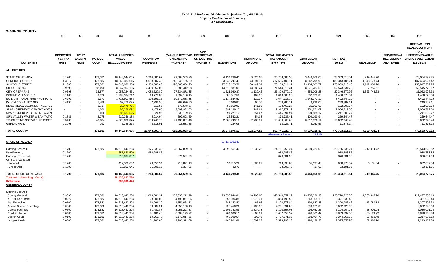| <b>WASHOE COUNTY</b>                                                        |                              |                               |               |                                       |                   |                                           |                            |                   |                  |                                             |                  |                |                  |                                         |                                                                                                               |
|-----------------------------------------------------------------------------|------------------------------|-------------------------------|---------------|---------------------------------------|-------------------|-------------------------------------------|----------------------------|-------------------|------------------|---------------------------------------------|------------------|----------------|------------------|-----------------------------------------|---------------------------------------------------------------------------------------------------------------|
|                                                                             | (1)                          | (2)                           | (3)           | (4)                                   | (5)               | (6)                                       | (7)                        | (8)               | (9)              | (10)                                        | (11)             | (12)           | (13)             | (14)                                    | (15)                                                                                                          |
|                                                                             | <b>PROPOSED</b><br>FY 17 TAX | <b>FY 17</b><br><b>EXEMPT</b> | <b>PARCEL</b> | <b>TOTAL ASSESSED</b><br><b>VALUE</b> | <b>TAX ON NEW</b> | CAP-SUBJECT TAX EXEMPT TAX<br>ON EXISTING | CAP-<br><b>ON EXISTING</b> |                   | <b>RECAPTURE</b> | <b>TOTAL PREABATED</b><br><b>TAX AMOUNT</b> | <b>ABATEMENT</b> | <b>NET TAX</b> |                  | <b>LEED/RENEWA</b><br><b>BLE ENERGY</b> | <b>NET TAX LESS</b><br><b>REDEVELOPMENT</b><br><b>AND</b><br><b>LEED/RENEWABLE</b><br><b>ENERGY ABATEMENT</b> |
| <b>TAX ENTITY</b>                                                           | <b>RATE</b>                  | <b>RATE</b>                   | <b>COUNT</b>  | (EXCLUDING NPM)                       | <b>PROPERTY</b>   | <b>PROPERTY</b>                           | <b>PROPERTY</b>            | <b>EXEMPTIONS</b> | <b>AMOUNT</b>    | $(5+6+7-8+9)$                               | <b>AMOUNT</b>    | $(10-11)$      | <b>REDEVELOP</b> | <b>ABATEMENT</b>                        | $(12-13-14)$                                                                                                  |
| <b>ALL ENTITIES</b>                                                         |                              |                               |               |                                       |                   |                                           |                            |                   |                  |                                             |                  |                |                  |                                         |                                                                                                               |
| STATE OF NEVADA                                                             | 0.1700                       |                               | 173,582       | 18,143,644,065                        | 1,214,380.67      | 29,664,569.26                             | $\sim$                     | 4,134,289.45      | 9,026.08         | 26,753,686.56                               | 3,449,868.05     | 23,303,818.51  | 219,045.76       | ٠                                       | 23,084,772.75                                                                                                 |
| <b>GENERAL COUNTY</b>                                                       | 1.3917                       |                               | 173,582       | 18,040,683,616                        | 8,508,602.48      | 242,848,155.99                            |                            | 33,845,247.47     | 73,891.11        | 217,585,402.11                              | 28,242,295.90    | 189,343,106.21 | 1,848,178.74     |                                         | 187,494,927.47                                                                                                |
| <b>SCHOOL DISTRICT</b>                                                      | 1.1385                       | $\sim$                        | 173,582       | 18,040,682,366                        | 6,960,583.43      | 198,665,454.90                            | $\sim$                     | 27,523,173.50     | 60,449.34        | 178, 163, 314. 17                           | 23,104,003.72    | 155,059,310.45 | 1,142,008.20     |                                         | 153,917,302.25                                                                                                |
| CITY OF RENO                                                                | 0.9598                       |                               | 82,490        | 8,967,503,165                         | 3,430,857.00      | 82,683,412.08                             |                            | 14,612,831.01     | 43,380.24        | 71,544,818.31                               | 8,971,283.58     | 62,573,534.73  | 27,755.61        |                                         | 62,545,779.12                                                                                                 |
| <b>CITY OF SPARKS</b>                                                       | 0.9598                       |                               | 33,877        | 2,958,724,461                         | 1,084,627.80      | 27,334,872.35                             |                            | 1,521,960.37      | 2,139.42         | 26,899,679.19                               | 4,553,008.23     | 22,346,670.96  | 1,323,744.63     |                                         | 21,022,926.33                                                                                                 |
| <b>INCLINE VILLAGE GID</b>                                                  | 0.1183                       |                               | 9,326         | 1,702,104,712                         | 19,770.33         | 1,994,188.15                              |                            | 200,517.53        | 162.97           | 1,813,603.93                                | 332,825.09       | 1,480,778.84   |                  |                                         | 1,480,778.84                                                                                                  |
| NO LAKE TAHOE FIRE PROTECTIC                                                | 0.6291                       |                               | 9,371         | 1,713,601,588                         | 105,199.16        | 10,677,038.38                             |                            | 1,134,644.52      | 122.37           | 9,647,715.39                                | 1,245,271.10     | 8,402,444.29   |                  |                                         | 8,402,444.29                                                                                                  |
| PALOMINO VALLEY GID                                                         | 0.4198                       |                               | 1,488         | 62,778,025                            | 2,292.98          | 262,620.30                                |                            | 5,696.87          | 68.70            | 259,285.11                                  | 9,998.00         | 249,287.11     |                  |                                         | 249,287.11                                                                                                    |
| RENO REDEVELOPMENT AGENCY                                                   |                              |                               | 1,737         | 23,476,766                            | 612.56            | 178,578.67                                |                            | 50,869.92         | 141.96           | 128,463.27                                  | 25,562.63        | 102,900.64     |                  |                                         | 102,900.64                                                                                                    |
| SPARKS REDEVELOPMENT AGEN                                                   |                              |                               | 1,769         | 80,028,692                            | 8,479.65          | 2,699,932.03                              |                            | 391,188.17        | 747.61           | 2,317,971.12                                | 251,251.62       | 2,066,719.50   |                  |                                         | 2,066,719.50                                                                                                  |
| SPARKS REDEVELOPMENT AGEN                                                   |                              |                               | 466           | 85,637,526                            | 824.95            | 2,539,189.45                              |                            | 94,271.13         | 651.67           | 2,446,394.94                                | 204,885.17       | 2,241,509.77   |                  |                                         | 2,241,509.77                                                                                                  |
| SUN VALLEY WATER & SANITATIO                                                | 0.1836                       |                               | 6,075         | 219,246,184                           | 5,214.94          | 399,008.59                                |                            | 25,542.21         | 54.08            | 378,735.41                                  | 109,190.94       | 269,544.47     |                  |                                         | 269,544.47                                                                                                    |
| TRUCKEE MEADOWS FIRE PROTE                                                  | 0.5400                       |                               | 43,084        | 4,020,630,075                         | 609,749.75        | 21,138,081.46                             | $\sim$                     | 2,069,749.13      | 2,780.51         | 19,680,862.60                               | 3,017,920.14     | 16,662,942.46  |                  |                                         | 16,662,942.46                                                                                                 |
| <b>GERLACH GID</b>                                                          | 0.2998                       |                               | 192           | 6,048,213                             | 2,618.91          | 15,531.86                                 |                            | 4,224.05          | $\sim$           | 13,926.71                                   | 2,053.57         | 11,873.14      |                  |                                         | 11,873.14                                                                                                     |
| <b>TOTAL COUNTY</b>                                                         |                              |                               | 173,582       | 18,143,644,065                        | 21,943,897.45     | 615,682,933.33                            |                            | 85,077,876.11     | 192,074.82       | 552,741,029.49                              | 73,037,718.32    | 479,703,311.17 | 4,560,732.94     |                                         | 479,553,708.14                                                                                                |
|                                                                             |                              |                               |               |                                       |                   |                                           |                            |                   |                  | <b>Abatement Percent</b>                    | 13.21%           |                |                  |                                         |                                                                                                               |
| <b>STATE OF NEVADA</b>                                                      |                              |                               |               |                                       |                   |                                           |                            | 2,411,500,841     |                  |                                             |                  |                |                  |                                         |                                                                                                               |
| Existing Secured                                                            | 0.1700                       |                               | 173,582       | 16,613,443,204                        | 175,031.33        | 28,067,839.08                             |                            | 4,099,551.43      | 7,939.26         | 24, 151, 258. 24                            | 3,394,723.00     | 20,756,535.24  | 212,914.72       |                                         | 20,543,620.52                                                                                                 |
| New Property                                                                | 0.1700                       |                               |               | 581,640,500                           | 988,788.85        |                                           |                            |                   |                  | 988,788.85                                  |                  | 988,788.85     |                  |                                         | 988,788.85                                                                                                    |
| <b>Existing Unsecured</b>                                                   | 0.1700                       |                               |               | 515,607,052                           |                   | 876,531.99                                |                            |                   |                  | 876,531.99                                  |                  | 876,531.99     |                  |                                         | 876,531.99                                                                                                    |
| <b>Centrally Assessed</b>                                                   |                              |                               |               |                                       |                   |                                           |                            |                   |                  |                                             |                  |                |                  |                                         |                                                                                                               |
| Secured                                                                     | 0.1700                       |                               |               | 419,300,667                           | 28,655.34         | 718,871.13                                |                            | 34,715.29         | 1,086.82         | 713,898.00                                  | 55,127.43        | 658,770.57     | 6,131.04         |                                         | 652,639.53                                                                                                    |
| Unsecured                                                                   | 0.1700                       |                               |               | 13,652,641                            | 21,905.15         | 1,327.06                                  | $\sim$                     | 22.73             | $\sim$           | 23,209.48                                   | 17.62            | 23,191.86      |                  |                                         | 23,191.86                                                                                                     |
| TOTAL STATE OF NEVADA                                                       | 0.1700                       |                               | 173,582       | 18,143,644,065                        | 1,214,380.67      | 29,664,569.26                             |                            | 4,134,289.45      | 9,026.08         | 26,753,686.56                               | 3,449,868.05     | 23,303,818.51  | 219,045.76       |                                         | 23,084,772.75                                                                                                 |
| Total AV - March Seq - Col. Q<br><b>Difference</b><br><b>GENERAL COUNTY</b> |                              |                               |               | 15,429,637,750<br>302,505,474         |                   |                                           |                            |                   |                  |                                             |                  |                |                  |                                         |                                                                                                               |
| <b>Existing Secured</b>                                                     |                              |                               |               |                                       |                   |                                           |                            |                   |                  |                                             |                  |                |                  |                                         |                                                                                                               |
| <b>County General</b>                                                       | 0.9893                       |                               | 173,582       | 16,613,443,204                        | 1,018,581.31      | 163,338,212.79                            |                            | 23,856,944.81     | 46,203.00        | 140,546,052.29                              | 19,755,326.93    | 120,790,725.36 | 1,363,345.20     |                                         | 119,427,380.16                                                                                                |
| AB104 Fair Share                                                            | 0.0272                       |                               | 173,582       | 16,613,443,204                        | 28,006.02         | 4,490,857.06                              | $\sim$                     | 655,934.89        | 1,270.31         | 3,864,198.50                                | 543,159.10       | 3,321,039.40   |                  |                                         | 3,321,039.40                                                                                                  |
| Ag. Extension                                                               | 0.0100                       |                               | 173,582       | 16,613,443,204                        | 10,296.29         | 1,651,064.31                              | $\overline{\phantom{a}}$   | 241,153.42        | 466.66           | 1,420,673.84                                | 199,687.38       | 1,220,986.46   | 13,780.13        |                                         | 1,207,206.33                                                                                                  |
| Animal Shelter Operating                                                    | 0.0300                       |                               | 173,582       | 16,613,443,204                        | 30,887.21         | 4,953,153.13                              | $\sim$                     | 723,450.20        | 1,400.92         | 4,261,991.06                                | 599,071.00       | 3,662,920.06   |                  |                                         | 3,662,920.06                                                                                                  |
| <b>Capital Facilities</b>                                                   | 0.0500                       |                               | 173,582       | 16,613,443,204                        | 51,482.87         | 8,255,293.37                              |                            | 1,205,753.99      | 2,334.78         | 7,103,357.03                                | 998,452.25       | 6,104,904.78   | 68,903.04        |                                         | 6,036,001.74                                                                                                  |
| <b>Child Protection</b>                                                     | 0.0400                       |                               | 173,582       | 16,613,443,204                        | 41,186.40         | 6,604,199.22                              |                            | 964,600.11        | 1,868.01         | 5,682,653.52                                | 798,761.47       | 4,883,892.05   | 55,123.22        |                                         | 4,828,768.83                                                                                                  |
| <b>District Court</b>                                                       | 0.0192                       |                               | 173,582       | 16,613,443,204                        | 19,769.78         | 3,170,014.65                              |                            | 463,009.54        | 896.46           | 2,727,671.35                                | 383,404.77       | 2,344,266.58   | 26,460.48        |                                         | 2,317,806.10                                                                                                  |
| Indigent Health                                                             | 0.0600                       |                               | 173,582       | 16,613,443,204                        | 61,780.80         | 9,906,312.09                              |                            | 1,446,901.88      | 2,802.22         | 8,523,993.23                                | 1,198,139.30     | 7,325,853.93   | 82,686.10        |                                         | 7,243,167.83                                                                                                  |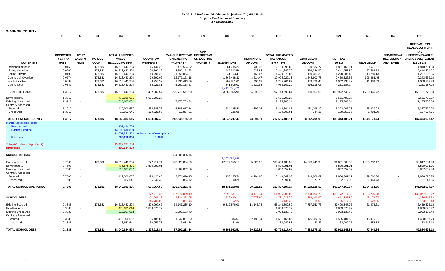| <b>WASHOE COUNTY</b>                                                                                                                                |                                             |                                              |                               |                                                                                                 |                                      |                                                              |                                               |                             |                                   |                                                              |                                   |                                               |                       |                                                             |                                                                                                                               |
|-----------------------------------------------------------------------------------------------------------------------------------------------------|---------------------------------------------|----------------------------------------------|-------------------------------|-------------------------------------------------------------------------------------------------|--------------------------------------|--------------------------------------------------------------|-----------------------------------------------|-----------------------------|-----------------------------------|--------------------------------------------------------------|-----------------------------------|-----------------------------------------------|-----------------------|-------------------------------------------------------------|-------------------------------------------------------------------------------------------------------------------------------|
|                                                                                                                                                     | (1)                                         | (2)                                          | (3)                           | (4)                                                                                             | (5)                                  | (6)                                                          | (7)                                           | (8)                         | (9)                               | (10)                                                         | (11)                              | (12)                                          | (13)                  | (14)                                                        | (15)                                                                                                                          |
| <b>TAX ENTITY</b>                                                                                                                                   | <b>PROPOSED</b><br>FY 17 TAX<br><b>RATE</b> | <b>FY 17</b><br><b>EXEMPT</b><br><b>RATE</b> | <b>PARCEL</b><br><b>COUNT</b> | <b>TOTAL ASSESSED</b><br>VALUE<br>(EXCLUDING NPM)                                               | <b>TAX ON NEW</b><br><b>PROPERTY</b> | CAP-SUBJECT TAX EXEMPT TAX<br>ON EXISTING<br><b>PROPERTY</b> | CAP-<br><b>ON EXISTING</b><br><b>PROPERTY</b> | <b>EXEMPTIONS</b>           | <b>RECAPTURE</b><br><b>AMOUNT</b> | <b>TOTAL PREABATED</b><br><b>TAX AMOUNT</b><br>$(5+6+7-8+9)$ | <b>ABATEMENT</b><br><b>AMOUNT</b> | NET_TAX<br>$(10-11)$                          | <b>REDEVELOP</b>      | <b>LEED/RENEWA</b><br><b>BLE ENERGY</b><br><b>ABATEMENT</b> | <b>NET TAX LESS</b><br><b>REDEVELOPMENT</b><br><b>AND</b><br><b>LEED/RENEWABLE</b><br><b>ENERGY ABATEMENT</b><br>$(12-13-14)$ |
| Indigent Insurance                                                                                                                                  | 0.0150                                      |                                              | 173,582                       | 16,613,443,204                                                                                  | 15,446.23                            | 2,476,584.52                                                 |                                               | 361,735.23                  | 700.36                            | 2,130,995.88                                                 | 299,532.77                        | 1,831,463.11                                  | 20,671.81             |                                                             | 1,810,791.30                                                                                                                  |
| Library Override                                                                                                                                    | 0.0200                                      |                                              | 173,582                       | 16,613,443,204                                                                                  | 20,590.22                            | 3,302,121.23                                                 |                                               | 482,302.54                  | 933.88                            | 2,841,342.79                                                 | 399,384.99                        | 2,441,957.80                                  | 27,563.53             |                                                             | 2,414,394.27                                                                                                                  |
| Senior Citizens                                                                                                                                     | 0.0100                                      |                                              | 173,582                       | 16,613,443,204                                                                                  | 10,296.29                            | 1,651,064.31                                                 |                                               | 241, 153.41                 | 466.67                            | 1,420,673.86                                                 | 199,687.38                        | 1,220,986.48                                  | 13,780.13             |                                                             | 1,207,206.35                                                                                                                  |
| County Jail Override                                                                                                                                | 0.0774                                      |                                              | 173,582                       | 16,613,443,204                                                                                  | 79,690.02                            | 12,779,123.16                                                |                                               | 1,866,498.32                | 3,614.47                          | 10,995,929.33                                                | 1,545,602.78                      | 9,450,326.55                                  | 106,664.45            |                                                             | 9,343,662.10                                                                                                                  |
| Youth Facilities                                                                                                                                    | 0.0087                                      |                                              | 173,582                       | 16,613,443,204                                                                                  | 8,957.32                             | 1,436,413.09                                                 |                                               | 209,811.63                  | 406.09                            | 1,235,964.87                                                 | 173,728.45                        | 1,062,236.42                                  | 11,988.63             |                                                             | 1,050,247.79                                                                                                                  |
| County Debt                                                                                                                                         | 0.0349                                      |                                              | 173,582                       | 16,613,443,204                                                                                  | 35,929.81                            | 5,762,158.57                                                 |                                               | 841,616.02<br>2,411,501,472 | 1,629.93                          | 4,958,102.29                                                 | 696,915.05                        | 4,261,187.24                                  |                       |                                                             | 4,261,187.24                                                                                                                  |
| <b>GENERAL TOTAL</b>                                                                                                                                | 1.3917                                      |                                              | 173,582                       | 16,613,443,204                                                                                  | 1,432,900.57                         | 229,776,571.50                                               | $\sim$                                        | 33,560,865.99               | 64,993.76                         | 197,713,599.84                                               | 27,790,853.62                     | 169,922,746.22                                | 1,790,966.72          |                                                             | 168,131,779.50                                                                                                                |
| New Property                                                                                                                                        | 1.3917                                      |                                              |                               | 478,680,051                                                                                     | 6,661,790.27                         |                                                              | $\sim$                                        |                             |                                   | 6,661,790.27                                                 |                                   | 6,661,790.27                                  |                       |                                                             | 6,661,790.27                                                                                                                  |
| <b>Existing Unsecured</b><br>Centrally Assessed                                                                                                     | 1.3917                                      | $\overline{\phantom{a}}$                     |                               | 515,607,052                                                                                     |                                      | 7,175,703.34                                                 |                                               |                             |                                   | 7,175,703.34                                                 |                                   | 7,175,703.34                                  |                       |                                                             | 7,175,703.34                                                                                                                  |
| Secured                                                                                                                                             | 1.3917                                      | $\sim$                                       |                               | 419,300,667                                                                                     | 234,585.76                           | 5,885,017.14                                                 |                                               | 284,195.40                  | 8,897.35                          | 5,844,304.85                                                 | 451,298.12                        | 5,393,006.73                                  | 55,227.03             |                                                             | 5,337,779.70                                                                                                                  |
| Unsecured                                                                                                                                           | 1.3917                                      |                                              |                               | 13,652,641                                                                                      | 179,325.88                           | 10,864.01                                                    |                                               | 186.08                      |                                   | 190,003.81                                                   | 144.16                            | 189,859.65                                    | 1,984.99              |                                                             | 187,874.66                                                                                                                    |
| TOTAL GENERAL COUNTY                                                                                                                                | 1.3917                                      |                                              | 173,582                       | 18,040,683,616                                                                                  | 8,508,602.48                         | 242,848,155.99                                               |                                               | 33,845,247.47               | 73,891.11                         | 217,585,402.11                                               | 28,242,295.90                     | 189,343,106.21                                | 1,848,178.74          |                                                             | 187,494,927.47                                                                                                                |
| <b>March Assessors Report:</b><br>New secured<br><b>Existing Secured</b><br><b>Difference</b><br>Total AV - March Seg - Col. Q<br><b>Difference</b> |                                             |                                              |                               | 102,494,508<br>13,899,436,890<br>14,001,931,398<br>200,010,334<br>15,429,637,750<br>199,544,393 | Value is net of exemptions<br>1.43%  |                                                              |                                               |                             |                                   |                                                              |                                   |                                               |                       |                                                             |                                                                                                                               |
| <b>SCHOOL DISTRICT</b>                                                                                                                              |                                             |                                              |                               |                                                                                                 |                                      | 124,601,036.74                                               |                                               | 2,397,060,689               |                                   |                                                              |                                   |                                               |                       |                                                             |                                                                                                                               |
| <b>Existing Secured</b><br>New Property<br><b>Existing Unsecured</b><br><b>Centrally Assessed</b>                                                   | 0.7500<br>0.7500<br>0.7500                  | $\sim$<br>$\sim$<br>$\sim$                   | 173,582                       | 16,613,443,204<br>478,678,801<br>515,607,052                                                    | 772,212.74<br>3,590,091.01           | 123,828,824.00<br>3,867,052.89                               |                                               | 17,977,955.17               | 35,026.96                         | 106,658,108.53<br>3,590,091.01<br>3,867,052.89               | 14,976,741.98                     | 91,681,366.55<br>3,590,091.01<br>3,867,052.89 | 1,033,732.47          |                                                             | 90,647,634.08<br>3,590,091.01<br>3,867,052.89                                                                                 |
| Secured<br>Unsecured                                                                                                                                | 0.7500<br>0.7500                            | $\sim$                                       |                               | 419,300,667<br>13,652,641                                                                       | 126,420.45<br>96,640.38              | 3,171,490.15<br>5,854.72                                     | $\overline{\phantom{a}}$                      | 153, 155.54<br>100.28       | 4,794.86<br>$\sim$                | 3,149,549.93<br>102,394.82                                   | 243,208.82<br>77.73               | 2,906,341.11<br>102,317.08                    | 29,762.36<br>1,069.73 |                                                             | 2,876,578.74<br>101,247.35                                                                                                    |
| TOTAL SCHOOL OPERATING                                                                                                                              | 0.7500                                      |                                              | 173,582                       | 18,040,682,366                                                                                  | 4,585,364.58                         | 130,873,221.76                                               | $\overline{\phantom{a}}$                      | 18,131,210.99               | 39,821.82                         | 117,367,197.17                                               | 15,220,028.53                     | 102,147,168.64                                | 1,064,564.56          |                                                             | 101,082,604.07                                                                                                                |
|                                                                                                                                                     |                                             |                                              |                               |                                                                                                 |                                      |                                                              |                                               |                             |                                   |                                                              |                                   |                                               |                       |                                                             |                                                                                                                               |
|                                                                                                                                                     |                                             |                                              |                               |                                                                                                 | 1,172,210.36                         | 187,972,059.10                                               |                                               | 27,290,531.17               | 53,170.74                         | 161,906,909.03                                               | 22,734,694.73                     | 139, 172, 214. 30                             | 1,095,205.08          |                                                             | 138,077,009.22                                                                                                                |
| <b>SCHOOL DEBT</b>                                                                                                                                  |                                             |                                              |                               |                                                                                                 | 191,906.25                           | 4,814,322.05                                                 |                                               | 232,490.11                  | 7,278.60                          | 4,781,016.79                                                 | 369,190.99                        | 4,411,825.80                                  | 45,179.27             |                                                             | 4,366,646.53                                                                                                                  |
|                                                                                                                                                     |                                             |                                              |                               |                                                                                                 | 146,700.09                           | 8,887.46                                                     |                                               | 152.22                      |                                   | 155,435.33                                                   | 118.00                            | 155,317.33                                    | 1,623.85              |                                                             | 153,693.48                                                                                                                    |
| <b>Existing Secured</b>                                                                                                                             | 0.3885                                      |                                              | 173,582                       | 16,613,443,204                                                                                  | 399,997.62                           | 64, 143, 235. 10                                             |                                               | 9,312,576.00                | 18,143.78                         | 55,248,800.50                                                | 7,757,952.75                      | 47,490,847.75                                 | 61,472.61             |                                                             | 47,429,375.14                                                                                                                 |
| New Property                                                                                                                                        | 0.3885                                      | $\sim$                                       |                               | 478,681,010                                                                                     | 1,859,675.72                         |                                                              |                                               |                             |                                   | 1,859,675.72                                                 |                                   | 1,859,675.72                                  |                       |                                                             | 1,859,675.72                                                                                                                  |
| <b>Existing Unsecured</b><br>Centrally Assessed                                                                                                     | 0.3885                                      | $\overline{\phantom{a}}$                     |                               | 515,607,052                                                                                     |                                      | 2,003,133.40                                                 |                                               |                             |                                   | 2,003,133.40                                                 |                                   | 2,003,133.40                                  |                       |                                                             | 2,003,133.40                                                                                                                  |
| Secured                                                                                                                                             | 0.3885                                      |                                              |                               | 419,300,667                                                                                     | 65,485.80                            | 1,642,831.90                                                 |                                               | 79,334.57                   | 2,483.74                          | 1,631,466.86                                                 | 125,982.17                        | 1,505,484.69                                  | 15,416.91             |                                                             | 1,490,067.79                                                                                                                  |
| Unsecured                                                                                                                                           | 0.3885                                      |                                              |                               | 13,652,641                                                                                      | 50,059.71                            | 3,032.74                                                     |                                               | 51.94                       | $\sim$                            | 53,040.51                                                    | 40.27                             | 53,000.25                                     | 554.12                |                                                             | 52,446.13                                                                                                                     |
| <b>TOTAL SCHOOL DEBT</b>                                                                                                                            | 0.3885                                      |                                              | 173,582                       | 18,040,684,574                                                                                  | 2,375,218.85                         | 67,792,233.14                                                |                                               | 9,391,962.51                | 20,627.52                         | 60,796,117.00                                                | 7,883,975.19                      | 52,912,141.81                                 | 77,443.64             |                                                             | 52,834,698.18                                                                                                                 |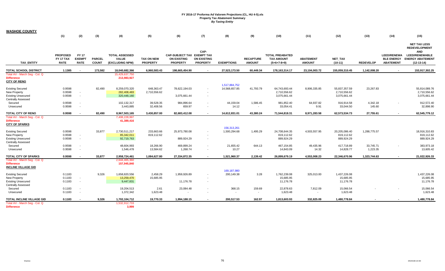| <b>WASHOE COUNTY</b>                                                             |                                             |                                              |                               |                                                          |                                      |                                                              |                                               |                                |                                   |                                                              |                                   |                                        |                    |                                        |                                                                                                                                   |
|----------------------------------------------------------------------------------|---------------------------------------------|----------------------------------------------|-------------------------------|----------------------------------------------------------|--------------------------------------|--------------------------------------------------------------|-----------------------------------------------|--------------------------------|-----------------------------------|--------------------------------------------------------------|-----------------------------------|----------------------------------------|--------------------|----------------------------------------|-----------------------------------------------------------------------------------------------------------------------------------|
|                                                                                  | (1)                                         | (2)                                          | (3)                           | (4)                                                      | (5)                                  | (6)                                                          | (7)                                           | (8)                            | (9)                               | (10)                                                         | (11)                              | (12)                                   | (13)               | (14)                                   | (15)                                                                                                                              |
| <b>TAX ENTITY</b>                                                                | <b>PROPOSED</b><br>FY 17 TAX<br><b>RATE</b> | <b>FY 17</b><br><b>EXEMPT</b><br><b>RATE</b> | <b>PARCEL</b><br><b>COUNT</b> | <b>TOTAL ASSESSED</b><br><b>VALUE</b><br>(EXCLUDING NPM) | <b>TAX ON NEW</b><br><b>PROPERTY</b> | CAP-SUBJECT TAX EXEMPT TAX<br>ON EXISTING<br><b>PROPERTY</b> | CAP-<br><b>ON EXISTING</b><br><b>PROPERTY</b> | <b>EXEMPTIONS</b>              | <b>RECAPTURE</b><br><b>AMOUNT</b> | <b>TOTAL PREABATED</b><br><b>TAX AMOUNT</b><br>$(5+6+7-8+9)$ | <b>ABATEMENT</b><br><b>AMOUNT</b> | <b>NET TAX</b><br>$(10-11)$            | <b>REDEVELOP</b>   | <b>LEED/RENEWA</b><br><b>ABATEMENT</b> | <b>NET TAX LESS</b><br><b>REDEVELOPMENT</b><br><b>AND</b><br><b>LEED/RENEWABLE</b><br>BLE ENERGY ENERGY ABATEMENT<br>$(12-13-14)$ |
| TOTAL SCHOOL DISTRICT                                                            | 1.1385                                      |                                              | 173,582                       | 18,040,682,366                                           | 6,960,583.43                         | 198,665,454.90                                               |                                               | 27,523,173.50                  | 60,449.34                         | 178, 163, 314. 17                                            | 23,104,003.72                     | 155,059,310.45                         | 1,142,008.20       |                                        | 153,917,302.25                                                                                                                    |
| Total AV - March Seg - Col. Q<br><b>Difference</b><br><b>CITY OF RENO</b>        |                                             |                                              |                               | 15,429,637,750<br>213,983,927                            |                                      |                                                              |                                               |                                |                                   |                                                              |                                   |                                        |                    |                                        |                                                                                                                                   |
| <b>Existing Secured</b><br>New Property                                          | 0.9598<br>0.9598                            | $\sim$                                       | 82,490                        | 8,259,070,320<br>282,408,483                             | 648,363.47<br>2,710,556.62           | 78,622,194.03                                                |                                               | 1,517,884,752<br>14,568,657.85 | 41,793.79                         | 64,743,693.44<br>2,710,556.62                                | 8,906,335.85                      | 55,837,357.59<br>2,710,556.62          | 23,267.83          |                                        | 55,814,089.76<br>2,710,556.62                                                                                                     |
| <b>Existing Unsecured</b><br><b>Centrally Assessed</b>                           | 0.9598                                      | $\sim$                                       |                               | 320,448,160                                              |                                      | 3,075,661.44                                                 | $\sim$                                        |                                |                                   | 3,075,661.44                                                 |                                   | 3,075,661.44                           |                    |                                        | 3,075,661.44                                                                                                                      |
| Secured<br>Unsecured                                                             | 0.9598<br>0.9598                            | $\sim$                                       |                               | 102,132,317<br>3,443,885                                 | 39,528.35<br>32,408.56               | 984,896.64<br>659.97                                         | $\sim$                                        | 44,159.04<br>14.12             | 1,586.45<br>$\sim$                | 981,852.40<br>33,054.41                                      | 64,937.82<br>9.91                 | 916,914.58<br>33,044.50                | 4,342.18<br>145.60 |                                        | 912,572.40<br>32,898.90                                                                                                           |
| TOTAL CITY OF RENO                                                               | 0.9598                                      |                                              | 82,490                        | 8,967,503,165                                            | 3,430,857.00                         | 82,683,412.08                                                |                                               | 14,612,831.01                  | 43,380.24                         | 71,544,818.31                                                | 8,971,283.58                      | 62,573,534.73                          | 27,755.61          |                                        | 62,545,779.12                                                                                                                     |
| Total AV - March Seg - Col. Q<br><b>Difference</b><br><b>CITY OF SPARKS</b>      |                                             |                                              |                               | 7,408,228,997<br>41,389,416                              |                                      |                                                              |                                               |                                |                                   |                                                              |                                   |                                        |                    |                                        |                                                                                                                                   |
| <b>Existing Secured</b>                                                          | 0.9598                                      |                                              | 33,877                        | 2,730,511,217                                            | 233,663.66                           | 25,973,780.08                                                | $\overline{\phantom{a}}$                      | 156,313,261<br>1,500,294.68    | 1,495.29                          | 24,708,644.35                                                | 4,503,557.95                      | 20,205,086.40                          | 1,288,775.57       |                                        | 18,916,310.83                                                                                                                     |
| New Property<br><b>Existing Unsecured</b>                                        | 0.9598<br>0.9598                            | $\sim$<br>$\sim$                             |                               | 85,342,011<br>92,719,763                                 | 819,112.62                           | 889,924.29                                                   | $\sim$                                        |                                |                                   | 819,112.62<br>889,924.29                                     |                                   | 819,112.62<br>889,924.29               |                    |                                        | 819,112.62<br>889,924.29                                                                                                          |
| <b>Centrally Assessed</b><br>Secured                                             | 0.9598                                      |                                              |                               | 48,604,993                                               | 18,266.90                            | 469,899.24                                                   | $\sim$                                        | 21,655.42                      | 644.13                            | 467,154.85                                                   | 49,435.96                         | 417,718.89                             | 33,745.71          |                                        | 383,973.18                                                                                                                        |
| Unsecured                                                                        | 0.9598                                      | $\sim$                                       |                               | 1,546,478                                                | 13,584.62                            | 1,268.74                                                     | $\overline{\phantom{a}}$                      | 10.27                          | $\sim$                            | 14,843.09                                                    | 14.32                             | 14,828.77                              | 1,223.35           |                                        | 13,605.42                                                                                                                         |
| TOTAL CITY OF SPARKS                                                             | 0.9598                                      |                                              | 33,877                        | 2,958,724,461                                            | 1,084,627.80                         | 27,334,872.35                                                |                                               | 1,521,960.37                   | 2,139.42                          | 26,899,679.19                                                | 4,553,008.23                      | 22,346,670.96                          | 1,323,744.63       |                                        | 21,022,926.33                                                                                                                     |
| Total AV - March Seg - Col. Q<br><b>Difference</b><br><b>INCLINE VILLAGE GID</b> |                                             |                                              |                               | 2,644,465,360<br>157,945,840                             |                                      |                                                              |                                               |                                |                                   |                                                              |                                   |                                        |                    |                                        |                                                                                                                                   |
| <b>Existing Secured</b><br>New Property<br><b>Existing Unsecured</b>             | 0.1183<br>0.1183<br>0.1183                  | $\overline{\phantom{a}}$<br>$\sim$           | 9,326                         | 1,658,820,556<br>13,259,470<br>9,447,831                 | 2,458.29<br>15,685.95                | 1,959,926.89<br>11,176.78                                    | $\sim$<br>$\sim$                              | 169,187,980<br>200,149.38      | 3.28                              | 1,762,239.08<br>15,685.95<br>11,176.78                       | 325,013.00                        | 1,437,226.08<br>15,685.95<br>11,176.78 |                    |                                        | 1,437,226.08<br>15,685.95<br>11,176.78                                                                                            |
| <b>Centrally Assessed</b><br>Secured<br>Unsecured                                | 0.1183<br>0.1183                            | $\sim$                                       |                               | 19,204,513<br>1,372,342                                  | 2.61<br>1,623.48                     | 23,084.48                                                    |                                               | 368.15                         | 159.69<br>$\sim$                  | 22,878.63<br>1,623.48                                        | 7,812.09                          | 15,066.54<br>1,623.48                  |                    |                                        | 15,066.54<br>1,623.48                                                                                                             |
| TOTAL INCLINE VILLAGE GID<br>Total AV - March Seg - Col. Q<br><b>Difference</b>  | 0.1183                                      |                                              | 9,326                         | 1,702,104,712<br>1,532,912,733<br>3,999                  | 19,770.33                            | 1,994,188.15                                                 |                                               | 200,517.53                     | 162.97                            | 1,813,603.93                                                 | 332,825.09                        | 1,480,778.84                           |                    |                                        | 1,480,778.84                                                                                                                      |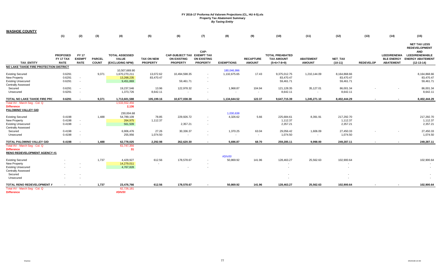| <u>WASHOE COUNTY</u>                                                                              |                                             |                                              |                               |                                                           |                                      |                                                                     |                                               |                             |                                   |                                                              |                                   |                                        |                  |                                                             |                                                                                                                               |
|---------------------------------------------------------------------------------------------------|---------------------------------------------|----------------------------------------------|-------------------------------|-----------------------------------------------------------|--------------------------------------|---------------------------------------------------------------------|-----------------------------------------------|-----------------------------|-----------------------------------|--------------------------------------------------------------|-----------------------------------|----------------------------------------|------------------|-------------------------------------------------------------|-------------------------------------------------------------------------------------------------------------------------------|
|                                                                                                   | (1)                                         | (2)                                          | (3)                           | (4)                                                       | (5)                                  | (6)                                                                 | (7)                                           | (8)                         | (9)                               | (10)                                                         | (11)                              | (12)                                   | (13)             | (14)                                                        | (15)                                                                                                                          |
| <b>TAX ENTITY</b>                                                                                 | <b>PROPOSED</b><br>FY 17 TAX<br><b>RATE</b> | <b>FY 17</b><br><b>EXEMPT</b><br><b>RATE</b> | <b>PARCEL</b><br><b>COUNT</b> | <b>TOTAL ASSESSED</b><br><b>VALUE</b><br>(EXCLUDING NPM)  | <b>TAX ON NEW</b><br><b>PROPERTY</b> | CAP-SUBJECT TAX EXEMPT TAX<br><b>ON EXISTING</b><br><b>PROPERTY</b> | CAP-<br><b>ON EXISTING</b><br><b>PROPERTY</b> | <b>EXEMPTIONS</b>           | <b>RECAPTURE</b><br><b>AMOUNT</b> | <b>TOTAL PREABATED</b><br><b>TAX AMOUNT</b><br>$(5+6+7-8+9)$ | <b>ABATEMENT</b><br><b>AMOUNT</b> | <b>NET TAX</b><br>$(10-11)$            | <b>REDEVELOP</b> | <b>LEED/RENEWA</b><br><b>BLE ENERGY</b><br><b>ABATEMENT</b> | <b>NET TAX LESS</b><br><b>REDEVELOPMENT</b><br><b>AND</b><br><b>LEED/RENEWABLE</b><br><b>ENERGY ABATEMENT</b><br>$(12-13-14)$ |
| NO LAKE TAHOE FIRE PROTECTION DISTRICT                                                            |                                             |                                              |                               |                                                           |                                      |                                                                     |                                               |                             |                                   |                                                              |                                   |                                        |                  |                                                             |                                                                                                                               |
| <b>Existing Secured</b><br>New Property<br><b>Existing Unsecured</b><br><b>Centrally Assessed</b> | 0.6291<br>0.6291<br>0.6291                  | $\sim$<br>$\sim$                             | 9,371                         | 10,507,669.90<br>1,670,270,211<br>13,268,235<br>9,451,869 | 13,072.62<br>83,470.47               | 10,494,598.35<br>59,461.71                                          | $\sim$                                        | 180,046,996<br>1,132,675.65 | 17.43                             | 9,375,012.75<br>83,470.47<br>59,461.71                       | 1,210,144.09                      | 8,164,868.66<br>83,470.47<br>59,461.71 |                  |                                                             | 8,164,868.66<br>83,470.47<br>59,461.71                                                                                        |
| Secured                                                                                           | 0.6291                                      | $\sim$                                       |                               | 19,237,546                                                | 13.96                                | 122,978.32                                                          |                                               | 1,968.87                    | 104.94                            | 121,128.35                                                   | 35,127.01                         | 86,001.34                              |                  |                                                             | 86,001.34                                                                                                                     |
| Unsecured                                                                                         | 0.6291                                      | $\sim$                                       |                               | 1,373,726                                                 | 8,642.11                             | $\overline{\phantom{a}}$                                            |                                               | $\sim$                      | $\sim$                            | 8,642.11                                                     |                                   | 8,642.11                               |                  |                                                             | 8,642.11                                                                                                                      |
| TOTAL NO LAKE TAHOE FIRE PRC                                                                      | 0.6291                                      | $\sim$                                       | 9,371                         | 1,713,601,588                                             | 105,199.16                           | 10,677,038.38                                                       | $\sim$                                        | 1,134,644.52                | 122.37                            | 9,647,715.39                                                 | 1,245,271.10                      | 8,402,444.29                           |                  |                                                             | 8,402,444.29                                                                                                                  |
| Total AV - March Seg - Col. Q<br><b>Difference</b><br>PALOMINO VALLEY GID                         |                                             |                                              |                               | 1,533,552,456<br>2,136<br>230,004.68                      |                                      |                                                                     |                                               | 1,030,638                   |                                   |                                                              |                                   |                                        |                  |                                                             |                                                                                                                               |
| <b>Existing Secured</b>                                                                           | 0.4198                                      |                                              | 1,488                         | 54,789,109                                                | 78.85                                | 229,926.72                                                          |                                               | 4,326.62                    | 5.66                              | 225,684.61                                                   | 8,391.91                          | 217,292.70                             |                  |                                                             | 217,292.70                                                                                                                    |
| New Property                                                                                      | 0.4198                                      | $\sim$                                       |                               | 264,975                                                   | 1,112.37                             |                                                                     |                                               |                             |                                   | 1,112.37                                                     |                                   | 1,112.37                               |                  |                                                             | 1,112.37                                                                                                                      |
| <b>Existing Unsecured</b><br><b>Centrally Assessed</b>                                            | 0.4198                                      | $\sim$                                       |                               | 561,509                                                   |                                      | 2,357.21                                                            |                                               |                             |                                   | 2,357.21                                                     |                                   | 2,357.21                               |                  |                                                             | 2,357.21                                                                                                                      |
| Secured                                                                                           | 0.4198                                      |                                              |                               | 6,906,476                                                 | 27.26                                | 30,336.37                                                           |                                               | 1,370.25                    | 63.04                             | 29,056.42                                                    | 1,606.09                          | 27,450.33                              |                  |                                                             | 27,450.33                                                                                                                     |
| Unsecured                                                                                         | 0.4198                                      | $\sim$                                       |                               | 255,956                                                   | 1,074.50                             | $\overline{\phantom{a}}$                                            |                                               | $\sim$                      | $\sim$                            | 1,074.50                                                     |                                   | 1,074.50                               |                  |                                                             | 1,074.50                                                                                                                      |
| TOTAL PALOMINO VALLEY GID                                                                         | 0.4198                                      |                                              | 1,488                         | 62,778,025                                                | 2.292.98                             | 262.620.30                                                          |                                               | 5.696.87                    | 68.70                             | 259.285.11                                                   | 9.998.00                          | 249.287.11                             |                  |                                                             | 249,287.11                                                                                                                    |
| Total AV - March Seg - Col. Q<br><b>Difference</b><br><b>RENO REDEVELOPMENT AGENCY #1</b>         |                                             |                                              |                               | 61,747,356<br>31                                          |                                      |                                                                     |                                               |                             |                                   |                                                              |                                   |                                        |                  |                                                             |                                                                                                                               |
|                                                                                                   |                                             |                                              |                               |                                                           |                                      |                                                                     |                                               | #DIV/0!                     |                                   |                                                              |                                   |                                        |                  |                                                             |                                                                                                                               |
| <b>Existing Secured</b>                                                                           |                                             |                                              | 1,737                         | 4,429,927                                                 | 612.56                               | 178,578.67                                                          |                                               | 50,869.92                   | 141.96                            | 128,463.27                                                   | 25,562.63                         | 102,900.64                             |                  |                                                             | 102,900.64                                                                                                                    |
| New Property                                                                                      |                                             |                                              |                               | 14,279,011                                                | $\sim$                               |                                                                     |                                               |                             |                                   |                                                              |                                   |                                        |                  |                                                             |                                                                                                                               |
| <b>Existing Unsecured</b><br><b>Centrally Assessed</b>                                            |                                             |                                              |                               | 4,767,828                                                 |                                      |                                                                     |                                               |                             |                                   |                                                              |                                   |                                        |                  |                                                             |                                                                                                                               |
| Secured                                                                                           |                                             |                                              |                               |                                                           |                                      |                                                                     |                                               |                             |                                   |                                                              |                                   |                                        |                  |                                                             |                                                                                                                               |
| Unsecured                                                                                         |                                             |                                              |                               |                                                           |                                      |                                                                     |                                               |                             |                                   |                                                              |                                   |                                        |                  |                                                             |                                                                                                                               |
| TOTAL RENO REDEVELOPMENT A                                                                        |                                             |                                              | 1,737                         | 23,476,766                                                | 612.56                               | 178,578.67                                                          |                                               | 50,869.92                   | 141.96                            | 128,463.27                                                   | 25,562.63                         | 102,900.64                             |                  |                                                             | 102,900.64                                                                                                                    |
| Total AV - March Seg - Col. Q<br><b>Difference</b>                                                |                                             |                                              |                               | 62,726,181<br>#DIV/0!                                     |                                      |                                                                     |                                               |                             |                                   |                                                              |                                   |                                        |                  |                                                             |                                                                                                                               |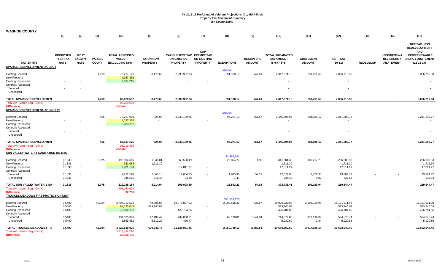| <b>WASHOE COUNTY</b>                               |                                             |                                              |                               |                                                          |                                      |                                                                     |                                       |                   |                                   |                                                              |                                   |                             |                  |                                                             |                                                                  |
|----------------------------------------------------|---------------------------------------------|----------------------------------------------|-------------------------------|----------------------------------------------------------|--------------------------------------|---------------------------------------------------------------------|---------------------------------------|-------------------|-----------------------------------|--------------------------------------------------------------|-----------------------------------|-----------------------------|------------------|-------------------------------------------------------------|------------------------------------------------------------------|
|                                                    | (1)                                         | (2)                                          | (3)                           | (4)                                                      | (5)                                  | (6)                                                                 | (7)                                   | (8)               | (9)                               | (10)                                                         | (11)                              | (12)                        | (13)             | (14)                                                        | (15)                                                             |
|                                                    |                                             |                                              |                               |                                                          |                                      |                                                                     | CAP-                                  |                   |                                   |                                                              |                                   |                             |                  |                                                             | <b>NET TAX LESS</b><br><b>REDEVELOPMENT</b><br><b>AND</b>        |
| <b>TAX ENTITY</b>                                  | <b>PROPOSED</b><br>FY 17 TAX<br><b>RATE</b> | <b>FY 17</b><br><b>EXEMPT</b><br><b>RATE</b> | <b>PARCEL</b><br><b>COUNT</b> | <b>TOTAL ASSESSED</b><br><b>VALUE</b><br>(EXCLUDING NPM) | <b>TAX ON NEW</b><br><b>PROPERTY</b> | CAP-SUBJECT TAX EXEMPT TAX<br><b>ON EXISTING</b><br><b>PROPERTY</b> | <b>ON EXISTING</b><br><b>PROPERTY</b> | <b>EXEMPTIONS</b> | <b>RECAPTURE</b><br><b>AMOUNT</b> | <b>TOTAL PREABATED</b><br><b>TAX AMOUNT</b><br>$(5+6+7-8+9)$ | <b>ABATEMENT</b><br><b>AMOUNT</b> | <b>NET TAX</b><br>$(10-11)$ | <b>REDEVELOP</b> | <b>LEED/RENEWA</b><br><b>BLE ENERGY</b><br><b>ABATEMENT</b> | <b>LEED/RENEWABLE</b><br><b>ENERGY ABATEMENT</b><br>$(12-13-14)$ |
| <b>SPARKS REDEVELOPMENT AGENCY</b>                 |                                             |                                              |                               |                                                          |                                      |                                                                     |                                       |                   |                                   |                                                              |                                   |                             |                  |                                                             |                                                                  |
|                                                    |                                             |                                              |                               |                                                          |                                      |                                                                     |                                       | #DIV/0!           |                                   |                                                              |                                   |                             |                  |                                                             |                                                                  |
| <b>Existing Secured</b><br>New Property            |                                             |                                              | 1,769                         | 72,217,125<br>4,987,352                                  | 8,479.65                             | 2,699,932.03                                                        |                                       | 391,188.17        | 747.61                            | 2,317,971.12                                                 | 251,251.62                        | 2,066,719.50                |                  |                                                             | 2,066,719.50                                                     |
| <b>Existing Unsecured</b>                          |                                             |                                              |                               | 2,824,215                                                |                                      |                                                                     |                                       |                   |                                   |                                                              |                                   |                             |                  |                                                             |                                                                  |
| <b>Centrally Assessed</b>                          |                                             |                                              |                               |                                                          |                                      |                                                                     |                                       |                   |                                   |                                                              |                                   |                             |                  |                                                             |                                                                  |
| Secured                                            |                                             |                                              |                               |                                                          |                                      |                                                                     |                                       |                   |                                   |                                                              |                                   |                             |                  |                                                             |                                                                  |
| Unsecured                                          |                                             |                                              |                               |                                                          |                                      |                                                                     |                                       |                   |                                   |                                                              |                                   |                             |                  |                                                             |                                                                  |
|                                                    |                                             |                                              |                               |                                                          |                                      |                                                                     |                                       |                   |                                   |                                                              |                                   |                             |                  |                                                             |                                                                  |
| TOTAL SPARKS REDEVELOPMEN                          |                                             |                                              | 1,769                         | 80,028,692                                               | 8,479.65                             | 2,699,932.03                                                        |                                       | 391,188.17        | 747.61                            | 2,317,971.12                                                 | 251,251.62                        | 2,066,719.50                |                  |                                                             | 2,066,719.50                                                     |
| Total AV - March Seg - Col. Q<br><b>Difference</b> |                                             |                                              |                               | 86,259,929<br>#DIV/0!                                    |                                      |                                                                     |                                       |                   |                                   |                                                              |                                   |                             |                  |                                                             |                                                                  |
| SPARKS REDEVELOPMENT AGENCY #2                     |                                             |                                              |                               |                                                          |                                      |                                                                     |                                       |                   |                                   |                                                              |                                   |                             |                  |                                                             |                                                                  |
|                                                    |                                             |                                              |                               |                                                          |                                      |                                                                     |                                       | #DIV/0!           |                                   |                                                              |                                   |                             |                  |                                                             |                                                                  |
| <b>Existing Secured</b>                            |                                             |                                              | 466                           | 76,227,000                                               | 824.95                               | 2,539,189.45                                                        |                                       | 94,271.13         | 651.67                            | 2,446,394.94                                                 | 204,885.17                        | 2,241,509.77                |                  |                                                             | 2,241,509.77                                                     |
| New Property                                       |                                             |                                              |                               | 4,327,325                                                |                                      |                                                                     |                                       |                   |                                   |                                                              |                                   |                             |                  |                                                             |                                                                  |
| <b>Existing Unsecured</b>                          |                                             |                                              |                               | 5,083,201                                                |                                      |                                                                     |                                       |                   |                                   |                                                              |                                   |                             |                  |                                                             |                                                                  |
| <b>Centrally Assessed</b>                          |                                             |                                              |                               |                                                          |                                      |                                                                     |                                       |                   |                                   |                                                              |                                   |                             |                  |                                                             |                                                                  |
| Secured                                            |                                             |                                              |                               |                                                          |                                      |                                                                     |                                       |                   |                                   |                                                              |                                   |                             |                  |                                                             |                                                                  |
| Unsecured                                          |                                             |                                              |                               |                                                          |                                      |                                                                     |                                       |                   |                                   |                                                              |                                   |                             |                  |                                                             |                                                                  |
| TOTAL SPARKS REDEVELOPMEN                          | $\blacksquare$                              |                                              | 466                           | 85,637,526                                               | 824.95                               | 2,539,189.45                                                        |                                       | 94,271.13         | 651.67                            | 2,446,394.94                                                 | 204,885.17                        | 2,241,509.77                |                  |                                                             | 2,241,509.77                                                     |
| Total AV - March Seg - Col. Q                      |                                             |                                              |                               | 92,712,833                                               |                                      |                                                                     |                                       |                   |                                   |                                                              |                                   |                             |                  |                                                             |                                                                  |
| <b>Difference</b>                                  |                                             |                                              |                               | #DIV/0!                                                  |                                      |                                                                     |                                       |                   |                                   |                                                              |                                   |                             |                  |                                                             |                                                                  |
| SUN VALLEY WATER & SANITATION DISTRICT             |                                             |                                              |                               |                                                          |                                      |                                                                     |                                       |                   |                                   |                                                              |                                   |                             |                  |                                                             |                                                                  |
|                                                    |                                             |                                              |                               |                                                          |                                      |                                                                     |                                       | 12,992,794        |                                   |                                                              |                                   |                             |                  |                                                             |                                                                  |
| <b>Existing Secured</b>                            | 0.1836                                      |                                              | 6,075                         | 198,994,616                                              | 1,846.01                             | 363,508.19                                                          |                                       | 23,854.77         | 1.89                              | 341,501.32                                                   | 105,417.79                        | 236,083.53                  |                  |                                                             | 236.083.53                                                       |
| New Property                                       | 0.1836                                      | $\sim$                                       |                               | 932,083                                                  | 1,711.30                             |                                                                     |                                       |                   |                                   | 1,711.30                                                     |                                   | 1,711.30                    |                  |                                                             | 1,711.30                                                         |
| <b>Existing Unsecured</b>                          | 0.1836                                      | $\overline{\phantom{a}}$                     |                               | 9,701,130                                                |                                      | 17,811.27                                                           |                                       |                   |                                   | 17,811.27                                                    |                                   | 17,811.27                   |                  |                                                             | 17,811.27                                                        |
| <b>Centrally Assessed</b>                          | 0.1836                                      | $\overline{\phantom{a}}$                     |                               | 9,272,790                                                | 1,046.18                             | 17,664.65                                                           | $\overline{\phantom{a}}$              | 1,685.97          | 52.19                             | 17,077.05                                                    | 3,772.33                          | 13,304.72                   |                  |                                                             | 13,304.72                                                        |
| Secured<br>Unsecured                               | 0.1836                                      |                                              |                               | 345,565                                                  | 611.45                               | 24.48                                                               | $\sim$                                | 1.47              | $\sim$                            | 634.46                                                       | 0.82                              | 633.64                      |                  |                                                             | 633.64                                                           |
|                                                    |                                             |                                              |                               |                                                          |                                      |                                                                     |                                       |                   |                                   |                                                              |                                   |                             |                  |                                                             |                                                                  |
| TOTAL SUN VALLEY WATER & SA                        | 0.1836                                      |                                              | 6,075                         | 219,246,184                                              | 5,214.94                             | 399,008.59                                                          |                                       | 25,542.21         | 54.08                             | 378,735.41                                                   | 109,190.94                        | 269,544.47                  |                  |                                                             | 269,544.47                                                       |
| Total AV - March Seg - Col. Q                      |                                             |                                              |                               | 206, 160, 624                                            |                                      |                                                                     |                                       |                   |                                   |                                                              |                                   |                             |                  |                                                             |                                                                  |
| <b>Difference</b>                                  |                                             |                                              |                               | 92,766                                                   |                                      |                                                                     |                                       |                   |                                   |                                                              |                                   |                             |                  |                                                             |                                                                  |
| <b>TRUCKEE MEADOWS FIRE PROTECTION DIST</b>        |                                             |                                              |                               |                                                          |                                      |                                                                     |                                       | 371,781,170       |                                   |                                                              |                                   |                             |                  |                                                             |                                                                  |
| <b>Existing Secured</b>                            | 0.5400                                      |                                              | 43,084                        | 3,708,723,522                                            | 48,308.08                            | 19,978,807.53                                                       |                                       | 2,007,618.32      | 835.67                            | 18,020,332.96                                                | 2,898,720.98                      | 15,121,611.98               |                  |                                                             | 15,121,611.98                                                    |
| New Property                                       | 0.5400                                      | $\sim$                                       |                               | 95,137,043                                               | 513,740.03                           |                                                                     |                                       |                   |                                   | 513,740.03                                                   |                                   | 513,740.03                  |                  |                                                             | 513,740.03                                                       |
| <b>Existing Unsecured</b>                          | 0.5400                                      | $\sim$                                       |                               | 79,034,232                                               |                                      | 426,784.85                                                          |                                       |                   |                                   | 426,784.85                                                   |                                   | 426,784.85                  |                  |                                                             | 426,784.85                                                       |
| <b>Centrally Assessed</b>                          |                                             |                                              |                               |                                                          |                                      |                                                                     |                                       |                   |                                   |                                                              |                                   |                             |                  |                                                             |                                                                  |
| Secured                                            | 0.5400                                      |                                              |                               | 131,875,396                                              | 42,189.42                            | 732,068.61                                                          |                                       | 62,130.81         | 1,944.84                          | 714,072.06                                                   | 119,196.32                        | 594,875.74                  |                  |                                                             | 594,875.74                                                       |
| Unsecured                                          | 0.5400                                      |                                              |                               | 5,859,882                                                | 5,512.22                             | 420.47                                                              |                                       |                   | $\sim$                            | 5,932.69                                                     | 2.84                              | 5,929.85                    |                  |                                                             | 5,929.85                                                         |
|                                                    |                                             |                                              |                               |                                                          |                                      |                                                                     |                                       |                   |                                   |                                                              |                                   |                             |                  |                                                             |                                                                  |
| TOTAL TRUCKEE MEADOWS FIRE                         | 0.5400                                      |                                              | 43,084                        | 4,020,630,075                                            | 609,749.75                           | 21,138,081.46                                                       |                                       | 2,069,749.13      | 2,780.51                          | 19,680,862.60                                                | 3,017,920.14                      | 16,662,942.46               |                  |                                                             | 16,662,942.46                                                    |
| Total AV - March Seg - Col. Q<br><b>Difference</b> |                                             |                                              |                               | 3,616,498,710<br>32,350,195                              |                                      |                                                                     |                                       |                   |                                   |                                                              |                                   |                             |                  |                                                             |                                                                  |
|                                                    |                                             |                                              |                               |                                                          |                                      |                                                                     |                                       |                   |                                   |                                                              |                                   |                             |                  |                                                             |                                                                  |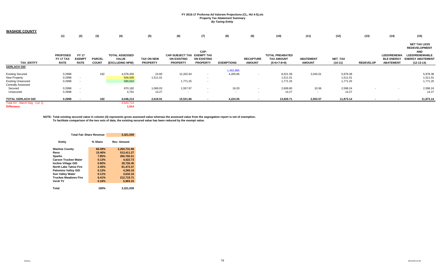| <b>WASHOE COUNTY</b>          |                          |                              |                               |                                 |                                      |                                       |                                       |                   |                                   |                                    |                                   |                      |                          |                                       |                                                           |
|-------------------------------|--------------------------|------------------------------|-------------------------------|---------------------------------|--------------------------------------|---------------------------------------|---------------------------------------|-------------------|-----------------------------------|------------------------------------|-----------------------------------|----------------------|--------------------------|---------------------------------------|-----------------------------------------------------------|
|                               | (1)                      | (2)                          | (3)                           | (4)                             | (5)                                  | (6)                                   | (7)                                   | (8)               | (9)                               | (10)                               | (11)                              | (12)                 | (13)                     | (14)                                  | (15)                                                      |
|                               |                          |                              |                               |                                 |                                      |                                       | CAP-                                  |                   |                                   |                                    |                                   |                      |                          |                                       | <b>NET TAX LESS</b><br><b>REDEVELOPMENT</b><br><b>AND</b> |
|                               | <b>PROPOSED</b>          | <b>FY 17</b>                 |                               | <b>TOTAL ASSESSED</b>           |                                      | CAP-SUBJECT TAX EXEMPT TAX            |                                       |                   |                                   | <b>TOTAL PREABATED</b>             |                                   |                      |                          | <b>LEED/RENEWA</b>                    | <b>LEED/RENEWABLE</b>                                     |
| <b>TAX ENTITY</b>             | FY 17 TAX<br><b>RATE</b> | <b>EXEMPT</b><br><b>RATE</b> | <b>PARCEL</b><br><b>COUNT</b> | <b>VALUE</b><br>(EXCLUDING NPM) | <b>TAX ON NEW</b><br><b>PROPERTY</b> | <b>ON EXISTING</b><br><b>PROPERTY</b> | <b>ON EXISTING</b><br><b>PROPERTY</b> | <b>EXEMPTIONS</b> | <b>RECAPTURE</b><br><b>AMOUNT</b> | <b>TAX AMOUNT</b><br>$(5+6+7-8+9)$ | <b>ABATEMENT</b><br><b>AMOUNT</b> | NET_TAX<br>$(10-11)$ | <b>REDEVELOP</b>         | <b>BLE ENERGY</b><br><b>ABATEMENT</b> | <b>ENERGY ABATEMENT</b><br>(12-13-14)                     |
| <b>GERLACH GID</b>            |                          |                              |                               |                                 |                                      |                                       |                                       |                   |                                   |                                    |                                   |                      |                          |                                       |                                                           |
|                               |                          |                              |                               |                                 |                                      |                                       |                                       | 1,402,885         |                                   |                                    |                                   |                      |                          |                                       |                                                           |
| <b>Existing Secured</b>       | 0.2998                   |                              | 192                           | 4,078,455                       | 24.60                                | 12,202.64                             | $\sim$                                | 4,205.85          |                                   | 8,021.39                           | 2,043.01                          | 5,978.38             |                          |                                       | 5,978.38                                                  |
| New Property                  | 0.2998                   |                              |                               | 504,005                         | 1,511.01                             |                                       | $\sim$                                |                   |                                   | 1,511.01                           |                                   | 1,511.01             |                          |                                       | 1,511.01                                                  |
| <b>Existing Unsecured</b>     | 0.2998                   |                              |                               | 590,810                         |                                      | 1,771.25                              |                                       |                   |                                   | 1,771.25                           |                                   | 1,771.25             |                          |                                       | 1,771.25                                                  |
| <b>Centrally Assessed</b>     |                          |                              |                               |                                 |                                      |                                       |                                       |                   |                                   |                                    |                                   |                      |                          |                                       |                                                           |
| Secured                       | 0.2998                   |                              |                               | 870,182                         | 1,069.03                             | 1,557.97                              | $\sim$                                | 18.20             | $\overline{\phantom{a}}$          | 2,608.80                           | 10.56                             | 2,598.24             | $\overline{\phantom{a}}$ |                                       | 2,598.24                                                  |
| Unsecured                     | 0.2998                   |                              |                               | 4,761                           | 14.27                                | $\sim$                                | $\sim$                                | $\sim$            |                                   | 14.27                              | $\overline{\phantom{a}}$          | 14.27                |                          |                                       | 14.27                                                     |
| TOTAL GERLACH GID             | 0.2998                   |                              | 192                           | 6,048,213                       | 2,618.91                             | 15,531.86                             |                                       | 4,224.05          |                                   | 13,926.71                          | 2,053.57                          | 11,873.14            |                          |                                       | 11,873.14                                                 |
| Total AV - March Seg - Col. Q |                          |                              |                               | 4,643,714                       |                                      |                                       |                                       |                   |                                   |                                    |                                   |                      |                          |                                       |                                                           |
| <b>Difference</b>             |                          |                              |                               | 1,614                           |                                      |                                       |                                       |                   |                                   |                                    |                                   |                      |                          |                                       |                                                           |

**NOTE: Total existing secured value in column (4) represents gross assessed value whereas the assessed value from the segregation report is net of exemption. To facilitate comparison of the two sets of data, the existing secured value has been reduced by the exempt value.**

| <b>Total Fair Share Revenue</b> |         | 3.321.039    |
|---------------------------------|---------|--------------|
| Entity                          | % Share | Rev. Amount  |
| <b>Washoe County</b>            | 66.39%  | 2,204,731.98 |
| Reno                            | 15.46%  | 513,411.27   |
| <b>Sparks</b>                   | 7.85%   | 260,760.21   |
| <b>Carson Truckee Water</b>     | 0.13%   | 4,422.73     |
| <b>Incline Village GID</b>      | 0.90%   | 29.726.45    |
| North Lake Tahoe Fire           | 2.45%   | 81,472.37    |
| <b>Palomino Valley GID</b>      | 0.13%   | 4,269.19     |
| <b>Sun Valley Water</b>         | 0.11%   | 3,632.16     |
| <b>Truckee Meadows Fire</b>     | 6.41%   | 212.719.71   |
| Verdi TV                        | 0.18%   | 5.893.33     |
|                                 |         |              |
| Total                           | 100%    | 3.321.039    |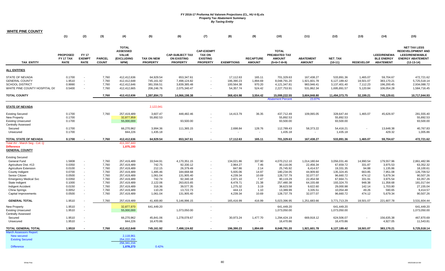| <b>WHITE PINE COUNTY</b>                                                                                    |                                             |                                              |                                  |                                                                       |                                                     |                                                                 |                                                                          |                                                    |                                        |                                                                        |                                                        |                                                            |                                               |                                                             |                                                                                                                   |
|-------------------------------------------------------------------------------------------------------------|---------------------------------------------|----------------------------------------------|----------------------------------|-----------------------------------------------------------------------|-----------------------------------------------------|-----------------------------------------------------------------|--------------------------------------------------------------------------|----------------------------------------------------|----------------------------------------|------------------------------------------------------------------------|--------------------------------------------------------|------------------------------------------------------------|-----------------------------------------------|-------------------------------------------------------------|-------------------------------------------------------------------------------------------------------------------|
|                                                                                                             | (1)                                         | (2)                                          | (3)                              | (4)                                                                   | (5)                                                 | (6)                                                             | (7)                                                                      | (8)                                                | (9)                                    | (10)                                                                   | (11)                                                   | (12)                                                       | (13)                                          | (14)                                                        | (15)                                                                                                              |
| <b>TAX ENTITY</b>                                                                                           | <b>PROPOSED</b><br>FY 17 TAX<br><b>RATE</b> | <b>FY 17</b><br><b>EXEMPT</b><br><b>RATE</b> | <b>PARCEL</b><br><b>COUNT</b>    | <b>TOTAL</b><br><b>ASSESSED</b><br><b>VALUE</b><br>(EXCLUDING<br>NPM) | <b>TAX ON NEW</b><br><b>PROPERTY</b>                | <b>CAP-SUBJECT TAX</b><br><b>ON EXISTING</b><br><b>PROPERTY</b> | <b>CAP-EXEMPT</b><br><b>TAX ON</b><br><b>EXISTING</b><br><b>PROPERTY</b> | <b>EXEMPTIONS</b>                                  | <b>RECAPTURE</b><br><b>AMOUNT</b>      | <b>TOTAL</b><br><b>PREABATED TAX</b><br><b>AMOUNT</b><br>$(5+6+7-8+9)$ | <b>ABATEMENT</b><br><b>AMOUNT</b>                      | <b>NET TAX</b><br>$(10-11)$                                | <b>REDEVELOP</b>                              | <b>LEED/RENEWA</b><br><b>BLE ENERGY</b><br><b>ABATEMENT</b> | <b>NET TAX LESS</b><br><b>REDEVELOPMENT AND</b><br><b>LEED/RENEWABLE</b><br><b>ENERGY ABATEMENT</b><br>(12-13-14) |
| ALL ENTITIES                                                                                                |                                             |                                              |                                  |                                                                       |                                                     |                                                                 |                                                                          |                                                    |                                        |                                                                        |                                                        |                                                            |                                               |                                                             |                                                                                                                   |
| <b>STATE OF NEVADA</b><br><b>GENERAL COUNTY</b><br><b>SCHOOL DISTRICT</b><br>WHITE PINE COUNTY HOSPITAL DI: | 0.1700<br>1.9510<br>0.9990<br>0.5400        | $\sim$<br>$\sim$                             | 7,760<br>7,760<br>7,760<br>7,760 | 412,412,636<br>412,412,648<br>412,412,646<br>412,412,665              | 64,929.54<br>745,161.92<br>381,556.51<br>206,246.76 | 653,347.61<br>7,498,124.82<br>3,839,385.48<br>2,075,340.47      | $\sim$<br>$\sim$<br>$\sim$                                               | 17,112.63<br>196,390.23<br>100,564.38<br>54,357.74 | 165.11<br>1,894.69<br>970.20<br>524.42 | 701,329.63<br>8,048,791.20<br>4,121,347.81<br>2,227,753.91             | 167,438.27<br>1,921,601.78<br>983,946.41<br>531,862.34 | 533,891.36<br>6,127,189.42<br>3,137,401.40<br>1,695,891.57 | 1,465.07<br>18,501.07<br>7,112.23<br>5,120.84 | 59,704.67<br>383,170.21<br>196,200.45<br>106,054.28         | 472,721.62<br>5,725,518.14<br>2,934,088.72<br>1,584,716.45                                                        |
| <b>TOTAL COUNTY</b>                                                                                         |                                             |                                              | 7,760                            | 412,412,636                                                           | 1,397,894.73                                        | 14,066,198.38                                                   |                                                                          | 368,424.98                                         | 3,554.42                               | 15,099,222.55<br><b>Abatement Percent</b>                              | 3,604,848.80<br>23.87%                                 | 11,494,373.75                                              | 32,199.21                                     | 745,129.61                                                  | 10,717,044.93                                                                                                     |
| <b>STATE OF NEVADA</b>                                                                                      |                                             |                                              |                                  |                                                                       | 2,122,041                                           |                                                                 |                                                                          |                                                    |                                        |                                                                        |                                                        |                                                            |                                               |                                                             |                                                                                                                   |
| <b>Existing Secured</b><br>New Property<br><b>Existing Unsecured</b><br><b>Centrally Assessed</b>           | 0.1700<br>0.1700<br>0.1700                  |                                              | 7,760                            | 257,419,489<br>32,877,959<br>55,000,000                               | 3,607.47<br>55,892.53                               | 448,482.46<br>93,500.00                                         |                                                                          | 14,413.79                                          | 36.35                                  | 437,712.49<br>55,892.53<br>93,500.00                                   | 109,065.05                                             | 328,647.44<br>55,892.53<br>93,500.00                       | 1,465.07                                      | 45,626.97                                                   | 281,555.40<br>55,892.53<br>93,500.00                                                                              |
| Secured<br>Unsecured                                                                                        | 0.1700<br>0.1700                            |                                              |                                  | 66,270,962<br>844,226                                                 | 3,994.36<br>1,435.18                                | 111,365.15                                                      | $\sim$                                                                   | 2,698.84                                           | 128.76<br>$\sim$                       | 112,789.43<br>1,435.18                                                 | 58,373.22                                              | 54,416.21<br>1,435.18                                      |                                               | 13,648.38<br>429.32                                         | 40,767.83<br>1,005.86                                                                                             |
| TOTAL STATE OF NEVADA                                                                                       | 0.1700                                      |                                              | 7,760                            | 412,412,636                                                           | 64,929.54                                           | 653,347.61                                                      |                                                                          | 17,112.63                                          | 165.11                                 | 701,329.63                                                             | 167,438.27                                             | 533,891.36                                                 | 1,465.07                                      | 59,704.67                                                   | 472,721.62                                                                                                        |
| Total AV - March Seg - Col. Q<br><b>Difference</b><br><b>GENERAL COUNTY</b>                                 |                                             |                                              |                                  | 411,337,443<br>1,075,193                                              |                                                     |                                                                 |                                                                          |                                                    |                                        |                                                                        |                                                        |                                                            |                                               |                                                             |                                                                                                                   |
| <b>Existing Secured</b><br>General Fund                                                                     | 1.5808                                      | $\blacksquare$                               | 7,760                            | 257,419,489                                                           | 33,544.91                                           | 4,170,351.15                                                    |                                                                          | 134,021.86                                         | 337.90                                 | 4,070,212.10                                                           | 1,014,180.64                                           | 3,056,031.46                                               | 14,990.54                                     | 179,557.96                                                  | 2,861,482.96                                                                                                      |
| Agriculture Dist. #13                                                                                       | 0.0350                                      | $\mathbf{r}$                                 | 7,760                            | 257,419,489                                                           | 742.75                                              | 92,330.12                                                       |                                                                          | 2,964.27                                           | 7.46                                   | 90,116.06                                                              | 22,456.34                                              | 67,659.72                                                  | 331.87                                        | 3,975.53                                                    | 63,352.32                                                                                                         |
| <b>Agriculture Extension</b>                                                                                | 0.0100                                      | $\sim$                                       | 7,760                            | 257,419,489                                                           | 212.15                                              | 26,379.49                                                       |                                                                          | 847.86                                             | 2.14                                   | 25,745.92                                                              | 6,414.57                                               | 19,331.35                                                  | 94.88                                         | 1,135.86                                                    | 18,100.61                                                                                                         |
| County Indigent                                                                                             | 0.0700                                      | $\mathbf{r}$                                 | 7,760                            | 257,419,489                                                           | 1,485.46                                            | 184,668.68                                                      |                                                                          | 5,935.06                                           | 14.97                                  | 180,234.05                                                             | 44,909.60                                              | 135,324.45                                                 | 663.85                                        | 7,951.08                                                    | 126,709.52                                                                                                        |
| Senior Citizen                                                                                              | 0.0500                                      | $\blacksquare$                               | 7,760                            | 257,419,489                                                           | 1,061.04                                            | 131,905.40                                                      |                                                                          | 4,239.34                                           | 10.69                                  | 128,737.79                                                             | 32,077.07                                              | 96,660.72                                                  | 474.12                                        | 5,679.34                                                    | 90,507.26                                                                                                         |
| <b>Emergency Medical Svc</b>                                                                                | 0.0350                                      |                                              | 7,760                            | 257,419,489                                                           | 742.74                                              | 92,340.18                                                       |                                                                          | 2,971.10                                           | 7.47                                   | 90,119.29                                                              | 22,454.58                                              | 67,664.71                                                  | 331.91                                        | 3,975.54                                                    | 63,357.26                                                                                                         |
| State Indigent                                                                                              | 0.1000                                      |                                              | 7,760                            | 257,419,489                                                           | 2,122.06                                            | 263,815.65                                                      |                                                                          | 8,478.71                                           | 21.38                                  | 257,480.38                                                             | 64,155.68                                              | 193,324.70                                                 | 948.38                                        | 11,358.68                                                   | 181,017.64                                                                                                        |
| Indigent Accident                                                                                           | 0.0150                                      | $\sim$                                       | 7,760                            | 257,419,489                                                           | 318.36                                              | 39,577.35                                                       |                                                                          | 1,275.32                                           | 3.19                                   | 38,623.58                                                              | 9,622.60                                               | 29,000.98                                                  | 142.14                                        | 1,703.80                                                    | 27,155.04                                                                                                         |
| China Springs                                                                                               | 0.0052                                      |                                              | 7,760                            | 257,419,489                                                           | 110.29                                              | 13,722.73                                                       |                                                                          | 444.13                                             | 1.10                                   | 13,389.99                                                              | 3,335.51                                               | 10,054.48                                                  | 49.26                                         | 590.65                                                      | 9,414.57                                                                                                          |
| Capital Improvements                                                                                        | 0.0500                                      | $\overline{\phantom{a}}$                     | 7,760                            | 257,419,489                                                           | 1,061.04                                            | 131,905.40                                                      | $\sim$                                                                   | 4,239.34                                           | 10.69                                  | 128,737.79                                                             | 32,077.07                                              | 96,660.72                                                  | 474.12                                        | 5,679.34                                                    | 90,507.26                                                                                                         |
| <b>GENERAL TOTAL</b>                                                                                        | 1.9510                                      |                                              | 7,760                            | 257,419,489                                                           | 41,400.80                                           | 5,146,996.15                                                    |                                                                          | 165,416.99                                         | 416.99                                 | 5,023,396.95                                                           | 1,251,683.66                                           | 3,771,713.29                                               | 18,501.07                                     | 221,607.78                                                  | 3,531,604.44                                                                                                      |
| New Property                                                                                                | 1.9510                                      |                                              |                                  | 32,877,970                                                            | 641,449.20                                          |                                                                 |                                                                          |                                                    |                                        | 641,449.20                                                             |                                                        | 641,449.20                                                 |                                               |                                                             | 641,449.20                                                                                                        |
| <b>Existing Unsecured</b><br><b>Centrally Assessed</b>                                                      | 1.9510                                      |                                              |                                  | 55,000,000                                                            |                                                     | 1,073,050.00                                                    | $\sim$                                                                   |                                                    |                                        | 1,073,050.00                                                           |                                                        | 1,073,050.00                                               |                                               |                                                             | 1,073,050.00                                                                                                      |
| Secured                                                                                                     | 1.9510                                      |                                              |                                  | 66,270,962                                                            | 45,841.06                                           | 1,278,078.67                                                    |                                                                          | 30,973.24                                          | 1,477.70                               | 1,294,424.19                                                           | 669,918.12                                             | 624,506.07                                                 |                                               | 156,635.38                                                  | 467,870.69                                                                                                        |
| Unsecured                                                                                                   | 1.9510                                      |                                              |                                  | 844,226                                                               | 16,470.86                                           |                                                                 | $\sim$                                                                   |                                                    | $\sim$                                 | 16,470.86                                                              | $\sim$                                                 | 16,470.86                                                  |                                               | 4,927.05                                                    | 11,543.81                                                                                                         |
| TOTAL GENERAL TOTAL                                                                                         | 1.9510                                      |                                              | 7,760                            | 412,412,648                                                           | 745,161.92                                          | 7,498,124.82                                                    |                                                                          | 196,390.23                                         | 1,894.69                               | 8,048,791.20                                                           | 1,921,601.78                                           | 6,127,189.42                                               | 18,501.07                                     | 383,170.21                                                  | 5,725,518.14                                                                                                      |
| <b>March Assessors Report</b>                                                                               |                                             |                                              |                                  |                                                                       |                                                     |                                                                 |                                                                          |                                                    |                                        |                                                                        |                                                        |                                                            |                                               |                                                             |                                                                                                                   |
| New secured                                                                                                 |                                             |                                              |                                  | 2,118,961                                                             |                                                     |                                                                 |                                                                          |                                                    |                                        |                                                                        |                                                        |                                                            |                                               |                                                             |                                                                                                                   |
| <b>Existing Secured</b>                                                                                     |                                             |                                              |                                  | 254,222,255                                                           |                                                     |                                                                 |                                                                          |                                                    |                                        |                                                                        |                                                        |                                                            |                                               |                                                             |                                                                                                                   |
|                                                                                                             |                                             |                                              |                                  | 256,341,216                                                           |                                                     |                                                                 |                                                                          |                                                    |                                        |                                                                        |                                                        |                                                            |                                               |                                                             |                                                                                                                   |
| <b>Difference</b>                                                                                           |                                             |                                              |                                  | 1,078,273                                                             | 0.42%                                               |                                                                 |                                                                          |                                                    |                                        |                                                                        |                                                        |                                                            |                                               |                                                             |                                                                                                                   |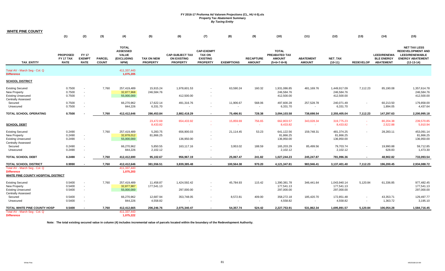| <b>WHITE PINE COUNTY</b>                                                                          |                                             |                                             |                               |                                                                       |                                      |                                                                 |                                                                          |                             |                                   |                                                                 |                                        |                                          |                  |                                                             |                                                                                                                     |
|---------------------------------------------------------------------------------------------------|---------------------------------------------|---------------------------------------------|-------------------------------|-----------------------------------------------------------------------|--------------------------------------|-----------------------------------------------------------------|--------------------------------------------------------------------------|-----------------------------|-----------------------------------|-----------------------------------------------------------------|----------------------------------------|------------------------------------------|------------------|-------------------------------------------------------------|---------------------------------------------------------------------------------------------------------------------|
|                                                                                                   | (1)                                         | (2)                                         | (3)                           | (4)                                                                   | (5)                                  | (6)                                                             | (7)                                                                      | (8)                         | (9)                               | (10)                                                            | (11)                                   | (12)                                     | (13)             | (14)                                                        | (15)                                                                                                                |
| <b>TAX ENTITY</b>                                                                                 | <b>PROPOSED</b><br>FY 17 TAX<br><b>RATE</b> | <b>FY17</b><br><b>EXEMPT</b><br><b>RATE</b> | <b>PARCEL</b><br><b>COUNT</b> | <b>TOTAL</b><br><b>ASSESSED</b><br><b>VALUE</b><br>(EXCLUDING<br>NPM) | <b>TAX ON NEW</b><br><b>PROPERTY</b> | <b>CAP-SUBJECT TAX</b><br><b>ON EXISTING</b><br><b>PROPERTY</b> | <b>CAP-EXEMPT</b><br><b>TAX ON</b><br><b>EXISTING</b><br><b>PROPERTY</b> | <b>EXEMPTIONS</b>           | <b>RECAPTURE</b><br><b>AMOUNT</b> | <b>TOTAL</b><br>PREABATED TAX<br><b>AMOUNT</b><br>$(5+6+7-8+9)$ | <b>ABATEMENT</b><br><b>AMOUNT</b>      | <b>NET TAX</b><br>$(10-11)$              | <b>REDEVELOP</b> | <b>LEED/RENEWA</b><br><b>BLE ENERGY</b><br><b>ABATEMENT</b> | <b>NET TAX LESS</b><br><b>REDEVELOPMENT AND</b><br><b>LEED/RENEWABLE</b><br><b>ENERGY ABATEMENT</b><br>$(12-13-14)$ |
| Total AV - March Seg - Col. Q<br><b>Difference</b>                                                |                                             |                                             |                               | 411,337,443<br>1,075,205                                              |                                      |                                                                 |                                                                          |                             |                                   |                                                                 |                                        |                                          |                  |                                                             |                                                                                                                     |
| <b>SCHOOL DISTRICT</b>                                                                            |                                             |                                             |                               |                                                                       |                                      |                                                                 |                                                                          |                             |                                   |                                                                 |                                        |                                          |                  |                                                             |                                                                                                                     |
| <b>Existing Secured</b><br>New Property<br><b>Existing Unsecured</b><br><b>Centrally Assessed</b> | 0.7500<br>0.7500<br>0.7500                  | $\sim$                                      | 7,760                         | 257,419,489<br>32,877,968<br>55,000,000                               | 15,915.24<br>246,584.76              | 1,978,601.53<br>412,500.00                                      | $\overline{\phantom{a}}$<br>$\sim$                                       | 63,590.24                   | 160.32                            | 1,931,086.85<br>246,584.76<br>412,500.00                        | 481,169.76                             | 1,449,917.09<br>246,584.76<br>412,500.00 | 7,112.23         | 85,190.08                                                   | 1,357,614.78<br>246,584.76<br>412,500.00                                                                            |
| Secured<br>Unsecured                                                                              | 0.7500<br>0.7500                            |                                             |                               | 66,270,962<br>844,226                                                 | 17,622.14<br>6,331.70                | 491,316.76                                                      | $\sim$                                                                   | 11,906.67<br>$\blacksquare$ | 568.06<br>$\sim$                  | 497,600.28<br>6,331.70                                          | 257,528.78<br>$\overline{\phantom{a}}$ | 240,071.49<br>6,331.70                   |                  | 60,213.50<br>1,894.05                                       | 179,858.00<br>4,437.64                                                                                              |
| TOTAL SCHOOL OPERATING                                                                            | 0.7500                                      |                                             | 7,760                         | 412,412,646                                                           | 286,453.84                           | 2,882,418.29                                                    | $\overline{\phantom{a}}$                                                 | 75,496.91                   | 728.38                            | 3,094,103.58                                                    | 738,698.54                             | 2,355,405.04                             | 7,112.23         | 147,297.63                                                  | 2,200,995.18                                                                                                        |
| <b>SCHOOL DEBT</b>                                                                                |                                             |                                             |                               |                                                                       | 23,472.69<br>8,433.82                | 654,433.92                                                      | a.                                                                       | 15,859.69<br>×.             | 756.65<br>$\sim$                  | 662,803.57<br>8,433.82                                          | 343,028.34<br>$\sim$                   | 319,775.23<br>8,433.82                   | $\sim$           | 80,204.38<br>2,522.88                                       | 239,570.85<br>5,910.94                                                                                              |
| <b>Existing Secured</b><br>New Property<br><b>Existing Unsecured</b>                              | 0.2490<br>0.2490<br>0.2490                  | $\sim$<br>$\sim$                            | 7,760                         | 257,419,489<br>32,878,012<br>55,000,000                               | 5,283.75<br>81,866.25                | 656,900.03<br>136,950.00                                        |                                                                          | 21,114.45                   | 53.23                             | 641,122.56<br>81,866.25<br>136,950.00                           | 159,748.31                             | 481,374.25<br>81,866.25<br>136,950.00    |                  | 28,283.11                                                   | 453,091.14<br>81,866.25<br>136,950.00                                                                               |
| <b>Centrally Assessed</b><br>Secured<br>Unsecured                                                 | 0.2490<br>0.2490                            |                                             |                               | 66,270,962<br>844,226                                                 | 5,850.55<br>2,102.12                 | 163,117.16                                                      | $\sim$                                                                   | 3,953.02<br>$\sim$          | 188.59<br>$\sim$                  | 165,203.29<br>2,102.12                                          | 85,499.56                              | 79,703.74<br>2,102.12                    |                  | 19,990.88<br>628.83                                         | 59,712.85<br>1,473.30                                                                                               |
| <b>TOTAL SCHOOL DEBT</b>                                                                          | 0.2490                                      |                                             | 7,760                         | 412,412,690                                                           | 95,102.67                            | 956,967.19                                                      | $\overline{\phantom{a}}$                                                 | 25,067.47                   | 241.82                            | 1,027,244.23                                                    | 245,247.87                             | 781,996.36                               | $\sim$           | 48,902.82                                                   | 733,093.54                                                                                                          |
| TOTAL SCHOOL DISTRICT<br>Total AV - March Seg - Col. Q<br><b>Difference</b>                       | 0.9990                                      |                                             | 7,760                         | 412,412,646<br>411,337,443<br>1,075,203                               | 381,556.51                           | 3,839,385.48                                                    | $\sim$                                                                   | 100,564.38                  | 970.20                            | 4,121,347.81                                                    | 983,946.41                             | 3,137,401.40                             | 7,112.23         | 196,200.45                                                  | 2,934,088.72                                                                                                        |
| WHITE PINE COUNTY HOSPITAL DISTRICT                                                               |                                             |                                             |                               |                                                                       |                                      |                                                                 |                                                                          |                             |                                   |                                                                 |                                        |                                          |                  |                                                             |                                                                                                                     |
| <b>Existing Secured</b><br>New Property<br><b>Existing Unsecured</b><br><b>Centrally Assessed</b> | 0.5400<br>0.5400<br>0.5400                  |                                             | 7,760                         | 257,419,489<br>32,877,987<br>55,000,000                               | 11,458.87<br>177,541.13              | 1,424,592.42<br>297,000.00                                      | $\overline{\phantom{a}}$                                                 | 45,784.93                   | 115.42                            | 1,390,381.78<br>177,541.13<br>297,000.00                        | 346,441.64                             | 1,043,940.14<br>177,541.13<br>297,000.00 | 5,120.84         | 61,336.85                                                   | 977,482.45<br>177,541.13<br>297,000.00                                                                              |
| Secured<br>Unsecured                                                                              | 0.5400<br>0.5400                            | $\sim$                                      |                               | 66,270,962<br>844,226                                                 | 12,687.94<br>4,558.82                | 353,748.05                                                      | $\sim$                                                                   | 8,572.81<br>$\sim$          | 409.00<br>$\sim$                  | 358,272.18<br>4,558.82                                          | 185,420.70                             | 172,851.48<br>4,558.82                   | $\sim$           | 43,353.71<br>1,363.72                                       | 129,497.77<br>3,195.10                                                                                              |
| TOTAL WHITE PINE COUNTY HOSP                                                                      | 0.5400                                      |                                             | 7,760                         | 412,412,665                                                           | 206,246.76                           | 2,075,340.47                                                    |                                                                          | 54,357.74                   | 524.42                            | 2,227,753.91                                                    | 531,862.34                             | 1,695,891.57                             | 5,120.84         | 106,054.28                                                  | 1,584,716.45                                                                                                        |
| Total AV - March Seg - Col. Q<br><b>Difference</b>                                                |                                             |                                             |                               | 411,337,443<br>1,075,222                                              |                                      |                                                                 |                                                                          |                             |                                   |                                                                 |                                        |                                          |                  |                                                             |                                                                                                                     |

**Note: The total existing secured value in column (4) includes incremental value of parcels located within the boundary of the Redevelopment Authority.**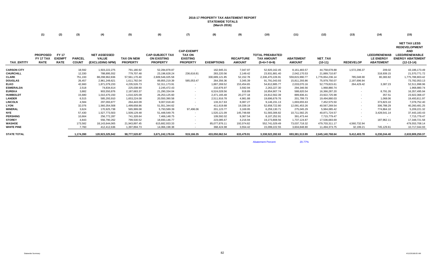## **2016-17 PROPERTY TAX ABATEMENT REPORT STATEWIDE TOTALS (March 2016)**

|                    | (1)                                         | (2)                                          | (3)                           | (4)                                                    | (5)                                  | (6)                                                             | (7)                                                                      | (8)               | (9)                               | (10)                                                         | (11)                              | (12)                 | (13)             | (14)                                                        | (15)                                                                                                                          |
|--------------------|---------------------------------------------|----------------------------------------------|-------------------------------|--------------------------------------------------------|--------------------------------------|-----------------------------------------------------------------|--------------------------------------------------------------------------|-------------------|-----------------------------------|--------------------------------------------------------------|-----------------------------------|----------------------|------------------|-------------------------------------------------------------|-------------------------------------------------------------------------------------------------------------------------------|
| <b>TAX ENTITY</b>  | <b>PROPOSED</b><br>FY 17 TAX<br><b>RATE</b> | <b>FY 17</b><br><b>EXEMPT</b><br><b>RATE</b> | <b>PARCEL</b><br><b>COUNT</b> | <b>NET ASSESSED</b><br><b>VALUE</b><br>(EXCLUDING NPM) | <b>TAX ON NEW</b><br><b>PROPERTY</b> | <b>CAP-SUBJECT TAX</b><br><b>ON EXISTING</b><br><b>PROPERTY</b> | <b>CAP-EXEMPT</b><br><b>TAX ON</b><br><b>EXISTING</b><br><b>PROPERTY</b> | <b>EXEMPTIONS</b> | <b>RECAPTURE</b><br><b>AMOUNT</b> | <b>TOTAL PREABATED</b><br><b>TAX AMOUNT</b><br>$(5+6+7-8+9)$ | <b>ABATEMENT</b><br><b>AMOUNT</b> | NET_TAX<br>$(10-11)$ | <b>REDEVELOP</b> | <b>LEED/RENEWAB</b><br><b>LE ENERGY</b><br><b>ABATEMENT</b> | <b>NET TAX LESS</b><br><b>REDEVELOPMENT</b><br><b>AND</b><br><b>LEED/RENEWABLE</b><br><b>ENERGY ABATEMENT</b><br>$(12-13-14)$ |
| <b>CARSON CITY</b> |                                             |                                              | 18,592                        | 1,503,222,275                                          | 791,180.92                           | 52,284,878.87                                                   |                                                                          | 162,945.31        | 7,047.97                          | 52,920,162.45                                                | 8,161,483.57                      | 44,758,678.88        | 1,572,296.37     | 209.02                                                      | 43,186,173.49                                                                                                                 |
| <b>CHURCHILL</b>   |                                             |                                              | 12,330                        | 788,895,552                                            | 779,707.48                           | 23,196,628.24                                                   | 236,616.81                                                               | 283,220.56        | 2,149.42                          | 23,931,881.40                                                | 2,042,170.53                      | 21,889,710.87        | $\sim$           | 318,939.15                                                  | 21,570,771.72                                                                                                                 |
| CLARK              |                                             |                                              | 751,193                       | 88,298,962,836                                         | 57,561,170.40                        | 2,609,546,025.58                                                |                                                                          | 330,689,121.85    | 52,152.78                         | 2,336,470,226.91                                             | 559,815,990.77                    | 1,776,654,236.14     | 785,048.90       | 80,383.82                                                   | 1,775,788,803.42                                                                                                              |
| <b>DOUGLAS</b>     |                                             |                                              | 26,457                        | 2,961,249,621                                          | 1,611,782.04                         | 89,855,219.39                                                   | 585,053.47                                                               | 264,356.36        | 3,345.39                          | 91,791,043.93                                                | 15,811,293.86                     | 75,979,750.07        | 2,197,696.94     | $\overline{\phantom{a}}$                                    | 73,782,053.13                                                                                                                 |
| <b>ELKO</b>        |                                             |                                              | 42,660                        | 1,871,079,233                                          | 4,235,526.73                         | 52,311,173.91                                                   | $\sim$                                                                   | 1,887,269.52      | 153,454.65                        | 54,812,885.77                                                | 2,033,070.16                      | 52,779,815.61        | 264,429.42       | 3,387.23                                                    | 52,511,998.96                                                                                                                 |
| <b>ESMERALDA</b>   |                                             |                                              | 2,518                         | 74,834,614                                             | 225,038.90                           | 2,245,472.43                                                    |                                                                          | 210,876.97        | 3,592.94                          | 2,263,227.30                                                 | 294,346.56                        | 1,968,880.74         |                  | $\sim$                                                      | 1,968,880.74                                                                                                                  |
| <b>EUREKA</b>      |                                             |                                              | 3,882                         | 903,550,876                                            | 2,187,683.37                         | 21,290,334.04                                                   |                                                                          | 6,524,028.56      | 918.89                            | 16,954,907.74                                                | 588,620.54                        | 16,366,287.20        |                  | 8,791.26                                                    | 16,357,495.94                                                                                                                 |
| <b>HUMBOLDT</b>    |                                             |                                              | 15,680                        | 1,010,470,150                                          | 1,010,325.09                         | 26,253,125.60                                                   |                                                                          | 2,471,165.48      | 20,277.18                         | 24,812,562.39                                                | 889,836.41                        | 23,922,725.98        |                  | 357.51                                                      | 23,922,368.47                                                                                                                 |
| <b>LANDER</b>      |                                             |                                              | 6,515                         | 585,293,910                                            | 1,653,224.08                         | 20,550,390.58                                                   |                                                                          | 2,511,916.78      | 4,981.88                          | 19,696,679.76                                                | 201,799.73                        | 19,494,880.03        |                  | 1,068.06                                                    | 19,493,811.97                                                                                                                 |
| <b>LINCOLN</b>     |                                             |                                              | 4,584                         | 297,093,877                                            | 264,443.09                           | 9,007,018.40                                                    |                                                                          | 133,317.63        | 8,087.27                          | 9,146,231.13                                                 | 1,693,655.63                      | 7,452,575.50         | $\sim$           | 373,823.10                                                  | 7,078,752.40                                                                                                                  |
| <b>LYON</b>        |                                             |                                              | 32,076                        | 1,560,354,508                                          | 1,499,658.86                         | 51,551,344.62                                                   |                                                                          | 411,619.88        | 19,339.19                         | 52,658,722.80                                                | 12,091,453.26                     | 40,567,269.54        |                  | 306,788.29                                                  | 40,260,481.25                                                                                                                 |
| <b>MINERAL</b>     |                                             |                                              | 3,624                         | 170,925,738                                            | 565,999.08                           | 5,793,589.39                                                    | 97,496.06                                                                | 201,123.77        | 3,169.95                          | 6,259,130.71                                                 | 275,045.29                        | 5,984,085.42         |                  | 774,864.10                                                  | 5,209,221.32                                                                                                                  |
| <b>NYE</b>         |                                             |                                              | 57,430                        | 1,527,773,503                                          | 1,509,129.48                         | 51,448,549.75                                                   |                                                                          | 1,520,121.09      | 145,748.68                        | 51,583,306.82                                                | 10,711,582.25                     | 40,871,724.57        |                  | 3,428,541.14                                                | 37,443,183.43                                                                                                                 |
| <b>PERSHING</b>    |                                             |                                              | 10,664                        | 256,772,287                                            | 741,328.64                           | 7,466,148.75                                                    |                                                                          | 109,592.02        | 9,367.54                          | 8,107,252.91                                                 | 391,473.44                        | 7,715,779.47         |                  |                                                             | 7,715,779.47                                                                                                                  |
| <b>STOREY</b>      |                                             |                                              | 4,843                         | 556,790,262                                            | 799,530.52                           | 18,693,146.77                                                   |                                                                          | 223,085.67        | 4,216.94                          | 19,273,808.56                                                | 1,737,124.87                      | 17,536,683.69        |                  | 187,962.11                                                  | 17,348,721.58                                                                                                                 |
| <b>WASHOE</b>      |                                             |                                              | 173,582                       | 18,143,644,065                                         | 21,943,897.45                        | 615,682,933.33                                                  |                                                                          | 85,077,876.11     | 192,074.82                        | 552,741,029.49                                               | 73,037,718.32                     | 479,703,311.17       | 4,560,732.94     |                                                             | 479,553,708.14                                                                                                                |
| <b>WHITE PINE</b>  |                                             |                                              | 7.760                         | 412,412,636                                            | 1,397,894.73                         | 14.066.198.38                                                   |                                                                          | 368.424.98        | 3,554.42                          | 15,099,222.55                                                | 3,604,848.80                      | 11,494,373.75        | 32,199.21        | 745,129.61                                                  | 10,717,044.93                                                                                                                 |
| <b>STATE TOTAL</b> |                                             |                                              | 1,174,390                     | 120,923,325,942                                        | 98,777,520.87                        | 3,671,242,178.04                                                | 919,166.35                                                               | 433,050,062.54    | 633,479.91                        | 3,338,522,282.63                                             | 693,381,513.99                    | 2,645,140,768.64     | 9,412,403.78     | 6,230,244.40                                                | 2,633,909,250.37                                                                                                              |

Abatement Percent 20.77%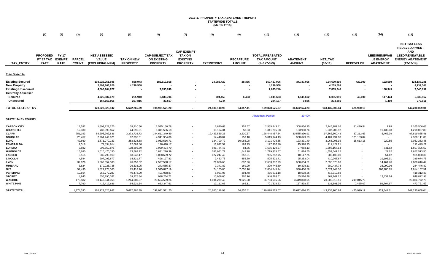## **2016-17 PROPERTY TAX ABATEMENT REPORT STATEWIDE TOTALS (March 2016)**

|                            | (1)                                                | (2)                                          | (3)                           | (4)                                                    | (5)                                  | (6)                                                             | (7)                                                                      | (8)                   | (9)                               | (10)                                                         | (11)                              | (12)                       | (13)             | (14)                                                        | (15)                                                                                                                          |
|----------------------------|----------------------------------------------------|----------------------------------------------|-------------------------------|--------------------------------------------------------|--------------------------------------|-----------------------------------------------------------------|--------------------------------------------------------------------------|-----------------------|-----------------------------------|--------------------------------------------------------------|-----------------------------------|----------------------------|------------------|-------------------------------------------------------------|-------------------------------------------------------------------------------------------------------------------------------|
| <b>TAX ENTITY</b>          | <b>PROPOSED</b><br><b>FY 17 TAX</b><br><b>RATE</b> | <b>FY 17</b><br><b>EXEMPT</b><br><b>RATE</b> | <b>PARCEL</b><br><b>COUNT</b> | <b>NET ASSESSED</b><br><b>VALUE</b><br>(EXCLUDING NPM) | <b>TAX ON NEW</b><br><b>PROPERTY</b> | <b>CAP-SUBJECT TAX</b><br><b>ON EXISTING</b><br><b>PROPERTY</b> | <b>CAP-EXEMPT</b><br><b>TAX ON</b><br><b>EXISTING</b><br><b>PROPERTY</b> | <b>EXEMPTIONS</b>     | <b>RECAPTURE</b><br><b>AMOUNT</b> | <b>TOTAL PREABATED</b><br><b>TAX AMOUNT</b><br>$(5+6+7-8+9)$ | <b>ABATEMENT</b><br><b>AMOUNT</b> | NET_TAX<br>$(10-11)$       | <b>REDEVELOP</b> | <b>LEED/RENEWAB</b><br><b>LE ENERGY</b><br><b>ABATEMENT</b> | <b>NET TAX LESS</b><br><b>REDEVELOPMENT</b><br><b>AND</b><br><b>LEED/RENEWABLE</b><br><b>ENERGY ABATEMENT</b><br>$(12-13-14)$ |
| <u>Total State 17¢</u>     |                                                    |                                              |                               |                                                        |                                      |                                                                 |                                                                          |                       |                                   |                                                              |                                   |                            |                  |                                                             |                                                                                                                               |
|                            |                                                    |                                              |                               |                                                        |                                      |                                                                 |                                                                          |                       |                                   |                                                              |                                   |                            |                  |                                                             |                                                                                                                               |
| <b>Existing Secured</b>    |                                                    |                                              |                               | 108,926,751,605                                        | 868,943                              | 182,619,018                                                     |                                                                          | 24,088,420            | 28,365                            | 159,427,906                                                  | 34,737,096                        | 124,690,810                | 429,990          | 122,589                                                     | 124,138,231                                                                                                                   |
| <b>New Property</b>        |                                                    |                                              |                               | 2,493,863,626                                          | 4,239,568                            |                                                                 |                                                                          |                       |                                   | 4,239,568                                                    |                                   | 4,239,568                  |                  |                                                             | 4,239,568                                                                                                                     |
| <b>Existing Unsecured</b>  |                                                    |                                              |                               | 4,608,964,977                                          |                                      | 7,835,240                                                       |                                                                          |                       |                                   | 7,835,240                                                    |                                   | 7,835,240                  | ٠.               | 188,349                                                     | 7,646,892                                                                                                                     |
| <b>Centrally Assessed</b>  |                                                    |                                              |                               |                                                        |                                      |                                                                 |                                                                          |                       |                                   |                                                              |                                   |                            |                  |                                                             |                                                                                                                               |
| Secured                    |                                                    |                                              |                               | 4,726,582,679                                          | 255,940                              | 8,483,706                                                       |                                                                          | 704,455               | 6,493                             | 8,041,683                                                    | 1,945,692                         | 6,095,991                  | 46,000           | 117,424                                                     | 5,932,567                                                                                                                     |
| Unsecured                  |                                                    |                                              |                               | 167, 163, 055                                          | 257,815                              | 33.607                                                          |                                                                          | 7,244                 |                                   | 284,177                                                      | 9,886                             | 274,291                    |                  | 1,480                                                       | 272,811                                                                                                                       |
| TOTAL STATE OF NV          |                                                    |                                              |                               | 120,923,325,942                                        | 5,622,265.39                         | 198,971,571.20                                                  | $\sim$                                                                   | 24,800,118.93         | 34,857.41                         | 179,828,575.07                                               | 36,692,674.23                     | 143,135,900.84             | 475,990.19       |                                                             | 142,230,069.04                                                                                                                |
|                            |                                                    |                                              |                               |                                                        |                                      |                                                                 |                                                                          |                       |                                   | <b>Abatement Percent</b>                                     | 20.40%                            |                            |                  |                                                             |                                                                                                                               |
| <b>STATE 17¢ BY COUNTY</b> |                                                    |                                              |                               |                                                        |                                      |                                                                 |                                                                          |                       |                                   |                                                              |                                   |                            |                  |                                                             |                                                                                                                               |
| <b>CARSON CITY</b>         |                                                    |                                              | 18,592                        | 1,503,222,275                                          | 38,210.60                            | 2,525,150.78                                                    |                                                                          | 7,870.63              | 352.67                            | 2,555,843.41                                                 | 308,856.25                        | 2,246,987.16               | 81,470.54        | 9.99                                                        | 2,165,506.63                                                                                                                  |
| CHURCHILL                  |                                                    |                                              | 12,330                        | 788,895,552                                            | 44,695.01                            | 1,311,556.18                                                    | $\overline{\phantom{a}}$                                                 | 15,104.34             | 58.83                             | 1,341,205.68                                                 | 103,998.76                        | 1,237,206.92               | $\sim$ $-$       | 19,139.03                                                   | 1,218,067.89                                                                                                                  |
| <b>CLARK</b>               |                                                    |                                              | 751,193                       | 88,298,962,836                                         | 3,273,726.73                         | 144,611,349.49                                                  |                                                                          | 19,439,839.25         | 3,220.37                          | 128,448,457.34                                               | 30,585,896.91                     | 97,862,560.43              | 37,212.63        | 5,462.39                                                    | 97,819,885.41                                                                                                                 |
| DOUGLAS                    |                                                    |                                              | 26,457                        | 2,961,249,621                                          | 92,335.01                            | 4,941,904.06                                                    |                                                                          | 14,448.04             | 153.10                            | 5,019,944.13                                                 | 538,649.23                        | 4,481,294.90               | 121,183.04       |                                                             | 4,360,111.86                                                                                                                  |
| ELKO                       |                                                    |                                              | 42,660                        | 1,871,079,233                                          | 253,524.58                           | 3,052,516.71                                                    |                                                                          | 124,700.72            | 10,085.98                         | 3,191,426.55                                                 | 123,331.40                        | 3,068,095.15               | 15,613.15        | 229.55                                                      | 3,052,252.45                                                                                                                  |
| <b>ESMERALDA</b>           |                                                    |                                              | 2,518                         | 74,834,614                                             | 12,669.86                            | 126,420.17                                                      |                                                                          | 11,872.52             | 189.95                            | 127,407.46                                                   | 15,978.25                         | 111,429.21                 |                  |                                                             | 111,429.21                                                                                                                    |
| <b>EUREKA</b>              |                                                    |                                              | 3,882                         | 903,550,876                                            | 198,395.69                           | 1,929,424.70                                                    |                                                                          | 591,784.47            | 84.35                             | 1,536,120.27                                                 | 27,953.13                         | 1,508,167.14               |                  | 841.62                                                      | 1,507,325.52                                                                                                                  |
| <b>HUMBOLDT</b>            |                                                    |                                              | 15,680                        | 1,010,470,150                                          | 73,568.22                            | 1,831,220.39                                                    |                                                                          | 186,981.71            | 1,548.78                          | 1,719,355.67                                                 | 61,814.55                         | 1,657,541.12               |                  | 27.62                                                       | 1,657,513.50                                                                                                                  |
| <b>LANDER</b>              |                                                    |                                              | 6,515                         | 585,293,910                                            | 83,548.17                            | 1,038,699.72                                                    |                                                                          | 127,247.45            | 252.31                            | 995,252.75                                                   | 10,147.75                         | 985,105.00                 |                  | 54.12                                                       | 985,050.88                                                                                                                    |
| LINCOLN<br><b>LYON</b>     |                                                    |                                              | 4,584<br>32,076               | 297,093,877<br>1,560,354,508                           | 14,421.77<br>76,353.52               | 498,127.83<br>2,597,598.17                                      |                                                                          | 7,483.78<br>21,056.66 | 455.89<br>837.96                  | 505,521.71<br>2,653,732.99                                   | 95,253.04<br>558,654.81           | 410,268.67<br>2,095,078.18 |                  | 21,193.91<br>14,461.76                                      | 389,074.76<br>2,080,616.42                                                                                                    |
| <b>MINERAL</b>             |                                                    |                                              | 3,624                         | 170,925,738                                            | 26,333.05                            | 273,585.37                                                      |                                                                          | 9,341.82              | 169.29                            | 290,745.89                                                   | 10,308.11                         | 280,437.78                 |                  | 35,990.96                                                   | 244,446.82                                                                                                                    |
| NYE                        |                                                    |                                              | 57,430                        | 1,527,773,503                                          | 75,418.76                            | 2,595,877.19                                                    |                                                                          | 74,105.80             | 7,655.10                          | 2,604,845.24                                                 | 530,400.88                        | 2,074,444.36               |                  | 260,286.85                                                  | 1,814,157.51                                                                                                                  |
| <b>PERSHING</b>            |                                                    |                                              | 10,664                        | 256,772,287                                            | 40,478.90                            | 401,958.87                                                      |                                                                          | 5,921.06              | 394.48                            | 436,911.18                                                   | 18,598.35                         | 418,312.83                 |                  |                                                             | 418,312.83                                                                                                                    |
| <b>STOREY</b>              |                                                    |                                              | 4,843                         | 556,790,262                                            | 39,275.34                            | 918,264.71                                                      |                                                                          | 10,958.60             | 207.16                            | 946,788.61                                                   | 85,526.49                         | 861,262.12                 |                  | 12,439.14                                                   | 848,822.98                                                                                                                    |
| WASHOE                     |                                                    |                                              | 173,582                       | 18,143,644,065                                         | 1,214,380.67                         | 29,664,569.26                                                   |                                                                          | 4,134,289.45          | 9,026.08                          | 26,753,686.56                                                | 3,449,868.05                      | 23,303,818.51              | 219,045.76       |                                                             | 23,084,772.75                                                                                                                 |
| WHITE PINE                 |                                                    |                                              | 7,760                         | 412,412,636                                            | 64,929.54                            | 653,347.61                                                      |                                                                          | 17,112.63             | 165.11                            | 701,329.63                                                   | 167,438.27                        | 533,891.36                 | 1,465.07         | 59,704.67                                                   | 472,721.62                                                                                                                    |
| <b>STATE TOTAL</b>         |                                                    |                                              | 1,174,390                     | 120,923,325,942                                        | 5,622,265.39                         | 198,971,571.20                                                  |                                                                          | 24,800,118.93         | 34,857.41                         | 179,828,575.07                                               | 36,692,674.23                     | 143,135,900.84             | 475,990.19       | 429,841.61                                                  | 142,230,069.04                                                                                                                |
|                            |                                                    |                                              |                               |                                                        |                                      |                                                                 |                                                                          |                       |                                   |                                                              |                                   |                            |                  |                                                             |                                                                                                                               |

÷.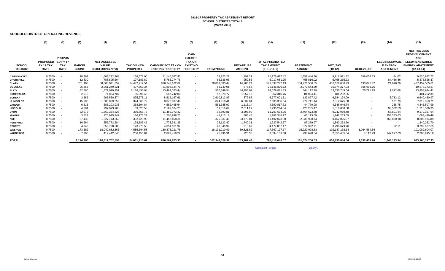## **2016-17 PROPERTY TAX ABATEMENT REPORTSCHOOL DISTRICTS TOTALS (March 2016)**

#### **SCHOOLD DISTRICT OPERATING REVENUE**

|                                  | (1)                                                | (2)                                                           | (3)                           | (4)                                                    | (5)                                  | (6)                                                   | (7)                                                                          | (8)               | (9)                               | (10)                                                         | (11)                              | (12)                 | (13)                     | (14)                                                        | (15)                                                                                                                          |
|----------------------------------|----------------------------------------------------|---------------------------------------------------------------|-------------------------------|--------------------------------------------------------|--------------------------------------|-------------------------------------------------------|------------------------------------------------------------------------------|-------------------|-----------------------------------|--------------------------------------------------------------|-----------------------------------|----------------------|--------------------------|-------------------------------------------------------------|-------------------------------------------------------------------------------------------------------------------------------|
| <b>SCHOOL</b><br><b>DISTRICT</b> | <b>PROPOSED</b><br><b>FY 17 TAX</b><br><b>RATE</b> | <b>PROPOS</b><br><b>ED FY 17</b><br><b>TAX</b><br><b>RATE</b> | <b>PARCEL</b><br><b>COUNT</b> | <b>NET ASSESSED</b><br><b>VALUE</b><br>(EXCLUDING NPM) | <b>TAX ON NEW</b><br><b>PROPERTY</b> | <b>CAP-SUBJECT TAX ON</b><br><b>EXISTING PROPERTY</b> | CAP-<br><b>EXEMPT</b><br><b>TAX ON</b><br><b>EXISTING</b><br><b>PROPERTY</b> | <b>EXEMPTIONS</b> | <b>RECAPTURE</b><br><b>AMOUNT</b> | <b>TOTAL PREABATED</b><br><b>TAX AMOUNT</b><br>$(5+6+7-8+9)$ | <b>ABATEMENT</b><br><b>AMOUNT</b> | NET_TAX<br>$(10-12)$ | <b>REDEVELOP</b>         | <b>LEED/RENEWABL</b><br><b>E ENERGY</b><br><b>ABATEMENT</b> | <b>NET TAX LESS</b><br><b>REDEVELOPMENT</b><br><b>AND</b><br><b>LEED/RENEWABLE</b><br><b>ENERGY ABATEMENT</b><br>$(12-13-14)$ |
| <b>CARSON CITY</b>               | 0.7500                                             | $\overline{\phantom{a}}$                                      | 18,592                        | 1,503,222,268                                          | 168,576.00                           | 11,140,367.43                                         |                                                                              | 34,723.22         | 1,197.21                          | 11,275,417.42                                                | 1,358,446.30                      | 9,916,971.12         | 396,004.33               | 44.07                                                       | 9,520,922.72                                                                                                                  |
| <b>CHURCHILL</b>                 | 0.7500                                             |                                                               | 12,330                        | 788,895,604                                            | 197,183.89                           | 5,786,274.76                                          |                                                                              | 66,636.96         | 259.55                            | 5,917,081.25                                                 | 458,816.02                        | 5,458,265.23         |                          | 84,436.86                                                   | 5,373,828.37                                                                                                                  |
| <b>CLARK</b>                     | 0.7500                                             | $\sim$                                                        | 751,193                       | 88,300,941,359                                         | 14,442,912.51                        | 636,743,162.82                                        | $\overline{\phantom{a}}$                                                     | 78,803,033.44     | 14,205.24                         | 572,397,247.13                                               | 134,720,566.35                    | 437,676,680.79       | 193,076.42               | 24,098.76                                                   | 437,459,505.61                                                                                                                |
| <b>DOUGLAS</b>                   | 0.7500                                             |                                                               | 26,457                        | 2,961,249,621                                          | 407,360.34                           | 21,802,534.71                                         | $\overline{\phantom{a}}$                                                     | 63,749.91         | 675.58                            | 22,146,820.72                                                | 2,272,543.69                      | 19,874,277.03        | 595,903.76               |                                                             | 19,278,373.27                                                                                                                 |
| <b>ELKO</b>                      | 0.7500                                             |                                                               | 42,660                        | 1,871,079,257                                          | 1,118,490.94                         | 13,467,023.44                                         |                                                                              | 550,149.54        | 44,496.99                         | 14,079,861.83                                                | 544,112.79                        | 13,535,749.04        | 75,791.95                | 1,012.68                                                    | 13,458,944.41                                                                                                                 |
| <b>ESMERALDA</b>                 | 0.7500                                             | $\overline{\phantom{a}}$                                      | 2,518                         | 74,834,707                                             | 55,896.40                            | 557,742.00                                            |                                                                              | 52,378.77         | 1,057.13                          | 562,316.76                                                   | 81,054.41                         | 481,262.35           | $\sim$                   | $\sim$                                                      | 481,262.35                                                                                                                    |
| <b>EUREKA</b>                    | 0.7500                                             | $\overline{\phantom{a}}$                                      | 3,882                         | 903,550,874                                            | 875,275.11                           | 8,512,167.61                                          | $\overline{\phantom{a}}$                                                     | 2,610,813.87      | 372.66                            | 6,777,001.51                                                 | 132,827.42                        | 6.644.174.09         | $\sim$                   | 3,713.12                                                    | 6,640,460.97                                                                                                                  |
| <b>HUMBOLDT</b>                  | 0.7500                                             | $\overline{\phantom{a}}$                                      | 15,680                        | 1,005,829,656                                          | 324,565.72                           | 8,078,907.49                                          |                                                                              | 824,919.41        | 6,832.84                          | 7,585,386.64                                                 | 272,711.14                        | 7,312,675.50         | $\sim$                   | 121.79                                                      | 7,312,553.71                                                                                                                  |
| <b>LANDER</b>                    | 0.7500                                             |                                                               | 6,515                         | 585,293,933                                            | 368,594.84                           | 4,582,495.64                                          |                                                                              | 561,385.90        | 1,113.14                          | 4,390,817.72                                                 | 44,770.98                         | 4,346,046.74         | $\sim$                   | 238.75                                                      | 4,345,807.99                                                                                                                  |
| <b>LINCOLN</b>                   | 0.7500                                             | $\sim$                                                        | 4,584                         | 297,093,908                                            | 63,625.53                            | 2,197,624.23                                          |                                                                              | 33,016.64         | 2,011.22                          | 2,230,244.34                                                 | 420,235.47                        | 1,810,008.88         | $\sim$                   | 93,502.53                                                   | 1,716,506.35                                                                                                                  |
| LYON                             | 0.7500                                             |                                                               | 32,076                        | 1,560,354,826                                          | 336,853.76                           | 11,459,973.32                                         |                                                                              | 92,890.81         | 3,696.99                          | 11,707,633.26                                                | 2,464,673.78                      | 9,242,959.48         |                          | 63,801.84                                                   | 9,179,157.64                                                                                                                  |
| <b>MINERAL</b>                   | 0.7500                                             |                                                               | 3,624                         | 170,925,742                                            | 116,175.27                           | 1,206,998.23                                          |                                                                              | 41,213.18         | 386.45                            | 1,282,346.77                                                 | 40,113.69                         | 1,242,233.09         | $\sim$                   | 158,783.63                                                  | 1,083,449.46                                                                                                                  |
| <b>NYE</b>                       | 0.7500                                             |                                                               | 57,430                        | 1,527,773,563                                          | 332,729.90                           | 11,452,458.35                                         |                                                                              | 326,937.45        | 33,773.01                         | 11,492,023.80                                                | 2,339,998.74                      | 9,152,025.07         | $\sim$                   | 766,090.18                                                  | 8,385,934.89                                                                                                                  |
| <b>PERSHING</b>                  | 0.7500                                             |                                                               | 10,664                        | 256,772,284                                            | 178,583.41                           | 1,773,341.35                                          |                                                                              | 26,122.40         | 1,740.31                          | 1,927,542.67                                                 | 87,279.97                         | 1,840,262.70         | $\overline{\phantom{a}}$ | $\sim$                                                      | 1,840,262.70                                                                                                                  |
| <b>STOREY</b>                    | 0.7500                                             | $\overline{\phantom{a}}$                                      | 4,843                         | 556,790,280                                            | 173,273.58                           | 4,051,161.92                                          |                                                                              | 48,346.92         | 913.89                            | 4,177,002.47                                                 | 377,322.71                        | 3,799,679.76         |                          | 52.11                                                       | 3,799,627.65                                                                                                                  |
| WASHOE                           | 0.7500                                             |                                                               | 173,582                       | 18,040,682,366                                         | 4,585,364.58                         | 130.873.221.76                                        |                                                                              | 18, 131, 210.99   | 39,821.82                         | 117,367,197.17                                               | 15,220,028.53                     | 102,147,168.64       | 1,064,564.56             |                                                             | 101,082,604.07                                                                                                                |
| <b>WHITE PINE</b>                | 0.7500                                             |                                                               | 7,760                         | 412,412,646                                            | 286,453.84                           | 2,882,418.29                                          |                                                                              | 75,496.91         | 728.38                            | 3,094,103.58                                                 | 738.698.54                        | 2,355,405.04         | 7.112.23                 | 147,297.63                                                  | 2,200,995.18                                                                                                                  |
| <b>TOTAL</b>                     |                                                    |                                                               | 1,174,390                     | 120,817,702,893                                        | 24,031,915.62                        | 876,567,873.33                                        |                                                                              | 102,343,026.32    | 153,282.43                        | 798,410,045.07                                               | 161,574,200.53                    | 636,835,844.54       | 2.332.453.26             | 1,343,193.94                                                | 633,160,197.33                                                                                                                |

**Abatement Percent** 

20.24%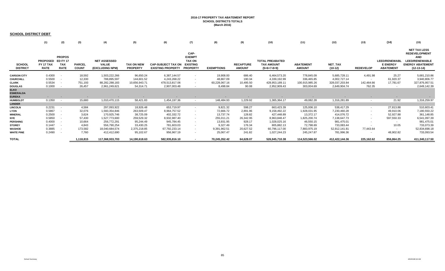#### **2016-17 PROPERTY TAX ABATEMENT REPORT SCHOOL DISTRICTS TOTALS (March 2016)**

#### **SCHOOL DISTRICT DEBT**

|                                  | (1)                                           | (2)                                        | (3)                           | (4)                                                    | (5)                                  | (6)                                                   | (7)                                                                          | (8)               | (9)                               | (10)                                                         | (11)                              | (12)                 | (13)             | (14)                                                        | (15)                                                                                                                          |
|----------------------------------|-----------------------------------------------|--------------------------------------------|-------------------------------|--------------------------------------------------------|--------------------------------------|-------------------------------------------------------|------------------------------------------------------------------------------|-------------------|-----------------------------------|--------------------------------------------------------------|-----------------------------------|----------------------|------------------|-------------------------------------------------------------|-------------------------------------------------------------------------------------------------------------------------------|
| <b>SCHOOL</b><br><b>DISTRICT</b> | PROPOSED ED FY 17<br>FY 17 TAX<br><b>RATE</b> | <b>PROPOS</b><br><b>TAX</b><br><b>RATE</b> | <b>PARCEL</b><br><b>COUNT</b> | <b>NET ASSESSED</b><br><b>VALUE</b><br>(EXCLUDING NPM) | <b>TAX ON NEW</b><br><b>PROPERTY</b> | <b>CAP-SUBJECT TAX ON</b><br><b>EXISTING PROPERTY</b> | CAP-<br><b>EXEMPT</b><br><b>TAX ON</b><br><b>EXISTING</b><br><b>PROPERTY</b> | <b>EXEMPTIONS</b> | <b>RECAPTURE</b><br><b>AMOUNT</b> | <b>TOTAL PREABATED</b><br><b>TAX AMOUNT</b><br>$(5+6+7-8+9)$ | <b>ABATEMENT</b><br><b>AMOUNT</b> | NET_TAX<br>$(10-12)$ | <b>REDEVELOP</b> | <b>LEED/RENEWABL</b><br><b>E ENERGY</b><br><b>ABATEMENT</b> | <b>NET TAX LESS</b><br><b>REDEVELOPMENT</b><br><b>AND</b><br><b>LEED/RENEWABLE</b><br><b>ENERGY ABATEMENT</b><br>$(12-13-14)$ |
| <b>CARSON CITY</b>               | 0.4300                                        |                                            | 18,592                        | 1,503,222,266                                          | 96,650.24                            | 6,387,144.57                                          | $\sim$                                                                       | 19,908.00         | 686.40                            | 6,464,573.20                                                 | 778,845.09                        | 5,685,728.11         | 4,491.98         | 25.27                                                       | 5,681,210.86                                                                                                                  |
| <b>CHURCHILL</b>                 | 0.5500                                        | $\sim$                                     | 12,330                        | 788,895,597                                            | 144.601.52                           | 4.243.268.22                                          | $\sim$                                                                       | 48,867.09         | 190.34                            | 4,339,192.99                                                 | 336.465.85                        | 4,002,727.14         | $\sim$           | 61,920.37                                                   | 3,940,806.77                                                                                                                  |
| <b>CLARK</b>                     | 0.5534                                        |                                            | 751,193                       | 88,282,288,183                                         | 10,656,943.71                        | 478,513,817.06                                        | $\sim$                                                                       | 60,228,067.16     | 10,495.50                         | 428,953,189.11                                               | 100,915,985.26                    | 328,037,203.84       | 142,464.66       | 17,781.67                                                   | 327,876,957.51                                                                                                                |
| <b>DOUGLAS</b>                   | 0.1000                                        |                                            | 26,457                        | 2,961,249,621                                          | 54.314.71                            | 2,907,003.48                                          | $\overline{\phantom{a}}$                                                     | 8,498.84          | 90.08                             | 2,952,909.43                                                 | 303,004.69                        | 2,649,904.74         | 762.35           | $\sim$                                                      | 2,649,142.39                                                                                                                  |
| <b>ELKO</b>                      |                                               |                                            |                               |                                                        |                                      |                                                       |                                                                              |                   |                                   |                                                              |                                   |                      |                  |                                                             |                                                                                                                               |
| <b>ESMERALDA</b>                 |                                               |                                            |                               |                                                        |                                      |                                                       |                                                                              |                   |                                   |                                                              |                                   |                      |                  |                                                             |                                                                                                                               |
| <b>EUREKA</b>                    | ۰.                                            |                                            |                               |                                                        |                                      |                                                       |                                                                              |                   |                                   |                                                              |                                   |                      |                  |                                                             |                                                                                                                               |
| <b>HUMBOLDT</b>                  | 0.1350                                        | $\overline{\phantom{a}}$                   | 15,680                        | 1,010,470,115                                          | 58,421.83                            | 1,454,197.36                                          | $\sim$                                                                       | 148,484.93        | 1,229.92                          | 1,365,364.17                                                 | 49,082.28                         | 1,316,281.89         | $\sim$           | 21.92                                                       | 1,316,259.97                                                                                                                  |
| <b>LANDER</b>                    |                                               |                                            |                               |                                                        |                                      |                                                       |                                                                              |                   |                                   |                                                              |                                   |                      |                  |                                                             |                                                                                                                               |
| <b>LINCOLN</b>                   | 0.2231                                        | $\sim$                                     | 4,584                         | 297,093,922                                            | 18,926.48                            | 653,719.97                                            | $\sim$                                                                       | 9,821.32          | 598.27                            | 663,423.39                                                   | 125,006.10                        | 538,417.29           | $\sim$           | 27,813.88                                                   | 510,603.41                                                                                                                    |
| <b>LYON</b>                      | 0.5867                                        | $\sim$                                     | 32,076                        | 1,560,354,846                                          | 263,509.47                           | 8,964,757.52                                          | $\sim$                                                                       | 72,666.72         | 2,891.96                          | 9,158,492.22                                                 | 1,928,031.95                      | 7,230,460.28         | $\sim$           | 49,910.06                                                   | 7,180,550.22                                                                                                                  |
| <b>MINERAL</b>                   | 0.2500                                        |                                            | 3,624                         | 170,925,746                                            | 38,725.09                            | 402,332.72                                            | $\sim$                                                                       | 13,737.74         | 128.82                            | 427,448.89                                                   | 13,372.17                         | 414,076.72           | $\sim$           | 52,927.88                                                   | 361,148.85                                                                                                                    |
| <b>NYE</b>                       | 0.5850                                        |                                            | 57,430                        | 1,527,773,600                                          | 259,529.32                           | 8,932,987.40                                          | $\sim$                                                                       | 255,011.21        | 26,342.95                         | 8,963,848.47                                                 | 1,825,200.74                      | 7,138,647.73         | $\sim$           | 597,550.33                                                  | 6,541,097.39                                                                                                                  |
| <b>PERSHING</b>                  | 0.4000                                        |                                            | 10,664                        | 256,772,291                                            | 95,244.49                            | 945,784.45                                            | $\sim$                                                                       | 13,931.95         | 928.17                            | 1,028,025.16                                                 | 46,550.15                         | 981,475.01           |                  |                                                             | 981,475.01                                                                                                                    |
| <b>STOREY</b>                    | 0.1447                                        |                                            | 4,843                         | 556,790,254                                            | 33,430.25                            | 781,603.03                                            | $\sim$                                                                       | 9,327.49          | 176.34                            | 805,882.13                                                   | 72,798.69                         | 733,083.44           |                  | 10.05                                                       | 733,073.39                                                                                                                    |
| WASHOE                           | 0.3885                                        |                                            | 173,582                       | 18,040,684,574                                         | 2,375,218.85                         | 67,792,233.14                                         | $\sim$                                                                       | 9,391,962.51      | 20,627.52                         | 60,796,117.00                                                | 7,883,975.19                      | 52,912,141.81        | 77,443.64        |                                                             | 52,834,698.18                                                                                                                 |
| <b>WHITE PINE</b>                | 0.2490                                        |                                            | 7,760                         | 412,412,690                                            | 95,102.67                            | 956,967.19                                            | $\sim$                                                                       | 25,067.47         | 241.82                            | 1,027,244.23                                                 | 245,247.87                        | 781,996.36           |                  | 48,902.82                                                   | 733,093.54                                                                                                                    |
| <b>TOTAL</b>                     |                                               |                                            | 1,118,815                     | 117,368,933,703                                        | 14,190,618.63                        | 582,935,816.10                                        |                                                                              | 70,245,352.42     | 64,628.07                         | 526,945,710.38                                               | 114,523,566.02                    | 412.422.144.36       | 225.162.62       | 856,864.25                                                  | 411,340,117.50                                                                                                                |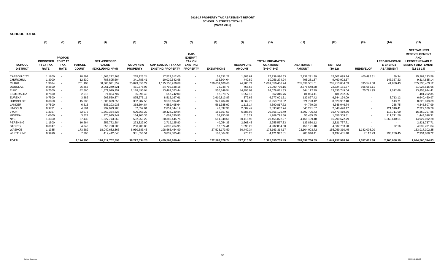#### **2016-17 PROPERTY TAX ABATEMENT REPORT SCHOOL DISTRICTS TOTALS (March 2016)**

#### **SCHOOL TOTAL**

|                                  | (1)                                                | (2)                                                           | (3)                           | (4)                                                    | (5)                                  | (6)                                                   | (7)                                                                          | (8)               | (9)                               | (10)                                                         | (11)                              | (12)                 | (13)             | (14)                                                        | (15)                                                                                                                   |
|----------------------------------|----------------------------------------------------|---------------------------------------------------------------|-------------------------------|--------------------------------------------------------|--------------------------------------|-------------------------------------------------------|------------------------------------------------------------------------------|-------------------|-----------------------------------|--------------------------------------------------------------|-----------------------------------|----------------------|------------------|-------------------------------------------------------------|------------------------------------------------------------------------------------------------------------------------|
| <b>SCHOOL</b><br><b>DISTRICT</b> | <b>PROPOSED</b><br><b>FY 17 TAX</b><br><b>RATE</b> | <b>PROPOS</b><br><b>ED FY 17</b><br><b>TAX</b><br><b>RATE</b> | <b>PARCEL</b><br><b>COUNT</b> | <b>NET ASSESSED</b><br><b>VALUE</b><br>(EXCLUDING NPM) | <b>TAX ON NEW</b><br><b>PROPERTY</b> | <b>CAP-SUBJECT TAX ON</b><br><b>EXISTING PROPERTY</b> | CAP-<br><b>EXEMPT</b><br><b>TAX ON</b><br><b>EXISTING</b><br><b>PROPERTY</b> | <b>EXEMPTIONS</b> | <b>RECAPTURE</b><br><b>AMOUNT</b> | <b>TOTAL PREABATED</b><br><b>TAX AMOUNT</b><br>$(5+6+7-8+9)$ | <b>ABATEMENT</b><br><b>AMOUNT</b> | NET_TAX<br>$(10-12)$ | <b>REDEVELOP</b> | <b>LEED/RENEWABL</b><br><b>E ENERGY</b><br><b>ABATEMENT</b> | <b>NET TAX LESS</b><br><b>REDEVELOPMENT</b><br>AND<br><b>LEED/RENEWABLE</b><br><b>ENERGY ABATEMENT</b><br>$(12-13-14)$ |
| <b>CARSON CITY</b>               | 1.1800                                             | $\overline{\phantom{a}}$                                      | 18,592                        | 1,503,222,268                                          | 265,226.24                           | 17,527,512.00                                         | $\sim$                                                                       | 54,631.22         | 1,883.61                          | 17,739,990.63                                                | 2,137,291.39                      | 15,602,699.24        | 400,496.31       | 69.34                                                       | 15,202,133.59                                                                                                          |
| <b>CHURCHILL</b>                 | 1.3000                                             |                                                               | 12,330                        | 788,895,604                                            | 341,785.41                           | 10,029,542.98                                         | $\overline{\phantom{a}}$                                                     | 115,504.04        | 449.89                            | 10,256,274.24                                                | 795,281.87                        | 9,460,992.37         |                  | 146,357.23                                                  | 9,314,635.14                                                                                                           |
| CLARK                            | 1.3034                                             | $\overline{\phantom{a}}$                                      | 751,193                       | 88.300.941.359                                         | 25,099,856.22                        | 1,115,256,979.88                                      | $\sim$                                                                       | 139,031,100.60    | 24,700.74                         | 1,001,350,436.24                                             | 235,636,551.61                    | 765,713,884.63       | 335.541.08       | 41,880.43                                                   | 765,336,463.12                                                                                                         |
| <b>DOUGLAS</b>                   | 0.8500                                             | $\sim$                                                        | 26,457                        | 2,961,249,621                                          | 461,675.06                           | 24,709,538.18                                         | $\overline{\phantom{0}}$                                                     | 72,248.75         | 765.66                            | 25,099,730.15                                                | 2,575,548.38                      | 22,524,181.77        | 596,666.11       | $\sim$                                                      | 21,927,515.66                                                                                                          |
| ELKO                             | 0.7500                                             | $\overline{\phantom{a}}$                                      | 42,660                        | 1,871,079,257                                          | 1,118,490.94                         | 13,467,023.44                                         | $\overline{\phantom{0}}$                                                     | 550,149.54        | 44,496.99                         | 14,079,861.83                                                | 544,112.79                        | 13,535,749.04        | 75,791.95        | 1,012.68                                                    | 13,458,944.41                                                                                                          |
| ESMERALDA                        | 0.7500                                             |                                                               | 2,518                         | 74,834,707                                             | 55,896.40                            | 557,742.00                                            |                                                                              | 52,378.77         | 1,057.13                          | 562,316.76                                                   | 81,054.41                         | 481,262.35           |                  |                                                             | 481,262.35                                                                                                             |
| EUREKA                           | 0.7500                                             | $\overline{\phantom{a}}$                                      | 3,882                         | 903,550,874                                            | 875,275.11                           | 8,512,167.61                                          | $\overline{\phantom{a}}$                                                     | 2,610,813.87      | 372.66                            | 6,777,001.51                                                 | 132,827.42                        | 6,644,174.09         |                  | 3,713.12                                                    | 6,640,460.97                                                                                                           |
| <b>HUMBOLDT</b>                  | 0.8850                                             | $\blacksquare$                                                | 15,680                        | 1,005,829,656                                          | 382,987.55                           | 9,533,104.85                                          | $\sim$                                                                       | 973.404.34        | 8,062.76                          | 8,950,750.82                                                 | 321,793.42                        | 8,628,957.40         |                  | 143.71                                                      | 8,628,813.69                                                                                                           |
| LANDER                           | 0.7500                                             |                                                               | 6,515                         | 585,293,933                                            | 368,594.84                           | 4,582,495.64                                          | $\overline{\phantom{a}}$                                                     | 561,385.90        | 1,113.14                          | 4,390,817.72                                                 | 44,770.98                         | 4,346,046.74         |                  | 238.75                                                      | 4,345,807.99                                                                                                           |
| <b>LINCOLN</b>                   | 0.9731                                             | $\overline{\phantom{a}}$                                      | 4,584                         | 297,093,908                                            | 82,552.01                            | 2,851,344.19                                          | $\overline{\phantom{a}}$                                                     | 42,837.96         | 2,609.49                          | 2,893,667.74                                                 | 545,241.57                        | 2,348,426.17         |                  | 121,316.41                                                  | 2,227,109.76                                                                                                           |
| LYON                             | 1.3367                                             | $\blacksquare$                                                | 32,076                        | 560,354,826                                            | 600,363.22                           | 20,424,730.84                                         |                                                                              | 165,557.53        | 6,588.95                          | 20,866,125.49                                                | 4,392,705.73                      | 16,473,419.76        |                  | 113,711.90                                                  | 16,359,707.86                                                                                                          |
| MINERAL                          | 1.0000                                             | $\overline{\phantom{a}}$                                      | 3,624                         | 170,925,742                                            | 154,900.36                           | 1,609,330.95                                          | $\overline{\phantom{0}}$                                                     | 54,950.92         | 515.27                            | 1,709,795.66                                                 | 53,485.85                         | 1,656,309.81         |                  | 211,711.50                                                  | 1,444,598.31                                                                                                           |
| NYE                              | 1.3350                                             |                                                               | 57,430                        | 1,527,773,563                                          | 592,259.22                           | 20,385,445.75                                         |                                                                              | 581,948.66        | 60,115.96                         | 20,455,872.27                                                | 4, 165, 199. 48                   | 16,290,672.79        |                  | 1,363,640.51                                                | 14,927,032.28                                                                                                          |
| PERSHING                         | 1.1500                                             | $\overline{\phantom{a}}$                                      | 10,664                        | 256,772,284                                            | 273,827.90                           | 2,719,125.80                                          | $\overline{\phantom{a}}$                                                     | 40,054.35         | 2,668.48                          | 2,955,567.83                                                 | 133,830.12                        | 2,821,737.71         |                  | $\sim$                                                      | 2,821,737.71                                                                                                           |
| STOREY                           | 0.8947                                             | $\overline{\phantom{a}}$                                      | 4,843                         | 556,790,280                                            | 206,703.83                           | 4,832,764.95                                          |                                                                              | 57,674.41         | 1,090.23                          | 4,982,884.60                                                 | 450,121.40                        | 4,532,763.20         |                  | 62.16                                                       | 4,532,701.04                                                                                                           |
| WASHOE                           | 1.1385                                             |                                                               | 173,582                       | 18,040,682,366                                         | 6,960,583.43                         | 198,665,454.90                                        |                                                                              | 27,523,173.50     | 60,449.34                         | 178, 163, 314. 17                                            | 23,104,003.72                     | 155,059,310.45       | 1,142,008.20     |                                                             | 153,917,302.25                                                                                                         |
| <b>WHITE PINE</b>                | 0.9990                                             |                                                               | 7,760                         | 412,412,646                                            | 381,556.51                           | 3,839,385.48                                          |                                                                              | 100,564.38        | 970.20                            | 4,121,347.81                                                 | 983,946.41                        | 3,137,401.40         | 7,112.23         | 196,200.45                                                  | 2,934,088.72                                                                                                           |
| <b>TOTAL</b>                     |                                                    |                                                               | 1,174,390                     | 120,817,702,893                                        | 38.222.534.25                        | 1,459,503,689.44                                      |                                                                              | 172.588.378.74    | 217.910.50                        | 1,325,355,755.45                                             | 276.097.766.55                    | 1.049.257.988.90     | 2,557,615.88     | 2.200.058.19                                                | 1,044,500,314.83                                                                                                       |